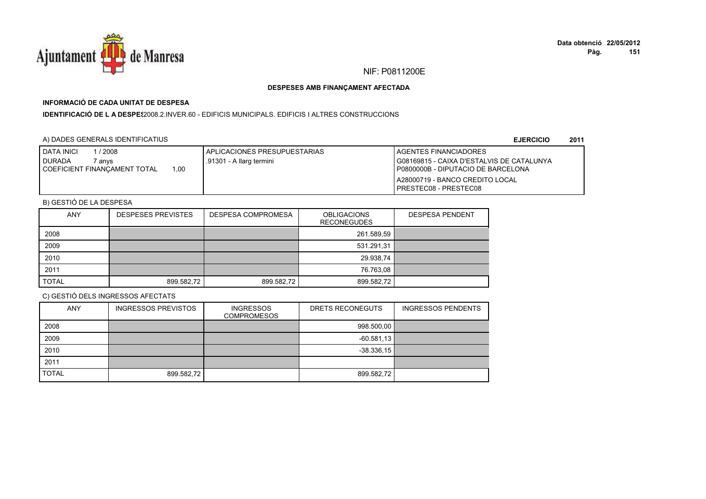

## **INFORMACIÓ DE CADA UNITAT DE DESPESA**

**IDENTIFICACIÓ DE L A DESPES**2008.2.INVER.60 - EDIFICIS MUNICIPALS. EDIFICIS I ALTRES CONSTRUCCIONS

### A) DADES GENERALS IDENTIFICATIUS

**EJERCICIO<sup>2011</sup>**

| <b>I DATA INICI</b><br>1/2008                 | APLICACIONES PRESUPUESTARIAS | <b>I AGENTES FINANCIADORES</b>            |
|-----------------------------------------------|------------------------------|-------------------------------------------|
| <b>I DURADA</b><br>7 an∨s                     | .91301 - A llarg termini     | G08169815 - CAIXA D'ESTALVIS DE CATALUNYA |
| 1.00<br><b>I COEFICIENT FINANCAMENT TOTAL</b> |                              | I P0800000B - DIPUTACIO DE BARCELONA      |
|                                               |                              | A28000719 - BANCO CREDITO LOCAL           |
|                                               |                              | <b>IPRESTEC08 - PRESTEC08</b>             |

## B) GESTIÓ DE LA DESPESA

| <b>ANY</b>   | <b>DESPESES PREVISTES</b> | <b>DESPESA COMPROMESA</b> | <b>OBLIGACIONS</b><br><b>RECONEGUDES</b> | <b>DESPESA PENDENT</b> |
|--------------|---------------------------|---------------------------|------------------------------------------|------------------------|
| 2008         |                           |                           | 261.589,59                               |                        |
| 2009         |                           |                           | 531.291,31                               |                        |
| 2010         |                           |                           | 29.938,74                                |                        |
| 2011         |                           |                           | 76.763,08                                |                        |
| <b>TOTAL</b> | 899.582,72                | 899.582,72                | 899.582,72                               |                        |

| <b>ANY</b>   | <b>INGRESSOS PREVISTOS</b> | <b>INGRESSOS</b><br><b>COMPROMESOS</b> | DRETS RECONEGUTS | <b>INGRESSOS PENDENTS</b> |
|--------------|----------------------------|----------------------------------------|------------------|---------------------------|
| 2008         |                            |                                        | 998.500,00       |                           |
| 2009         |                            |                                        | $-60.581,13$     |                           |
| 2010         |                            |                                        | $-38.336.15$     |                           |
| 2011         |                            |                                        |                  |                           |
| <b>TOTAL</b> | 899.582,72                 |                                        | 899.582.72       |                           |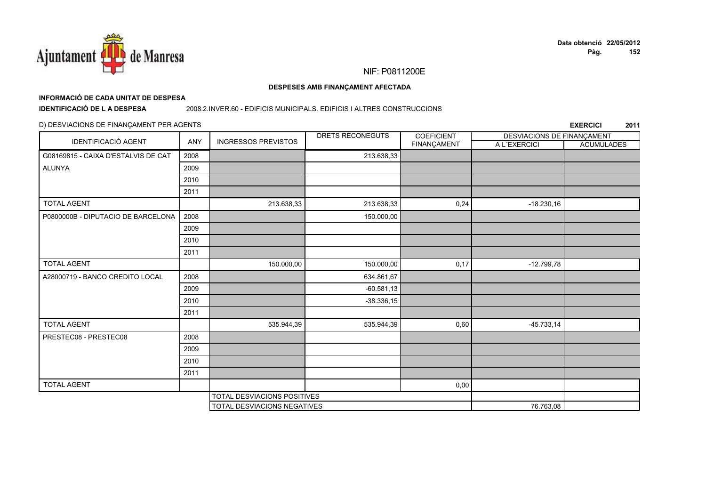

#### DESPESES AMB FINANÇAMENT AFECTADA

## INFORMACIÓ DE CADA UNITAT DE DESPESA

**IDENTIFICACIÓ DE LA DESPESA** 

#### 2008.2.INVER.60 - EDIFICIS MUNICIPALS. EDIFICIS I ALTRES CONSTRUCCIONS

### D) DESVIACIONS DE FINANÇAMENT PER AGENTS

|                                     |      |                             | DRETS RECONEGUTS | <b>COEFICIENT</b> | DESVIACIONS DE FINANÇAMENT |                   |
|-------------------------------------|------|-----------------------------|------------------|-------------------|----------------------------|-------------------|
| IDENTIFICACIÓ AGENT                 | ANY  | <b>INGRESSOS PREVISTOS</b>  |                  | FINANÇAMENT       | A L'EXERCICI               | <b>ACUMULADES</b> |
| G08169815 - CAIXA D'ESTALVIS DE CAT | 2008 |                             | 213.638,33       |                   |                            |                   |
| <b>ALUNYA</b>                       | 2009 |                             |                  |                   |                            |                   |
|                                     | 2010 |                             |                  |                   |                            |                   |
|                                     | 2011 |                             |                  |                   |                            |                   |
| <b>TOTAL AGENT</b>                  |      | 213.638,33                  | 213.638,33       | 0,24              | $-18.230,16$               |                   |
| P0800000B - DIPUTACIO DE BARCELONA  | 2008 |                             | 150.000,00       |                   |                            |                   |
|                                     | 2009 |                             |                  |                   |                            |                   |
|                                     | 2010 |                             |                  |                   |                            |                   |
|                                     | 2011 |                             |                  |                   |                            |                   |
| <b>TOTAL AGENT</b>                  |      | 150.000,00                  | 150.000,00       | 0,17              | $-12.799.78$               |                   |
| A28000719 - BANCO CREDITO LOCAL     | 2008 |                             | 634.861,67       |                   |                            |                   |
|                                     | 2009 |                             | $-60.581,13$     |                   |                            |                   |
|                                     | 2010 |                             | $-38.336,15$     |                   |                            |                   |
|                                     | 2011 |                             |                  |                   |                            |                   |
| <b>TOTAL AGENT</b>                  |      | 535.944,39                  | 535.944,39       | 0,60              | $-45.733, 14$              |                   |
| PRESTEC08 - PRESTEC08               | 2008 |                             |                  |                   |                            |                   |
|                                     | 2009 |                             |                  |                   |                            |                   |
|                                     | 2010 |                             |                  |                   |                            |                   |
|                                     | 2011 |                             |                  |                   |                            |                   |
| <b>TOTAL AGENT</b>                  |      |                             |                  | 0,00              |                            |                   |
|                                     |      | TOTAL DESVIACIONS POSITIVES |                  |                   |                            |                   |
|                                     |      | TOTAL DESVIACIONS NEGATIVES |                  |                   | 76.763,08                  |                   |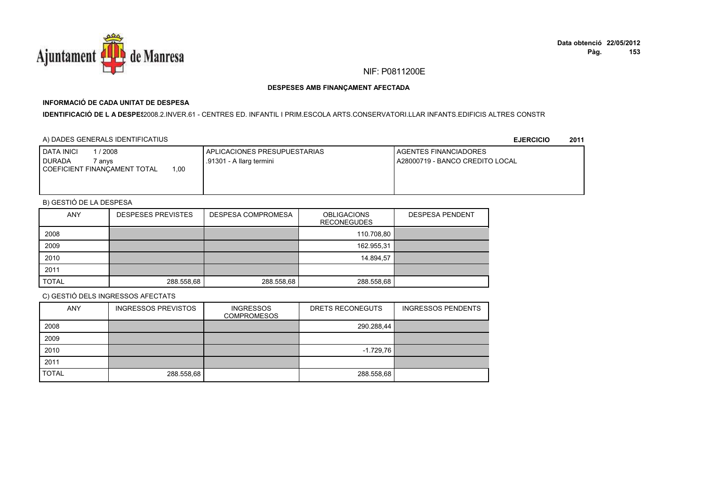

## **INFORMACIÓ DE CADA UNITAT DE DESPESA**

**IDENTIFICACIÓ DE L A DESPES**2008.2.INVER.61 - CENTRES ED. INFANTIL I PRIM.ESCOLA ARTS.CONSERVATORI.LLAR INFANTS.EDIFICIS ALTRES CONSTR

### A) DADES GENERALS IDENTIFICATIUS

**EJERCICIO<sup>2011</sup>**

| <b>I DATA INICI</b><br>/2008<br><b>DURADA</b><br>anvs | <b>APLICACIONES PRESUPUESTARIAS</b><br>.91301 - A llarg termini | <b>I AGENTES FINANCIADORES</b><br>I A28000719 - BANCO CREDITO LOCAL |
|-------------------------------------------------------|-----------------------------------------------------------------|---------------------------------------------------------------------|
| 1.00<br>COEFICIENT FINANCAMENT TOTAL                  |                                                                 |                                                                     |
|                                                       |                                                                 |                                                                     |

## B) GESTIÓ DE LA DESPESA

| <b>ANY</b>   | <b>DESPESES PREVISTES</b> | <b>DESPESA COMPROMESA</b> | <b>OBLIGACIONS</b><br><b>RECONEGUDES</b> | <b>DESPESA PENDENT</b> |
|--------------|---------------------------|---------------------------|------------------------------------------|------------------------|
| 2008         |                           |                           | 110.708,80                               |                        |
| 2009         |                           |                           | 162.955,31                               |                        |
| 2010         |                           |                           | 14.894,57                                |                        |
| 2011         |                           |                           |                                          |                        |
| <b>TOTAL</b> | 288.558,68                | 288.558,68                | 288.558,68                               |                        |

| <b>ANY</b>   | <b>INGRESSOS PREVISTOS</b> | <b>INGRESSOS</b><br><b>COMPROMESOS</b> | DRETS RECONEGUTS | <b>INGRESSOS PENDENTS</b> |
|--------------|----------------------------|----------------------------------------|------------------|---------------------------|
| 2008         |                            |                                        | 290.288.44       |                           |
| 2009         |                            |                                        |                  |                           |
| 2010         |                            |                                        | $-1.729,76$      |                           |
| 2011         |                            |                                        |                  |                           |
| <b>TOTAL</b> | 288.558,68                 |                                        | 288.558,68       |                           |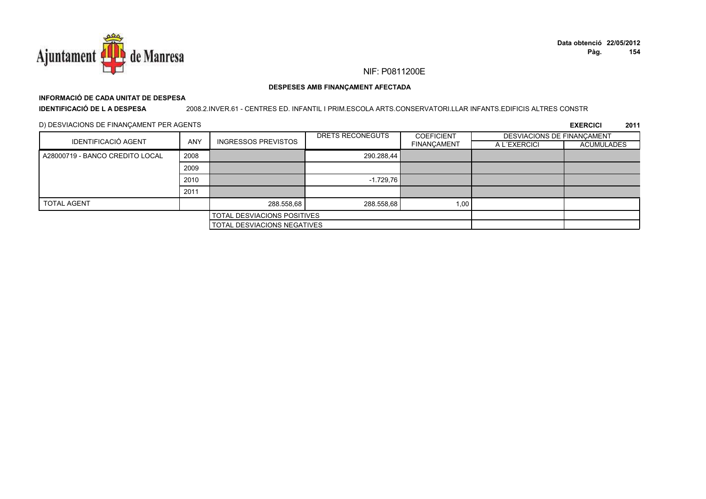

## **INFORMACIÓ DE CADA UNITAT DE DESPESA**

**IDENTIFICACIÓ DE L A DESPESA**

2008.2.INVER.61 - CENTRES ED. INFANTIL I PRIM.ESCOLA ARTS.CONSERVATORI.LLAR INFANTS.EDIFICIS ALTRES CONSTR

D) DESVIACIONS DE FINANÇAMENT PER AGENTS

| IDENTIFICACIÓ AGENT<br><b>ANY</b> |                             | <b>INGRESSOS PREVISTOS</b>  | DRETS RECONEGUTS | <b>COEFICIENT</b>  | DESVIACIONS DE FINANCAMENT |            |
|-----------------------------------|-----------------------------|-----------------------------|------------------|--------------------|----------------------------|------------|
|                                   |                             |                             |                  | <b>FINANÇAMENT</b> | A L'EXERCICI               | ACUMULADES |
| A28000719 - BANCO CREDITO LOCAL   | 2008                        |                             | 290.288,44       |                    |                            |            |
|                                   | 2009                        |                             |                  |                    |                            |            |
|                                   | 2010                        |                             | $-1.729.76$      |                    |                            |            |
|                                   | 2011                        |                             |                  |                    |                            |            |
| <b>TOTAL AGENT</b>                |                             | 288.558,68                  | 288.558,68       | 1,00               |                            |            |
|                                   |                             | TOTAL DESVIACIONS POSITIVES |                  |                    |                            |            |
|                                   | TOTAL DESVIACIONS NEGATIVES |                             |                  |                    |                            |            |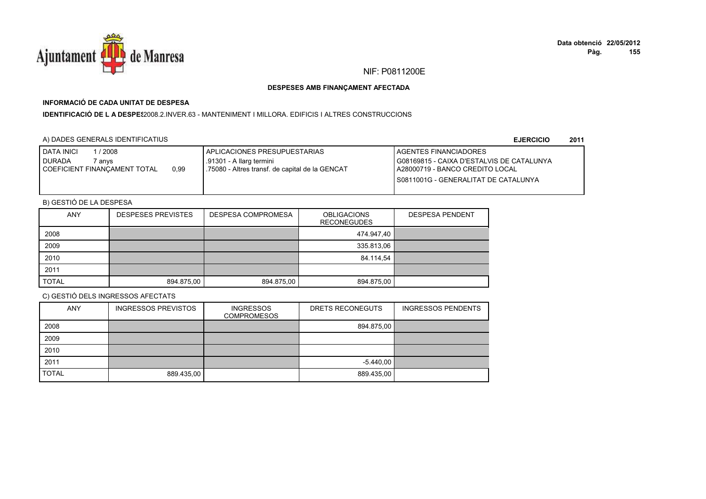

## **INFORMACIÓ DE CADA UNITAT DE DESPESA**

**IDENTIFICACIÓ DE L A DESPE**\$2008.2.INVER.63 - MANTENIMENT I MILLORA. EDIFICIS I ALTRES CONSTRUCCIONS

## A) DADES GENERALS IDENTIFICATIUS

**EJERCICIO<sup>2011</sup>**

| <b>DATA INICI</b><br>1 / 2008<br>I DURADA<br>7 anvs<br>0,99<br>COEFICIENT FINANCAMENT TOTAL | APLICACIONES PRESUPUESTARIAS<br>.91301 - A llarg termini<br>1.75080 - Altres transf. de capital de la GENCAT | AGENTES FINANCIADORES<br>G08169815 - CAIXA D'ESTALVIS DE CATALUNYA<br>I A28000719 - BANCO CREDITO LOCAL |
|---------------------------------------------------------------------------------------------|--------------------------------------------------------------------------------------------------------------|---------------------------------------------------------------------------------------------------------|
|                                                                                             |                                                                                                              | S0811001G - GENERALITAT DE CATALUNYA                                                                    |

## B) GESTIÓ DE LA DESPESA

| <b>ANY</b>   | <b>DESPESES PREVISTES</b> | <b>DESPESA COMPROMESA</b> | <b>OBLIGACIONS</b><br><b>RECONEGUDES</b> | <b>DESPESA PENDENT</b> |
|--------------|---------------------------|---------------------------|------------------------------------------|------------------------|
| 2008         |                           |                           | 474.947,40                               |                        |
| 2009         |                           |                           | 335.813,06                               |                        |
| 2010         |                           |                           | 84.114,54                                |                        |
| 2011         |                           |                           |                                          |                        |
| <b>TOTAL</b> | 894.875,00                | 894.875,00                | 894.875,00                               |                        |

| <b>ANY</b>   | <b>INGRESSOS PREVISTOS</b> | <b>INGRESSOS</b><br><b>COMPROMESOS</b> | DRETS RECONEGUTS | <b>INGRESSOS PENDENTS</b> |
|--------------|----------------------------|----------------------------------------|------------------|---------------------------|
| 2008         |                            |                                        | 894.875,00       |                           |
| 2009         |                            |                                        |                  |                           |
| 2010         |                            |                                        |                  |                           |
| 2011         |                            |                                        | $-5.440,00$      |                           |
| <b>TOTAL</b> | 889.435,00                 |                                        | 889.435,00       |                           |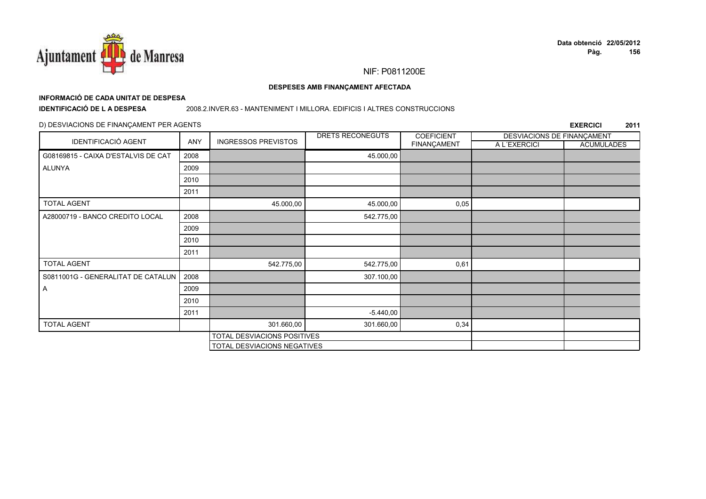

## **INFORMACIÓ DE CADA UNITAT DE DESPESA**

**IDENTIFICACIÓ DE L A DESPESA**

#### 2008.2.INVER.63 - MANTENIMENT I MILLORA. EDIFICIS I ALTRES CONSTRUCCIONS

### D) DESVIACIONS DE FINANÇAMENT PER AGENTS

|                                     |      |                             | DRETS RECONEGUTS | <b>COEFICIENT</b> | DESVIACIONS DE FINANÇAMENT |                   |
|-------------------------------------|------|-----------------------------|------------------|-------------------|----------------------------|-------------------|
| <b>IDENTIFICACIÓ AGENT</b>          | ANY  | <b>INGRESSOS PREVISTOS</b>  |                  | FINANÇAMENT       | A L'EXERCICI               | <b>ACUMULADES</b> |
| G08169815 - CAIXA D'ESTALVIS DE CAT | 2008 |                             | 45.000,00        |                   |                            |                   |
| <b>ALUNYA</b>                       | 2009 |                             |                  |                   |                            |                   |
|                                     | 2010 |                             |                  |                   |                            |                   |
|                                     | 2011 |                             |                  |                   |                            |                   |
| <b>TOTAL AGENT</b>                  |      | 45.000,00                   | 45.000,00        | 0,05              |                            |                   |
| A28000719 - BANCO CREDITO LOCAL     | 2008 |                             | 542.775,00       |                   |                            |                   |
|                                     | 2009 |                             |                  |                   |                            |                   |
|                                     | 2010 |                             |                  |                   |                            |                   |
|                                     | 2011 |                             |                  |                   |                            |                   |
| <b>TOTAL AGENT</b>                  |      | 542.775,00                  | 542.775,00       | 0,61              |                            |                   |
| S0811001G - GENERALITAT DE CATALUN  | 2008 |                             | 307.100,00       |                   |                            |                   |
| A                                   | 2009 |                             |                  |                   |                            |                   |
|                                     | 2010 |                             |                  |                   |                            |                   |
|                                     | 2011 |                             | $-5.440,00$      |                   |                            |                   |
| <b>TOTAL AGENT</b>                  |      | 301.660,00                  | 301.660,00       | 0,34              |                            |                   |
|                                     |      | TOTAL DESVIACIONS POSITIVES |                  |                   |                            |                   |
|                                     |      | TOTAL DESVIACIONS NEGATIVES |                  |                   |                            |                   |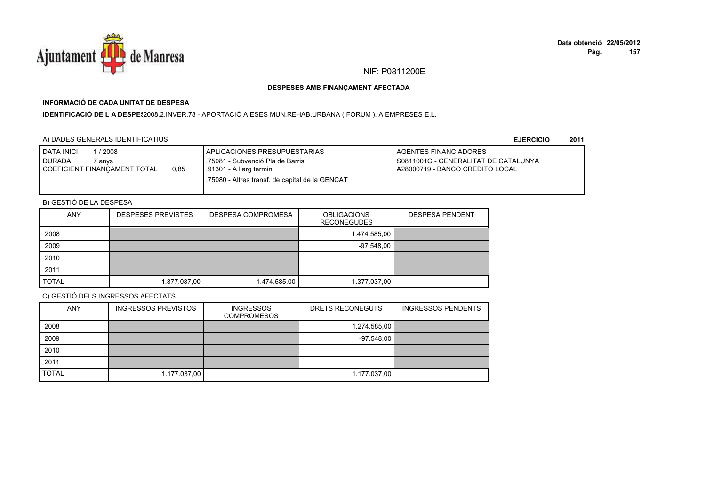

## **INFORMACIÓ DE CADA UNITAT DE DESPESA**

I**DENTIFICACIÓ DE L A DESPE**\$2008.2.INVER.78 - APORTACIÓ A ESES MUN.REHAB.URBANA ( FORUM ). A EMPRESES E.L.

### A) DADES GENERALS IDENTIFICATIUS

**EJERCICIO<sup>2011</sup>**

| <b>DATA INICI</b><br>2008<br><b>I DURADA</b><br>' anvs<br>0,85<br>COEFICIENT FINANCAMENT TOTAL | APLICACIONES PRESUPUESTARIAS<br>.75081 - Subvenció Pla de Barris<br>.91301 - A llarg termini<br>.75080 - Altres transf. de capital de la GENCAT | <b>LAGENTES FINANCIADORES</b><br>I S0811001G - GENERALITAT DE CATALUNYA<br>A28000719 - BANCO CREDITO LOCAL |
|------------------------------------------------------------------------------------------------|-------------------------------------------------------------------------------------------------------------------------------------------------|------------------------------------------------------------------------------------------------------------|
|                                                                                                |                                                                                                                                                 |                                                                                                            |

## B) GESTIÓ DE LA DESPESA

| <b>ANY</b>   | <b>DESPESES PREVISTES</b> | <b>DESPESA COMPROMESA</b> | <b>OBLIGACIONS</b><br><b>RECONEGUDES</b> | <b>DESPESA PENDENT</b> |
|--------------|---------------------------|---------------------------|------------------------------------------|------------------------|
| 2008         |                           |                           | 1.474.585,00                             |                        |
| 2009         |                           |                           | -97.548.00                               |                        |
| 2010         |                           |                           |                                          |                        |
| 2011         |                           |                           |                                          |                        |
| <b>TOTAL</b> | 1.377.037,00              | 1.474.585,00              | 1.377.037,00                             |                        |

| <b>ANY</b>   | <b>INGRESSOS PREVISTOS</b> | <b>INGRESSOS</b><br><b>COMPROMESOS</b> | DRETS RECONEGUTS | <b>INGRESSOS PENDENTS</b> |
|--------------|----------------------------|----------------------------------------|------------------|---------------------------|
| 2008         |                            |                                        | 1.274.585,00     |                           |
| 2009         |                            |                                        | $-97.548,00$     |                           |
| 2010         |                            |                                        |                  |                           |
| 2011         |                            |                                        |                  |                           |
| <b>TOTAL</b> | 1.177.037,00               |                                        | 1.177.037,00     |                           |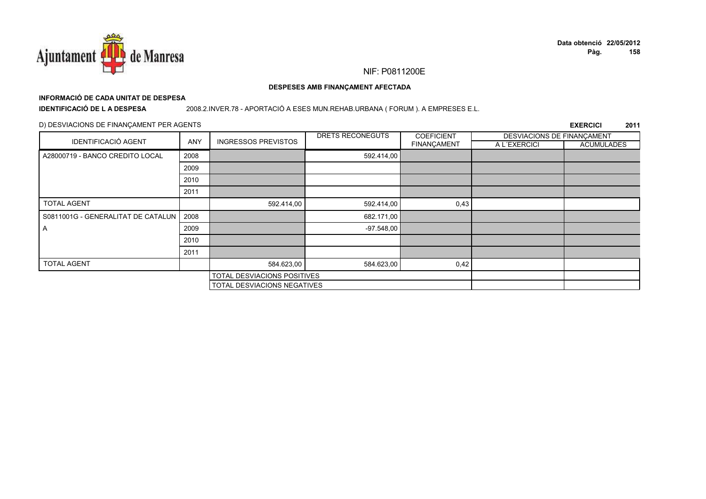

# **INFORMACIÓ DE CADA UNITAT DE DESPESA**

**IDENTIFICACIÓ DE L A DESPESA**

#### 2008.2.INVER.78 - APORTACIÓ A ESES MUN.REHAB.URBANA ( FORUM ). A EMPRESES E.L.

### D) DESVIACIONS DE FINANÇAMENT PER AGENTS

|                                    |            |                             | DRETS RECONEGUTS | <b>COEFICIENT</b> | DESVIACIONS DE FINANÇAMENT |                   |
|------------------------------------|------------|-----------------------------|------------------|-------------------|----------------------------|-------------------|
| <b>IDENTIFICACIÓ AGENT</b>         | <b>ANY</b> | <b>INGRESSOS PREVISTOS</b>  |                  | FINANÇAMENT       | A L'EXERCICI               | <b>ACUMULADES</b> |
| A28000719 - BANCO CREDITO LOCAL    | 2008       |                             | 592.414,00       |                   |                            |                   |
|                                    | 2009       |                             |                  |                   |                            |                   |
|                                    | 2010       |                             |                  |                   |                            |                   |
|                                    | 2011       |                             |                  |                   |                            |                   |
| <b>TOTAL AGENT</b>                 |            | 592.414,00                  | 592.414,00       | 0,43              |                            |                   |
| S0811001G - GENERALITAT DE CATALUN | 2008       |                             | 682.171,00       |                   |                            |                   |
| A                                  | 2009       |                             | $-97.548,00$     |                   |                            |                   |
|                                    | 2010       |                             |                  |                   |                            |                   |
|                                    | 2011       |                             |                  |                   |                            |                   |
| <b>TOTAL AGENT</b>                 |            | 584.623,00                  | 584.623,00       | 0,42              |                            |                   |
|                                    |            | TOTAL DESVIACIONS POSITIVES |                  |                   |                            |                   |
|                                    |            | TOTAL DESVIACIONS NEGATIVES |                  |                   |                            |                   |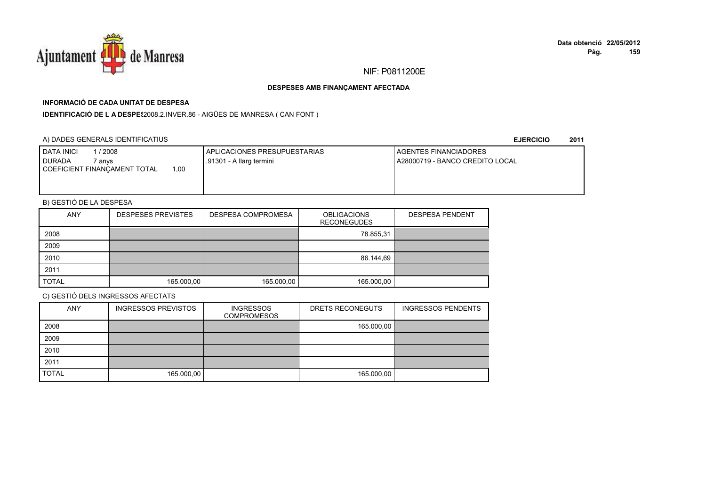

## **INFORMACIÓ DE CADA UNITAT DE DESPESA**

**IDENTIFICACIÓ DE L A DESPES**2008.2.INVER.86 - AIGÜES DE MANRESA ( CAN FONT )

### A) DADES GENERALS IDENTIFICATIUS

**EJERCICIO<sup>2011</sup>**

| DATA INICI<br>2008                  | APLICACIONES PRESUPUESTARIAS | <b>LAGENTES FINANCIADORES</b>   |
|-------------------------------------|------------------------------|---------------------------------|
| <b>DURADA</b><br>7 anvs             | .91301 - A llarg termini     | A28000719 - BANCO CREDITO LOCAL |
| .00<br>COEFICIENT FINANÇAMENT TOTAL |                              |                                 |
|                                     |                              |                                 |
|                                     |                              |                                 |

## B) GESTIÓ DE LA DESPESA

| ANY          | <b>DESPESES PREVISTES</b> | <b>DESPESA COMPROMESA</b> | <b>OBLIGACIONS</b><br><b>RECONEGUDES</b> | <b>DESPESA PENDENT</b> |
|--------------|---------------------------|---------------------------|------------------------------------------|------------------------|
| 2008         |                           |                           | 78.855,31                                |                        |
| 2009         |                           |                           |                                          |                        |
| 2010         |                           |                           | 86.144,69                                |                        |
| 2011         |                           |                           |                                          |                        |
| <b>TOTAL</b> | 165.000.00                | 165.000,00                | 165.000,00                               |                        |

| <b>ANY</b>   | <b>INGRESSOS PREVISTOS</b> | <b>INGRESSOS</b><br><b>COMPROMESOS</b> | DRETS RECONEGUTS | <b>INGRESSOS PENDENTS</b> |
|--------------|----------------------------|----------------------------------------|------------------|---------------------------|
| 2008         |                            |                                        | 165.000,00       |                           |
| 2009         |                            |                                        |                  |                           |
| 2010         |                            |                                        |                  |                           |
| 2011         |                            |                                        |                  |                           |
| <b>TOTAL</b> | 165.000,00                 |                                        | 165.000,00       |                           |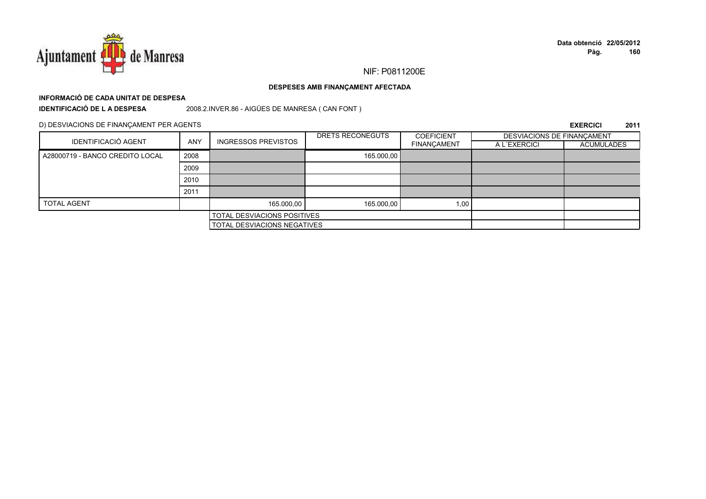

## **INFORMACIÓ DE CADA UNITAT DE DESPESAIDENTIFICACIÓ DE L A DESPESA**

2008.2.INVER.86 - AIGÜES DE MANRESA ( CAN FONT )

D) DESVIACIONS DE FINANÇAMENT PER AGENTS

| <b>IDENTIFICACIÓ AGENT</b>      |      | <b>ANY</b><br><b>INGRESSOS PREVISTOS</b> | DRETS RECONEGUTS | <b>COEFICIENT</b>  | DESVIACIONS DE FINANCAMENT |                   |
|---------------------------------|------|------------------------------------------|------------------|--------------------|----------------------------|-------------------|
|                                 |      |                                          |                  | <b>FINANÇAMENT</b> | A L'EXERCICI               | <b>ACUMULADES</b> |
| A28000719 - BANCO CREDITO LOCAL | 2008 |                                          | 165.000,00       |                    |                            |                   |
|                                 | 2009 |                                          |                  |                    |                            |                   |
|                                 | 2010 |                                          |                  |                    |                            |                   |
|                                 | 2011 |                                          |                  |                    |                            |                   |
| <b>TOTAL AGENT</b>              |      | 165.000,00                               | 165.000,00       | 1,00               |                            |                   |
|                                 |      | TOTAL DESVIACIONS POSITIVES              |                  |                    |                            |                   |
| TOTAL DESVIACIONS NEGATIVES     |      |                                          |                  |                    |                            |                   |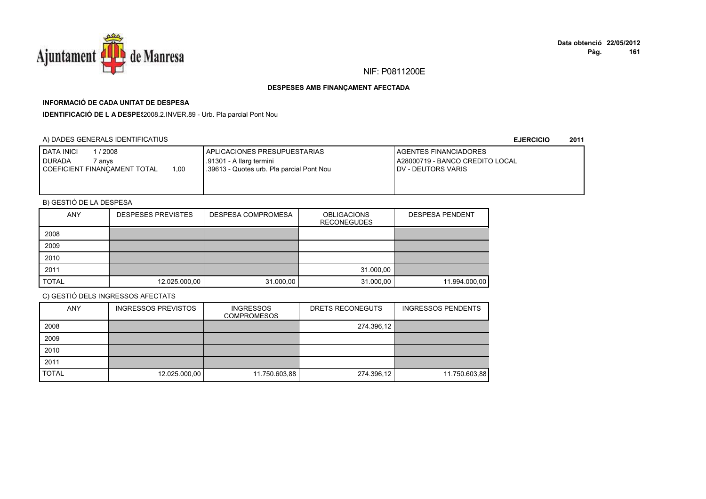

## **INFORMACIÓ DE CADA UNITAT DE DESPESA**

**IDENTIFICACIÓ DE L A DESPES**2008.2.INVER.89 - Urb. Pla parcial Pont Nou

### A) DADES GENERALS IDENTIFICATIUS

**EJERCICIO<sup>2011</sup>**

| <b>I DATA INICI</b><br>/ 2008<br><b>DURADA</b><br>` anvs<br>1.00<br>COEFICIENT FINANCAMENT TOTAL | I APLICACIONES PRESUPUESTARIAS<br>.91301 - A llarg termini<br>.39613 - Quotes urb. Pla parcial Pont Nou | <b>I AGENTES FINANCIADORES</b><br>A28000719 - BANCO CREDITO LOCAL<br><b>I DV - DEUTORS VARIS</b> |
|--------------------------------------------------------------------------------------------------|---------------------------------------------------------------------------------------------------------|--------------------------------------------------------------------------------------------------|
|                                                                                                  |                                                                                                         |                                                                                                  |

## B) GESTIÓ DE LA DESPESA

| <b>ANY</b>   | <b>DESPESES PREVISTES</b> | <b>DESPESA COMPROMESA</b> | <b>OBLIGACIONS</b><br><b>RECONEGUDES</b> | <b>DESPESA PENDENT</b> |
|--------------|---------------------------|---------------------------|------------------------------------------|------------------------|
| 2008         |                           |                           |                                          |                        |
| 2009         |                           |                           |                                          |                        |
| 2010         |                           |                           |                                          |                        |
| 2011         |                           |                           | 31.000,00                                |                        |
| <b>TOTAL</b> | 12.025.000,00             | 31.000,00                 | 31.000,00                                | 11.994.000,00          |

| <b>ANY</b>   | <b>INGRESSOS PREVISTOS</b> | <b>INGRESSOS</b><br><b>COMPROMESOS</b> | DRETS RECONEGUTS | <b>INGRESSOS PENDENTS</b> |
|--------------|----------------------------|----------------------------------------|------------------|---------------------------|
| 2008         |                            |                                        | 274.396,12       |                           |
| 2009         |                            |                                        |                  |                           |
| 2010         |                            |                                        |                  |                           |
| 2011         |                            |                                        |                  |                           |
| <b>TOTAL</b> | 12.025.000,00              | 11.750.603,88                          | 274.396,12       | 11.750.603,88             |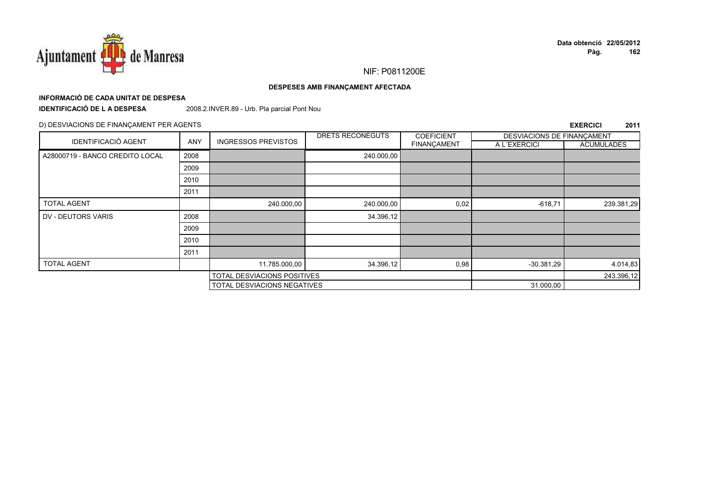

#### DESPESES AMB FINANÇAMENT AFECTADA

## INFORMACIÓ DE CADA UNITAT DE DESPESA

**IDENTIFICACIÓ DE LA DESPESA** 

2008.2.INVER.89 - Urb. Pla parcial Pont Nou

#### D) DESVIACIONS DE FINANÇAMENT PER AGENTS

| <b>IDENTIFICACIÓ AGENT</b>      |            |                                    | DRETS RECONEGUTS | <b>COEFICIENT</b> | DESVIACIONS DE FINANCAMENT |                   |
|---------------------------------|------------|------------------------------------|------------------|-------------------|----------------------------|-------------------|
|                                 | <b>ANY</b> | <b>INGRESSOS PREVISTOS</b>         |                  | FINANÇAMENT       | A L'EXERCICI               | <b>ACUMULADES</b> |
| A28000719 - BANCO CREDITO LOCAL | 2008       |                                    | 240.000,00       |                   |                            |                   |
|                                 | 2009       |                                    |                  |                   |                            |                   |
|                                 | 2010       |                                    |                  |                   |                            |                   |
|                                 | 2011       |                                    |                  |                   |                            |                   |
| <b>TOTAL AGENT</b>              |            | 240.000,00                         | 240.000,00       | 0,02              | $-618,71$                  | 239.381,29        |
| DV - DEUTORS VARIS              | 2008       |                                    | 34.396,12        |                   |                            |                   |
|                                 | 2009       |                                    |                  |                   |                            |                   |
|                                 | 2010       |                                    |                  |                   |                            |                   |
|                                 | 2011       |                                    |                  |                   |                            |                   |
| <b>TOTAL AGENT</b>              |            | 11.785.000,00                      | 34.396,12        | 0,98              | $-30.381,29$               | 4.014,83          |
|                                 |            | <b>TOTAL DESVIACIONS POSITIVES</b> |                  |                   |                            | 243.396,12        |
|                                 |            | TOTAL DESVIACIONS NEGATIVES        |                  |                   | 31.000,00                  |                   |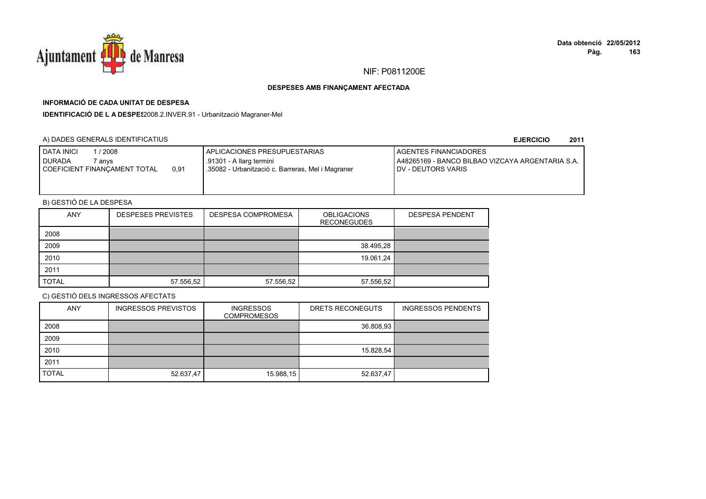

## **INFORMACIÓ DE CADA UNITAT DE DESPESA**

**IDENTIFICACIÓ DE L A DESPES**2008.2.INVER.91 - Urbanització Magraner-Mel

### A) DADES GENERALS IDENTIFICATIUS

#### **EJERCICIO<sup>2011</sup>**

| <b>DATA INICI</b><br>/2008<br>I DURADA<br>7 anvs<br>0,91<br>COEFICIENT FINANCAMENT TOTAL | APLICACIONES PRESUPUESTARIAS<br>.91301 - A llarg termini<br>.35082 - Urbanització c. Barreras, Mel i Magraner | <b>I AGENTES FINANCIADORES</b><br>I A48265169 - BANCO BILBAO VIZCAYA ARGENTARIA S.A.<br><b>IDV - DEUTORS VARIS</b> |
|------------------------------------------------------------------------------------------|---------------------------------------------------------------------------------------------------------------|--------------------------------------------------------------------------------------------------------------------|
|                                                                                          |                                                                                                               |                                                                                                                    |

## B) GESTIÓ DE LA DESPESA

| <b>ANY</b>   | <b>DESPESES PREVISTES</b> | <b>DESPESA COMPROMESA</b> | <b>OBLIGACIONS</b><br><b>RECONEGUDES</b> | <b>DESPESA PENDENT</b> |
|--------------|---------------------------|---------------------------|------------------------------------------|------------------------|
| 2008         |                           |                           |                                          |                        |
| 2009         |                           |                           | 38.495,28                                |                        |
| 2010         |                           |                           | 19.061,24                                |                        |
| 2011         |                           |                           |                                          |                        |
| <b>TOTAL</b> | 57.556,52                 | 57.556,52                 | 57.556,52                                |                        |

| <b>ANY</b>   | <b>INGRESSOS PREVISTOS</b> | <b>INGRESSOS</b><br><b>COMPROMESOS</b> | DRETS RECONEGUTS | <b>INGRESSOS PENDENTS</b> |
|--------------|----------------------------|----------------------------------------|------------------|---------------------------|
| 2008         |                            |                                        | 36.808,93        |                           |
| 2009         |                            |                                        |                  |                           |
| 2010         |                            |                                        | 15.828,54        |                           |
| 2011         |                            |                                        |                  |                           |
| <b>TOTAL</b> | 52.637,47                  | 15.988,15                              | 52.637,47        |                           |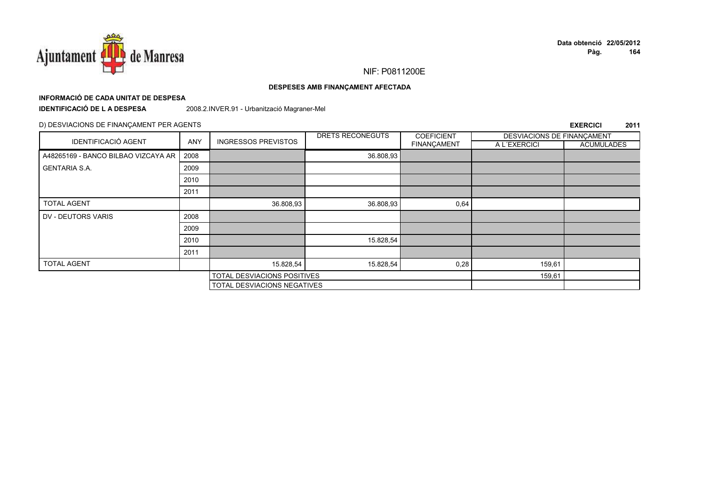

#### DESPESES AMB FINANÇAMENT AFECTADA

## INFORMACIÓ DE CADA UNITAT DE DESPESA

**IDENTIFICACIÓ DE LA DESPESA** 

2008.2.INVER.91 - Urbanització Magraner-Mel

#### D) DESVIACIONS DE FINANÇAMENT PER AGENTS

| <b>IDENTIFICACIÓ AGENT</b>          |            | <b>INGRESSOS PREVISTOS</b>  | DRETS RECONEGUTS | <b>COEFICIENT</b> | DESVIACIONS DE FINANCAMENT |                   |
|-------------------------------------|------------|-----------------------------|------------------|-------------------|----------------------------|-------------------|
|                                     | <b>ANY</b> |                             |                  | FINANÇAMENT       | A L'EXERCICI               | <b>ACUMULADES</b> |
| A48265169 - BANCO BILBAO VIZCAYA AR | 2008       |                             | 36.808,93        |                   |                            |                   |
| <b>GENTARIA S.A.</b>                | 2009       |                             |                  |                   |                            |                   |
|                                     | 2010       |                             |                  |                   |                            |                   |
|                                     | 2011       |                             |                  |                   |                            |                   |
| <b>TOTAL AGENT</b>                  |            | 36.808,93                   | 36.808,93        | 0,64              |                            |                   |
| DV - DEUTORS VARIS                  | 2008       |                             |                  |                   |                            |                   |
|                                     | 2009       |                             |                  |                   |                            |                   |
|                                     | 2010       |                             | 15.828,54        |                   |                            |                   |
|                                     | 2011       |                             |                  |                   |                            |                   |
| <b>TOTAL AGENT</b>                  |            | 15.828,54                   | 15.828,54        | 0,28              | 159,61                     |                   |
|                                     |            | TOTAL DESVIACIONS POSITIVES |                  |                   | 159,61                     |                   |
| TOTAL DESVIACIONS NEGATIVES         |            |                             |                  |                   |                            |                   |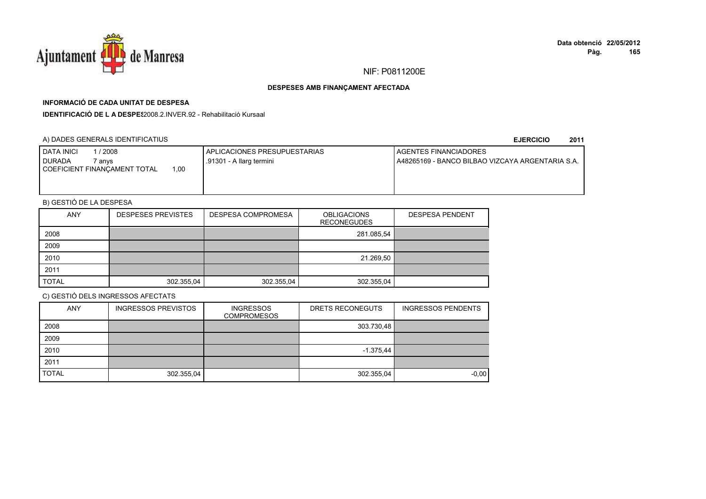

## **INFORMACIÓ DE CADA UNITAT DE DESPESA**

**IDENTIFICACIÓ DE L A DESPES**2008.2.INVER.92 - Rehabilitació Kursaal

### A) DADES GENERALS IDENTIFICATIUS

**EJERCICIO<sup>2011</sup>**

| <b>I DATA INICI</b><br>2008            | I APLICACIONES PRESUPUESTARIAS | <b>I AGENTES FINANCIADORES</b>                    |
|----------------------------------------|--------------------------------|---------------------------------------------------|
| <b>DURADA</b><br>anvs                  | .91301 - A llarg termini       | LA48265169 - BANCO BILBAO VIZCAYA ARGENTARIA S.A. |
| 1.00<br>I COEFICIENT FINANCAMENT TOTAL |                                |                                                   |
|                                        |                                |                                                   |
|                                        |                                |                                                   |

## B) GESTIÓ DE LA DESPESA

| ANY          | <b>DESPESES PREVISTES</b> | <b>DESPESA COMPROMESA</b> | <b>OBLIGACIONS</b><br><b>RECONEGUDES</b> | <b>DESPESA PENDENT</b> |
|--------------|---------------------------|---------------------------|------------------------------------------|------------------------|
| 2008         |                           |                           | 281.085,54                               |                        |
| 2009         |                           |                           |                                          |                        |
| 2010         |                           |                           | 21.269,50                                |                        |
| 2011         |                           |                           |                                          |                        |
| <b>TOTAL</b> | 302.355,04                | 302.355,04                | 302.355,04                               |                        |

| <b>ANY</b>   | <b>INGRESSOS PREVISTOS</b> | <b>INGRESSOS</b><br><b>COMPROMESOS</b> | DRETS RECONEGUTS | <b>INGRESSOS PENDENTS</b> |
|--------------|----------------------------|----------------------------------------|------------------|---------------------------|
| 2008         |                            |                                        | 303.730,48       |                           |
| 2009         |                            |                                        |                  |                           |
| 2010         |                            |                                        | $-1.375,44$      |                           |
| 2011         |                            |                                        |                  |                           |
| <b>TOTAL</b> | 302.355,04                 |                                        | 302.355,04       | $-0.00$                   |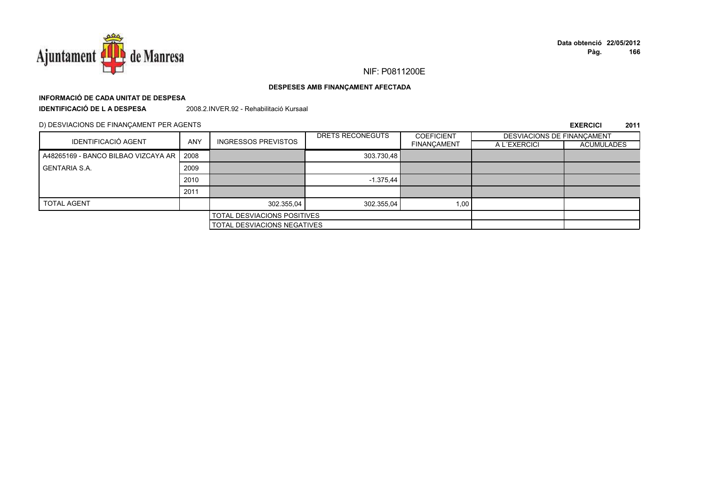

# **INFORMACIÓ DE CADA UNITAT DE DESPESA**

**IDENTIFICACIÓ DE L A DESPESA**

2008.2.INVER.92 - Rehabilitació Kursaal

D) DESVIACIONS DE FINANÇAMENT PER AGENTS

| <b>IDENTIFICACIÓ AGENT</b>                 |                                    |                            | DRETS RECONEGUTS | <b>COEFICIENT</b>  | DESVIACIONS DE FINANCAMENT |                   |
|--------------------------------------------|------------------------------------|----------------------------|------------------|--------------------|----------------------------|-------------------|
|                                            | <b>ANY</b>                         | <b>INGRESSOS PREVISTOS</b> |                  | <b>FINANCAMENT</b> | A L'EXERCICI               | <b>ACUMULADES</b> |
| A48265169 - BANCO BILBAO VIZCAYA AR   2008 |                                    |                            | 303.730,48       |                    |                            |                   |
| <b>GENTARIA S.A.</b>                       | 2009                               |                            |                  |                    |                            |                   |
|                                            | 2010                               |                            | $-1.375,44$      |                    |                            |                   |
|                                            | 2011                               |                            |                  |                    |                            |                   |
| <b>TOTAL AGENT</b>                         |                                    | 302.355,04                 | 302.355,04       | 1,00               |                            |                   |
| <b>TOTAL DESVIACIONS POSITIVES</b>         |                                    |                            |                  |                    |                            |                   |
|                                            | <b>TOTAL DESVIACIONS NEGATIVES</b> |                            |                  |                    |                            |                   |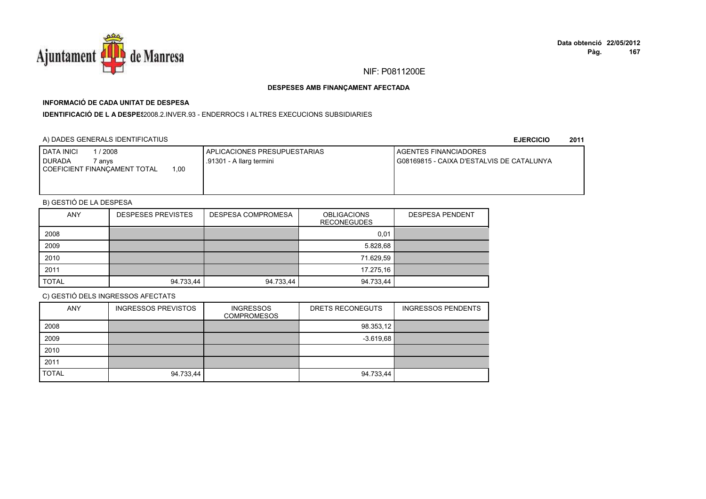

## **INFORMACIÓ DE CADA UNITAT DE DESPESA**

**IDENTIFICACIÓ DE L A DESPES**2008.2.INVER.93 - ENDERROCS I ALTRES EXECUCIONS SUBSIDIARIES

### A) DADES GENERALS IDENTIFICATIUS

**EJERCICIO<sup>2011</sup>**

| 2008<br><b>DATA INICI</b><br><b>I DURADA</b><br>7 an∨s | <b>I APLICACIONES PRESUPUESTARIAS</b><br>.91301 - A llarg termini | <b>I AGENTES FINANCIADORES</b><br>G08169815 - CAIXA D'ESTALVIS DE CATALUNYA |
|--------------------------------------------------------|-------------------------------------------------------------------|-----------------------------------------------------------------------------|
| .00.<br>COEFICIENT FINANCAMENT TOTAL                   |                                                                   |                                                                             |
|                                                        |                                                                   |                                                                             |

## B) GESTIÓ DE LA DESPESA

| <b>ANY</b>   | <b>DESPESES PREVISTES</b> | <b>DESPESA COMPROMESA</b> | <b>OBLIGACIONS</b><br><b>RECONEGUDES</b> | <b>DESPESA PENDENT</b> |
|--------------|---------------------------|---------------------------|------------------------------------------|------------------------|
| 2008         |                           |                           | 0,01                                     |                        |
| 2009         |                           |                           | 5.828,68                                 |                        |
| 2010         |                           |                           | 71.629.59                                |                        |
| 2011         |                           |                           | 17.275,16                                |                        |
| <b>TOTAL</b> | 94.733,44                 | 94.733,44                 | 94.733,44                                |                        |

| <b>ANY</b>   | <b>INGRESSOS PREVISTOS</b> | <b>INGRESSOS</b><br><b>COMPROMESOS</b> | DRETS RECONEGUTS | <b>INGRESSOS PENDENTS</b> |
|--------------|----------------------------|----------------------------------------|------------------|---------------------------|
| 2008         |                            |                                        | 98.353,12        |                           |
| 2009         |                            |                                        | $-3.619.68$      |                           |
| 2010         |                            |                                        |                  |                           |
| 2011         |                            |                                        |                  |                           |
| <b>TOTAL</b> | 94.733,44                  |                                        | 94.733,44        |                           |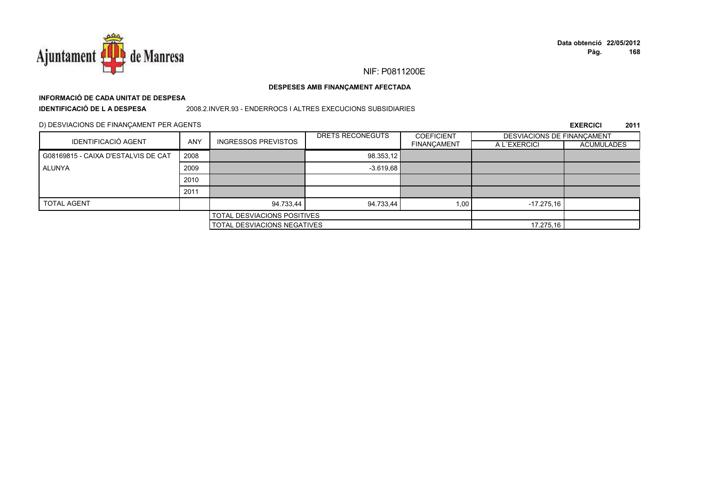

## **INFORMACIÓ DE CADA UNITAT DE DESPESA**

**IDENTIFICACIÓ DE L A DESPESA**

2008.2.INVER.93 - ENDERROCS I ALTRES EXECUCIONS SUBSIDIARIES

D) DESVIACIONS DE FINANÇAMENT PER AGENTS

| <b>IDENTIFICACIÓ AGENT</b>          |            |                             | DRETS RECONEGUTS | <b>COEFICIENT</b>  | DESVIACIONS DE FINANCAMENT |                   |
|-------------------------------------|------------|-----------------------------|------------------|--------------------|----------------------------|-------------------|
|                                     | <b>ANY</b> | <b>INGRESSOS PREVISTOS</b>  |                  | <b>FINANÇAMENT</b> | A L'EXERCICI               | <b>ACUMULADES</b> |
| G08169815 - CAIXA D'ESTALVIS DE CAT | 2008       |                             | 98.353,12        |                    |                            |                   |
| ALUNYA                              | 2009       |                             | $-3.619.68$      |                    |                            |                   |
|                                     | 2010       |                             |                  |                    |                            |                   |
|                                     | 2011       |                             |                  |                    |                            |                   |
| <b>TOTAL AGENT</b>                  |            | 94.733,44                   | 94.733,44        | 1,00               | $-17.275.16$               |                   |
|                                     |            | TOTAL DESVIACIONS POSITIVES |                  |                    |                            |                   |
|                                     |            | TOTAL DESVIACIONS NEGATIVES |                  |                    | 17.275,16                  |                   |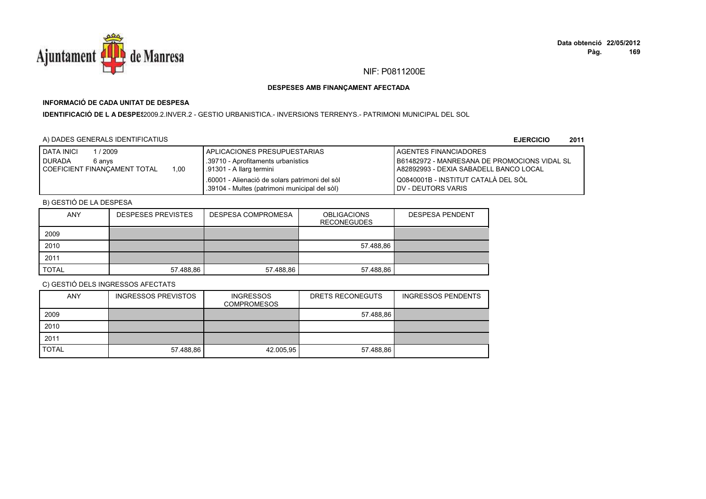

## **INFORMACIÓ DE CADA UNITAT DE DESPESA**

I**DENTIFICACIÓ DE L A DESPES**2009.2.INVER.2 - GESTIO URBANISTICA.- INVERSIONS TERRENYS.- PATRIMONI MUNICIPAL DEL SOL

### A) DADES GENERALS IDENTIFICATIUS

**EJERCICIO<sup>2011</sup>**

| / 2009<br><b>I DATA INICI</b><br><b>DURADA</b><br>6 anvs<br>1.00<br>COEFICIENT FINANCAMENT TOTAL | APLICACIONES PRESUPUESTARIAS<br>.39710 - Aprofitaments urbanístics<br>.91301 - A llarg termini  | <b>I AGENTES FINANCIADORES</b><br><b>IB61482972 - MANRESANA DE PROMOCIONS VIDAL SL</b><br>I A82892993 - DEXIA SABADELL BANCO LOCAL |
|--------------------------------------------------------------------------------------------------|-------------------------------------------------------------------------------------------------|------------------------------------------------------------------------------------------------------------------------------------|
|                                                                                                  | .60001 - Alienació de solars patrimoni del sòl<br>.39104 - Multes (patrimoni municipal del sòl) | Q0840001B - INSTITUT CATALÀ DEL SÒL<br><b>IDV - DEUTORS VARIS</b>                                                                  |

## B) GESTIÓ DE LA DESPESA

| <b>ANY</b>   | <b>DESPESES PREVISTES</b> | DESPESA COMPROMESA | <b>OBLIGACIONS</b><br><b>RECONEGUDES</b> | <b>DESPESA PENDENT</b> |
|--------------|---------------------------|--------------------|------------------------------------------|------------------------|
| 2009         |                           |                    |                                          |                        |
| 2010         |                           |                    | 57.488,86                                |                        |
| 2011         |                           |                    |                                          |                        |
| <b>TOTAL</b> | 57.488,86                 | 57.488,86          | 57.488,86                                |                        |

| <b>ANY</b>   | <b>INGRESSOS PREVISTOS</b> | <b>INGRESSOS</b><br><b>COMPROMESOS</b> | DRETS RECONEGUTS | <b>INGRESSOS PENDENTS</b> |
|--------------|----------------------------|----------------------------------------|------------------|---------------------------|
| 2009         |                            |                                        | 57.488,86        |                           |
| 2010         |                            |                                        |                  |                           |
| 2011         |                            |                                        |                  |                           |
| <b>TOTAL</b> | 57.488,86                  | 42.005,95                              | 57.488,86        |                           |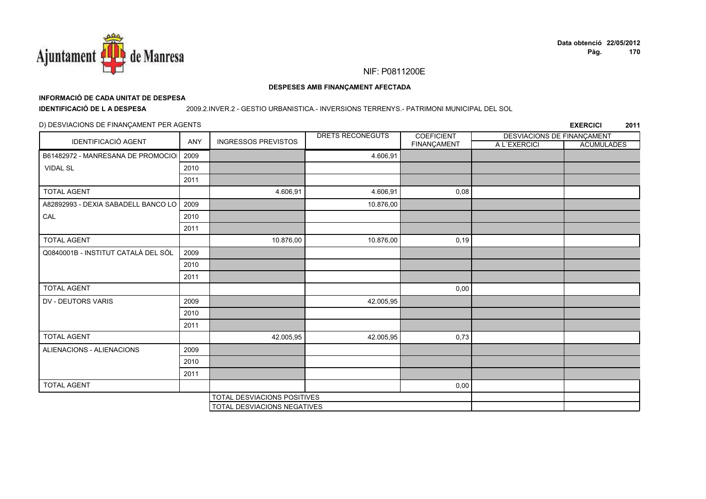

#### DESPESES AMB FINANÇAMENT AFECTADA

## INFORMACIÓ DE CADA UNITAT DE DESPESA

**IDENTIFICACIÓ DE LA DESPESA** 

#### 2009.2.INVER.2 - GESTIO URBANISTICA.- INVERSIONS TERRENYS.- PATRIMONI MUNICIPAL DEL SOL

### D) DESVIACIONS DE FINANÇAMENT PER AGENTS

| IDENTIFICACIÓ AGENT                 | ANY  | <b>INGRESSOS PREVISTOS</b>         | DRETS RECONEGUTS | <b>COEFICIENT</b> | <b>DESVIACIONS DE FINANÇAMENT</b> |                   |
|-------------------------------------|------|------------------------------------|------------------|-------------------|-----------------------------------|-------------------|
|                                     |      |                                    |                  | FINANÇAMENT       | A L'EXERCICI                      | <b>ACUMULADES</b> |
| B61482972 - MANRESANA DE PROMOCIOI  | 2009 |                                    | 4.606,91         |                   |                                   |                   |
| <b>VIDAL SL</b>                     | 2010 |                                    |                  |                   |                                   |                   |
|                                     | 2011 |                                    |                  |                   |                                   |                   |
| <b>TOTAL AGENT</b>                  |      | 4.606,91                           | 4.606,91         | 0,08              |                                   |                   |
| A82892993 - DEXIA SABADELL BANCO LO | 2009 |                                    | 10.876,00        |                   |                                   |                   |
| CAL                                 | 2010 |                                    |                  |                   |                                   |                   |
|                                     | 2011 |                                    |                  |                   |                                   |                   |
| <b>TOTAL AGENT</b>                  |      | 10.876,00                          | 10.876,00        | 0, 19             |                                   |                   |
| Q0840001B - INSTITUT CATALÀ DEL SÒL | 2009 |                                    |                  |                   |                                   |                   |
|                                     | 2010 |                                    |                  |                   |                                   |                   |
|                                     | 2011 |                                    |                  |                   |                                   |                   |
| <b>TOTAL AGENT</b>                  |      |                                    |                  | 0,00              |                                   |                   |
| DV - DEUTORS VARIS                  | 2009 |                                    | 42.005,95        |                   |                                   |                   |
|                                     | 2010 |                                    |                  |                   |                                   |                   |
|                                     | 2011 |                                    |                  |                   |                                   |                   |
| <b>TOTAL AGENT</b>                  |      | 42.005,95                          | 42.005,95        | 0,73              |                                   |                   |
| ALIENACIONS - ALIENACIONS           | 2009 |                                    |                  |                   |                                   |                   |
|                                     | 2010 |                                    |                  |                   |                                   |                   |
|                                     | 2011 |                                    |                  |                   |                                   |                   |
| <b>TOTAL AGENT</b>                  |      |                                    |                  | 0,00              |                                   |                   |
|                                     |      | <b>TOTAL DESVIACIONS POSITIVES</b> |                  |                   |                                   |                   |
|                                     |      | TOTAL DESVIACIONS NEGATIVES        |                  |                   |                                   |                   |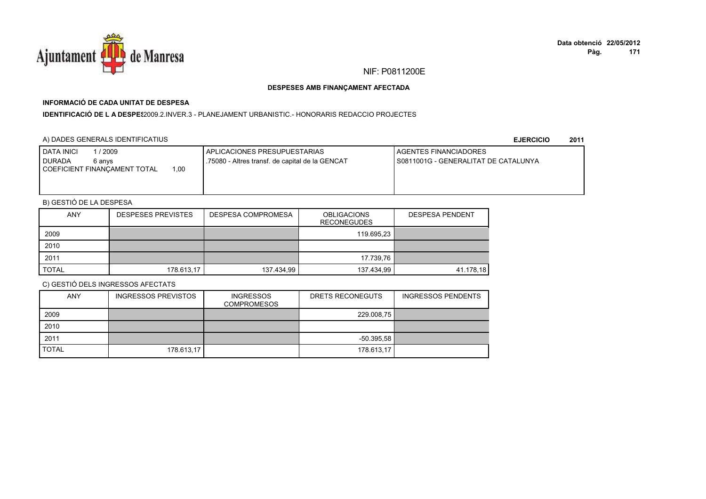

## **INFORMACIÓ DE CADA UNITAT DE DESPESA**

I**DENTIFICACIÓ DE L A DESPE**\$2009.2.INVER.3 - PLANEJAMENT URBANISTIC.- HONORARIS REDACCIO PROJECTES

### A) DADES GENERALS IDENTIFICATIUS

**EJERCICIO<sup>2011</sup>**

| 2009<br><b>DATA INICI</b><br><b>DURADA</b><br>6 anvs<br>.00.<br>COEFICIENT FINANCAMENT TOTAL | APLICACIONES PRESUPUESTARIAS<br>.75080 - Altres transf. de capital de la GENCAT | <b>LAGENTES FINANCIADORES</b><br>I S0811001G - GENERALITAT DE CATALUNYA |
|----------------------------------------------------------------------------------------------|---------------------------------------------------------------------------------|-------------------------------------------------------------------------|
|                                                                                              |                                                                                 |                                                                         |

## B) GESTIÓ DE LA DESPESA

| <b>ANY</b>   | <b>DESPESES PREVISTES</b> | <b>DESPESA COMPROMESA</b> | <b>OBLIGACIONS</b><br><b>RECONEGUDES</b> | <b>DESPESA PENDENT</b> |
|--------------|---------------------------|---------------------------|------------------------------------------|------------------------|
| 2009         |                           |                           | 119.695,23                               |                        |
| 2010         |                           |                           |                                          |                        |
| 2011         |                           |                           | 17.739.76                                |                        |
| <b>TOTAL</b> | 178.613,17                | 137.434,99                | 137.434,99                               | 41.178,18              |

| <b>ANY</b>   | <b>INGRESSOS PREVISTOS</b> | <b>INGRESSOS</b><br><b>COMPROMESOS</b> | DRETS RECONEGUTS | <b>INGRESSOS PENDENTS</b> |
|--------------|----------------------------|----------------------------------------|------------------|---------------------------|
| 2009         |                            |                                        | 229.008,75       |                           |
| 2010         |                            |                                        |                  |                           |
| 2011         |                            |                                        | $-50.395,58$     |                           |
| <b>TOTAL</b> | 178.613,17                 |                                        | 178.613,17       |                           |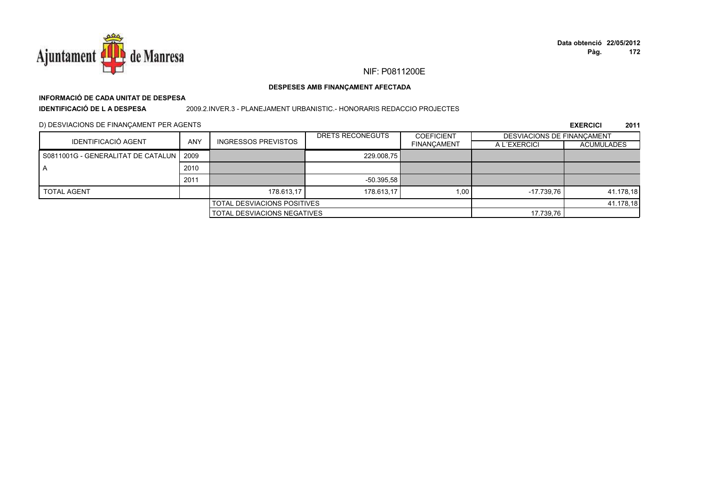

## **INFORMACIÓ DE CADA UNITAT DE DESPESA**

**IDENTIFICACIÓ DE L A DESPESA**

#### 2009.2.INVER.3 - PLANEJAMENT URBANISTIC.- HONORARIS REDACCIO PROJECTES

D) DESVIACIONS DE FINANÇAMENT PER AGENTS

|                                           |            |                                    | DRETS RECONEGUTS                   | <b>COEFICIENT</b>  | DESVIACIONS DE FINANCAMENT |                   |
|-------------------------------------------|------------|------------------------------------|------------------------------------|--------------------|----------------------------|-------------------|
| IDENTIFICACIÓ AGENT                       | <b>ANY</b> | <b>INGRESSOS PREVISTOS</b>         |                                    | <b>FINANCAMENT</b> | A L'EXERCICI               | <b>ACUMULADES</b> |
| S0811001G - GENERALITAT DE CATALUN   2009 |            |                                    | 229.008.75                         |                    |                            |                   |
| A                                         | 2010       |                                    |                                    |                    |                            |                   |
|                                           | 2011       |                                    | $-50.395.58$                       |                    |                            |                   |
| <b>TOTAL AGENT</b>                        |            | 178.613.17                         | 178.613.17                         | 1.00               | $-17.739.76$               | 41.178,18         |
|                                           |            | <b>TOTAL DESVIACIONS POSITIVES</b> |                                    |                    | 41.178,18                  |                   |
|                                           |            |                                    | <b>TOTAL DESVIACIONS NEGATIVES</b> |                    |                            |                   |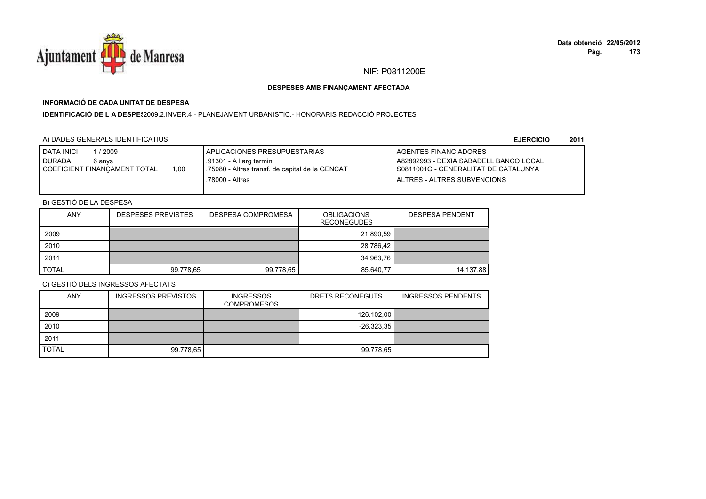

## **INFORMACIÓ DE CADA UNITAT DE DESPESA**

**IDENTIFICACIÓ DE L A DESPE**\$2009.2.INVER.4 - PLANEJAMENT URBANISTIC.- HONORARIS REDACCIÓ PROJECTES

## A) DADES GENERALS IDENTIFICATIUS

**EJERCICIO<sup>2011</sup>**

| <b>I DATA INICI</b><br>2009            | APLICACIONES PRESUPUESTARIAS                     | <b>I AGENTES FINANCIADORES</b>         |
|----------------------------------------|--------------------------------------------------|----------------------------------------|
| <b>DURADA</b><br>6 anvs                | .91301 - A llarg termini                         | A82892993 - DEXIA SABADELL BANCO LOCAL |
| 1,00<br>I COEFICIENT FINANÇAMENT TOTAL | 1.75080 - Altres transf. de capital de la GENCAT | I S0811001G - GENERALITAT DE CATALUNYA |
|                                        | .78000 - Altres                                  | <b>I ALTRES - ALTRES SUBVENCIONS</b>   |
|                                        |                                                  |                                        |

## B) GESTIÓ DE LA DESPESA

| <b>ANY</b>   | <b>DESPESES PREVISTES</b> | <b>DESPESA COMPROMESA</b> | <b>OBLIGACIONS</b><br><b>RECONEGUDES</b> | <b>DESPESA PENDENT</b> |
|--------------|---------------------------|---------------------------|------------------------------------------|------------------------|
| 2009         |                           |                           | 21.890,59                                |                        |
| 2010         |                           |                           | 28.786,42                                |                        |
| 2011         |                           |                           | 34.963,76                                |                        |
| <b>TOTAL</b> | 99.778,65                 | 99.778,65                 | 85.640,77                                | 14.137.88              |

| <b>ANY</b>   | <b>INGRESSOS PREVISTOS</b> | <b>INGRESSOS</b><br><b>COMPROMESOS</b> | DRETS RECONEGUTS | <b>INGRESSOS PENDENTS</b> |
|--------------|----------------------------|----------------------------------------|------------------|---------------------------|
| 2009         |                            |                                        | 126.102,00       |                           |
| 2010         |                            |                                        | $-26.323.35$     |                           |
| 2011         |                            |                                        |                  |                           |
| <b>TOTAL</b> | 99.778,65                  |                                        | 99.778,65        |                           |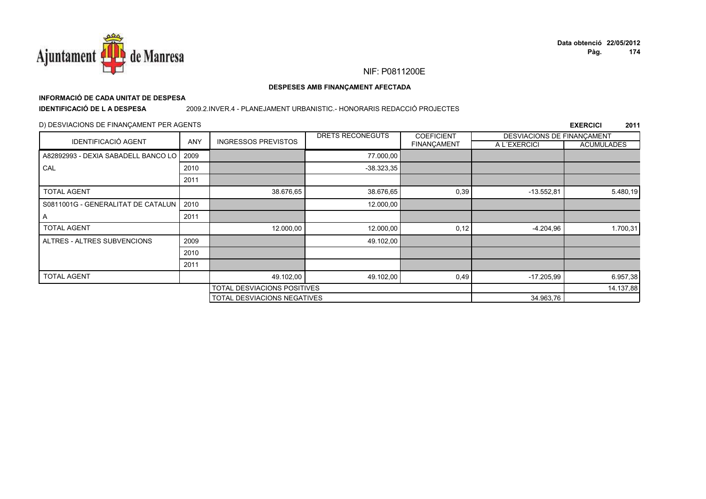

# **INFORMACIÓ DE CADA UNITAT DE DESPESA**

**IDENTIFICACIÓ DE L A DESPESA**

#### 2009.2.INVER.4 - PLANEJAMENT URBANISTIC.- HONORARIS REDACCIÓ PROJECTES

#### D) DESVIACIONS DE FINANÇAMENT PER AGENTS

|                                     |      |                                    | DRETS RECONEGUTS | <b>COEFICIENT</b> | DESVIACIONS DE FINANÇAMENT |                   |
|-------------------------------------|------|------------------------------------|------------------|-------------------|----------------------------|-------------------|
| <b>IDENTIFICACIÓ AGENT</b>          | ANY  | <b>INGRESSOS PREVISTOS</b>         |                  | FINANÇAMENT       | A L'EXERCICI               | <b>ACUMULADES</b> |
| A82892993 - DEXIA SABADELL BANCO LO | 2009 |                                    | 77.000,00        |                   |                            |                   |
| CAL                                 | 2010 |                                    | $-38.323,35$     |                   |                            |                   |
|                                     | 2011 |                                    |                  |                   |                            |                   |
| <b>TOTAL AGENT</b>                  |      | 38.676,65                          | 38.676,65        | 0,39              | $-13.552.81$               | 5.480,19          |
| S0811001G - GENERALITAT DE CATALUN  | 2010 |                                    | 12.000,00        |                   |                            |                   |
| A                                   | 2011 |                                    |                  |                   |                            |                   |
| <b>TOTAL AGENT</b>                  |      | 12.000,00                          | 12.000,00        | 0,12              | $-4.204,96$                | 1.700,31          |
| ALTRES - ALTRES SUBVENCIONS         | 2009 |                                    | 49.102,00        |                   |                            |                   |
|                                     | 2010 |                                    |                  |                   |                            |                   |
|                                     | 2011 |                                    |                  |                   |                            |                   |
| <b>TOTAL AGENT</b>                  |      | 49.102,00                          | 49.102,00        | 0,49              | $-17.205.99$               | 6.957,38          |
| TOTAL DESVIACIONS POSITIVES         |      |                                    |                  | 14.137,88         |                            |                   |
|                                     |      | <b>TOTAL DESVIACIONS NEGATIVES</b> |                  |                   | 34.963,76                  |                   |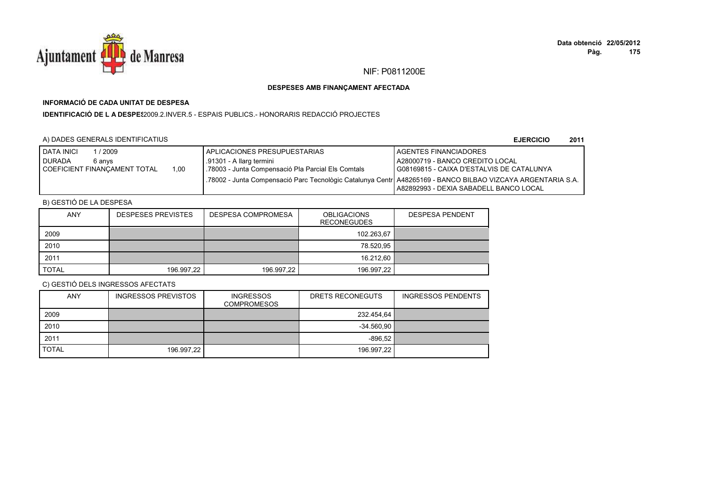

## **INFORMACIÓ DE CADA UNITAT DE DESPESA**

**IDENTIFICACIÓ DE L A DESPES**2009.2.INVER.5 - ESPAIS PUBLICS.- HONORARIS REDACCIÓ PROJECTES

### A) DADES GENERALS IDENTIFICATIUS

**EJERCICIO<sup>2011</sup>**

| <b>I DATA INICI</b><br>2009          | APLICACIONES PRESUPUESTARIAS                                                                                 | <b>LAGENTES FINANCIADORES</b>             |
|--------------------------------------|--------------------------------------------------------------------------------------------------------------|-------------------------------------------|
| <b>DURADA</b><br>6 anvs              | .91301 - A llarg termini                                                                                     | A28000719 - BANCO CREDITO LOCAL           |
| 1.00<br>COEFICIENT FINANCAMENT TOTAL | .78003 - Junta Compensació Pla Parcial Els Comtals                                                           | G08169815 - CAIXA D'ESTALVIS DE CATALUNYA |
|                                      | .78002 - Junta Compensació Parc Tecnològic Catalunya Centri A48265169 - BANCO BILBAO VIZCAYA ARGENTARIA S.A. |                                           |
|                                      |                                                                                                              | A82892993 - DEXIA SABADELL BANCO LOCAL    |

## B) GESTIÓ DE LA DESPESA

| <b>ANY</b>   | <b>DESPESES PREVISTES</b> | DESPESA COMPROMESA | <b>OBLIGACIONS</b><br><b>RECONEGUDES</b> | <b>DESPESA PENDENT</b> |
|--------------|---------------------------|--------------------|------------------------------------------|------------------------|
| 2009         |                           |                    | 102.263,67                               |                        |
| 2010         |                           |                    | 78.520,95                                |                        |
| 2011         |                           |                    | 16.212.60                                |                        |
| <b>TOTAL</b> | 196.997,22                | 196.997,22         | 196.997,22                               |                        |

| <b>ANY</b>   | <b>INGRESSOS PREVISTOS</b> | <b>INGRESSOS</b><br><b>COMPROMESOS</b> | DRETS RECONEGUTS | <b>INGRESSOS PENDENTS</b> |
|--------------|----------------------------|----------------------------------------|------------------|---------------------------|
| 2009         |                            |                                        | 232.454,64       |                           |
| 2010         |                            |                                        | $-34.560,90$     |                           |
| 2011         |                            |                                        | $-896.52$        |                           |
| <b>TOTAL</b> | 196.997,22                 |                                        | 196.997,22       |                           |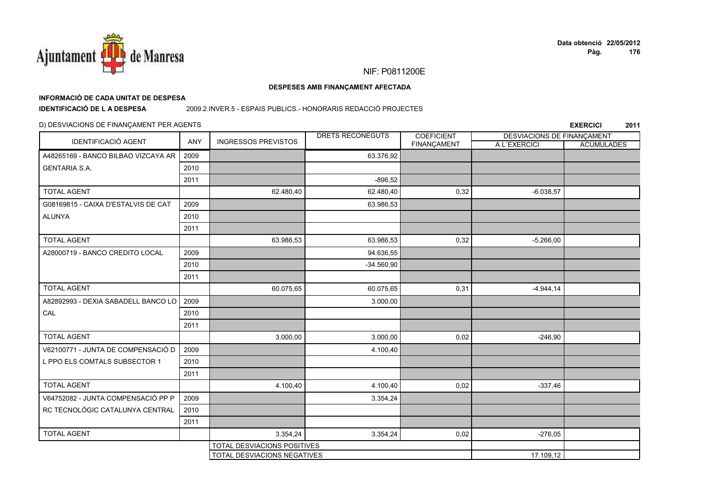

# **INFORMACIÓ DE CADA UNITAT DE DESPESA**

**IDENTIFICACIÓ DE L A DESPESA**

#### 2009.2.INVER.5 - ESPAIS PUBLICS.- HONORARIS REDACCIÓ PROJECTES

#### D) DESVIACIONS DE FINANÇAMENT PER AGENTS

| <b>IDENTIFICACIÓ AGENT</b>          | ANY  | <b>INGRESSOS PREVISTOS</b>  | DRETS RECONEGUTS | <b>COEFICIENT</b> | DESVIACIONS DE FINANÇAMENT |                   |
|-------------------------------------|------|-----------------------------|------------------|-------------------|----------------------------|-------------------|
|                                     |      |                             |                  | FINANÇAMENT       | A L'EXERCICI               | <b>ACUMULADES</b> |
| A48265169 - BANCO BILBAO VIZCAYA AR | 2009 |                             | 63.376,92        |                   |                            |                   |
| <b>GENTARIA S.A.</b>                | 2010 |                             |                  |                   |                            |                   |
|                                     | 2011 |                             | $-896.52$        |                   |                            |                   |
| <b>TOTAL AGENT</b>                  |      | 62.480,40                   | 62.480,40        | 0,32              | $-6.038,57$                |                   |
| G08169815 - CAIXA D'ESTALVIS DE CAT | 2009 |                             | 63.986,53        |                   |                            |                   |
| <b>ALUNYA</b>                       | 2010 |                             |                  |                   |                            |                   |
|                                     | 2011 |                             |                  |                   |                            |                   |
| <b>TOTAL AGENT</b>                  |      | 63.986,53                   | 63.986,53        | 0,32              | $-5.266,00$                |                   |
| A28000719 - BANCO CREDITO LOCAL     | 2009 |                             | 94.636,55        |                   |                            |                   |
|                                     | 2010 |                             | $-34.560,90$     |                   |                            |                   |
|                                     | 2011 |                             |                  |                   |                            |                   |
| <b>TOTAL AGENT</b>                  |      | 60.075,65                   | 60.075,65        | 0,31              | $-4.944, 14$               |                   |
| A82892993 - DEXIA SABADELL BANCO LO | 2009 |                             | 3.000,00         |                   |                            |                   |
| CAL                                 | 2010 |                             |                  |                   |                            |                   |
|                                     | 2011 |                             |                  |                   |                            |                   |
| <b>TOTAL AGENT</b>                  |      | 3.000,00                    | 3.000,00         | 0,02              | $-246,90$                  |                   |
| V62100771 - JUNTA DE COMPENSACIÓ D  | 2009 |                             | 4.100,40         |                   |                            |                   |
| L PPO ELS COMTALS SUBSECTOR 1       | 2010 |                             |                  |                   |                            |                   |
|                                     | 2011 |                             |                  |                   |                            |                   |
| <b>TOTAL AGENT</b>                  |      | 4.100,40                    | 4.100,40         | 0,02              | $-337,46$                  |                   |
| V64752082 - JUNTA COMPENSACIÓ PP P  | 2009 |                             | 3.354,24         |                   |                            |                   |
| RC TECNOLÒGIC CATALUNYA CENTRAL     | 2010 |                             |                  |                   |                            |                   |
|                                     | 2011 |                             |                  |                   |                            |                   |
| <b>TOTAL AGENT</b>                  |      | 3.354,24                    | 3.354,24         | 0,02              | $-276,05$                  |                   |
|                                     |      | TOTAL DESVIACIONS POSITIVES |                  |                   |                            |                   |
|                                     |      | TOTAL DESVIACIONS NEGATIVES |                  |                   | 17.109,12                  |                   |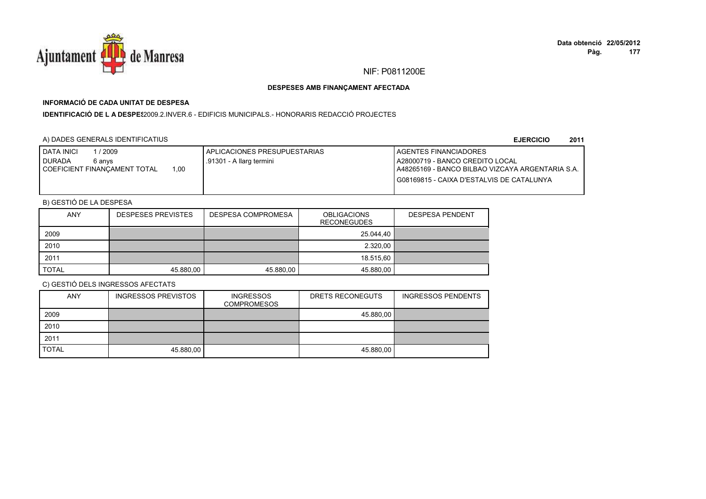

## **INFORMACIÓ DE CADA UNITAT DE DESPESA**

**IDENTIFICACIÓ DE L A DESPES**2009.2.INVER.6 - EDIFICIS MUNICIPALS.- HONORARIS REDACCIÓ PROJECTES

### A) DADES GENERALS IDENTIFICATIUS

**EJERCICIO<sup>2011</sup>**

| 2009<br><b>I DATA INICI</b>          | I APLICACIONES PRESUPUESTARIAS | <b>I AGENTES FINANCIADORES</b>                    |
|--------------------------------------|--------------------------------|---------------------------------------------------|
| <b>DURADA</b><br>6 anvs              | .91301 - A llarg termini       | A28000719 - BANCO CREDITO LOCAL                   |
| 1.00<br>COEFICIENT FINANCAMENT TOTAL |                                | LA48265169 - BANCO BILBAO VIZCAYA ARGENTARIA S.A. |
|                                      |                                | I G08169815 - CAIXA D'ESTALVIS DE CATALUNYA       |
|                                      |                                |                                                   |

## B) GESTIÓ DE LA DESPESA

| <b>ANY</b>   | <b>DESPESES PREVISTES</b> | DESPESA COMPROMESA | OBLIGACIONS<br><b>RECONEGUDES</b> | <b>DESPESA PENDENT</b> |
|--------------|---------------------------|--------------------|-----------------------------------|------------------------|
| 2009         |                           |                    | 25.044,40                         |                        |
| 2010         |                           |                    | 2.320,00                          |                        |
| 2011         |                           |                    | 18.515.60                         |                        |
| <b>TOTAL</b> | 45.880,00                 | 45.880,00          | 45.880,00                         |                        |

| <b>ANY</b>   | <b>INGRESSOS PREVISTOS</b> | <b>INGRESSOS</b><br><b>COMPROMESOS</b> | DRETS RECONEGUTS | <b>INGRESSOS PENDENTS</b> |
|--------------|----------------------------|----------------------------------------|------------------|---------------------------|
| 2009         |                            |                                        | 45.880.00        |                           |
| 2010         |                            |                                        |                  |                           |
| 2011         |                            |                                        |                  |                           |
| <b>TOTAL</b> | 45.880,00                  |                                        | 45.880,00        |                           |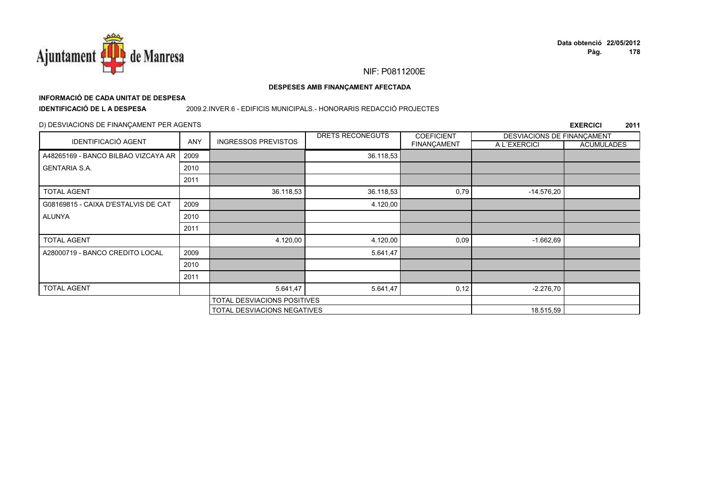

# **INFORMACIÓ DE CADA UNITAT DE DESPESA**

**IDENTIFICACIÓ DE L A DESPESA**

#### 2009.2.INVER.6 - EDIFICIS MUNICIPALS.- HONORARIS REDACCIÓ PROJECTES

### D) DESVIACIONS DE FINANÇAMENT PER AGENTS

|                                     |            |                             | DRETS RECONEGUTS | <b>COEFICIENT</b>  | DESVIACIONS DE FINANCAMENT |                   |
|-------------------------------------|------------|-----------------------------|------------------|--------------------|----------------------------|-------------------|
| <b>IDENTIFICACIÓ AGENT</b>          | <b>ANY</b> | <b>INGRESSOS PREVISTOS</b>  |                  | <b>FINANÇAMENT</b> | A L'EXERCICI               | <b>ACUMULADES</b> |
| A48265169 - BANCO BILBAO VIZCAYA AR | 2009       |                             | 36.118,53        |                    |                            |                   |
| <b>GENTARIA S.A.</b>                | 2010       |                             |                  |                    |                            |                   |
|                                     | 2011       |                             |                  |                    |                            |                   |
| <b>TOTAL AGENT</b>                  |            | 36.118,53                   | 36.118,53        | 0,79               | $-14.576,20$               |                   |
| G08169815 - CAIXA D'ESTALVIS DE CAT | 2009       |                             | 4.120,00         |                    |                            |                   |
| ALUNYA                              | 2010       |                             |                  |                    |                            |                   |
|                                     | 2011       |                             |                  |                    |                            |                   |
| <b>TOTAL AGENT</b>                  |            | 4.120,00                    | 4.120,00         | 0,09               | $-1.662,69$                |                   |
| A28000719 - BANCO CREDITO LOCAL     | 2009       |                             | 5.641,47         |                    |                            |                   |
|                                     | 2010       |                             |                  |                    |                            |                   |
|                                     | 2011       |                             |                  |                    |                            |                   |
| <b>TOTAL AGENT</b>                  |            | 5.641,47                    | 5.641,47         | 0,12               | $-2.276,70$                |                   |
| TOTAL DESVIACIONS POSITIVES         |            |                             |                  |                    |                            |                   |
|                                     |            | TOTAL DESVIACIONS NEGATIVES |                  |                    | 18.515,59                  |                   |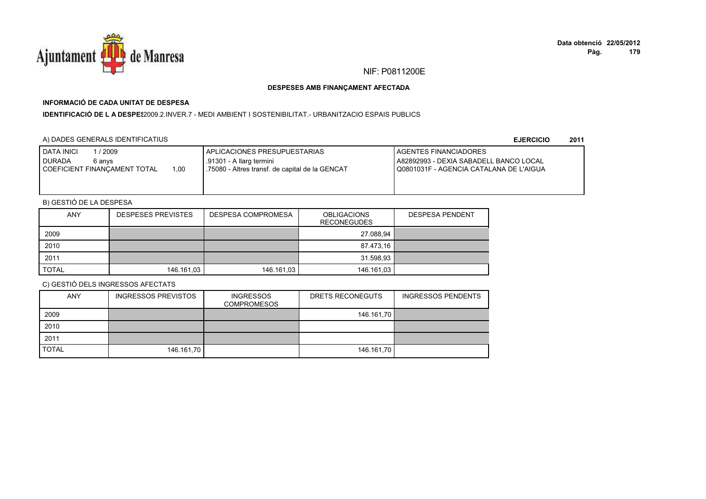

## **INFORMACIÓ DE CADA UNITAT DE DESPESA**

**IDENTIFICACIÓ DE L A DESPE**\$2009.2.INVER.7 - MEDI AMBIENT I SOSTENIBILITAT.- URBANITZACIO ESPAIS PUBLICS

### A) DADES GENERALS IDENTIFICATIUS

**EJERCICIO<sup>2011</sup>**

| <b>I DATA INICI</b><br>/ 2009<br><b>I</b> DURADA<br>6 anvs<br>1.00<br>COEFICIENT FINANCAMENT TOTAL | <b>I APLICACIONES PRESUPUESTARIAS</b><br>.91301 - A llarg termini<br>1.75080 - Altres transf. de capital de la GENCAT | <b>LAGENTES FINANCIADORES</b><br>A82892993 - DEXIA SABADELL BANCO LOCAL<br>I Q0801031F - AGENCIA CATALANA DE L'AIGUA |
|----------------------------------------------------------------------------------------------------|-----------------------------------------------------------------------------------------------------------------------|----------------------------------------------------------------------------------------------------------------------|
|----------------------------------------------------------------------------------------------------|-----------------------------------------------------------------------------------------------------------------------|----------------------------------------------------------------------------------------------------------------------|

## B) GESTIÓ DE LA DESPESA

| <b>ANY</b>   | <b>DESPESES PREVISTES</b> | DESPESA COMPROMESA | <b>OBLIGACIONS</b><br><b>RECONEGUDES</b> | <b>DESPESA PENDENT</b> |
|--------------|---------------------------|--------------------|------------------------------------------|------------------------|
| 2009         |                           |                    | 27.088,94                                |                        |
| 2010         |                           |                    | 87.473,16                                |                        |
| 2011         |                           |                    | 31.598,93                                |                        |
| <b>TOTAL</b> | 146.161,03                | 146.161,03         | 146.161,03                               |                        |

| <b>ANY</b>   | <b>INGRESSOS PREVISTOS</b> | <b>INGRESSOS</b><br><b>COMPROMESOS</b> | DRETS RECONEGUTS | <b>INGRESSOS PENDENTS</b> |
|--------------|----------------------------|----------------------------------------|------------------|---------------------------|
| 2009         |                            |                                        | 146.161,70       |                           |
| 2010         |                            |                                        |                  |                           |
| 2011         |                            |                                        |                  |                           |
| <b>TOTAL</b> | 146.161,70                 |                                        | 146.161,70       |                           |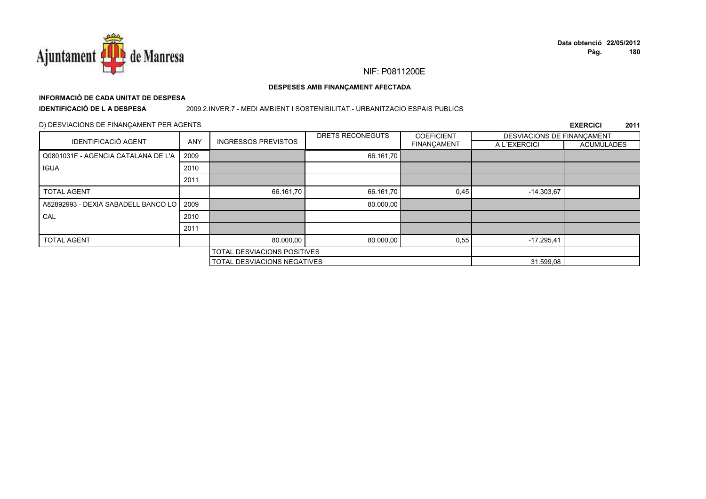

#### DESPESES AMB FINANÇAMENT AFECTADA

## INFORMACIÓ DE CADA UNITAT DE DESPESA

**IDENTIFICACIÓ DE LA DESPESA** 

#### 2009.2.INVER.7 - MEDI AMBIENT I SOSTENIBILITAT. - URBANITZACIO ESPAIS PUBLICS

#### D) DESVIACIONS DE FINANÇAMENT PER AGENTS

|                                     |            |                             | DRETS RECONEGUTS | <b>COEFICIENT</b>  | DESVIACIONS DE FINANCAMENT |                   |
|-------------------------------------|------------|-----------------------------|------------------|--------------------|----------------------------|-------------------|
| <b>IDENTIFICACIÓ AGENT</b>          | <b>ANY</b> | <b>INGRESSOS PREVISTOS</b>  |                  | <b>FINANÇAMENT</b> | A L'EXERCICI               | <b>ACUMULADES</b> |
| Q0801031F - AGENCIA CATALANA DE L'A | 2009       |                             | 66.161,70        |                    |                            |                   |
| <b>IGUA</b>                         | 2010       |                             |                  |                    |                            |                   |
|                                     | 2011       |                             |                  |                    |                            |                   |
| <b>TOTAL AGENT</b>                  |            | 66.161.70                   | 66.161,70        | 0,45               | $-14.303.67$               |                   |
| A82892993 - DEXIA SABADELL BANCO LO | 2009       |                             | 80.000,00        |                    |                            |                   |
| CAL                                 | 2010       |                             |                  |                    |                            |                   |
|                                     | 2011       |                             |                  |                    |                            |                   |
| <b>TOTAL AGENT</b>                  |            | 80.000,00                   | 80.000,00        | 0,55               | $-17.295.41$               |                   |
|                                     |            | TOTAL DESVIACIONS POSITIVES |                  |                    |                            |                   |
|                                     |            | TOTAL DESVIACIONS NEGATIVES |                  |                    | 31.599,08                  |                   |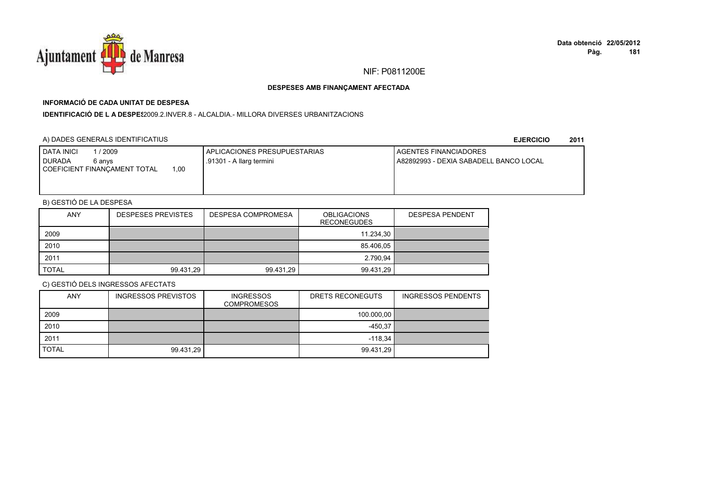

## **INFORMACIÓ DE CADA UNITAT DE DESPESA**

**IDENTIFICACIÓ DE L A DESPES**2009.2.INVER.8 - ALCALDIA.- MILLORA DIVERSES URBANITZACIONS

### A) DADES GENERALS IDENTIFICATIUS

**EJERCICIO<sup>2011</sup>**

| <b>I DATA INICI</b><br>1 / 2009<br><b>DURADA</b><br>6 anvs<br>00.1<br>COEFICIENT FINANCAMENT TOTAL | APLICACIONES PRESUPUESTARIAS<br>.91301 - A llarg termini | <b>I AGENTES FINANCIADORES</b><br>l A82892993 - DEXIA SABADELL BANCO LOCAL |
|----------------------------------------------------------------------------------------------------|----------------------------------------------------------|----------------------------------------------------------------------------|
|                                                                                                    |                                                          |                                                                            |

## B) GESTIÓ DE LA DESPESA

| <b>ANY</b>   | <b>DESPESES PREVISTES</b> | DESPESA COMPROMESA | <b>OBLIGACIONS</b><br><b>RECONEGUDES</b> | <b>DESPESA PENDENT</b> |
|--------------|---------------------------|--------------------|------------------------------------------|------------------------|
| 2009         |                           |                    | 11.234.30                                |                        |
| 2010         |                           |                    | 85.406,05                                |                        |
| 2011         |                           |                    | 2.790.94                                 |                        |
| <b>TOTAL</b> | 99.431,29                 | 99.431,29          | 99.431,29                                |                        |

| <b>ANY</b>   | <b>INGRESSOS PREVISTOS</b> | <b>INGRESSOS</b><br><b>COMPROMESOS</b> | DRETS RECONEGUTS | <b>INGRESSOS PENDENTS</b> |
|--------------|----------------------------|----------------------------------------|------------------|---------------------------|
| 2009         |                            |                                        | 100.000,00       |                           |
| 2010         |                            |                                        | $-450.37$        |                           |
| 2011         |                            |                                        | $-118.34$        |                           |
| <b>TOTAL</b> | 99.431,29                  |                                        | 99.431,29        |                           |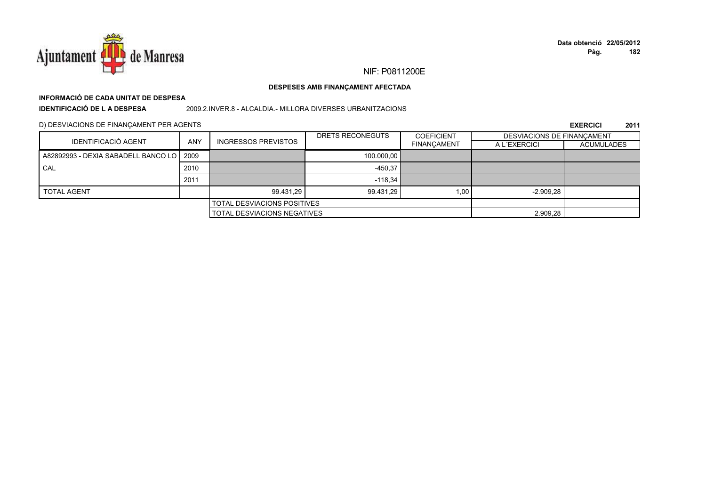

#### DESPESES AMB FINANÇAMENT AFECTADA

## INFORMACIÓ DE CADA UNITAT DE DESPESA **IDENTIFICACIÓ DE LA DESPESA**

2009.2.INVER.8 - ALCALDIA.- MILLORA DIVERSES URBANITZACIONS

D) DESVIACIONS DE FINANÇAMENT PER AGENTS

|                                            |            |                                    | DRETS RECONEGUTS | <b>COEFICIENT</b>  | DESVIACIONS DE FINANCAMENT |                   |
|--------------------------------------------|------------|------------------------------------|------------------|--------------------|----------------------------|-------------------|
| <b>IDENTIFICACIÓ AGENT</b>                 | <b>ANY</b> | <b>INGRESSOS PREVISTOS</b>         |                  | <b>FINANÇAMENT</b> | A L'EXERCICI               | <b>ACUMULADES</b> |
| A82892993 - DEXIA SABADELL BANCO LO   2009 |            |                                    | 100.000.00       |                    |                            |                   |
| CAL                                        | 2010       |                                    | $-450.37$        |                    |                            |                   |
|                                            | 2011       |                                    | $-118.34$        |                    |                            |                   |
| <b>TOTAL AGENT</b>                         |            | 99.431.29                          | 99.431.29        | 1,00               | $-2.909,28$                |                   |
|                                            |            | <b>TOTAL DESVIACIONS POSITIVES</b> |                  |                    |                            |                   |
| <b>TOTAL DESVIACIONS NEGATIVES</b>         |            |                                    | 2.909,28         |                    |                            |                   |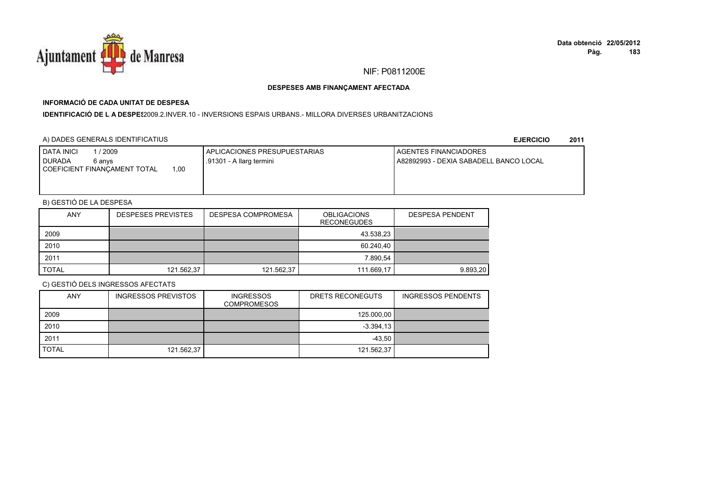

## **INFORMACIÓ DE CADA UNITAT DE DESPESA**

#### I**DENTIFICACIÓ DE L A DESPE**\$2009.2.INVER.10 - INVERSIONS ESPAIS URBANS.- MILLORA DIVERSES URBANITZACIONS

### A) DADES GENERALS IDENTIFICATIUS

**EJERCICIO<sup>2011</sup>**

| <b>DATA INICI</b><br>1 / 2009<br><b>DURADA</b><br>6 anvs | APLICACIONES PRESUPUESTARIAS<br>.91301 - A llarg termini | <b>I AGENTES FINANCIADORES</b><br>l A82892993 - DEXIA SABADELL BANCO LOCAL |
|----------------------------------------------------------|----------------------------------------------------------|----------------------------------------------------------------------------|
| 0.00<br>COEFICIENT FINANCAMENT TOTAL                     |                                                          |                                                                            |
|                                                          |                                                          |                                                                            |

## B) GESTIÓ DE LA DESPESA

| <b>ANY</b>   | <b>DESPESES PREVISTES</b> | DESPESA COMPROMESA | <b>OBLIGACIONS</b><br><b>RECONEGUDES</b> | <b>DESPESA PENDENT</b> |
|--------------|---------------------------|--------------------|------------------------------------------|------------------------|
| 2009         |                           |                    | 43.538,23                                |                        |
| 2010         |                           |                    | 60.240,40                                |                        |
| 2011         |                           |                    | 7.890.54                                 |                        |
| <b>TOTAL</b> | 121.562,37                | 121.562,37         | 111.669,17                               | 9.893.20               |

| <b>ANY</b>   | <b>INGRESSOS PREVISTOS</b> | <b>INGRESSOS</b><br><b>COMPROMESOS</b> | DRETS RECONEGUTS | <b>INGRESSOS PENDENTS</b> |
|--------------|----------------------------|----------------------------------------|------------------|---------------------------|
| 2009         |                            |                                        | 125.000,00       |                           |
| 2010         |                            |                                        | $-3.394.13$      |                           |
| 2011         |                            |                                        | $-43,50$         |                           |
| <b>TOTAL</b> | 121.562,37                 |                                        | 121.562,37       |                           |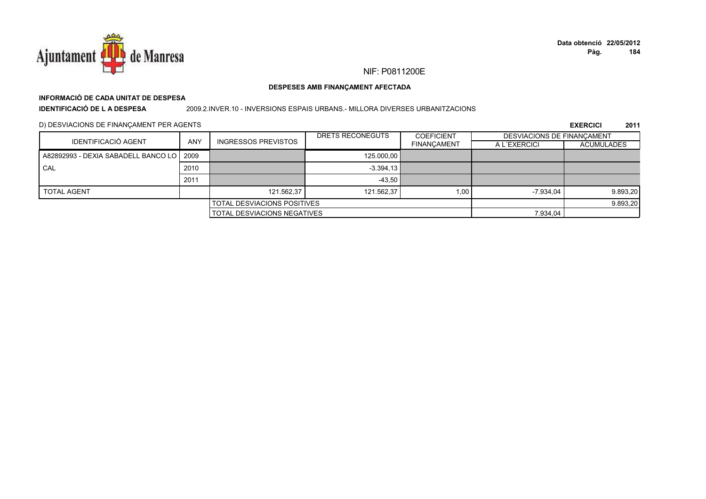

#### DESPESES AMB FINANÇAMENT AFECTADA

## INFORMACIÓ DE CADA UNITAT DE DESPESA **IDENTIFICACIÓ DE LA DESPESA**

#### 2009.2.INVER.10 - INVERSIONS ESPAIS URBANS.- MILLORA DIVERSES URBANITZACIONS

D) DESVIACIONS DE FINANÇAMENT PER AGENTS

| IDENTIFICACIÓ AGENT                        |            |                                    | DRETS RECONEGUTS | <b>COEFICIENT</b>  |              | <b>DESVIACIONS DE FINANCAMENT</b> |  |
|--------------------------------------------|------------|------------------------------------|------------------|--------------------|--------------|-----------------------------------|--|
|                                            | <b>ANY</b> | <b>INGRESSOS PREVISTOS</b>         |                  | <b>FINANCAMENT</b> | A L'EXERCICI | <b>ACUMULADES</b>                 |  |
| A82892993 - DEXIA SABADELL BANCO LO   2009 |            |                                    | 125,000.00       |                    |              |                                   |  |
| CAL                                        | 2010       |                                    | $-3.394.13$      |                    |              |                                   |  |
|                                            | 2011       |                                    | $-43.50$         |                    |              |                                   |  |
| <b>TOTAL AGENT</b>                         |            | 121.562.37                         | 121.562.37       | 1.00               | $-7.934.04$  | 9.893,20                          |  |
| <b>TOTAL DESVIACIONS POSITIVES</b>         |            |                                    |                  | 9.893,20           |              |                                   |  |
|                                            |            | <b>TOTAL DESVIACIONS NEGATIVES</b> |                  |                    | 7.934,04     |                                   |  |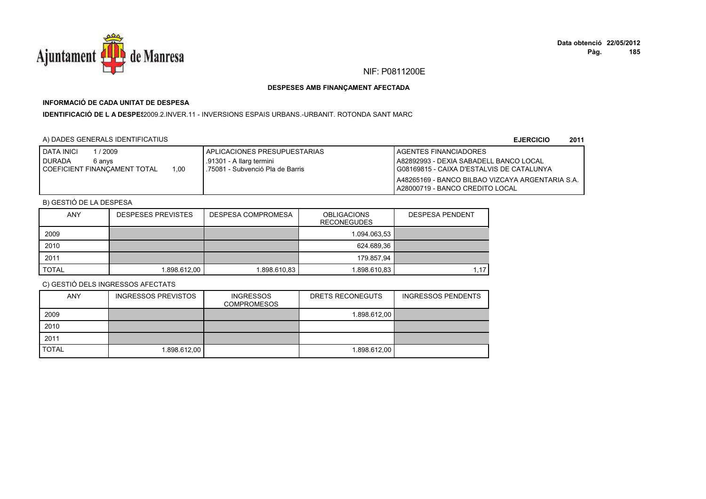

## **INFORMACIÓ DE CADA UNITAT DE DESPESA**

**IDENTIFICACIÓ DE L A DESPE**\$2009.2.INVER.11 - INVERSIONS ESPAIS URBANS.-URBANIT. ROTONDA SANT MARC

### A) DADES GENERALS IDENTIFICATIUS

**EJERCICIO<sup>2011</sup>**

| <b>DATA INICI</b><br>/2009                                      | I APLICACIONES PRESUPUESTARIAS                               | AGENTES FINANCIADORES                                                                 |
|-----------------------------------------------------------------|--------------------------------------------------------------|---------------------------------------------------------------------------------------|
| <b>DURADA</b><br>6 anvs<br>1.00<br>COEFICIENT FINANCAMENT TOTAL | .91301 - A llarg termini<br>.75081 - Subvenció Pla de Barris | A82892993 - DEXIA SABADELL BANCO LOCAL<br>I G08169815 - CAIXA D'ESTALVIS DE CATALUNYA |
|                                                                 |                                                              | I A48265169 - BANCO BILBAO VIZCAYA ARGENTARIA S.A.<br>A28000719 - BANCO CREDITO LOCAL |

## B) GESTIÓ DE LA DESPESA

| <b>ANY</b>   | <b>DESPESES PREVISTES</b> | DESPESA COMPROMESA | <b>OBLIGACIONS</b><br><b>RECONEGUDES</b> | <b>DESPESA PENDENT</b> |
|--------------|---------------------------|--------------------|------------------------------------------|------------------------|
| 2009         |                           |                    | 1.094.063,53                             |                        |
| 2010         |                           |                    | 624.689,36                               |                        |
| 2011         |                           |                    | 179.857.94                               |                        |
| <b>TOTAL</b> | 1.898.612,00              | 1.898.610,83       | 1.898.610,83                             | 1.17                   |

| <b>ANY</b>   | <b>INGRESSOS PREVISTOS</b> | <b>INGRESSOS</b><br><b>COMPROMESOS</b> | DRETS RECONEGUTS | <b>INGRESSOS PENDENTS</b> |
|--------------|----------------------------|----------------------------------------|------------------|---------------------------|
| 2009         |                            |                                        | 1.898.612,00     |                           |
| 2010         |                            |                                        |                  |                           |
| 2011         |                            |                                        |                  |                           |
| <b>TOTAL</b> | 1.898.612,00               |                                        | 1.898.612,00     |                           |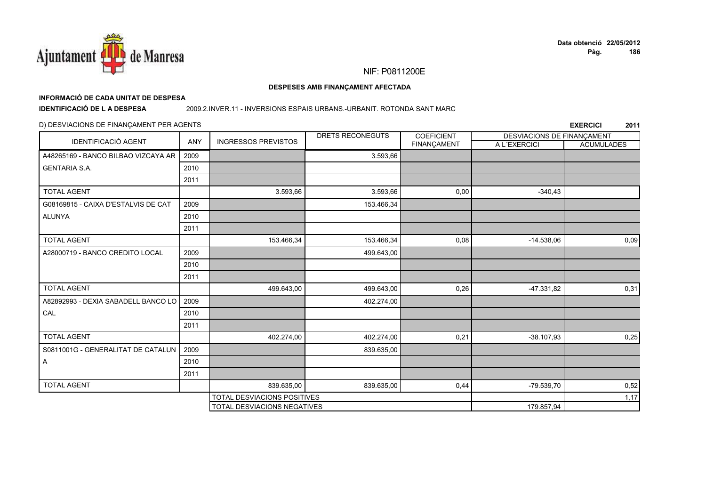

#### DESPESES AMB FINANÇAMENT AFECTADA

## INFORMACIÓ DE CADA UNITAT DE DESPESA

**IDENTIFICACIÓ DE LA DESPESA** 

#### 2009.2.INVER.11 - INVERSIONS ESPAIS URBANS.-URBANIT. ROTONDA SANT MARC

#### D) DESVIACIONS DE FINANÇAMENT PER AGENTS

|                                     | <b>ANY</b> |                                    | DRETS RECONEGUTS | <b>COEFICIENT</b> | DESVIACIONS DE FINANÇAMENT |                   |
|-------------------------------------|------------|------------------------------------|------------------|-------------------|----------------------------|-------------------|
| IDENTIFICACIÓ AGENT                 |            | <b>INGRESSOS PREVISTOS</b>         |                  | FINANÇAMENT       | A L'EXERCICI               | <b>ACUMULADES</b> |
| A48265169 - BANCO BILBAO VIZCAYA AR | 2009       |                                    | 3.593,66         |                   |                            |                   |
| <b>GENTARIA S.A.</b>                | 2010       |                                    |                  |                   |                            |                   |
|                                     | 2011       |                                    |                  |                   |                            |                   |
| <b>TOTAL AGENT</b>                  |            | 3.593,66                           | 3.593,66         | 0,00              | $-340,43$                  |                   |
| G08169815 - CAIXA D'ESTALVIS DE CAT | 2009       |                                    | 153.466,34       |                   |                            |                   |
| <b>ALUNYA</b>                       | 2010       |                                    |                  |                   |                            |                   |
|                                     | 2011       |                                    |                  |                   |                            |                   |
| <b>TOTAL AGENT</b>                  |            | 153.466,34                         | 153.466,34       | 0,08              | $-14.538,06$               | 0,09              |
| A28000719 - BANCO CREDITO LOCAL     | 2009       |                                    | 499.643,00       |                   |                            |                   |
|                                     | 2010       |                                    |                  |                   |                            |                   |
|                                     | 2011       |                                    |                  |                   |                            |                   |
| <b>TOTAL AGENT</b>                  |            | 499.643,00                         | 499.643,00       | 0,26              | $-47.331,82$               | 0,31              |
| A82892993 - DEXIA SABADELL BANCO LO | 2009       |                                    | 402.274,00       |                   |                            |                   |
| CAL                                 | 2010       |                                    |                  |                   |                            |                   |
|                                     | 2011       |                                    |                  |                   |                            |                   |
| <b>TOTAL AGENT</b>                  |            | 402.274,00                         | 402.274,00       | 0,21              | $-38.107,93$               | 0,25              |
| S0811001G - GENERALITAT DE CATALUN  | 2009       |                                    | 839.635,00       |                   |                            |                   |
| A                                   | 2010       |                                    |                  |                   |                            |                   |
|                                     | 2011       |                                    |                  |                   |                            |                   |
| <b>TOTAL AGENT</b>                  |            | 839.635,00                         | 839.635,00       | 0,44              | -79.539,70                 | 0,52              |
|                                     |            | <b>TOTAL DESVIACIONS POSITIVES</b> |                  |                   |                            | 1,17              |
|                                     |            | TOTAL DESVIACIONS NEGATIVES        |                  |                   | 179.857,94                 |                   |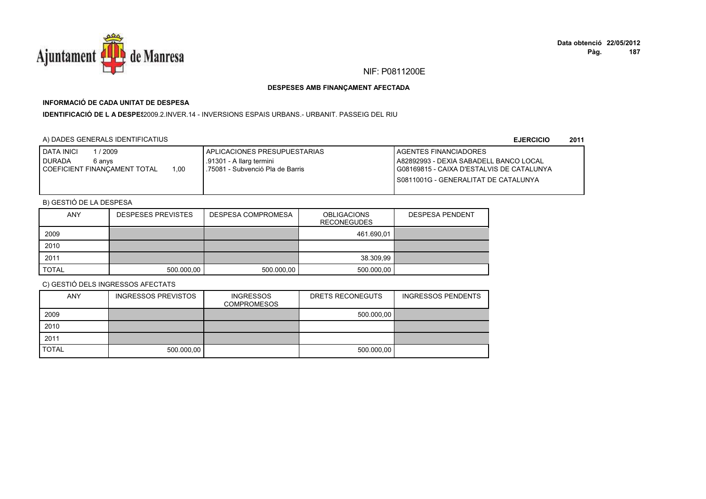

## **INFORMACIÓ DE CADA UNITAT DE DESPESA**

I**DENTIFICACIÓ DE L A DESPE**\$2009.2.INVER.14 - INVERSIONS ESPAIS URBANS.- URBANIT. PASSEIG DEL RIU

### A) DADES GENERALS IDENTIFICATIUS

**EJERCICIO<sup>2011</sup>**

| <b>DATA INICI</b><br>1/2009<br><b>DURADA</b><br>6 anvs | APLICACIONES PRESUPUESTARIAS<br>.91301 - A llarg termini | <b>I AGENTES FINANCIADORES</b><br>I A82892993 - DEXIA SABADELL BANCO LOCAL |
|--------------------------------------------------------|----------------------------------------------------------|----------------------------------------------------------------------------|
| 1.00<br>I COEFICIENT FINANCAMENT TOTAL                 | L.75081 - Subvenció Pla de Barris                        | G08169815 - CAIXA D'ESTALVIS DE CATALUNYA                                  |
|                                                        |                                                          | I S0811001G - GENERALITAT DE CATALUNYA                                     |
|                                                        |                                                          |                                                                            |

## B) GESTIÓ DE LA DESPESA

| <b>ANY</b>   | <b>DESPESES PREVISTES</b> | DESPESA COMPROMESA | <b>OBLIGACIONS</b><br><b>RECONEGUDES</b> | <b>DESPESA PENDENT</b> |
|--------------|---------------------------|--------------------|------------------------------------------|------------------------|
| 2009         |                           |                    | 461.690,01                               |                        |
| 2010         |                           |                    |                                          |                        |
| 2011         |                           |                    | 38.309.99                                |                        |
| <b>TOTAL</b> | 500.000,00                | 500.000,00         | 500.000,00                               |                        |

| <b>ANY</b>   | <b>INGRESSOS PREVISTOS</b> | <b>INGRESSOS</b><br><b>COMPROMESOS</b> | DRETS RECONEGUTS | <b>INGRESSOS PENDENTS</b> |
|--------------|----------------------------|----------------------------------------|------------------|---------------------------|
| 2009         |                            |                                        | 500.000,00       |                           |
| 2010         |                            |                                        |                  |                           |
| 2011         |                            |                                        |                  |                           |
| <b>TOTAL</b> | 500.000,00                 |                                        | 500.000,00       |                           |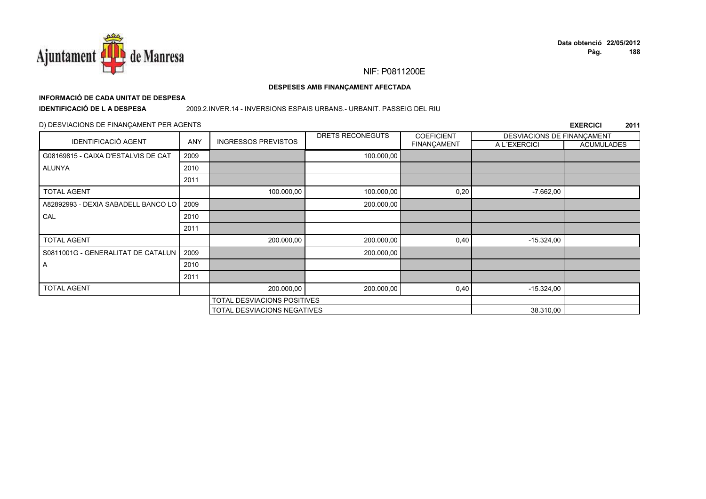

# **INFORMACIÓ DE CADA UNITAT DE DESPESA**

**IDENTIFICACIÓ DE L A DESPESA**

#### 2009.2.INVER.14 - INVERSIONS ESPAIS URBANS.- URBANIT. PASSEIG DEL RIU

### D) DESVIACIONS DE FINANÇAMENT PER AGENTS

|                                     |            |                                    | DRETS RECONEGUTS | <b>COEFICIENT</b>  | DESVIACIONS DE FINANÇAMENT |                   |
|-------------------------------------|------------|------------------------------------|------------------|--------------------|----------------------------|-------------------|
| <b>IDENTIFICACIÓ AGENT</b>          | <b>ANY</b> | <b>INGRESSOS PREVISTOS</b>         |                  | <b>FINANÇAMENT</b> | A L'EXERCICI               | <b>ACUMULADES</b> |
| G08169815 - CAIXA D'ESTALVIS DE CAT | 2009       |                                    | 100.000,00       |                    |                            |                   |
| <b>ALUNYA</b>                       | 2010       |                                    |                  |                    |                            |                   |
|                                     | 2011       |                                    |                  |                    |                            |                   |
| <b>TOTAL AGENT</b>                  |            | 100.000,00                         | 100.000,00       | 0,20               | $-7.662,00$                |                   |
| A82892993 - DEXIA SABADELL BANCO LO | 2009       |                                    | 200.000,00       |                    |                            |                   |
| CAL                                 | 2010       |                                    |                  |                    |                            |                   |
|                                     | 2011       |                                    |                  |                    |                            |                   |
| <b>TOTAL AGENT</b>                  |            | 200.000,00                         | 200.000,00       | 0,40               | $-15.324,00$               |                   |
| S0811001G - GENERALITAT DE CATALUN  | 2009       |                                    | 200.000,00       |                    |                            |                   |
| $\mathsf{A}$                        | 2010       |                                    |                  |                    |                            |                   |
|                                     | 2011       |                                    |                  |                    |                            |                   |
| <b>TOTAL AGENT</b>                  |            | 200.000,00                         | 200.000,00       | 0,40               | $-15.324,00$               |                   |
|                                     |            | <b>TOTAL DESVIACIONS POSITIVES</b> |                  |                    |                            |                   |
|                                     |            | <b>TOTAL DESVIACIONS NEGATIVES</b> |                  |                    | 38.310,00                  |                   |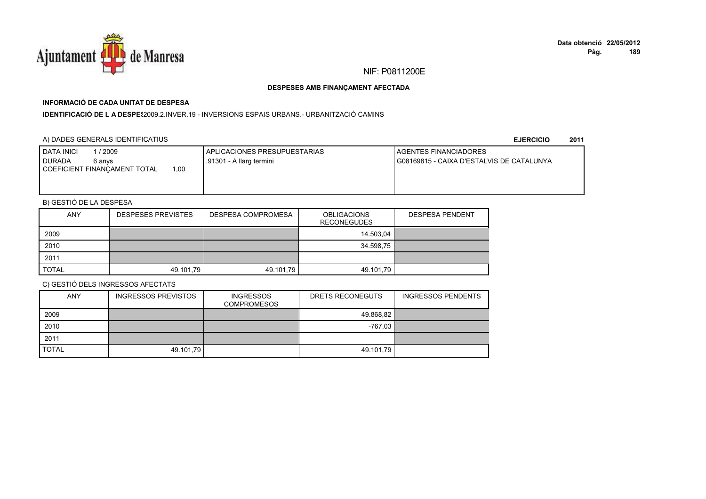

## **INFORMACIÓ DE CADA UNITAT DE DESPESA**

**IDENTIFICACIÓ DE L A DESPE\$**2009.2.INVER.19 - INVERSIONS ESPAIS URBANS.- URBANITZACIÓ CAMINS

### A) DADES GENERALS IDENTIFICATIUS

**EJERCICIO<sup>2011</sup>**

| <b>DATA INICI</b><br>2009<br><b>DURADA</b><br>6 anvs<br>.00<br>COEFICIENT FINANCAMENT TOTAL | APLICACIONES PRESUPUESTARIAS<br>.91301 - A llarg termini | <b>I AGENTES FINANCIADORES</b><br>I G08169815 - CAIXA D'ESTALVIS DE CATALUNYA |
|---------------------------------------------------------------------------------------------|----------------------------------------------------------|-------------------------------------------------------------------------------|
|                                                                                             |                                                          |                                                                               |

## B) GESTIÓ DE LA DESPESA

| <b>ANY</b>   | <b>DESPESES PREVISTES</b> | DESPESA COMPROMESA | <b>OBLIGACIONS</b><br><b>RECONEGUDES</b> | <b>DESPESA PENDENT</b> |
|--------------|---------------------------|--------------------|------------------------------------------|------------------------|
| 2009         |                           |                    | 14.503.04                                |                        |
| 2010         |                           |                    | 34.598,75                                |                        |
| 2011         |                           |                    |                                          |                        |
| <b>TOTAL</b> | 49.101,79                 | 49.101,79          | 49.101,79                                |                        |

| <b>ANY</b>   | <b>INGRESSOS PREVISTOS</b> | <b>INGRESSOS</b><br><b>COMPROMESOS</b> | DRETS RECONEGUTS | <b>INGRESSOS PENDENTS</b> |
|--------------|----------------------------|----------------------------------------|------------------|---------------------------|
| 2009         |                            |                                        | 49.868,82        |                           |
| 2010         |                            |                                        | $-767.03$        |                           |
| 2011         |                            |                                        |                  |                           |
| <b>TOTAL</b> | 49.101,79                  |                                        | 49.101,79        |                           |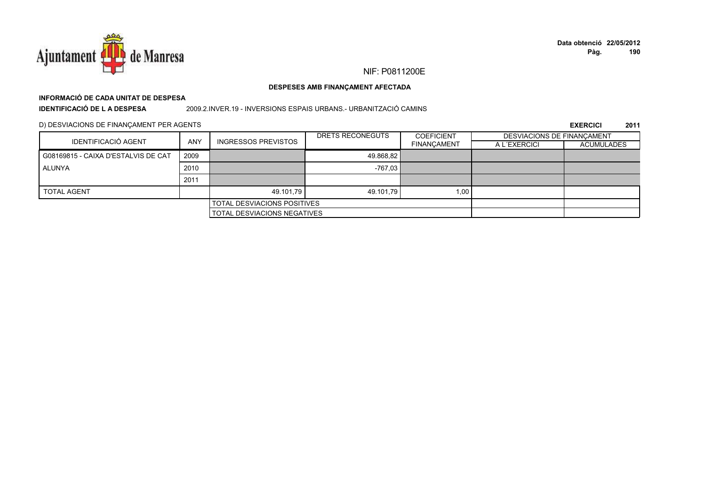

# **INFORMACIÓ DE CADA UNITAT DE DESPESA**

**IDENTIFICACIÓ DE L A DESPESA**

2009.2.INVER.19 - INVERSIONS ESPAIS URBANS.- URBANITZACIÓ CAMINS

D) DESVIACIONS DE FINANÇAMENT PER AGENTS

|                                     |            |                                    | DRETS RECONEGUTS | <b>COEFICIENT</b>  | <b>DESVIACIONS DE FINANCAMENT</b> |                   |
|-------------------------------------|------------|------------------------------------|------------------|--------------------|-----------------------------------|-------------------|
| <b>IDENTIFICACIÓ AGENT</b>          | <b>ANY</b> | <b>INGRESSOS PREVISTOS</b>         |                  | <b>FINANÇAMENT</b> | A L'EXERCICI                      | <b>ACUMULADES</b> |
| G08169815 - CAIXA D'ESTALVIS DE CAT | 2009       |                                    | 49.868.82        |                    |                                   |                   |
| ALUNYA                              | 2010       |                                    | $-767.03$        |                    |                                   |                   |
|                                     | 2011       |                                    |                  |                    |                                   |                   |
| <b>TOTAL AGENT</b>                  |            | 49.101.79                          | 49.101.79        | 1,00               |                                   |                   |
|                                     |            | <b>TOTAL DESVIACIONS POSITIVES</b> |                  |                    |                                   |                   |
| <b>TOTAL DESVIACIONS NEGATIVES</b>  |            |                                    |                  |                    |                                   |                   |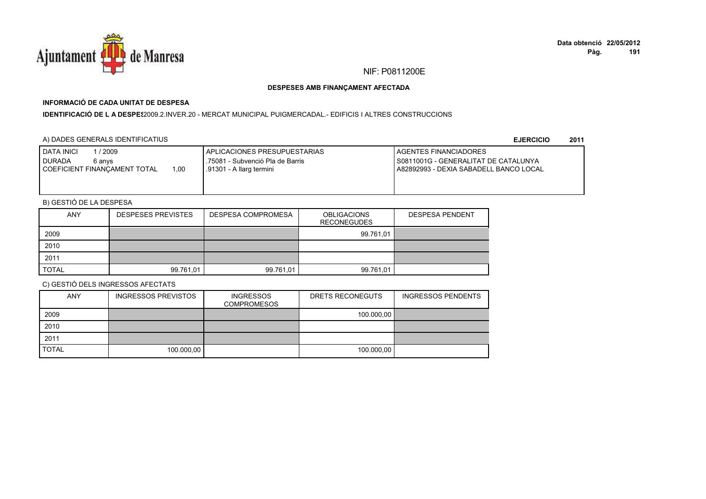

## **INFORMACIÓ DE CADA UNITAT DE DESPESA**

**IDENTIFICACIÓ DE L A DESPES**2009.2.INVER.20 - MERCAT MUNICIPAL PUIGMERCADAL.- EDIFICIS I ALTRES CONSTRUCCIONS

### A) DADES GENERALS IDENTIFICATIUS

**EJERCICIO<sup>2011</sup>**

| <b>DATA INICI</b><br>/ 2009<br><b>I DURADA</b><br>6 anvs<br>1.00<br>I COEFICIENT FINANCAMENT TOTAL | I APLICACIONES PRESUPUESTARIAS<br>.75081 - Subvenció Pla de Barris<br>.91301 - A llarg termini | <b>LAGENTES FINANCIADORES</b><br>I S0811001G - GENERALITAT DE CATALUNYA<br>A82892993 - DEXIA SABADELL BANCO LOCAL |
|----------------------------------------------------------------------------------------------------|------------------------------------------------------------------------------------------------|-------------------------------------------------------------------------------------------------------------------|
|                                                                                                    |                                                                                                |                                                                                                                   |

## B) GESTIÓ DE LA DESPESA

| <b>ANY</b>   | <b>DESPESES PREVISTES</b> | DESPESA COMPROMESA | <b>OBLIGACIONS</b><br><b>RECONEGUDES</b> | <b>DESPESA PENDENT</b> |
|--------------|---------------------------|--------------------|------------------------------------------|------------------------|
| 2009         |                           |                    | 99.761,01                                |                        |
| 2010         |                           |                    |                                          |                        |
| 2011         |                           |                    |                                          |                        |
| <b>TOTAL</b> | 99.761,01                 | 99.761,01          | 99.761.01                                |                        |

| <b>ANY</b>   | <b>INGRESSOS PREVISTOS</b> | <b>INGRESSOS</b><br><b>COMPROMESOS</b> | DRETS RECONEGUTS | <b>INGRESSOS PENDENTS</b> |
|--------------|----------------------------|----------------------------------------|------------------|---------------------------|
| 2009         |                            |                                        | 100.000,00       |                           |
| 2010         |                            |                                        |                  |                           |
| 2011         |                            |                                        |                  |                           |
| <b>TOTAL</b> | 100.000,00                 |                                        | 100.000,00       |                           |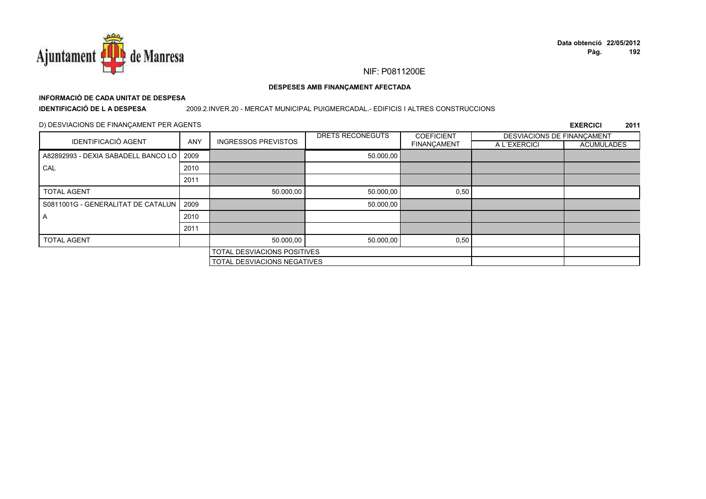

#### DESPESES AMB FINANÇAMENT AFECTADA

# INFORMACIÓ DE CADA UNITAT DE DESPESA

**IDENTIFICACIÓ DE LA DESPESA** 

#### 2009.2.INVER.20 - MERCAT MUNICIPAL PUIGMERCADAL.- EDIFICIS I ALTRES CONSTRUCCIONS

### D) DESVIACIONS DE FINANÇAMENT PER AGENTS

| <b>IDENTIFICACIÓ AGENT</b>          |      |                                    | DRETS RECONEGUTS | <b>COEFICIENT</b>  | DESVIACIONS DE FINANÇAMENT |                   |
|-------------------------------------|------|------------------------------------|------------------|--------------------|----------------------------|-------------------|
|                                     | ANY  | <b>INGRESSOS PREVISTOS</b>         |                  | <b>FINANÇAMENT</b> | A L'EXERCICI               | <b>ACUMULADES</b> |
| A82892993 - DEXIA SABADELL BANCO LO | 2009 |                                    | 50.000,00        |                    |                            |                   |
| CAL                                 | 2010 |                                    |                  |                    |                            |                   |
|                                     | 2011 |                                    |                  |                    |                            |                   |
| <b>TOTAL AGENT</b>                  |      | 50.000,00                          | 50.000,00        | 0,50               |                            |                   |
| S0811001G - GENERALITAT DE CATALUN  | 2009 |                                    | 50.000,00        |                    |                            |                   |
| A                                   | 2010 |                                    |                  |                    |                            |                   |
|                                     | 2011 |                                    |                  |                    |                            |                   |
| <b>TOTAL AGENT</b>                  |      | 50.000,00                          | 50.000,00        | 0,50               |                            |                   |
|                                     |      | TOTAL DESVIACIONS POSITIVES        |                  |                    |                            |                   |
|                                     |      | <b>TOTAL DESVIACIONS NEGATIVES</b> |                  |                    |                            |                   |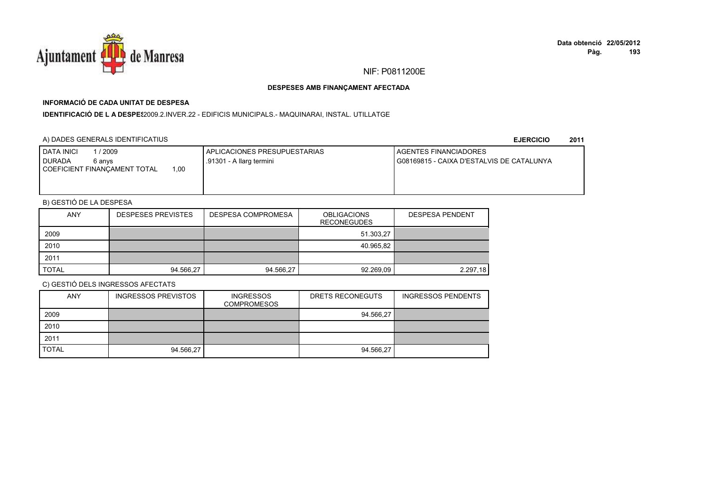

## **INFORMACIÓ DE CADA UNITAT DE DESPESA**

I**DENTIFICACIÓ DE L A DESPE**\$2009.2.INVER.22 - EDIFICIS MUNICIPALS.- MAQUINARAI, INSTAL. UTILLATGE

### A) DADES GENERALS IDENTIFICATIUS

**EJERCICIO<sup>2011</sup>**

| <b>DATA INICI</b><br>2009<br><b>DURADA</b><br>6 anvs<br>.00<br>COEFICIENT FINANCAMENT TOTAL | APLICACIONES PRESUPUESTARIAS<br>.91301 - A llarg termini | <b>I AGENTES FINANCIADORES</b><br>I G08169815 - CAIXA D'ESTALVIS DE CATALUNYA |
|---------------------------------------------------------------------------------------------|----------------------------------------------------------|-------------------------------------------------------------------------------|
|                                                                                             |                                                          |                                                                               |

## B) GESTIÓ DE LA DESPESA

| <b>ANY</b>   | <b>DESPESES PREVISTES</b> | DESPESA COMPROMESA | <b>OBLIGACIONS</b><br><b>RECONEGUDES</b> | <b>DESPESA PENDENT</b> |
|--------------|---------------------------|--------------------|------------------------------------------|------------------------|
| 2009         |                           |                    | 51.303,27                                |                        |
| 2010         |                           |                    | 40.965,82                                |                        |
| 2011         |                           |                    |                                          |                        |
| <b>TOTAL</b> | 94.566.27                 | 94.566.27          | 92.269.09                                | 2.297.18               |

| <b>ANY</b>   | <b>INGRESSOS PREVISTOS</b> | <b>INGRESSOS</b><br><b>COMPROMESOS</b> | DRETS RECONEGUTS | <b>INGRESSOS PENDENTS</b> |
|--------------|----------------------------|----------------------------------------|------------------|---------------------------|
| 2009         |                            |                                        | 94.566,27        |                           |
| 2010         |                            |                                        |                  |                           |
| 2011         |                            |                                        |                  |                           |
| <b>TOTAL</b> | 94.566,27                  |                                        | 94.566,27        |                           |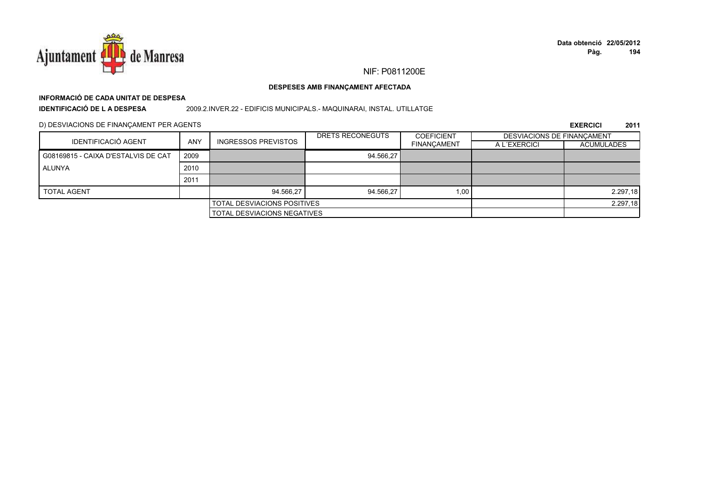

# **INFORMACIÓ DE CADA UNITAT DE DESPESA**

**IDENTIFICACIÓ DE L A DESPESA**

2009.2.INVER.22 - EDIFICIS MUNICIPALS.- MAQUINARAI, INSTAL. UTILLATGE

D) DESVIACIONS DE FINANÇAMENT PER AGENTS

|                                     |            |                                    | DRETS RECONEGUTS | <b>COEFICIENT</b>  | DESVIACIONS DE FINANCAMENT |                   |
|-------------------------------------|------------|------------------------------------|------------------|--------------------|----------------------------|-------------------|
| IDENTIFICACIÓ AGENT                 | <b>ANY</b> | INGRESSOS PREVISTOS                |                  | <b>FINANCAMENT</b> | A L'EXERCICI               | <b>ACUMULADES</b> |
| G08169815 - CAIXA D'ESTALVIS DE CAT | 2009       |                                    | 94.566.27        |                    |                            |                   |
| ALUNYA                              | 2010       |                                    |                  |                    |                            |                   |
|                                     | 2011       |                                    |                  |                    |                            |                   |
| <b>TOTAL AGENT</b>                  |            | 94.566.27                          | 94.566.27        | 1,00               |                            | 2.297,18          |
|                                     |            | <b>TOTAL DESVIACIONS POSITIVES</b> |                  |                    | 2.297,18                   |                   |
| TOTAL DESVIACIONS NEGATIVES         |            |                                    |                  |                    |                            |                   |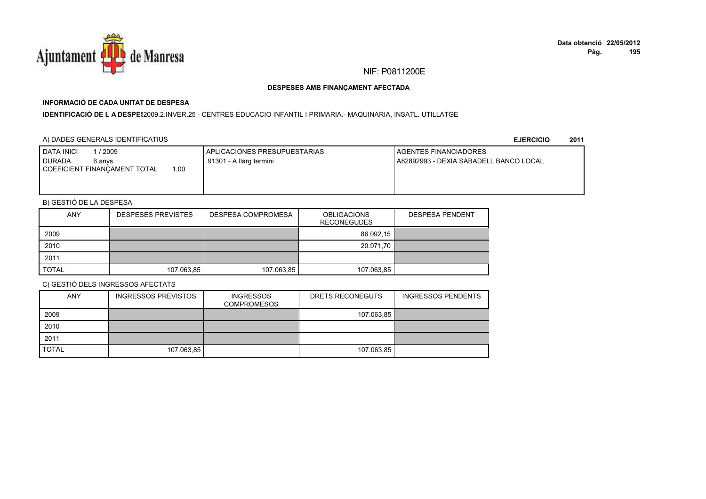

## **INFORMACIÓ DE CADA UNITAT DE DESPESA**

#### I**DENTIFICACIÓ DE L A DESPE**\$2009.2.INVER.25 - CENTRES EDUCACIO INFANTIL I PRIMARIA.- MAQUINARIA, INSATL. UTILLATGE

### A) DADES GENERALS IDENTIFICATIUS

**EJERCICIO<sup>2011</sup>**

| <b>I DATA INICI</b><br>1/2009        | APLICACIONES PRESUPUESTARIAS | <b>I AGENTES FINANCIADORES</b>         |
|--------------------------------------|------------------------------|----------------------------------------|
| <b>I DURADA</b><br>6 anvs            | .91301 - A llarg termini     | A82892993 - DEXIA SABADELL BANCO LOCAL |
| 1,00<br>COEFICIENT FINANCAMENT TOTAL |                              |                                        |
|                                      |                              |                                        |
|                                      |                              |                                        |

## B) GESTIÓ DE LA DESPESA

| <b>ANY</b>   | <b>DESPESES PREVISTES</b> | DESPESA COMPROMESA | <b>OBLIGACIONS</b><br><b>RECONEGUDES</b> | <b>DESPESA PENDENT</b> |
|--------------|---------------------------|--------------------|------------------------------------------|------------------------|
| 2009         |                           |                    | 86.092,15                                |                        |
| 2010         |                           |                    | 20.971,70                                |                        |
| 2011         |                           |                    |                                          |                        |
| <b>TOTAL</b> | 107.063,85                | 107.063,85         | 107.063,85                               |                        |

| <b>ANY</b>   | <b>INGRESSOS PREVISTOS</b> | <b>INGRESSOS</b><br><b>COMPROMESOS</b> | DRETS RECONEGUTS | <b>INGRESSOS PENDENTS</b> |
|--------------|----------------------------|----------------------------------------|------------------|---------------------------|
| 2009         |                            |                                        | 107.063,85       |                           |
| 2010         |                            |                                        |                  |                           |
| 2011         |                            |                                        |                  |                           |
| <b>TOTAL</b> | 107.063,85                 |                                        | 107.063,85       |                           |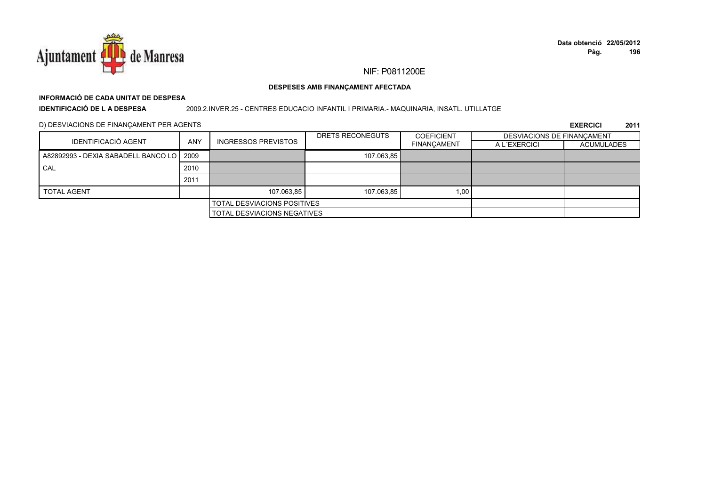

#### DESPESES AMB FINANÇAMENT AFECTADA

# INFORMACIÓ DE CADA UNITAT DE DESPESA

**IDENTIFICACIÓ DE L A DESPESA** 

#### 2009.2.INVER.25 - CENTRES EDUCACIO INFANTIL I PRIMARIA.- MAQUINARIA, INSATL. UTILLATGE

D) DESVIACIONS DE FINANÇAMENT PER AGENTS

|                                            |            |                            | DRETS RECONEGUTS | <b>COEFICIENT</b>  | DESVIACIONS DE FINANCAMENT |            |
|--------------------------------------------|------------|----------------------------|------------------|--------------------|----------------------------|------------|
| <b>IDENTIFICACIÓ AGENT</b>                 | <b>ANY</b> | <b>INGRESSOS PREVISTOS</b> |                  | <b>FINANÇAMENT</b> | A L'EXERCICI               | ACUMULADES |
| A82892993 - DEXIA SABADELL BANCO LO   2009 |            |                            | 107.063,85       |                    |                            |            |
| CAL                                        | 2010       |                            |                  |                    |                            |            |
|                                            | 2011       |                            |                  |                    |                            |            |
| <b>TOTAL AGENT</b>                         |            | 107.063.85                 | 107.063.85       | 1,00               |                            |            |
| <b>TOTAL DESVIACIONS POSITIVES</b>         |            |                            |                  |                    |                            |            |
| <b>TOTAL DESVIACIONS NEGATIVES</b>         |            |                            |                  |                    |                            |            |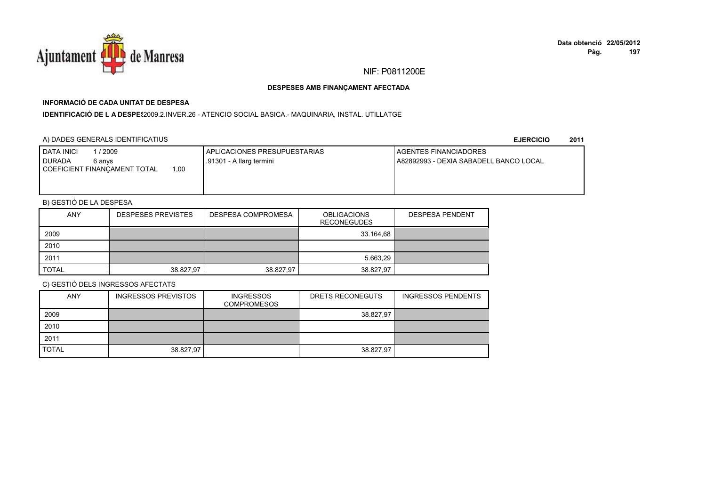

## **INFORMACIÓ DE CADA UNITAT DE DESPESA**

I**DENTIFICACIÓ DE L A DESPE**\$2009.2.INVER.26 - ATENCIO SOCIAL BASICA.- MAQUINARIA, INSTAL. UTILLATGE

### A) DADES GENERALS IDENTIFICATIUS

**EJERCICIO<sup>2011</sup>**

| <b>DATA INICI</b><br>2009<br>I DURADA<br>6 anvs<br>00،،<br>COEFICIENT FINANCAMENT TOTAL | APLICACIONES PRESUPUESTARIAS<br>.91301 - A llarg termini | <b>I AGENTES FINANCIADORES</b><br>A82892993 - DEXIA SABADELL BANCO LOCAL |
|-----------------------------------------------------------------------------------------|----------------------------------------------------------|--------------------------------------------------------------------------|
|                                                                                         |                                                          |                                                                          |

## B) GESTIÓ DE LA DESPESA

| <b>ANY</b>   | <b>DESPESES PREVISTES</b> | DESPESA COMPROMESA | <b>OBLIGACIONS</b><br><b>RECONEGUDES</b> | <b>DESPESA PENDENT</b> |
|--------------|---------------------------|--------------------|------------------------------------------|------------------------|
| 2009         |                           |                    | 33.164,68                                |                        |
| 2010         |                           |                    |                                          |                        |
| 2011         |                           |                    | 5.663.29                                 |                        |
| <b>TOTAL</b> | 38.827.97                 | 38.827.97          | 38.827.97                                |                        |

| <b>ANY</b>   | <b>INGRESSOS PREVISTOS</b> | <b>INGRESSOS</b><br><b>COMPROMESOS</b> | DRETS RECONEGUTS | <b>INGRESSOS PENDENTS</b> |
|--------------|----------------------------|----------------------------------------|------------------|---------------------------|
| 2009         |                            |                                        | 38.827,97        |                           |
| 2010         |                            |                                        |                  |                           |
| 2011         |                            |                                        |                  |                           |
| <b>TOTAL</b> | 38.827,97                  |                                        | 38.827.97        |                           |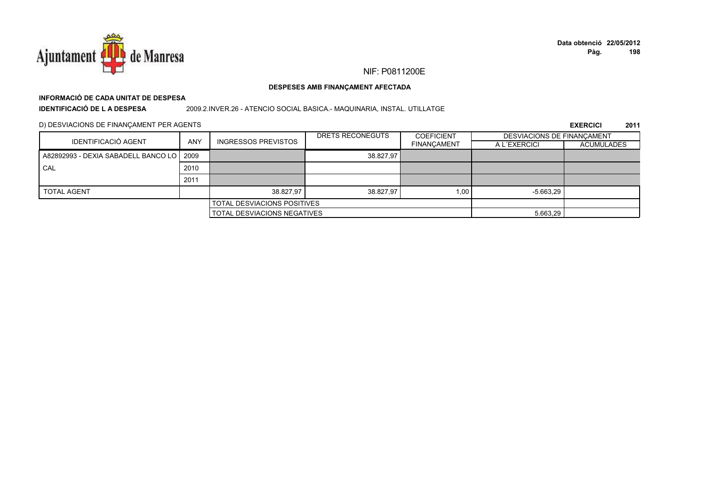

## **INFORMACIÓ DE CADA UNITAT DE DESPESA**

**IDENTIFICACIÓ DE L A DESPESA**

2009.2.INVER.26 - ATENCIO SOCIAL BASICA.- MAQUINARIA, INSTAL. UTILLATGE

D) DESVIACIONS DE FINANÇAMENT PER AGENTS

|                                            |            |                                    | DRETS RECONEGUTS | <b>COEFICIENT</b>  | DESVIACIONS DE FINANCAMENT |                   |
|--------------------------------------------|------------|------------------------------------|------------------|--------------------|----------------------------|-------------------|
| <b>IDENTIFICACIÓ AGENT</b>                 | <b>ANY</b> | <b>INGRESSOS PREVISTOS</b>         |                  | <b>FINANÇAMENT</b> | A L'EXERCICI               | <b>ACUMULADES</b> |
| A82892993 - DEXIA SABADELL BANCO LO 1 2009 |            |                                    | 38.827,97        |                    |                            |                   |
| CAL                                        | 2010       |                                    |                  |                    |                            |                   |
|                                            | 2011       |                                    |                  |                    |                            |                   |
| <b>TOTAL AGENT</b>                         |            | 38.827.97                          | 38.827.97        | 1,00               | $-5.663.29$                |                   |
| <b>TOTAL DESVIACIONS POSITIVES</b>         |            |                                    |                  |                    |                            |                   |
|                                            |            | <b>TOTAL DESVIACIONS NEGATIVES</b> |                  |                    | 5.663,29                   |                   |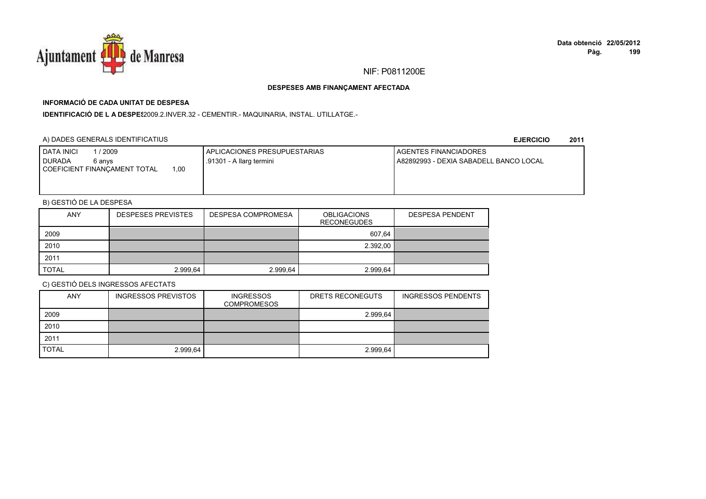

## **INFORMACIÓ DE CADA UNITAT DE DESPESA**

IDENTIFICACIÓ DE L A DESPE\$2009.2.INVER.32 - CEMENTIR.- MAQUINARIA, INSTAL. UTILLATGE.-

### A) DADES GENERALS IDENTIFICATIUS

**EJERCICIO<sup>2011</sup>**

| <b>I DATA INICI</b><br>/ 2009<br><b>DURADA</b><br>6 anvs | I APLICACIONES PRESUPUESTARIAS<br>1.91301 - A llarg termini | <b>LAGENTES FINANCIADORES</b><br>A82892993 - DEXIA SABADELL BANCO LOCAL |
|----------------------------------------------------------|-------------------------------------------------------------|-------------------------------------------------------------------------|
| 1.00<br>COEFICIENT FINANCAMENT TOTAL                     |                                                             |                                                                         |
|                                                          |                                                             |                                                                         |

## B) GESTIÓ DE LA DESPESA

| <b>ANY</b>   | <b>DESPESES PREVISTES</b> | DESPESA COMPROMESA | <b>OBLIGACIONS</b><br><b>RECONEGUDES</b> | <b>DESPESA PENDENT</b> |
|--------------|---------------------------|--------------------|------------------------------------------|------------------------|
| 2009         |                           |                    | 607.64                                   |                        |
| 2010         |                           |                    | 2.392,00                                 |                        |
| 2011         |                           |                    |                                          |                        |
| <b>TOTAL</b> | 2.999.64                  | 2.999.64           | 2.999.64                                 |                        |

| <b>ANY</b>   | INGRESSOS PREVISTOS | <b>INGRESSOS</b><br><b>COMPROMESOS</b> | DRETS RECONEGUTS | <b>INGRESSOS PENDENTS</b> |
|--------------|---------------------|----------------------------------------|------------------|---------------------------|
| 2009         |                     |                                        | 2.999.64         |                           |
| 2010         |                     |                                        |                  |                           |
| 2011         |                     |                                        |                  |                           |
| <b>TOTAL</b> | 2.999,64            |                                        | 2.999,64         |                           |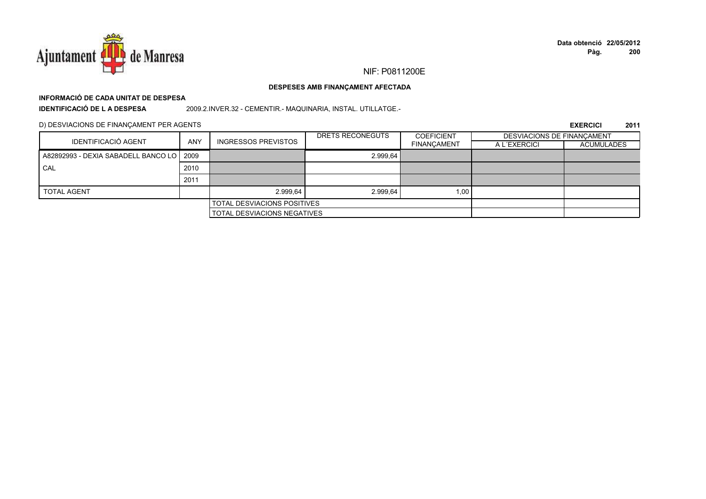

#### DESPESES AMB FINANÇAMENT AFECTADA

# INFORMACIÓ DE CADA UNITAT DE DESPESA

**IDENTIFICACIÓ DE LA DESPESA** 

2009.2.INVER.32 - CEMENTIR.- MAQUINARIA, INSTAL. UTILLATGE.-

D) DESVIACIONS DE FINANÇAMENT PER AGENTS

| IDENTIFICACIÓ AGENT                        |                                    |                            | DRETS RECONEGUTS | <b>COEFICIENT</b>  | <b>DESVIACIONS DE FINANCAMENT</b> |                   |
|--------------------------------------------|------------------------------------|----------------------------|------------------|--------------------|-----------------------------------|-------------------|
|                                            | <b>ANY</b>                         | <b>INGRESSOS PREVISTOS</b> |                  | <b>FINANÇAMENT</b> | A L'EXERCICI                      | <b>ACUMULADES</b> |
| A82892993 - DEXIA SABADELL BANCO LO   2009 |                                    |                            | 2.999.64         |                    |                                   |                   |
| CAL                                        | 2010                               |                            |                  |                    |                                   |                   |
|                                            | 2011                               |                            |                  |                    |                                   |                   |
| <b>TOTAL AGENT</b>                         |                                    | 2.999.64                   | 2.999.64         | 1,00               |                                   |                   |
| <b>TOTAL DESVIACIONS POSITIVES</b>         |                                    |                            |                  |                    |                                   |                   |
|                                            | <b>TOTAL DESVIACIONS NEGATIVES</b> |                            |                  |                    |                                   |                   |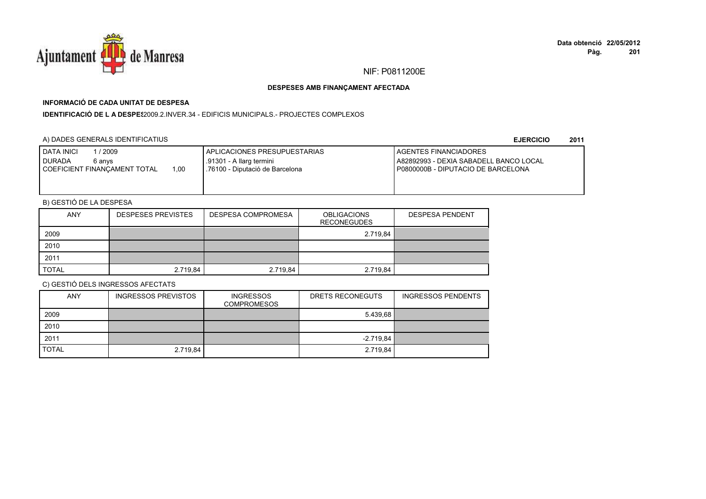

## **INFORMACIÓ DE CADA UNITAT DE DESPESA**

**IDENTIFICACIÓ DE L A DESPES**2009.2.INVER.34 - EDIFICIS MUNICIPALS.- PROJECTES COMPLEXOS

### A) DADES GENERALS IDENTIFICATIUS

**EJERCICIO<sup>2011</sup>**

| <b>DATA INICI</b><br>/ 2009<br>I DURADA<br>6 anvs<br>1.00<br>COEFICIENT FINANCAMENT TOTAL | APLICACIONES PRESUPUESTARIAS<br>.91301 - A llarg termini<br>.76100 - Diputació de Barcelona | <b>I AGENTES FINANCIADORES</b><br>A82892993 - DEXIA SABADELL BANCO LOCAL<br>P0800000B - DIPUTACIO DE BARCELONA |
|-------------------------------------------------------------------------------------------|---------------------------------------------------------------------------------------------|----------------------------------------------------------------------------------------------------------------|
|-------------------------------------------------------------------------------------------|---------------------------------------------------------------------------------------------|----------------------------------------------------------------------------------------------------------------|

## B) GESTIÓ DE LA DESPESA

| <b>ANY</b>   | <b>DESPESES PREVISTES</b> | DESPESA COMPROMESA | <b>OBLIGACIONS</b><br><b>RECONEGUDES</b> | <b>DESPESA PENDENT</b> |
|--------------|---------------------------|--------------------|------------------------------------------|------------------------|
| 2009         |                           |                    | 2.719,84                                 |                        |
| 2010         |                           |                    |                                          |                        |
| 2011         |                           |                    |                                          |                        |
| <b>TOTAL</b> | 2.719,84                  | 2.719.84           | 2.719,84                                 |                        |

| <b>ANY</b>   | <b>INGRESSOS PREVISTOS</b> | <b>INGRESSOS</b><br><b>COMPROMESOS</b> | DRETS RECONEGUTS | <b>INGRESSOS PENDENTS</b> |
|--------------|----------------------------|----------------------------------------|------------------|---------------------------|
| 2009         |                            |                                        | 5.439.68         |                           |
| 2010         |                            |                                        |                  |                           |
| 2011         |                            |                                        | $-2.719.84$      |                           |
| <b>TOTAL</b> | 2.719,84                   |                                        | 2.719,84         |                           |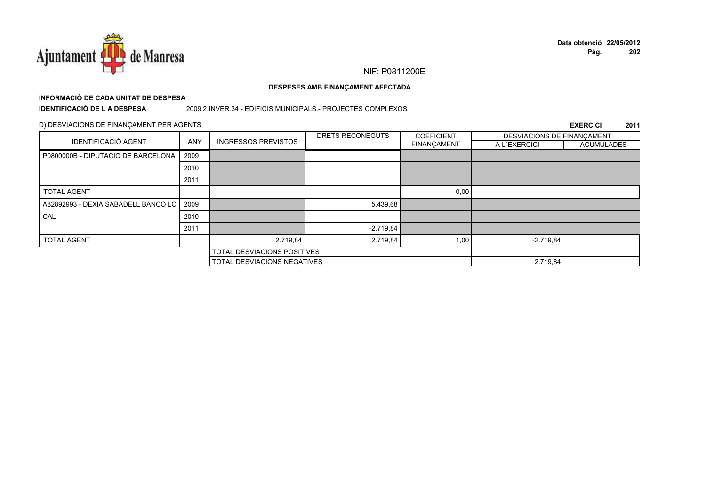

# **INFORMACIÓ DE CADA UNITAT DE DESPESA**

**IDENTIFICACIÓ DE L A DESPESA**

#### 2009.2.INVER.34 - EDIFICIS MUNICIPALS.- PROJECTES COMPLEXOS

#### D) DESVIACIONS DE FINANÇAMENT PER AGENTS

|                                          |            |                                    | DRETS RECONEGUTS | <b>COEFICIENT</b>  | DESVIACIONS DE FINANCAMENT |                   |
|------------------------------------------|------------|------------------------------------|------------------|--------------------|----------------------------|-------------------|
| <b>IDENTIFICACIÓ AGENT</b>               | <b>ANY</b> | <b>INGRESSOS PREVISTOS</b>         |                  | <b>FINANÇAMENT</b> | A L'EXERCICI               | <b>ACUMULADES</b> |
| P0800000B - DIPUTACIO DE BARCELONA       | 2009       |                                    |                  |                    |                            |                   |
|                                          | 2010       |                                    |                  |                    |                            |                   |
|                                          | 2011       |                                    |                  |                    |                            |                   |
| <b>TOTAL AGENT</b>                       |            |                                    |                  | 0,00               |                            |                   |
| A82892993 - DEXIA SABADELL BANCO LO 2009 |            |                                    | 5.439.68         |                    |                            |                   |
| CAL                                      | 2010       |                                    |                  |                    |                            |                   |
|                                          | 2011       |                                    | $-2.719.84$      |                    |                            |                   |
| <b>TOTAL AGENT</b>                       |            | 2.719,84                           | 2.719,84         | 1,00               | $-2.719.84$                |                   |
|                                          |            | <b>TOTAL DESVIACIONS POSITIVES</b> |                  |                    |                            |                   |
|                                          |            | <b>TOTAL DESVIACIONS NEGATIVES</b> |                  |                    | 2.719,84                   |                   |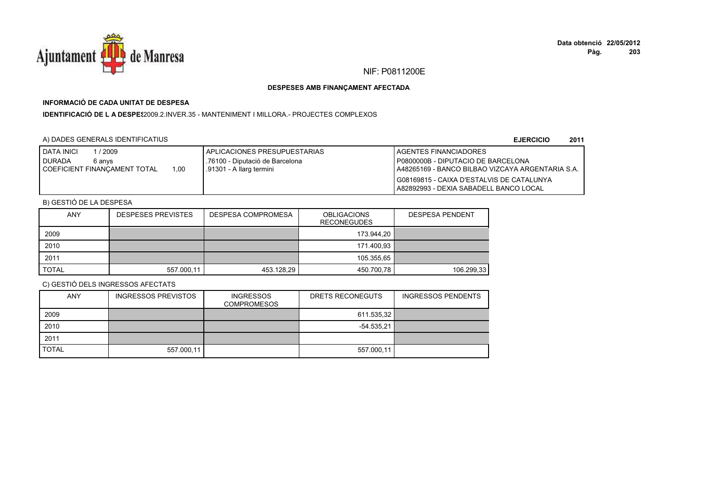

## **INFORMACIÓ DE CADA UNITAT DE DESPESA**

**IDENTIFICACIÓ DE L A DESPE\$**2009.2.INVER.35 - MANTENIMENT I MILLORA.- PROJECTES COMPLEXOS

### A) DADES GENERALS IDENTIFICATIUS

**EJERCICIO<sup>2011</sup>**

| <b>DATA INICI</b><br>1 / 2009<br><b>I</b> DURADA<br>6 anvs<br>1.00<br>I COEFICIENT FINANCAMENT TOTAL | I APLICACIONES PRESUPUESTARIAS<br>.76100 - Diputació de Barcelona<br>.91301 - A llarg termini | <b>I AGENTES FINANCIADORES</b><br>P0800000B - DIPUTACIO DE BARCELONA<br>I A48265169 - BANCO BILBAO VIZCAYA ARGENTARIA S.A.<br>G08169815 - CAIXA D'ESTALVIS DE CATALUNYA |
|------------------------------------------------------------------------------------------------------|-----------------------------------------------------------------------------------------------|-------------------------------------------------------------------------------------------------------------------------------------------------------------------------|
|                                                                                                      |                                                                                               | A82892993 - DEXIA SABADELL BANCO LOCAL                                                                                                                                  |

## B) GESTIÓ DE LA DESPESA

| <b>ANY</b>   | <b>DESPESES PREVISTES</b> | DESPESA COMPROMESA | <b>OBLIGACIONS</b><br><b>RECONEGUDES</b> | <b>DESPESA PENDENT</b> |
|--------------|---------------------------|--------------------|------------------------------------------|------------------------|
| 2009         |                           |                    | 173.944.20                               |                        |
| 2010         |                           |                    | 171.400,93                               |                        |
| 2011         |                           |                    | 105.355.65                               |                        |
| <b>TOTAL</b> | 557.000,11                | 453.128,29         | 450.700,78                               | 106.299,33             |

| <b>ANY</b>   | <b>INGRESSOS PREVISTOS</b> | <b>INGRESSOS</b><br><b>COMPROMESOS</b> | DRETS RECONEGUTS | <b>INGRESSOS PENDENTS</b> |
|--------------|----------------------------|----------------------------------------|------------------|---------------------------|
| 2009         |                            |                                        | 611.535,32       |                           |
| 2010         |                            |                                        | $-54.535.21$     |                           |
| 2011         |                            |                                        |                  |                           |
| <b>TOTAL</b> | 557.000,11                 |                                        | 557.000,11       |                           |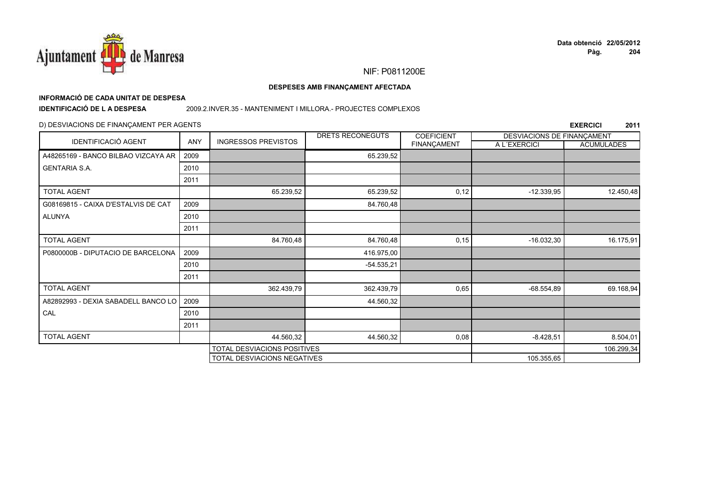

#### DESPESES AMB FINANÇAMENT AFECTADA

# INFORMACIÓ DE CADA UNITAT DE DESPESA

**IDENTIFICACIÓ DE LA DESPESA** 

#### 2009.2.INVER.35 - MANTENIMENT I MILLORA.- PROJECTES COMPLEXOS

### D) DESVIACIONS DE FINANÇAMENT PER AGENTS

|                                     |      |                             | DRETS RECONEGUTS | <b>COEFICIENT</b>  | DESVIACIONS DE FINANCAMENT |                   |
|-------------------------------------|------|-----------------------------|------------------|--------------------|----------------------------|-------------------|
| <b>IDENTIFICACIÓ AGENT</b>          | ANY  | <b>INGRESSOS PREVISTOS</b>  |                  | <b>FINANÇAMENT</b> | A L'EXERCICI               | <b>ACUMULADES</b> |
| A48265169 - BANCO BILBAO VIZCAYA AR | 2009 |                             | 65.239,52        |                    |                            |                   |
| <b>GENTARIA S.A.</b>                | 2010 |                             |                  |                    |                            |                   |
|                                     | 2011 |                             |                  |                    |                            |                   |
| <b>TOTAL AGENT</b>                  |      | 65.239,52                   | 65.239,52        | 0,12               | $-12.339,95$               | 12.450,48         |
| G08169815 - CAIXA D'ESTALVIS DE CAT | 2009 |                             | 84.760,48        |                    |                            |                   |
| <b>ALUNYA</b>                       | 2010 |                             |                  |                    |                            |                   |
|                                     | 2011 |                             |                  |                    |                            |                   |
| <b>TOTAL AGENT</b>                  |      | 84.760,48                   | 84.760,48        | 0,15               | $-16.032,30$               | 16.175,91         |
| P0800000B - DIPUTACIO DE BARCELONA  | 2009 |                             | 416.975,00       |                    |                            |                   |
|                                     | 2010 |                             | $-54.535,21$     |                    |                            |                   |
|                                     | 2011 |                             |                  |                    |                            |                   |
| <b>TOTAL AGENT</b>                  |      | 362.439,79                  | 362.439,79       | 0,65               | $-68.554.89$               | 69.168,94         |
| A82892993 - DEXIA SABADELL BANCO LO | 2009 |                             | 44.560,32        |                    |                            |                   |
| CAL                                 | 2010 |                             |                  |                    |                            |                   |
|                                     | 2011 |                             |                  |                    |                            |                   |
| <b>TOTAL AGENT</b>                  |      | 44.560,32                   | 44.560,32        | 0,08               | $-8.428,51$                | 8.504,01          |
|                                     |      | TOTAL DESVIACIONS POSITIVES |                  |                    |                            | 106.299,34        |
|                                     |      | TOTAL DESVIACIONS NEGATIVES |                  |                    | 105.355,65                 |                   |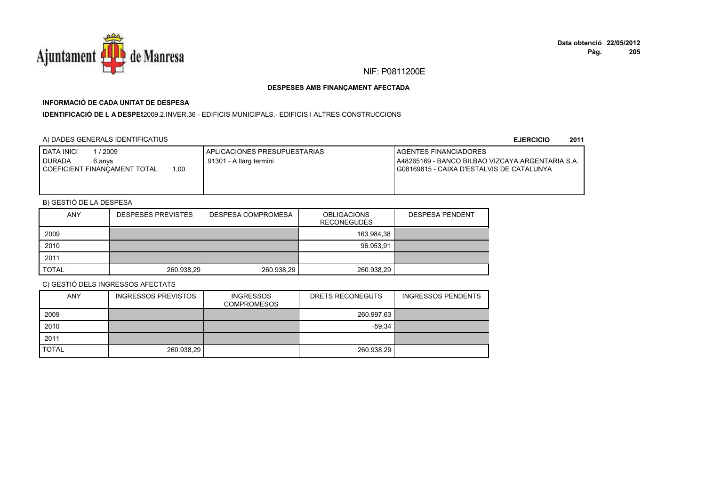

## **INFORMACIÓ DE CADA UNITAT DE DESPESA**

**IDENTIFICACIÓ DE L A DESPES**2009.2.INVER.36 - EDIFICIS MUNICIPALS.- EDIFICIS I ALTRES CONSTRUCCIONS

### A) DADES GENERALS IDENTIFICATIUS

**EJERCICIO<sup>2011</sup>**

| 2009<br><b>I DATA INICI</b><br><b>DURADA</b><br>6 anvs | I APLICACIONES PRESUPUESTARIAS<br>.91301 - A llarg termini | <b>I AGENTES FINANCIADORES</b><br>LA48265169 - BANCO BILBAO VIZCAYA ARGENTARIA S.A. |
|--------------------------------------------------------|------------------------------------------------------------|-------------------------------------------------------------------------------------|
| 1.00<br>I COEFICIENT FINANCAMENT TOTAL                 |                                                            | I G08169815 - CAIXA D'ESTALVIS DE CATALUNYA                                         |

## B) GESTIÓ DE LA DESPESA

| <b>ANY</b>   | <b>DESPESES PREVISTES</b> | DESPESA COMPROMESA | <b>OBLIGACIONS</b><br><b>RECONEGUDES</b> | <b>DESPESA PENDENT</b> |
|--------------|---------------------------|--------------------|------------------------------------------|------------------------|
| 2009         |                           |                    | 163.984,38                               |                        |
| 2010         |                           |                    | 96.953.91                                |                        |
| 2011         |                           |                    |                                          |                        |
| <b>TOTAL</b> | 260.938,29                | 260.938,29         | 260.938,29                               |                        |

| <b>ANY</b>   | <b>INGRESSOS PREVISTOS</b> | <b>INGRESSOS</b><br><b>COMPROMESOS</b> | DRETS RECONEGUTS | <b>INGRESSOS PENDENTS</b> |
|--------------|----------------------------|----------------------------------------|------------------|---------------------------|
| 2009         |                            |                                        | 260.997,63       |                           |
| 2010         |                            |                                        | $-59.34$         |                           |
| 2011         |                            |                                        |                  |                           |
| <b>TOTAL</b> | 260.938,29                 |                                        | 260.938,29       |                           |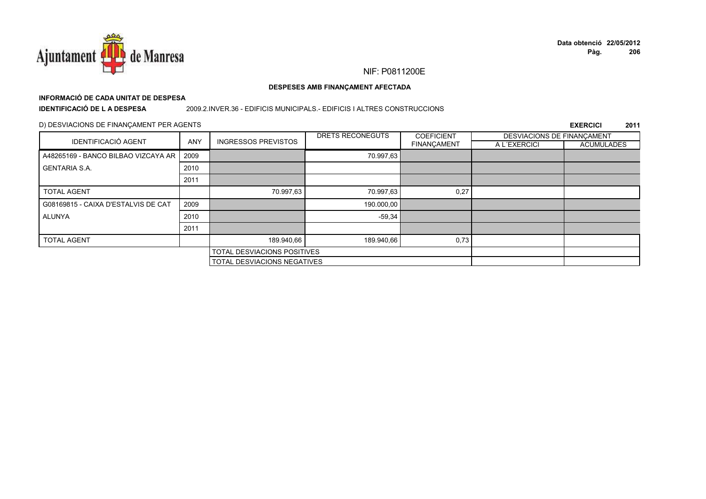

# **INFORMACIÓ DE CADA UNITAT DE DESPESA**

**IDENTIFICACIÓ DE L A DESPESA**

#### 2009.2.INVER.36 - EDIFICIS MUNICIPALS.- EDIFICIS I ALTRES CONSTRUCCIONS

### D) DESVIACIONS DE FINANÇAMENT PER AGENTS

|                                     |            |                                    | DRETS RECONEGUTS | <b>COEFICIENT</b>  | DESVIACIONS DE FINANCAMENT |                   |
|-------------------------------------|------------|------------------------------------|------------------|--------------------|----------------------------|-------------------|
| <b>IDENTIFICACIÓ AGENT</b>          | <b>ANY</b> | <b>INGRESSOS PREVISTOS</b>         |                  | <b>FINANÇAMENT</b> | A L'EXERCICI               | <b>ACUMULADES</b> |
| A48265169 - BANCO BILBAO VIZCAYA AR | 2009       |                                    | 70.997,63        |                    |                            |                   |
| <b>GENTARIA S.A.</b>                | 2010       |                                    |                  |                    |                            |                   |
|                                     | 2011       |                                    |                  |                    |                            |                   |
| <b>TOTAL AGENT</b>                  |            | 70.997,63                          | 70.997,63        | 0,27               |                            |                   |
| G08169815 - CAIXA D'ESTALVIS DE CAT | 2009       |                                    | 190.000,00       |                    |                            |                   |
| ALUNYA                              | 2010       |                                    | $-59,34$         |                    |                            |                   |
|                                     | 2011       |                                    |                  |                    |                            |                   |
| <b>TOTAL AGENT</b>                  |            | 189.940.66                         | 189.940,66       | 0,73               |                            |                   |
|                                     |            | TOTAL DESVIACIONS POSITIVES        |                  |                    |                            |                   |
|                                     |            | <b>TOTAL DESVIACIONS NEGATIVES</b> |                  |                    |                            |                   |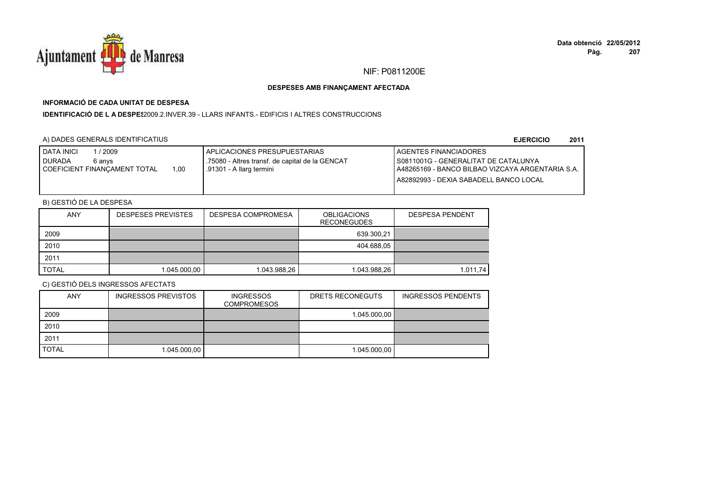

## **INFORMACIÓ DE CADA UNITAT DE DESPESA**

**IDENTIFICACIÓ DE L A DESPES**2009.2.INVER.39 - LLARS INFANTS.- EDIFICIS I ALTRES CONSTRUCCIONS

### A) DADES GENERALS IDENTIFICATIUS

**EJERCICIO<sup>2011</sup>**

| <b>DATA INICI</b><br>2009            | I APLICACIONES PRESUPUESTARIAS                  | AGENTES FINANCIADORES                             |
|--------------------------------------|-------------------------------------------------|---------------------------------------------------|
| <b>DURADA</b><br>6 anvs              | .75080 - Altres transf. de capital de la GENCAT | I S0811001G - GENERALITAT DE CATALUNYA            |
| 1.00<br>COEFICIENT FINANCAMENT TOTAL | .91301 - A llarg termini                        | LA48265169 - BANCO BILBAO VIZCAYA ARGENTARIA S.A. |
|                                      |                                                 | A82892993 - DEXIA SABADELL BANCO LOCAL            |
|                                      |                                                 |                                                   |

## B) GESTIÓ DE LA DESPESA

| <b>ANY</b>   | <b>DESPESES PREVISTES</b> | DESPESA COMPROMESA | <b>OBLIGACIONS</b><br><b>RECONEGUDES</b> | <b>DESPESA PENDENT</b> |
|--------------|---------------------------|--------------------|------------------------------------------|------------------------|
| 2009         |                           |                    | 639.300.21                               |                        |
| 2010         |                           |                    | 404.688,05                               |                        |
| 2011         |                           |                    |                                          |                        |
| <b>TOTAL</b> | 1.045.000,00              | 1.043.988,26       | 1.043.988,26                             | 1.011.74               |

| <b>ANY</b>   | <b>INGRESSOS PREVISTOS</b> | <b>INGRESSOS</b><br><b>COMPROMESOS</b> | DRETS RECONEGUTS | <b>INGRESSOS PENDENTS</b> |
|--------------|----------------------------|----------------------------------------|------------------|---------------------------|
| 2009         |                            |                                        | 1.045.000,00     |                           |
| 2010         |                            |                                        |                  |                           |
| 2011         |                            |                                        |                  |                           |
| <b>TOTAL</b> | 1.045.000,00               |                                        | 1.045.000.00     |                           |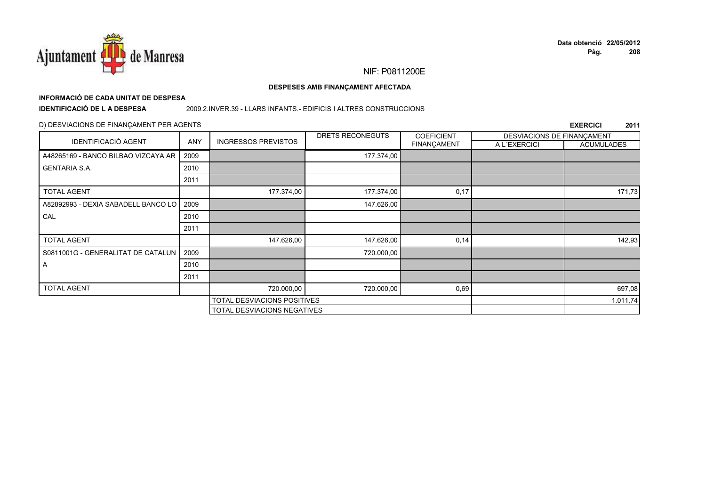

#### DESPESES AMB FINANÇAMENT AFECTADA

## INFORMACIÓ DE CADA UNITAT DE DESPESA

**IDENTIFICACIÓ DE LA DESPESA** 

#### 2009.2.INVER.39 - LLARS INFANTS.- EDIFICIS I ALTRES CONSTRUCCIONS

### D) DESVIACIONS DE FINANÇAMENT PER AGENTS

| <b>IDENTIFICACIÓ AGENT</b>          |            |                                    | DRETS RECONEGUTS | <b>COEFICIENT</b>  | DESVIACIONS DE FINANCAMENT |                   |
|-------------------------------------|------------|------------------------------------|------------------|--------------------|----------------------------|-------------------|
|                                     | <b>ANY</b> | <b>INGRESSOS PREVISTOS</b>         |                  | <b>FINANÇAMENT</b> | A L'EXERCICI               | <b>ACUMULADES</b> |
| A48265169 - BANCO BILBAO VIZCAYA AR | 2009       |                                    | 177.374,00       |                    |                            |                   |
| <b>GENTARIA S.A.</b>                | 2010       |                                    |                  |                    |                            |                   |
|                                     | 2011       |                                    |                  |                    |                            |                   |
| <b>TOTAL AGENT</b>                  |            | 177.374,00                         | 177.374,00       | 0,17               |                            | 171,73            |
| A82892993 - DEXIA SABADELL BANCO LO | 2009       |                                    | 147.626,00       |                    |                            |                   |
| CAL                                 | 2010       |                                    |                  |                    |                            |                   |
|                                     | 2011       |                                    |                  |                    |                            |                   |
| <b>TOTAL AGENT</b>                  |            | 147.626,00                         | 147.626,00       | 0,14               |                            | 142,93            |
| S0811001G - GENERALITAT DE CATALUN  | 2009       |                                    | 720.000,00       |                    |                            |                   |
| A                                   | 2010       |                                    |                  |                    |                            |                   |
|                                     | 2011       |                                    |                  |                    |                            |                   |
| <b>TOTAL AGENT</b>                  |            | 720.000,00                         | 720.000,00       | 0,69               |                            | 697,08            |
|                                     |            | <b>TOTAL DESVIACIONS POSITIVES</b> |                  |                    |                            | 1.011,74          |
|                                     |            | TOTAL DESVIACIONS NEGATIVES        |                  |                    |                            |                   |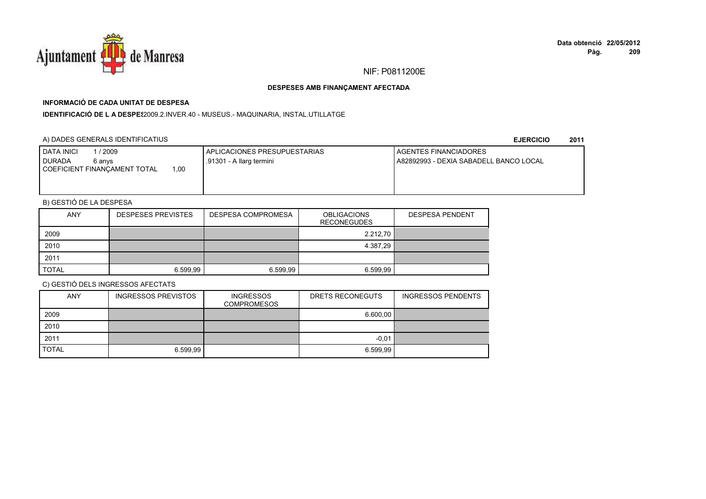

## **INFORMACIÓ DE CADA UNITAT DE DESPESA**

IDENTIFICACIÓ DE L A DESPE\$2009.2.INVER.40 - MUSEUS.- MAQUINARIA, INSTAL.UTILLATGE

### A) DADES GENERALS IDENTIFICATIUS

**EJERCICIO<sup>2011</sup>**

| 2009<br><b>DATA INICI</b><br><b>DURADA</b><br>6 anvs | I APLICACIONES PRESUPUESTARIAS<br>.91301 - A llarg termini | <b>I AGENTES FINANCIADORES</b><br>A82892993 - DEXIA SABADELL BANCO LOCAL |
|------------------------------------------------------|------------------------------------------------------------|--------------------------------------------------------------------------|
| .00<br>COEFICIENT FINANCAMENT TOTAL                  |                                                            |                                                                          |
|                                                      |                                                            |                                                                          |

## B) GESTIÓ DE LA DESPESA

| <b>ANY</b>   | <b>DESPESES PREVISTES</b> | DESPESA COMPROMESA | <b>OBLIGACIONS</b><br><b>RECONEGUDES</b> | <b>DESPESA PENDENT</b> |
|--------------|---------------------------|--------------------|------------------------------------------|------------------------|
| 2009         |                           |                    | 2.212,70                                 |                        |
| 2010         |                           |                    | 4.387,29                                 |                        |
| 2011         |                           |                    |                                          |                        |
| <b>TOTAL</b> | 6.599.99                  | 6.599.99           | 6.599.99                                 |                        |

| <b>ANY</b>   | <b>INGRESSOS PREVISTOS</b> | <b>INGRESSOS</b><br><b>COMPROMESOS</b> | DRETS RECONEGUTS | <b>INGRESSOS PENDENTS</b> |
|--------------|----------------------------|----------------------------------------|------------------|---------------------------|
| 2009         |                            |                                        | 6.600,00         |                           |
| 2010         |                            |                                        |                  |                           |
| 2011         |                            |                                        | $-0.01$          |                           |
| <b>TOTAL</b> | 6.599,99                   |                                        | 6.599,99         |                           |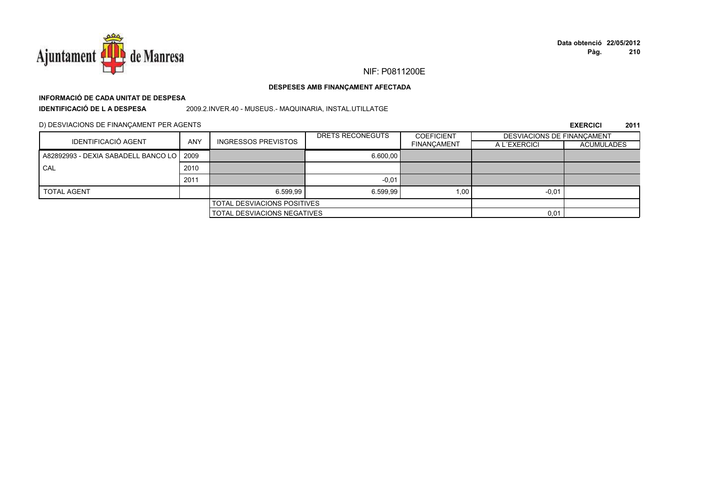

#### DESPESES AMB FINANÇAMENT AFECTADA

## INFORMACIÓ DE CADA UNITAT DE DESPESA

**IDENTIFICACIÓ DE LA DESPESA** 

2009.2.INVER.40 - MUSEUS.- MAQUINARIA, INSTAL.UTILLATGE

D) DESVIACIONS DE FINANÇAMENT PER AGENTS

|                                            |                                    |                            | DRETS RECONEGUTS | <b>COEFICIENT</b>  |              | DESVIACIONS DE FINANCAMENT |  |
|--------------------------------------------|------------------------------------|----------------------------|------------------|--------------------|--------------|----------------------------|--|
| <b>IDENTIFICACIÓ AGENT</b>                 | <b>ANY</b>                         | <b>INGRESSOS PREVISTOS</b> |                  | <b>FINANCAMENT</b> | A L'EXERCICI | ACUMULADES                 |  |
| A82892993 - DEXIA SABADELL BANCO LO   2009 |                                    |                            | 6,600.00         |                    |              |                            |  |
| CAL                                        | 2010                               |                            |                  |                    |              |                            |  |
|                                            | 2011                               |                            | $-0.01$          |                    |              |                            |  |
| <b>TOTAL AGENT</b>                         |                                    | 6.599.99                   | 6.599.99         | 1,00               | $-0.01$      |                            |  |
| TOTAL DESVIACIONS POSITIVES                |                                    |                            |                  |                    |              |                            |  |
|                                            | <b>TOTAL DESVIACIONS NEGATIVES</b> |                            |                  | 0,01               |              |                            |  |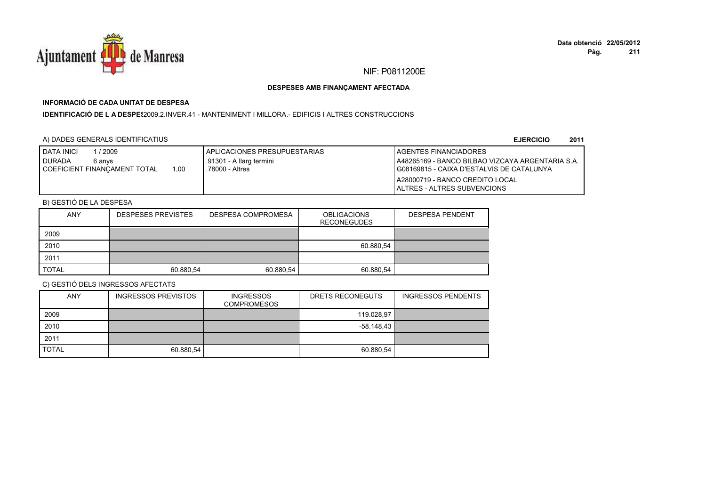

## **INFORMACIÓ DE CADA UNITAT DE DESPESA**

**IDENTIFICACIÓ DE L A DESPES**2009.2.INVER.41 - MANTENIMENT I MILLORA.- EDIFICIS I ALTRES CONSTRUCCIONS

### A) DADES GENERALS IDENTIFICATIUS

**EJERCICIO<sup>2011</sup>**

| <b>I DATA INICI</b><br>2009    |      | APLICACIONES PRESUPUESTARIAS | <b>AGENTES FINANCIADORES</b>                      |
|--------------------------------|------|------------------------------|---------------------------------------------------|
| <b>DURADA</b><br>6 anvs        |      | .91301 - A llarg termini     | LA48265169 - BANCO BILBAO VIZCAYA ARGENTARIA S.A. |
| I COEFICIENT FINANCAMENT TOTAL | 0.00 | .78000 - Altres              | I G08169815 - CAIXA D'ESTALVIS DE CATALUNYA       |
|                                |      |                              | LA28000719 - BANCO CREDITO LOCAL                  |
|                                |      |                              | <b>IALTRES - ALTRES SUBVENCIONS</b>               |

## B) GESTIÓ DE LA DESPESA

| <b>ANY</b>   | <b>DESPESES PREVISTES</b> | DESPESA COMPROMESA | <b>OBLIGACIONS</b><br><b>RECONEGUDES</b> | <b>DESPESA PENDENT</b> |
|--------------|---------------------------|--------------------|------------------------------------------|------------------------|
| 2009         |                           |                    |                                          |                        |
| 2010         |                           |                    | 60.880,54                                |                        |
| 2011         |                           |                    |                                          |                        |
| <b>TOTAL</b> | 60.880.54                 | 60.880,54          | 60.880.54                                |                        |

| <b>ANY</b>   | <b>INGRESSOS PREVISTOS</b> | <b>INGRESSOS</b><br><b>COMPROMESOS</b> | DRETS RECONEGUTS | <b>INGRESSOS PENDENTS</b> |
|--------------|----------------------------|----------------------------------------|------------------|---------------------------|
| 2009         |                            |                                        | 119.028,97       |                           |
| 2010         |                            |                                        | $-58.148.43$     |                           |
| 2011         |                            |                                        |                  |                           |
| <b>TOTAL</b> | 60.880,54                  |                                        | 60.880,54        |                           |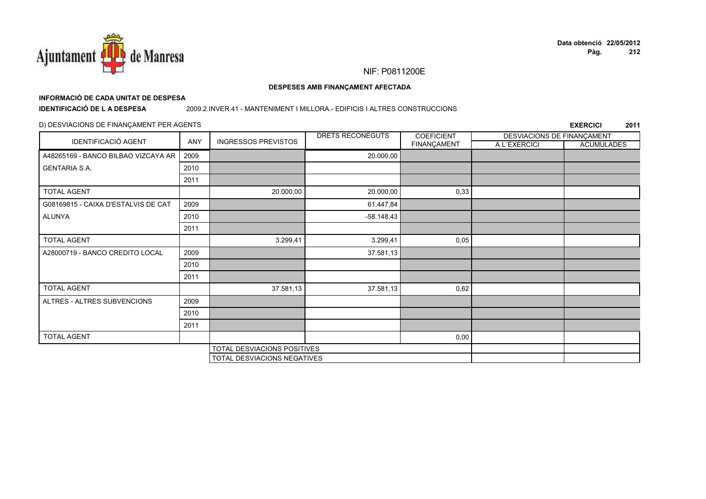

#### DESPESES AMB FINANÇAMENT AFECTADA

# INFORMACIÓ DE CADA UNITAT DE DESPESA

**IDENTIFICACIÓ DE LA DESPESA** 

#### 2009.2.INVER.41 - MANTENIMENT I MILLORA.- EDIFICIS I ALTRES CONSTRUCCIONS

### D) DESVIACIONS DE FINANÇAMENT PER AGENTS

|                                     |      |                                    | DRETS RECONEGUTS | <b>COEFICIENT</b> | DESVIACIONS DE FINANÇAMENT |                   |
|-------------------------------------|------|------------------------------------|------------------|-------------------|----------------------------|-------------------|
| <b>IDENTIFICACIÓ AGENT</b>          | ANY  | <b>INGRESSOS PREVISTOS</b>         |                  | FINANÇAMENT       | A L'EXERCICI               | <b>ACUMULADES</b> |
| A48265169 - BANCO BILBAO VIZCAYA AR | 2009 |                                    | 20.000,00        |                   |                            |                   |
| <b>GENTARIA S.A.</b>                | 2010 |                                    |                  |                   |                            |                   |
|                                     | 2011 |                                    |                  |                   |                            |                   |
| <b>TOTAL AGENT</b>                  |      | 20.000,00                          | 20.000,00        | 0,33              |                            |                   |
| G08169815 - CAIXA D'ESTALVIS DE CAT | 2009 |                                    | 61.447,84        |                   |                            |                   |
| ALUNYA                              | 2010 |                                    | $-58.148,43$     |                   |                            |                   |
|                                     | 2011 |                                    |                  |                   |                            |                   |
| <b>TOTAL AGENT</b>                  |      | 3.299,41                           | 3.299,41         | 0,05              |                            |                   |
| A28000719 - BANCO CREDITO LOCAL     | 2009 |                                    | 37.581,13        |                   |                            |                   |
|                                     | 2010 |                                    |                  |                   |                            |                   |
|                                     | 2011 |                                    |                  |                   |                            |                   |
| <b>TOTAL AGENT</b>                  |      | 37.581,13                          | 37.581,13        | 0,62              |                            |                   |
| ALTRES - ALTRES SUBVENCIONS         | 2009 |                                    |                  |                   |                            |                   |
|                                     | 2010 |                                    |                  |                   |                            |                   |
|                                     | 2011 |                                    |                  |                   |                            |                   |
| <b>TOTAL AGENT</b>                  |      |                                    |                  | 0,00              |                            |                   |
| TOTAL DESVIACIONS POSITIVES         |      |                                    |                  |                   |                            |                   |
|                                     |      | <b>TOTAL DESVIACIONS NEGATIVES</b> |                  |                   |                            |                   |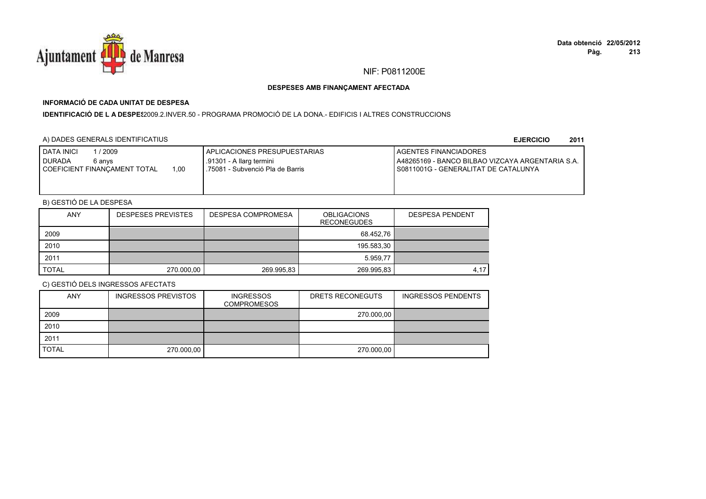

## **INFORMACIÓ DE CADA UNITAT DE DESPESA**

**IDENTIFICACIÓ DE L A DESPES**2009.2.INVER.50 - PROGRAMA PROMOCIÓ DE LA DONA.- EDIFICIS I ALTRES CONSTRUCCIONS

## A) DADES GENERALS IDENTIFICATIUS

**EJERCICIO<sup>2011</sup>**

| <b>I DATA INICI</b><br>/ 2009<br><b>I DURADA</b><br>6 anvs<br>1.00<br>I COEFICIENT FINANCAMENT TOTAL | APLICACIONES PRESUPUESTARIAS<br>.91301 - A llarg termini<br>.75081 - Subvenció Pla de Barris | <b>I AGENTES FINANCIADORES</b><br>LA48265169 - BANCO BILBAO VIZCAYA ARGENTARIA S.A.<br>I S0811001G - GENERALITAT DE CATALUNYA |
|------------------------------------------------------------------------------------------------------|----------------------------------------------------------------------------------------------|-------------------------------------------------------------------------------------------------------------------------------|
|------------------------------------------------------------------------------------------------------|----------------------------------------------------------------------------------------------|-------------------------------------------------------------------------------------------------------------------------------|

## B) GESTIÓ DE LA DESPESA

| <b>ANY</b>   | <b>DESPESES PREVISTES</b> | <b>DESPESA COMPROMESA</b> | <b>OBLIGACIONS</b><br><b>RECONEGUDES</b> | <b>DESPESA PENDENT</b> |
|--------------|---------------------------|---------------------------|------------------------------------------|------------------------|
| 2009         |                           |                           | 68.452.76                                |                        |
| 2010         |                           |                           | 195.583,30                               |                        |
| 2011         |                           |                           | 5.959.77                                 |                        |
| <b>TOTAL</b> | 270.000,00                | 269.995,83                | 269.995,83                               | 4.17                   |

| <b>ANY</b>   | <b>INGRESSOS PREVISTOS</b> | <b>INGRESSOS</b><br><b>COMPROMESOS</b> | DRETS RECONEGUTS | <b>INGRESSOS PENDENTS</b> |
|--------------|----------------------------|----------------------------------------|------------------|---------------------------|
| 2009         |                            |                                        | 270.000,00       |                           |
| 2010         |                            |                                        |                  |                           |
| 2011         |                            |                                        |                  |                           |
| <b>TOTAL</b> | 270.000,00                 |                                        | 270.000,00       |                           |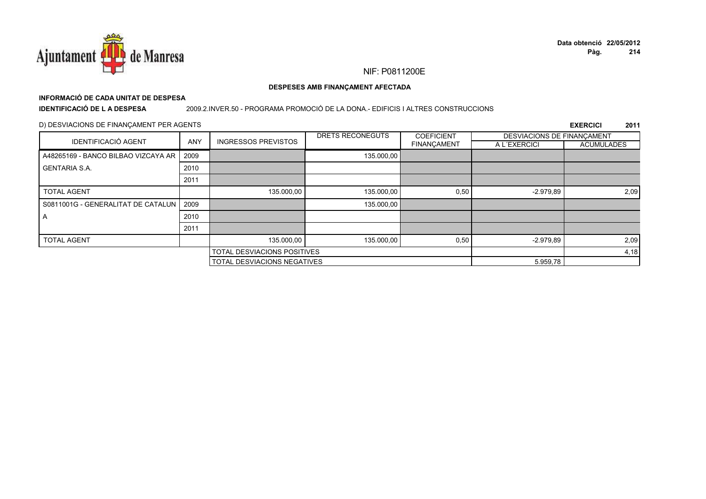

# **INFORMACIÓ DE CADA UNITAT DE DESPESA**

**IDENTIFICACIÓ DE L A DESPESA**

#### 2009.2.INVER.50 - PROGRAMA PROMOCIÓ DE LA DONA.- EDIFICIS I ALTRES CONSTRUCCIONS

### D) DESVIACIONS DE FINANÇAMENT PER AGENTS

|                                     |            |                             | DRETS RECONEGUTS                   | <b>COEFICIENT</b> | DESVIACIONS DE FINANCAMENT |                   |
|-------------------------------------|------------|-----------------------------|------------------------------------|-------------------|----------------------------|-------------------|
| <b>IDENTIFICACIÓ AGENT</b>          | <b>ANY</b> | <b>INGRESSOS PREVISTOS</b>  |                                    | FINANÇAMENT       | A L'EXERCICI               | <b>ACUMULADES</b> |
| A48265169 - BANCO BILBAO VIZCAYA AR | 2009       |                             | 135.000,00                         |                   |                            |                   |
| <b>GENTARIA S.A.</b>                | 2010       |                             |                                    |                   |                            |                   |
|                                     | 2011       |                             |                                    |                   |                            |                   |
| <b>TOTAL AGENT</b>                  |            | 135.000,00                  | 135.000,00                         | 0,50              | $-2.979.89$                | 2,09              |
| S0811001G - GENERALITAT DE CATALUN  | 2009       |                             | 135.000,00                         |                   |                            |                   |
| A                                   | 2010       |                             |                                    |                   |                            |                   |
|                                     | 2011       |                             |                                    |                   |                            |                   |
| <b>TOTAL AGENT</b>                  |            | 135.000.00                  | 135.000.00                         | 0,50              | $-2.979.89$                | 2,09              |
|                                     |            | TOTAL DESVIACIONS POSITIVES |                                    |                   |                            | 4,18              |
|                                     |            |                             | <b>TOTAL DESVIACIONS NEGATIVES</b> |                   |                            |                   |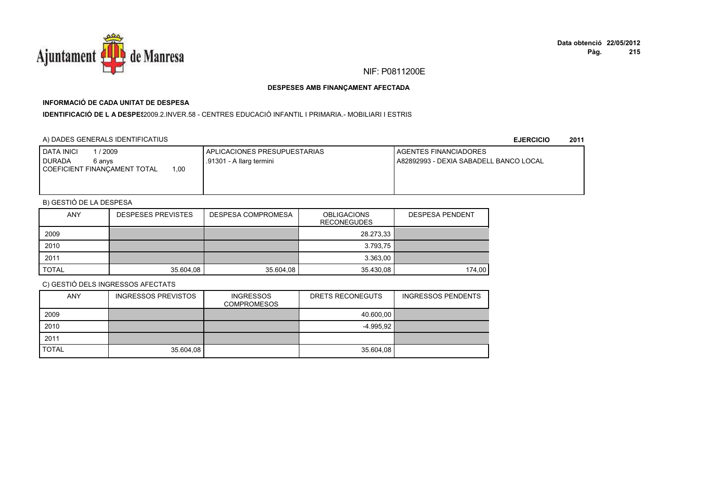

## **INFORMACIÓ DE CADA UNITAT DE DESPESA**

I**DENTIFICACIÓ DE L A DESPE**\$2009.2.INVER.58 - CENTRES EDUCACIÓ INFANTIL I PRIMARIA.- MOBILIARI I ESTRIS

### A) DADES GENERALS IDENTIFICATIUS

**EJERCICIO<sup>2011</sup>**

| <b>I DATA INICI</b><br>1 / 2009<br><b>I DURADA</b><br>6 anvs<br>0.00<br>COEFICIENT FINANCAMENT TOTAL | APLICACIONES PRESUPUESTARIAS<br>.91301 - A llarg termini | AGENTES FINANCIADORES<br>A82892993 - DEXIA SABADELL BANCO LOCAL |
|------------------------------------------------------------------------------------------------------|----------------------------------------------------------|-----------------------------------------------------------------|
|                                                                                                      |                                                          |                                                                 |

## B) GESTIÓ DE LA DESPESA

| <b>ANY</b>   | <b>DESPESES PREVISTES</b> | DESPESA COMPROMESA | <b>OBLIGACIONS</b><br><b>RECONEGUDES</b> | <b>DESPESA PENDENT</b> |
|--------------|---------------------------|--------------------|------------------------------------------|------------------------|
| 2009         |                           |                    | 28.273,33                                |                        |
| 2010         |                           |                    | 3.793,75                                 |                        |
| 2011         |                           |                    | 3.363,00                                 |                        |
| <b>TOTAL</b> | 35.604,08                 | 35.604,08          | 35.430,08                                | 174,00                 |

| <b>ANY</b>   | <b>INGRESSOS PREVISTOS</b> | <b>INGRESSOS</b><br><b>COMPROMESOS</b> | DRETS RECONEGUTS | <b>INGRESSOS PENDENTS</b> |
|--------------|----------------------------|----------------------------------------|------------------|---------------------------|
| 2009         |                            |                                        | 40.600,00        |                           |
| 2010         |                            |                                        | -4.995.92        |                           |
| 2011         |                            |                                        |                  |                           |
| <b>TOTAL</b> | 35.604,08                  |                                        | 35.604,08        |                           |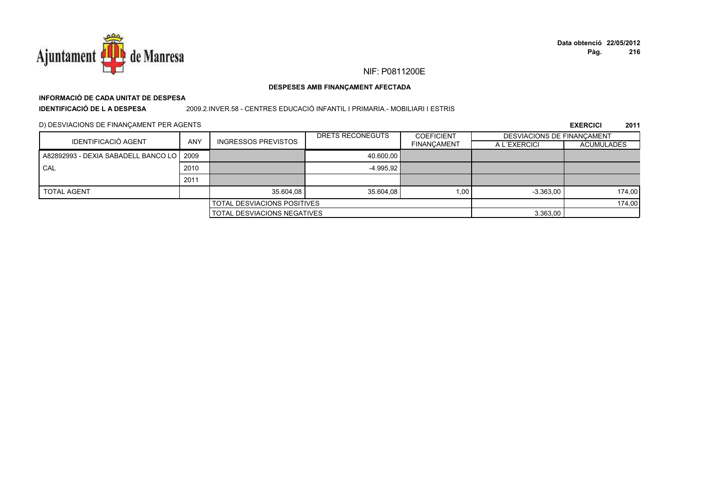

#### DESPESES AMB FINANÇAMENT AFECTADA

# INFORMACIÓ DE CADA UNITAT DE DESPESA

**IDENTIFICACIÓ DE LA DESPESA** 

#### 2009.2.INVER.58 - CENTRES EDUCACIÓ INFANTIL I PRIMARIA.- MOBILIARI I ESTRIS

### D) DESVIACIONS DE FINANÇAMENT PER AGENTS

| <b>IDENTIFICACIÓ AGENT</b>                 |                                    |                            | DRETS RECONEGUTS | <b>COEFICIENT</b>  | DESVIACIONS DE FINANCAMENT |                   |
|--------------------------------------------|------------------------------------|----------------------------|------------------|--------------------|----------------------------|-------------------|
|                                            | <b>ANY</b>                         | <b>INGRESSOS PREVISTOS</b> |                  | <b>FINANCAMENT</b> | A L'EXERCICI               | <b>ACUMULADES</b> |
| A82892993 - DEXIA SABADELL BANCO LO   2009 |                                    |                            | 40.600.00        |                    |                            |                   |
| CAL                                        | 2010                               |                            | $-4.995.92$      |                    |                            |                   |
|                                            | 2011                               |                            |                  |                    |                            |                   |
| <b>TOTAL AGENT</b>                         |                                    | 35.604.08                  | 35.604.08        | 1.00               | $-3.363.00$                | 174,00            |
| <b>TOTAL DESVIACIONS POSITIVES</b>         |                                    |                            |                  |                    |                            | 174,00            |
|                                            | <b>TOTAL DESVIACIONS NEGATIVES</b> |                            |                  | 3.363,00           |                            |                   |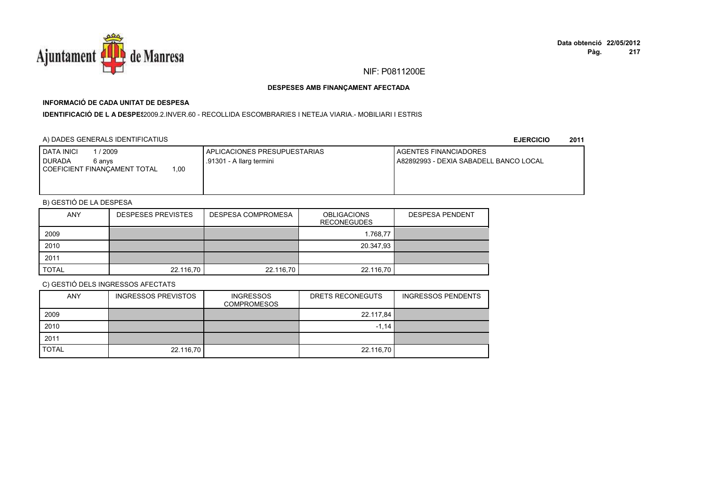

## **INFORMACIÓ DE CADA UNITAT DE DESPESA**

I**DENTIFICACIÓ DE L A DESPE**\$2009.2.INVER.60 - RECOLLIDA ESCOMBRARIES I NETEJA VIARIA.- MOBILIARI I ESTRIS

### A) DADES GENERALS IDENTIFICATIUS

**EJERCICIO<sup>2011</sup>**

| <b>DATA INICI</b><br>2009<br>I DURADA<br>6 anvs<br>00،،<br>COEFICIENT FINANCAMENT TOTAL | APLICACIONES PRESUPUESTARIAS<br>.91301 - A llarg termini | <b>I AGENTES FINANCIADORES</b><br>A82892993 - DEXIA SABADELL BANCO LOCAL |
|-----------------------------------------------------------------------------------------|----------------------------------------------------------|--------------------------------------------------------------------------|
|                                                                                         |                                                          |                                                                          |

## B) GESTIÓ DE LA DESPESA

| <b>ANY</b>   | <b>DESPESES PREVISTES</b> | DESPESA COMPROMESA | <b>OBLIGACIONS</b><br><b>RECONEGUDES</b> | <b>DESPESA PENDENT</b> |
|--------------|---------------------------|--------------------|------------------------------------------|------------------------|
| 2009         |                           |                    | 1.768.77                                 |                        |
| 2010         |                           |                    | 20.347,93                                |                        |
| 2011         |                           |                    |                                          |                        |
| <b>TOTAL</b> | 22.116,70                 | 22.116,70          | 22.116,70                                |                        |

| <b>ANY</b>   | <b>INGRESSOS PREVISTOS</b> | <b>INGRESSOS</b><br><b>COMPROMESOS</b> | DRETS RECONEGUTS | <b>INGRESSOS PENDENTS</b> |
|--------------|----------------------------|----------------------------------------|------------------|---------------------------|
| 2009         |                            |                                        | 22.117,84        |                           |
| 2010         |                            |                                        | $-1.14$          |                           |
| 2011         |                            |                                        |                  |                           |
| <b>TOTAL</b> | 22.116,70                  |                                        | 22.116,70        |                           |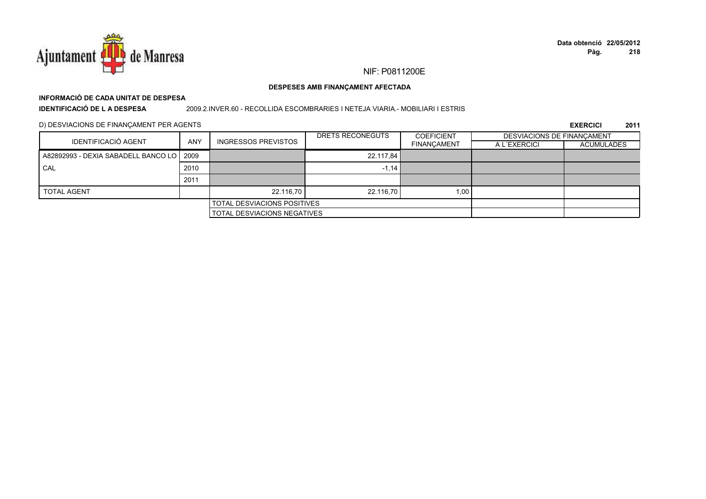

#### DESPESES AMB FINANÇAMENT AFECTADA

## INFORMACIÓ DE CADA UNITAT DE DESPESA **IDENTIFICACIÓ DE LA DESPESA**

#### 2009.2.INVER.60 - RECOLLIDA ESCOMBRARIES I NETEJA VIARIA.- MOBILIARI I ESTRIS

### D) DESVIACIONS DE FINANÇAMENT PER AGENTS

| IDENTIFICACIÓ AGENT                        |            |                            | DRETS RECONEGUTS | <b>COEFICIENT</b>  | DESVIACIONS DE FINANCAMENT |                   |
|--------------------------------------------|------------|----------------------------|------------------|--------------------|----------------------------|-------------------|
|                                            | <b>ANY</b> | <b>INGRESSOS PREVISTOS</b> |                  | <b>FINANCAMENT</b> | A L'EXERCICI               | <b>ACUMULADES</b> |
| A82892993 - DEXIA SABADELL BANCO LO   2009 |            |                            | 22.117.84        |                    |                            |                   |
| CAL                                        | 2010       |                            | $-1.14$          |                    |                            |                   |
|                                            | 2011       |                            |                  |                    |                            |                   |
| <b>TOTAL AGENT</b>                         |            | 22.116.70                  | 22.116.70        | 1,00               |                            |                   |
| <b>TOTAL DESVIACIONS POSITIVES</b>         |            |                            |                  |                    |                            |                   |
| <b>TOTAL DESVIACIONS NEGATIVES</b>         |            |                            |                  |                    |                            |                   |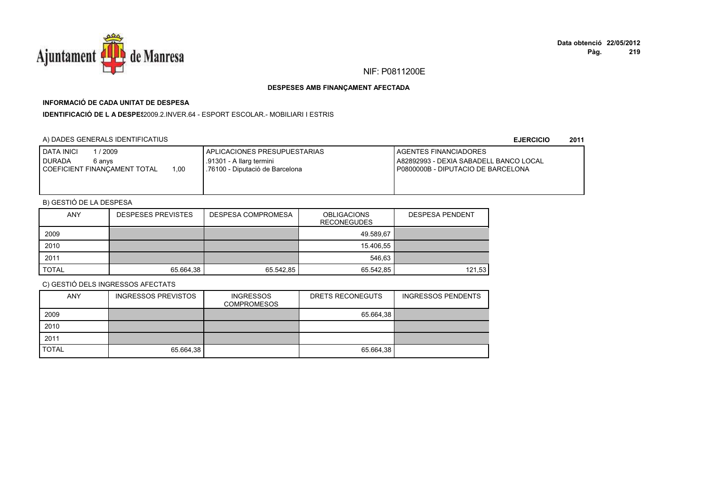

## **INFORMACIÓ DE CADA UNITAT DE DESPESA**

**IDENTIFICACIÓ DE L A DESPES**2009.2.INVER.64 - ESPORT ESCOLAR.- MOBILIARI I ESTRIS

### A) DADES GENERALS IDENTIFICATIUS

#### **EJERCICIO<sup>2011</sup>**

| <b>DATA INICI</b><br>/ 2009<br>I DURADA<br>6 anvs<br>1.00<br>COEFICIENT FINANCAMENT TOTAL | I APLICACIONES PRESUPUESTARIAS<br>.91301 - A llarg termini<br>76100 - Diputació de Barcelona | <b>I AGENTES FINANCIADORES</b><br>A82892993 - DEXIA SABADELL BANCO LOCAL<br>I P0800000B - DIPUTACIO DE BARCELONA |
|-------------------------------------------------------------------------------------------|----------------------------------------------------------------------------------------------|------------------------------------------------------------------------------------------------------------------|
|-------------------------------------------------------------------------------------------|----------------------------------------------------------------------------------------------|------------------------------------------------------------------------------------------------------------------|

## B) GESTIÓ DE LA DESPESA

| <b>ANY</b>   | <b>DESPESES PREVISTES</b> | DESPESA COMPROMESA | <b>OBLIGACIONS</b><br><b>RECONEGUDES</b> | <b>DESPESA PENDENT</b> |
|--------------|---------------------------|--------------------|------------------------------------------|------------------------|
| 2009         |                           |                    | 49.589.67                                |                        |
| 2010         |                           |                    | 15.406,55                                |                        |
| 2011         |                           |                    | 546.63                                   |                        |
| <b>TOTAL</b> | 65.664.38                 | 65.542,85          | 65.542,85                                | 121,53                 |

| <b>ANY</b>   | <b>INGRESSOS PREVISTOS</b> | <b>INGRESSOS</b><br><b>COMPROMESOS</b> | DRETS RECONEGUTS | <b>INGRESSOS PENDENTS</b> |
|--------------|----------------------------|----------------------------------------|------------------|---------------------------|
| 2009         |                            |                                        | 65.664,38        |                           |
| 2010         |                            |                                        |                  |                           |
| 2011         |                            |                                        |                  |                           |
| <b>TOTAL</b> | 65.664,38                  |                                        | 65.664,38        |                           |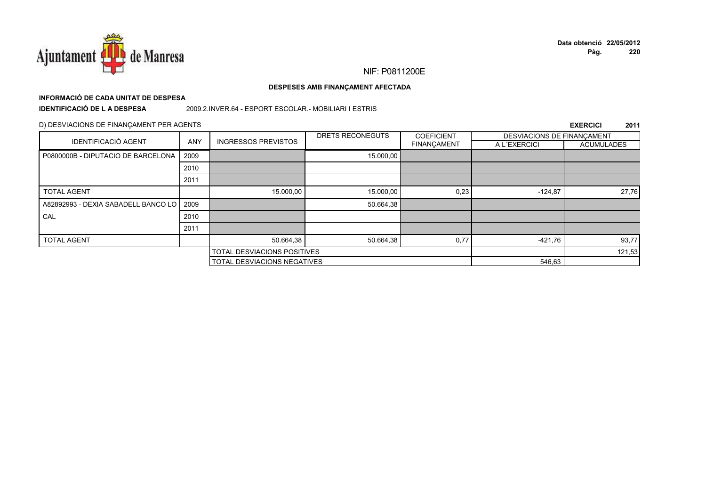

#### DESPESES AMB FINANÇAMENT AFECTADA

# INFORMACIÓ DE CADA UNITAT DE DESPESA

**IDENTIFICACIÓ DE LA DESPESA** 

2009.2.INVER.64 - ESPORT ESCOLAR.- MOBILIARI I ESTRIS

#### D) DESVIACIONS DE FINANÇAMENT PER AGENTS

|                                          |            |                             | DRETS RECONEGUTS                   | <b>COEFICIENT</b> | DESVIACIONS DE FINANCAMENT |                   |
|------------------------------------------|------------|-----------------------------|------------------------------------|-------------------|----------------------------|-------------------|
| <b>IDENTIFICACIÓ AGENT</b>               | <b>ANY</b> | <b>INGRESSOS PREVISTOS</b>  |                                    | FINANÇAMENT       | A L'EXERCICI               | <b>ACUMULADES</b> |
| P0800000B - DIPUTACIO DE BARCELONA       | 2009       |                             | 15.000,00                          |                   |                            |                   |
|                                          | 2010       |                             |                                    |                   |                            |                   |
|                                          | 2011       |                             |                                    |                   |                            |                   |
| <b>TOTAL AGENT</b>                       |            | 15.000,00                   | 15.000,00                          | 0,23              | $-124,87$                  | 27,76             |
| A82892993 - DEXIA SABADELL BANCO LO 2009 |            |                             | 50.664,38                          |                   |                            |                   |
| CAL                                      | 2010       |                             |                                    |                   |                            |                   |
|                                          | 2011       |                             |                                    |                   |                            |                   |
| <b>TOTAL AGENT</b>                       |            | 50.664,38                   | 50.664,38                          | 0,77              | $-421,76$                  | 93,77             |
|                                          |            | TOTAL DESVIACIONS POSITIVES |                                    |                   | 121,53                     |                   |
|                                          |            |                             | <b>TOTAL DESVIACIONS NEGATIVES</b> |                   |                            |                   |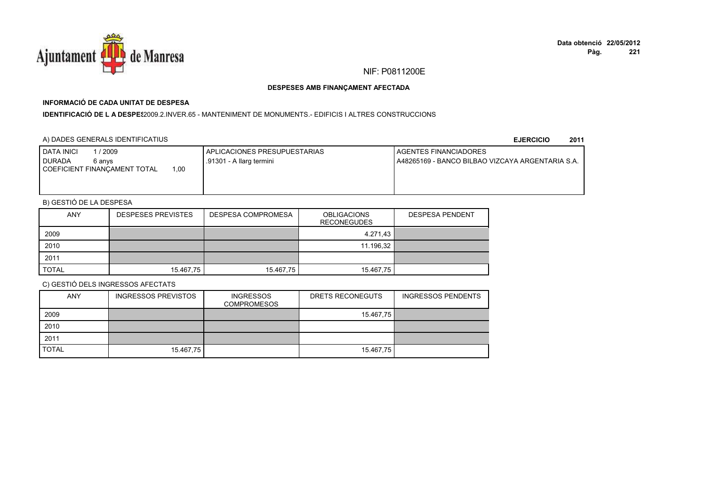

## **INFORMACIÓ DE CADA UNITAT DE DESPESA**

#### I**DENTIFICACIÓ DE L A DESPES**2009.2.INVER.65 - MANTENIMENT DE MONUMENTS.- EDIFICIS I ALTRES CONSTRUCCIONS

### A) DADES GENERALS IDENTIFICATIUS

**EJERCICIO<sup>2011</sup>**

| / 2009<br><b>DATA INICI</b><br><b>I</b> DURADA<br>6 anvs<br>1.00<br>COEFICIENT FINANCAMENT TOTAL | APLICACIONES PRESUPUESTARIAS<br>.91301 - A llarg termini | <b>LAGENTES FINANCIADORES</b><br>LA48265169 - BANCO BILBAO VIZCAYA ARGENTARIA S.A. |
|--------------------------------------------------------------------------------------------------|----------------------------------------------------------|------------------------------------------------------------------------------------|
|                                                                                                  |                                                          |                                                                                    |

## B) GESTIÓ DE LA DESPESA

| <b>ANY</b>   | <b>DESPESES PREVISTES</b> | DESPESA COMPROMESA | <b>OBLIGACIONS</b><br><b>RECONEGUDES</b> | <b>DESPESA PENDENT</b> |
|--------------|---------------------------|--------------------|------------------------------------------|------------------------|
| 2009         |                           |                    | 4.271.43                                 |                        |
| 2010         |                           |                    | 11.196,32                                |                        |
| 2011         |                           |                    |                                          |                        |
| <b>TOTAL</b> | 15.467,75                 | 15.467,75          | 15.467,75                                |                        |

| <b>ANY</b>   | INGRESSOS PREVISTOS | <b>INGRESSOS</b><br><b>COMPROMESOS</b> | DRETS RECONEGUTS | <b>INGRESSOS PENDENTS</b> |
|--------------|---------------------|----------------------------------------|------------------|---------------------------|
| 2009         |                     |                                        | 15.467,75        |                           |
| 2010         |                     |                                        |                  |                           |
| 2011         |                     |                                        |                  |                           |
| <b>TOTAL</b> | 15.467,75           |                                        | 15.467,75        |                           |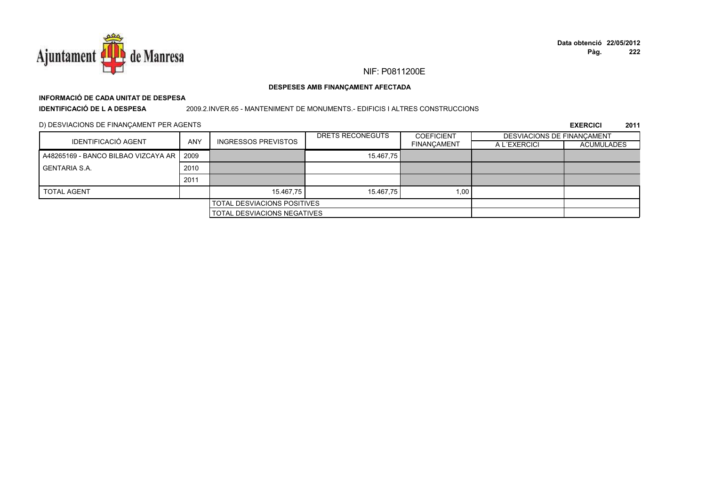

# **INFORMACIÓ DE CADA UNITAT DE DESPESA**

**IDENTIFICACIÓ DE L A DESPESA**

#### 2009.2.INVER.65 - MANTENIMENT DE MONUMENTS.- EDIFICIS I ALTRES CONSTRUCCIONS

D) DESVIACIONS DE FINANÇAMENT PER AGENTS

|                                            |                                    |                            | DRETS RECONEGUTS | <b>COEFICIENT</b>  | DESVIACIONS DE FINANCAMENT |            |
|--------------------------------------------|------------------------------------|----------------------------|------------------|--------------------|----------------------------|------------|
| <b>IDENTIFICACIÓ AGENT</b>                 | <b>ANY</b>                         | <b>INGRESSOS PREVISTOS</b> |                  | <b>FINANCAMENT</b> | A L'EXERCICI               | ACUMULADES |
| A48265169 - BANCO BILBAO VIZCAYA AR 1 2009 |                                    |                            | 15.467.75        |                    |                            |            |
| GENTARIA S.A.                              | 2010                               |                            |                  |                    |                            |            |
|                                            | 2011                               |                            |                  |                    |                            |            |
| <b>TOTAL AGENT</b>                         |                                    | 15.467,75                  | 15.467.75        | 1,00               |                            |            |
|                                            | <b>TOTAL DESVIACIONS POSITIVES</b> |                            |                  |                    |                            |            |
|                                            | <b>TOTAL DESVIACIONS NEGATIVES</b> |                            |                  |                    |                            |            |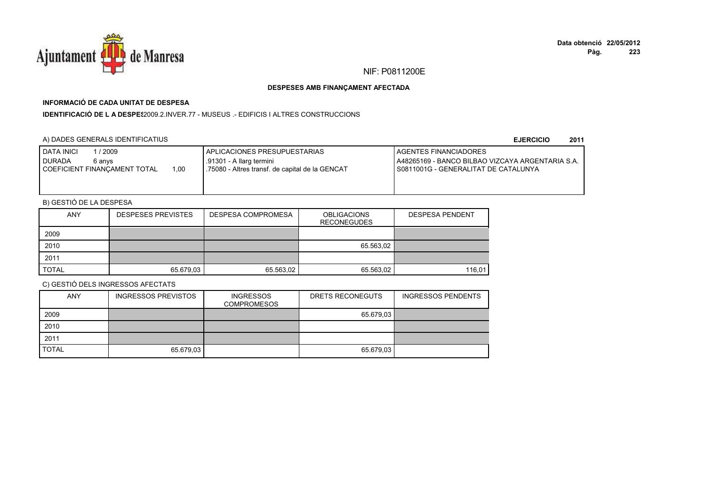

# **INFORMACIÓ DE CADA UNITAT DE DESPESA**

**IDENTIFICACIÓ DE L A DESPES**2009.2.INVER.77 - MUSEUS .- EDIFICIS I ALTRES CONSTRUCCIONS

# A) DADES GENERALS IDENTIFICATIUS

**EJERCICIO<sup>2011</sup>**

| <b>I DATA INICI</b><br>/ 2009<br><b>I DURADA</b><br>6 anvs<br>1.00<br>I COEFICIENT FINANCAMENT TOTAL | I APLICACIONES PRESUPUESTARIAS<br>.91301 - A llarg termini<br>75080 - Altres transf. de capital de la GENCAT | <b>I AGENTES FINANCIADORES</b><br>LA48265169 - BANCO BILBAO VIZCAYA ARGENTARIA S.A.<br>I S0811001G - GENERALITAT DE CATALUNYA |
|------------------------------------------------------------------------------------------------------|--------------------------------------------------------------------------------------------------------------|-------------------------------------------------------------------------------------------------------------------------------|
|                                                                                                      |                                                                                                              |                                                                                                                               |

# B) GESTIÓ DE LA DESPESA

| <b>ANY</b>   | <b>DESPESES PREVISTES</b> | DESPESA COMPROMESA | <b>OBLIGACIONS</b><br><b>RECONEGUDES</b> | <b>DESPESA PENDENT</b> |
|--------------|---------------------------|--------------------|------------------------------------------|------------------------|
| 2009         |                           |                    |                                          |                        |
| 2010         |                           |                    | 65.563,02                                |                        |
| 2011         |                           |                    |                                          |                        |
| <b>TOTAL</b> | 65.679,03                 | 65.563,02          | 65.563,02                                | 116.01                 |

| <b>ANY</b>   | <b>INGRESSOS PREVISTOS</b> | <b>INGRESSOS</b><br><b>COMPROMESOS</b> | DRETS RECONEGUTS | <b>INGRESSOS PENDENTS</b> |
|--------------|----------------------------|----------------------------------------|------------------|---------------------------|
| 2009         |                            |                                        | 65.679,03        |                           |
| 2010         |                            |                                        |                  |                           |
| 2011         |                            |                                        |                  |                           |
| <b>TOTAL</b> | 65.679,03                  |                                        | 65.679,03        |                           |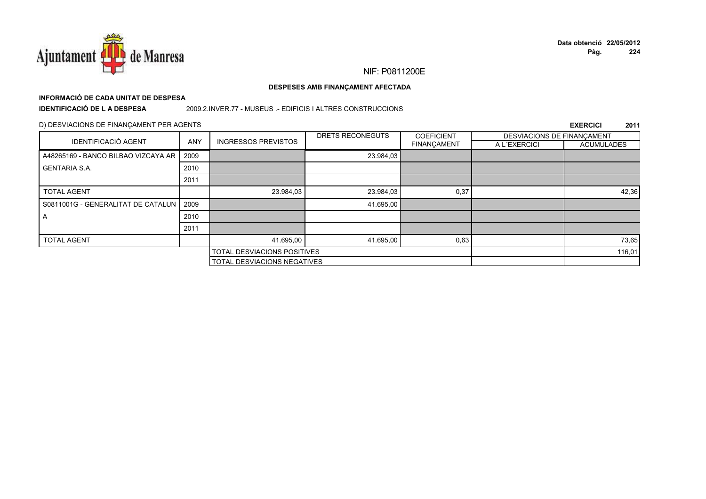

# **INFORMACIÓ DE CADA UNITAT DE DESPESA**

**IDENTIFICACIÓ DE L A DESPESA**

2009.2.INVER.77 - MUSEUS .- EDIFICIS I ALTRES CONSTRUCCIONS

### D) DESVIACIONS DE FINANÇAMENT PER AGENTS

|                                     |            |                                    | DRETS RECONEGUTS | <b>COEFICIENT</b>  | DESVIACIONS DE FINANCAMENT |                   |
|-------------------------------------|------------|------------------------------------|------------------|--------------------|----------------------------|-------------------|
| <b>IDENTIFICACIÓ AGENT</b>          | <b>ANY</b> | <b>INGRESSOS PREVISTOS</b>         |                  | <b>FINANÇAMENT</b> | A L'EXERCICI               | <b>ACUMULADES</b> |
| A48265169 - BANCO BILBAO VIZCAYA AR | 2009       |                                    | 23.984,03        |                    |                            |                   |
| <b>GENTARIA S.A.</b>                | 2010       |                                    |                  |                    |                            |                   |
|                                     | 2011       |                                    |                  |                    |                            |                   |
| <b>TOTAL AGENT</b>                  |            | 23.984,03                          | 23.984,03        | 0,37               |                            | 42,36             |
| S0811001G - GENERALITAT DE CATALUN  | 2009       |                                    | 41.695,00        |                    |                            |                   |
| A                                   | 2010       |                                    |                  |                    |                            |                   |
|                                     | 2011       |                                    |                  |                    |                            |                   |
| <b>TOTAL AGENT</b>                  |            | 41.695.00                          | 41.695,00        | 0,63               |                            | 73,65             |
|                                     |            | TOTAL DESVIACIONS POSITIVES        |                  |                    |                            | 116,01            |
|                                     |            | <b>TOTAL DESVIACIONS NEGATIVES</b> |                  |                    |                            |                   |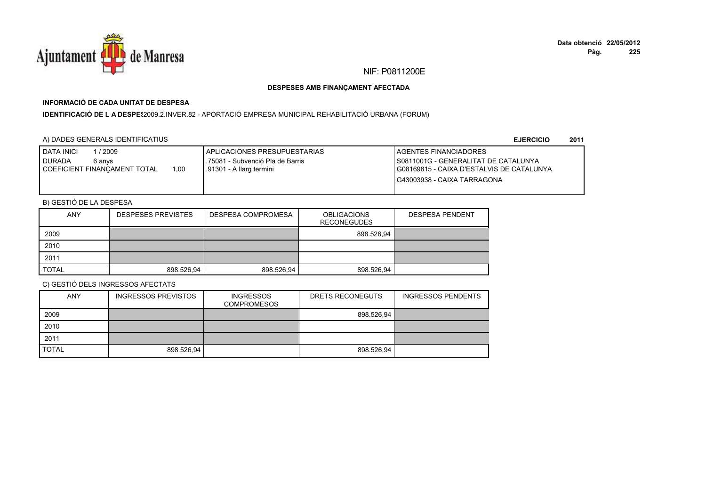

# **INFORMACIÓ DE CADA UNITAT DE DESPESA**

I**DENTIFICACIÓ DE L A DESPE**\$2009.2.INVER.82 - APORTACIÓ EMPRESA MUNICIPAL REHABILITACIÓ URBANA (FORUM)

## A) DADES GENERALS IDENTIFICATIUS

**EJERCICIO<sup>2011</sup>**

| <b>DATA INICI</b><br>/2009<br><b>I DURADA</b><br>6 anvs<br>1.00<br>I COEFICIENT FINANCAMENT TOTAL | APLICACIONES PRESUPUESTARIAS<br>.75081 - Subvenció Pla de Barris<br>.91301 - A llarg termini | <b>I AGENTES FINANCIADORES</b><br>I S0811001G - GENERALITAT DE CATALUNYA<br>I G08169815 - CAIXA D'ESTALVIS DE CATALUNYA<br>G43003938 - CAIXA TARRAGONA |
|---------------------------------------------------------------------------------------------------|----------------------------------------------------------------------------------------------|--------------------------------------------------------------------------------------------------------------------------------------------------------|
|                                                                                                   |                                                                                              |                                                                                                                                                        |

# B) GESTIÓ DE LA DESPESA

| <b>ANY</b>   | <b>DESPESES PREVISTES</b> | DESPESA COMPROMESA | <b>OBLIGACIONS</b><br><b>RECONEGUDES</b> | <b>DESPESA PENDENT</b> |
|--------------|---------------------------|--------------------|------------------------------------------|------------------------|
| 2009         |                           |                    | 898.526.94                               |                        |
| 2010         |                           |                    |                                          |                        |
| 2011         |                           |                    |                                          |                        |
| <b>TOTAL</b> | 898.526,94                | 898.526,94         | 898.526,94                               |                        |

| <b>ANY</b>   | <b>INGRESSOS PREVISTOS</b> | <b>INGRESSOS</b><br><b>COMPROMESOS</b> | DRETS RECONEGUTS | <b>INGRESSOS PENDENTS</b> |
|--------------|----------------------------|----------------------------------------|------------------|---------------------------|
| 2009         |                            |                                        | 898.526,94       |                           |
| 2010         |                            |                                        |                  |                           |
| 2011         |                            |                                        |                  |                           |
| <b>TOTAL</b> | 898.526,94                 |                                        | 898.526,94       |                           |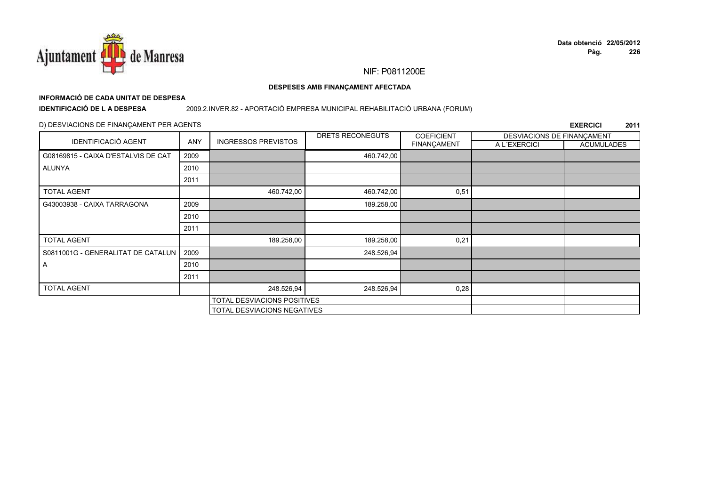

# **INFORMACIÓ DE CADA UNITAT DE DESPESA**

**IDENTIFICACIÓ DE L A DESPESA**

## 2009.2.INVER.82 - APORTACIÓ EMPRESA MUNICIPAL REHABILITACIÓ URBANA (FORUM)

## D) DESVIACIONS DE FINANÇAMENT PER AGENTS

|                                     |      |                             | DRETS RECONEGUTS | <b>COEFICIENT</b>  | DESVIACIONS DE FINANCAMENT |                   |
|-------------------------------------|------|-----------------------------|------------------|--------------------|----------------------------|-------------------|
| <b>IDENTIFICACIÓ AGENT</b>          | ANY  | <b>INGRESSOS PREVISTOS</b>  |                  | <b>FINANÇAMENT</b> | A L'EXERCICI               | <b>ACUMULADES</b> |
| G08169815 - CAIXA D'ESTALVIS DE CAT | 2009 |                             | 460.742,00       |                    |                            |                   |
| ALUNYA                              | 2010 |                             |                  |                    |                            |                   |
|                                     | 2011 |                             |                  |                    |                            |                   |
| <b>TOTAL AGENT</b>                  |      | 460.742,00                  | 460.742,00       | 0,51               |                            |                   |
| G43003938 - CAIXA TARRAGONA         | 2009 |                             | 189.258,00       |                    |                            |                   |
|                                     | 2010 |                             |                  |                    |                            |                   |
|                                     | 2011 |                             |                  |                    |                            |                   |
| <b>TOTAL AGENT</b>                  |      | 189.258,00                  | 189.258,00       | 0,21               |                            |                   |
| S0811001G - GENERALITAT DE CATALUN  | 2009 |                             | 248.526,94       |                    |                            |                   |
| A                                   | 2010 |                             |                  |                    |                            |                   |
|                                     | 2011 |                             |                  |                    |                            |                   |
| <b>TOTAL AGENT</b>                  |      | 248.526,94                  | 248.526,94       | 0,28               |                            |                   |
|                                     |      | TOTAL DESVIACIONS POSITIVES |                  |                    |                            |                   |
|                                     |      | TOTAL DESVIACIONS NEGATIVES |                  |                    |                            |                   |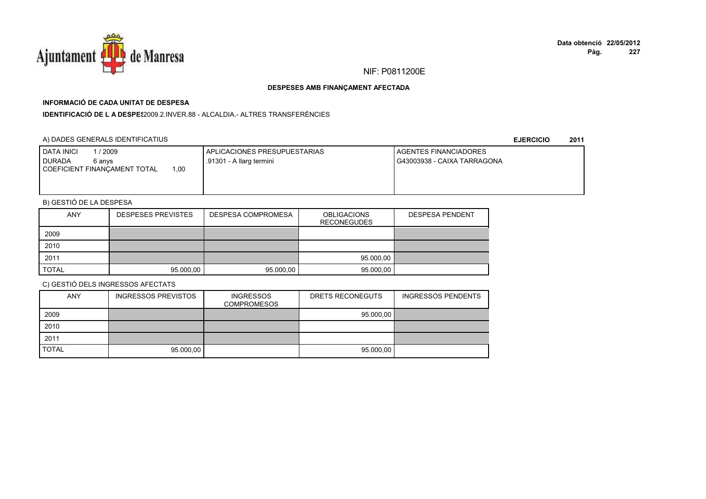

# **INFORMACIÓ DE CADA UNITAT DE DESPESA**

**IDENTIFICACIÓ DE L A DESPES**2009.2.INVER.88 - ALCALDIA.- ALTRES TRANSFERÈNCIES

## A) DADES GENERALS IDENTIFICATIUS

**EJERCICIO<sup>2011</sup>**

| <b>DATA INICI</b><br>/ 2009<br><b>I DURADA</b><br>6 anvs<br>1.00<br>COEFICIENT FINANCAMENT TOTAL | I APLICACIONES PRESUPUESTARIAS<br>.91301 - A llarg termini | <b>LAGENTES FINANCIADORES</b><br>G43003938 - CAIXA TARRAGONA |
|--------------------------------------------------------------------------------------------------|------------------------------------------------------------|--------------------------------------------------------------|
|                                                                                                  |                                                            |                                                              |

# B) GESTIÓ DE LA DESPESA

| <b>ANY</b>   | <b>DESPESES PREVISTES</b> | DESPESA COMPROMESA | <b>OBLIGACIONS</b><br><b>RECONEGUDES</b> | <b>DESPESA PENDENT</b> |
|--------------|---------------------------|--------------------|------------------------------------------|------------------------|
| 2009         |                           |                    |                                          |                        |
| 2010         |                           |                    |                                          |                        |
| 2011         |                           |                    | 95.000.00                                |                        |
| <b>TOTAL</b> | 95.000,00                 | 95.000,00          | 95.000,00                                |                        |

| <b>ANY</b>   | <b>INGRESSOS PREVISTOS</b> | <b>INGRESSOS</b><br><b>COMPROMESOS</b> | DRETS RECONEGUTS | <b>INGRESSOS PENDENTS</b> |
|--------------|----------------------------|----------------------------------------|------------------|---------------------------|
| 2009         |                            |                                        | 95.000,00        |                           |
| 2010         |                            |                                        |                  |                           |
| 2011         |                            |                                        |                  |                           |
| <b>TOTAL</b> | 95.000,00                  |                                        | 95.000,00        |                           |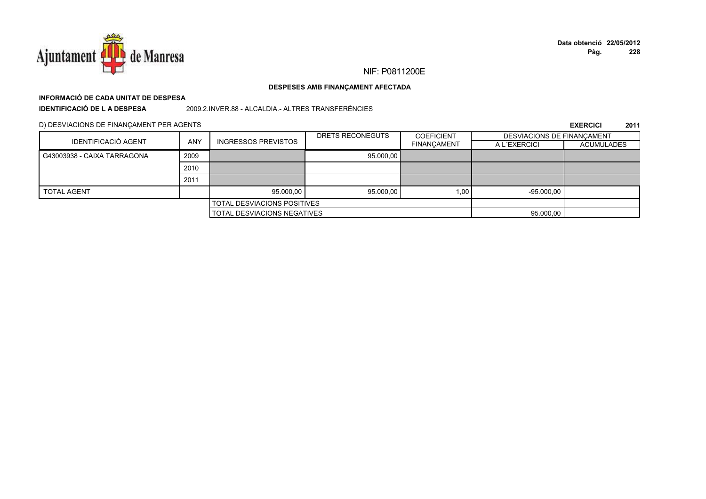

# **INFORMACIÓ DE CADA UNITAT DE DESPESA**

**IDENTIFICACIÓ DE L A DESPESA**

2009.2.INVER.88 - ALCALDIA.- ALTRES TRANSFERÈNCIES

D) DESVIACIONS DE FINANÇAMENT PER AGENTS

|                             |            |                                    | DRETS RECONEGUTS | <b>COEFICIENT</b>  | DESVIACIONS DE FINANCAMENT |                   |
|-----------------------------|------------|------------------------------------|------------------|--------------------|----------------------------|-------------------|
| <b>IDENTIFICACIÓ AGENT</b>  | <b>ANY</b> | <b>INGRESSOS PREVISTOS</b>         |                  | <b>FINANCAMENT</b> | A L'EXERCICI               | <b>ACUMULADES</b> |
| G43003938 - CAIXA TARRAGONA | 2009       |                                    | 95.000,00        |                    |                            |                   |
|                             | 2010       |                                    |                  |                    |                            |                   |
|                             | 2011       |                                    |                  |                    |                            |                   |
| <b>TOTAL AGENT</b>          |            | 95.000.00                          | 95.000.00        | 1.00               | $-95.000.00$               |                   |
|                             |            | <b>TOTAL DESVIACIONS POSITIVES</b> |                  |                    |                            |                   |
|                             |            | <b>TOTAL DESVIACIONS NEGATIVES</b> |                  |                    | 95.000,00                  |                   |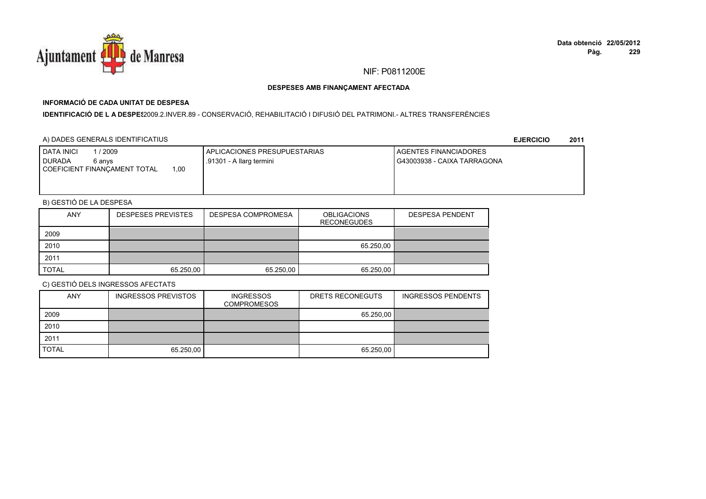

# **INFORMACIÓ DE CADA UNITAT DE DESPESA**

I**DENTIFICACIÓ DE L A DESPE**\$2009.2.INVER.89 - CONSERVACIÓ, REHABILITACIÓ I DIFUSIÓ DEL PATRIMONI.- ALTRES TRANSFERÈNCIES

## A) DADES GENERALS IDENTIFICATIUS

**EJERCICIO<sup>2011</sup>**

| <b>DATA INICI</b><br>2009                                         | <b>APLICACIONES PRESUPUESTARIAS</b> | <b>LAGENTES FINANCIADORES</b> |
|-------------------------------------------------------------------|-------------------------------------|-------------------------------|
| <b>I</b> DURADA<br>6 anvs<br>1,00<br>COEFICIENT FINANCAMENT TOTAL | .91301 - A llarg termini            | I G43003938 - CAIXA TARRAGONA |
|                                                                   |                                     |                               |

# B) GESTIÓ DE LA DESPESA

| <b>ANY</b>   | <b>DESPESES PREVISTES</b> | DESPESA COMPROMESA | <b>OBLIGACIONS</b><br><b>RECONEGUDES</b> | <b>DESPESA PENDENT</b> |
|--------------|---------------------------|--------------------|------------------------------------------|------------------------|
| 2009         |                           |                    |                                          |                        |
| 2010         |                           |                    | 65.250,00                                |                        |
| 2011         |                           |                    |                                          |                        |
| <b>TOTAL</b> | 65.250.00                 | 65.250,00          | 65.250,00                                |                        |

| <b>ANY</b>   | <b>INGRESSOS PREVISTOS</b> | <b>INGRESSOS</b><br><b>COMPROMESOS</b> | DRETS RECONEGUTS | <b>INGRESSOS PENDENTS</b> |
|--------------|----------------------------|----------------------------------------|------------------|---------------------------|
| 2009         |                            |                                        | 65.250,00        |                           |
| 2010         |                            |                                        |                  |                           |
| 2011         |                            |                                        |                  |                           |
| <b>TOTAL</b> | 65.250,00                  |                                        | 65.250,00        |                           |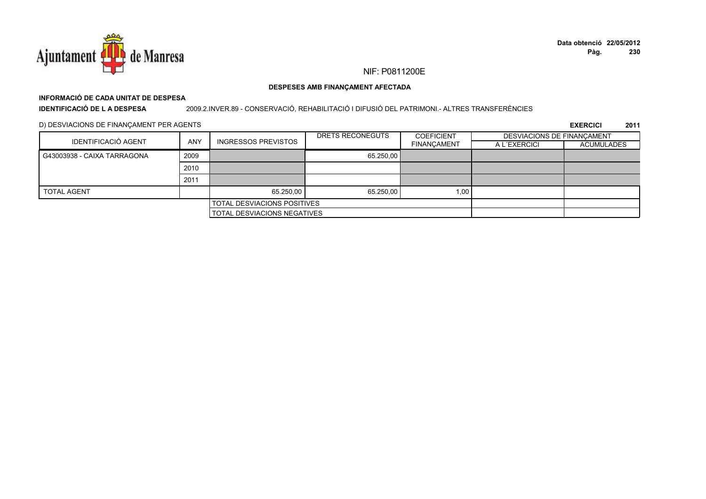

# **INFORMACIÓ DE CADA UNITAT DE DESPESA**

**IDENTIFICACIÓ DE L A DESPESA**2009.2.INVER.89 - CONSERVACIÓ, REHABILITACIÓ I DIFUSIÓ DEL PATRIMONI.- ALTRES TRANSFERÈNCIES

D) DESVIACIONS DE FINANÇAMENT PER AGENTS

|                                    |            |                                    | DRETS RECONEGUTS | <b>COEFICIENT</b>  | DESVIACIONS DE FINANCAMENT |                   |
|------------------------------------|------------|------------------------------------|------------------|--------------------|----------------------------|-------------------|
| <b>IDENTIFICACIÓ AGENT</b>         | <b>ANY</b> | <b>INGRESSOS PREVISTOS</b>         |                  | <b>FINANCAMENT</b> | A L'EXERCICI               | <b>ACUMULADES</b> |
| G43003938 - CAIXA TARRAGONA        | 2009       |                                    | 65.250.00        |                    |                            |                   |
|                                    | 2010       |                                    |                  |                    |                            |                   |
|                                    | 2011       |                                    |                  |                    |                            |                   |
| <b>TOTAL AGENT</b>                 |            | 65.250.00                          | 65.250.00        | 1,00               |                            |                   |
|                                    |            | <b>TOTAL DESVIACIONS POSITIVES</b> |                  |                    |                            |                   |
| <b>TOTAL DESVIACIONS NEGATIVES</b> |            |                                    |                  |                    |                            |                   |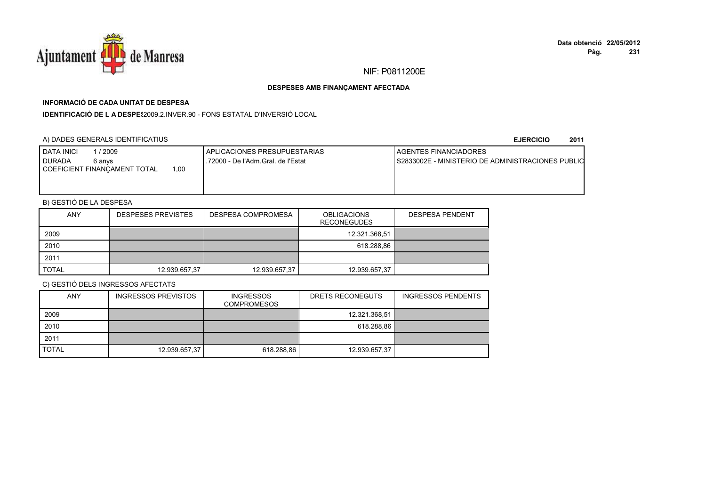

# **INFORMACIÓ DE CADA UNITAT DE DESPESA**

**IDENTIFICACIÓ DE L A DESPES**2009.2.INVER.90 - FONS ESTATAL D'INVERSIÓ LOCAL

## A) DADES GENERALS IDENTIFICATIUS

#### **EJERCICIO<sup>2011</sup>**

| 2009<br><b>DATA INICI</b><br><b>I DURADA</b><br>6 anvs<br>1.00<br>COEFICIENT FINANCAMENT TOTAL | I APLICACIONES PRESUPUESTARIAS<br>.72000 - De l'Adm.Gral. de l'Estat | <b>I AGENTES FINANCIADORES</b><br>I S2833002E - MINISTERIO DE ADMINISTRACIONES PUBLIO |
|------------------------------------------------------------------------------------------------|----------------------------------------------------------------------|---------------------------------------------------------------------------------------|
|                                                                                                |                                                                      |                                                                                       |

# B) GESTIÓ DE LA DESPESA

| <b>ANY</b>   | <b>DESPESES PREVISTES</b> | DESPESA COMPROMESA | <b>OBLIGACIONS</b><br><b>RECONEGUDES</b> | <b>DESPESA PENDENT</b> |
|--------------|---------------------------|--------------------|------------------------------------------|------------------------|
| 2009         |                           |                    | 12.321.368,51                            |                        |
| 2010         |                           |                    | 618.288,86                               |                        |
| 2011         |                           |                    |                                          |                        |
| <b>TOTAL</b> | 12.939.657,37             | 12.939.657,37      | 12.939.657,37                            |                        |

| <b>ANY</b>   | <b>INGRESSOS PREVISTOS</b> | <b>INGRESSOS</b><br><b>COMPROMESOS</b> | DRETS RECONEGUTS | <b>INGRESSOS PENDENTS</b> |
|--------------|----------------------------|----------------------------------------|------------------|---------------------------|
| 2009         |                            |                                        | 12.321.368,51    |                           |
| 2010         |                            |                                        | 618.288,86       |                           |
| 2011         |                            |                                        |                  |                           |
| <b>TOTAL</b> | 12.939.657,37              | 618.288,86                             | 12.939.657,37    |                           |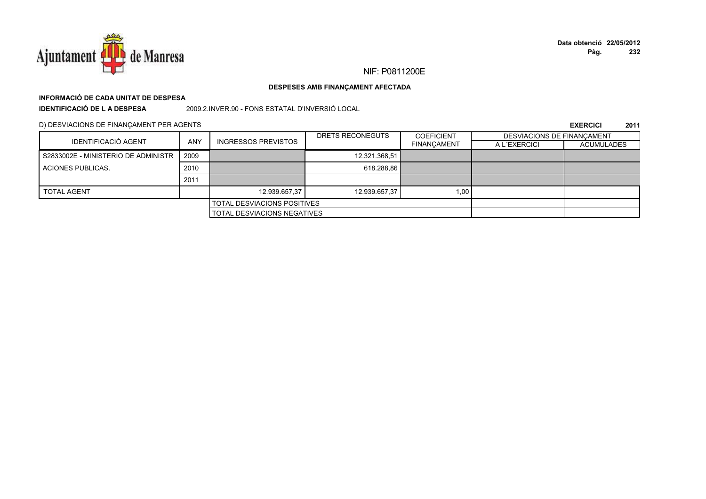

# **INFORMACIÓ DE CADA UNITAT DE DESPESAIDENTIFICACIÓ DE L A DESPESA**

2009.2.INVER.90 - FONS ESTATAL D'INVERSIÓ LOCAL

D) DESVIACIONS DE FINANÇAMENT PER AGENTS

|                                     |                                    |                                    | DRETS RECONEGUTS | <b>COEFICIENT</b>  | DESVIACIONS DE FINANCAMENT |                   |
|-------------------------------------|------------------------------------|------------------------------------|------------------|--------------------|----------------------------|-------------------|
| <b>IDENTIFICACIÓ AGENT</b>          | <b>ANY</b>                         | <b>INGRESSOS PREVISTOS</b>         |                  | <b>FINANCAMENT</b> | A L'EXERCICI               | <b>ACUMULADES</b> |
| S2833002E - MINISTERIO DE ADMINISTR | 2009                               |                                    | 12.321.368,51    |                    |                            |                   |
| ACIONES PUBLICAS.                   | 2010                               |                                    | 618.288.86       |                    |                            |                   |
|                                     | 2011                               |                                    |                  |                    |                            |                   |
| <b>TOTAL AGENT</b>                  |                                    | 12.939.657,37                      | 12.939.657,37    | 1.00               |                            |                   |
|                                     |                                    | <b>TOTAL DESVIACIONS POSITIVES</b> |                  |                    |                            |                   |
|                                     | <b>TOTAL DESVIACIONS NEGATIVES</b> |                                    |                  |                    |                            |                   |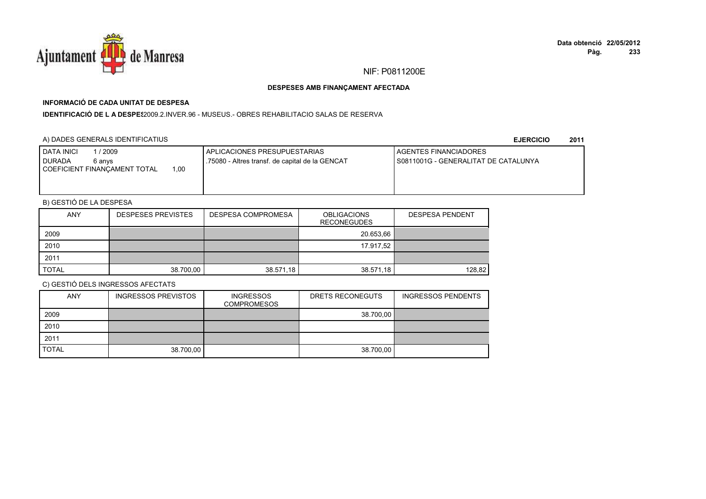

# **INFORMACIÓ DE CADA UNITAT DE DESPESA**

**IDENTIFICACIÓ DE L A DESPE\$**2009.2.INVER.96 - MUSEUS.- OBRES REHABILITACIO SALAS DE RESERVA

## A) DADES GENERALS IDENTIFICATIUS

**EJERCICIO<sup>2011</sup>**

| <b>DATA INICI</b><br>1 / 2009<br><b>I</b> DURADA<br>6 anvs | APLICACIONES PRESUPUESTARIAS<br>.75080 - Altres transf. de capital de la GENCAT | <b>LAGENTES FINANCIADORES</b><br>I S0811001G - GENERALITAT DE CATALUNYA |
|------------------------------------------------------------|---------------------------------------------------------------------------------|-------------------------------------------------------------------------|
| 1.00<br>COEFICIENT FINANCAMENT TOTAL                       |                                                                                 |                                                                         |
|                                                            |                                                                                 |                                                                         |

# B) GESTIÓ DE LA DESPESA

| <b>ANY</b>   | <b>DESPESES PREVISTES</b> | DESPESA COMPROMESA | <b>OBLIGACIONS</b><br><b>RECONEGUDES</b> | <b>DESPESA PENDENT</b> |
|--------------|---------------------------|--------------------|------------------------------------------|------------------------|
| 2009         |                           |                    | 20.653,66                                |                        |
| 2010         |                           |                    | 17.917,52                                |                        |
| 2011         |                           |                    |                                          |                        |
| <b>TOTAL</b> | 38.700,00                 | 38.571,18          | 38.571,18                                | 128,82                 |

| <b>ANY</b>   | <b>INGRESSOS PREVISTOS</b> | <b>INGRESSOS</b><br><b>COMPROMESOS</b> | DRETS RECONEGUTS | <b>INGRESSOS PENDENTS</b> |
|--------------|----------------------------|----------------------------------------|------------------|---------------------------|
| 2009         |                            |                                        | 38.700,00        |                           |
| 2010         |                            |                                        |                  |                           |
| 2011         |                            |                                        |                  |                           |
| <b>TOTAL</b> | 38.700,00                  |                                        | 38.700,00        |                           |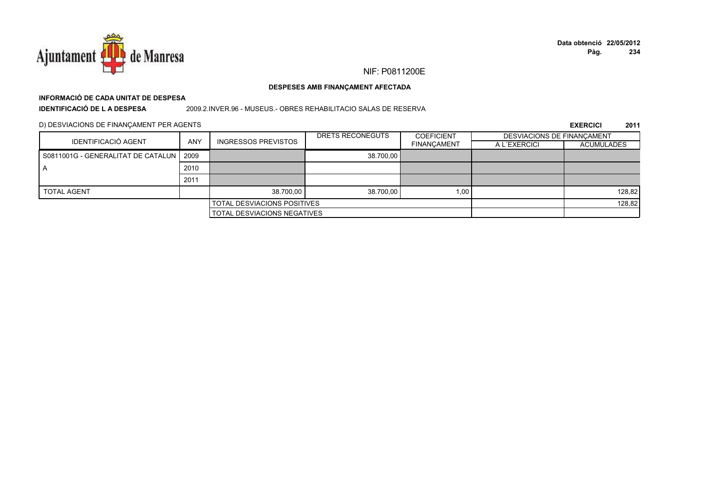

# **INFORMACIÓ DE CADA UNITAT DE DESPESA**

**IDENTIFICACIÓ DE L A DESPESA**

2009.2.INVER.96 - MUSEUS.- OBRES REHABILITACIO SALAS DE RESERVA

D) DESVIACIONS DE FINANÇAMENT PER AGENTS

|                                           |            |                                    | DRETS RECONEGUTS | <b>COEFICIENT</b>  | <b>DESVIACIONS DE FINANCAMENT</b> |                   |
|-------------------------------------------|------------|------------------------------------|------------------|--------------------|-----------------------------------|-------------------|
| <b>IDENTIFICACIÓ AGENT</b>                | <b>ANY</b> | <b>INGRESSOS PREVISTOS</b>         |                  | <b>FINANCAMENT</b> | A L'EXERCICI                      | <b>ACUMULADES</b> |
| S0811001G - GENERALITAT DE CATALUN   2009 |            |                                    | 38.700.00        |                    |                                   |                   |
| ΙA                                        | 2010       |                                    |                  |                    |                                   |                   |
|                                           | 2011       |                                    |                  |                    |                                   |                   |
| <b>TOTAL AGENT</b>                        |            | 38.700.00                          | 38.700.00        | 1,00               |                                   | 128,82            |
|                                           |            | <b>TOTAL DESVIACIONS POSITIVES</b> |                  |                    |                                   | 128,82            |
|                                           |            | TOTAL DESVIACIONS NEGATIVES        |                  |                    |                                   |                   |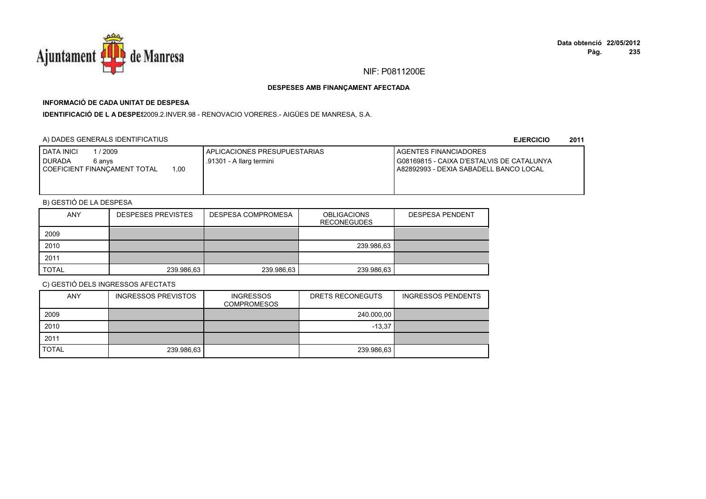

# **INFORMACIÓ DE CADA UNITAT DE DESPESA**

**IDENTIFICACIÓ DE L A DESPE**\$2009.2.INVER.98 - RENOVACIO VORERES.- AIGÜES DE MANRESA, S.A.

# A) DADES GENERALS IDENTIFICATIUS

**EJERCICIO<sup>2011</sup>**

| <b>DATA INICI</b><br>1/2009<br><b>I</b> DURADA<br>6 anvs<br>1.00<br>I COEFICIENT FINANCAMENT TOTAL | APLICACIONES PRESUPUESTARIAS<br>.91301 - A llarg termini | <b>LAGENTES FINANCIADORES</b><br>G08169815 - CAIXA D'ESTALVIS DE CATALUNYA<br>A82892993 - DEXIA SABADELL BANCO LOCAL |
|----------------------------------------------------------------------------------------------------|----------------------------------------------------------|----------------------------------------------------------------------------------------------------------------------|
|                                                                                                    |                                                          |                                                                                                                      |

# B) GESTIÓ DE LA DESPESA

| <b>ANY</b>   | <b>DESPESES PREVISTES</b> | DESPESA COMPROMESA | <b>OBLIGACIONS</b><br><b>RECONEGUDES</b> | <b>DESPESA PENDENT</b> |
|--------------|---------------------------|--------------------|------------------------------------------|------------------------|
| 2009         |                           |                    |                                          |                        |
| 2010         |                           |                    | 239.986,63                               |                        |
| 2011         |                           |                    |                                          |                        |
| <b>TOTAL</b> | 239.986,63                | 239.986,63         | 239.986,63                               |                        |

| <b>ANY</b>   | <b>INGRESSOS PREVISTOS</b> | <b>INGRESSOS</b><br><b>COMPROMESOS</b> | DRETS RECONEGUTS | <b>INGRESSOS PENDENTS</b> |
|--------------|----------------------------|----------------------------------------|------------------|---------------------------|
| 2009         |                            |                                        | 240.000,00       |                           |
| 2010         |                            |                                        | $-13.37$         |                           |
| 2011         |                            |                                        |                  |                           |
| <b>TOTAL</b> | 239.986,63                 |                                        | 239.986,63       |                           |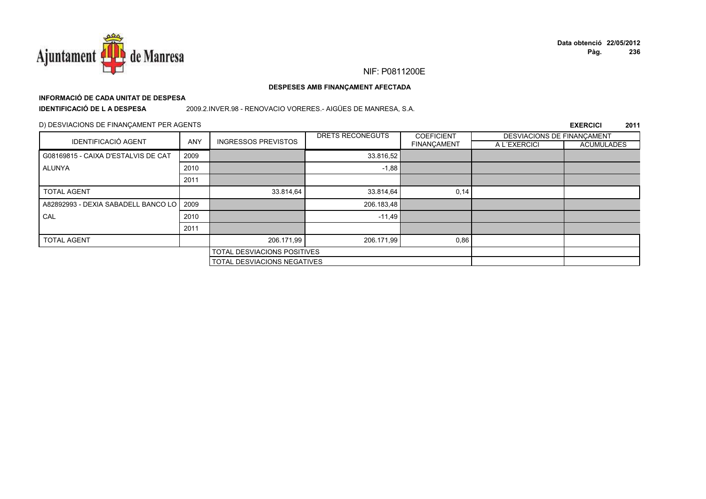

# **INFORMACIÓ DE CADA UNITAT DE DESPESA**

**IDENTIFICACIÓ DE L A DESPESA**

2009.2.INVER.98 - RENOVACIO VORERES.- AIGÜES DE MANRESA, S.A.

## D) DESVIACIONS DE FINANÇAMENT PER AGENTS

| IDENTIFICACIÓ AGENT                 |            |                                    | <b>DRETS RECONEGUTS</b>            | <b>COEFICIENT</b>  | DESVIACIONS DE FINANÇAMENT |                   |
|-------------------------------------|------------|------------------------------------|------------------------------------|--------------------|----------------------------|-------------------|
|                                     | <b>ANY</b> | <b>INGRESSOS PREVISTOS</b>         |                                    | <b>FINANÇAMENT</b> | A L'EXERCICI               | <b>ACUMULADES</b> |
| G08169815 - CAIXA D'ESTALVIS DE CAT | 2009       |                                    | 33.816,52                          |                    |                            |                   |
| ALUNYA                              | 2010       |                                    | $-1,88$                            |                    |                            |                   |
|                                     | 2011       |                                    |                                    |                    |                            |                   |
| <b>TOTAL AGENT</b>                  |            | 33.814,64                          | 33.814,64                          | 0,14               |                            |                   |
| A82892993 - DEXIA SABADELL BANCO LO | 2009       |                                    | 206.183,48                         |                    |                            |                   |
| CAL                                 | 2010       |                                    | $-11,49$                           |                    |                            |                   |
|                                     | 2011       |                                    |                                    |                    |                            |                   |
| <b>TOTAL AGENT</b>                  |            | 206.171,99                         | 206.171,99                         | 0,86               |                            |                   |
|                                     |            | <b>TOTAL DESVIACIONS POSITIVES</b> |                                    |                    |                            |                   |
|                                     |            |                                    | <b>TOTAL DESVIACIONS NEGATIVES</b> |                    |                            |                   |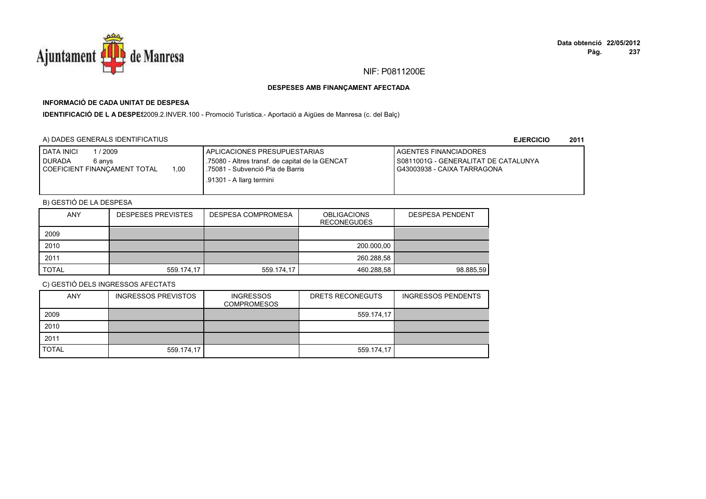

# **INFORMACIÓ DE CADA UNITAT DE DESPESA**

IDENTIFICACIÓ DE L A DESPES2009.2.INVER.100 - Promoció Turística.- Aportació a Aigües de Manresa (c. del Balç)

## A) DADES GENERALS IDENTIFICATIUS

**EJERCICIO<sup>2011</sup>**

| <b>DATA INICI</b><br>'2009<br><b>DURADA</b><br>6 anvs<br>1.00<br>I COEFICIENT FINANCAMENT TOTAL | I APLICACIONES PRESUPUESTARIAS<br>.75080 - Altres transf. de capital de la GENCAT<br>.75081 - Subvenció Pla de Barris<br>.91301 - A llarg termini | <b>I AGENTES FINANCIADORES</b><br>I S0811001G - GENERALITAT DE CATALUNYA<br>G43003938 - CAIXA TARRAGONA |
|-------------------------------------------------------------------------------------------------|---------------------------------------------------------------------------------------------------------------------------------------------------|---------------------------------------------------------------------------------------------------------|
|                                                                                                 |                                                                                                                                                   |                                                                                                         |

# B) GESTIÓ DE LA DESPESA

| <b>ANY</b>   | <b>DESPESES PREVISTES</b> | DESPESA COMPROMESA | <b>OBLIGACIONS</b><br><b>RECONEGUDES</b> | <b>DESPESA PENDENT</b> |
|--------------|---------------------------|--------------------|------------------------------------------|------------------------|
| 2009         |                           |                    |                                          |                        |
| 2010         |                           |                    | 200.000,00                               |                        |
| 2011         |                           |                    | 260.288.58                               |                        |
| <b>TOTAL</b> | 559.174.17                | 559.174,17         | 460.288,58                               | 98.885.59              |

| <b>ANY</b>   | <b>INGRESSOS PREVISTOS</b> | <b>INGRESSOS</b><br><b>COMPROMESOS</b> | DRETS RECONEGUTS | <b>INGRESSOS PENDENTS</b> |
|--------------|----------------------------|----------------------------------------|------------------|---------------------------|
| 2009         |                            |                                        | 559.174,17       |                           |
| 2010         |                            |                                        |                  |                           |
| 2011         |                            |                                        |                  |                           |
| <b>TOTAL</b> | 559.174,17                 |                                        | 559.174,17       |                           |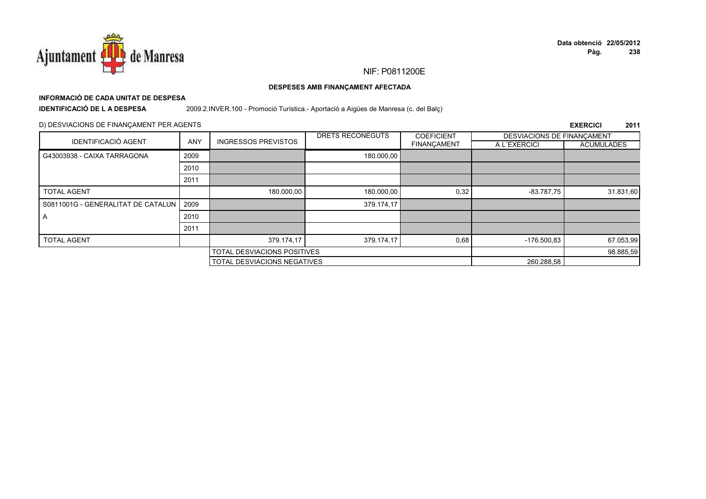

# **INFORMACIÓ DE CADA UNITAT DE DESPESA**

**IDENTIFICACIÓ DE L A DESPESA**

2009.2.INVER.100 - Promoció Turística.- Aportació a Aigües de Manresa (c. del Balç)

## D) DESVIACIONS DE FINANÇAMENT PER AGENTS

|                                           |            |                             | DRETS RECONEGUTS | <b>COEFICIENT</b>  | DESVIACIONS DE FINANCAMENT |                   |
|-------------------------------------------|------------|-----------------------------|------------------|--------------------|----------------------------|-------------------|
| <b>IDENTIFICACIÓ AGENT</b>                | <b>ANY</b> | <b>INGRESSOS PREVISTOS</b>  |                  | <b>FINANCAMENT</b> | A L'EXERCICI               | <b>ACUMULADES</b> |
| G43003938 - CAIXA TARRAGONA               | 2009       |                             | 180.000,00       |                    |                            |                   |
|                                           | 2010       |                             |                  |                    |                            |                   |
|                                           | 2011       |                             |                  |                    |                            |                   |
| <b>TOTAL AGENT</b>                        |            | 180.000,00                  | 180.000,00       | 0,32               | $-83.787,75$               | 31.831,60         |
| S0811001G - GENERALITAT DE CATALUN   2009 |            |                             | 379.174.17       |                    |                            |                   |
| A                                         | 2010       |                             |                  |                    |                            |                   |
|                                           | 2011       |                             |                  |                    |                            |                   |
| <b>TOTAL AGENT</b>                        |            | 379.174,17                  | 379.174,17       | 0,68               | $-176.500.83$              | 67.053,99         |
|                                           |            | TOTAL DESVIACIONS POSITIVES |                  |                    | 98.885,59                  |                   |
|                                           |            | TOTAL DESVIACIONS NEGATIVES |                  |                    | 260.288,58                 |                   |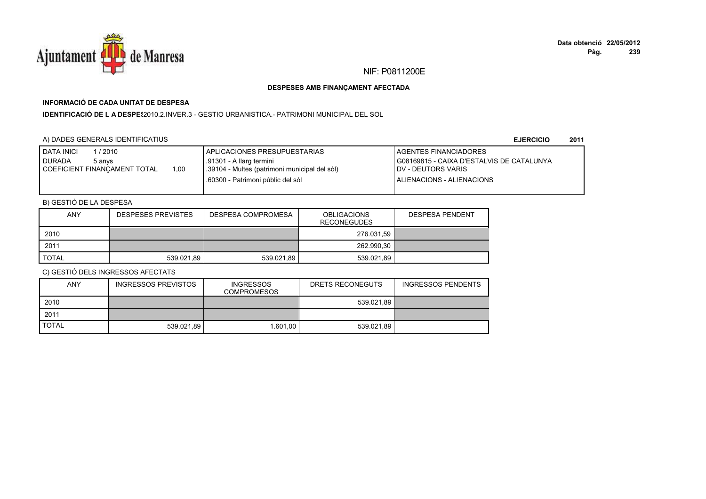

# **INFORMACIÓ DE CADA UNITAT DE DESPESA**

**IDENTIFICACIÓ DE L A DESPES**2010.2.INVER.3 - GESTIO URBANISTICA.- PATRIMONI MUNICIPAL DEL SOL

# A) DADES GENERALS IDENTIFICATIUS

**EJERCICIO<sup>2011</sup>**

| <b>I DATA INICI</b><br>1/2010<br><b>I DURADA</b><br>5 anvs | APLICACIONES PRESUPUESTARIAS<br>.91301 - A llarg termini | <b>I AGENTES FINANCIADORES</b><br>G08169815 - CAIXA D'ESTALVIS DE CATALUNYA |
|------------------------------------------------------------|----------------------------------------------------------|-----------------------------------------------------------------------------|
| 1.00<br><b>I COEFICIENT FINANCAMENT TOTAL</b>              | .39104 - Multes (patrimoni municipal del sòl)            | <b>IDV - DEUTORS VARIS</b>                                                  |
|                                                            | .60300 - Patrimoni públic del sòl                        | ALIENACIONS - ALIENACIONS                                                   |

# B) GESTIÓ DE LA DESPESA

| <b>ANY</b> | <b>DESPESES PREVISTES</b> | DESPESA COMPROMESA | <b>OBLIGACIONS</b><br><b>RECONEGUDES</b> | <b>DESPESA PENDENT</b> |
|------------|---------------------------|--------------------|------------------------------------------|------------------------|
| 2010       |                           |                    | 276.031,59                               |                        |
| 2011       |                           |                    | 262.990,30                               |                        |
| TOTAL      | 539.021.89                | 539.021.89         | 539.021.89                               |                        |

| <b>ANY</b>   | <b>INGRESSOS PREVISTOS</b> | <b>INGRESSOS</b><br>COMPROMESOS | DRETS RECONEGUTS | <b>INGRESSOS PENDENTS</b> |
|--------------|----------------------------|---------------------------------|------------------|---------------------------|
| 2010         |                            |                                 | 539.021,89       |                           |
| 2011         |                            |                                 |                  |                           |
| <b>TOTAL</b> | 539.021.89                 | 1.601.00                        | 539.021.89       |                           |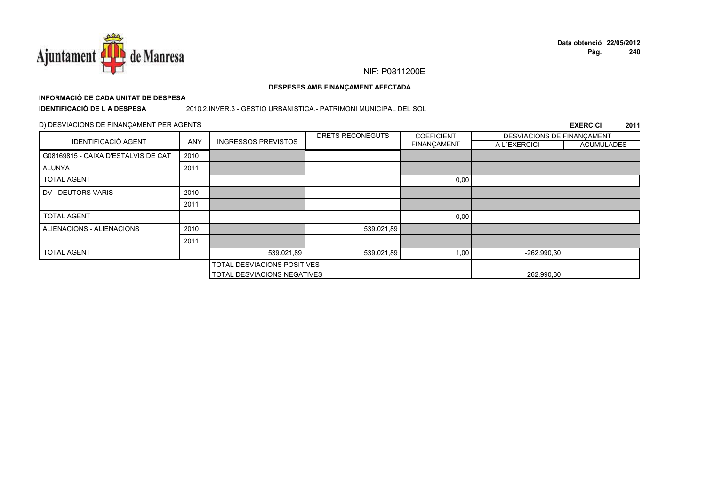

# **INFORMACIÓ DE CADA UNITAT DE DESPESA**

**IDENTIFICACIÓ DE L A DESPESA**

#### 2010.2.INVER.3 - GESTIO URBANISTICA.- PATRIMONI MUNICIPAL DEL SOL

## D) DESVIACIONS DE FINANÇAMENT PER AGENTS

|                                     |            |                             | DRETS RECONEGUTS | <b>COEFICIENT</b>  | DESVIACIONS DE FINANCAMENT |                   |
|-------------------------------------|------------|-----------------------------|------------------|--------------------|----------------------------|-------------------|
| <b>IDENTIFICACIÓ AGENT</b>          | <b>ANY</b> | <b>INGRESSOS PREVISTOS</b>  |                  | <b>FINANÇAMENT</b> | A L'EXERCICI               | <b>ACUMULADES</b> |
| G08169815 - CAIXA D'ESTALVIS DE CAT | 2010       |                             |                  |                    |                            |                   |
| ALUNYA                              | 2011       |                             |                  |                    |                            |                   |
| <b>TOTAL AGENT</b>                  |            |                             |                  | 0,00               |                            |                   |
| DV - DEUTORS VARIS                  | 2010       |                             |                  |                    |                            |                   |
|                                     | 2011       |                             |                  |                    |                            |                   |
| <b>TOTAL AGENT</b>                  |            |                             |                  | 0,00               |                            |                   |
| ALIENACIONS - ALIENACIONS           | 2010       |                             | 539.021,89       |                    |                            |                   |
|                                     | 2011       |                             |                  |                    |                            |                   |
| <b>TOTAL AGENT</b>                  |            | 539.021,89                  | 539.021,89       | 1,00               | -262.990,30                |                   |
|                                     |            | TOTAL DESVIACIONS POSITIVES |                  |                    |                            |                   |
|                                     |            | TOTAL DESVIACIONS NEGATIVES |                  |                    | 262.990,30                 |                   |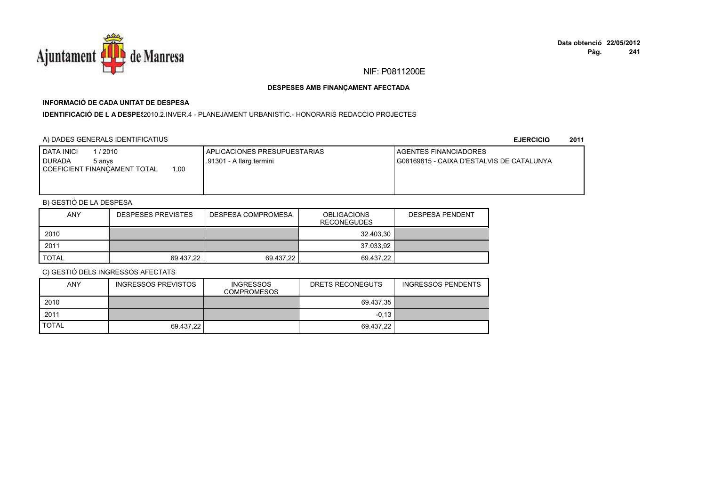

# **INFORMACIÓ DE CADA UNITAT DE DESPESA**

**IDENTIFICACIÓ DE L A DESPE**\$2010.2.INVER.4 - PLANEJAMENT URBANISTIC.- HONORARIS REDACCIO PROJECTES

## A) DADES GENERALS IDENTIFICATIUS

**EJERCICIO<sup>2011</sup>**

| <b>DATA INICI</b><br>1 / 2010<br><b>I DURADA</b><br>5 anvs<br>.00<br>COEFICIENT FINANCAMENT TOTAL | I APLICACIONES PRESUPUESTARIAS<br>.91301 - A llarg termini | AGENTES FINANCIADORES<br>I G08169815 - CAIXA D'ESTALVIS DE CATALUNYA |
|---------------------------------------------------------------------------------------------------|------------------------------------------------------------|----------------------------------------------------------------------|
|                                                                                                   |                                                            |                                                                      |

# B) GESTIÓ DE LA DESPESA

| <b>ANY</b> | <b>DESPESES PREVISTES</b> | DESPESA COMPROMESA | <b>OBLIGACIONS</b><br><b>RECONEGUDES</b> | <b>DESPESA PENDENT</b> |
|------------|---------------------------|--------------------|------------------------------------------|------------------------|
| 2010       |                           |                    | 32.403,30                                |                        |
| 2011       |                           |                    | 37.033,92                                |                        |
| TOTAL      | 69.437.22                 | 69.437.22          | 69.437.22                                |                        |

| ANY          | <b>INGRESSOS PREVISTOS</b> | <b>INGRESSOS</b><br><b>COMPROMESOS</b> | DRETS RECONEGUTS | INGRESSOS PENDENTS |
|--------------|----------------------------|----------------------------------------|------------------|--------------------|
| 2010         |                            |                                        | 69.437.35        |                    |
| 2011         |                            |                                        | $-0.13$ I        |                    |
| <b>TOTAL</b> | 69.437,22                  |                                        | 69.437.22        |                    |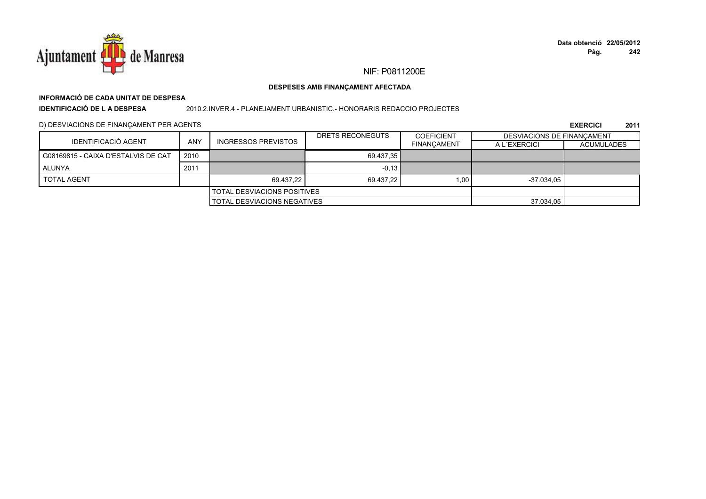

# **INFORMACIÓ DE CADA UNITAT DE DESPESA**

**IDENTIFICACIÓ DE L A DESPESA**

#### 2010.2.INVER.4 - PLANEJAMENT URBANISTIC.- HONORARIS REDACCIO PROJECTES

D) DESVIACIONS DE FINANÇAMENT PER AGENTS

|                                     |                                    |                                    | DRETS RECONEGUTS | COEFICIENT         | DESVIACIONS DE FINANCAMENT |                   |
|-------------------------------------|------------------------------------|------------------------------------|------------------|--------------------|----------------------------|-------------------|
| IDENTIFICACIÓ AGENT                 | ANY                                | <b>INGRESSOS PREVISTOS</b>         |                  | <b>FINANCAMENT</b> | A L'EXERCICI               | <b>ACUMULADES</b> |
| G08169815 - CAIXA D'ESTALVIS DE CAT | 2010                               |                                    | 69.437.35        |                    |                            |                   |
| ALUNYA                              | 2011                               |                                    | $-0,13$          |                    |                            |                   |
| <b>TOTAL AGENT</b>                  |                                    | 69.437.22                          | 69.437.22        | 1.00               | $-37.034.05$               |                   |
|                                     |                                    | <b>TOTAL DESVIACIONS POSITIVES</b> |                  |                    |                            |                   |
|                                     | <b>TOTAL DESVIACIONS NEGATIVES</b> |                                    |                  | 37.034,05          |                            |                   |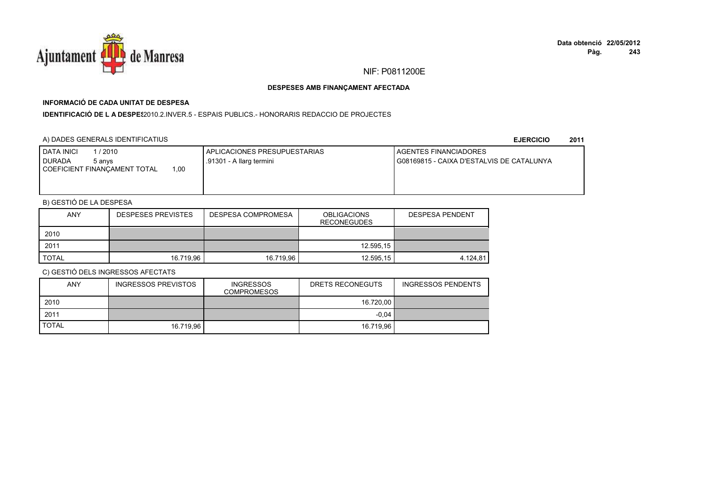

# **INFORMACIÓ DE CADA UNITAT DE DESPESA**

**IDENTIFICACIÓ DE L A DESPES**2010.2.INVER.5 - ESPAIS PUBLICS.- HONORARIS REDACCIO DE PROJECTES

## A) DADES GENERALS IDENTIFICATIUS

**EJERCICIO<sup>2011</sup>**

| <b>DATA INICI</b><br>1 / 2010<br><b>DURADA</b><br>5 anvs<br>00.ا<br>COEFICIENT FINANCAMENT TOTAL | APLICACIONES PRESUPUESTARIAS<br>.91301 - A llarg termini | <b>I AGENTES FINANCIADORES</b><br>l G08169815 - CAIXA D'ESTALVIS DE CATALUNYA |
|--------------------------------------------------------------------------------------------------|----------------------------------------------------------|-------------------------------------------------------------------------------|
|                                                                                                  |                                                          |                                                                               |

# B) GESTIÓ DE LA DESPESA

| <b>ANY</b>   | <b>DESPESES PREVISTES</b> | DESPESA COMPROMESA | <b>OBLIGACIONS</b><br><b>RECONEGUDES</b> | <b>DESPESA PENDENT</b> |
|--------------|---------------------------|--------------------|------------------------------------------|------------------------|
| 2010         |                           |                    |                                          |                        |
| 2011         |                           |                    | 12.595,15                                |                        |
| <b>TOTAL</b> | 16.719,96                 | 16.719.96          | 12.595,15                                | 4.124.81               |

| <b>ANY</b>   | <b>INGRESSOS PREVISTOS</b> | <b>INGRESSOS</b><br><b>COMPROMESOS</b> | DRETS RECONEGUTS | <b>INGRESSOS PENDENTS</b> |
|--------------|----------------------------|----------------------------------------|------------------|---------------------------|
| 2010         |                            |                                        | 16.720.00        |                           |
| 2011         |                            |                                        | $-0.04$          |                           |
| <b>TOTAL</b> | 16.719.96                  |                                        | 16.719.96        |                           |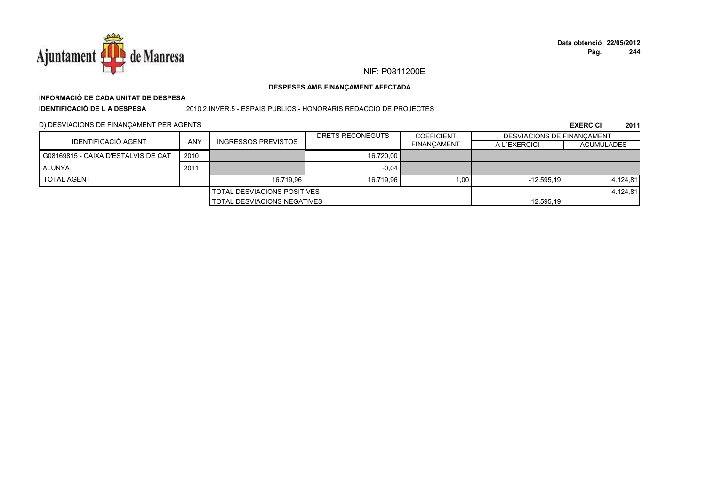

# **INFORMACIÓ DE CADA UNITAT DE DESPESA**

**IDENTIFICACIÓ DE L A DESPESA**

2010.2.INVER.5 - ESPAIS PUBLICS.- HONORARIS REDACCIO DE PROJECTES

D) DESVIACIONS DE FINANÇAMENT PER AGENTS

|                                     |            |                                    | DRETS RECONEGUTS | <b>COEFICIENT</b>  | DESVIACIONS DE FINANCAMENT |                   |
|-------------------------------------|------------|------------------------------------|------------------|--------------------|----------------------------|-------------------|
| <b>IDENTIFICACIÓ AGENT</b>          | <b>ANY</b> | <b>INGRESSOS PREVISTOS</b>         |                  | <b>FINANCAMENT</b> | A L'EXERCICI               | <b>ACUMULADES</b> |
| G08169815 - CAIXA D'ESTALVIS DE CAT | 2010       |                                    | 16.720.00        |                    |                            |                   |
| ALUNYA                              | 2011       |                                    | $-0.04$          |                    |                            |                   |
| <b>TOTAL AGENT</b>                  |            | 16.719.96                          | 16.719.96        | 1.00               | $-12.595.19$               | 4.124,81          |
|                                     |            | <b>TOTAL DESVIACIONS POSITIVES</b> |                  |                    |                            | 4.124,81          |
|                                     |            | <b>TOTAL DESVIACIONS NEGATIVES</b> |                  |                    | 12.595.19                  |                   |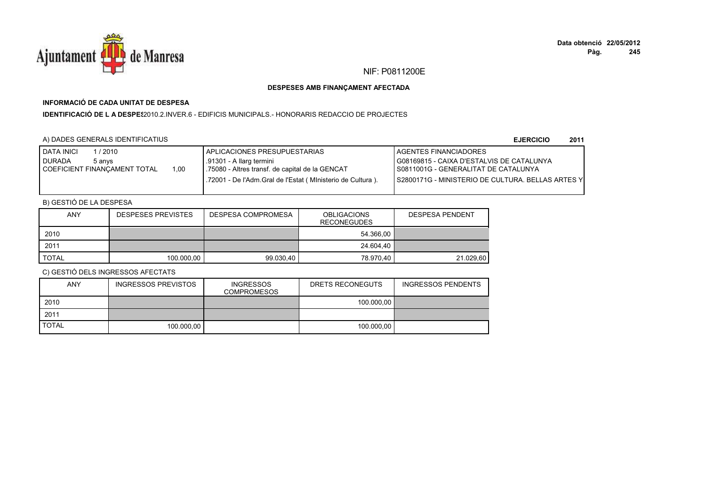

# **INFORMACIÓ DE CADA UNITAT DE DESPESA**

**IDENTIFICACIÓ DE L A DESPE**\$2010.2.INVER.6 - EDIFICIS MUNICIPALS.- HONORARIS REDACCIO DE PROJECTES

## A) DADES GENERALS IDENTIFICATIUS

**EJERCICIO<sup>2011</sup>**

| /2010<br><b>DATA INICI</b><br><b>DURADA</b><br>5 anvs<br>1.00<br>COEFICIENT FINANCAMENT TOTAL | I APLICACIONES PRESUPUESTARIAS<br>.91301 - A llarg termini<br>1.75080 - Altres transf. de capital de la GENCAT<br>.72001 - De l'Adm.Gral de l'Estat (Ministerio de Cultura). | <b>LAGENTES FINANCIADORES</b><br>G08169815 - CAIXA D'ESTALVIS DE CATALUNYA<br>I S0811001G - GENERALITAT DE CATALUNYA<br><b>IS2800171G - MINISTERIO DE CULTURA. BELLAS ARTES Y</b> |
|-----------------------------------------------------------------------------------------------|------------------------------------------------------------------------------------------------------------------------------------------------------------------------------|-----------------------------------------------------------------------------------------------------------------------------------------------------------------------------------|
|                                                                                               |                                                                                                                                                                              |                                                                                                                                                                                   |

# B) GESTIÓ DE LA DESPESA

| <b>ANY</b>   | <b>DESPESES PREVISTES</b> | DESPESA COMPROMESA | <b>OBLIGACIONS</b><br><b>RECONEGUDES</b> | <b>DESPESA PENDENT</b> |
|--------------|---------------------------|--------------------|------------------------------------------|------------------------|
| 2010         |                           |                    | 54.366.00                                |                        |
| 2011         |                           |                    | 24.604.40                                |                        |
| <b>TOTAL</b> | 100.000,00                | 99.030.40          | 78.970.40                                | 21.029.60              |

| ANY          | <b>INGRESSOS PREVISTOS</b> | <b>INGRESSOS</b><br><b>COMPROMESOS</b> | DRETS RECONEGUTS | INGRESSOS PENDENTS |
|--------------|----------------------------|----------------------------------------|------------------|--------------------|
| 2010         |                            |                                        | 100.000.00       |                    |
| 2011         |                            |                                        |                  |                    |
| <b>TOTAL</b> | 100.000.00                 |                                        | 100.000.00       |                    |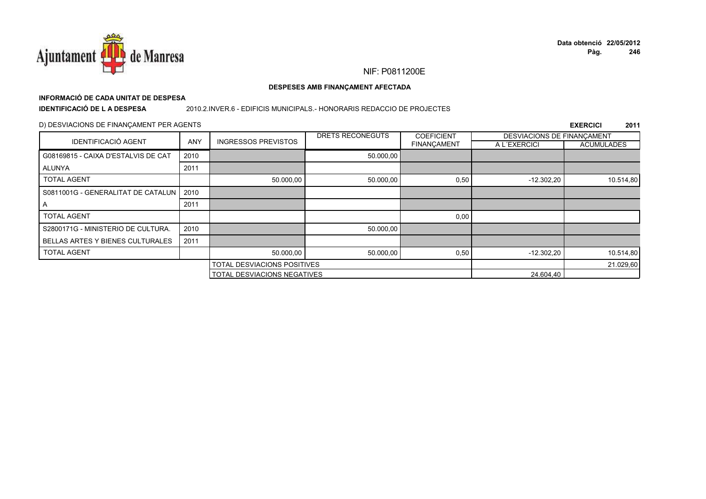

# **INFORMACIÓ DE CADA UNITAT DE DESPESA**

**IDENTIFICACIÓ DE L A DESPESA**

#### 2010.2.INVER.6 - EDIFICIS MUNICIPALS.- HONORARIS REDACCIO DE PROJECTES

## D) DESVIACIONS DE FINANÇAMENT PER AGENTS

|                                         |            |                                    | DRETS RECONEGUTS | <b>COEFICIENT</b>  | DESVIACIONS DE FINANCAMENT |                   |
|-----------------------------------------|------------|------------------------------------|------------------|--------------------|----------------------------|-------------------|
| <b>IDENTIFICACIÓ AGENT</b>              | <b>ANY</b> | <b>INGRESSOS PREVISTOS</b>         |                  | <b>FINANÇAMENT</b> | A L'EXERCICI               | <b>ACUMULADES</b> |
| G08169815 - CAIXA D'ESTALVIS DE CAT     | 2010       |                                    | 50.000,00        |                    |                            |                   |
| <b>ALUNYA</b>                           | 2011       |                                    |                  |                    |                            |                   |
| <b>TOTAL AGENT</b>                      |            | 50.000,00                          | 50.000,00        | 0,50               | $-12.302,20$               | 10.514,80         |
| S0811001G - GENERALITAT DE CATALUN      | 2010       |                                    |                  |                    |                            |                   |
| A                                       | 2011       |                                    |                  |                    |                            |                   |
| <b>TOTAL AGENT</b>                      |            |                                    |                  | 0,00               |                            |                   |
| S2800171G - MINISTERIO DE CULTURA.      | 2010       |                                    | 50.000,00        |                    |                            |                   |
| <b>BELLAS ARTES Y BIENES CULTURALES</b> | 2011       |                                    |                  |                    |                            |                   |
| <b>TOTAL AGENT</b>                      |            | 50.000,00                          | 50.000,00        | 0,50               | $-12.302,20$               | 10.514,80         |
|                                         |            | TOTAL DESVIACIONS POSITIVES        |                  |                    |                            | 21.029,60         |
|                                         |            | <b>TOTAL DESVIACIONS NEGATIVES</b> |                  |                    | 24.604,40                  |                   |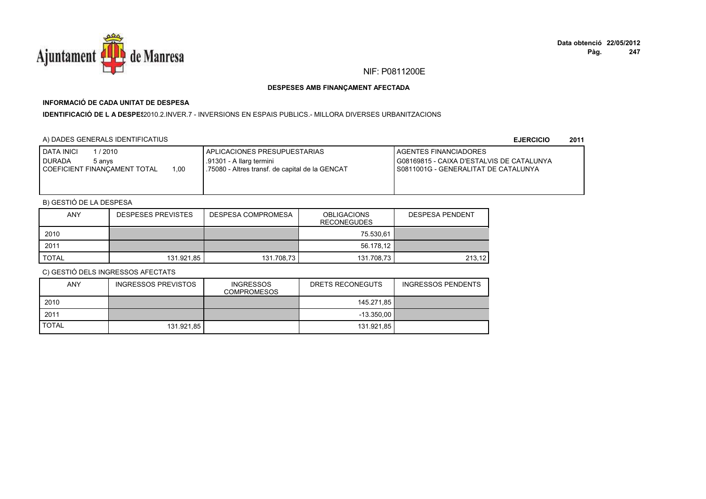

# **INFORMACIÓ DE CADA UNITAT DE DESPESA**

I**DENTIFICACIÓ DE L A DESPE**\$2010.2.INVER.7 - INVERSIONS EN ESPAIS PUBLICS.- MILLORA DIVERSES URBANITZACIONS

## A) DADES GENERALS IDENTIFICATIUS

**EJERCICIO<sup>2011</sup>**

| <b>I DATA INICI</b><br>/ 2010<br><b>I DURADA</b><br>5 anvs<br>1.00<br>COEFICIENT FINANCAMENT TOTAL | I APLICACIONES PRESUPUESTARIAS<br>.91301 - A llarg termini<br>.75080 - Altres transf. de capital de la GENCAT | <b>I AGENTES FINANCIADORES</b><br>I G08169815 - CAIXA D'ESTALVIS DE CATALUNYA<br>I S0811001G - GENERALITAT DE CATALUNYA |
|----------------------------------------------------------------------------------------------------|---------------------------------------------------------------------------------------------------------------|-------------------------------------------------------------------------------------------------------------------------|
|----------------------------------------------------------------------------------------------------|---------------------------------------------------------------------------------------------------------------|-------------------------------------------------------------------------------------------------------------------------|

# B) GESTIÓ DE LA DESPESA

| <b>ANY</b> | <b>DESPESES PREVISTES</b> | <b>OBLIGACIONS</b><br>DESPESA COMPROMESA<br><b>RECONEGUDES</b> |            | <b>DESPESA PENDENT</b> |
|------------|---------------------------|----------------------------------------------------------------|------------|------------------------|
| 2010       |                           |                                                                | 75.530.61  |                        |
| 2011       |                           |                                                                | 56.178.12  |                        |
| TOTAL      | 131.921,85                | 131.708,73                                                     | 131.708,73 | 213,12                 |

| <b>ANY</b>   | <b>INGRESSOS PREVISTOS</b> | <b>INGRESSOS</b><br><b>COMPROMESOS</b> | DRETS RECONEGUTS | <b>INGRESSOS PENDENTS</b> |
|--------------|----------------------------|----------------------------------------|------------------|---------------------------|
| 2010         |                            |                                        | 145.271,85       |                           |
| 2011         |                            |                                        | $-13.350.00$     |                           |
| <b>TOTAL</b> | 131.921.85                 |                                        | 131.921.85       |                           |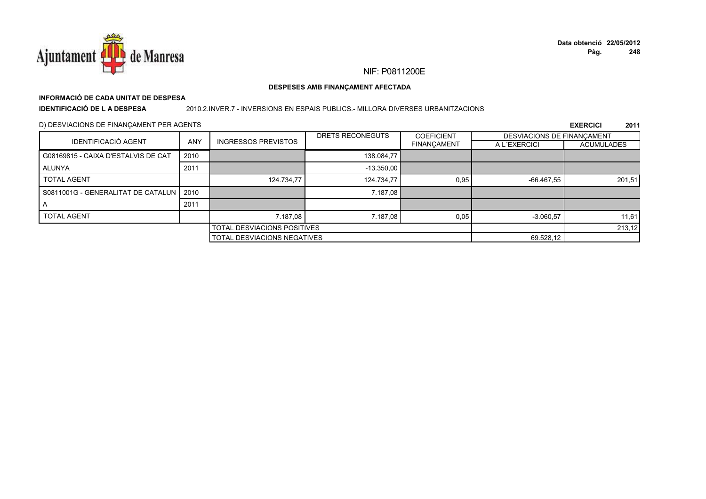

# **INFORMACIÓ DE CADA UNITAT DE DESPESA**

**IDENTIFICACIÓ DE L A DESPESA**

#### 2010.2.INVER.7 - INVERSIONS EN ESPAIS PUBLICS.- MILLORA DIVERSES URBANITZACIONS

### D) DESVIACIONS DE FINANÇAMENT PER AGENTS

|                                     |            |                             | DRETS RECONEGUTS                   | <b>COEFICIENT</b>  | <b>DESVIACIONS DE FINANCAMENT</b> |                   |
|-------------------------------------|------------|-----------------------------|------------------------------------|--------------------|-----------------------------------|-------------------|
| <b>IDENTIFICACIÓ AGENT</b>          | <b>ANY</b> | <b>INGRESSOS PREVISTOS</b>  |                                    | <b>FINANÇAMENT</b> | A L'EXERCICI                      | <b>ACUMULADES</b> |
| G08169815 - CAIXA D'ESTALVIS DE CAT | 2010       |                             | 138.084,77                         |                    |                                   |                   |
| ALUNYA                              | 2011       |                             | $-13.350,00$                       |                    |                                   |                   |
| <b>TOTAL AGENT</b>                  |            | 124.734,77                  | 124.734,77                         | 0,95               | -66.467,55                        | 201,51            |
| S0811001G - GENERALITAT DE CATALUN  | 2010       |                             | 7.187,08                           |                    |                                   |                   |
| $\overline{A}$                      | 2011       |                             |                                    |                    |                                   |                   |
| <b>TOTAL AGENT</b>                  |            | 7.187,08                    | 7.187,08                           | 0,05               | $-3.060,57$                       | 11,61             |
|                                     |            | TOTAL DESVIACIONS POSITIVES |                                    |                    |                                   | 213,12            |
|                                     |            |                             | <b>TOTAL DESVIACIONS NEGATIVES</b> |                    |                                   |                   |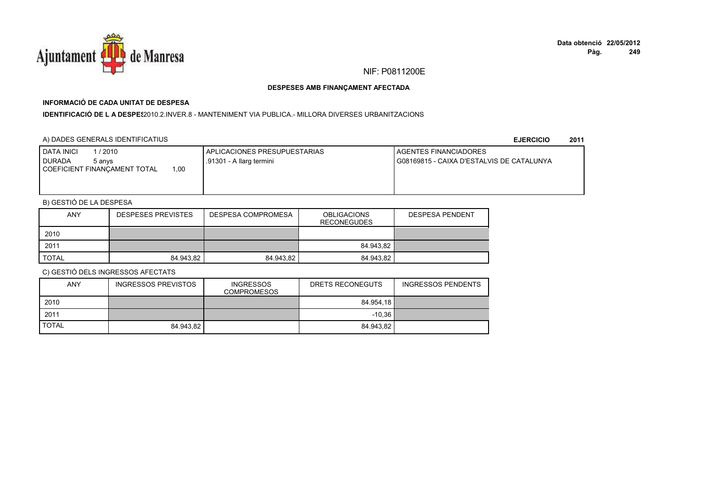

# **INFORMACIÓ DE CADA UNITAT DE DESPESA**

## **IDENTIFICACIÓ DE L A DESPES**2010.2.INVER.8 - MANTENIMENT VIA PUBLICA.- MILLORA DIVERSES URBANITZACIONS

## A) DADES GENERALS IDENTIFICATIUS

**EJERCICIO<sup>2011</sup>**

| 1/2010<br>DATA INICI<br><b>DURADA</b><br>5 anvs | <b>I APLICACIONES PRESUPUESTARIAS</b><br>.91301 - A llarg termini | <b>I AGENTES FINANCIADORES</b><br>I G08169815 - CAIXA D'ESTALVIS DE CATALUNYA |
|-------------------------------------------------|-------------------------------------------------------------------|-------------------------------------------------------------------------------|
| 00.1<br>COEFICIENT FINANCAMENT TOTAL            |                                                                   |                                                                               |
|                                                 |                                                                   |                                                                               |

# B) GESTIÓ DE LA DESPESA

| <b>ANY</b> | <b>DESPESES PREVISTES</b> | <b>DESPESA COMPROMESA</b> | <b>OBLIGACIONS</b><br><b>RECONEGUDES</b> | <b>DESPESA PENDENT</b> |
|------------|---------------------------|---------------------------|------------------------------------------|------------------------|
| 2010       |                           |                           |                                          |                        |
| 2011       |                           |                           | 84.943.82                                |                        |
| TOTAL      | 84.943.82                 | 84.943.82                 | 84.943.82                                |                        |

| ANY          | <b>INGRESSOS PREVISTOS</b> | <b>INGRESSOS</b><br><b>COMPROMESOS</b> | DRETS RECONEGUTS | <b>INGRESSOS PENDENTS</b> |
|--------------|----------------------------|----------------------------------------|------------------|---------------------------|
| 2010         |                            |                                        | 84.954.18        |                           |
| 2011         |                            |                                        | $-10.36$         |                           |
| <b>TOTAL</b> | 84.943,82                  |                                        | 84.943.82        |                           |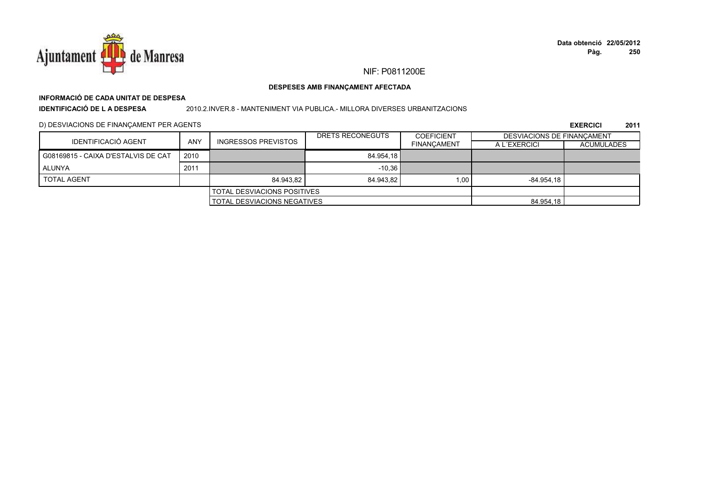

# **INFORMACIÓ DE CADA UNITAT DE DESPESA**

**IDENTIFICACIÓ DE L A DESPESA**

#### 2010.2.INVER.8 - MANTENIMENT VIA PUBLICA.- MILLORA DIVERSES URBANITZACIONS

## D) DESVIACIONS DE FINANÇAMENT PER AGENTS

|                                     |                                      |                                      | DRETS RECONEGUTS | <b>COEFICIENT</b>  | <b>DESVIACIONS DE FINANCAMENT</b> |                   |
|-------------------------------------|--------------------------------------|--------------------------------------|------------------|--------------------|-----------------------------------|-------------------|
| <b>IDENTIFICACIÓ AGENT</b>          | <b>ANY</b>                           | <b>INGRESSOS PREVISTOS</b>           |                  | <b>FINANCAMENT</b> | A L'EXERCICI                      | <b>ACUMULADES</b> |
| G08169815 - CAIXA D'ESTALVIS DE CAT | 2010                                 |                                      | 84.954.18        |                    |                                   |                   |
| ALUNYA                              | 2011                                 |                                      | $-10,36$         |                    |                                   |                   |
| <b>TOTAL AGENT</b>                  |                                      | 84.943.82                            | 84.943.82        | 1.00               | $-84.954.18$                      |                   |
|                                     |                                      | <b>I TOTAL DESVIACIONS POSITIVES</b> |                  |                    |                                   |                   |
|                                     | <b>I TOTAL DESVIACIONS NEGATIVES</b> |                                      |                  | 84.954,18          |                                   |                   |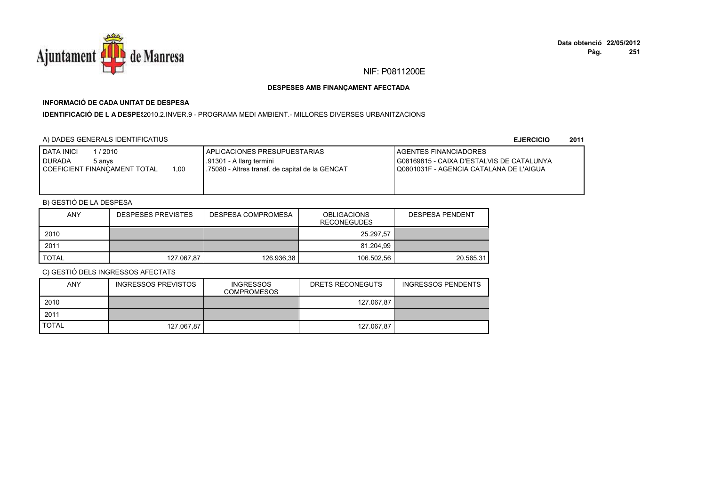

# **INFORMACIÓ DE CADA UNITAT DE DESPESA**

I**DENTIFICACIÓ DE L A DESPES**2010.2.INVER.9 - PROGRAMA MEDI AMBIENT.- MILLORES DIVERSES URBANITZACIONS

# A) DADES GENERALS IDENTIFICATIUS

**EJERCICIO<sup>2011</sup>**

| <b>I DATA INICI</b><br>/ 2010<br><b>I DURADA</b><br>5 anvs<br>1.00<br>COEFICIENT FINANCAMENT TOTAL | I APLICACIONES PRESUPUESTARIAS<br>.91301 - A llarg termini<br>1.75080 - Altres transf. de capital de la GENCAT | <b>I AGENTES FINANCIADORES</b><br>I G08169815 - CAIXA D'ESTALVIS DE CATALUNYA<br>  Q0801031F - AGENCIA CATALANA DE L'AIGUA |
|----------------------------------------------------------------------------------------------------|----------------------------------------------------------------------------------------------------------------|----------------------------------------------------------------------------------------------------------------------------|
|----------------------------------------------------------------------------------------------------|----------------------------------------------------------------------------------------------------------------|----------------------------------------------------------------------------------------------------------------------------|

# B) GESTIÓ DE LA DESPESA

| <b>ANY</b> | <b>DESPESES PREVISTES</b> | DESPESA COMPROMESA | <b>OBLIGACIONS</b><br><b>RECONEGUDES</b> | <b>DESPESA PENDENT</b> |
|------------|---------------------------|--------------------|------------------------------------------|------------------------|
| 2010       |                           |                    | 25.297.57                                |                        |
| 2011       |                           |                    | 81.204.99                                |                        |
| TOTAL      | 127.067,87                | 126.936.38         | 106.502,56                               | 20.565,31              |

| <b>ANY</b>   | <b>INGRESSOS PREVISTOS</b> | <b>INGRESSOS</b><br>COMPROMESOS | DRETS RECONEGUTS | <b>INGRESSOS PENDENTS</b> |
|--------------|----------------------------|---------------------------------|------------------|---------------------------|
| 2010         |                            |                                 | 127.067,87       |                           |
| 2011         |                            |                                 |                  |                           |
| <b>TOTAL</b> | 127.067.87                 |                                 | 127.067.87       |                           |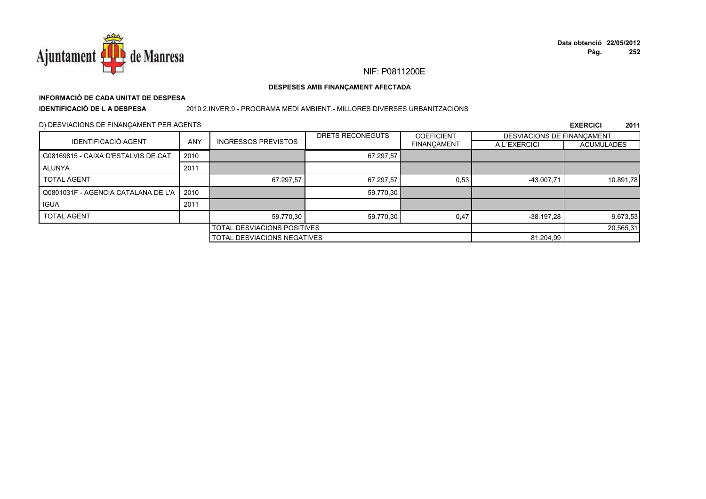

# **INFORMACIÓ DE CADA UNITAT DE DESPESA**

**IDENTIFICACIÓ DE L A DESPESA**

#### 2010.2.INVER.9 - PROGRAMA MEDI AMBIENT.- MILLORES DIVERSES URBANITZACIONS

## D) DESVIACIONS DE FINANÇAMENT PER AGENTS

|                                     |            |                                    | DRETS RECONEGUTS | <b>COEFICIENT</b>  | DESVIACIONS DE FINANCAMENT |                   |
|-------------------------------------|------------|------------------------------------|------------------|--------------------|----------------------------|-------------------|
| <b>IDENTIFICACIÓ AGENT</b>          | <b>ANY</b> | <b>INGRESSOS PREVISTOS</b>         |                  | <b>FINANÇAMENT</b> | A L'EXERCICI               | <b>ACUMULADES</b> |
| G08169815 - CAIXA D'ESTALVIS DE CAT | 2010       |                                    | 67.297,57        |                    |                            |                   |
| ALUNYA                              | 2011       |                                    |                  |                    |                            |                   |
| <b>TOTAL AGENT</b>                  |            | 67.297,57                          | 67.297,57        | 0,53               | -43.007,71                 | 10.891,78         |
| Q0801031F - AGENCIA CATALANA DE L'A | 2010       |                                    | 59.770,30        |                    |                            |                   |
| <b>IGUA</b>                         | 2011       |                                    |                  |                    |                            |                   |
| <b>TOTAL AGENT</b>                  |            | 59.770.30                          | 59.770,30        | 0.47               | -38.197,28                 | 9.673,53          |
|                                     |            | TOTAL DESVIACIONS POSITIVES        |                  |                    |                            | 20.565,31         |
|                                     |            | <b>TOTAL DESVIACIONS NEGATIVES</b> |                  |                    | 81.204,99                  |                   |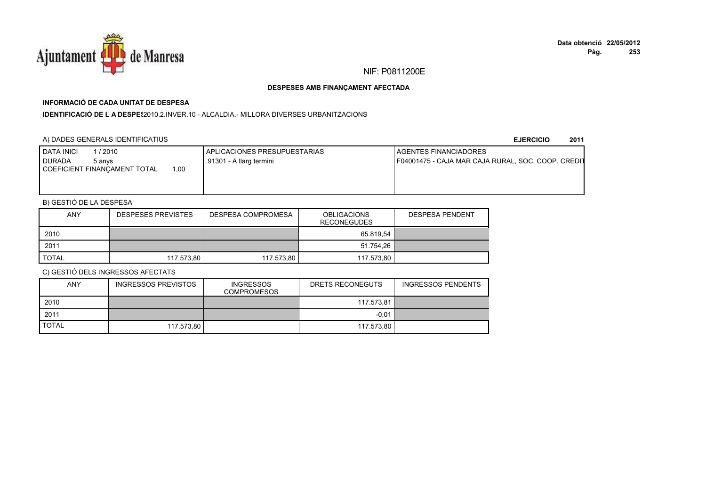

# **INFORMACIÓ DE CADA UNITAT DE DESPESA**

**IDENTIFICACIÓ DE L A DESPES**2010.2.INVER.10 - ALCALDIA.- MILLORA DIVERSES URBANITZACIONS

## A) DADES GENERALS IDENTIFICATIUS

#### **EJERCICIO<sup>2011</sup>**

| <b>DATA INICI</b><br>/ 2010<br>I DURADA<br>5 anvs<br>COEFICIENT FINANCAMENT TOTAL<br>00, | <b>APLICACIONES PRESUPUESTARIAS</b><br>.91301 - A llarg termini | <b>I AGENTES FINANCIADORES</b><br>F04001475 - CAJA MAR CAJA RURAL, SOC. COOP. CREDIT |
|------------------------------------------------------------------------------------------|-----------------------------------------------------------------|--------------------------------------------------------------------------------------|
|                                                                                          |                                                                 |                                                                                      |

# B) GESTIÓ DE LA DESPESA

| <b>ANY</b>   | <b>DESPESES PREVISTES</b> | DESPESA COMPROMESA | <b>OBLIGACIONS</b><br><b>RECONEGUDES</b> | <b>DESPESA PENDENT</b> |
|--------------|---------------------------|--------------------|------------------------------------------|------------------------|
| 2010         |                           |                    | 65.819.54                                |                        |
| 2011         |                           |                    | 51.754,26                                |                        |
| <b>TOTAL</b> | 117.573.80                | 117.573.80         | 117.573.80                               |                        |

| ANY          | <b>INGRESSOS PREVISTOS</b> | <b>INGRESSOS</b><br><b>COMPROMESOS</b> | DRETS RECONEGUTS | INGRESSOS PENDENTS |
|--------------|----------------------------|----------------------------------------|------------------|--------------------|
| 2010         |                            |                                        | 117.573,81       |                    |
| 2011         |                            |                                        | $-0.01$          |                    |
| <b>TOTAL</b> | 117.573.80                 |                                        | 117.573.80       |                    |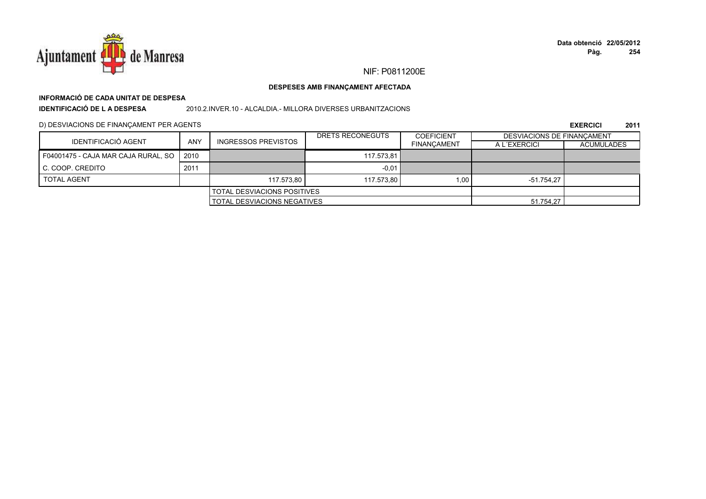

# **INFORMACIÓ DE CADA UNITAT DE DESPESA**

**IDENTIFICACIÓ DE L A DESPESA**

2010.2.INVER.10 - ALCALDIA.- MILLORA DIVERSES URBANITZACIONS

D) DESVIACIONS DE FINANÇAMENT PER AGENTS

|                                     |      |                                    | DRETS RECONEGUTS | <b>COEFICIENT</b>  | <b>DESVIACIONS DE FINANCAMENT</b> |                   |
|-------------------------------------|------|------------------------------------|------------------|--------------------|-----------------------------------|-------------------|
| IDENTIFICACIÓ AGENT                 | ANY  | <b>INGRESSOS PREVISTOS</b>         |                  | <b>FINANCAMENT</b> | A L'EXERCICI                      | <b>ACUMULADES</b> |
| F04001475 - CAJA MAR CAJA RURAL, SO | 2010 |                                    | 117.573.81       |                    |                                   |                   |
| C. COOP. CREDITO                    | 2011 |                                    | $-0.01$          |                    |                                   |                   |
| <b>TOTAL AGENT</b>                  |      | 117.573.80                         | 117.573.80       | 1.00               | -51.754.27                        |                   |
|                                     |      | <b>TOTAL DESVIACIONS POSITIVES</b> |                  |                    |                                   |                   |
| <b>TOTAL DESVIACIONS NEGATIVES</b>  |      |                                    | 51.754,27        |                    |                                   |                   |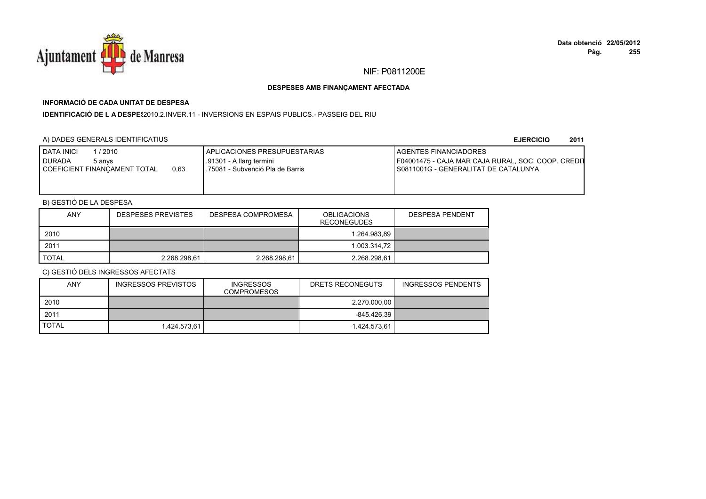

# **INFORMACIÓ DE CADA UNITAT DE DESPESA**

**IDENTIFICACIÓ DE L A DESPE\$**2010.2.INVER.11 - INVERSIONS EN ESPAIS PUBLICS.- PASSEIG DEL RIU

# A) DADES GENERALS IDENTIFICATIUS

**EJERCICIO<sup>2011</sup>**

| I DATA INICI<br>1 / 2010<br>I DURADA<br>5 anvs<br>0.63<br>COEFICIENT FINANCAMENT TOTAL | I APLICACIONES PRESUPUESTARIAS<br>.91301 - A llarg termini<br>75081 - Subvenció Pla de Barris | <b>I AGENTES FINANCIADORES</b><br>F04001475 - CAJA MAR CAJA RURAL, SOC. COOP. CREDIT<br>S0811001G - GENERALITAT DE CATALUNYA |
|----------------------------------------------------------------------------------------|-----------------------------------------------------------------------------------------------|------------------------------------------------------------------------------------------------------------------------------|
|----------------------------------------------------------------------------------------|-----------------------------------------------------------------------------------------------|------------------------------------------------------------------------------------------------------------------------------|

# B) GESTIÓ DE LA DESPESA

| <b>ANY</b> | <b>DESPESES PREVISTES</b> | DESPESA COMPROMESA | <b>OBLIGACIONS</b><br><b>RECONEGUDES</b> | <b>DESPESA PENDENT</b> |
|------------|---------------------------|--------------------|------------------------------------------|------------------------|
| 2010       |                           |                    | 1.264.983.89                             |                        |
| 2011       |                           |                    | 1.003.314.72                             |                        |
| TOTAL      | 2.268.298.61              | 2.268.298.61       | 2.268.298.61                             |                        |

| ANY          | INGRESSOS PREVISTOS | <b>INGRESSOS</b><br>COMPROMESOS | DRETS RECONEGUTS | <b>INGRESSOS PENDENTS</b> |
|--------------|---------------------|---------------------------------|------------------|---------------------------|
| 2010         |                     |                                 | 2.270.000,00     |                           |
| 2011         |                     |                                 | -845.426.39      |                           |
| <b>TOTAL</b> | 1.424.573.61        |                                 | 1.424.573.61     |                           |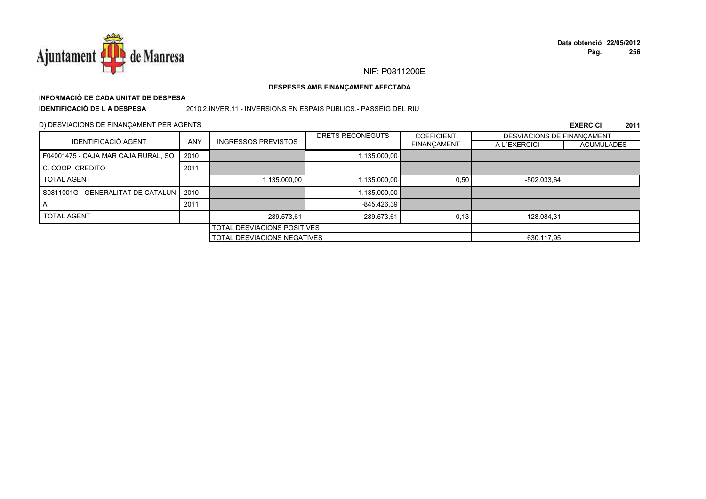

# **INFORMACIÓ DE CADA UNITAT DE DESPESA**

**IDENTIFICACIÓ DE L A DESPESA**

#### 2010.2.INVER.11 - INVERSIONS EN ESPAIS PUBLICS.- PASSEIG DEL RIU

### D) DESVIACIONS DE FINANÇAMENT PER AGENTS

|                                           |            |                                    | DRETS RECONEGUTS | <b>COEFICIENT</b>  | DESVIACIONS DE FINANCAMENT |                   |
|-------------------------------------------|------------|------------------------------------|------------------|--------------------|----------------------------|-------------------|
| <b>IDENTIFICACIÓ AGENT</b>                | <b>ANY</b> | <b>INGRESSOS PREVISTOS</b>         |                  | <b>FINANÇAMENT</b> | A L'EXERCICI               | <b>ACUMULADES</b> |
| F04001475 - CAJA MAR CAJA RURAL, SO       | 2010       |                                    | 1.135.000,00     |                    |                            |                   |
| C. COOP. CREDITO                          | 2011       |                                    |                  |                    |                            |                   |
| <b>TOTAL AGENT</b>                        |            | 1.135.000,00                       | 1.135.000,00     | 0,50               | -502.033,64                |                   |
| S0811001G - GENERALITAT DE CATALUN   2010 |            |                                    | 1.135.000,00     |                    |                            |                   |
|                                           | 2011       |                                    | $-845.426.39$    |                    |                            |                   |
| <b>TOTAL AGENT</b>                        |            | 289.573,61                         | 289.573,61       | 0,13               | $-128.084.31$              |                   |
| <b>TOTAL DESVIACIONS POSITIVES</b>        |            |                                    |                  |                    |                            |                   |
|                                           |            | <b>TOTAL DESVIACIONS NEGATIVES</b> |                  |                    | 630.117,95                 |                   |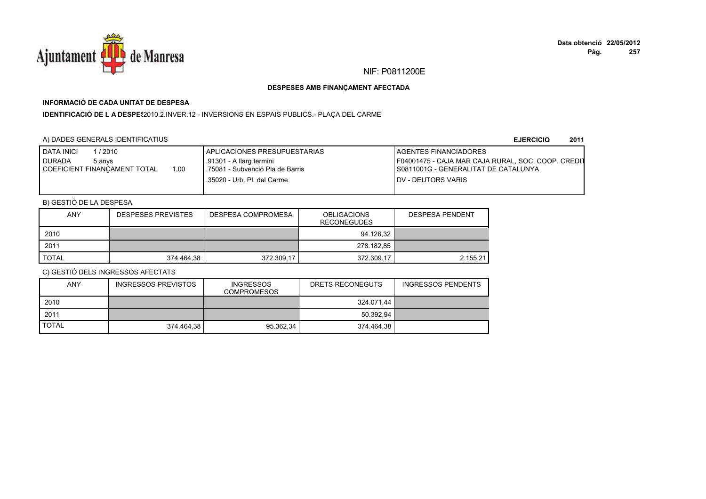

# **INFORMACIÓ DE CADA UNITAT DE DESPESA**

IDENTIFICACIÓ DE L A DESPE\$2010.2.INVER.12 - INVERSIONS EN ESPAIS PUBLICS.- PLAÇA DEL CARME

# A) DADES GENERALS IDENTIFICATIUS

**EJERCICIO<sup>2011</sup>**

| <b>I DATA INICI</b><br>/ 2010<br><b>DURADA</b><br>5 anvs<br>1.00<br>COEFICIENT FINANCAMENT TOTAL | I APLICACIONES PRESUPUESTARIAS<br>.91301 - A llarg termini<br>.75081 - Subvenció Pla de Barris<br>.35020 - Urb. Pl. del Carme | <b>I AGENTES FINANCIADORES</b><br>F04001475 - CAJA MAR CAJA RURAL, SOC. COOP. CREDIT<br>I S0811001G - GENERALITAT DE CATALUNYA<br><b>IDV - DEUTORS VARIS</b> |
|--------------------------------------------------------------------------------------------------|-------------------------------------------------------------------------------------------------------------------------------|--------------------------------------------------------------------------------------------------------------------------------------------------------------|
|                                                                                                  |                                                                                                                               |                                                                                                                                                              |

# B) GESTIÓ DE LA DESPESA

| <b>ANY</b>   | <b>DESPESES PREVISTES</b> | <b>DESPESA COMPROMESA</b> | <b>OBLIGACIONS</b><br><b>RECONEGUDES</b> | <b>DESPESA PENDENT</b> |
|--------------|---------------------------|---------------------------|------------------------------------------|------------------------|
| 2010         |                           |                           | 94.126.32                                |                        |
| 2011         |                           |                           | 278.182.85                               |                        |
| <b>TOTAL</b> | 374.464.38                | 372.309,17                | 372.309,17                               | 2.155,21               |

| <b>ANY</b>   | <b>INGRESSOS PREVISTOS</b> | <b>INGRESSOS</b><br><b>COMPROMESOS</b> | DRETS RECONEGUTS | <b>INGRESSOS PENDENTS</b> |
|--------------|----------------------------|----------------------------------------|------------------|---------------------------|
| 2010         |                            |                                        | 324.071.44       |                           |
| 2011         |                            |                                        | 50.392.94        |                           |
| <b>TOTAL</b> | 374.464.38                 | 95.362.34                              | 374.464.38       |                           |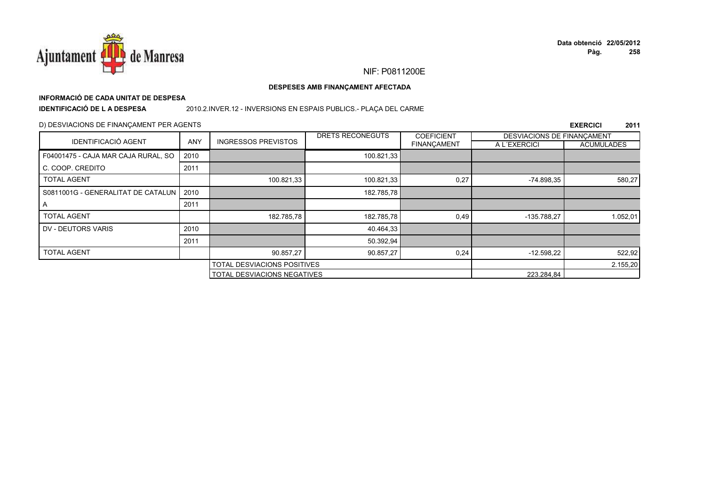

# **INFORMACIÓ DE CADA UNITAT DE DESPESA**

**IDENTIFICACIÓ DE L A DESPESA**

## 2010.2.INVER.12 - INVERSIONS EN ESPAIS PUBLICS.- PLAÇA DEL CARME

## D) DESVIACIONS DE FINANÇAMENT PER AGENTS

|                                     |            |                                    | DRETS RECONEGUTS | <b>COEFICIENT</b> | DESVIACIONS DE FINANCAMENT |                   |
|-------------------------------------|------------|------------------------------------|------------------|-------------------|----------------------------|-------------------|
| <b>IDENTIFICACIÓ AGENT</b>          | <b>ANY</b> | <b>INGRESSOS PREVISTOS</b>         |                  | FINANÇAMENT       | A L'EXERCICI               | <b>ACUMULADES</b> |
| F04001475 - CAJA MAR CAJA RURAL, SO | 2010       |                                    | 100.821,33       |                   |                            |                   |
| C. COOP. CREDITO                    | 2011       |                                    |                  |                   |                            |                   |
| <b>TOTAL AGENT</b>                  |            | 100.821,33                         | 100.821,33       | 0,27              | $-74.898,35$               | 580,27            |
| S0811001G - GENERALITAT DE CATALUN  | 2010       |                                    | 182.785,78       |                   |                            |                   |
| A                                   | 2011       |                                    |                  |                   |                            |                   |
| <b>TOTAL AGENT</b>                  |            | 182.785,78                         | 182.785,78       | 0,49              | -135.788,27                | 1.052,01          |
| DV - DEUTORS VARIS                  | 2010       |                                    | 40.464,33        |                   |                            |                   |
|                                     | 2011       |                                    | 50.392,94        |                   |                            |                   |
| <b>TOTAL AGENT</b>                  |            | 90.857,27                          | 90.857,27        | 0,24              | $-12.598,22$               | 522,92            |
|                                     |            | <b>TOTAL DESVIACIONS POSITIVES</b> |                  |                   | 2.155,20                   |                   |
|                                     |            | <b>TOTAL DESVIACIONS NEGATIVES</b> |                  |                   | 223.284,84                 |                   |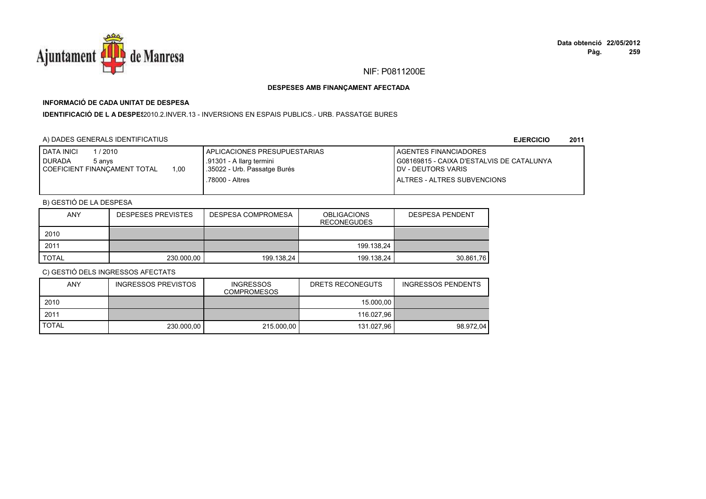

## **INFORMACIÓ DE CADA UNITAT DE DESPESA**

I**DENTIFICACIÓ DE L A DESPE**\$2010.2.INVER.13 - INVERSIONS EN ESPAIS PUBLICS.- URB. PASSATGE BURES

## A) DADES GENERALS IDENTIFICATIUS

**EJERCICIO<sup>2011</sup>**

| <b>DATA INICI</b><br>/ 2010<br><b>DURADA</b><br>5 anvs<br>1.00<br>COEFICIENT FINANCAMENT TOTAL | <b>I APLICACIONES PRESUPUESTARIAS</b><br>.91301 - A llarg termini<br>35022 - Urb. Passatge Burés | <b>AGENTES FINANCIADORES</b><br>G08169815 - CAIXA D'ESTALVIS DE CATALUNYA<br><b>IDV - DEUTORS VARIS</b> |
|------------------------------------------------------------------------------------------------|--------------------------------------------------------------------------------------------------|---------------------------------------------------------------------------------------------------------|
|                                                                                                | .78000 - Altres                                                                                  | I ALTRES - ALTRES SUBVENCIONS                                                                           |

## B) GESTIÓ DE LA DESPESA

| <b>ANY</b> | <b>DESPESES PREVISTES</b> | DESPESA COMPROMESA | <b>OBLIGACIONS</b><br><b>RECONEGUDES</b> | <b>DESPESA PENDENT</b> |
|------------|---------------------------|--------------------|------------------------------------------|------------------------|
| 2010       |                           |                    |                                          |                        |
| 2011       |                           |                    | 199.138.24                               |                        |
| TOTAL      | 230.000,00                | 199.138,24         | 199.138.24                               | 30.861,76              |

| ANY          | <b>INGRESSOS PREVISTOS</b> | <b>INGRESSOS</b><br><b>COMPROMESOS</b> | DRETS RECONEGUTS | <b>INGRESSOS PENDENTS</b> |
|--------------|----------------------------|----------------------------------------|------------------|---------------------------|
| 2010         |                            |                                        | 15.000.00        |                           |
| 2011         |                            |                                        | 116.027.96       |                           |
| <b>TOTAL</b> | 230,000.00                 | 215,000.00                             | 131.027.96       | 98.972.04                 |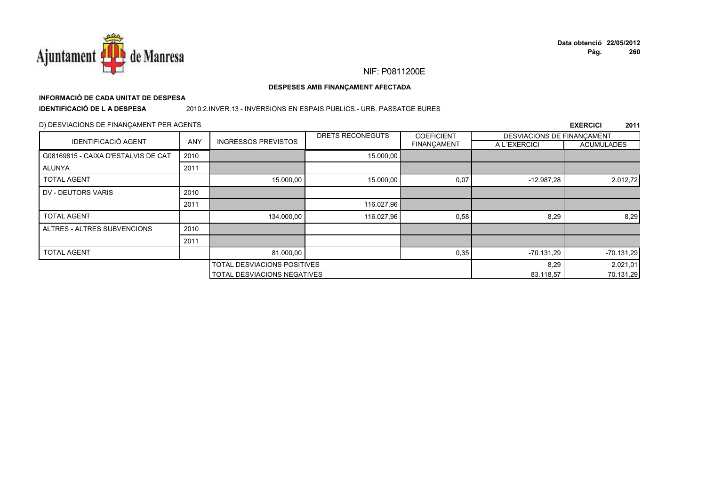

# **INFORMACIÓ DE CADA UNITAT DE DESPESA**

**IDENTIFICACIÓ DE L A DESPESA**

#### 2010.2.INVER.13 - INVERSIONS EN ESPAIS PUBLICS.- URB. PASSATGE BURES

### D) DESVIACIONS DE FINANÇAMENT PER AGENTS

|                                     |            |                                    | DRETS RECONEGUTS | <b>COEFICIENT</b>  | DESVIACIONS DE FINANÇAMENT |                   |
|-------------------------------------|------------|------------------------------------|------------------|--------------------|----------------------------|-------------------|
| <b>IDENTIFICACIÓ AGENT</b>          | <b>ANY</b> | <b>INGRESSOS PREVISTOS</b>         |                  | <b>FINANCAMENT</b> | A L'EXERCICI               | <b>ACUMULADES</b> |
| G08169815 - CAIXA D'ESTALVIS DE CAT | 2010       |                                    | 15.000,00        |                    |                            |                   |
| ALUNYA                              | 2011       |                                    |                  |                    |                            |                   |
| <b>TOTAL AGENT</b>                  |            | 15.000,00                          | 15.000,00        | 0,07               | $-12.987,28$               | 2.012,72          |
| DV - DEUTORS VARIS                  | 2010       |                                    |                  |                    |                            |                   |
|                                     | 2011       |                                    | 116.027,96       |                    |                            |                   |
| <b>TOTAL AGENT</b>                  |            | 134.000,00                         | 116.027,96       | 0,58               | 8,29                       | 8,29              |
| ALTRES - ALTRES SUBVENCIONS         | 2010       |                                    |                  |                    |                            |                   |
|                                     | 2011       |                                    |                  |                    |                            |                   |
| <b>TOTAL AGENT</b>                  |            | 81.000,00                          |                  | 0,35               | $-70.131,29$               | $-70.131,29$      |
|                                     |            | TOTAL DESVIACIONS POSITIVES        |                  | 8,29               | 2.021,01                   |                   |
|                                     |            | <b>TOTAL DESVIACIONS NEGATIVES</b> |                  |                    | 83.118,57                  | 70.131,29         |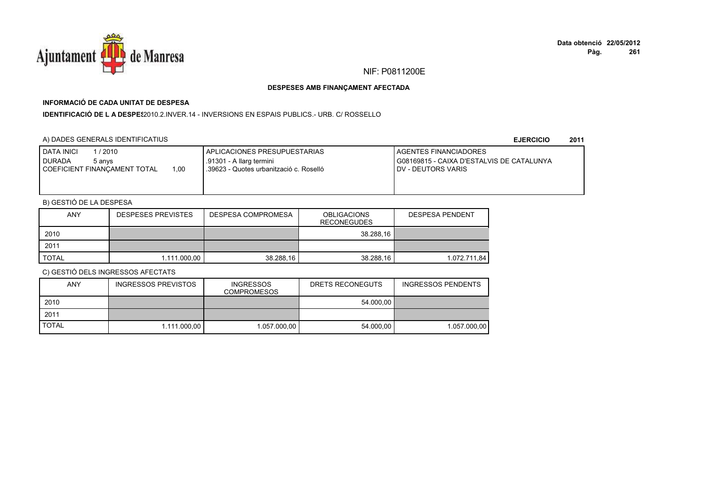

## **INFORMACIÓ DE CADA UNITAT DE DESPESA**

**IDENTIFICACIÓ DE L A DESPES**2010.2.INVER.14 - INVERSIONS EN ESPAIS PUBLICS.- URB. C/ ROSSELLO

## A) DADES GENERALS IDENTIFICATIUS

**EJERCICIO<sup>2011</sup>**

| DATA INICI<br>1 / 2010<br><b>DURADA</b><br>5 anvs<br>COEFICIENT FINANCAMENT TOTAL<br>1.00 | APLICACIONES PRESUPUESTARIAS<br>.91301 - A llarg termini<br>.39623 - Quotes urbanització c. Roselló | <b>LAGENTES FINANCIADORES</b><br>G08169815 - CAIXA D'ESTALVIS DE CATALUNYA<br><b>IDV - DEUTORS VARIS</b> |
|-------------------------------------------------------------------------------------------|-----------------------------------------------------------------------------------------------------|----------------------------------------------------------------------------------------------------------|
|                                                                                           |                                                                                                     |                                                                                                          |

## B) GESTIÓ DE LA DESPESA

| <b>ANY</b>   | <b>DESPESES PREVISTES</b> | <b>DESPESA COMPROMESA</b> | <b>OBLIGACIONS</b><br><b>RECONEGUDES</b> | <b>DESPESA PENDENT</b> |
|--------------|---------------------------|---------------------------|------------------------------------------|------------------------|
| 2010         |                           |                           | 38.288.16                                |                        |
| 2011         |                           |                           |                                          |                        |
| <b>TOTAL</b> | 1.111.000,00              | 38.288.16                 | 38.288.16                                | 1.072.711.84           |

| <b>ANY</b>   | INGRESSOS PREVISTOS | <b>INGRESSOS</b><br><b>COMPROMESOS</b> | DRETS RECONEGUTS | <b>INGRESSOS PENDENTS</b> |
|--------------|---------------------|----------------------------------------|------------------|---------------------------|
| 2010         |                     |                                        | 54.000.00        |                           |
| 2011         |                     |                                        |                  |                           |
| <b>TOTAL</b> | 1.111.000.00        | 1.057.000.00                           | 54.000.00        | 1.057.000.00              |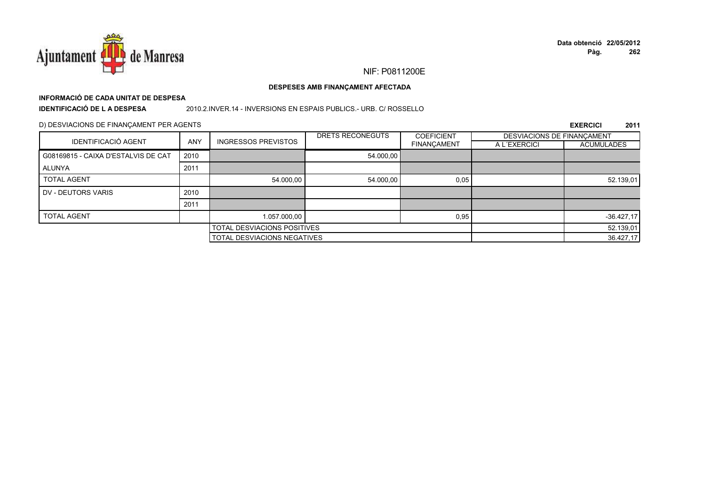

# **INFORMACIÓ DE CADA UNITAT DE DESPESA**

**IDENTIFICACIÓ DE L A DESPESA**

#### 2010.2.INVER.14 - INVERSIONS EN ESPAIS PUBLICS.- URB. C/ ROSSELLO

#### D) DESVIACIONS DE FINANÇAMENT PER AGENTS

|                                     |                             |                                    | DRETS RECONEGUTS | <b>COEFICIENT</b>  | DESVIACIONS DE FINANCAMENT |                   |
|-------------------------------------|-----------------------------|------------------------------------|------------------|--------------------|----------------------------|-------------------|
| <b>IDENTIFICACIÓ AGENT</b>          | <b>ANY</b>                  | <b>INGRESSOS PREVISTOS</b>         |                  | <b>FINANÇAMENT</b> | A L'EXERCICI               | <b>ACUMULADES</b> |
| G08169815 - CAIXA D'ESTALVIS DE CAT | 2010                        |                                    | 54.000,00        |                    |                            |                   |
| ALUNYA                              | 2011                        |                                    |                  |                    |                            |                   |
| <b>TOTAL AGENT</b>                  |                             | 54.000,00                          | 54.000.00        | 0,05               |                            | 52.139,01         |
| DV - DEUTORS VARIS                  | 2010                        |                                    |                  |                    |                            |                   |
|                                     | 2011                        |                                    |                  |                    |                            |                   |
| <b>TOTAL AGENT</b>                  |                             | 1.057.000,00                       |                  | 0,95               |                            | $-36.427,17$      |
|                                     | TOTAL DESVIACIONS POSITIVES |                                    |                  |                    | 52.139,01                  |                   |
|                                     |                             | <b>TOTAL DESVIACIONS NEGATIVES</b> |                  |                    |                            | 36.427,17         |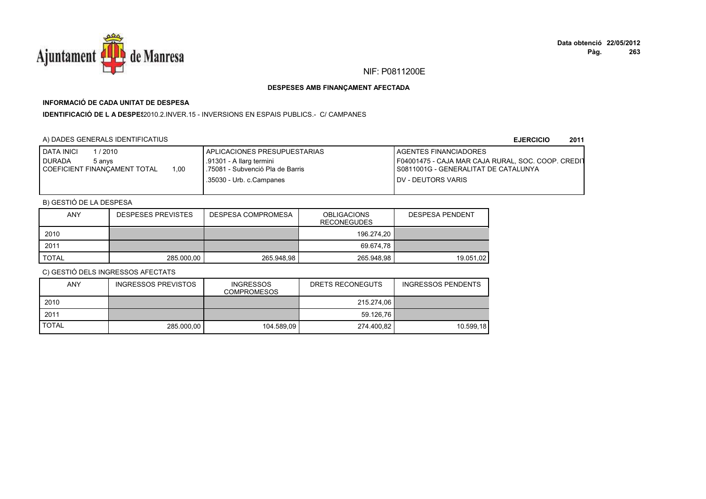

## **INFORMACIÓ DE CADA UNITAT DE DESPESA**

**IDENTIFICACIÓ DE L A DESPES**2010.2.INVER.15 - INVERSIONS EN ESPAIS PUBLICS.- C/ CAMPANES

## A) DADES GENERALS IDENTIFICATIUS

**EJERCICIO<sup>2011</sup>**

| <b>DATA INICI</b><br>/2010<br><b>DURADA</b><br>5 anvs<br>1.00<br>COEFICIENT FINANCAMENT TOTAL | APLICACIONES PRESUPUESTARIAS<br>.91301 - A llarg termini<br>.75081 - Subvenció Pla de Barris | <b>I AGENTES FINANCIADORES</b><br>F04001475 - CAJA MAR CAJA RURAL, SOC. COOP. CREDIT<br>I S0811001G - GENERALITAT DE CATALUNYA |
|-----------------------------------------------------------------------------------------------|----------------------------------------------------------------------------------------------|--------------------------------------------------------------------------------------------------------------------------------|
|                                                                                               | .35030 - Urb. c.Campanes                                                                     | <b>IDV - DEUTORS VARIS</b>                                                                                                     |

## B) GESTIÓ DE LA DESPESA

| ANY          | <b>DESPESES PREVISTES</b> | <b>DESPESA COMPROMESA</b> | <b>OBLIGACIONS</b><br><b>RECONEGUDES</b> | <b>DESPESA PENDENT</b> |
|--------------|---------------------------|---------------------------|------------------------------------------|------------------------|
| 2010         |                           |                           | 196.274.20                               |                        |
| 2011         |                           |                           | 69.674.78                                |                        |
| <b>TOTAL</b> | 285,000.00                | 265.948,98                | 265.948,98                               | 19.051,02              |

| ANY          | <b>INGRESSOS PREVISTOS</b> | <b>INGRESSOS</b><br>COMPROMESOS | DRETS RECONEGUTS | <b>INGRESSOS PENDENTS</b> |
|--------------|----------------------------|---------------------------------|------------------|---------------------------|
| 2010         |                            |                                 | 215.274.06       |                           |
| 2011         |                            |                                 | 59.126.76        |                           |
| <b>TOTAL</b> | 285.000.00                 | 104.589.09                      | 274.400.82       | 10.599.18                 |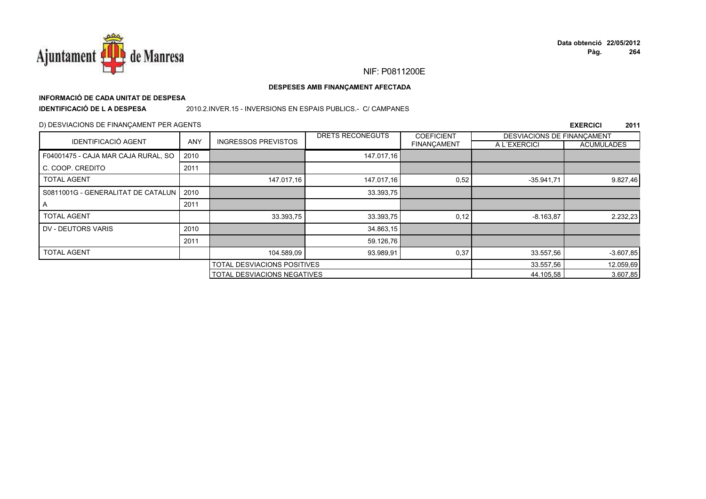

#### DESPESES AMB FINANÇAMENT AFECTADA

# INFORMACIÓ DE CADA UNITAT DE DESPESA

**IDENTIFICACIÓ DE LA DESPESA** 

#### 2010.2.INVER.15 - INVERSIONS EN ESPAIS PUBLICS.- C/ CAMPANES

#### D) DESVIACIONS DE FINANÇAMENT PER AGENTS

|                                           |            |                             | DRETS RECONEGUTS | <b>COEFICIENT</b>  | DESVIACIONS DE FINANCAMENT |                   |
|-------------------------------------------|------------|-----------------------------|------------------|--------------------|----------------------------|-------------------|
| <b>IDENTIFICACIÓ AGENT</b>                | <b>ANY</b> | <b>INGRESSOS PREVISTOS</b>  |                  | <b>FINANÇAMENT</b> | A L'EXERCICI               | <b>ACUMULADES</b> |
| F04001475 - CAJA MAR CAJA RURAL, SO       | 2010       |                             | 147.017,16       |                    |                            |                   |
| C. COOP. CREDITO                          | 2011       |                             |                  |                    |                            |                   |
| <b>TOTAL AGENT</b>                        |            | 147.017,16                  | 147.017,16       | 0,52               | $-35.941,71$               | 9.827,46          |
| S0811001G - GENERALITAT DE CATALUN   2010 |            |                             | 33.393,75        |                    |                            |                   |
| Α                                         | 2011       |                             |                  |                    |                            |                   |
| <b>TOTAL AGENT</b>                        |            | 33.393,75                   | 33.393,75        | 0,12               | $-8.163.87$                | 2.232,23          |
| DV - DEUTORS VARIS                        | 2010       |                             | 34.863,15        |                    |                            |                   |
|                                           | 2011       |                             | 59.126,76        |                    |                            |                   |
| <b>TOTAL AGENT</b>                        |            | 104.589,09                  | 93.989,91        | 0,37               | 33.557,56                  | $-3.607,85$       |
| TOTAL DESVIACIONS POSITIVES               |            |                             | 33.557,56        | 12.059,69          |                            |                   |
|                                           |            | TOTAL DESVIACIONS NEGATIVES |                  |                    | 44.105,58                  | 3.607,85          |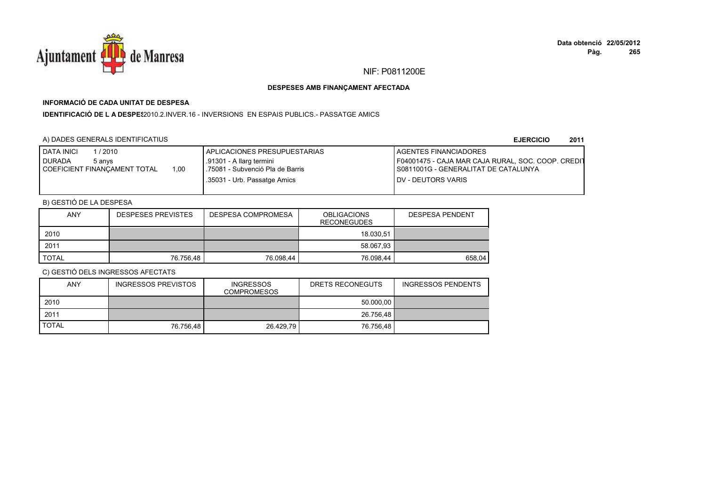

## **INFORMACIÓ DE CADA UNITAT DE DESPESA**

**IDENTIFICACIÓ DE L A DESPES**2010.2.INVER.16 - INVERSIONS EN ESPAIS PUBLICS.- PASSATGE AMICS

## A) DADES GENERALS IDENTIFICATIUS

**EJERCICIO<sup>2011</sup>**

| <b>DATA INICI</b><br>/ 2010<br><b>DURADA</b><br>5 anvs<br>1.00<br>COEFICIENT FINANCAMENT TOTAL | I APLICACIONES PRESUPUESTARIAS<br>.91301 - A llarg termini<br>.75081 - Subvenció Pla de Barris<br>.35031 - Urb. Passatge Amics | <b>I AGENTES FINANCIADORES</b><br>F04001475 - CAJA MAR CAJA RURAL, SOC. COOP. CREDIT<br>I S0811001G - GENERALITAT DE CATALUNYA<br><b>IDV - DEUTORS VARIS</b> |
|------------------------------------------------------------------------------------------------|--------------------------------------------------------------------------------------------------------------------------------|--------------------------------------------------------------------------------------------------------------------------------------------------------------|
|                                                                                                |                                                                                                                                |                                                                                                                                                              |

## B) GESTIÓ DE LA DESPESA

| <b>ANY</b> | <b>DESPESES PREVISTES</b> | <b>DESPESA COMPROMESA</b> | <b>OBLIGACIONS</b><br><b>RECONEGUDES</b> | <b>DESPESA PENDENT</b> |
|------------|---------------------------|---------------------------|------------------------------------------|------------------------|
| 2010       |                           |                           | 18.030.51                                |                        |
| 2011       |                           |                           | 58.067,93                                |                        |
| TOTAL      | 76.756.48                 | 76.098.44                 | 76.098,44                                | 658,04                 |

| <b>ANY</b>   | <b>INGRESSOS PREVISTOS</b> | <b>INGRESSOS</b><br><b>COMPROMESOS</b> | DRETS RECONEGUTS | <b>INGRESSOS PENDENTS</b> |
|--------------|----------------------------|----------------------------------------|------------------|---------------------------|
| 2010         |                            |                                        | 50.000,00        |                           |
| 2011         |                            |                                        | 26.756,48        |                           |
| <b>TOTAL</b> | 76.756.48                  | 26.429.79                              | 76.756.48        |                           |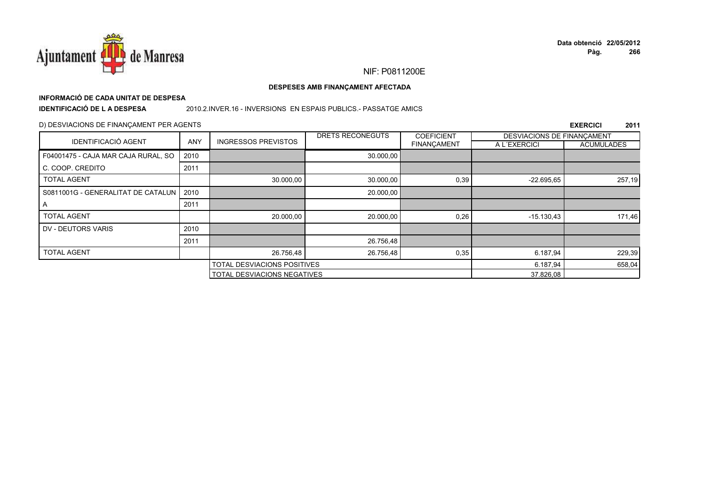

#### DESPESES AMB FINANÇAMENT AFECTADA

## INFORMACIÓ DE CADA UNITAT DE DESPESA

**IDENTIFICACIÓ DE LA DESPESA** 

#### 2010.2.INVER.16 - INVERSIONS EN ESPAIS PUBLICS.- PASSATGE AMICS

### D) DESVIACIONS DE FINANÇAMENT PER AGENTS

|                                     |            |                                    | DRETS RECONEGUTS | <b>COEFICIENT</b> | DESVIACIONS DE FINANCAMENT |                   |
|-------------------------------------|------------|------------------------------------|------------------|-------------------|----------------------------|-------------------|
| <b>IDENTIFICACIÓ AGENT</b>          | <b>ANY</b> | <b>INGRESSOS PREVISTOS</b>         |                  | FINANÇAMENT       | A L'EXERCICI               | <b>ACUMULADES</b> |
| F04001475 - CAJA MAR CAJA RURAL, SO | 2010       |                                    | 30.000,00        |                   |                            |                   |
| C. COOP. CREDITO                    | 2011       |                                    |                  |                   |                            |                   |
| <b>TOTAL AGENT</b>                  |            | 30.000,00                          | 30.000,00        | 0,39              | $-22.695,65$               | 257,19            |
| S0811001G - GENERALITAT DE CATALUN  | 2010       |                                    | 20.000,00        |                   |                            |                   |
| A                                   | 2011       |                                    |                  |                   |                            |                   |
| <b>TOTAL AGENT</b>                  |            | 20.000,00                          | 20.000,00        | 0,26              | $-15.130,43$               | 171,46            |
| DV - DEUTORS VARIS                  | 2010       |                                    |                  |                   |                            |                   |
|                                     | 2011       |                                    | 26.756,48        |                   |                            |                   |
| <b>TOTAL AGENT</b>                  |            | 26.756,48                          | 26.756,48        | 0,35              | 6.187,94                   | 229,39            |
|                                     |            | <b>TOTAL DESVIACIONS POSITIVES</b> |                  | 6.187,94          | 658,04                     |                   |
|                                     |            | <b>TOTAL DESVIACIONS NEGATIVES</b> |                  |                   | 37.826,08                  |                   |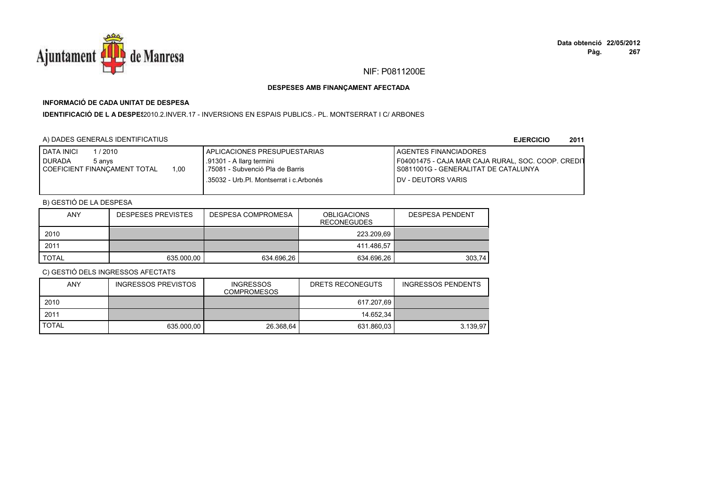

## **INFORMACIÓ DE CADA UNITAT DE DESPESA**

#### I**DENTIFICACIÓ DE L A DESPE**\$2010.2.INVER.17 - INVERSIONS EN ESPAIS PUBLICS.- PL. MONTSERRAT I C/ ARBONES

## A) DADES GENERALS IDENTIFICATIUS

**EJERCICIO<sup>2011</sup>**

| <b>DATA INICI</b><br>/2010           | I APLICACIONES PRESUPUESTARIAS          | <b>I AGENTES FINANCIADORES</b>                     |
|--------------------------------------|-----------------------------------------|----------------------------------------------------|
| <b>DURADA</b><br>5 anvs              | .91301 - A llarg termini                | F04001475 - CAJA MAR CAJA RURAL, SOC. COOP. CREDIT |
| 1.00<br>COEFICIENT FINANCAMENT TOTAL | .75081 - Subvenció Pla de Barris        | I S0811001G - GENERALITAT DE CATALUNYA             |
|                                      | .35032 - Urb.Pl. Montserrat i c.Arbonés | <b>IDV - DEUTORS VARIS</b>                         |
|                                      |                                         |                                                    |

## B) GESTIÓ DE LA DESPESA

| <b>ANY</b>   | <b>DESPESES PREVISTES</b> | <b>DESPESA COMPROMESA</b> | <b>OBLIGACIONS</b><br><b>RECONEGUDES</b> | <b>DESPESA PENDENT</b> |
|--------------|---------------------------|---------------------------|------------------------------------------|------------------------|
| 2010         |                           |                           | 223.209.69                               |                        |
| 2011         |                           |                           | 411.486.57                               |                        |
| <b>TOTAL</b> | 635,000.00                | 634.696,26                | 634.696,26                               | 303.74                 |

| ANY          | INGRESSOS PREVISTOS | <b>INGRESSOS</b><br><b>COMPROMESOS</b> | DRETS RECONEGUTS | <b>INGRESSOS PENDENTS</b> |
|--------------|---------------------|----------------------------------------|------------------|---------------------------|
| 2010         |                     |                                        | 617.207.69       |                           |
| 2011         |                     |                                        | 14.652.34        |                           |
| <b>TOTAL</b> | 635.000.00          | 26.368.64                              | 631.860.03       | 3.139.97                  |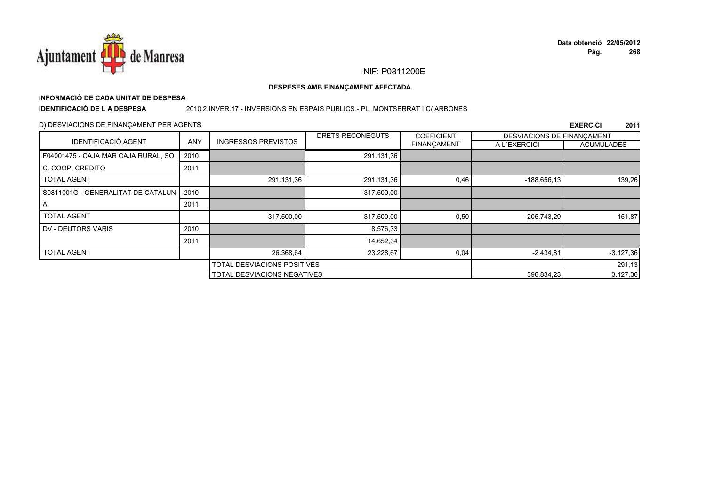

#### DESPESES AMB FINANÇAMENT AFECTADA

# INFORMACIÓ DE CADA UNITAT DE DESPESA

**IDENTIFICACIÓ DE LA DESPESA** 

#### 2010.2.INVER.17 - INVERSIONS EN ESPAIS PUBLICS.- PL. MONTSERRAT I C/ ARBONES

### D) DESVIACIONS DE FINANÇAMENT PER AGENTS

|                                     |            |                             | <b>DRETS RECONEGUTS</b> | <b>COEFICIENT</b>  | DESVIACIONS DE FINANCAMENT |                   |
|-------------------------------------|------------|-----------------------------|-------------------------|--------------------|----------------------------|-------------------|
| <b>IDENTIFICACIÓ AGENT</b>          | <b>ANY</b> | <b>INGRESSOS PREVISTOS</b>  |                         | <b>FINANÇAMENT</b> | A L'EXERCICI               | <b>ACUMULADES</b> |
| F04001475 - CAJA MAR CAJA RURAL, SO | 2010       |                             | 291.131,36              |                    |                            |                   |
| C. COOP. CREDITO                    | 2011       |                             |                         |                    |                            |                   |
| <b>TOTAL AGENT</b>                  |            | 291.131,36                  | 291.131,36              | 0,46               | $-188.656.13$              | 139,26            |
| S0811001G - GENERALITAT DE CATALUN  | 2010       |                             | 317.500,00              |                    |                            |                   |
| A                                   | 2011       |                             |                         |                    |                            |                   |
| <b>TOTAL AGENT</b>                  |            | 317.500,00                  | 317.500,00              | 0,50               | $-205.743.29$              | 151,87            |
| DV - DEUTORS VARIS                  | 2010       |                             | 8.576,33                |                    |                            |                   |
|                                     | 2011       |                             | 14.652,34               |                    |                            |                   |
| <b>TOTAL AGENT</b>                  |            | 26.368,64                   | 23.228,67               | 0,04               | $-2.434.81$                | $-3.127,36$       |
|                                     |            | TOTAL DESVIACIONS POSITIVES |                         |                    |                            | 291,13            |
|                                     |            | TOTAL DESVIACIONS NEGATIVES |                         |                    | 396.834,23                 | 3.127,36          |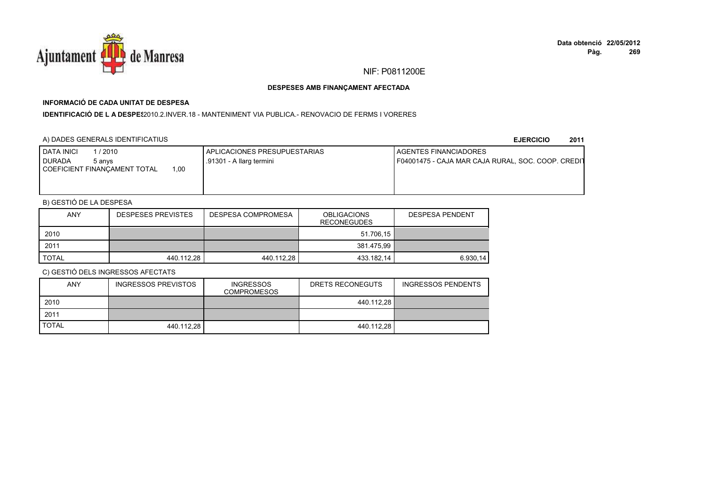

## **INFORMACIÓ DE CADA UNITAT DE DESPESA**

**IDENTIFICACIÓ DE L A DESPE**\$2010.2.INVER.18 - MANTENIMENT VIA PUBLICA.- RENOVACIO DE FERMS I VORERES

### A) DADES GENERALS IDENTIFICATIUS

**EJERCICIO<sup>2011</sup>**

| <b>DATA INICI</b><br>/ 2010<br>I DURADA<br>5 anvs | APLICACIONES PRESUPUESTARIAS<br>.91301 - A llarg termini | <b>I AGENTES FINANCIADORES</b><br>F04001475 - CAJA MAR CAJA RURAL, SOC. COOP. CREDIT |
|---------------------------------------------------|----------------------------------------------------------|--------------------------------------------------------------------------------------|
| 1,00<br>COEFICIENT FINANCAMENT TOTAL              |                                                          |                                                                                      |
|                                                   |                                                          |                                                                                      |

## B) GESTIÓ DE LA DESPESA

| <b>ANY</b> | <b>DESPESES PREVISTES</b> | DESPESA COMPROMESA | <b>OBLIGACIONS</b><br><b>RECONEGUDES</b> | <b>DESPESA PENDENT</b> |
|------------|---------------------------|--------------------|------------------------------------------|------------------------|
| 2010       |                           |                    | 51.706.15                                |                        |
| 2011       |                           |                    | 381.475.99                               |                        |
| TOTAL      | 440.112,28                | 440.112,28         | 433.182,14                               | 6.930,14               |

| ANY          | INGRESSOS PREVISTOS | <b>INGRESSOS</b><br>COMPROMESOS | DRETS RECONEGUTS | INGRESSOS PENDENTS |
|--------------|---------------------|---------------------------------|------------------|--------------------|
| 2010         |                     |                                 | 440.112.28       |                    |
| 2011         |                     |                                 |                  |                    |
| <b>TOTAL</b> | 440.112.28          |                                 | 440.112.28       |                    |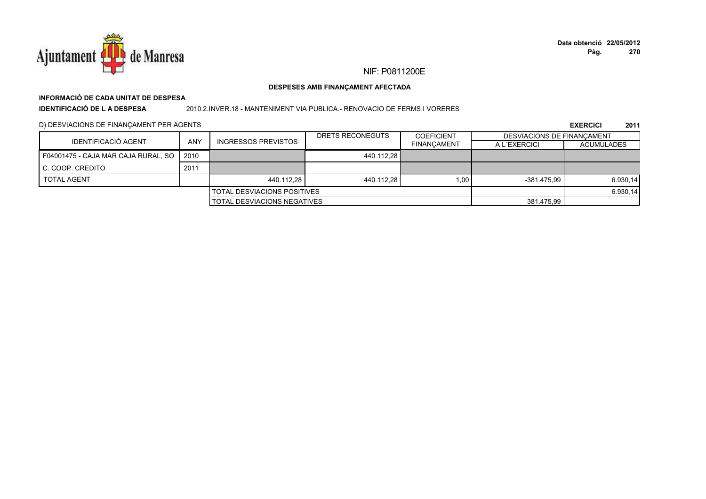

# **INFORMACIÓ DE CADA UNITAT DE DESPESA**

**IDENTIFICACIÓ DE L A DESPESA**

#### 2010.2.INVER.18 - MANTENIMENT VIA PUBLICA.- RENOVACIO DE FERMS I VORERES

D) DESVIACIONS DE FINANÇAMENT PER AGENTS

|                                     |                                    |                     | DRETS RECONEGUTS | <b>COEFICIENT</b>  | <b>DESVIACIONS DE FINANCAMENT</b> |                   |
|-------------------------------------|------------------------------------|---------------------|------------------|--------------------|-----------------------------------|-------------------|
| IDENTIFICACIÓ AGENT                 | ANY                                | INGRESSOS PREVISTOS |                  | <b>FINANCAMENT</b> | A L'EXERCICI                      | <b>ACUMULADES</b> |
| F04001475 - CAJA MAR CAJA RURAL, SO | 2010                               |                     | 440.112.28       |                    |                                   |                   |
| C. COOP. CREDITO                    | 2011                               |                     |                  |                    |                                   |                   |
| <b>TOTAL AGENT</b>                  |                                    | 440.112.28          | 440.112.28       | 1.00               | -381.475.99                       | 6.930,14          |
| <b>TOTAL DESVIACIONS POSITIVES</b>  |                                    |                     |                  | 6.930,14           |                                   |                   |
|                                     | <b>TOTAL DESVIACIONS NEGATIVES</b> |                     |                  | 381.475,99         |                                   |                   |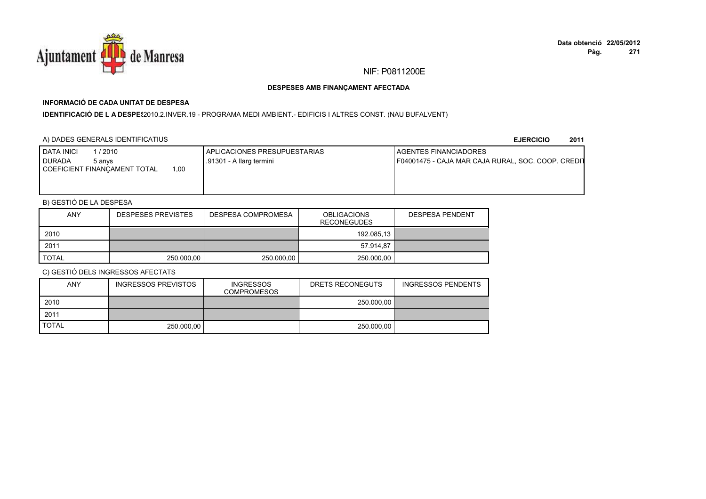

## **INFORMACIÓ DE CADA UNITAT DE DESPESA**

I**DENTIFICACIÓ DE L A DESPE**\$2010.2.INVER.19 - PROGRAMA MEDI AMBIENT.- EDIFICIS I ALTRES CONST. (NAU BUFALVENT)

### A) DADES GENERALS IDENTIFICATIUS

**EJERCICIO<sup>2011</sup>**

| <b>DATA INICI</b><br>/ 2010<br>I DURADA<br>5 anvs | APLICACIONES PRESUPUESTARIAS<br>.91301 - A llarg termini | <b>I AGENTES FINANCIADORES</b><br>F04001475 - CAJA MAR CAJA RURAL, SOC. COOP. CREDIT |
|---------------------------------------------------|----------------------------------------------------------|--------------------------------------------------------------------------------------|
| 1,00<br>COEFICIENT FINANCAMENT TOTAL              |                                                          |                                                                                      |
|                                                   |                                                          |                                                                                      |

## B) GESTIÓ DE LA DESPESA

| <b>ANY</b>   | <b>DESPESES PREVISTES</b> | DESPESA COMPROMESA | <b>OBLIGACIONS</b><br><b>RECONEGUDES</b> | <b>DESPESA PENDENT</b> |
|--------------|---------------------------|--------------------|------------------------------------------|------------------------|
| 2010         |                           |                    | 192.085,13                               |                        |
| 2011         |                           |                    | 57.914.87                                |                        |
| <b>TOTAL</b> | 250.000,00                | 250,000.00         | 250,000.00                               |                        |

| <b>ANY</b>   | <b>INGRESSOS PREVISTOS</b> | <b>INGRESSOS</b><br><b>COMPROMESOS</b> | DRETS RECONEGUTS | INGRESSOS PENDENTS |
|--------------|----------------------------|----------------------------------------|------------------|--------------------|
| 2010         |                            |                                        | 250.000.00       |                    |
| 2011         |                            |                                        |                  |                    |
| <b>TOTAL</b> | 250,000.00                 |                                        | 250.000.00       |                    |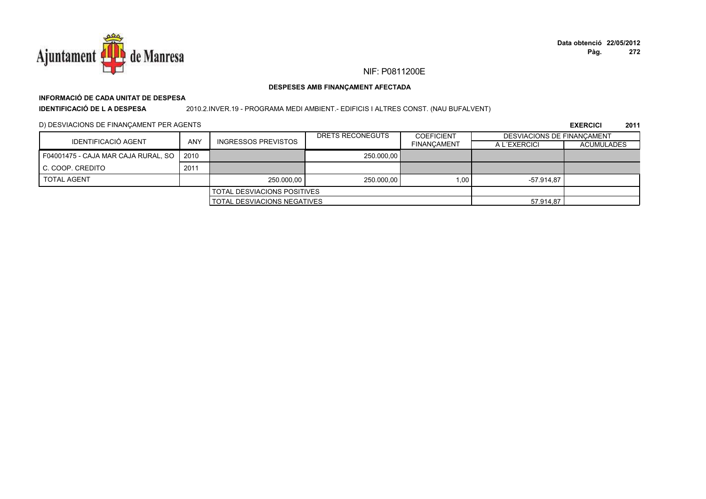

#### DESPESES AMB FINANÇAMENT AFECTADA

# INFORMACIÓ DE CADA UNITAT DE DESPESA

**IDENTIFICACIÓ DE LA DESPESA** 

2010.2.INVER.19 - PROGRAMA MEDI AMBIENT. - EDIFICIS I ALTRES CONST. (NAU BUFALVENT)

D) DESVIACIONS DE FINANÇAMENT PER AGENTS

|                                     |      |                                    | DRETS RECONEGUTS | <b>COEFICIENT</b>  | <b>DESVIACIONS DE FINANCAMENT</b> |                   |
|-------------------------------------|------|------------------------------------|------------------|--------------------|-----------------------------------|-------------------|
| IDENTIFICACIÓ AGENT                 | ANY  | <b>INGRESSOS PREVISTOS</b>         |                  | <b>FINANCAMENT</b> | A L'EXERCICI                      | <b>ACUMULADES</b> |
| F04001475 - CAJA MAR CAJA RURAL, SO | 2010 |                                    | 250.000.00       |                    |                                   |                   |
| C. COOP. CREDITO                    | 2011 |                                    |                  |                    |                                   |                   |
| <b>TOTAL AGENT</b>                  |      | 250,000,00                         | 250.000,00       | 1.00               | -57.914.87                        |                   |
|                                     |      | <b>TOTAL DESVIACIONS POSITIVES</b> |                  |                    |                                   |                   |
|                                     |      | TOTAL DESVIACIONS NEGATIVES        |                  |                    | 57.914,87                         |                   |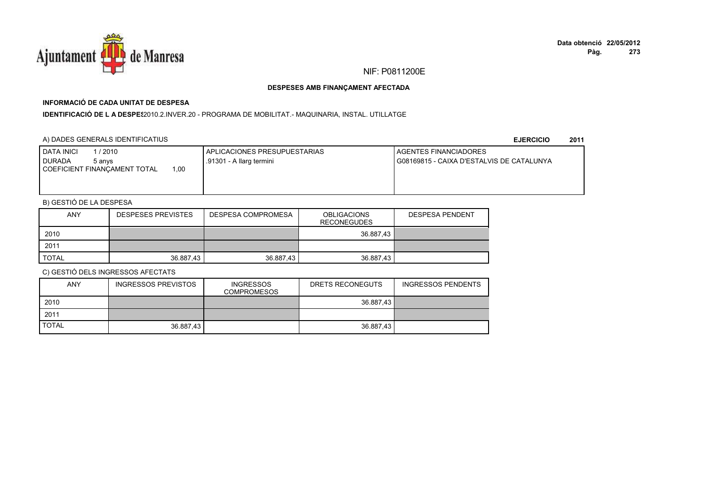

## **INFORMACIÓ DE CADA UNITAT DE DESPESA**

I**DENTIFICACIÓ DE L A DESPE**\$2010.2.INVER.20 - PROGRAMA DE MOBILITAT.- MAQUINARIA, INSTAL. UTILLATGE

### A) DADES GENERALS IDENTIFICATIUS

**EJERCICIO<sup>2011</sup>**

| <b>I DATA INICI</b><br>/2010<br>I DURADA<br>5 anvs<br>.00<br>COEFICIENT FINANCAMENT TOTAL | APLICACIONES PRESUPUESTARIAS<br>.91301 - A llarg termini | <b>I AGENTES FINANCIADORES</b><br>G08169815 - CAIXA D'ESTALVIS DE CATALUNYA |
|-------------------------------------------------------------------------------------------|----------------------------------------------------------|-----------------------------------------------------------------------------|
|                                                                                           |                                                          |                                                                             |

## B) GESTIÓ DE LA DESPESA

| <b>ANY</b> | <b>DESPESES PREVISTES</b> | DESPESA COMPROMESA | <b>OBLIGACIONS</b><br><b>RECONEGUDES</b> | <b>DESPESA PENDENT</b> |
|------------|---------------------------|--------------------|------------------------------------------|------------------------|
| 2010       |                           |                    | 36.887,43                                |                        |
| 2011       |                           |                    |                                          |                        |
| TOTAL      | 36.887,43                 | 36.887,43          | 36.887,43                                |                        |

| ANY          | <b>INGRESSOS PREVISTOS</b> | <b>INGRESSOS</b><br><b>COMPROMESOS</b> | DRETS RECONEGUTS | <b>INGRESSOS PENDENTS</b> |
|--------------|----------------------------|----------------------------------------|------------------|---------------------------|
| 2010         |                            |                                        | 36.887.43        |                           |
| 2011         |                            |                                        |                  |                           |
| <b>TOTAL</b> | 36.887.43                  |                                        | 36.887.43        |                           |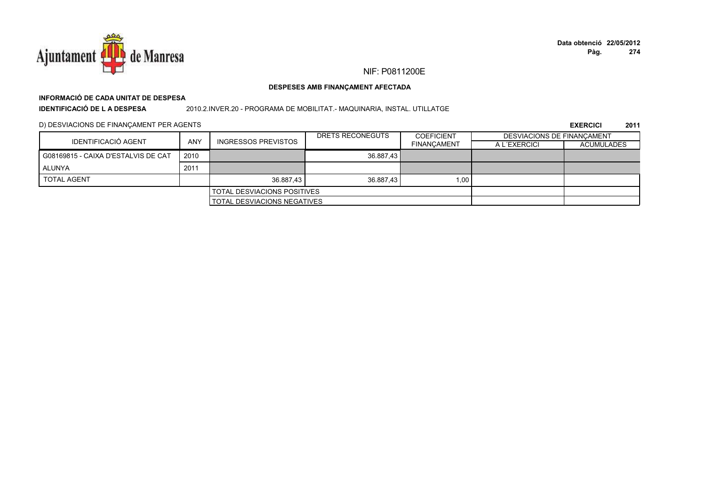

# **INFORMACIÓ DE CADA UNITAT DE DESPESA**

**IDENTIFICACIÓ DE L A DESPESA**

2010.2.INVER.20 - PROGRAMA DE MOBILITAT.- MAQUINARIA, INSTAL. UTILLATGE

D) DESVIACIONS DE FINANÇAMENT PER AGENTS

| IDENTIFICACIÓ AGENT                 |            |                                    | DRETS RECONEGUTS | <b>COEFICIENT</b>  | <b>DESVIACIONS DE FINANCAMENT</b> |                   |
|-------------------------------------|------------|------------------------------------|------------------|--------------------|-----------------------------------|-------------------|
|                                     | <b>ANY</b> | <b>INGRESSOS PREVISTOS</b>         |                  | <b>FINANCAMENT</b> | A L'EXERCICI                      | <b>ACUMULADES</b> |
| G08169815 - CAIXA D'ESTALVIS DE CAT | 2010       |                                    | 36.887.43        |                    |                                   |                   |
| ALUNYA                              | 2011       |                                    |                  |                    |                                   |                   |
| <b>TOTAL AGENT</b>                  |            | 36.887.43                          | 36.887.43        | 1,00               |                                   |                   |
|                                     |            | <b>TOTAL DESVIACIONS POSITIVES</b> |                  |                    |                                   |                   |
|                                     |            | TOTAL DESVIACIONS NEGATIVES        |                  |                    |                                   |                   |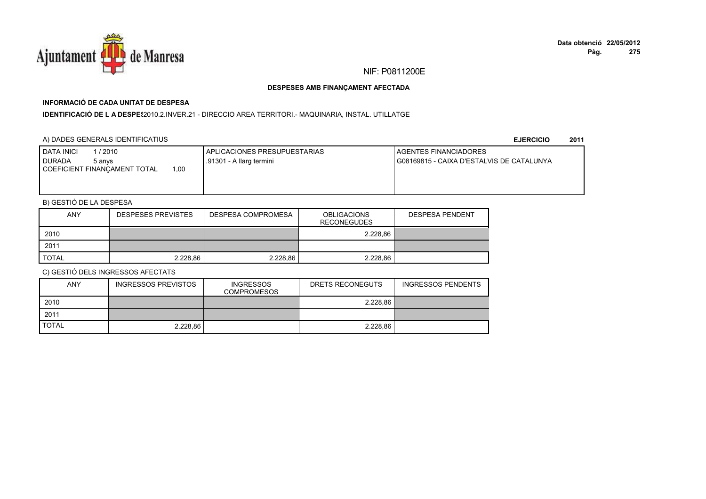

# **INFORMACIÓ DE CADA UNITAT DE DESPESA**

I**DENTIFICACIÓ DE L A DESPE**§2010.2.INVER.21 - DIRECCIO AREA TERRITORI.- MAQUINARIA, INSTAL. UTILLATGE

### A) DADES GENERALS IDENTIFICATIUS

**EJERCICIO<sup>2011</sup>**

| <b>I DATA INICI</b><br>l / 2010<br><b>DURADA</b><br>5 anvs<br>.00<br>COEFICIENT FINANCAMENT TOTAL | I APLICACIONES PRESUPUESTARIAS<br>.91301 - A llarg termini | AGENTES FINANCIADORES<br>I G08169815 - CAIXA D'ESTALVIS DE CATALUNYA |
|---------------------------------------------------------------------------------------------------|------------------------------------------------------------|----------------------------------------------------------------------|
|                                                                                                   |                                                            |                                                                      |

## B) GESTIÓ DE LA DESPESA

| <b>ANY</b>   | <b>DESPESES PREVISTES</b> | DESPESA COMPROMESA | <b>OBLIGACIONS</b><br>RECONEGUDES | <b>DESPESA PENDENT</b> |
|--------------|---------------------------|--------------------|-----------------------------------|------------------------|
| 2010         |                           |                    | 2.228.86                          |                        |
| 2011         |                           |                    |                                   |                        |
| <b>TOTAL</b> | 2.228.86                  | 2.228.86           | 2.228.86                          |                        |

| ANY          | <b>INGRESSOS PREVISTOS</b> | <b>INGRESSOS</b><br><b>COMPROMESOS</b> | DRETS RECONEGUTS | <b>INGRESSOS PENDENTS</b> |
|--------------|----------------------------|----------------------------------------|------------------|---------------------------|
| 2010         |                            |                                        | 2.228.86         |                           |
| 2011         |                            |                                        |                  |                           |
| <b>TOTAL</b> | 2.228.86                   |                                        | 2.228.86         |                           |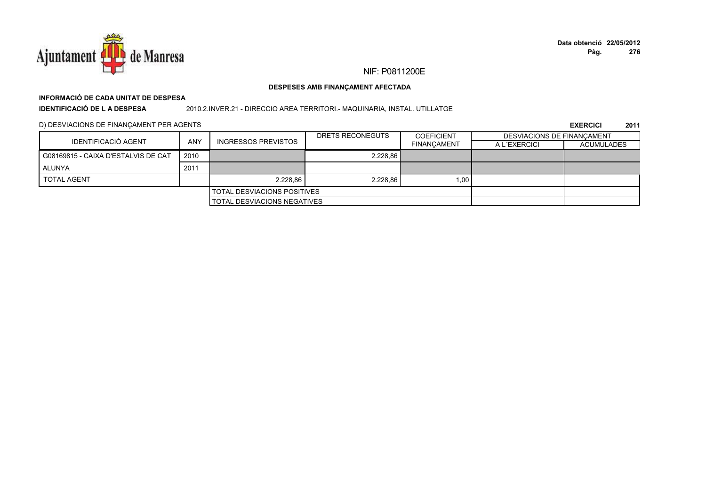

# **INFORMACIÓ DE CADA UNITAT DE DESPESA**

**IDENTIFICACIÓ DE L A DESPESA**

2010.2.INVER.21 - DIRECCIO AREA TERRITORI.- MAQUINARIA, INSTAL. UTILLATGE

D) DESVIACIONS DE FINANÇAMENT PER AGENTS

|                                     |                                    |                                    | DRETS RECONEGUTS | <b>COEFICIENT</b>  | <b>DESVIACIONS DE FINANCAMENT</b> |                   |
|-------------------------------------|------------------------------------|------------------------------------|------------------|--------------------|-----------------------------------|-------------------|
| IDENTIFICACIÓ AGENT                 | ANY                                | <b>INGRESSOS PREVISTOS</b>         |                  | <b>FINANCAMENT</b> | A L'EXERCICI                      | <b>ACUMULADES</b> |
| G08169815 - CAIXA D'ESTALVIS DE CAT | 2010                               |                                    | 2.228.86         |                    |                                   |                   |
| ALUNYA                              | 2011                               |                                    |                  |                    |                                   |                   |
| <b>TOTAL AGENT</b>                  |                                    | 2.228.86                           | 2.228.86         | 1.00 <sub>1</sub>  |                                   |                   |
|                                     | <b>TOTAL DESVIACIONS POSITIVES</b> |                                    |                  |                    |                                   |                   |
|                                     |                                    | <b>TOTAL DESVIACIONS NEGATIVES</b> |                  |                    |                                   |                   |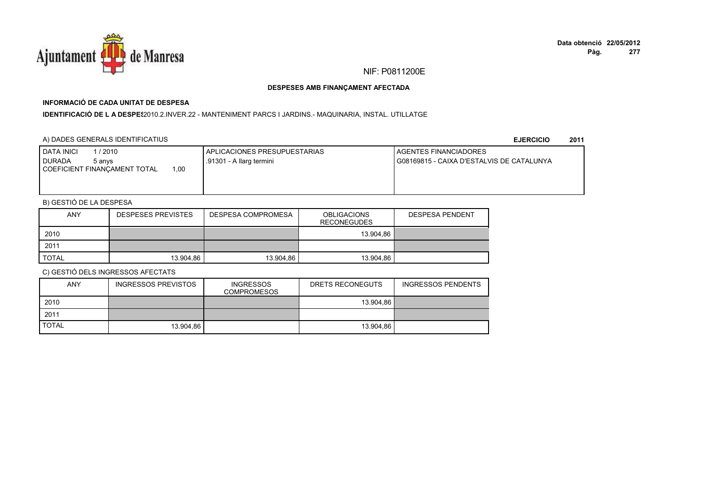

#### DESPESES AMB FINANCAMENT AFECTADA

## INFORMACIÓ DE CADA UNITAT DE DESPESA

IDENTIFICACIÓ DE LA DESPES2010.2.INVER.22 - MANTENIMENT PARCS I JARDINS.- MAQUINARIA, INSTAL. UTILLATGE

### A) DADES GENERALS IDENTIFICATIUS

**EJERCICIO** 2011

| <b>DATA INICI</b><br>/ 2010<br><b>I DURADA</b><br>5 anvs | I APLICACIONES PRESUPUESTARIAS<br>.91301 - A llarg termini | <b>I AGENTES FINANCIADORES</b><br>I G08169815 - CAIXA D'ESTALVIS DE CATALUNYA |
|----------------------------------------------------------|------------------------------------------------------------|-------------------------------------------------------------------------------|
| .00.<br>COEFICIENT FINANCAMENT TOTAL                     |                                                            |                                                                               |
|                                                          |                                                            |                                                                               |

## B) GESTIÓ DE LA DESPESA

| <b>ANY</b>   | <b>DESPESES PREVISTES</b> | DESPESA COMPROMESA | <b>OBLIGACIONS</b><br><b>RECONEGUDES</b> | <b>DESPESA PENDENT</b> |
|--------------|---------------------------|--------------------|------------------------------------------|------------------------|
| 2010         |                           |                    | 13.904.86                                |                        |
| 2011         |                           |                    |                                          |                        |
| <b>TOTAL</b> | 13.904.86                 | 13.904.86          | 13.904.86                                |                        |

| <b>ANY</b>   | INGRESSOS PREVISTOS | <b>INGRESSOS</b><br><b>COMPROMESOS</b> | DRETS RECONEGUTS | <b>INGRESSOS PENDENTS</b> |
|--------------|---------------------|----------------------------------------|------------------|---------------------------|
| 2010         |                     |                                        | 13.904.86        |                           |
| 2011         |                     |                                        |                  |                           |
| <b>TOTAL</b> | 13.904.86           |                                        | 13.904.86        |                           |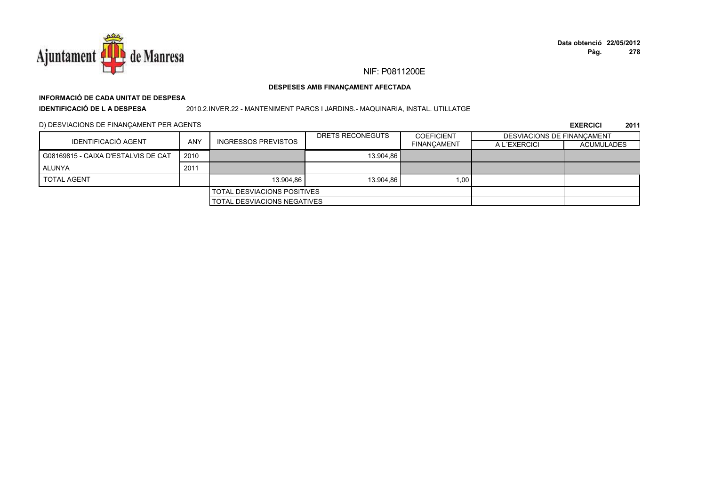

#### DESPESES AMB FINANÇAMENT AFECTADA

# INFORMACIÓ DE CADA UNITAT DE DESPESA

**IDENTIFICACIÓ DE L A DESPESA** 

#### 2010.2.INVER.22 - MANTENIMENT PARCS I JARDINS.- MAQUINARIA, INSTAL. UTILLATGE

D) DESVIACIONS DE FINANÇAMENT PER AGENTS

| IDENTIFICACIÓ AGENT                 |            | <b>INGRESSOS PREVISTOS</b>         | DRETS RECONEGUTS | <b>COEFICIENT</b>  | <b>DESVIACIONS DE FINANCAMENT</b> |                   |
|-------------------------------------|------------|------------------------------------|------------------|--------------------|-----------------------------------|-------------------|
|                                     | <b>ANY</b> |                                    |                  | <b>FINANCAMENT</b> | A L'EXERCICI                      | <b>ACUMULADES</b> |
| G08169815 - CAIXA D'ESTALVIS DE CAT | 2010       |                                    | 13.904.86        |                    |                                   |                   |
| ALUNYA                              | 2011       |                                    |                  |                    |                                   |                   |
| <b>TOTAL AGENT</b>                  |            | 13.904.86                          | 13.904.86        | 1,00               |                                   |                   |
|                                     |            | <b>TOTAL DESVIACIONS POSITIVES</b> |                  |                    |                                   |                   |
|                                     |            | TOTAL DESVIACIONS NEGATIVES        |                  |                    |                                   |                   |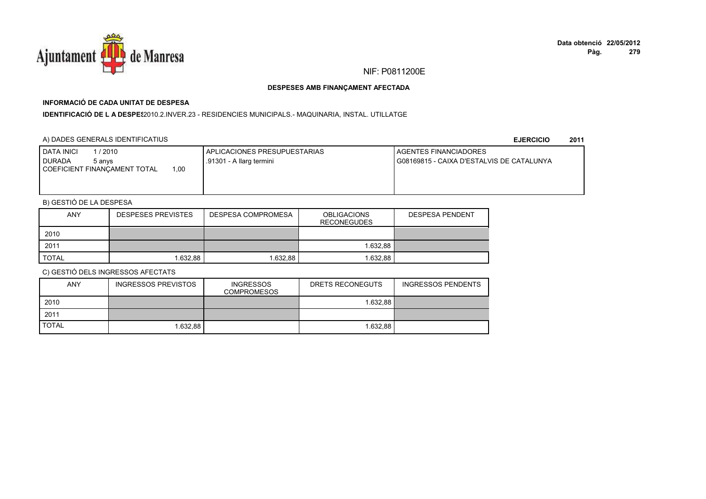

## **INFORMACIÓ DE CADA UNITAT DE DESPESA**

I**DENTIFICACIÓ DE L A DESPE**\$2010.2.INVER.23 - RESIDENCIES MUNICIPALS.- MAQUINARIA, INSTAL. UTILLATGE

### A) DADES GENERALS IDENTIFICATIUS

**EJERCICIO<sup>2011</sup>**

| <b>I DATA INICI</b><br>/2010<br>I DURADA<br>5 anvs<br>.00<br>COEFICIENT FINANCAMENT TOTAL | APLICACIONES PRESUPUESTARIAS<br>.91301 - A llarg termini | <b>I AGENTES FINANCIADORES</b><br>G08169815 - CAIXA D'ESTALVIS DE CATALUNYA |
|-------------------------------------------------------------------------------------------|----------------------------------------------------------|-----------------------------------------------------------------------------|
|                                                                                           |                                                          |                                                                             |

## B) GESTIÓ DE LA DESPESA

| <b>ANY</b> | <b>DESPESES PREVISTES</b> | DESPESA COMPROMESA | <b>OBLIGACIONS</b><br><b>RECONEGUDES</b> | <b>DESPESA PENDENT</b> |
|------------|---------------------------|--------------------|------------------------------------------|------------------------|
| 2010       |                           |                    |                                          |                        |
| 2011       |                           |                    | 1.632.88                                 |                        |
| TOTAL      | .632.88                   | 1.632.88           | 1.632.88                                 |                        |

| <b>ANY</b>   | <b>INGRESSOS PREVISTOS</b> | <b>INGRESSOS</b><br><b>COMPROMESOS</b> | DRETS RECONEGUTS | <b>INGRESSOS PENDENTS</b> |
|--------------|----------------------------|----------------------------------------|------------------|---------------------------|
| 2010         |                            |                                        | 1.632.88         |                           |
| 2011         |                            |                                        |                  |                           |
| <b>TOTAL</b> | 1.632.88                   |                                        | 1.632.88         |                           |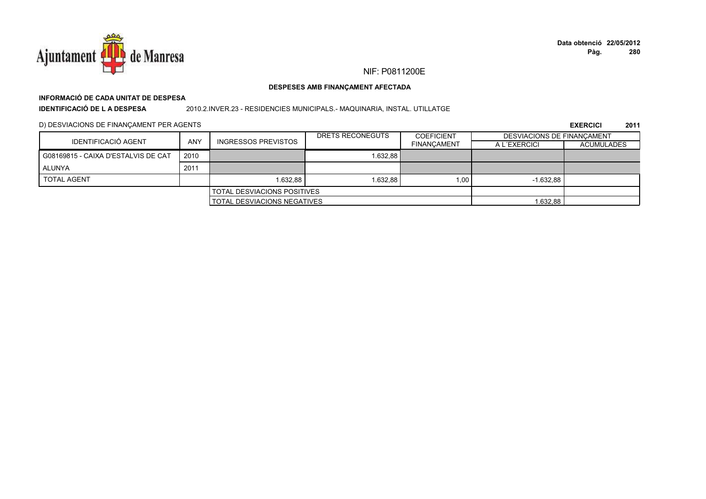

# **INFORMACIÓ DE CADA UNITAT DE DESPESA**

**IDENTIFICACIÓ DE L A DESPESA**

2010.2.INVER.23 - RESIDENCIES MUNICIPALS.- MAQUINARIA, INSTAL. UTILLATGE

D) DESVIACIONS DE FINANÇAMENT PER AGENTS

|                                     |      |                                    | DRETS RECONEGUTS | <b>COEFICIENT</b>  | DESVIACIONS DE FINANCAMENT |                   |
|-------------------------------------|------|------------------------------------|------------------|--------------------|----------------------------|-------------------|
| IDENTIFICACIÓ AGENT                 | ANY  | <b>INGRESSOS PREVISTOS</b>         |                  | <b>FINANCAMENT</b> | A L'EXERCICI               | <b>ACUMULADES</b> |
| G08169815 - CAIXA D'ESTALVIS DE CAT | 2010 |                                    | 1.632.88         |                    |                            |                   |
| ALUNYA                              | 2011 |                                    |                  |                    |                            |                   |
| <b>TOTAL AGENT</b>                  |      | 1.632.88                           | 1.632.88         | 1.00               | $-1.632.88$                |                   |
|                                     |      | <b>TOTAL DESVIACIONS POSITIVES</b> |                  |                    |                            |                   |
|                                     |      | <b>TOTAL DESVIACIONS NEGATIVES</b> |                  |                    | 1.632,88                   |                   |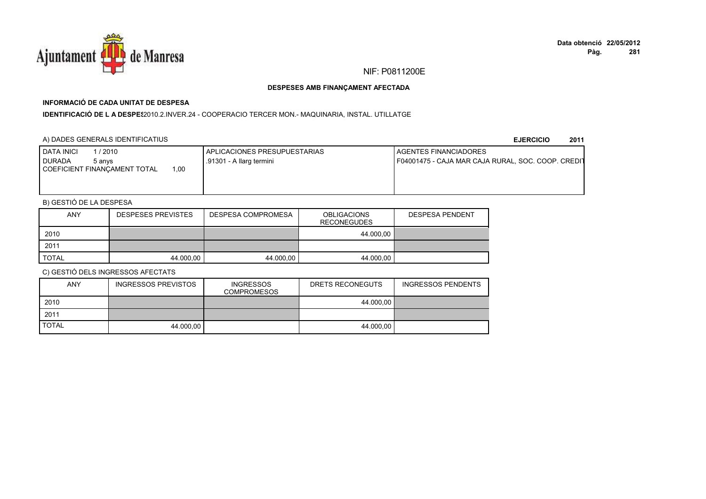

## **INFORMACIÓ DE CADA UNITAT DE DESPESA**

IDENTIFICACIÓ DE L A DESPE\$2010.2.INVER.24 - COOPERACIO TERCER MON.- MAQUINARIA, INSTAL. UTILLATGE

### A) DADES GENERALS IDENTIFICATIUS

**EJERCICIO<sup>2011</sup>**

| <b>DATA INICI</b><br>/2010<br><b>DURADA</b><br>5 anvs | APLICACIONES PRESUPUESTARIAS<br>.91301 - A llarg termini | <b>I AGENTES FINANCIADORES</b><br>F04001475 - CAJA MAR CAJA RURAL, SOC. COOP. CREDIT |
|-------------------------------------------------------|----------------------------------------------------------|--------------------------------------------------------------------------------------|
| .00<br>COEFICIENT FINANCAMENT TOTAL                   |                                                          |                                                                                      |
|                                                       |                                                          |                                                                                      |

## B) GESTIÓ DE LA DESPESA

| <b>ANY</b>   | <b>DESPESES PREVISTES</b> | DESPESA COMPROMESA | <b>OBLIGACIONS</b><br><b>RECONEGUDES</b> | <b>DESPESA PENDENT</b> |
|--------------|---------------------------|--------------------|------------------------------------------|------------------------|
| 2010         |                           |                    | 44.000.00                                |                        |
| 2011         |                           |                    |                                          |                        |
| <b>TOTAL</b> | 44.000,00                 | 44.000.00          | 44.000.00                                |                        |

| <b>ANY</b>   | INGRESSOS PREVISTOS | <b>INGRESSOS</b><br><b>COMPROMESOS</b> | DRETS RECONEGUTS | <b>INGRESSOS PENDENTS</b> |
|--------------|---------------------|----------------------------------------|------------------|---------------------------|
| 2010         |                     |                                        | 44.000.00        |                           |
| 2011         |                     |                                        |                  |                           |
| <b>TOTAL</b> | 44.000.00           |                                        | 44.000.00        |                           |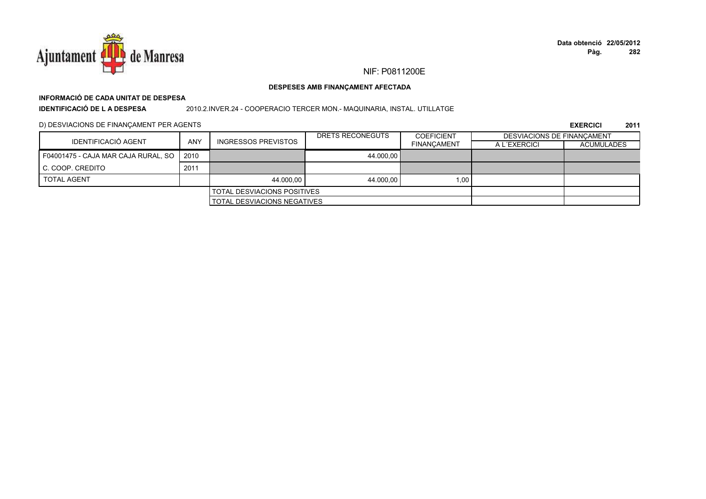

#### DESPESES AMB FINANÇAMENT AFECTADA

# INFORMACIÓ DE CADA UNITAT DE DESPESA

**IDENTIFICACIÓ DE L A DESPESA** 

2010.2.INVER.24 - COOPERACIO TERCER MON.- MAQUINARIA, INSTAL. UTILLATGE

D) DESVIACIONS DE FINANÇAMENT PER AGENTS

| IDENTIFICACIÓ AGENT                 | ANY  |                                    | DRETS RECONEGUTS | <b>COEFICIENT</b>  | DESVIACIONS DE FINANCAMENT |                   |
|-------------------------------------|------|------------------------------------|------------------|--------------------|----------------------------|-------------------|
|                                     |      | <b>INGRESSOS PREVISTOS</b>         |                  | <b>FINANCAMENT</b> | A L'EXERCICI               | <b>ACUMULADES</b> |
| F04001475 - CAJA MAR CAJA RURAL, SO | 2010 |                                    | 44.000.00        |                    |                            |                   |
| C. COOP. CREDITO                    | 2011 |                                    |                  |                    |                            |                   |
| <b>TOTAL AGENT</b>                  |      | 44.000.00                          | 44.000.00        | 1.00 <sub>1</sub>  |                            |                   |
|                                     |      | <b>TOTAL DESVIACIONS POSITIVES</b> |                  |                    |                            |                   |
|                                     |      | <b>TOTAL DESVIACIONS NEGATIVES</b> |                  |                    |                            |                   |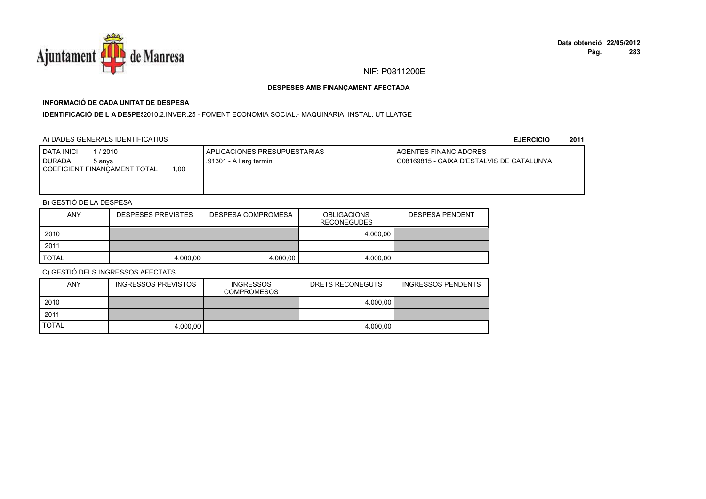

## **INFORMACIÓ DE CADA UNITAT DE DESPESA**

I**DENTIFICACIÓ DE L A DESPE**\$2010.2.INVER.25 - FOMENT ECONOMIA SOCIAL.- MAQUINARIA, INSTAL. UTILLATGE

### A) DADES GENERALS IDENTIFICATIUS

**EJERCICIO<sup>2011</sup>**

| 1 / 2010<br>DATA INICI<br><b>DURADA</b><br>5 anvs<br>00.1<br>COEFICIENT FINANCAMENT TOTAL | <b>LAPLICACIONES PRESUPUESTARIAS</b><br>.91301 - A llarg termini | <b>I AGENTES FINANCIADORES</b><br>G08169815 - CAIXA D'ESTALVIS DE CATALUNYA |
|-------------------------------------------------------------------------------------------|------------------------------------------------------------------|-----------------------------------------------------------------------------|
|                                                                                           |                                                                  |                                                                             |

## B) GESTIÓ DE LA DESPESA

| <b>ANY</b>   | <b>DESPESES PREVISTES</b> | DESPESA COMPROMESA | <b>OBLIGACIONS</b><br><b>RECONEGUDES</b> | <b>DESPESA PENDENT</b> |
|--------------|---------------------------|--------------------|------------------------------------------|------------------------|
| 2010         |                           |                    | 4.000.00                                 |                        |
| 2011         |                           |                    |                                          |                        |
| <b>TOTAL</b> | 4.000.00                  | 4.000.00           | 4.000.00                                 |                        |

| <b>ANY</b>   | <b>INGRESSOS PREVISTOS</b> | <b>INGRESSOS</b><br><b>COMPROMESOS</b> | DRETS RECONEGUTS | <b>INGRESSOS PENDENTS</b> |
|--------------|----------------------------|----------------------------------------|------------------|---------------------------|
| 2010         |                            |                                        | 4.000.00         |                           |
| 2011         |                            |                                        |                  |                           |
| <b>TOTAL</b> | 4.000.00                   |                                        | 4.000.00         |                           |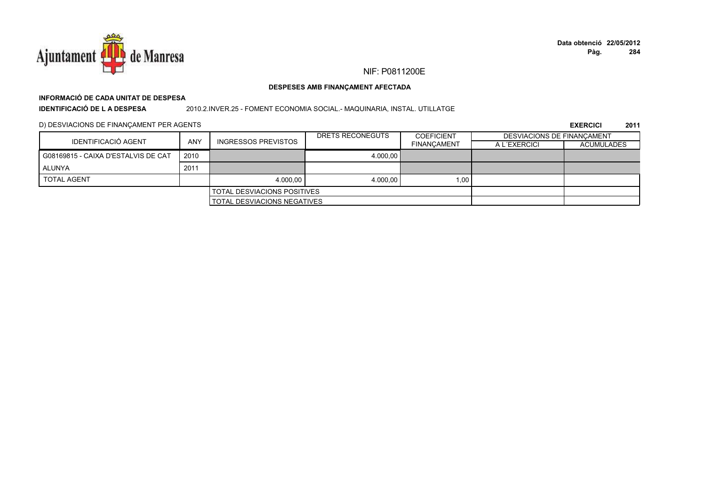

# **INFORMACIÓ DE CADA UNITAT DE DESPESA**

**IDENTIFICACIÓ DE L A DESPESA**

#### 2010.2.INVER.25 - FOMENT ECONOMIA SOCIAL.- MAQUINARIA, INSTAL. UTILLATGE

D) DESVIACIONS DE FINANÇAMENT PER AGENTS

| IDENTIFICACIÓ AGENT                 |                                    |                            | DRETS RECONEGUTS | <b>COEFICIENT</b>  | <b>DESVIACIONS DE FINANCAMENT</b> |                   |
|-------------------------------------|------------------------------------|----------------------------|------------------|--------------------|-----------------------------------|-------------------|
|                                     | ANY                                | <b>INGRESSOS PREVISTOS</b> |                  | <b>FINANCAMENT</b> | A L'EXERCICI                      | <b>ACUMULADES</b> |
| G08169815 - CAIXA D'ESTALVIS DE CAT | 2010                               |                            | 4.000.00         |                    |                                   |                   |
| ALUNYA                              | 2011                               |                            |                  |                    |                                   |                   |
| <b>TOTAL AGENT</b>                  |                                    | 4.000.00                   | 4.000.00         | 1.00 <sub>1</sub>  |                                   |                   |
| <b>TOTAL DESVIACIONS POSITIVES</b>  |                                    |                            |                  |                    |                                   |                   |
|                                     | <b>TOTAL DESVIACIONS NEGATIVES</b> |                            |                  |                    |                                   |                   |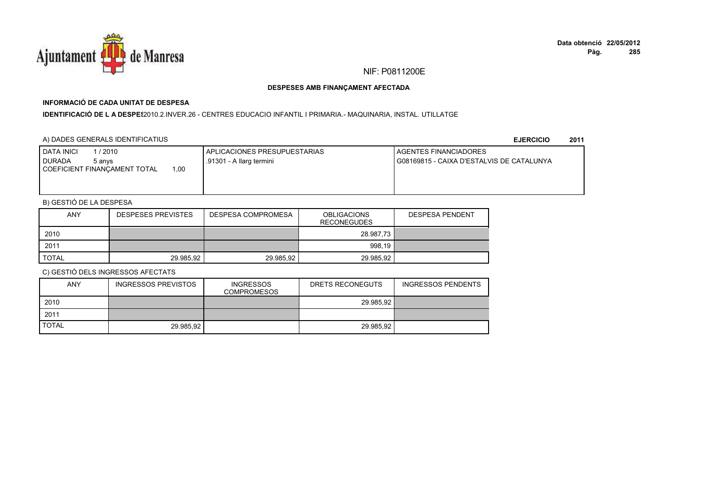

## **INFORMACIÓ DE CADA UNITAT DE DESPESA**

I**DENTIFICACIÓ DE L A DESPES**2010.2.INVER.26 - CENTRES EDUCACIO INFANTIL I PRIMARIA.- MAQUINARIA, INSTAL. UTILLATGE

### A) DADES GENERALS IDENTIFICATIUS

**EJERCICIO<sup>2011</sup>**

| <b>I DATA INICI</b><br>/ 2010<br><b>DURADA</b><br>5 anvs | APLICACIONES PRESUPUESTARIAS<br>.91301 - A llarg termini | <b>I AGENTES FINANCIADORES</b><br>G08169815 - CAIXA D'ESTALVIS DE CATALUNYA |
|----------------------------------------------------------|----------------------------------------------------------|-----------------------------------------------------------------------------|
| 1.00<br>  COEFICIENT FINANCAMENT TOTAL                   |                                                          |                                                                             |

## B) GESTIÓ DE LA DESPESA

| <b>ANY</b> | <b>DESPESES PREVISTES</b> | DESPESA COMPROMESA | <b>OBLIGACIONS</b><br><b>RECONEGUDES</b> | <b>DESPESA PENDENT</b> |
|------------|---------------------------|--------------------|------------------------------------------|------------------------|
| 2010       |                           |                    | 28.987,73                                |                        |
| 2011       |                           |                    | 998,19                                   |                        |
| TOTAL      | 29.985.92                 | 29.985.92          | 29.985.92                                |                        |

| ANY          | <b>INGRESSOS PREVISTOS</b> | <b>INGRESSOS</b><br><b>COMPROMESOS</b> | DRETS RECONEGUTS | INGRESSOS PENDENTS |
|--------------|----------------------------|----------------------------------------|------------------|--------------------|
| 2010         |                            |                                        | 29.985.92        |                    |
| 2011         |                            |                                        |                  |                    |
| <b>TOTAL</b> | 29.985.92                  |                                        | 29.985.92        |                    |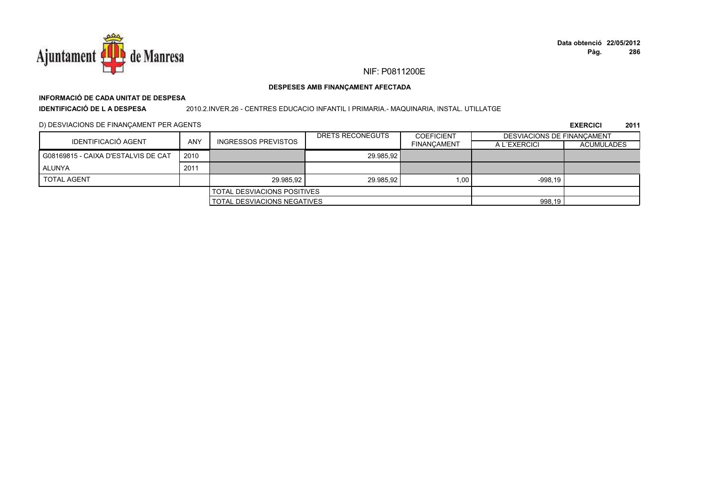

# **INFORMACIÓ DE CADA UNITAT DE DESPESA**

**IDENTIFICACIÓ DE L A DESPESA**

#### 2010.2.INVER.26 - CENTRES EDUCACIO INFANTIL I PRIMARIA.- MAQUINARIA, INSTAL. UTILLATGE

D) DESVIACIONS DE FINANÇAMENT PER AGENTS

|                                     |                                    |                            | DRETS RECONEGUTS | <b>COEFICIENT</b>  | DESVIACIONS DE FINANCAMENT |                   |
|-------------------------------------|------------------------------------|----------------------------|------------------|--------------------|----------------------------|-------------------|
| IDENTIFICACIÓ AGENT                 | <b>ANY</b>                         | <b>INGRESSOS PREVISTOS</b> |                  | <b>FINANCAMENT</b> | A L'EXERCICI               | <b>ACUMULADES</b> |
| G08169815 - CAIXA D'ESTALVIS DE CAT | 2010                               |                            | 29.985.92        |                    |                            |                   |
| ALUNYA                              | 2011                               |                            |                  |                    |                            |                   |
| <b>TOTAL AGENT</b>                  |                                    | 29.985.92                  | 29.985.92        | 1.00               | $-998.19$                  |                   |
|                                     | <b>TOTAL DESVIACIONS POSITIVES</b> |                            |                  |                    |                            |                   |
|                                     | <b>TOTAL DESVIACIONS NEGATIVES</b> |                            |                  | 998,19             |                            |                   |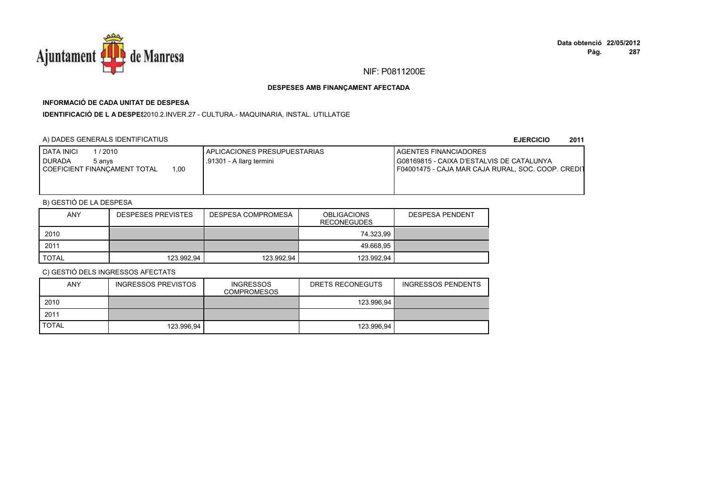

## **INFORMACIÓ DE CADA UNITAT DE DESPESA**

IDENTIFICACIÓ DE L A DESPE\$2010.2.INVER.27 - CULTURA.- MAQUINARIA, INSTAL. UTILLATGE

## A) DADES GENERALS IDENTIFICATIUS

#### **EJERCICIO<sup>2011</sup>**

| <b>DATA INICI</b><br>1 / 2010<br><b>DURADA</b><br>5 anvs<br>COEFICIENT FINANCAMENT TOTAL<br>1.00 | I APLICACIONES PRESUPUESTARIAS<br>.91301 - A llarg termini | <b>I AGENTES FINANCIADORES</b><br>I G08169815 - CAIXA D'ESTALVIS DE CATALUNYA<br>F04001475 - CAJA MAR CAJA RURAL, SOC. COOP. CREDIT |
|--------------------------------------------------------------------------------------------------|------------------------------------------------------------|-------------------------------------------------------------------------------------------------------------------------------------|
|                                                                                                  |                                                            |                                                                                                                                     |

## B) GESTIÓ DE LA DESPESA

| <b>ANY</b> | <b>DESPESES PREVISTES</b> | DESPESA COMPROMESA | <b>OBLIGACIONS</b><br><b>RECONEGUDES</b> | <b>DESPESA PENDENT</b> |
|------------|---------------------------|--------------------|------------------------------------------|------------------------|
| 2010       |                           |                    | 74.323.99                                |                        |
| 2011       |                           |                    | 49.668.95                                |                        |
| TOTAL      | 123.992,94                | 123.992,94         | 123.992,94                               |                        |

| <b>ANY</b>   | INGRESSOS PREVISTOS | <b>INGRESSOS</b><br><b>COMPROMESOS</b> | DRETS RECONEGUTS | <b>INGRESSOS PENDENTS</b> |
|--------------|---------------------|----------------------------------------|------------------|---------------------------|
| 2010         |                     |                                        | 123.996.94       |                           |
| 2011         |                     |                                        |                  |                           |
| <b>TOTAL</b> | 123.996.94          |                                        | 123.996.94       |                           |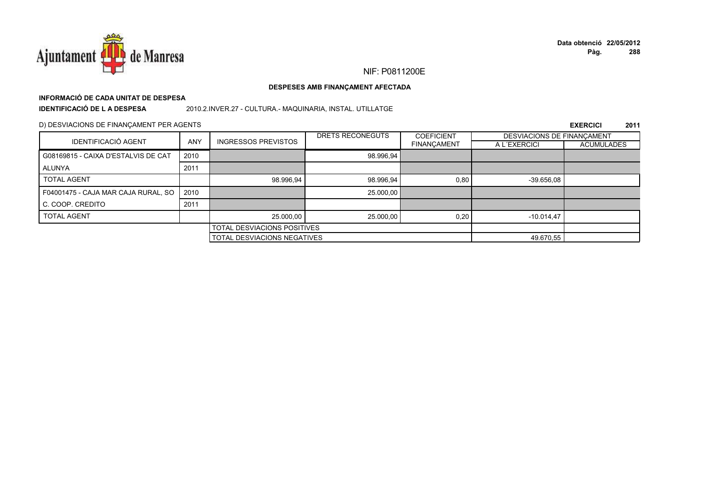

# **INFORMACIÓ DE CADA UNITAT DE DESPESA**

**IDENTIFICACIÓ DE L A DESPESA**

2010.2.INVER.27 - CULTURA.- MAQUINARIA, INSTAL. UTILLATGE

### D) DESVIACIONS DE FINANÇAMENT PER AGENTS

|                                     |            |                                    | DRETS RECONEGUTS                   | <b>COEFICIENT</b>  | DESVIACIONS DE FINANCAMENT |                   |
|-------------------------------------|------------|------------------------------------|------------------------------------|--------------------|----------------------------|-------------------|
| <b>IDENTIFICACIÓ AGENT</b>          | <b>ANY</b> | <b>INGRESSOS PREVISTOS</b>         |                                    | <b>FINANÇAMENT</b> | A L'EXERCICI               | <b>ACUMULADES</b> |
| G08169815 - CAIXA D'ESTALVIS DE CAT | 2010       |                                    | 98.996,94                          |                    |                            |                   |
| ALUNYA                              | 2011       |                                    |                                    |                    |                            |                   |
| <b>TOTAL AGENT</b>                  |            | 98.996,94                          | 98.996,94                          | 0,80               | $-39.656.08$               |                   |
| F04001475 - CAJA MAR CAJA RURAL, SO | 2010       |                                    | 25.000,00                          |                    |                            |                   |
| C. COOP. CREDITO                    | 2011       |                                    |                                    |                    |                            |                   |
| <b>TOTAL AGENT</b>                  |            | 25.000,00                          | 25.000,00                          | 0,20               | $-10.014.47$               |                   |
|                                     |            | <b>TOTAL DESVIACIONS POSITIVES</b> |                                    |                    |                            |                   |
|                                     |            |                                    | <b>TOTAL DESVIACIONS NEGATIVES</b> |                    |                            |                   |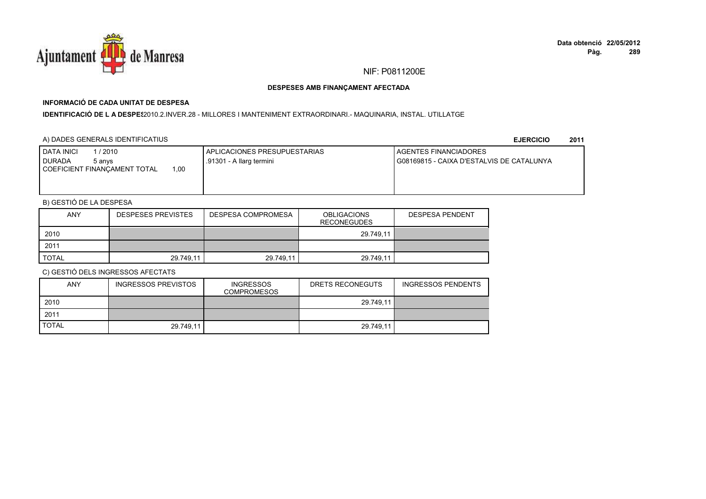

## **INFORMACIÓ DE CADA UNITAT DE DESPESA**

#### I**DENTIFICACIÓ DE L A DESPE**\$2010.2.INVER.28 - MILLORES I MANTENIMENT EXTRAORDINARI.- MAQUINARIA, INSTAL. UTILLATGE

### A) DADES GENERALS IDENTIFICATIUS

**EJERCICIO<sup>2011</sup>**

| 1 / 2010<br><b>DATA INICI</b><br><b>DURADA</b><br>5 anvs<br>00،،<br>COEFICIENT FINANCAMENT TOTAL | I APLICACIONES PRESUPUESTARIAS<br>.91301 - A llarg termini | <b>I AGENTES FINANCIADORES</b><br>I G08169815 - CAIXA D'ESTALVIS DE CATALUNYA |
|--------------------------------------------------------------------------------------------------|------------------------------------------------------------|-------------------------------------------------------------------------------|
|                                                                                                  |                                                            |                                                                               |

## B) GESTIÓ DE LA DESPESA

| <b>ANY</b> | <b>DESPESES PREVISTES</b> | DESPESA COMPROMESA | <b>OBLIGACIONS</b><br><b>RECONEGUDES</b> | <b>DESPESA PENDENT</b> |
|------------|---------------------------|--------------------|------------------------------------------|------------------------|
| 2010       |                           |                    | 29.749.11                                |                        |
| 2011       |                           |                    |                                          |                        |
| TOTAL      | 29.749.11                 | 29.749,11          | 29.749.11                                |                        |

| <b>ANY</b>   | <b>INGRESSOS PREVISTOS</b> | <b>INGRESSOS</b><br><b>COMPROMESOS</b> | DRETS RECONEGUTS | <b>INGRESSOS PENDENTS</b> |
|--------------|----------------------------|----------------------------------------|------------------|---------------------------|
| 2010         |                            |                                        | 29.749,11        |                           |
| 2011         |                            |                                        |                  |                           |
| <b>TOTAL</b> | 29.749.11                  |                                        | 29.749,11        |                           |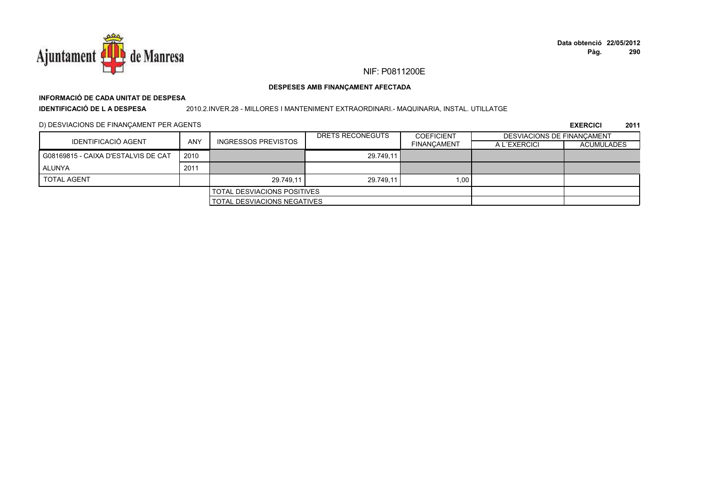

# **INFORMACIÓ DE CADA UNITAT DE DESPESA**

**IDENTIFICACIÓ DE L A DESPESA**

2010.2.INVER.28 - MILLORES I MANTENIMENT EXTRAORDINARI.- MAQUINARIA, INSTAL. UTILLATGE

D) DESVIACIONS DE FINANÇAMENT PER AGENTS

|                                     |            |                                    | DRETS RECONEGUTS | <b>COEFICIENT</b>  | DESVIACIONS DE FINANCAMENT |                   |
|-------------------------------------|------------|------------------------------------|------------------|--------------------|----------------------------|-------------------|
| IDENTIFICACIÓ AGENT                 | <b>ANY</b> | <b>INGRESSOS PREVISTOS</b>         |                  | <b>FINANCAMENT</b> | A L'EXERCICI               | <b>ACUMULADES</b> |
| G08169815 - CAIXA D'ESTALVIS DE CAT | 2010       |                                    | 29.749.11        |                    |                            |                   |
| <b>ALUNYA</b>                       | 2011       |                                    |                  |                    |                            |                   |
| <b>TOTAL AGENT</b>                  |            | 29.749.11                          | 29.749.11        | 1,00               |                            |                   |
|                                     |            | <b>TOTAL DESVIACIONS POSITIVES</b> |                  |                    |                            |                   |
|                                     |            | <b>TOTAL DESVIACIONS NEGATIVES</b> |                  |                    |                            |                   |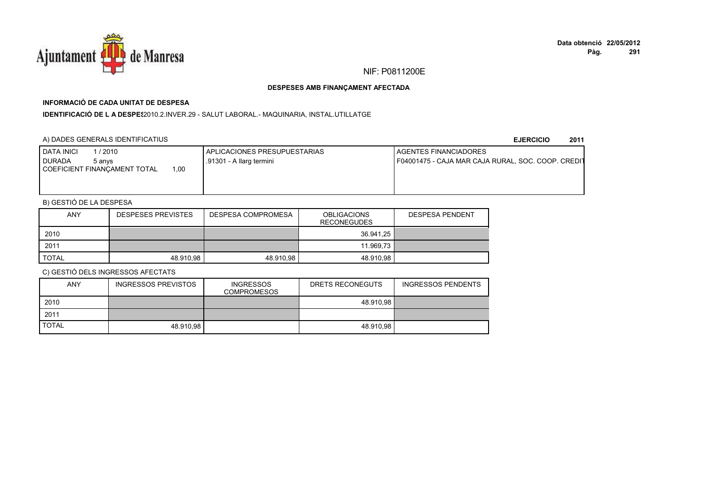

## **INFORMACIÓ DE CADA UNITAT DE DESPESA**

I**DENTIFICACIÓ DE L A DESPES**2010.2.INVER.29 - SALUT LABORAL.- MAQUINARIA, INSTAL.UTILLATGE

## A) DADES GENERALS IDENTIFICATIUS

**EJERCICIO<sup>2011</sup>**

| <b>DATA INICI</b><br>/ 2010<br><b>DURADA</b><br>5 anvs<br>.00<br><b>COEFICIENT FINANCAMENT TOTAL</b> | <b>I APLICACIONES PRESUPUESTARIAS</b><br>.91301 - A llarg termini | <b>I AGENTES FINANCIADORES</b><br>F04001475 - CAJA MAR CAJA RURAL, SOC. COOP. CREDIT |
|------------------------------------------------------------------------------------------------------|-------------------------------------------------------------------|--------------------------------------------------------------------------------------|
|                                                                                                      |                                                                   |                                                                                      |

## B) GESTIÓ DE LA DESPESA

| <b>ANY</b>   | <b>DESPESES PREVISTES</b> | DESPESA COMPROMESA | <b>OBLIGACIONS</b><br><b>RECONEGUDES</b> | <b>DESPESA PENDENT</b> |
|--------------|---------------------------|--------------------|------------------------------------------|------------------------|
| 2010         |                           |                    | 36.941,25                                |                        |
| 2011         |                           |                    | 11.969,73                                |                        |
| <b>TOTAL</b> | 48.910.98                 | 48.910.98          | 48.910.98                                |                        |

| <b>ANY</b>   | <b>INGRESSOS PREVISTOS</b> | <b>INGRESSOS</b><br><b>COMPROMESOS</b> | DRETS RECONEGUTS | <b>INGRESSOS PENDENTS</b> |
|--------------|----------------------------|----------------------------------------|------------------|---------------------------|
| 2010         |                            |                                        | 48.910.98        |                           |
| 2011         |                            |                                        |                  |                           |
| <b>TOTAL</b> | 48.910.98                  |                                        | 48.910.98        |                           |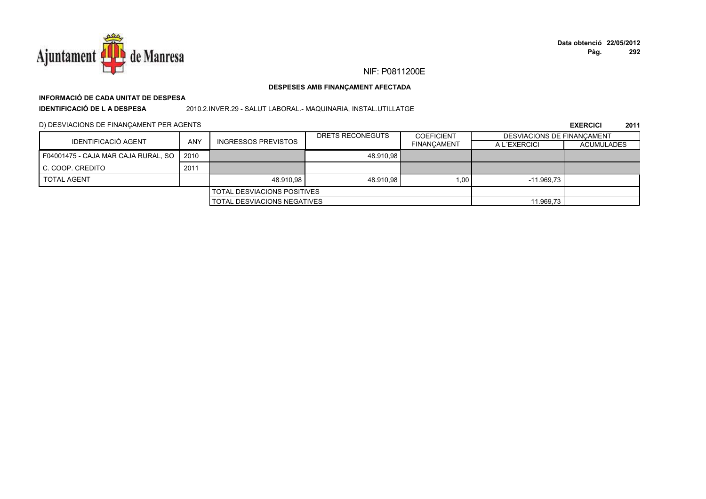

#### DESPESES AMB FINANÇAMENT AFECTADA

# INFORMACIÓ DE CADA UNITAT DE DESPESA

**IDENTIFICACIÓ DE LA DESPESA** 

2010.2.INVER.29 - SALUT LABORAL.- MAQUINARIA, INSTAL.UTILLATGE

D) DESVIACIONS DE FINANÇAMENT PER AGENTS

|                                     |                                    |                                    | DRETS RECONEGUTS | <b>COEFICIENT</b>  | <b>DESVIACIONS DE FINANCAMENT</b> |                   |
|-------------------------------------|------------------------------------|------------------------------------|------------------|--------------------|-----------------------------------|-------------------|
| IDENTIFICACIÓ AGENT                 | ANY                                | <b>INGRESSOS PREVISTOS</b>         |                  | <b>FINANCAMENT</b> | A L'EXERCICI                      | <b>ACUMULADES</b> |
| F04001475 - CAJA MAR CAJA RURAL, SO | 2010                               |                                    | 48.910,98        |                    |                                   |                   |
| C. COOP. CREDITO                    | 2011                               |                                    |                  |                    |                                   |                   |
| <b>TOTAL AGENT</b>                  |                                    | 48.910.98                          | 48.910.98        | 1.00               | $-11.969.73$                      |                   |
|                                     | <b>TOTAL DESVIACIONS POSITIVES</b> |                                    |                  |                    |                                   |                   |
|                                     |                                    | <b>TOTAL DESVIACIONS NEGATIVES</b> |                  |                    | 11.969,73                         |                   |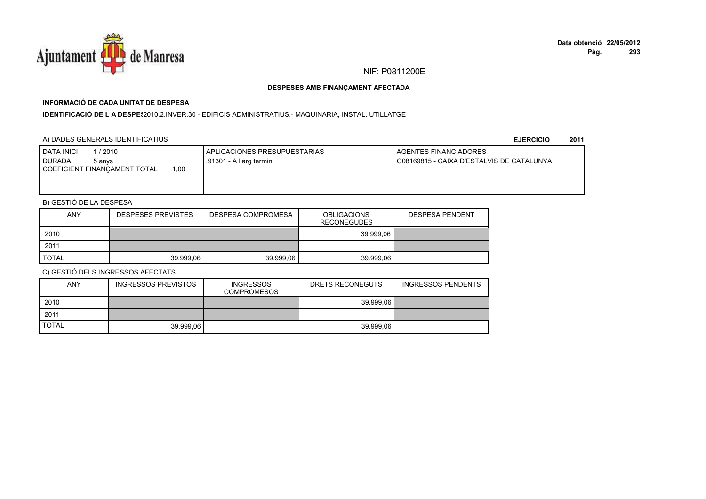

## **INFORMACIÓ DE CADA UNITAT DE DESPESA**

I**DENTIFICACIÓ DE L A DESPES**2010.2.INVER.30 - EDIFICIS ADMINISTRATIUS.- MAQUINARIA, INSTAL. UTILLATGE

### A) DADES GENERALS IDENTIFICATIUS

**EJERCICIO<sup>2011</sup>**

| <b>I DATA INICI</b><br>l / 2010<br><b>I DURADA</b><br>5 anvs<br>.00<br>COEFICIENT FINANCAMENT TOTAL | I APLICACIONES PRESUPUESTARIAS<br>.91301 - A llarg termini | AGENTES FINANCIADORES<br>I G08169815 - CAIXA D'ESTALVIS DE CATALUNYA |
|-----------------------------------------------------------------------------------------------------|------------------------------------------------------------|----------------------------------------------------------------------|
|                                                                                                     |                                                            |                                                                      |

## B) GESTIÓ DE LA DESPESA

| <b>ANY</b>   | <b>DESPESES PREVISTES</b> | DESPESA COMPROMESA | <b>OBLIGACIONS</b><br>RECONEGUDES | <b>DESPESA PENDENT</b> |
|--------------|---------------------------|--------------------|-----------------------------------|------------------------|
| 2010         |                           |                    | 39.999.06                         |                        |
| 2011         |                           |                    |                                   |                        |
| <b>TOTAL</b> | 39.999.06                 | 39.999.06          | 39.999.06                         |                        |

| <b>ANY</b>   | <b>INGRESSOS PREVISTOS</b> | <b>INGRESSOS</b><br><b>COMPROMESOS</b> | DRETS RECONEGUTS | <b>INGRESSOS PENDENTS</b> |
|--------------|----------------------------|----------------------------------------|------------------|---------------------------|
| 2010         |                            |                                        | 39.999.06        |                           |
| 2011         |                            |                                        |                  |                           |
| <b>TOTAL</b> | 39.999.06                  |                                        | 39.999.06        |                           |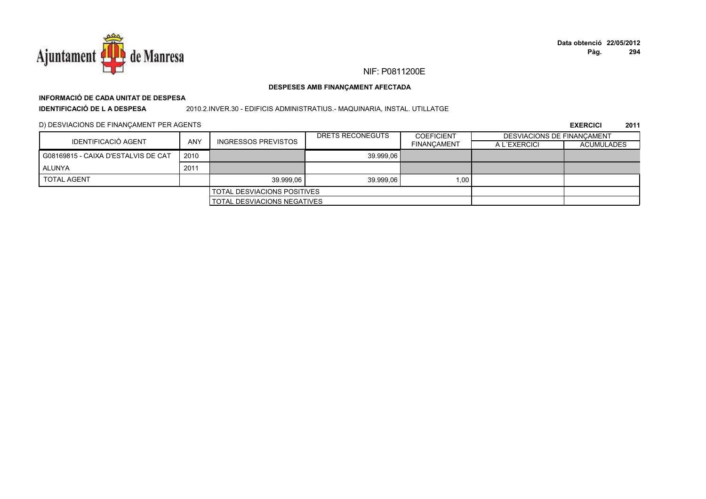

#### DESPESES AMB FINANÇAMENT AFECTADA

## INFORMACIÓ DE CADA UNITAT DE DESPESA

**IDENTIFICACIÓ DE LA DESPESA** 

2010.2.INVER.30 - EDIFICIS ADMINISTRATIUS. - MAQUINARIA, INSTAL. UTILLATGE

D) DESVIACIONS DE FINANÇAMENT PER AGENTS

|                                     |      |                                    | DRETS RECONEGUTS | <b>COEFICIENT</b>  | <b>DESVIACIONS DE FINANCAMENT</b> |                   |
|-------------------------------------|------|------------------------------------|------------------|--------------------|-----------------------------------|-------------------|
| IDENTIFICACIÓ AGENT                 | ANY  | <b>INGRESSOS PREVISTOS</b>         |                  | <b>FINANCAMENT</b> | A L'EXERCICI                      | <b>ACUMULADES</b> |
| G08169815 - CAIXA D'ESTALVIS DE CAT | 2010 |                                    | 39.999.06        |                    |                                   |                   |
| ALUNYA                              | 2011 |                                    |                  |                    |                                   |                   |
| <b>TOTAL AGENT</b>                  |      | 39.999.06                          | 39.999.06        | 1.00 <sub>1</sub>  |                                   |                   |
|                                     |      | <b>TOTAL DESVIACIONS POSITIVES</b> |                  |                    |                                   |                   |
|                                     |      | <b>TOTAL DESVIACIONS NEGATIVES</b> |                  |                    |                                   |                   |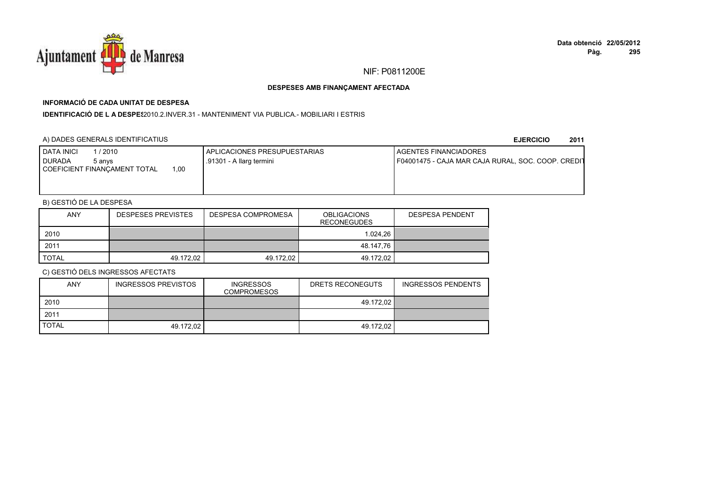

# **INFORMACIÓ DE CADA UNITAT DE DESPESA**

**IDENTIFICACIÓ DE L A DESPES**2010.2.INVER.31 - MANTENIMENT VIA PUBLICA.- MOBILIARI I ESTRIS

## A) DADES GENERALS IDENTIFICATIUS

**EJERCICIO<sup>2011</sup>**

| <b>DATA INICI</b><br>/ 2010<br><b>DURADA</b><br>5 anvs<br>1.00<br>COEFICIENT FINANCAMENT TOTAL | APLICACIONES PRESUPUESTARIAS<br>.91301 - A llarg termini | <b>I AGENTES FINANCIADORES</b><br>F04001475 - CAJA MAR CAJA RURAL, SOC. COOP. CREDIT |
|------------------------------------------------------------------------------------------------|----------------------------------------------------------|--------------------------------------------------------------------------------------|
|                                                                                                |                                                          |                                                                                      |

# B) GESTIÓ DE LA DESPESA

| <b>ANY</b>   | <b>DESPESES PREVISTES</b> | DESPESA COMPROMESA | <b>OBLIGACIONS</b><br><b>RECONEGUDES</b> | <b>DESPESA PENDENT</b> |
|--------------|---------------------------|--------------------|------------------------------------------|------------------------|
| 2010         |                           |                    | 1.024.26                                 |                        |
| 2011         |                           |                    | 48.147,76                                |                        |
| <b>TOTAL</b> | 49.172.02                 | 49.172.02          | 49.172.02                                |                        |

| <b>ANY</b>   | INGRESSOS PREVISTOS | <b>INGRESSOS</b><br><b>COMPROMESOS</b> | DRETS RECONEGUTS | <b>INGRESSOS PENDENTS</b> |
|--------------|---------------------|----------------------------------------|------------------|---------------------------|
| 2010         |                     |                                        | 49.172.02        |                           |
| 2011         |                     |                                        |                  |                           |
| <b>TOTAL</b> | 49.172.02           |                                        | 49.172.02        |                           |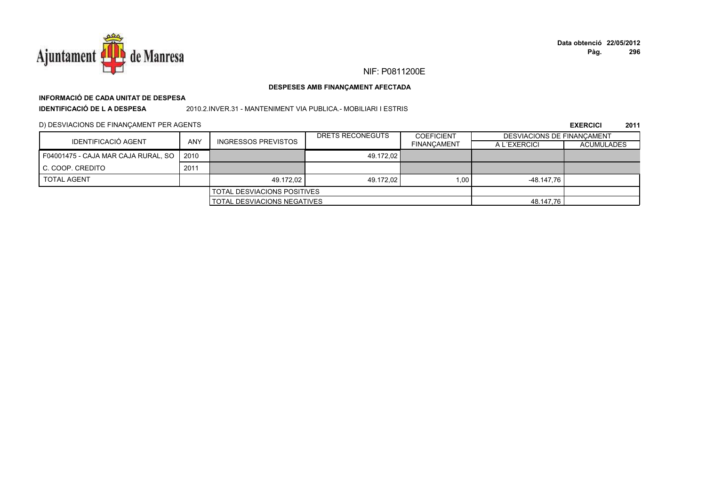

### DESPESES AMB FINANÇAMENT AFECTADA

# INFORMACIÓ DE CADA UNITAT DE DESPESA

**IDENTIFICACIÓ DE LA DESPESA** 

2010.2.INVER.31 - MANTENIMENT VIA PUBLICA.- MOBILIARI I ESTRIS

D) DESVIACIONS DE FINANÇAMENT PER AGENTS

|                                     |      |                                    | DRETS RECONEGUTS | <b>COEFICIENT</b>  | <b>DESVIACIONS DE FINANCAMENT</b> |                   |
|-------------------------------------|------|------------------------------------|------------------|--------------------|-----------------------------------|-------------------|
| IDENTIFICACIÓ AGENT                 | ANY  | <b>INGRESSOS PREVISTOS</b>         |                  | <b>FINANCAMENT</b> | A L'EXERCICI                      | <b>ACUMULADES</b> |
| F04001475 - CAJA MAR CAJA RURAL, SO | 2010 |                                    | 49.172.02        |                    |                                   |                   |
| <b>I C. COOP. CREDITO</b>           | 2011 |                                    |                  |                    |                                   |                   |
| <b>TOTAL AGENT</b>                  |      | 49.172.02                          | 49.172,02        | 1.00               | -48.147.76                        |                   |
|                                     |      | <b>TOTAL DESVIACIONS POSITIVES</b> |                  |                    |                                   |                   |
|                                     |      | TOTAL DESVIACIONS NEGATIVES        |                  |                    | 48.147,76                         |                   |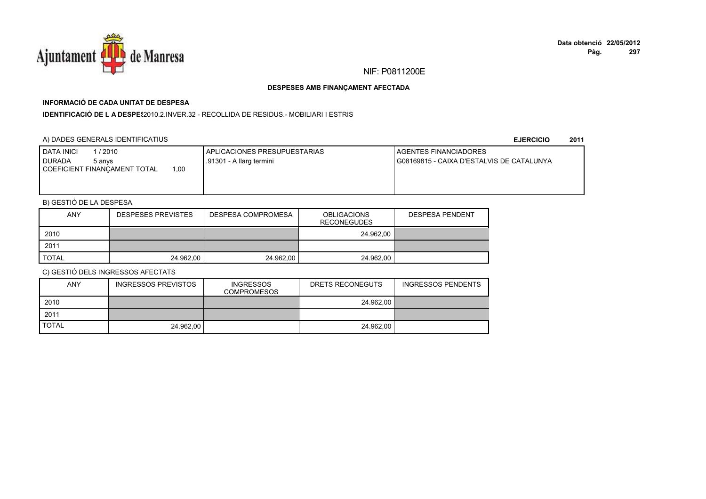

# **INFORMACIÓ DE CADA UNITAT DE DESPESA**

**IDENTIFICACIÓ DE L A DESPES**2010.2.INVER.32 - RECOLLIDA DE RESIDUS.- MOBILIARI I ESTRIS

### A) DADES GENERALS IDENTIFICATIUS

**EJERCICIO<sup>2011</sup>**

| <b>I DATA INICI</b><br>/ 2010<br><b>DURADA</b><br>5 anvs | APLICACIONES PRESUPUESTARIAS<br>.91301 - A llarg termini | <b>I AGENTES FINANCIADORES</b><br>G08169815 - CAIXA D'ESTALVIS DE CATALUNYA |
|----------------------------------------------------------|----------------------------------------------------------|-----------------------------------------------------------------------------|
| 1.00<br>  COEFICIENT FINANCAMENT TOTAL                   |                                                          |                                                                             |

# B) GESTIÓ DE LA DESPESA

| <b>ANY</b>   | <b>DESPESES PREVISTES</b> | DESPESA COMPROMESA | <b>OBLIGACIONS</b><br><b>RECONEGUDES</b> | <b>DESPESA PENDENT</b> |
|--------------|---------------------------|--------------------|------------------------------------------|------------------------|
| 2010         |                           |                    | 24.962.00                                |                        |
| 2011         |                           |                    |                                          |                        |
| <b>TOTAL</b> | 24.962.00                 | 24.962,00          | 24.962,00                                |                        |

| <b>ANY</b>   | INGRESSOS PREVISTOS | <b>INGRESSOS</b><br><b>COMPROMESOS</b> | DRETS RECONEGUTS | <b>INGRESSOS PENDENTS</b> |
|--------------|---------------------|----------------------------------------|------------------|---------------------------|
| 2010         |                     |                                        | 24.962.00        |                           |
| 2011         |                     |                                        |                  |                           |
| <b>TOTAL</b> | 24.962.00           |                                        | 24.962.00        |                           |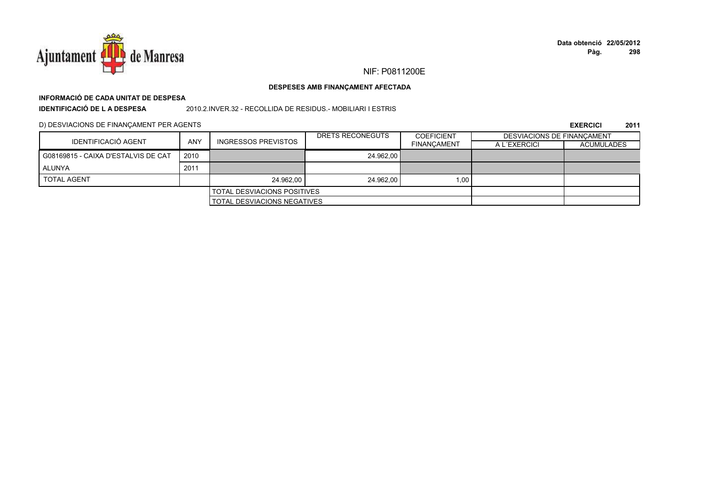

# **INFORMACIÓ DE CADA UNITAT DE DESPESA**

**IDENTIFICACIÓ DE L A DESPESA**

2010.2.INVER.32 - RECOLLIDA DE RESIDUS.- MOBILIARI I ESTRIS

D) DESVIACIONS DE FINANÇAMENT PER AGENTS

|                                     |            |                                    | DRETS RECONEGUTS | <b>COEFICIENT</b>  | <b>DESVIACIONS DE FINANCAMENT</b> |                   |
|-------------------------------------|------------|------------------------------------|------------------|--------------------|-----------------------------------|-------------------|
| IDENTIFICACIÓ AGENT                 | <b>ANY</b> | <b>INGRESSOS PREVISTOS</b>         |                  | <b>FINANCAMENT</b> | A L'EXERCICI                      | <b>ACUMULADES</b> |
| G08169815 - CAIXA D'ESTALVIS DE CAT | 2010       |                                    | 24.962.00        |                    |                                   |                   |
| ALUNYA                              | 2011       |                                    |                  |                    |                                   |                   |
| <b>TOTAL AGENT</b>                  |            | 24.962.00                          | 24.962.00        | 1,001              |                                   |                   |
|                                     |            | I TOTAL DESVIACIONS POSITIVES      |                  |                    |                                   |                   |
|                                     |            | <b>TOTAL DESVIACIONS NEGATIVES</b> |                  |                    |                                   |                   |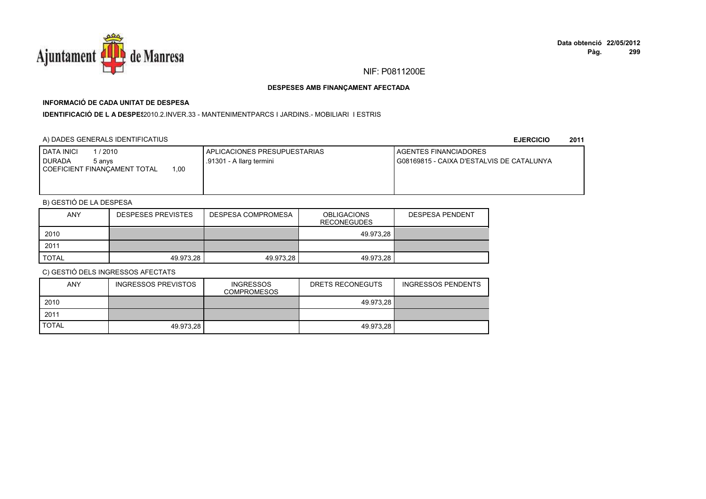

# **INFORMACIÓ DE CADA UNITAT DE DESPESA**

**IDENTIFICACIÓ DE L A DESPES**2010.2.INVER.33 - MANTENIMENTPARCS I JARDINS.- MOBILIARI I ESTRIS

### A) DADES GENERALS IDENTIFICATIUS

**EJERCICIO<sup>2011</sup>**

| <b>I DATA INICI</b><br>/ 2010<br><b>I DURADA</b><br>5 anvs<br>.00<br>COEFICIENT FINANCAMENT TOTAL | APLICACIONES PRESUPUESTARIAS<br>.91301 - A llarg termini | <b>I AGENTES FINANCIADORES</b><br>I G08169815 - CAIXA D'ESTALVIS DE CATALUNYA |
|---------------------------------------------------------------------------------------------------|----------------------------------------------------------|-------------------------------------------------------------------------------|
|                                                                                                   |                                                          |                                                                               |

# B) GESTIÓ DE LA DESPESA

| <b>ANY</b>   | <b>DESPESES PREVISTES</b> | DESPESA COMPROMESA | <b>OBLIGACIONS</b><br><b>RECONEGUDES</b> | <b>DESPESA PENDENT</b> |
|--------------|---------------------------|--------------------|------------------------------------------|------------------------|
| 2010         |                           |                    | 49.973.28                                |                        |
| 2011         |                           |                    |                                          |                        |
| <b>TOTAL</b> | 49.973.28                 | 49.973.28          | 49.973.28                                |                        |

| <b>ANY</b>   | INGRESSOS PREVISTOS | <b>INGRESSOS</b><br><b>COMPROMESOS</b> | DRETS RECONEGUTS | <b>INGRESSOS PENDENTS</b> |
|--------------|---------------------|----------------------------------------|------------------|---------------------------|
| 2010         |                     |                                        | 49.973.28        |                           |
| 2011         |                     |                                        |                  |                           |
| <b>TOTAL</b> | 49.973.28           |                                        | 49.973.28        |                           |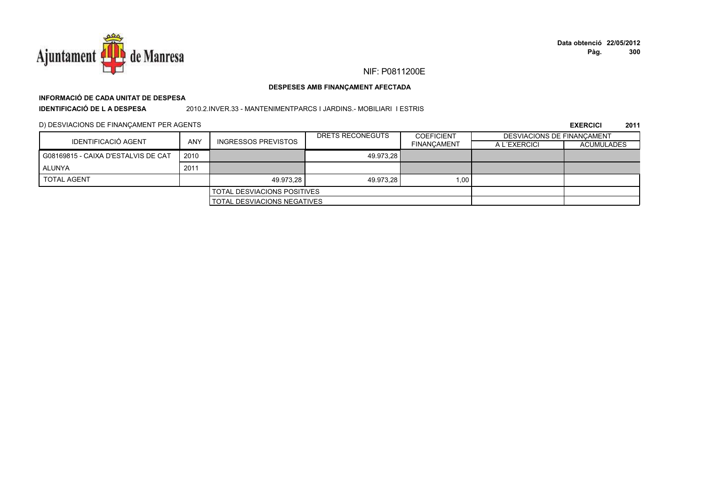

### DESPESES AMB FINANÇAMENT AFECTADA

# INFORMACIÓ DE CADA UNITAT DE DESPESA

**IDENTIFICACIÓ DE L A DESPESA** 

2010.2.INVER.33 - MANTENIMENTPARCS I JARDINS.- MOBILIARI I ESTRIS

D) DESVIACIONS DE FINANÇAMENT PER AGENTS

| IDENTIFICACIÓ AGENT                 |            |                                    | DRETS RECONEGUTS | <b>COEFICIENT</b>  | <b>DESVIACIONS DE FINANCAMENT</b> |                   |
|-------------------------------------|------------|------------------------------------|------------------|--------------------|-----------------------------------|-------------------|
|                                     | <b>ANY</b> | <b>INGRESSOS PREVISTOS</b>         |                  | <b>FINANCAMENT</b> | A L'EXERCICI                      | <b>ACUMULADES</b> |
| G08169815 - CAIXA D'ESTALVIS DE CAT | 2010       |                                    | 49.973.28        |                    |                                   |                   |
| ALUNYA                              | 2011       |                                    |                  |                    |                                   |                   |
| <b>TOTAL AGENT</b>                  |            | 49.973.28                          | 49.973.28        | 1,00               |                                   |                   |
|                                     |            | <b>TOTAL DESVIACIONS POSITIVES</b> |                  |                    |                                   |                   |
|                                     |            | TOTAL DESVIACIONS NEGATIVES        |                  |                    |                                   |                   |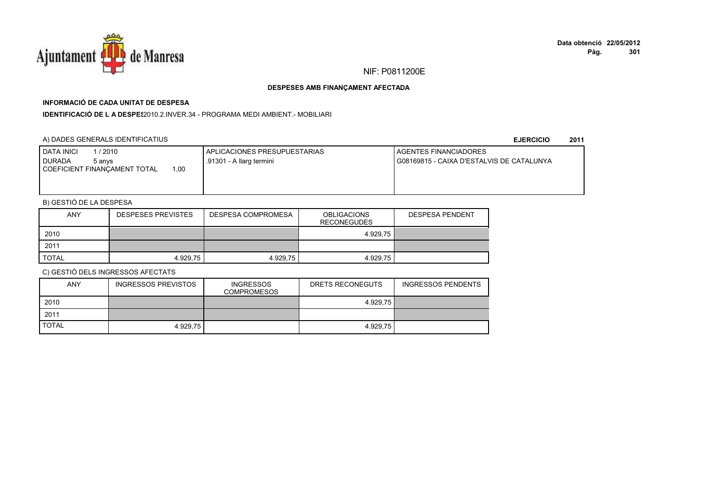

# **INFORMACIÓ DE CADA UNITAT DE DESPESA**

**IDENTIFICACIÓ DE L A DESPES**2010.2.INVER.34 - PROGRAMA MEDI AMBIENT.- MOBILIARI

## A) DADES GENERALS IDENTIFICATIUS

**EJERCICIO<sup>2011</sup>**

| <b>I DATA INICI</b><br>1/2010               | APLICACIONES PRESUPUESTARIAS | <b>I AGENTES FINANCIADORES</b>            |
|---------------------------------------------|------------------------------|-------------------------------------------|
| I DURADA<br>5 anvs                          | .91301 - A llarg termini     | G08169815 - CAIXA D'ESTALVIS DE CATALUNYA |
| 0.00<br><b>COEFICIENT FINANCAMENT TOTAL</b> |                              |                                           |
|                                             |                              |                                           |
|                                             |                              |                                           |

# B) GESTIÓ DE LA DESPESA

| <b>ANY</b>   | <b>DESPESES PREVISTES</b> | DESPESA COMPROMESA | <b>OBLIGACIONS</b><br><b>RECONEGUDES</b> | <b>DESPESA PENDENT</b> |
|--------------|---------------------------|--------------------|------------------------------------------|------------------------|
| 2010         |                           |                    | 4.929,75                                 |                        |
| 2011         |                           |                    |                                          |                        |
| <b>TOTAL</b> | 4.929.75                  | 4.929,75           | 4.929.75                                 |                        |

| ANY          | <b>INGRESSOS PREVISTOS</b> | <b>INGRESSOS</b><br><b>COMPROMESOS</b> | DRETS RECONEGUTS | <b>INGRESSOS PENDENTS</b> |
|--------------|----------------------------|----------------------------------------|------------------|---------------------------|
| 2010         |                            |                                        | 4.929.75         |                           |
| 2011         |                            |                                        |                  |                           |
| <b>TOTAL</b> | 4.929.75                   |                                        | 4.929.75         |                           |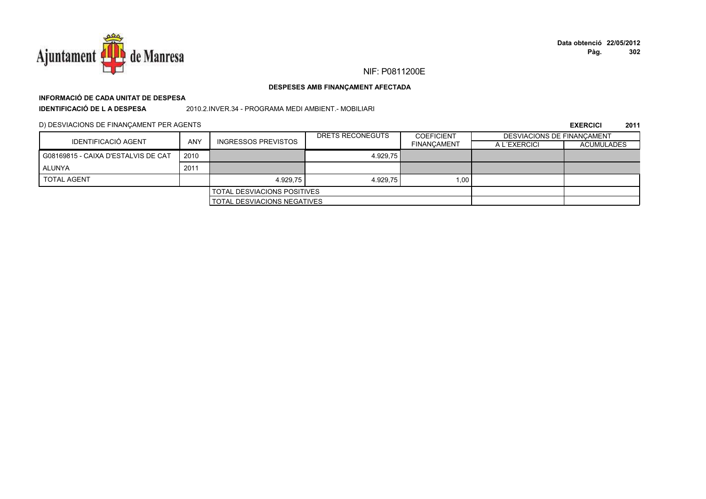

# **INFORMACIÓ DE CADA UNITAT DE DESPESA**

**IDENTIFICACIÓ DE L A DESPESA**

2010.2.INVER.34 - PROGRAMA MEDI AMBIENT.- MOBILIARI

D) DESVIACIONS DE FINANÇAMENT PER AGENTS

|                                     |      |                                    | DRETS RECONEGUTS | <b>COEFICIENT</b>  | <b>DESVIACIONS DE FINANCAMENT</b> |                   |
|-------------------------------------|------|------------------------------------|------------------|--------------------|-----------------------------------|-------------------|
| IDENTIFICACIÓ AGENT                 | ANY  | <b>INGRESSOS PREVISTOS</b>         |                  | <b>FINANCAMENT</b> | A L'EXERCICI                      | <b>ACUMULADES</b> |
| G08169815 - CAIXA D'ESTALVIS DE CAT | 2010 |                                    | 4.929.75         |                    |                                   |                   |
| ALUNYA                              | 2011 |                                    |                  |                    |                                   |                   |
| <b>TOTAL AGENT</b>                  |      | 4.929.75                           | 4.929.75         | 1,00               |                                   |                   |
|                                     |      | <b>TOTAL DESVIACIONS POSITIVES</b> |                  |                    |                                   |                   |
|                                     |      | <b>TOTAL DESVIACIONS NEGATIVES</b> |                  |                    |                                   |                   |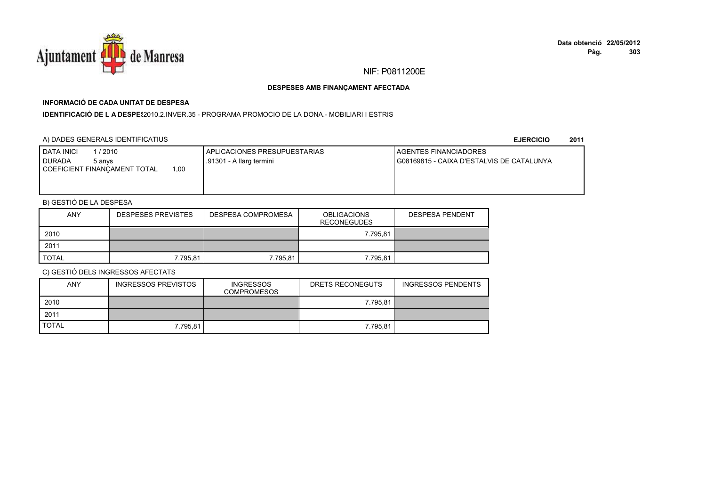

# **INFORMACIÓ DE CADA UNITAT DE DESPESA**

**IDENTIFICACIÓ DE L A DESPES**2010.2.INVER.35 - PROGRAMA PROMOCIO DE LA DONA.- MOBILIARI I ESTRIS

### A) DADES GENERALS IDENTIFICATIUS

**EJERCICIO<sup>2011</sup>**

| <b>I DATA INICI</b><br>/2010<br>I DURADA<br>5 anvs<br>.00<br>COEFICIENT FINANCAMENT TOTAL | APLICACIONES PRESUPUESTARIAS<br>.91301 - A llarg termini | <b>I AGENTES FINANCIADORES</b><br>G08169815 - CAIXA D'ESTALVIS DE CATALUNYA |
|-------------------------------------------------------------------------------------------|----------------------------------------------------------|-----------------------------------------------------------------------------|
|                                                                                           |                                                          |                                                                             |

# B) GESTIÓ DE LA DESPESA

| <b>ANY</b> | <b>DESPESES PREVISTES</b> | DESPESA COMPROMESA | <b>OBLIGACIONS</b><br><b>RECONEGUDES</b> | <b>DESPESA PENDENT</b> |
|------------|---------------------------|--------------------|------------------------------------------|------------------------|
| 2010       |                           |                    | 7.795,81                                 |                        |
| 2011       |                           |                    |                                          |                        |
| TOTAL      | 7.795,81                  | 7.795,81           | 7.795,81                                 |                        |

| <b>ANY</b>   | <b>INGRESSOS PREVISTOS</b> | <b>INGRESSOS</b><br><b>COMPROMESOS</b> | DRETS RECONEGUTS | INGRESSOS PENDENTS |
|--------------|----------------------------|----------------------------------------|------------------|--------------------|
| 2010         |                            |                                        | 7.795.81         |                    |
| 2011         |                            |                                        |                  |                    |
| <b>TOTAL</b> | 7.795.81                   |                                        | 7.795.81         |                    |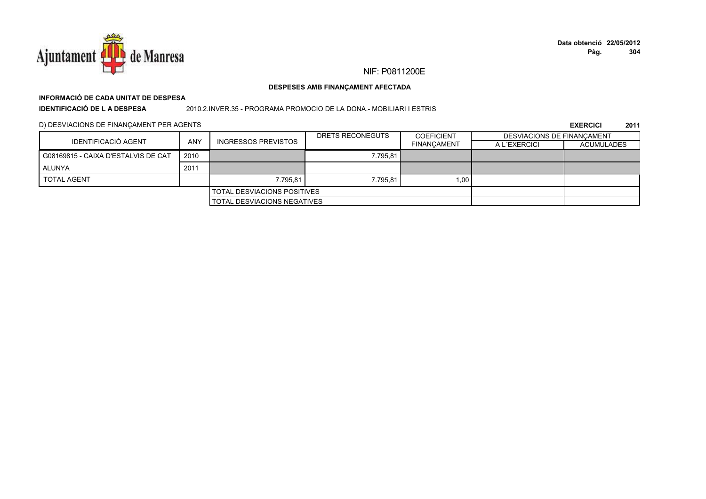

### DESPESES AMB FINANÇAMENT AFECTADA

# INFORMACIÓ DE CADA UNITAT DE DESPESA

**IDENTIFICACIÓ DE LA DESPESA** 

2010.2.INVER.35 - PROGRAMA PROMOCIO DE LA DONA.- MOBILIARI I ESTRIS

D) DESVIACIONS DE FINANÇAMENT PER AGENTS

|                                     |                                    |                                    | DRETS RECONEGUTS | <b>COEFICIENT</b>  | DESVIACIONS DE FINANCAMENT |                   |
|-------------------------------------|------------------------------------|------------------------------------|------------------|--------------------|----------------------------|-------------------|
| IDENTIFICACIÓ AGENT                 | <b>ANY</b>                         | <b>INGRESSOS PREVISTOS</b>         |                  | <b>FINANCAMENT</b> | A L'EXERCICI               | <b>ACUMULADES</b> |
| G08169815 - CAIXA D'ESTALVIS DE CAT | 2010                               |                                    | 7.795.81         |                    |                            |                   |
| ALUNYA                              | 2011                               |                                    |                  |                    |                            |                   |
| <b>TOTAL AGENT</b>                  |                                    | 7.795.81                           | 7.795.81         | 1.00 <sub>1</sub>  |                            |                   |
|                                     | <b>TOTAL DESVIACIONS POSITIVES</b> |                                    |                  |                    |                            |                   |
|                                     |                                    | <b>TOTAL DESVIACIONS NEGATIVES</b> |                  |                    |                            |                   |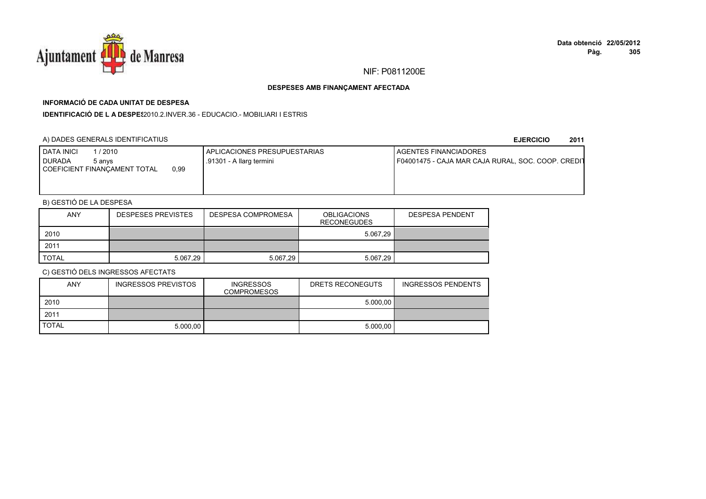

# **INFORMACIÓ DE CADA UNITAT DE DESPESA**

**IDENTIFICACIÓ DE L A DESPES**2010.2.INVER.36 - EDUCACIO.- MOBILIARI I ESTRIS

## A) DADES GENERALS IDENTIFICATIUS

### **EJERCICIO<sup>2011</sup>**

| I DATA INICI<br>/ 2010<br>I DURADA<br>5 anvs<br>0.99<br>COEFICIENT FINANCAMENT TOTAL | I APLICACIONES PRESUPUESTARIAS<br>.91301 - A llarg termini | <b>I AGENTES FINANCIADORES</b><br>F04001475 - CAJA MAR CAJA RURAL, SOC. COOP. CREDIT |
|--------------------------------------------------------------------------------------|------------------------------------------------------------|--------------------------------------------------------------------------------------|
|                                                                                      |                                                            |                                                                                      |

# B) GESTIÓ DE LA DESPESA

| <b>ANY</b> | <b>DESPESES PREVISTES</b> | <b>DESPESA COMPROMESA</b> | <b>OBLIGACIONS</b><br><b>RECONEGUDES</b> | <b>DESPESA PENDENT</b> |
|------------|---------------------------|---------------------------|------------------------------------------|------------------------|
| 2010       |                           |                           | 5.067.29                                 |                        |
| 2011       |                           |                           |                                          |                        |
| TOTAL      | 5.067,29                  | 5.067,29                  | 5.067.29                                 |                        |

| <b>ANY</b>   | <b>INGRESSOS PREVISTOS</b> | <b>INGRESSOS</b><br><b>COMPROMESOS</b> | DRETS RECONEGUTS | <b>INGRESSOS PENDENTS</b> |
|--------------|----------------------------|----------------------------------------|------------------|---------------------------|
| 2010         |                            |                                        | 5.000.00         |                           |
| 2011         |                            |                                        |                  |                           |
| <b>TOTAL</b> | 5.000.00                   |                                        | 5.000.00         |                           |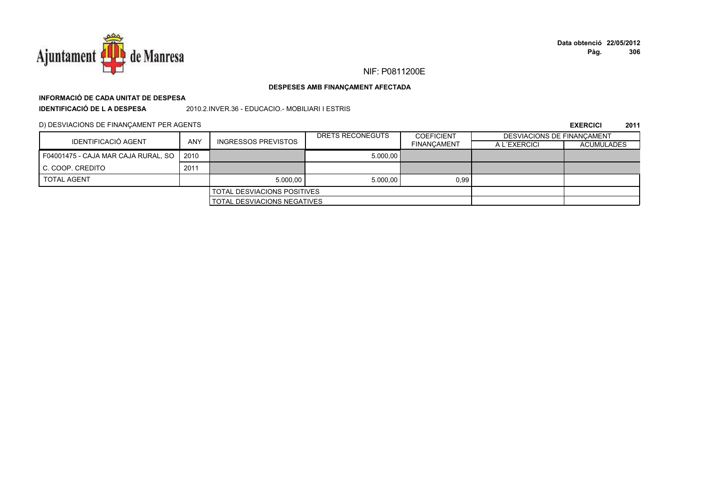

### DESPESES AMB FINANÇAMENT AFECTADA

# INFORMACIÓ DE CADA UNITAT DE DESPESA

**IDENTIFICACIÓ DE LA DESPESA** 

2010.2.INVER.36 - EDUCACIO.- MOBILIARI I ESTRIS

D) DESVIACIONS DE FINANÇAMENT PER AGENTS

|                                     | ANY  |                                    | DRETS RECONEGUTS | <b>COEFICIENT</b>  | <b>DESVIACIONS DE FINANCAMENT</b> |                   |
|-------------------------------------|------|------------------------------------|------------------|--------------------|-----------------------------------|-------------------|
| IDENTIFICACIÓ AGENT                 |      | <b>INGRESSOS PREVISTOS</b>         |                  | <b>FINANCAMENT</b> | A L'EXERCICI                      | <b>ACUMULADES</b> |
| F04001475 - CAJA MAR CAJA RURAL, SO | 2010 |                                    | 5.000.00         |                    |                                   |                   |
| C. COOP. CREDITO                    | 2011 |                                    |                  |                    |                                   |                   |
| <b>TOTAL AGENT</b>                  |      | 5.000.00                           | 5.000.00         | 0,99               |                                   |                   |
|                                     |      | <b>TOTAL DESVIACIONS POSITIVES</b> |                  |                    |                                   |                   |
|                                     |      | <b>TOTAL DESVIACIONS NEGATIVES</b> |                  |                    |                                   |                   |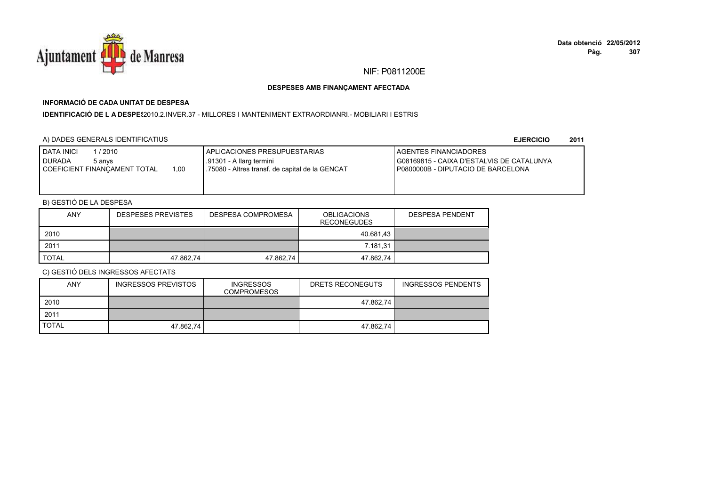

# **INFORMACIÓ DE CADA UNITAT DE DESPESA**

I**DENTIFICACIÓ DE L A DESPE**\$2010.2.INVER.37 - MILLORES I MANTENIMENT EXTRAORDIANRI.- MOBILIARI I ESTRIS

## A) DADES GENERALS IDENTIFICATIUS

**EJERCICIO<sup>2011</sup>**

| <b>DATA INICI</b><br>1 / 2010<br>I DURADA<br>5 anvs<br>1.00<br>I COEFICIENT FINANCAMENT TOTAL | <b>I APLICACIONES PRESUPUESTARIAS</b><br>.91301 - A llarg termini<br>1.75080 - Altres transf. de capital de la GENCAT | <b>LAGENTES FINANCIADORES</b><br>I G08169815 - CAIXA D'ESTALVIS DE CATALUNYA<br>I P0800000B - DIPUTACIO DE BARCELONA |
|-----------------------------------------------------------------------------------------------|-----------------------------------------------------------------------------------------------------------------------|----------------------------------------------------------------------------------------------------------------------|
|-----------------------------------------------------------------------------------------------|-----------------------------------------------------------------------------------------------------------------------|----------------------------------------------------------------------------------------------------------------------|

# B) GESTIÓ DE LA DESPESA

| ANY   | <b>DESPESES PREVISTES</b> | <b>DESPESA COMPROMESA</b> | <b>OBLIGACIONS</b><br><b>RECONEGUDES</b> | <b>DESPESA PENDENT</b> |
|-------|---------------------------|---------------------------|------------------------------------------|------------------------|
| 2010  |                           |                           | 40.681.43                                |                        |
| 2011  |                           |                           | 7.181.31                                 |                        |
| TOTAL | 47.862,74                 | 47.862,74                 | 47.862,74                                |                        |

| <b>ANY</b>   | <b>INGRESSOS PREVISTOS</b> | <b>INGRESSOS</b><br><b>COMPROMESOS</b> | DRETS RECONEGUTS | <b>INGRESSOS PENDENTS</b> |
|--------------|----------------------------|----------------------------------------|------------------|---------------------------|
| 2010         |                            |                                        | 47.862.74        |                           |
| 2011         |                            |                                        |                  |                           |
| <b>TOTAL</b> | 47.862,74                  |                                        | 47.862.74        |                           |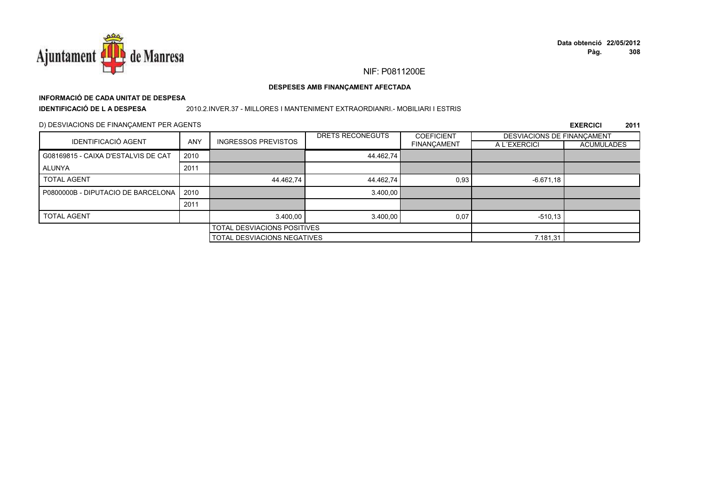

# **INFORMACIÓ DE CADA UNITAT DE DESPESA**

**IDENTIFICACIÓ DE L A DESPESA**

### 2010.2.INVER.37 - MILLORES I MANTENIMENT EXTRAORDIANRI.- MOBILIARI I ESTRIS

### D) DESVIACIONS DE FINANÇAMENT PER AGENTS

|                                     |                             |                                    | DRETS RECONEGUTS | <b>COEFICIENT</b>  | DESVIACIONS DE FINANCAMENT |                   |
|-------------------------------------|-----------------------------|------------------------------------|------------------|--------------------|----------------------------|-------------------|
| <b>IDENTIFICACIÓ AGENT</b>          | <b>ANY</b>                  | <b>INGRESSOS PREVISTOS</b>         |                  | <b>FINANÇAMENT</b> | A L'EXERCICI               | <b>ACUMULADES</b> |
| G08169815 - CAIXA D'ESTALVIS DE CAT | 2010                        |                                    | 44.462,74        |                    |                            |                   |
| ALUNYA                              | 2011                        |                                    |                  |                    |                            |                   |
| <b>TOTAL AGENT</b>                  |                             | 44.462,74                          | 44.462,74        | 0,93               | $-6.671,18$                |                   |
| P0800000B - DIPUTACIO DE BARCELONA  | 2010                        |                                    | 3.400,00         |                    |                            |                   |
|                                     | 2011                        |                                    |                  |                    |                            |                   |
| <b>TOTAL AGENT</b>                  |                             | 3.400.00                           | 3.400,00         | 0,07               | $-510.13$                  |                   |
|                                     | TOTAL DESVIACIONS POSITIVES |                                    |                  |                    |                            |                   |
|                                     |                             | <b>TOTAL DESVIACIONS NEGATIVES</b> |                  |                    | 7.181,31                   |                   |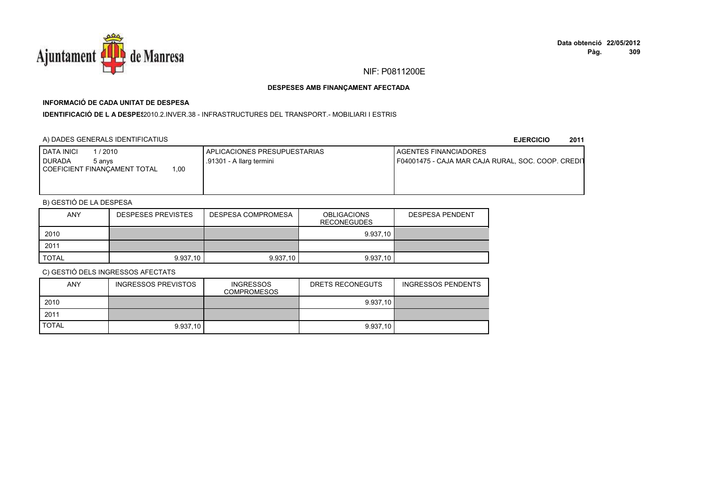

# **INFORMACIÓ DE CADA UNITAT DE DESPESA**

**IDENTIFICACIÓ DE L A DESPES**2010.2.INVER.38 - INFRASTRUCTURES DEL TRANSPORT.- MOBILIARI I ESTRIS

### A) DADES GENERALS IDENTIFICATIUS

**EJERCICIO<sup>2011</sup>**

| DATA INICI<br>/ 2010<br><b>DURADA</b><br>5 anvs | <b>APLICACIONES PRESUPUESTARIAS</b><br>.91301 - A llarg termini | AGENTES FINANCIADORES<br>F04001475 - CAJA MAR CAJA RURAL, SOC. COOP. CREDIT |
|-------------------------------------------------|-----------------------------------------------------------------|-----------------------------------------------------------------------------|
| 00,<br>COEFICIENT FINANCAMENT TOTAL             |                                                                 |                                                                             |
|                                                 |                                                                 |                                                                             |

# B) GESTIÓ DE LA DESPESA

| <b>ANY</b>   | <b>DESPESES PREVISTES</b> | DESPESA COMPROMESA | <b>OBLIGACIONS</b><br><b>RECONEGUDES</b> | <b>DESPESA PENDENT</b> |
|--------------|---------------------------|--------------------|------------------------------------------|------------------------|
| 2010         |                           |                    | 9.937.10                                 |                        |
| 2011         |                           |                    |                                          |                        |
| <b>TOTAL</b> | 9.937,10                  | 9.937,10           | 9.937,10                                 |                        |

| <b>ANY</b>   | INGRESSOS PREVISTOS | <b>INGRESSOS</b><br><b>COMPROMESOS</b> | DRETS RECONEGUTS | <b>INGRESSOS PENDENTS</b> |
|--------------|---------------------|----------------------------------------|------------------|---------------------------|
| 2010         |                     |                                        | 9.937.10         |                           |
| 2011         |                     |                                        |                  |                           |
| <b>TOTAL</b> | 9.937.10            |                                        | 9.937.10         |                           |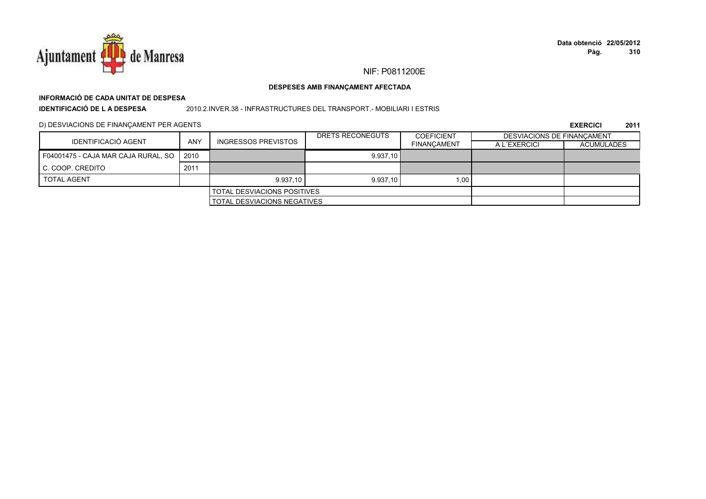

### DESPESES AMB FINANÇAMENT AFECTADA

# INFORMACIÓ DE CADA UNITAT DE DESPESA

**IDENTIFICACIÓ DE LA DESPESA** 

2010.2.INVER.38 - INFRASTRUCTURES DEL TRANSPORT. - MOBILIARI I ESTRIS

D) DESVIACIONS DE FINANÇAMENT PER AGENTS

| IDENTIFICACIÓ AGENT                 | ANY  |                             | DRETS RECONEGUTS | <b>COEFICIENT</b>  | DESVIACIONS DE FINANCAMENT |                   |
|-------------------------------------|------|-----------------------------|------------------|--------------------|----------------------------|-------------------|
|                                     |      | <b>INGRESSOS PREVISTOS</b>  |                  | <b>FINANCAMENT</b> | A L'EXERCICI               | <b>ACUMULADES</b> |
| F04001475 - CAJA MAR CAJA RURAL, SO | 2010 |                             | 9.937,10         |                    |                            |                   |
| <b>C. COOP. CREDITO</b>             | 2011 |                             |                  |                    |                            |                   |
| <b>TOTAL AGENT</b>                  |      | 9.937.10                    | 9.937.10         | 1.00               |                            |                   |
| <b>TOTAL DESVIACIONS POSITIVES</b>  |      |                             |                  |                    |                            |                   |
|                                     |      | TOTAL DESVIACIONS NEGATIVES |                  |                    |                            |                   |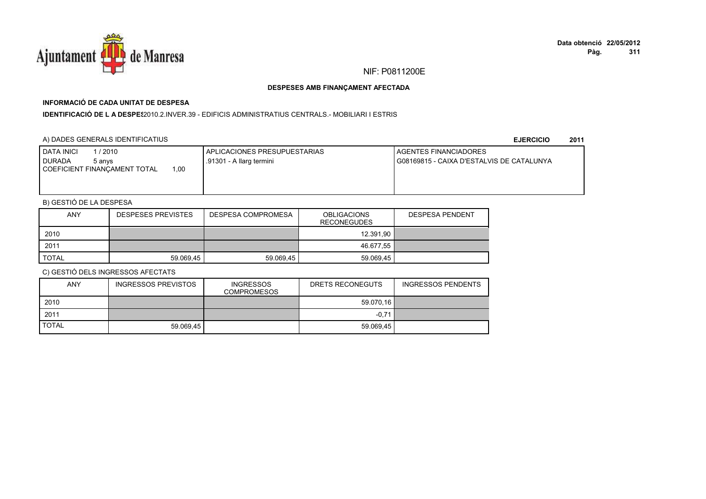

# **INFORMACIÓ DE CADA UNITAT DE DESPESA**

**IDENTIFICACIÓ DE L A DESPE**\$2010.2.INVER.39 - EDIFICIS ADMINISTRATIUS CENTRALS.- MOBILIARI I ESTRIS

### A) DADES GENERALS IDENTIFICATIUS

**EJERCICIO<sup>2011</sup>**

| <b>DATA INICI</b><br>/2010<br>I DURADA<br>5 anvs<br>.00.<br>COEFICIENT FINANCAMENT TOTAL | <b>I APLICACIONES PRESUPUESTARIAS</b><br>.91301 - A llarg termini | <b>I AGENTES FINANCIADORES</b><br>G08169815 - CAIXA D'ESTALVIS DE CATALUNYA |
|------------------------------------------------------------------------------------------|-------------------------------------------------------------------|-----------------------------------------------------------------------------|
|                                                                                          |                                                                   |                                                                             |

# B) GESTIÓ DE LA DESPESA

| <b>ANY</b>   | <b>DESPESES PREVISTES</b> | DESPESA COMPROMESA | <b>OBLIGACIONS</b><br><b>RECONEGUDES</b> | <b>DESPESA PENDENT</b> |
|--------------|---------------------------|--------------------|------------------------------------------|------------------------|
| 2010         |                           |                    | 12.391.90                                |                        |
| 2011         |                           |                    | 46.677,55                                |                        |
| <b>TOTAL</b> | 59.069,45                 | 59.069.45          | 59.069,45                                |                        |

| <b>ANY</b>   | <b>INGRESSOS PREVISTOS</b> | <b>INGRESSOS</b><br><b>COMPROMESOS</b> | DRETS RECONEGUTS | INGRESSOS PENDENTS |
|--------------|----------------------------|----------------------------------------|------------------|--------------------|
| 2010         |                            |                                        | 59.070.16        |                    |
| 2011         |                            |                                        | $-0.71$          |                    |
| <b>TOTAL</b> | 59.069.45                  |                                        | 59.069.45        |                    |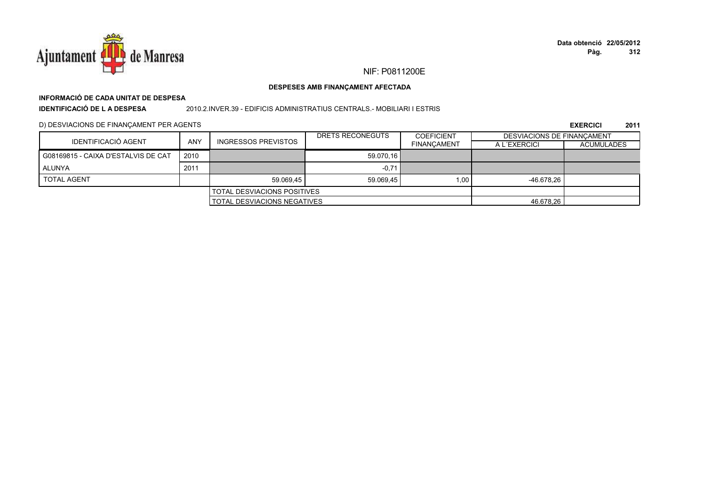

### DESPESES AMB FINANÇAMENT AFECTADA

# INFORMACIÓ DE CADA UNITAT DE DESPESA

**IDENTIFICACIÓ DE LA DESPESA** 

2010.2.INVER.39 - EDIFICIS ADMINISTRATIUS CENTRALS. - MOBILIARI I ESTRIS

D) DESVIACIONS DE FINANÇAMENT PER AGENTS

|                                     | <b>ANY</b><br><b>INGRESSOS PREVISTOS</b> |                                    | DRETS RECONEGUTS | <b>COEFICIENT</b>  | <b>DESVIACIONS DE FINANCAMENT</b> |                   |
|-------------------------------------|------------------------------------------|------------------------------------|------------------|--------------------|-----------------------------------|-------------------|
| IDENTIFICACIÓ AGENT                 |                                          |                                    |                  | <b>FINANCAMENT</b> | A L'EXERCICI                      | <b>ACUMULADES</b> |
| G08169815 - CAIXA D'ESTALVIS DE CAT | 2010                                     |                                    | 59.070.16        |                    |                                   |                   |
| ALUNYA                              | 2011                                     |                                    | $-0,71$          |                    |                                   |                   |
| <b>TOTAL AGENT</b>                  |                                          | 59.069.45                          | 59.069,45        | 1.00               | $-46.678.26$                      |                   |
|                                     |                                          | <b>TOTAL DESVIACIONS POSITIVES</b> |                  |                    |                                   |                   |
| <b>TOTAL DESVIACIONS NEGATIVES</b>  |                                          |                                    | 46.678.26        |                    |                                   |                   |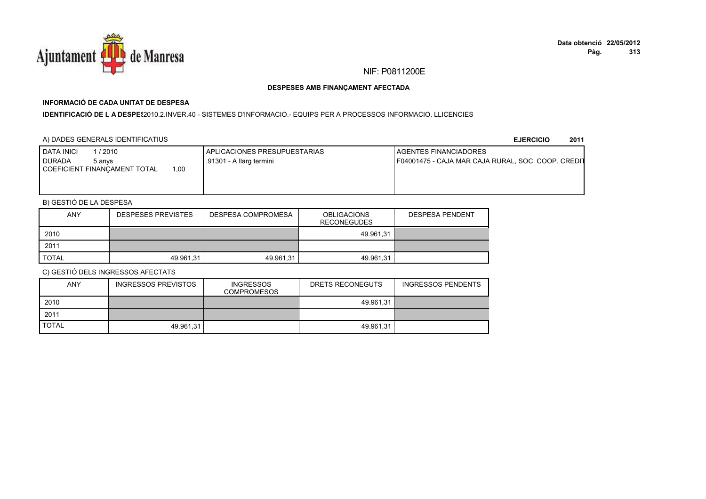

# **INFORMACIÓ DE CADA UNITAT DE DESPESA**

**IDENTIFICACIÓ DE L A DESPES**2010.2.INVER.40 - SISTEMES D'INFORMACIO.- EQUIPS PER A PROCESSOS INFORMACIO. LLICENCIES

### A) DADES GENERALS IDENTIFICATIUS

**EJERCICIO<sup>2011</sup>**

| <b>DATA INICI</b><br>/ 2010<br>I DURADA<br>5 anvs | APLICACIONES PRESUPUESTARIAS<br>.91301 - A llarg termini | <b>I AGENTES FINANCIADORES</b><br>F04001475 - CAJA MAR CAJA RURAL, SOC. COOP. CREDIT |
|---------------------------------------------------|----------------------------------------------------------|--------------------------------------------------------------------------------------|
| 1,00<br>COEFICIENT FINANCAMENT TOTAL              |                                                          |                                                                                      |
|                                                   |                                                          |                                                                                      |

# B) GESTIÓ DE LA DESPESA

| <b>ANY</b>   | <b>DESPESES PREVISTES</b> | DESPESA COMPROMESA | <b>OBLIGACIONS</b><br><b>RECONEGUDES</b> | <b>DESPESA PENDENT</b> |
|--------------|---------------------------|--------------------|------------------------------------------|------------------------|
| 2010         |                           |                    | 49.961.31                                |                        |
| 2011         |                           |                    |                                          |                        |
| <b>TOTAL</b> | 49.961.31                 | 49.961,31          | 49.961.31                                |                        |

| <b>ANY</b>   | INGRESSOS PREVISTOS | <b>INGRESSOS</b><br><b>COMPROMESOS</b> | DRETS RECONEGUTS | <b>INGRESSOS PENDENTS</b> |
|--------------|---------------------|----------------------------------------|------------------|---------------------------|
| 2010         |                     |                                        | 49.961.31        |                           |
| 2011         |                     |                                        |                  |                           |
| <b>TOTAL</b> | 49.961.31           |                                        | 49.961.31        |                           |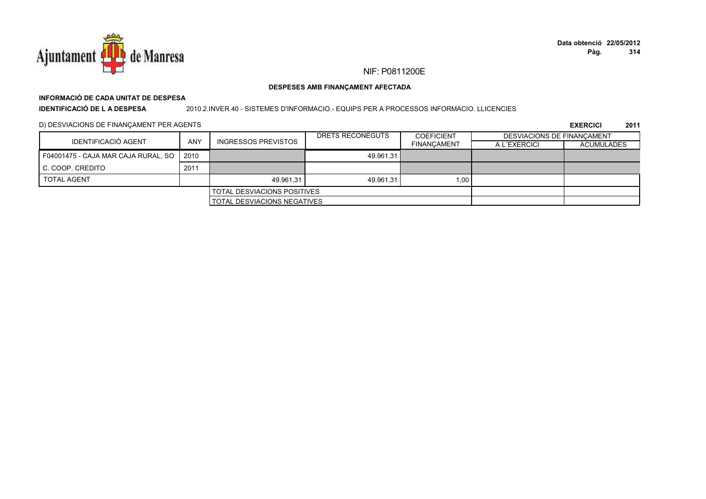

### DESPESES AMB FINANÇAMENT AFECTADA

# INFORMACIÓ DE CADA UNITAT DE DESPESA

**IDENTIFICACIÓ DE L A DESPESA** 

2010.2.INVER.40 - SISTEMES D'INFORMACIO. - EQUIPS PER A PROCESSOS INFORMACIO. LLICENCIES

D) DESVIACIONS DE FINANÇAMENT PER AGENTS

|                                     | <b>ANY</b> |                                    | DRETS RECONEGUTS | <b>COEFICIENT</b>  | DESVIACIONS DE FINANCAMENT |                   |
|-------------------------------------|------------|------------------------------------|------------------|--------------------|----------------------------|-------------------|
| IDENTIFICACIÓ AGENT                 |            | <b>INGRESSOS PREVISTOS</b>         |                  | <b>FINANCAMENT</b> | A L'EXERCICI               | <b>ACUMULADES</b> |
| F04001475 - CAJA MAR CAJA RURAL, SO | 2010       |                                    | 49.961.31        |                    |                            |                   |
| C. COOP. CREDITO                    | 2011       |                                    |                  |                    |                            |                   |
| <b>TOTAL AGENT</b>                  |            | 49.961.31                          | 49.961.31        | 1,00               |                            |                   |
|                                     |            | <b>TOTAL DESVIACIONS POSITIVES</b> |                  |                    |                            |                   |
|                                     |            | <b>TOTAL DESVIACIONS NEGATIVES</b> |                  |                    |                            |                   |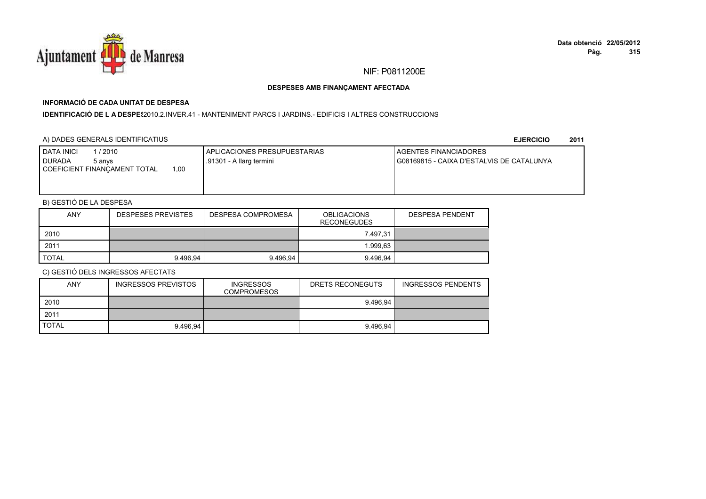

# **INFORMACIÓ DE CADA UNITAT DE DESPESA**

I**DENTIFICACIÓ DE L A DESPE**\$2010.2.INVER.41 - MANTENIMENT PARCS I JARDINS.- EDIFICIS I ALTRES CONSTRUCCIONS

### A) DADES GENERALS IDENTIFICATIUS

**EJERCICIO<sup>2011</sup>**

| <b>I DATA INICI</b><br>1 / 2010<br>I DURADA<br>5 anvs<br>00.1<br>COEFICIENT FINANCAMENT TOTAL | APLICACIONES PRESUPUESTARIAS<br>.91301 - A llarg termini | <b>I AGENTES FINANCIADORES</b><br>G08169815 - CAIXA D'ESTALVIS DE CATALUNYA |
|-----------------------------------------------------------------------------------------------|----------------------------------------------------------|-----------------------------------------------------------------------------|
|                                                                                               |                                                          |                                                                             |

# B) GESTIÓ DE LA DESPESA

| <b>ANY</b>   | <b>DESPESES PREVISTES</b> | DESPESA COMPROMESA | <b>OBLIGACIONS</b><br><b>RECONEGUDES</b> | <b>DESPESA PENDENT</b> |
|--------------|---------------------------|--------------------|------------------------------------------|------------------------|
| 2010         |                           |                    | 7.497,31                                 |                        |
| 2011         |                           |                    | .999.63                                  |                        |
| <b>TOTAL</b> | 9.496.94                  | 9.496.94           | 9.496.94                                 |                        |

| <b>ANY</b>   | <b>INGRESSOS PREVISTOS</b> | <b>INGRESSOS</b><br><b>COMPROMESOS</b> | DRETS RECONEGUTS | INGRESSOS PENDENTS |
|--------------|----------------------------|----------------------------------------|------------------|--------------------|
| 2010         |                            |                                        | 9.496.94         |                    |
| 2011         |                            |                                        |                  |                    |
| <b>TOTAL</b> | 9.496.94                   |                                        | 9.496.94         |                    |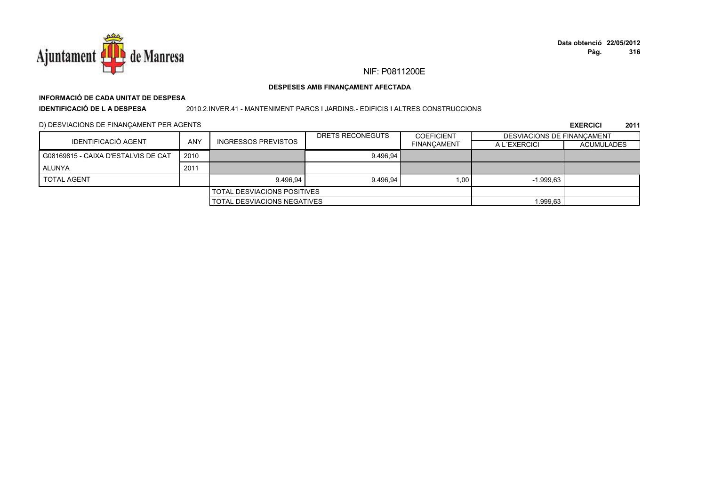

### DESPESES AMB FINANÇAMENT AFECTADA

# INFORMACIÓ DE CADA UNITAT DE DESPESA

**IDENTIFICACIÓ DE LA DESPESA** 

### 2010.2.INVER.41 - MANTENIMENT PARCS I JARDINS.- EDIFICIS I ALTRES CONSTRUCCIONS

D) DESVIACIONS DE FINANÇAMENT PER AGENTS

|                                     |      |                                      | DRETS RECONEGUTS | <b>COEFICIENT</b>  | <b>DESVIACIONS DE FINANCAMENT</b> |                   |
|-------------------------------------|------|--------------------------------------|------------------|--------------------|-----------------------------------|-------------------|
| IDENTIFICACIÓ AGENT                 | ANY  | <b>INGRESSOS PREVISTOS</b>           |                  | <b>FINANCAMENT</b> | A L'EXERCICI                      | <b>ACUMULADES</b> |
| G08169815 - CAIXA D'ESTALVIS DE CAT | 2010 |                                      | 9.496.94         |                    |                                   |                   |
| ALUNYA                              | 2011 |                                      |                  |                    |                                   |                   |
| <b>TOTAL AGENT</b>                  |      | 9.496.94                             | 9.496.94         | 1.00               | $-1.999.63$                       |                   |
| <b>TOTAL DESVIACIONS POSITIVES</b>  |      |                                      |                  |                    |                                   |                   |
|                                     |      | <b>I TOTAL DESVIACIONS NEGATIVES</b> |                  |                    | 1.999,63                          |                   |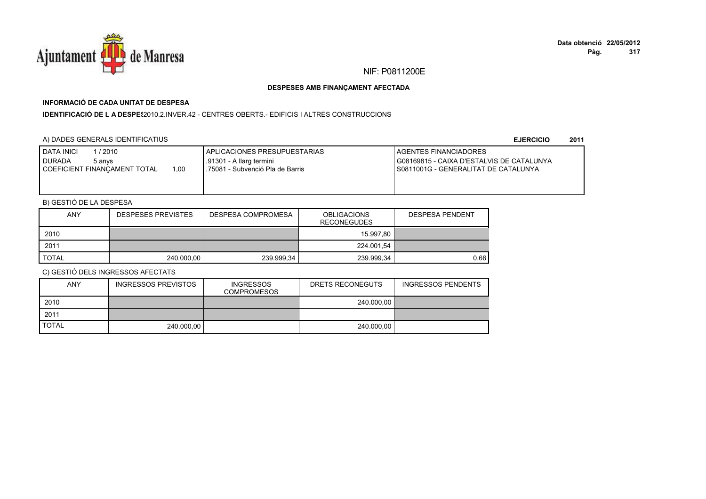

# **INFORMACIÓ DE CADA UNITAT DE DESPESA**

**IDENTIFICACIÓ DE L A DESPES**2010.2.INVER.42 - CENTRES OBERTS.- EDIFICIS I ALTRES CONSTRUCCIONS

### A) DADES GENERALS IDENTIFICATIUS

**EJERCICIO<sup>2011</sup>**

| <b>I DATA INICI</b><br>l / 2010<br><b>DURADA</b><br>5 anvs<br>1.00<br>I COEFICIENT FINANCAMENT TOTAL | I APLICACIONES PRESUPUESTARIAS<br>.91301 - A llarg termini<br>l .75081 - Subvenció Pla de Barris | <b>I AGENTES FINANCIADORES</b><br>I G08169815 - CAIXA D'ESTALVIS DE CATALUNYA<br>I S0811001G - GENERALITAT DE CATALUNYA |
|------------------------------------------------------------------------------------------------------|--------------------------------------------------------------------------------------------------|-------------------------------------------------------------------------------------------------------------------------|
|                                                                                                      |                                                                                                  |                                                                                                                         |

# B) GESTIÓ DE LA DESPESA

| <b>ANY</b>   | <b>DESPESES PREVISTES</b> | <b>DESPESA COMPROMESA</b> | <b>OBLIGACIONS</b><br><b>RECONEGUDES</b> | <b>DESPESA PENDENT</b> |
|--------------|---------------------------|---------------------------|------------------------------------------|------------------------|
| 2010         |                           |                           | 15.997.80                                |                        |
| 2011         |                           |                           | 224.001,54                               |                        |
| <b>TOTAL</b> | 240.000,00                | 239.999,34                | 239.999,34                               | 0.66                   |

| <b>ANY</b>   | <b>INGRESSOS PREVISTOS</b> | <b>INGRESSOS</b><br><b>COMPROMESOS</b> | DRETS RECONEGUTS | <b>INGRESSOS PENDENTS</b> |
|--------------|----------------------------|----------------------------------------|------------------|---------------------------|
| 2010         |                            |                                        | 240.000,00       |                           |
| 2011         |                            |                                        |                  |                           |
| <b>TOTAL</b> | 240.000.00                 |                                        | 240.000.00       |                           |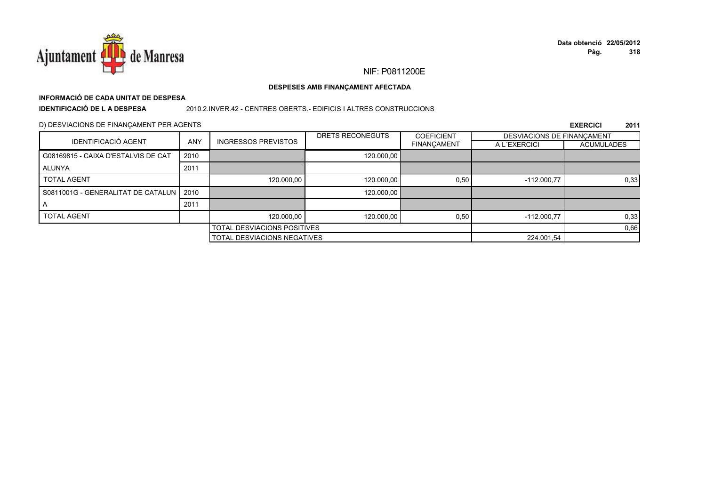

### DESPESES AMB FINANÇAMENT AFECTADA

# INFORMACIÓ DE CADA UNITAT DE DESPESA

**IDENTIFICACIÓ DE LA DESPESA** 

### 2010.2.INVER.42 - CENTRES OBERTS.- EDIFICIS I ALTRES CONSTRUCCIONS

### D) DESVIACIONS DE FINANÇAMENT PER AGENTS

|                                           |            |                                    | DRETS RECONEGUTS | <b>COEFICIENT</b>  | DESVIACIONS DE FINANCAMENT |                   |
|-------------------------------------------|------------|------------------------------------|------------------|--------------------|----------------------------|-------------------|
| <b>IDENTIFICACIÓ AGENT</b>                | <b>ANY</b> | <b>INGRESSOS PREVISTOS</b>         |                  | <b>FINANÇAMENT</b> | A L'EXERCICI               | <b>ACUMULADES</b> |
| G08169815 - CAIXA D'ESTALVIS DE CAT       | 2010       |                                    | 120.000.00       |                    |                            |                   |
| <b>ALUNYA</b>                             | 2011       |                                    |                  |                    |                            |                   |
| <b>TOTAL AGENT</b>                        |            | 120,000.00                         | 120,000.00       | 0,50               | $-112.000.77$              | 0,33              |
| S0811001G - GENERALITAT DE CATALUN   2010 |            |                                    | 120,000.00       |                    |                            |                   |
|                                           | 2011       |                                    |                  |                    |                            |                   |
| <b>TOTAL AGENT</b>                        |            | 120,000.00                         | 120.000,00       | 0,50               | $-112.000.77$              | 0,33              |
|                                           |            | <b>TOTAL DESVIACIONS POSITIVES</b> |                  |                    |                            | 0,66              |
|                                           |            | TOTAL DESVIACIONS NEGATIVES        |                  |                    | 224.001,54                 |                   |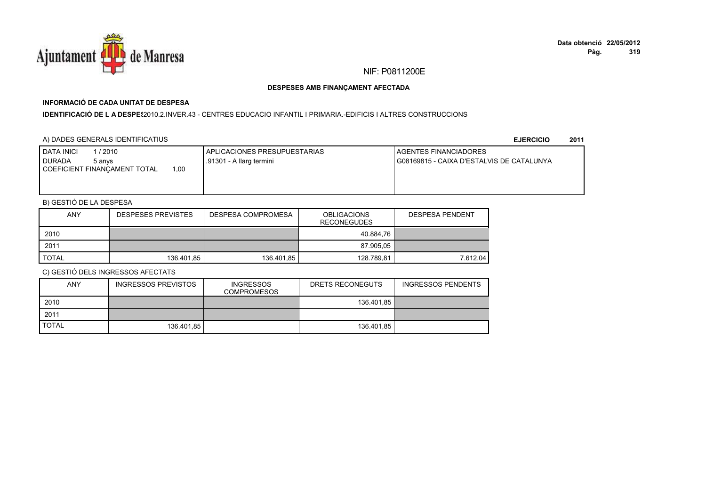

# **INFORMACIÓ DE CADA UNITAT DE DESPESA**

I**DENTIFICACIÓ DE L A DESPES**2010.2.INVER.43 - CENTRES EDUCACIO INFANTIL I PRIMARIA.-EDIFICIS I ALTRES CONSTRUCCIONS

### A) DADES GENERALS IDENTIFICATIUS

**EJERCICIO<sup>2011</sup>**

| <b>I DATA INICI</b><br>1 / 2010<br>I DURADA<br>5 anvs<br>00.1<br>COEFICIENT FINANCAMENT TOTAL | APLICACIONES PRESUPUESTARIAS<br>.91301 - A llarg termini | <b>I AGENTES FINANCIADORES</b><br>G08169815 - CAIXA D'ESTALVIS DE CATALUNYA |
|-----------------------------------------------------------------------------------------------|----------------------------------------------------------|-----------------------------------------------------------------------------|
|                                                                                               |                                                          |                                                                             |

# B) GESTIÓ DE LA DESPESA

| ANY          | <b>DESPESES PREVISTES</b> | DESPESA COMPROMESA | <b>OBLIGACIONS</b><br><b>RECONEGUDES</b> | DESPESA PENDENT |
|--------------|---------------------------|--------------------|------------------------------------------|-----------------|
| 2010         |                           |                    | 40.884.76                                |                 |
| 2011         |                           |                    | 87.905.05                                |                 |
| <b>TOTAL</b> | 136.401,85                | 136.401,85         | 128.789.81                               | 7.612.04        |

| <b>ANY</b>   | INGRESSOS PREVISTOS | <b>INGRESSOS</b><br><b>COMPROMESOS</b> | DRETS RECONEGUTS | <b>INGRESSOS PENDENTS</b> |
|--------------|---------------------|----------------------------------------|------------------|---------------------------|
| 2010         |                     |                                        | 136.401.85       |                           |
| 2011         |                     |                                        |                  |                           |
| <b>TOTAL</b> | 136.401.85          |                                        | 136.401.85       |                           |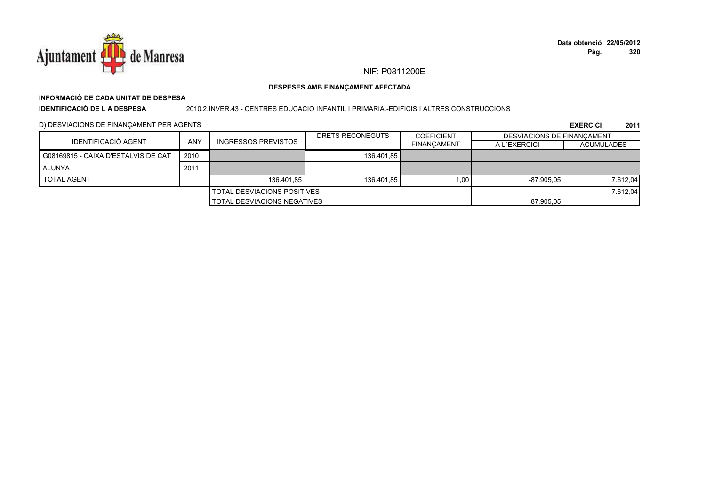

# **INFORMACIÓ DE CADA UNITAT DE DESPESA**

**IDENTIFICACIÓ DE L A DESPESA**

2010.2.INVER.43 - CENTRES EDUCACIO INFANTIL I PRIMARIA.-EDIFICIS I ALTRES CONSTRUCCIONS

D) DESVIACIONS DE FINANÇAMENT PER AGENTS

|                                      |            |                            | DRETS RECONEGUTS | <b>COEFICIENT</b>  | <b>DESVIACIONS DE FINANCAMENT</b> |                   |
|--------------------------------------|------------|----------------------------|------------------|--------------------|-----------------------------------|-------------------|
| IDENTIFICACIÓ AGENT                  | <b>ANY</b> | <b>INGRESSOS PREVISTOS</b> |                  | <b>FINANCAMENT</b> | A L'EXERCICI                      | <b>ACUMULADES</b> |
| G08169815 - CAIXA D'ESTALVIS DE CAT  | 2010       |                            | 136.401,85       |                    |                                   |                   |
| ALUNYA                               | 2011       |                            |                  |                    |                                   |                   |
| <b>TOTAL AGENT</b>                   |            | 136.401.85                 | 136.401.85       | 1.00               | $-87.905.05$                      | 7.612,04          |
| <b>TOTAL DESVIACIONS POSITIVES</b>   |            |                            |                  |                    |                                   | 7.612,04          |
| <b>I TOTAL DESVIACIONS NEGATIVES</b> |            |                            | 87.905,05        |                    |                                   |                   |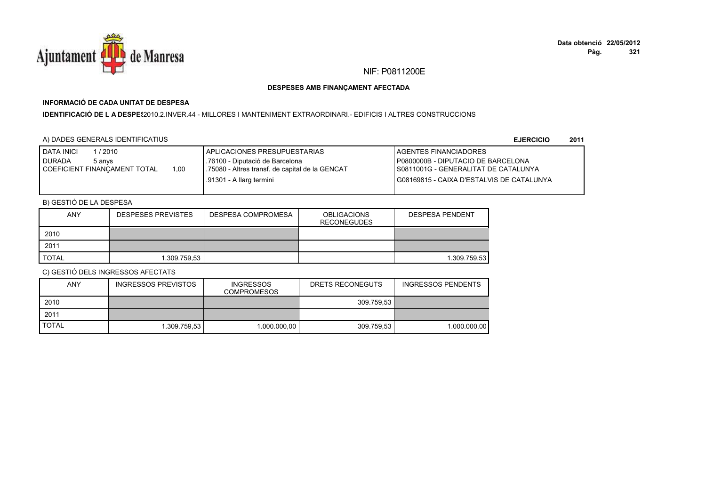

## **INFORMACIÓ DE CADA UNITAT DE DESPESA**

**IDENTIFICACIÓ DE L A DESPES**2010.2.INVER.44 - MILLORES I MANTENIMENT EXTRAORDINARI.- EDIFICIS I ALTRES CONSTRUCCIONS

### A) DADES GENERALS IDENTIFICATIUS

**EJERCICIO<sup>2011</sup>**

| <b>DATA INICI</b><br>/ 2010            | I APLICACIONES PRESUPUESTARIAS                  | <b>I AGENTES FINANCIADORES</b>            |
|----------------------------------------|-------------------------------------------------|-------------------------------------------|
| DURADA<br>5 anvs                       | .76100 - Diputació de Barcelona                 | P0800000B - DIPUTACIO DE BARCELONA        |
| 1.00<br>I COEFICIENT FINANCAMENT TOTAL | .75080 - Altres transf. de capital de la GENCAT | I S0811001G - GENERALITAT DE CATALUNYA    |
|                                        | .91301 - A llarg termini                        | G08169815 - CAIXA D'ESTALVIS DE CATALUNYA |
|                                        |                                                 |                                           |

# B) GESTIÓ DE LA DESPESA

| <b>ANY</b>   | <b>DESPESES PREVISTES</b> | <b>DESPESA COMPROMESA</b> | <b>OBLIGACIONS</b><br><b>RECONEGUDES</b> | <b>DESPESA PENDENT</b> |
|--------------|---------------------------|---------------------------|------------------------------------------|------------------------|
| 2010         |                           |                           |                                          |                        |
| 2011         |                           |                           |                                          |                        |
| <b>TOTAL</b> | 1.309.759,53              |                           |                                          | 1.309.759,53           |

| <b>ANY</b>   | INGRESSOS PREVISTOS | <b>INGRESSOS</b><br><b>COMPROMESOS</b> | DRETS RECONEGUTS | INGRESSOS PENDENTS |
|--------------|---------------------|----------------------------------------|------------------|--------------------|
| 2010         |                     |                                        | 309.759.53       |                    |
| 2011         |                     |                                        |                  |                    |
| <b>TOTAL</b> | 1.309.759.53        | 1.000.000.00                           | 309.759.53       | 1.000.000.00       |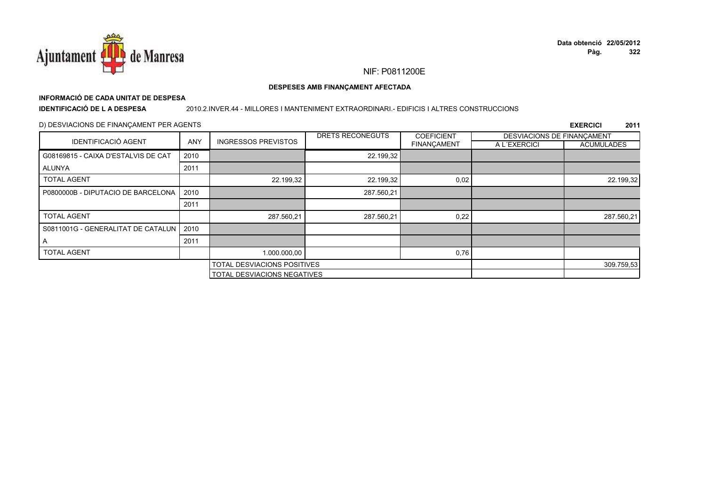

### DESPESES AMB FINANÇAMENT AFECTADA

# INFORMACIÓ DE CADA UNITAT DE DESPESA

**IDENTIFICACIÓ DE LA DESPESA** 

### 2010.2.INVER.44 - MILLORES I MANTENIMENT EXTRAORDINARI.- EDIFICIS I ALTRES CONSTRUCCIONS

### D) DESVIACIONS DE FINANÇAMENT PER AGENTS

|                                     |                                    |                                    | DRETS RECONEGUTS | <b>COEFICIENT</b>  | DESVIACIONS DE FINANCAMENT |                   |
|-------------------------------------|------------------------------------|------------------------------------|------------------|--------------------|----------------------------|-------------------|
| <b>IDENTIFICACIÓ AGENT</b>          | <b>ANY</b>                         | <b>INGRESSOS PREVISTOS</b>         |                  | <b>FINANÇAMENT</b> | A L'EXERCICI               | <b>ACUMULADES</b> |
| G08169815 - CAIXA D'ESTALVIS DE CAT | 2010                               |                                    | 22.199,32        |                    |                            |                   |
| ALUNYA                              | 2011                               |                                    |                  |                    |                            |                   |
| <b>TOTAL AGENT</b>                  |                                    | 22.199,32                          | 22.199,32        | 0,02               |                            | 22.199,32         |
| P0800000B - DIPUTACIO DE BARCELONA  | 2010                               |                                    | 287.560,21       |                    |                            |                   |
|                                     | 2011                               |                                    |                  |                    |                            |                   |
| <b>TOTAL AGENT</b>                  |                                    | 287.560,21                         | 287.560,21       | 0,22               |                            | 287.560,21        |
| S0811001G - GENERALITAT DE CATALUN  | 2010                               |                                    |                  |                    |                            |                   |
| $\overline{\mathsf{A}}$             | 2011                               |                                    |                  |                    |                            |                   |
| <b>TOTAL AGENT</b>                  |                                    | 1.000.000,00                       |                  | 0,76               |                            |                   |
|                                     | <b>TOTAL DESVIACIONS POSITIVES</b> |                                    |                  |                    | 309.759,53                 |                   |
|                                     |                                    | <b>TOTAL DESVIACIONS NEGATIVES</b> |                  |                    |                            |                   |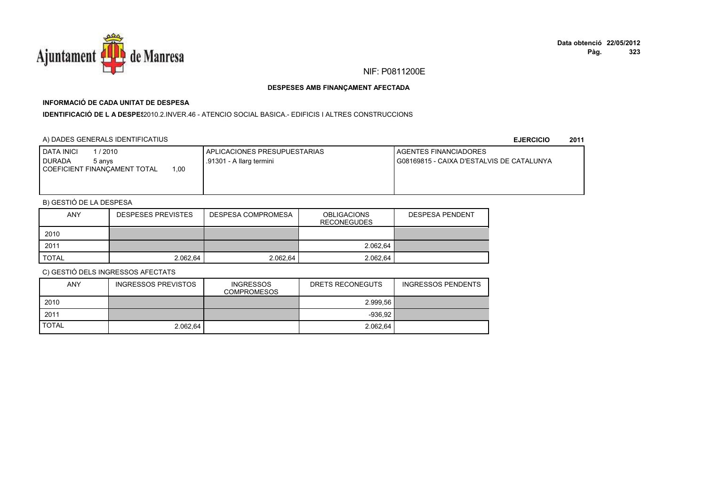

# **INFORMACIÓ DE CADA UNITAT DE DESPESA**

I**DENTIFICACIÓ DE L A DESPE**\$2010.2.INVER.46 - ATENCIO SOCIAL BASICA.- EDIFICIS I ALTRES CONSTRUCCIONS

### A) DADES GENERALS IDENTIFICATIUS

**EJERCICIO<sup>2011</sup>**

| <b>I DATA INICI</b><br>/ 2010<br><b>I DURADA</b><br>5 anvs<br>.00<br>COEFICIENT FINANCAMENT TOTAL | APLICACIONES PRESUPUESTARIAS<br>.91301 - A llarg termini | <b>I AGENTES FINANCIADORES</b><br>I G08169815 - CAIXA D'ESTALVIS DE CATALUNYA |
|---------------------------------------------------------------------------------------------------|----------------------------------------------------------|-------------------------------------------------------------------------------|
|                                                                                                   |                                                          |                                                                               |

# B) GESTIÓ DE LA DESPESA

| <b>ANY</b> | <b>DESPESES PREVISTES</b> | <b>DESPESA COMPROMESA</b> | <b>OBLIGACIONS</b><br><b>RECONEGUDES</b> | <b>DESPESA PENDENT</b> |
|------------|---------------------------|---------------------------|------------------------------------------|------------------------|
| 2010       |                           |                           |                                          |                        |
| 2011       |                           |                           | 2.062,64                                 |                        |
| TOTAL      | 2.062.64                  | 2.062.64                  | 2.062,64                                 |                        |

| ANY          | <b>INGRESSOS PREVISTOS</b> | <b>INGRESSOS</b><br><b>COMPROMESOS</b> | DRETS RECONEGUTS | INGRESSOS PENDENTS |
|--------------|----------------------------|----------------------------------------|------------------|--------------------|
| 2010         |                            |                                        | 2.999.56         |                    |
| 2011         |                            |                                        | $-936.92$        |                    |
| <b>TOTAL</b> | 2.062.64                   |                                        | 2.062.64         |                    |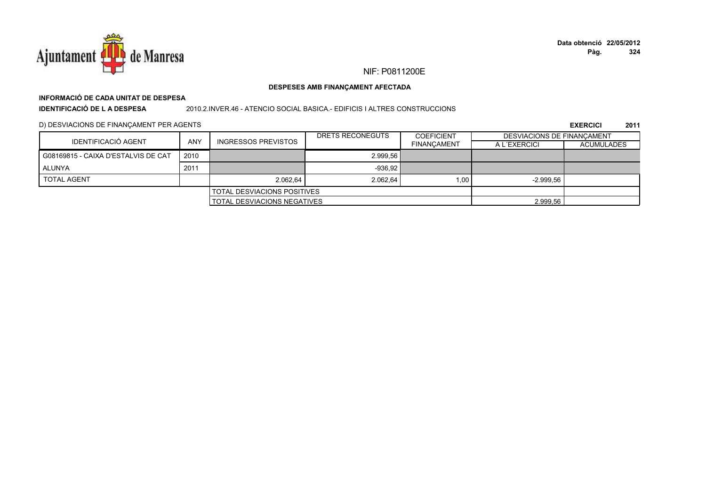

# **INFORMACIÓ DE CADA UNITAT DE DESPESA**

**IDENTIFICACIÓ DE L A DESPESA**

### 2010.2.INVER.46 - ATENCIO SOCIAL BASICA.- EDIFICIS I ALTRES CONSTRUCCIONS

D) DESVIACIONS DE FINANÇAMENT PER AGENTS

|                                     |      |                                    | DRETS RECONEGUTS | <b>COEFICIENT</b>  | <b>DESVIACIONS DE FINANCAMENT</b> |                   |
|-------------------------------------|------|------------------------------------|------------------|--------------------|-----------------------------------|-------------------|
| IDENTIFICACIÓ AGENT                 | ANY  | <b>INGRESSOS PREVISTOS</b>         |                  | <b>FINANCAMENT</b> | A L'EXERCICI                      | <b>ACUMULADES</b> |
| G08169815 - CAIXA D'ESTALVIS DE CAT | 2010 |                                    | 2.999.56         |                    |                                   |                   |
| ALUNYA                              | 2011 |                                    | $-936,92$        |                    |                                   |                   |
| <b>TOTAL AGENT</b>                  |      | 2.062.64                           | 2.062.64         | 1.00               | $-2.999.56$                       |                   |
| <b>TOTAL DESVIACIONS POSITIVES</b>  |      |                                    |                  |                    |                                   |                   |
|                                     |      | <b>TOTAL DESVIACIONS NEGATIVES</b> |                  |                    | 2.999,56                          |                   |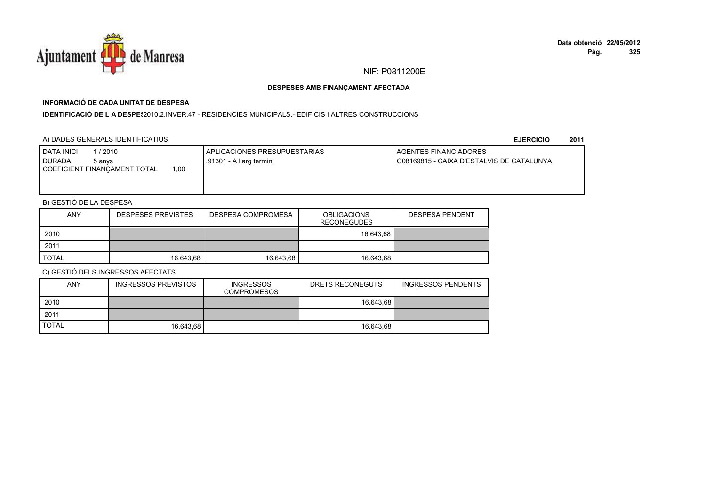

# **INFORMACIÓ DE CADA UNITAT DE DESPESA**

**IDENTIFICACIÓ DE L A DESPE**\$2010.2.INVER.47 - RESIDENCIES MUNICIPALS.- EDIFICIS I ALTRES CONSTRUCCIONS

### A) DADES GENERALS IDENTIFICATIUS

**EJERCICIO<sup>2011</sup>**

| 1 / 2010<br>DATA INICI<br><b>DURADA</b><br>5 anvs<br>00.1<br>COEFICIENT FINANCAMENT TOTAL | <b>LAPLICACIONES PRESUPUESTARIAS</b><br>.91301 - A llarg termini | <b>I AGENTES FINANCIADORES</b><br>G08169815 - CAIXA D'ESTALVIS DE CATALUNYA |
|-------------------------------------------------------------------------------------------|------------------------------------------------------------------|-----------------------------------------------------------------------------|
|                                                                                           |                                                                  |                                                                             |

# B) GESTIÓ DE LA DESPESA

| <b>ANY</b> | <b>DESPESES PREVISTES</b> | DESPESA COMPROMESA | <b>OBLIGACIONS</b><br><b>RECONEGUDES</b> | <b>DESPESA PENDENT</b> |
|------------|---------------------------|--------------------|------------------------------------------|------------------------|
| 2010       |                           |                    | 16.643.68                                |                        |
| 2011       |                           |                    |                                          |                        |
| TOTAL      | 16.643.68                 | 16.643.68          | 16.643.68                                |                        |

| <b>ANY</b>   | <b>INGRESSOS PREVISTOS</b> | <b>INGRESSOS</b><br><b>COMPROMESOS</b> | DRETS RECONEGUTS | INGRESSOS PENDENTS |
|--------------|----------------------------|----------------------------------------|------------------|--------------------|
| 2010         |                            |                                        | 16.643.68        |                    |
| 2011         |                            |                                        |                  |                    |
| <b>TOTAL</b> | 16.643.68                  |                                        | 16.643.68        |                    |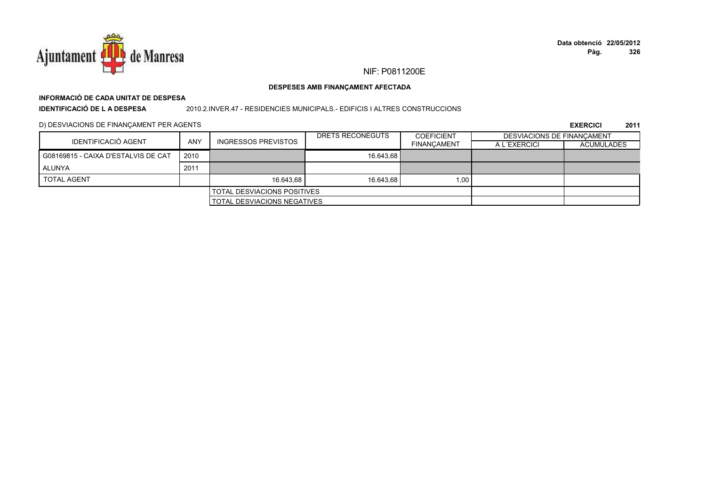

### DESPESES AMB FINANÇAMENT AFECTADA

# INFORMACIÓ DE CADA UNITAT DE DESPESA

**IDENTIFICACIÓ DE LA DESPESA** 

2010.2.INVER.47 - RESIDENCIES MUNICIPALS.- EDIFICIS I ALTRES CONSTRUCCIONS

D) DESVIACIONS DE FINANÇAMENT PER AGENTS

|                                     |                                    |                             | DRETS RECONEGUTS | <b>COEFICIENT</b>  | DESVIACIONS DE FINANCAMENT |                   |
|-------------------------------------|------------------------------------|-----------------------------|------------------|--------------------|----------------------------|-------------------|
| IDENTIFICACIÓ AGENT                 | <b>ANY</b>                         | INGRESSOS PREVISTOS         |                  | <b>FINANCAMENT</b> | A L'EXERCICI               | <b>ACUMULADES</b> |
| G08169815 - CAIXA D'ESTALVIS DE CAT | 2010                               |                             | 16.643.68        |                    |                            |                   |
| ALUNYA                              | 2011                               |                             |                  |                    |                            |                   |
| <b>TOTAL AGENT</b>                  |                                    | 16.643.68                   | 16.643.68        | 1.00               |                            |                   |
|                                     | <b>TOTAL DESVIACIONS POSITIVES</b> |                             |                  |                    |                            |                   |
|                                     |                                    | TOTAL DESVIACIONS NEGATIVES |                  |                    |                            |                   |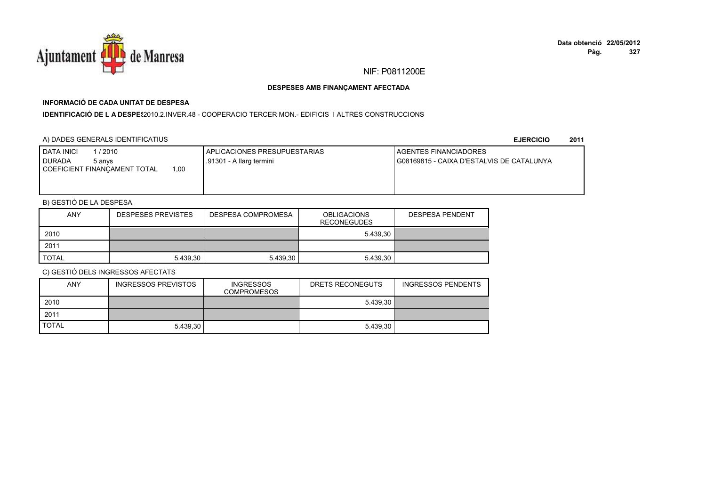

## **INFORMACIÓ DE CADA UNITAT DE DESPESA**

**IDENTIFICACIÓ DE L A DESPES**2010.2.INVER.48 - COOPERACIO TERCER MON.- EDIFICIS I ALTRES CONSTRUCCIONS

### A) DADES GENERALS IDENTIFICATIUS

**EJERCICIO<sup>2011</sup>**

| 1/2010<br>DATA INICI<br><b>DURADA</b><br>5 anvs | <b>I APLICACIONES PRESUPUESTARIAS</b><br>.91301 - A llarg termini | <b>I AGENTES FINANCIADORES</b><br>I G08169815 - CAIXA D'ESTALVIS DE CATALUNYA |
|-------------------------------------------------|-------------------------------------------------------------------|-------------------------------------------------------------------------------|
| 00.1<br>COEFICIENT FINANCAMENT TOTAL            |                                                                   |                                                                               |
|                                                 |                                                                   |                                                                               |

# B) GESTIÓ DE LA DESPESA

| <b>ANY</b>   | <b>DESPESES PREVISTES</b> | DESPESA COMPROMESA | <b>OBLIGACIONS</b><br><b>RECONEGUDES</b> | <b>DESPESA PENDENT</b> |
|--------------|---------------------------|--------------------|------------------------------------------|------------------------|
| 2010         |                           |                    | 5.439.30                                 |                        |
| 2011         |                           |                    |                                          |                        |
| <b>TOTAL</b> | 5.439.30                  | 5.439.30           | 5.439.30                                 |                        |

| <b>ANY</b>   | <b>INGRESSOS PREVISTOS</b> | <b>INGRESSOS</b><br><b>COMPROMESOS</b> | DRETS RECONEGUTS | <b>INGRESSOS PENDENTS</b> |
|--------------|----------------------------|----------------------------------------|------------------|---------------------------|
| 2010         |                            |                                        | 5.439.30         |                           |
| 2011         |                            |                                        |                  |                           |
| <b>TOTAL</b> | 5.439.30                   |                                        | 5.439.30         |                           |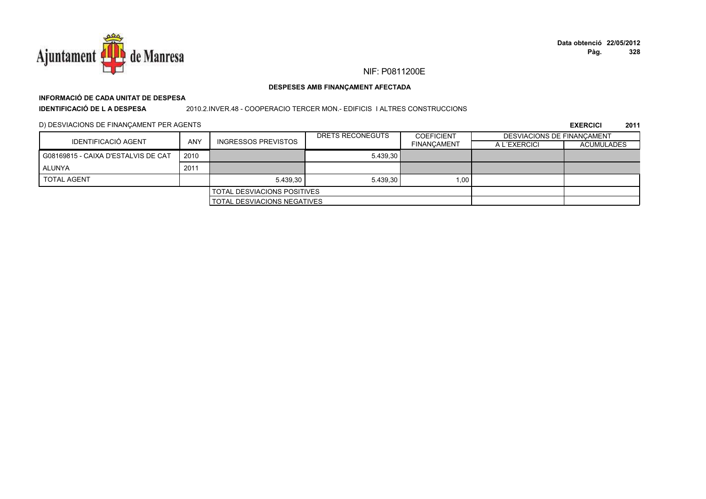

### DESPESES AMB FINANÇAMENT AFECTADA

# INFORMACIÓ DE CADA UNITAT DE DESPESA

**IDENTIFICACIÓ DE LA DESPESA** 

2010.2.INVER.48 - COOPERACIO TERCER MON.- EDIFICIS I ALTRES CONSTRUCCIONS

D) DESVIACIONS DE FINANÇAMENT PER AGENTS

|                                     |            |                                    | DRETS RECONEGUTS | <b>COEFICIENT</b>  | DESVIACIONS DE FINANCAMENT |                   |
|-------------------------------------|------------|------------------------------------|------------------|--------------------|----------------------------|-------------------|
| IDENTIFICACIÓ AGENT                 | <b>ANY</b> | <b>INGRESSOS PREVISTOS</b>         |                  | <b>FINANCAMENT</b> | A L'EXERCICI               | <b>ACUMULADES</b> |
| G08169815 - CAIXA D'ESTALVIS DE CAT | 2010       |                                    | 5.439.30         |                    |                            |                   |
| ALUNYA                              | 2011       |                                    |                  |                    |                            |                   |
| <b>TOTAL AGENT</b>                  |            | 5.439.30                           | 5.439.30         | 1.00               |                            |                   |
|                                     |            | <b>TOTAL DESVIACIONS POSITIVES</b> |                  |                    |                            |                   |
|                                     |            | <b>TOTAL DESVIACIONS NEGATIVES</b> |                  |                    |                            |                   |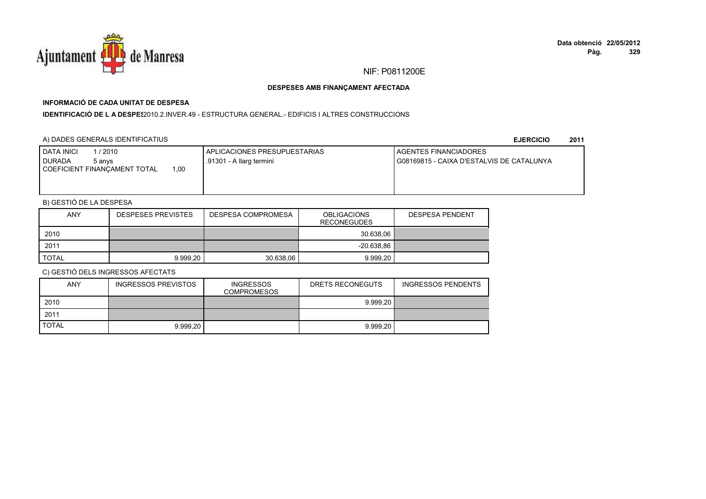

# **INFORMACIÓ DE CADA UNITAT DE DESPESA**

**IDENTIFICACIÓ DE L A DESPES**2010.2.INVER.49 - ESTRUCTURA GENERAL.- EDIFICIS I ALTRES CONSTRUCCIONS

### A) DADES GENERALS IDENTIFICATIUS

**EJERCICIO<sup>2011</sup>**

| I DATA INICI<br>1/2010<br><b>DURADA</b><br>5 anvs<br>00, ا<br>COEFICIENT FINANCAMENT TOTAL | APLICACIONES PRESUPUESTARIAS<br>.91301 - A llarg termini | <b>I AGENTES FINANCIADORES</b><br>G08169815 - CAIXA D'ESTALVIS DE CATALUNYA |
|--------------------------------------------------------------------------------------------|----------------------------------------------------------|-----------------------------------------------------------------------------|
|                                                                                            |                                                          |                                                                             |

# B) GESTIÓ DE LA DESPESA

| <b>ANY</b> | <b>DESPESES PREVISTES</b> | DESPESA COMPROMESA | <b>OBLIGACIONS</b><br><b>RECONEGUDES</b> | <b>DESPESA PENDENT</b> |
|------------|---------------------------|--------------------|------------------------------------------|------------------------|
| 2010       |                           |                    | 30.638.06                                |                        |
| 2011       |                           |                    | $-20.638.86$                             |                        |
| TOTAL      | 9.999.20                  | 30.638.06          | 9.999.20                                 |                        |

| ANY          | <b>INGRESSOS PREVISTOS</b> | <b>INGRESSOS</b><br><b>COMPROMESOS</b> | DRETS RECONEGUTS | INGRESSOS PENDENTS |
|--------------|----------------------------|----------------------------------------|------------------|--------------------|
| 2010         |                            |                                        | 9.999.20         |                    |
| 2011         |                            |                                        |                  |                    |
| <b>TOTAL</b> | 9.999.20                   |                                        | 9.999.20         |                    |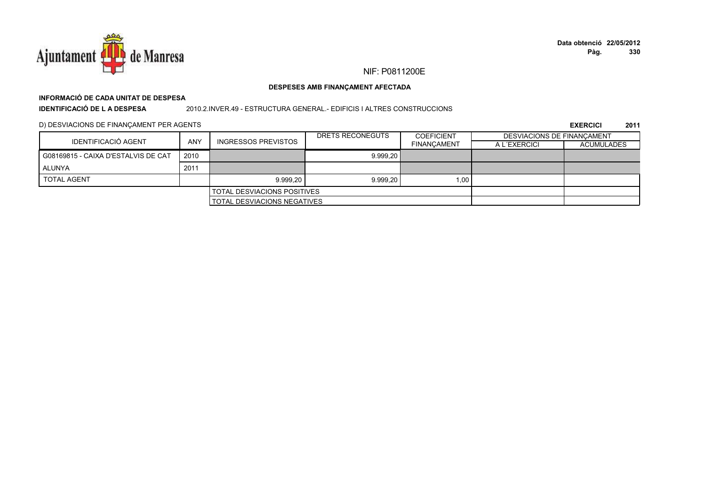

### DESPESES AMB FINANÇAMENT AFECTADA

# INFORMACIÓ DE CADA UNITAT DE DESPESA

**IDENTIFICACIÓ DE LA DESPESA** 

### 2010.2.INVER.49 - ESTRUCTURA GENERAL.- EDIFICIS I ALTRES CONSTRUCCIONS

D) DESVIACIONS DE FINANÇAMENT PER AGENTS

|                                     |            |                                    | DRETS RECONEGUTS | <b>COEFICIENT</b>  | <b>DESVIACIONS DE FINANCAMENT</b> |                   |
|-------------------------------------|------------|------------------------------------|------------------|--------------------|-----------------------------------|-------------------|
| IDENTIFICACIÓ AGENT                 | <b>ANY</b> | <b>INGRESSOS PREVISTOS</b>         |                  | <b>FINANCAMENT</b> | A L'EXERCICI                      | <b>ACUMULADES</b> |
| G08169815 - CAIXA D'ESTALVIS DE CAT | 2010       |                                    | 9.999.20         |                    |                                   |                   |
| ALUNYA                              | 2011       |                                    |                  |                    |                                   |                   |
| <b>TOTAL AGENT</b>                  |            | 9.999.20                           | 9.999,20         | 1,00               |                                   |                   |
|                                     |            | <b>TOTAL DESVIACIONS POSITIVES</b> |                  |                    |                                   |                   |
|                                     |            | <b>TOTAL DESVIACIONS NEGATIVES</b> |                  |                    |                                   |                   |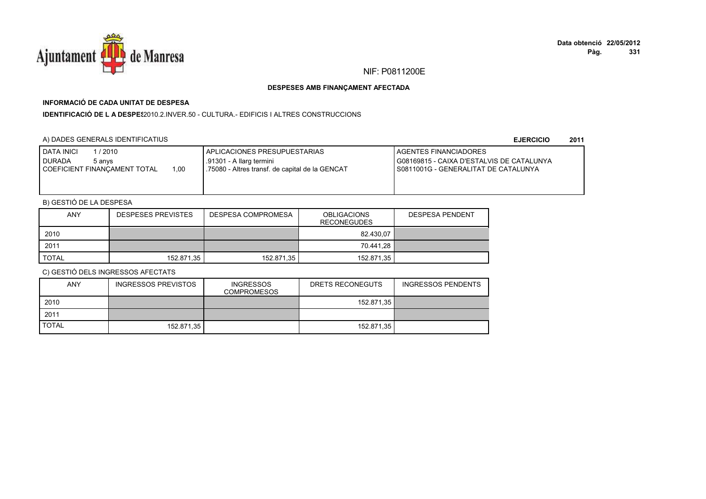

## **INFORMACIÓ DE CADA UNITAT DE DESPESA**

**IDENTIFICACIÓ DE L A DESPES**2010.2.INVER.50 - CULTURA.- EDIFICIS I ALTRES CONSTRUCCIONS

## A) DADES GENERALS IDENTIFICATIUS

**EJERCICIO<sup>2011</sup>**

## B) GESTIÓ DE LA DESPESA

| <b>ANY</b> | <b>DESPESES PREVISTES</b> | DESPESA COMPROMESA | <b>OBLIGACIONS</b><br><b>RECONEGUDES</b> | <b>DESPESA PENDENT</b> |
|------------|---------------------------|--------------------|------------------------------------------|------------------------|
| 2010       |                           |                    | 82.430.07                                |                        |
| 2011       |                           |                    | 70.441.28                                |                        |
| TOTAL      | 152.871,35                | 152.871.35         | 152.871,35                               |                        |

| <b>ANY</b>   | <b>INGRESSOS PREVISTOS</b> | <b>INGRESSOS</b><br>COMPROMESOS | DRETS RECONEGUTS | <b>INGRESSOS PENDENTS</b> |
|--------------|----------------------------|---------------------------------|------------------|---------------------------|
| 2010         |                            |                                 | 152.871,35       |                           |
| 2011         |                            |                                 |                  |                           |
| <b>TOTAL</b> | 152.871.35                 |                                 | 152.871,35       |                           |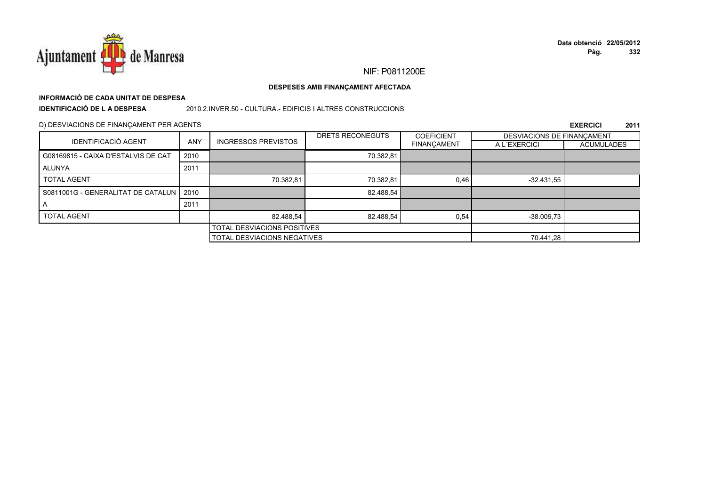

## **INFORMACIÓ DE CADA UNITAT DE DESPESA**

**IDENTIFICACIÓ DE L A DESPESA**

2010.2.INVER.50 - CULTURA.- EDIFICIS I ALTRES CONSTRUCCIONS

#### D) DESVIACIONS DE FINANÇAMENT PER AGENTS

|                                           |            |                                    | DRETS RECONEGUTS | <b>COEFICIENT</b> | DESVIACIONS DE FINANCAMENT |                   |
|-------------------------------------------|------------|------------------------------------|------------------|-------------------|----------------------------|-------------------|
| <b>IDENTIFICACIÓ AGENT</b>                | <b>ANY</b> | <b>INGRESSOS PREVISTOS</b>         |                  | FINANÇAMENT       | A L'EXERCICI               | <b>ACUMULADES</b> |
| G08169815 - CAIXA D'ESTALVIS DE CAT       | 2010       |                                    | 70.382,81        |                   |                            |                   |
| ALUNYA                                    | 2011       |                                    |                  |                   |                            |                   |
| <b>TOTAL AGENT</b>                        |            | 70.382,81                          | 70.382.81        | 0.46              | $-32.431.55$               |                   |
| S0811001G - GENERALITAT DE CATALUN   2010 |            |                                    | 82.488,54        |                   |                            |                   |
| A                                         | 2011       |                                    |                  |                   |                            |                   |
| <b>TOTAL AGENT</b>                        |            | 82.488.54                          | 82.488.54        | 0.54              | $-38.009.73$               |                   |
|                                           |            | <b>TOTAL DESVIACIONS POSITIVES</b> |                  |                   |                            |                   |
|                                           |            | <b>TOTAL DESVIACIONS NEGATIVES</b> |                  |                   | 70.441,28                  |                   |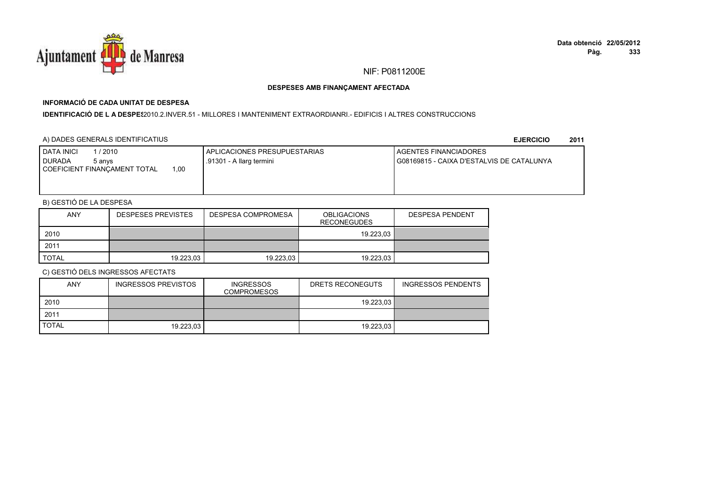

## **INFORMACIÓ DE CADA UNITAT DE DESPESA**

**IDENTIFICACIÓ DE L A DESPES**2010.2.INVER.51 - MILLORES I MANTENIMENT EXTRAORDIANRI.- EDIFICIS I ALTRES CONSTRUCCIONS

## A) DADES GENERALS IDENTIFICATIUS

**EJERCICIO<sup>2011</sup>**

| <b>I DATA INICI</b><br>1 / 2010<br><b>I DURADA</b><br>5 anvs<br>00, ا<br>COEFICIENT FINANCAMENT TOTAL | <b>APLICACIONES PRESUPUESTARIAS</b><br>.91301 - A llarg termini | AGENTES FINANCIADORES<br>G08169815 - CAIXA D'ESTALVIS DE CATALUNYA |
|-------------------------------------------------------------------------------------------------------|-----------------------------------------------------------------|--------------------------------------------------------------------|
|                                                                                                       |                                                                 |                                                                    |

## B) GESTIÓ DE LA DESPESA

| <b>ANY</b>   | <b>DESPESES PREVISTES</b> | DESPESA COMPROMESA | <b>OBLIGACIONS</b><br><b>RECONEGUDES</b> | <b>DESPESA PENDENT</b> |
|--------------|---------------------------|--------------------|------------------------------------------|------------------------|
| 2010         |                           |                    | 19.223.03                                |                        |
| 2011         |                           |                    |                                          |                        |
| <b>TOTAL</b> | 19.223,03                 | 19.223,03          | 19.223.03                                |                        |

| <b>ANY</b>   | INGRESSOS PREVISTOS | <b>INGRESSOS</b><br><b>COMPROMESOS</b> | DRETS RECONEGUTS | <b>INGRESSOS PENDENTS</b> |
|--------------|---------------------|----------------------------------------|------------------|---------------------------|
| 2010         |                     |                                        | 19.223.03        |                           |
| 2011         |                     |                                        |                  |                           |
| <b>TOTAL</b> | 19.223.03           |                                        | 19.223.03        |                           |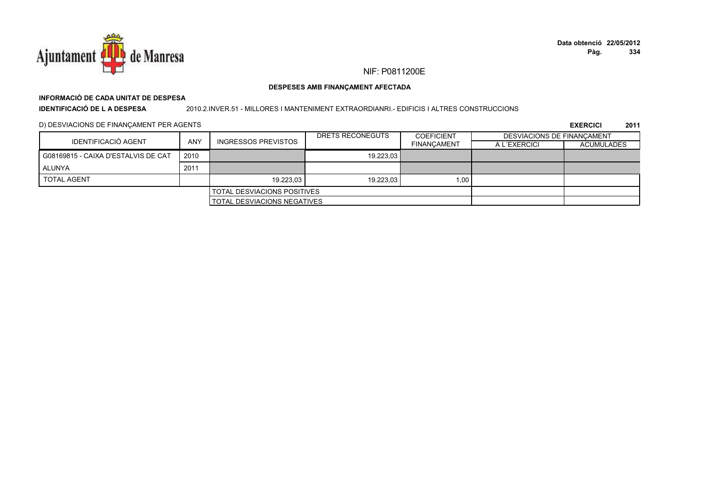

## **INFORMACIÓ DE CADA UNITAT DE DESPESA**

**IDENTIFICACIÓ DE L A DESPESA**

2010.2.INVER.51 - MILLORES I MANTENIMENT EXTRAORDIANRI.- EDIFICIS I ALTRES CONSTRUCCIONS

D) DESVIACIONS DE FINANÇAMENT PER AGENTS

| IDENTIFICACIÓ AGENT                 | <b>ANY</b> |                                    | DRETS RECONEGUTS | <b>COEFICIENT</b>  | DESVIACIONS DE FINANCAMENT |                   |
|-------------------------------------|------------|------------------------------------|------------------|--------------------|----------------------------|-------------------|
|                                     |            | <b>INGRESSOS PREVISTOS</b>         |                  | <b>FINANCAMENT</b> | A L'EXERCICI               | <b>ACUMULADES</b> |
| G08169815 - CAIXA D'ESTALVIS DE CAT | 2010       |                                    | 19.223.03        |                    |                            |                   |
| <b>ALUNYA</b>                       | 2011       |                                    |                  |                    |                            |                   |
| <b>TOTAL AGENT</b>                  |            | 19.223.03                          | 19.223.03        | 1,00               |                            |                   |
|                                     |            | <b>TOTAL DESVIACIONS POSITIVES</b> |                  |                    |                            |                   |
|                                     |            | <b>TOTAL DESVIACIONS NEGATIVES</b> |                  |                    |                            |                   |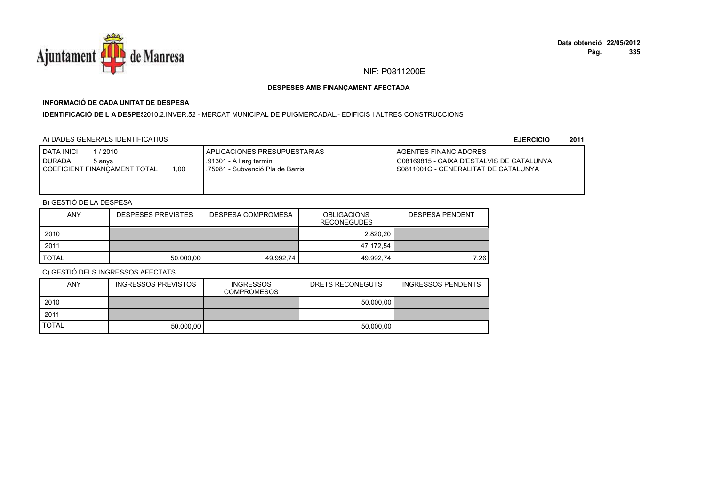

## **INFORMACIÓ DE CADA UNITAT DE DESPESA**

**IDENTIFICACIÓ DE L A DESPES**2010.2.INVER.52 - MERCAT MUNICIPAL DE PUIGMERCADAL.- EDIFICIS I ALTRES CONSTRUCCIONS

## A) DADES GENERALS IDENTIFICATIUS

**EJERCICIO<sup>2011</sup>**

| <b>I DATA INICI</b><br>1/2010<br><b>I</b> DURADA<br>5 anvs<br>1.00<br>I COEFICIENT FINANCAMENT TOTAL | I APLICACIONES PRESUPUESTARIAS<br>.91301 - A llarg termini<br>.75081 - Subvenció Pla de Barris | <b>LAGENTES FINANCIADORES</b><br>G08169815 - CAIXA D'ESTALVIS DE CATALUNYA<br>I S0811001G - GENERALITAT DE CATALUNYA |
|------------------------------------------------------------------------------------------------------|------------------------------------------------------------------------------------------------|----------------------------------------------------------------------------------------------------------------------|
|------------------------------------------------------------------------------------------------------|------------------------------------------------------------------------------------------------|----------------------------------------------------------------------------------------------------------------------|

## B) GESTIÓ DE LA DESPESA

| <b>ANY</b>   | <b>DESPESES PREVISTES</b> | <b>DESPESA COMPROMESA</b> | <b>OBLIGACIONS</b><br><b>RECONEGUDES</b> | <b>DESPESA PENDENT</b> |
|--------------|---------------------------|---------------------------|------------------------------------------|------------------------|
| 2010         |                           |                           | 2.820.20                                 |                        |
| 2011         |                           |                           | 47.172,54                                |                        |
| <b>TOTAL</b> | 50.000.00                 | 49.992.74                 | 49.992,74                                | 7.26                   |

| <b>ANY</b>   | <b>INGRESSOS PREVISTOS</b> | <b>INGRESSOS</b><br><b>COMPROMESOS</b> | DRETS RECONEGUTS | <b>INGRESSOS PENDENTS</b> |
|--------------|----------------------------|----------------------------------------|------------------|---------------------------|
| 2010         |                            |                                        | 50.000.00        |                           |
| 2011         |                            |                                        |                  |                           |
| <b>TOTAL</b> | 50.000.00                  |                                        | 50.000.00        |                           |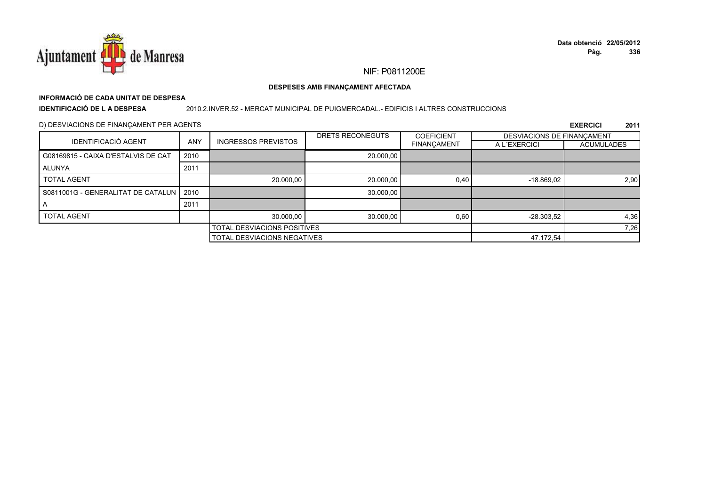

## NIF: P0811200E

### DESPESES AMB FINANÇAMENT AFECTADA

# INFORMACIÓ DE CADA UNITAT DE DESPESA

**IDENTIFICACIÓ DE LA DESPESA** 

#### 2010.2.INVER.52 - MERCAT MUNICIPAL DE PUIGMERCADAL.- EDIFICIS I ALTRES CONSTRUCCIONS

## D) DESVIACIONS DE FINANÇAMENT PER AGENTS

|                                           |            |                                    | DRETS RECONEGUTS            | <b>COEFICIENT</b>  | DESVIACIONS DE FINANCAMENT |                   |
|-------------------------------------------|------------|------------------------------------|-----------------------------|--------------------|----------------------------|-------------------|
| <b>IDENTIFICACIÓ AGENT</b>                | <b>ANY</b> | <b>INGRESSOS PREVISTOS</b>         |                             | <b>FINANÇAMENT</b> | A L'EXERCICI               | <b>ACUMULADES</b> |
| G08169815 - CAIXA D'ESTALVIS DE CAT       | 2010       |                                    | 20.000,00                   |                    |                            |                   |
| ALUNYA                                    | 2011       |                                    |                             |                    |                            |                   |
| <b>TOTAL AGENT</b>                        |            | 20.000.00                          | 20,000.00                   | 0.40               | $-18.869,02$               | 2,90              |
| S0811001G - GENERALITAT DE CATALUN   2010 |            |                                    | 30.000,00                   |                    |                            |                   |
|                                           | 2011       |                                    |                             |                    |                            |                   |
| <b>TOTAL AGENT</b>                        |            | 30.000.00                          | 30.000,00                   | 0.60               | $-28.303.52$               | 4,36              |
|                                           |            | <b>TOTAL DESVIACIONS POSITIVES</b> |                             |                    | 7,26                       |                   |
|                                           |            |                                    | TOTAL DESVIACIONS NEGATIVES |                    |                            |                   |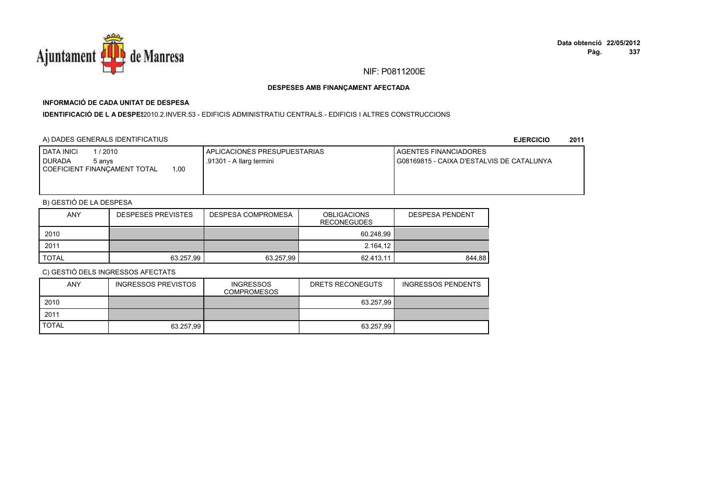

## **INFORMACIÓ DE CADA UNITAT DE DESPESA**

I**DENTIFICACIÓ DE L A DESPES**2010.2.INVER.53 - EDIFICIS ADMINISTRATIU CENTRALS.- EDIFICIS I ALTRES CONSTRUCCIONS

## A) DADES GENERALS IDENTIFICATIUS

**EJERCICIO<sup>2011</sup>**

| <b>I DATA INICI</b><br>1 / 2010<br>I DURADA<br>5 anvs<br>00.1<br>COEFICIENT FINANCAMENT TOTAL | APLICACIONES PRESUPUESTARIAS<br>.91301 - A llarg termini | <b>I AGENTES FINANCIADORES</b><br>G08169815 - CAIXA D'ESTALVIS DE CATALUNYA |
|-----------------------------------------------------------------------------------------------|----------------------------------------------------------|-----------------------------------------------------------------------------|
|                                                                                               |                                                          |                                                                             |

## B) GESTIÓ DE LA DESPESA

| ANY          | <b>DESPESES PREVISTES</b> | DESPESA COMPROMESA | <b>OBLIGACIONS</b><br><b>RECONEGUDES</b> | <b>DESPESA PENDENT</b> |
|--------------|---------------------------|--------------------|------------------------------------------|------------------------|
| 2010         |                           |                    | 60.248.99                                |                        |
| 2011         |                           |                    | 2.164,12                                 |                        |
| <b>TOTAL</b> | 63.257.99                 | 63.257,99          | 62.413.11                                | 844.88                 |

| <b>ANY</b>   | INGRESSOS PREVISTOS | <b>INGRESSOS</b><br><b>COMPROMESOS</b> | DRETS RECONEGUTS | <b>INGRESSOS PENDENTS</b> |
|--------------|---------------------|----------------------------------------|------------------|---------------------------|
| 2010         |                     |                                        | 63.257.99        |                           |
| 2011         |                     |                                        |                  |                           |
| <b>TOTAL</b> | 63.257.99           |                                        | 63.257.99        |                           |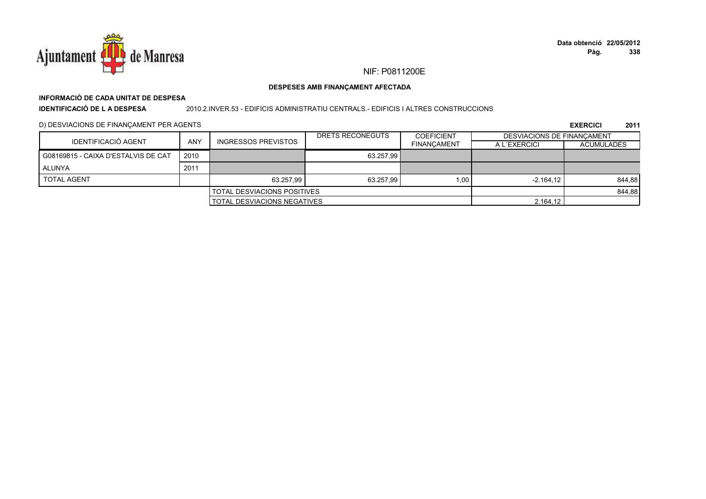

## NIF: P0811200E

### DESPESES AMB FINANÇAMENT AFECTADA

## INFORMACIÓ DE CADA UNITAT DE DESPESA

**IDENTIFICACIÓ DE LA DESPESA** 

2010.2.INVER.53 - EDIFICIS ADMINISTRATIU CENTRALS.- EDIFICIS I ALTRES CONSTRUCCIONS

D) DESVIACIONS DE FINANÇAMENT PER AGENTS

|                                     |                                    |                                    | DRETS RECONEGUTS | <b>COEFICIENT</b>  | <b>DESVIACIONS DE FINANCAMENT</b> |                   |
|-------------------------------------|------------------------------------|------------------------------------|------------------|--------------------|-----------------------------------|-------------------|
| IDENTIFICACIÓ AGENT                 | <b>ANY</b>                         | <b>INGRESSOS PREVISTOS</b>         |                  | <b>FINANCAMENT</b> | A L'EXERCICI                      | <b>ACUMULADES</b> |
| G08169815 - CAIXA D'ESTALVIS DE CAT | 2010                               |                                    | 63.257.99        |                    |                                   |                   |
| <b>ALUNYA</b>                       | 2011                               |                                    |                  |                    |                                   |                   |
| <b>TOTAL AGENT</b>                  |                                    | 63.257.99                          | 63.257.99        | 1.00               | $-2.164.12$                       | 844,88            |
|                                     |                                    | <b>TOTAL DESVIACIONS POSITIVES</b> |                  |                    |                                   | 844,88            |
|                                     | <b>TOTAL DESVIACIONS NEGATIVES</b> |                                    |                  | 2.164.12           |                                   |                   |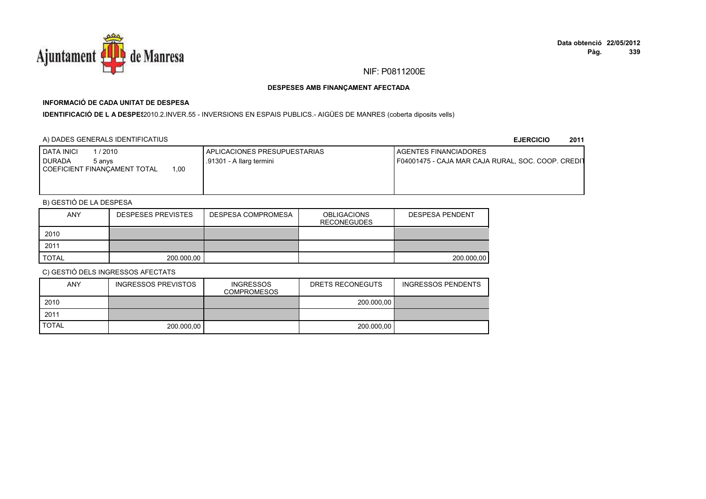

## **INFORMACIÓ DE CADA UNITAT DE DESPESA**

IDENTIFICACIÓ DE L A DESPE<sup>2</sup>010.2.INVER.55 - INVERSIONS EN ESPAIS PUBLICS.- AIGÜES DE MANRES (coberta diposits vells)

## A) DADES GENERALS IDENTIFICATIUS

**EJERCICIO<sup>2011</sup>**

| <b>DATA INICI</b><br>/ 2010<br>I DURADA<br>5 anvs | APLICACIONES PRESUPUESTARIAS<br>.91301 - A llarg termini | <b>I AGENTES FINANCIADORES</b><br>F04001475 - CAJA MAR CAJA RURAL, SOC. COOP. CREDIT |
|---------------------------------------------------|----------------------------------------------------------|--------------------------------------------------------------------------------------|
| 1.00<br>I COEFICIENT FINANCAMENT TOTAL            |                                                          |                                                                                      |
|                                                   |                                                          |                                                                                      |

## B) GESTIÓ DE LA DESPESA

| <b>ANY</b>   | <b>DESPESES PREVISTES</b> | <b>DESPESA COMPROMESA</b> | <b>OBLIGACIONS</b><br><b>RECONEGUDES</b> | <b>DESPESA PENDENT</b> |
|--------------|---------------------------|---------------------------|------------------------------------------|------------------------|
| 2010         |                           |                           |                                          |                        |
| 2011         |                           |                           |                                          |                        |
| <b>TOTAL</b> | 200.000,00                |                           |                                          | 200.000.00             |

| <b>ANY</b>   | INGRESSOS PREVISTOS | <b>INGRESSOS</b><br><b>COMPROMESOS</b> | DRETS RECONEGUTS | <b>INGRESSOS PENDENTS</b> |
|--------------|---------------------|----------------------------------------|------------------|---------------------------|
| 2010         |                     |                                        | 200.000.00       |                           |
| 2011         |                     |                                        |                  |                           |
| <b>TOTAL</b> | 200.000.00          |                                        | 200.000.00       |                           |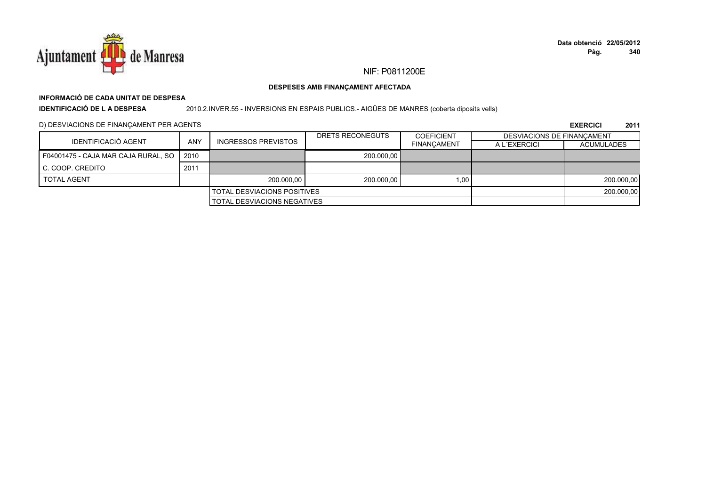

# **INFORMACIÓ DE CADA UNITAT DE DESPESA**

**IDENTIFICACIÓ DE L A DESPESA**

2010.2.INVER.55 - INVERSIONS EN ESPAIS PUBLICS.- AIGÜES DE MANRES (coberta diposits vells)

D) DESVIACIONS DE FINANÇAMENT PER AGENTS

|                                     | ANY<br><b>INGRESSOS PREVISTOS</b> |                                    | DRETS RECONEGUTS | <b>COEFICIENT</b>  | DESVIACIONS DE FINANCAMENT |                   |
|-------------------------------------|-----------------------------------|------------------------------------|------------------|--------------------|----------------------------|-------------------|
| IDENTIFICACIÓ AGENT                 |                                   |                                    |                  | <b>FINANCAMENT</b> | A L'EXERCICI               | <b>ACUMULADES</b> |
| F04001475 - CAJA MAR CAJA RURAL, SO | 2010                              |                                    | 200.000.00       |                    |                            |                   |
| C. COOP. CREDITO                    | 2011                              |                                    |                  |                    |                            |                   |
| <b>TOTAL AGENT</b>                  |                                   | 200.000.00                         | 200.000,00       | 1.00               |                            | 200.000,00        |
|                                     |                                   | <b>TOTAL DESVIACIONS POSITIVES</b> |                  |                    |                            | 200.000,00        |
| <b>TOTAL DESVIACIONS NEGATIVES</b>  |                                   |                                    |                  |                    |                            |                   |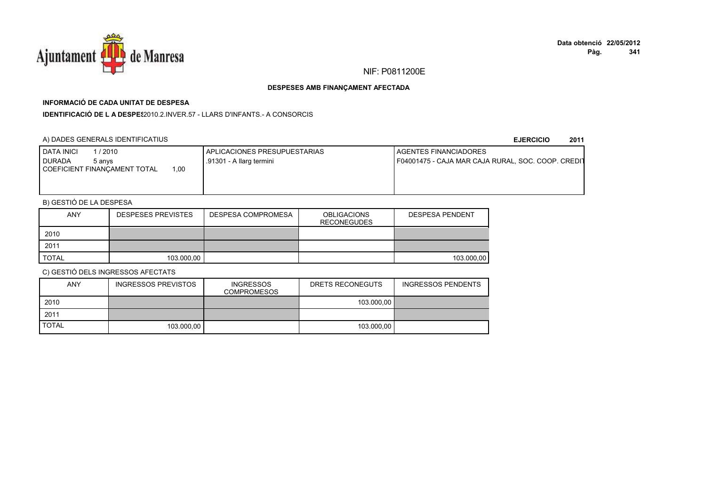

## **INFORMACIÓ DE CADA UNITAT DE DESPESA**

**IDENTIFICACIÓ DE L A DESPES**2010.2.INVER.57 - LLARS D'INFANTS.- A CONSORCIS

## A) DADES GENERALS IDENTIFICATIUS

#### **EJERCICIO<sup>2011</sup>**

| <b>DATA INICI</b><br>/ 2010<br>I DURADA<br>5 anvs<br>COEFICIENT FINANCAMENT TOTAL<br>0.00 | APLICACIONES PRESUPUESTARIAS<br>.91301 - A llarg termini | <b>I AGENTES FINANCIADORES</b><br>F04001475 - CAJA MAR CAJA RURAL, SOC. COOP. CREDIT |
|-------------------------------------------------------------------------------------------|----------------------------------------------------------|--------------------------------------------------------------------------------------|
|                                                                                           |                                                          |                                                                                      |

## B) GESTIÓ DE LA DESPESA

| <b>ANY</b>   | <b>DESPESES PREVISTES</b> | <b>DESPESA COMPROMESA</b> | <b>OBLIGACIONS</b><br><b>RECONEGUDES</b> | <b>DESPESA PENDENT</b> |
|--------------|---------------------------|---------------------------|------------------------------------------|------------------------|
| 2010         |                           |                           |                                          |                        |
| 2011         |                           |                           |                                          |                        |
| <b>TOTAL</b> | 103.000,00                |                           |                                          | 103.000.00             |

| <b>ANY</b>   | INGRESSOS PREVISTOS | <b>INGRESSOS</b><br><b>COMPROMESOS</b> | DRETS RECONEGUTS | <b>INGRESSOS PENDENTS</b> |
|--------------|---------------------|----------------------------------------|------------------|---------------------------|
| 2010         |                     |                                        | 103.000.00       |                           |
| 2011         |                     |                                        |                  |                           |
| <b>TOTAL</b> | 103.000.00          |                                        | 103.000.00       |                           |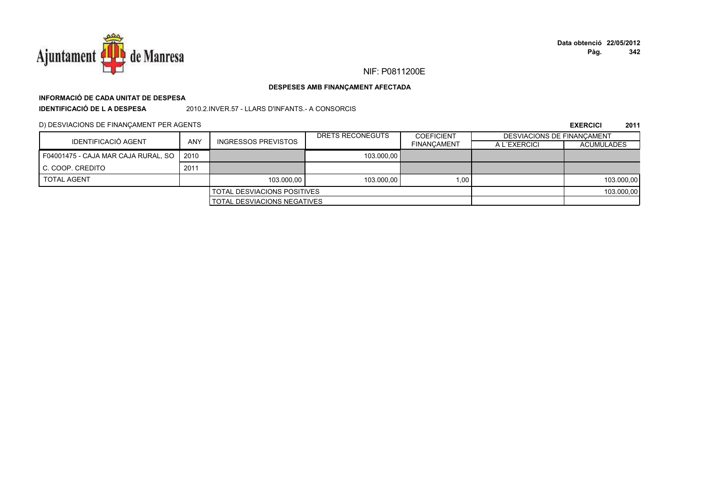

## NIF: P0811200E

### DESPESES AMB FINANÇAMENT AFECTADA

# INFORMACIÓ DE CADA UNITAT DE DESPESA

**IDENTIFICACIÓ DE LA DESPESA** 

2010.2.INVER.57 - LLARS D'INFANTS.- A CONSORCIS

D) DESVIACIONS DE FINANÇAMENT PER AGENTS

|                                     |      |                                    | DRETS RECONEGUTS | <b>COEFICIENT</b>  | DESVIACIONS DE FINANCAMENT |                   |
|-------------------------------------|------|------------------------------------|------------------|--------------------|----------------------------|-------------------|
| IDENTIFICACIÓ AGENT                 | ANY  | <b>INGRESSOS PREVISTOS</b>         |                  | <b>FINANCAMENT</b> | A L'EXERCICI               | <b>ACUMULADES</b> |
| F04001475 - CAJA MAR CAJA RURAL, SO | 2010 |                                    | 103.000.00       |                    |                            |                   |
| C. COOP. CREDITO                    | 2011 |                                    |                  |                    |                            |                   |
| <b>TOTAL AGENT</b>                  |      | 103.000.00                         | 103.000.00       | 1.00               |                            | 103.000,00        |
| <b>TOTAL DESVIACIONS POSITIVES</b>  |      |                                    |                  | 103.000,00         |                            |                   |
|                                     |      | <b>TOTAL DESVIACIONS NEGATIVES</b> |                  |                    |                            |                   |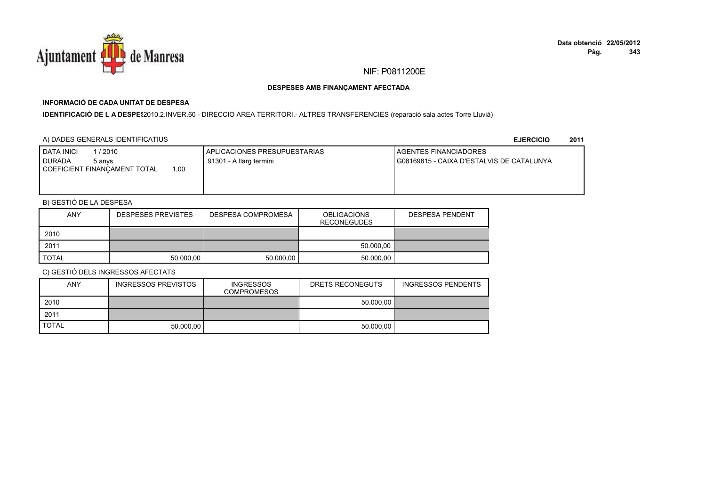

## **INFORMACIÓ DE CADA UNITAT DE DESPESA**

IDENTIFICACIÓ DE LA DESPES2010.2.INVER.60 - DIRECCIO AREA TERRITORI.- ALTRES TRANSFERENCIES (reparació sala actes Torre Lluvià)

## A) DADES GENERALS IDENTIFICATIUS

**EJERCICIO<sup>2011</sup>**

| <b>I DATA INICI</b><br>1 / 2010<br><b>I DURADA</b><br>5 anvs<br>00, ا<br>COEFICIENT FINANCAMENT TOTAL | <b>APLICACIONES PRESUPUESTARIAS</b><br>.91301 - A llarg termini | AGENTES FINANCIADORES<br>G08169815 - CAIXA D'ESTALVIS DE CATALUNYA |
|-------------------------------------------------------------------------------------------------------|-----------------------------------------------------------------|--------------------------------------------------------------------|
|                                                                                                       |                                                                 |                                                                    |

## B) GESTIÓ DE LA DESPESA

| ANY   | <b>DESPESES PREVISTES</b> | DESPESA COMPROMESA | <b>OBLIGACIONS</b><br><b>RECONEGUDES</b> | <b>DESPESA PENDENT</b> |
|-------|---------------------------|--------------------|------------------------------------------|------------------------|
| 2010  |                           |                    |                                          |                        |
| 2011  |                           |                    | 50.000.00                                |                        |
| TOTAL | 50.000.00                 | 50.000.00          | 50.000.00                                |                        |

| <b>ANY</b>   | INGRESSOS PREVISTOS | <b>INGRESSOS</b><br><b>COMPROMESOS</b> | DRETS RECONEGUTS | <b>INGRESSOS PENDENTS</b> |
|--------------|---------------------|----------------------------------------|------------------|---------------------------|
| 2010         |                     |                                        | 50.000.00        |                           |
| 2011         |                     |                                        |                  |                           |
| <b>TOTAL</b> | 50.000.00           |                                        | 50.000.00        |                           |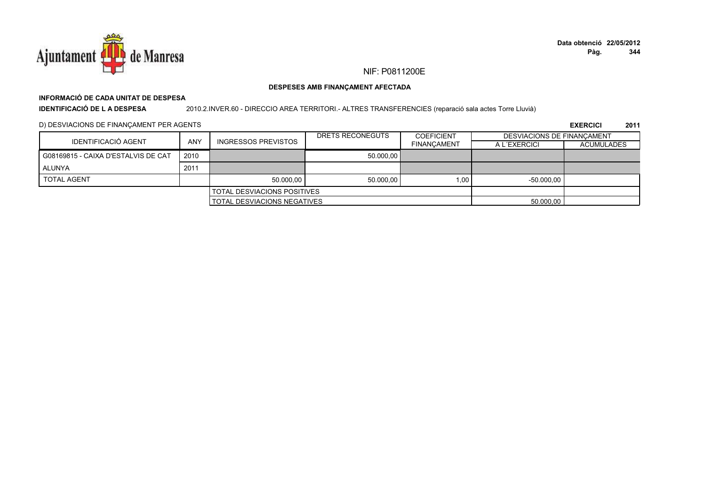

## NIF: P0811200E

### DESPESES AMB FINANÇAMENT AFECTADA

## INFORMACIÓ DE CADA UNITAT DE DESPESA

**IDENTIFICACIÓ DE L A DESPESA** 2010.2.INVER.60 - DIRECCIO AREA TERRITORI.- ALTRES TRANSFERENCIES (reparació sala actes Torre Lluvià)

D) DESVIACIONS DE FINANÇAMENT PER AGENTS

|                                     |                                    |                            | DRETS RECONEGUTS | <b>COEFICIENT</b>  | DESVIACIONS DE FINANCAMENT |                   |
|-------------------------------------|------------------------------------|----------------------------|------------------|--------------------|----------------------------|-------------------|
| IDENTIFICACIÓ AGENT                 | <b>ANY</b>                         | <b>INGRESSOS PREVISTOS</b> |                  | <b>FINANCAMENT</b> | A L'EXERCICI               | <b>ACUMULADES</b> |
| G08169815 - CAIXA D'ESTALVIS DE CAT | 2010                               |                            | 50.000.00        |                    |                            |                   |
| ALUNYA                              | 2011                               |                            |                  |                    |                            |                   |
| <b>TOTAL AGENT</b>                  |                                    | 50.000.00                  | 50.000.00        | 1.00               | $-50.000.00$               |                   |
| <b>TOTAL DESVIACIONS POSITIVES</b>  |                                    |                            |                  |                    |                            |                   |
|                                     | <b>TOTAL DESVIACIONS NEGATIVES</b> |                            |                  | 50.000.00          |                            |                   |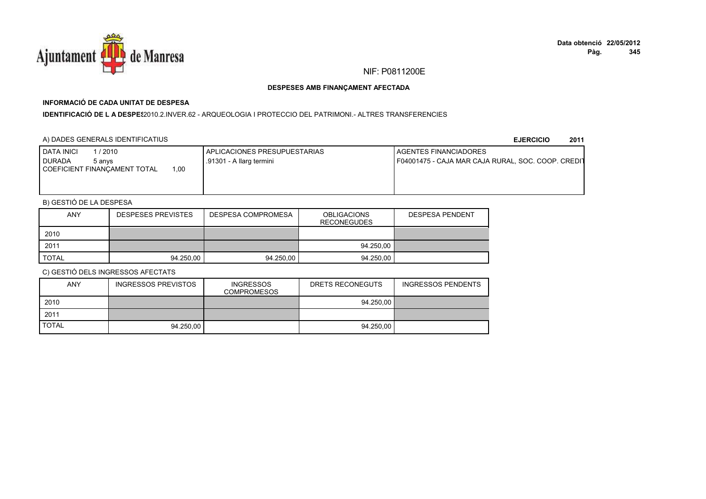

## **INFORMACIÓ DE CADA UNITAT DE DESPESA**

**IDENTIFICACIÓ DE L A DESPES**2010.2.INVER.62 - ARQUEOLOGIA I PROTECCIO DEL PATRIMONI.- ALTRES TRANSFERENCIES

## A) DADES GENERALS IDENTIFICATIUS

**EJERCICIO<sup>2011</sup>**

| /2010<br><b>I DATA INICI</b><br><b>DURADA</b><br>5 anvs | <b>APLICACIONES PRESUPUESTARIAS</b><br>.91301 - A llarg termini | <b>I AGENTES FINANCIADORES</b><br>F04001475 - CAJA MAR CAJA RURAL, SOC. COOP. CREDIT |
|---------------------------------------------------------|-----------------------------------------------------------------|--------------------------------------------------------------------------------------|
| 00,<br><b>COEFICIENT FINANÇAMENT TOTAL</b>              |                                                                 |                                                                                      |
|                                                         |                                                                 |                                                                                      |

## B) GESTIÓ DE LA DESPESA

| <b>ANY</b> | <b>DESPESES PREVISTES</b> | <b>DESPESA COMPROMESA</b> | <b>OBLIGACIONS</b><br><b>RECONEGUDES</b> | <b>DESPESA PENDENT</b> |
|------------|---------------------------|---------------------------|------------------------------------------|------------------------|
| 2010       |                           |                           |                                          |                        |
| 2011       |                           |                           | 94.250,00                                |                        |
| TOTAL      | 94.250.00                 | 94.250,00                 | 94.250.00                                |                        |

| <b>ANY</b>   | INGRESSOS PREVISTOS | <b>INGRESSOS</b><br><b>COMPROMESOS</b> | DRETS RECONEGUTS | <b>INGRESSOS PENDENTS</b> |
|--------------|---------------------|----------------------------------------|------------------|---------------------------|
| 2010         |                     |                                        | 94.250.00        |                           |
| 2011         |                     |                                        |                  |                           |
| <b>TOTAL</b> | 94.250.00           |                                        | 94.250.00        |                           |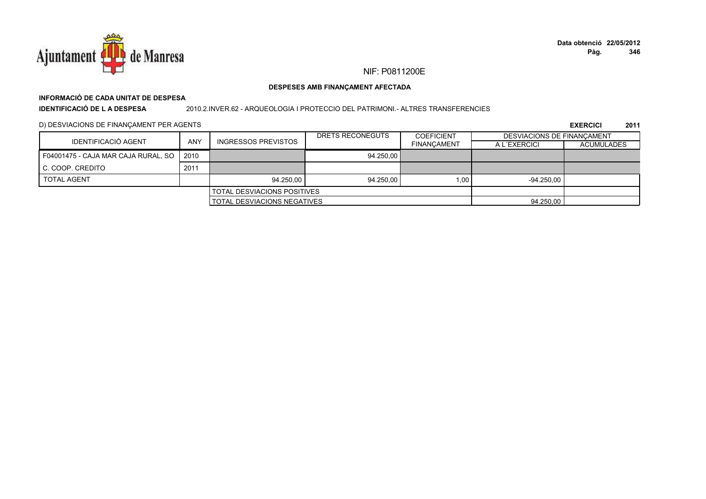

# **INFORMACIÓ DE CADA UNITAT DE DESPESA**

**IDENTIFICACIÓ DE L A DESPESA**

2010.2.INVER.62 - ARQUEOLOGIA I PROTECCIO DEL PATRIMONI.- ALTRES TRANSFERENCIES

D) DESVIACIONS DE FINANÇAMENT PER AGENTS

| IDENTIFICACIÓ AGENT                 |                                    |                            | DRETS RECONEGUTS | <b>COEFICIENT</b>  | DESVIACIONS DE FINANCAMENT |                   |
|-------------------------------------|------------------------------------|----------------------------|------------------|--------------------|----------------------------|-------------------|
|                                     | <b>ANY</b>                         | <b>INGRESSOS PREVISTOS</b> |                  | <b>FINANCAMENT</b> | A L'EXERCICI               | <b>ACUMULADES</b> |
| F04001475 - CAJA MAR CAJA RURAL, SO | 2010                               |                            | 94.250.00        |                    |                            |                   |
| C. COOP. CREDITO                    | 2011                               |                            |                  |                    |                            |                   |
| <b>TOTAL AGENT</b>                  |                                    | 94.250.00                  | 94.250.00        | 1.00               | $-94.250.00$               |                   |
| <b>TOTAL DESVIACIONS POSITIVES</b>  |                                    |                            |                  |                    |                            |                   |
|                                     | <b>TOTAL DESVIACIONS NEGATIVES</b> |                            |                  | 94.250,00          |                            |                   |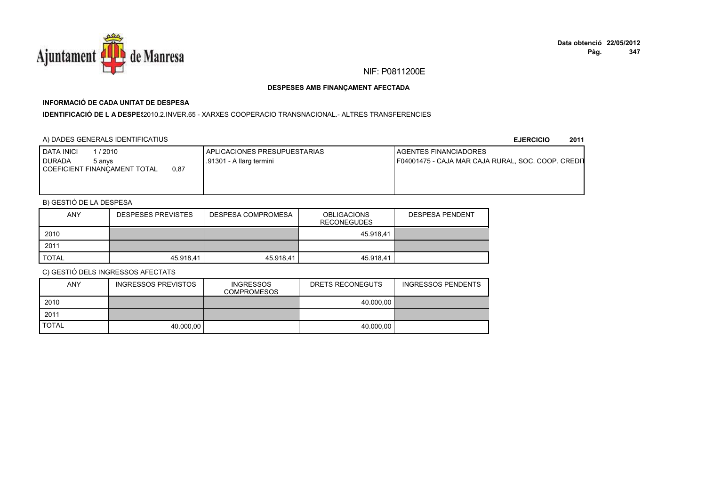

## **INFORMACIÓ DE CADA UNITAT DE DESPESA**

**IDENTIFICACIÓ DE L A DESPE**\$2010.2.INVER.65 - XARXES COOPERACIO TRANSNACIONAL.- ALTRES TRANSFERENCIES

## A) DADES GENERALS IDENTIFICATIUS

**EJERCICIO<sup>2011</sup>**

| <b>DATA INICI</b><br>/ 2010<br>I DURADA<br>5 anvs | APLICACIONES PRESUPUESTARIAS<br>.91301 - A llarg termini | <b>I AGENTES FINANCIADORES</b><br>F04001475 - CAJA MAR CAJA RURAL, SOC. COOP. CREDIT |
|---------------------------------------------------|----------------------------------------------------------|--------------------------------------------------------------------------------------|
| 0.87<br>COEFICIENT FINANCAMENT TOTAL              |                                                          |                                                                                      |
|                                                   |                                                          |                                                                                      |

## B) GESTIÓ DE LA DESPESA

| <b>ANY</b>   | <b>DESPESES PREVISTES</b> | <b>DESPESA COMPROMESA</b> | <b>OBLIGACIONS</b><br><b>RECONEGUDES</b> | <b>DESPESA PENDENT</b> |
|--------------|---------------------------|---------------------------|------------------------------------------|------------------------|
| 2010         |                           |                           | 45.918.41                                |                        |
| 2011         |                           |                           |                                          |                        |
| <b>TOTAL</b> | 45.918.41                 | 45.918.41                 | 45.918.41                                |                        |

| ANY          | <b>INGRESSOS PREVISTOS</b> | <b>INGRESSOS</b><br><b>COMPROMESOS</b> | DRETS RECONEGUTS | <b>INGRESSOS PENDENTS</b> |
|--------------|----------------------------|----------------------------------------|------------------|---------------------------|
| 2010         |                            |                                        | 40.000.00        |                           |
| 2011         |                            |                                        |                  |                           |
| <b>TOTAL</b> | 40.000.00                  |                                        | 40.000.00        |                           |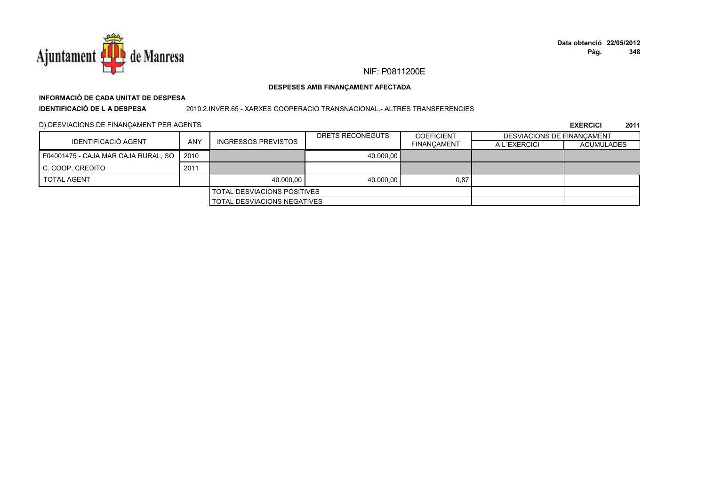

## NIF: P0811200E

### DESPESES AMB FINANÇAMENT AFECTADA

## INFORMACIÓ DE CADA UNITAT DE DESPESA

**IDENTIFICACIÓ DE LA DESPESA** 

#### 2010.2.INVER.65 - XARXES COOPERACIO TRANSNACIONAL.- ALTRES TRANSFERENCIES

D) DESVIACIONS DE FINANÇAMENT PER AGENTS

|                                     |      |                             | DRETS RECONEGUTS | <b>COEFICIENT</b>  | <b>DESVIACIONS DE FINANCAMENT</b> |                   |
|-------------------------------------|------|-----------------------------|------------------|--------------------|-----------------------------------|-------------------|
| IDENTIFICACIÓ AGENT                 | ANY  | <b>INGRESSOS PREVISTOS</b>  |                  | <b>FINANCAMENT</b> | A L'EXERCICI                      | <b>ACUMULADES</b> |
| F04001475 - CAJA MAR CAJA RURAL, SO | 2010 |                             | 40.000.00        |                    |                                   |                   |
| C. COOP. CREDITO                    | 2011 |                             |                  |                    |                                   |                   |
| <b>TOTAL AGENT</b>                  |      | 40.000.00                   | 40.000.00        | 0,87               |                                   |                   |
| <b>TOTAL DESVIACIONS POSITIVES</b>  |      |                             |                  |                    |                                   |                   |
|                                     |      | TOTAL DESVIACIONS NEGATIVES |                  |                    |                                   |                   |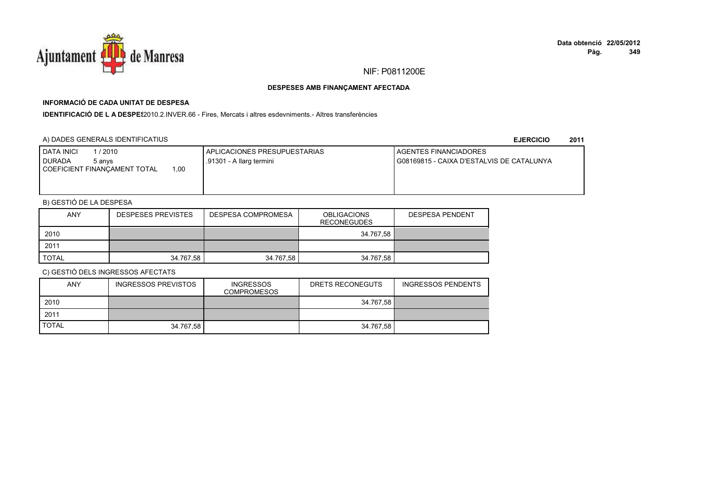

## **INFORMACIÓ DE CADA UNITAT DE DESPESA**

IDENTIFICACIÓ DE L A DESPE<sup>2</sup>010.2.INVER.66 - Fires, Mercats i altres esdevniments.- Altres transferències

## A) DADES GENERALS IDENTIFICATIUS

**EJERCICIO<sup>2011</sup>**

| <b>I DATA INICI</b><br>1 / 2010<br>I DURADA<br>5 anvs<br>00.1<br>COEFICIENT FINANCAMENT TOTAL | APLICACIONES PRESUPUESTARIAS<br>.91301 - A llarg termini | <b>I AGENTES FINANCIADORES</b><br>G08169815 - CAIXA D'ESTALVIS DE CATALUNYA |
|-----------------------------------------------------------------------------------------------|----------------------------------------------------------|-----------------------------------------------------------------------------|
|                                                                                               |                                                          |                                                                             |

## B) GESTIÓ DE LA DESPESA

| <b>ANY</b>   | <b>DESPESES PREVISTES</b> | DESPESA COMPROMESA | <b>OBLIGACIONS</b><br><b>RECONEGUDES</b> | <b>DESPESA PENDENT</b> |
|--------------|---------------------------|--------------------|------------------------------------------|------------------------|
| 2010         |                           |                    | 34.767.58                                |                        |
| 2011         |                           |                    |                                          |                        |
| <b>TOTAL</b> | 34.767,58                 | 34.767,58          | 34.767,58                                |                        |

| <b>ANY</b>   | INGRESSOS PREVISTOS | <b>INGRESSOS</b><br><b>COMPROMESOS</b> | DRETS RECONEGUTS | <b>INGRESSOS PENDENTS</b> |
|--------------|---------------------|----------------------------------------|------------------|---------------------------|
| 2010         |                     |                                        | 34.767.58        |                           |
| 2011         |                     |                                        |                  |                           |
| <b>TOTAL</b> | 34.767.58           |                                        | 34.767.58        |                           |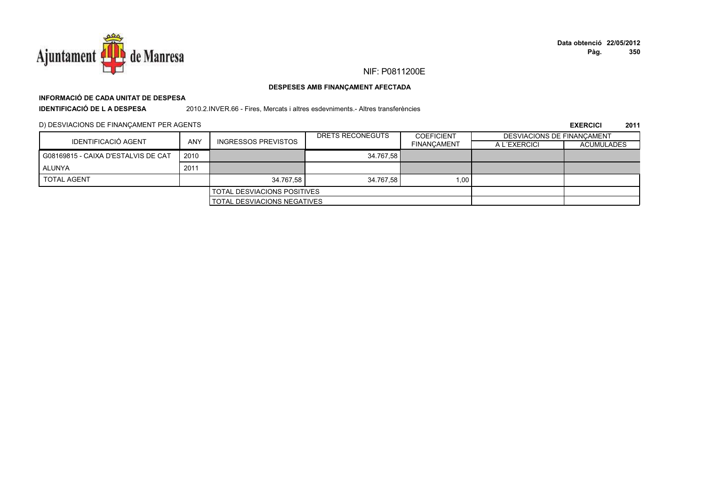

## **INFORMACIÓ DE CADA UNITAT DE DESPESA**

**IDENTIFICACIÓ DE L A DESPESA**

2010.2.INVER.66 - Fires, Mercats i altres esdevniments.- Altres transferències

D) DESVIACIONS DE FINANÇAMENT PER AGENTS

|                                     |            |                                    | DRETS RECONEGUTS | <b>COEFICIENT</b>  | <b>DESVIACIONS DE FINANCAMENT</b> |            |
|-------------------------------------|------------|------------------------------------|------------------|--------------------|-----------------------------------|------------|
| IDENTIFICACIÓ AGENT                 | <b>ANY</b> | <b>INGRESSOS PREVISTOS</b>         |                  | <b>FINANCAMENT</b> | A L'EXERCICI                      | ACUMULADES |
| G08169815 - CAIXA D'ESTALVIS DE CAT | 2010       |                                    | 34.767.58        |                    |                                   |            |
| ALUNYA                              | 2011       |                                    |                  |                    |                                   |            |
| <b>TOTAL AGENT</b>                  |            | 34.767.58                          | 34.767.58        | 1,001              |                                   |            |
| <b>TOTAL DESVIACIONS POSITIVES</b>  |            |                                    |                  |                    |                                   |            |
|                                     |            | <b>TOTAL DESVIACIONS NEGATIVES</b> |                  |                    |                                   |            |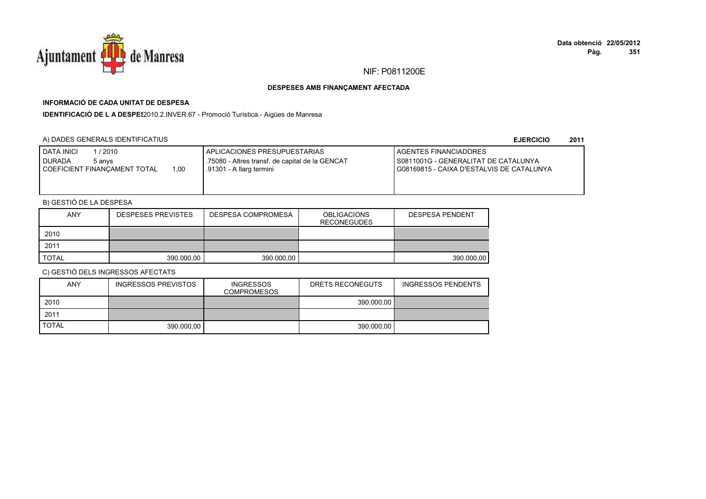

# **INFORMACIÓ DE CADA UNITAT DE DESPESA**

**IDENTIFICACIÓ DE L A DESPES**2010.2.INVER.67 - Promoció Turística.- Aigües de Manresa

## A) DADES GENERALS IDENTIFICATIUS

**EJERCICIO<sup>2011</sup>**

| <b>DATA INICI</b><br>1/2010<br>DURADA<br>5 anvs<br>1,00<br>COEFICIENT FINANCAMENT TOTAL | APLICACIONES PRESUPUESTARIAS<br>.75080 - Altres transf. de capital de la GENCAT<br>.91301 - A llarg termini | AGENTES FINANCIADORES<br>S0811001G - GENERALITAT DE CATALUNYA<br>I G08169815 - CAIXA D'ESTALVIS DE CATALUNYA |
|-----------------------------------------------------------------------------------------|-------------------------------------------------------------------------------------------------------------|--------------------------------------------------------------------------------------------------------------|
|-----------------------------------------------------------------------------------------|-------------------------------------------------------------------------------------------------------------|--------------------------------------------------------------------------------------------------------------|

## B) GESTIÓ DE LA DESPESA

| <b>ANY</b>   | <b>DESPESES PREVISTES</b> | <b>DESPESA COMPROMESA</b> | <b>OBLIGACIONS</b><br><b>RECONEGUDES</b> | <b>DESPESA PENDENT</b> |
|--------------|---------------------------|---------------------------|------------------------------------------|------------------------|
| 2010         |                           |                           |                                          |                        |
| 2011         |                           |                           |                                          |                        |
| <b>TOTAL</b> | 390.000.00                | 390.000.00                |                                          | 390.000.00             |

| <b>ANY</b>   | <b>INGRESSOS PREVISTOS</b> | <b>INGRESSOS</b><br><b>COMPROMESOS</b> | DRETS RECONEGUTS | <b>INGRESSOS PENDENTS</b> |
|--------------|----------------------------|----------------------------------------|------------------|---------------------------|
| 2010         |                            |                                        | 390,000.00       |                           |
| 2011         |                            |                                        |                  |                           |
| <b>TOTAL</b> | 390,000.00                 |                                        | 390.000.00       |                           |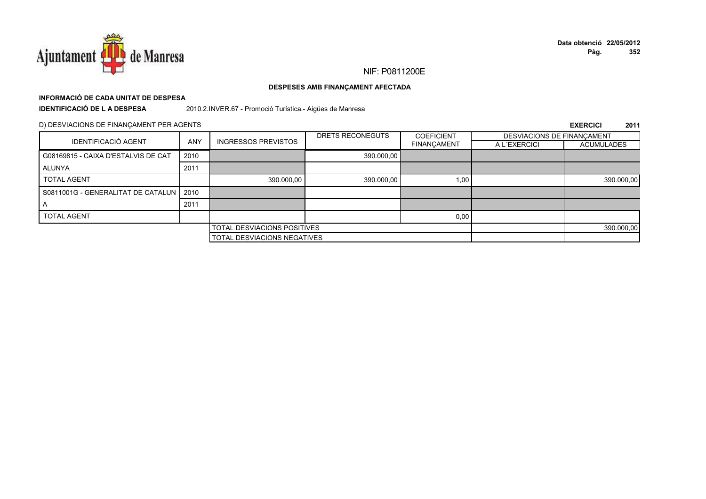

## **INFORMACIÓ DE CADA UNITAT DE DESPESA**

**IDENTIFICACIÓ DE L A DESPESA**

2010.2.INVER.67 - Promoció Turística.- Aigües de Manresa

## D) DESVIACIONS DE FINANÇAMENT PER AGENTS

|                                           |                                    |                                    | DRETS RECONEGUTS | <b>COEFICIENT</b>  | DESVIACIONS DE FINANCAMENT |                   |
|-------------------------------------------|------------------------------------|------------------------------------|------------------|--------------------|----------------------------|-------------------|
| <b>IDENTIFICACIÓ AGENT</b>                | <b>ANY</b>                         | <b>INGRESSOS PREVISTOS</b>         |                  | <b>FINANÇAMENT</b> | A L'EXERCICI               | <b>ACUMULADES</b> |
| G08169815 - CAIXA D'ESTALVIS DE CAT       | 2010                               |                                    | 390.000,00       |                    |                            |                   |
| ALUNYA                                    | 2011                               |                                    |                  |                    |                            |                   |
| <b>TOTAL AGENT</b>                        |                                    | 390.000,00                         | 390.000,00       | 1,00               |                            | 390.000,00        |
| S0811001G - GENERALITAT DE CATALUN   2010 |                                    |                                    |                  |                    |                            |                   |
|                                           | 2011                               |                                    |                  |                    |                            |                   |
| <b>TOTAL AGENT</b>                        |                                    |                                    |                  | 0,00               |                            |                   |
|                                           | <b>TOTAL DESVIACIONS POSITIVES</b> |                                    |                  |                    | 390.000,00                 |                   |
|                                           |                                    | <b>TOTAL DESVIACIONS NEGATIVES</b> |                  |                    |                            |                   |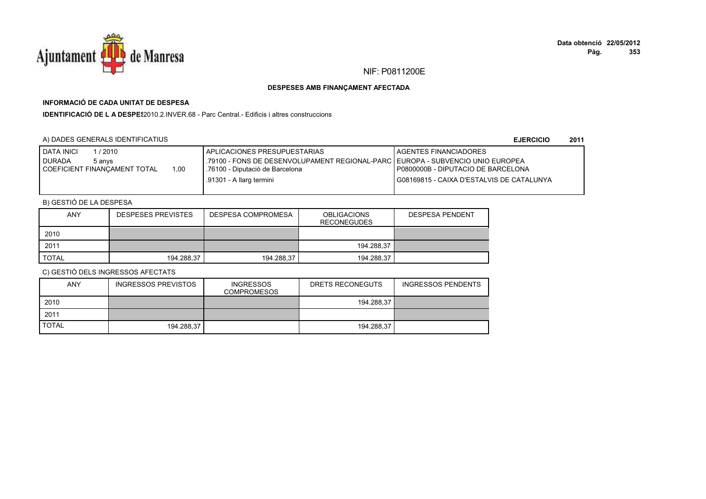

## **INFORMACIÓ DE CADA UNITAT DE DESPESA**

**IDENTIFICACIÓ DE L A DESPES**2010.2.INVER.68 - Parc Central.- Edificis i altres construccions

## A) DADES GENERALS IDENTIFICATIUS

**EJERCICIO<sup>2011</sup>**

| <b>DATA INICI</b><br>/ 2010<br><b>I DURADA</b><br>5 anvs<br>1,00<br>I COEFICIENT FINANÇAMENT TOTAL | APLICACIONES PRESUPUESTARIAS<br>.79100 - FONS DE DESENVOLUPAMENT REGIONAL-PARC   EUROPA - SUBVENCIO UNIO EUROPEA<br>.76100 - Diputació de Barcelona | <b>LAGENTES FINANCIADORES</b><br>P0800000B - DIPUTACIO DE BARCELONA |
|----------------------------------------------------------------------------------------------------|-----------------------------------------------------------------------------------------------------------------------------------------------------|---------------------------------------------------------------------|
|                                                                                                    | .91301 - A llarg termini                                                                                                                            | I G08169815 - CAIXA D'ESTALVIS DE CATALUNYA                         |

## B) GESTIÓ DE LA DESPESA

| <b>ANY</b>   | <b>DESPESES PREVISTES</b> | DESPESA COMPROMESA | <b>OBLIGACIONS</b><br><b>RECONEGUDES</b> | <b>DESPESA PENDENT</b> |
|--------------|---------------------------|--------------------|------------------------------------------|------------------------|
| 2010         |                           |                    |                                          |                        |
| 2011         |                           |                    | 194.288,37                               |                        |
| <b>TOTAL</b> | 194.288.37                | 194.288,37         | 194.288.37                               |                        |

| ANY          | <b>INGRESSOS PREVISTOS</b> | <b>INGRESSOS</b><br><b>COMPROMESOS</b> | DRETS RECONEGUTS | INGRESSOS PENDENTS |
|--------------|----------------------------|----------------------------------------|------------------|--------------------|
| 2010         |                            |                                        | 194.288.37       |                    |
| 2011         |                            |                                        |                  |                    |
| <b>TOTAL</b> | 194.288.37                 |                                        | 194.288.37       |                    |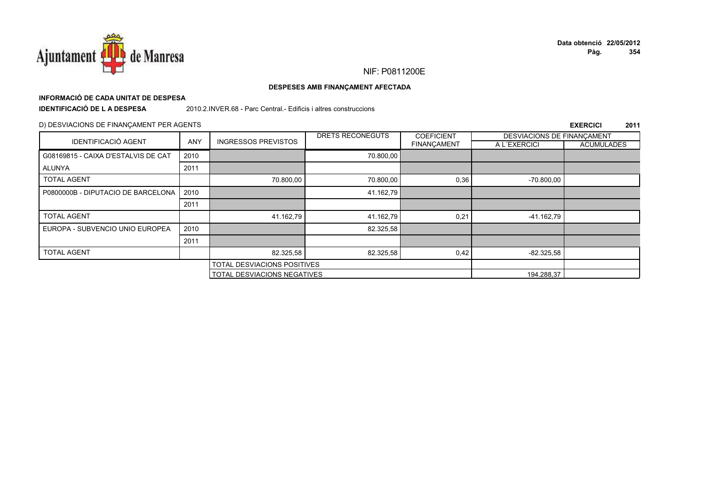

## **INFORMACIÓ DE CADA UNITAT DE DESPESA**

**IDENTIFICACIÓ DE L A DESPESA**

2010.2.INVER.68 - Parc Central.- Edificis i altres construccions

## D) DESVIACIONS DE FINANÇAMENT PER AGENTS

|                                     |                             |                            | DRETS RECONEGUTS                   | <b>COEFICIENT</b>  | DESVIACIONS DE FINANCAMENT |                   |
|-------------------------------------|-----------------------------|----------------------------|------------------------------------|--------------------|----------------------------|-------------------|
| <b>IDENTIFICACIÓ AGENT</b>          | <b>ANY</b>                  | <b>INGRESSOS PREVISTOS</b> |                                    | <b>FINANCAMENT</b> | A L'EXERCICI               | <b>ACUMULADES</b> |
| G08169815 - CAIXA D'ESTALVIS DE CAT | 2010                        |                            | 70.800,00                          |                    |                            |                   |
| ALUNYA                              | 2011                        |                            |                                    |                    |                            |                   |
| <b>TOTAL AGENT</b>                  |                             | 70.800,00                  | 70.800,00                          | 0,36               | $-70.800,00$               |                   |
| P0800000B - DIPUTACIO DE BARCELONA  | 2010                        |                            | 41.162.79                          |                    |                            |                   |
|                                     | 2011                        |                            |                                    |                    |                            |                   |
| <b>TOTAL AGENT</b>                  |                             | 41.162,79                  | 41.162,79                          | 0,21               | -41.162,79                 |                   |
| EUROPA - SUBVENCIO UNIO EUROPEA     | 2010                        |                            | 82.325,58                          |                    |                            |                   |
|                                     | 2011                        |                            |                                    |                    |                            |                   |
| <b>TOTAL AGENT</b>                  |                             | 82.325,58                  | 82.325,58                          | 0,42               | $-82.325.58$               |                   |
|                                     | TOTAL DESVIACIONS POSITIVES |                            |                                    |                    |                            |                   |
|                                     |                             |                            | <b>TOTAL DESVIACIONS NEGATIVES</b> |                    |                            |                   |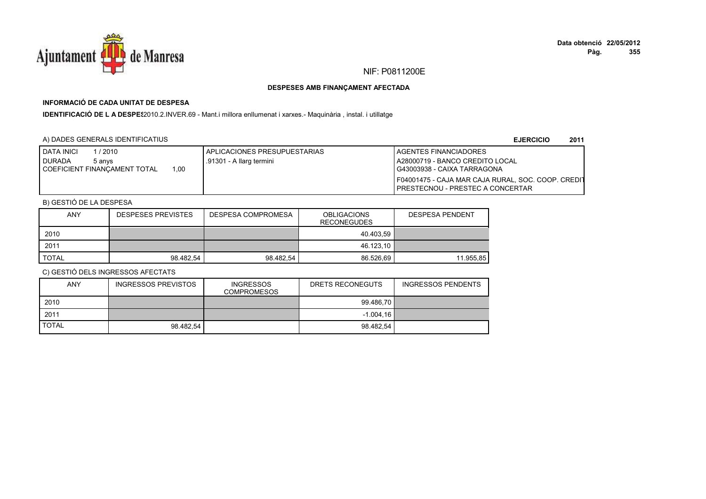

## **INFORMACIÓ DE CADA UNITAT DE DESPESA**

IDENTIFICACIÓ DE L A DESPE<sup>2</sup>2010.2.INVER.69 - Mant.i millora enllumenat i xarxes.- Maquinària , instal. i utillatge

## A) DADES GENERALS IDENTIFICATIUS

**EJERCICIO<sup>2011</sup>**

| <b>I DATA INICI</b><br>/ 2010                | APLICACIONES PRESUPUESTARIAS | <b>I AGENTES FINANCIADORES</b>                     |
|----------------------------------------------|------------------------------|----------------------------------------------------|
| <b>DURADA</b><br>5 anvs                      | .91301 - A llarg termini     | A28000719 - BANCO CREDITO LOCAL                    |
| .00<br><b>I COEFICIENT FINANCAMENT TOTAL</b> |                              | G43003938 - CAIXA TARRAGONA                        |
|                                              |                              | F04001475 - CAJA MAR CAJA RURAL, SOC. COOP. CREDIT |
|                                              |                              | I PRESTECNOU - PRESTEC A CONCERTAR                 |

## B) GESTIÓ DE LA DESPESA

| <b>ANY</b>   | <b>DESPESES PREVISTES</b> | <b>DESPESA COMPROMESA</b> | <b>OBLIGACIONS</b><br><b>RECONEGUDES</b> | <b>DESPESA PENDENT</b> |
|--------------|---------------------------|---------------------------|------------------------------------------|------------------------|
| 2010         |                           |                           | 40.403.59                                |                        |
| 2011         |                           |                           | 46.123,10                                |                        |
| <b>TOTAL</b> | 98.482.54                 | 98.482.54                 | 86.526.69                                | 11.955.85              |

| ANY          | <b>INGRESSOS PREVISTOS</b> | <b>INGRESSOS</b><br><b>COMPROMESOS</b> | DRETS RECONEGUTS | INGRESSOS PENDENTS |
|--------------|----------------------------|----------------------------------------|------------------|--------------------|
| 2010         |                            |                                        | 99.486.70        |                    |
| 2011         |                            |                                        | $-1.004.16$      |                    |
| <b>TOTAL</b> | 98.482.54                  |                                        | 98.482.54        |                    |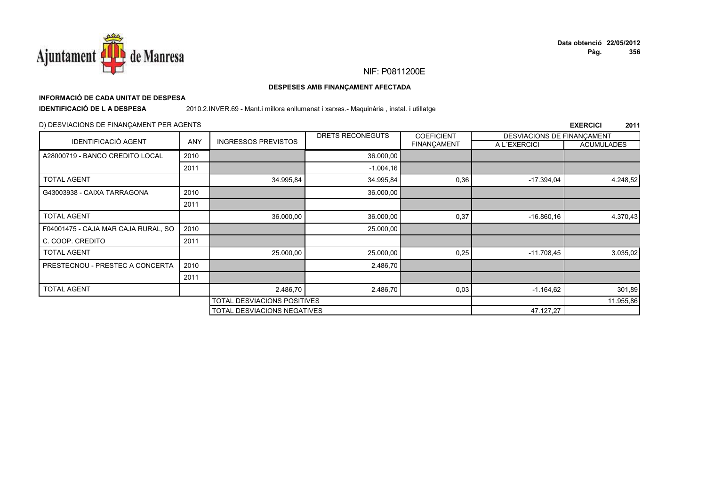

## **INFORMACIÓ DE CADA UNITAT DE DESPESA**

**IDENTIFICACIÓ DE L A DESPESA**

2010.2.INVER.69 - Mant.i millora enllumenat i xarxes.- Maquinària , instal. i utillatge

## D) DESVIACIONS DE FINANÇAMENT PER AGENTS

|                                     |                             |                             | DRETS RECONEGUTS | <b>COEFICIENT</b>  | DESVIACIONS DE FINANCAMENT |                   |
|-------------------------------------|-----------------------------|-----------------------------|------------------|--------------------|----------------------------|-------------------|
| <b>IDENTIFICACIÓ AGENT</b>          | ANY                         | <b>INGRESSOS PREVISTOS</b>  |                  | <b>FINANÇAMENT</b> | A L'EXERCICI               | <b>ACUMULADES</b> |
| A28000719 - BANCO CREDITO LOCAL     | 2010                        |                             | 36.000,00        |                    |                            |                   |
|                                     | 2011                        |                             | $-1.004, 16$     |                    |                            |                   |
| <b>TOTAL AGENT</b>                  |                             | 34.995,84                   | 34.995,84        | 0,36               | $-17.394.04$               | 4.248,52          |
| G43003938 - CAIXA TARRAGONA         | 2010                        |                             | 36.000,00        |                    |                            |                   |
|                                     | 2011                        |                             |                  |                    |                            |                   |
| <b>TOTAL AGENT</b>                  |                             | 36.000,00                   | 36.000,00        | 0,37               | $-16.860, 16$              | 4.370,43          |
| F04001475 - CAJA MAR CAJA RURAL, SO | 2010                        |                             | 25.000,00        |                    |                            |                   |
| C. COOP. CREDITO                    | 2011                        |                             |                  |                    |                            |                   |
| <b>TOTAL AGENT</b>                  |                             | 25.000,00                   | 25.000,00        | 0,25               | $-11.708,45$               | 3.035,02          |
| PRESTECNOU - PRESTEC A CONCERTA     | 2010                        |                             | 2.486,70         |                    |                            |                   |
|                                     | 2011                        |                             |                  |                    |                            |                   |
| <b>TOTAL AGENT</b>                  |                             | 2.486,70                    | 2.486,70         | 0,03               | $-1.164,62$                | 301,89            |
|                                     | TOTAL DESVIACIONS POSITIVES |                             |                  | 11.955,86          |                            |                   |
|                                     |                             | TOTAL DESVIACIONS NEGATIVES |                  |                    | 47.127,27                  |                   |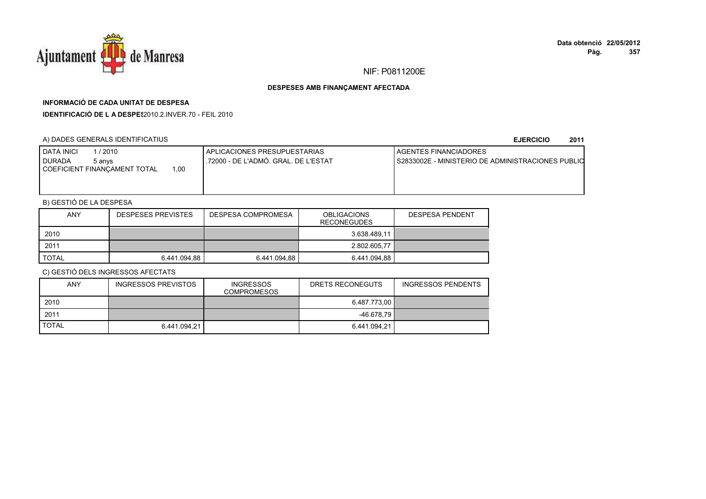

## **INFORMACIÓ DE CADA UNITAT DE DESPESA**

**IDENTIFICACIÓ DE L A DESPES**2010.2.INVER.70 - FEIL 2010

## A) DADES GENERALS IDENTIFICATIUS

**EJERCICIO<sup>2011</sup>**

| I DATA INICI<br>/2010<br><b>DURADA</b><br>5 anvs<br>1.00<br>I COEFICIENT FINANCAMENT TOTAL | I APLICACIONES PRESUPUESTARIAS<br>.72000 - DE L'ADMÓ, GRAL, DE L'ESTAT | <b>I AGENTES FINANCIADORES</b><br>I S2833002E - MINISTERIO DE ADMINISTRACIONES PUBLIO |
|--------------------------------------------------------------------------------------------|------------------------------------------------------------------------|---------------------------------------------------------------------------------------|
|--------------------------------------------------------------------------------------------|------------------------------------------------------------------------|---------------------------------------------------------------------------------------|

## B) GESTIÓ DE LA DESPESA

| <b>ANY</b>   | <b>DESPESES PREVISTES</b> | DESPESA COMPROMESA | <b>OBLIGACIONS</b><br><b>RECONEGUDES</b> | <b>DESPESA PENDENT</b> |
|--------------|---------------------------|--------------------|------------------------------------------|------------------------|
| 2010         |                           |                    | 3.638.489.11                             |                        |
| 2011         |                           |                    | 2.802.605.77                             |                        |
| <b>TOTAL</b> | 6.441.094.88              | 6.441.094.88       | 6.441.094.88                             |                        |

| ANY          | <b>INGRESSOS PREVISTOS</b> | <b>INGRESSOS</b><br><b>COMPROMESOS</b> | DRETS RECONEGUTS | INGRESSOS PENDENTS |
|--------------|----------------------------|----------------------------------------|------------------|--------------------|
| 2010         |                            |                                        | 6.487.773.00 ∥   |                    |
| 2011         |                            |                                        | $-46.678.79$     |                    |
| <b>TOTAL</b> | 6.441.094,21               |                                        | 6.441.094.21     |                    |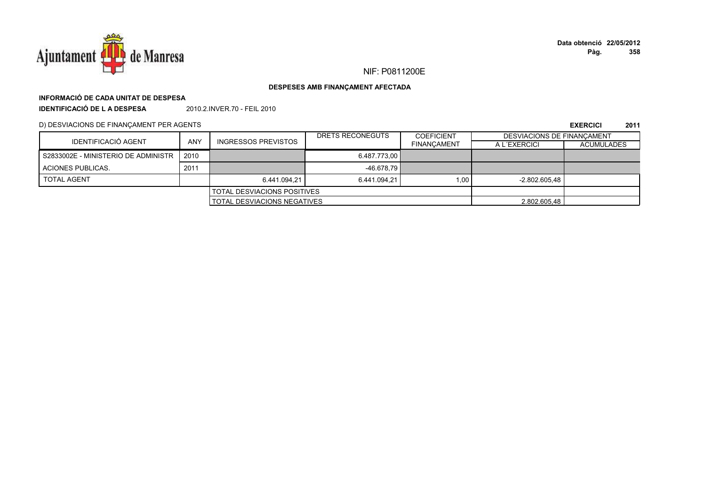

## NIF: P0811200E

### DESPESES AMB FINANÇAMENT AFECTADA

# INFORMACIÓ DE CADA UNITAT DE DESPESA

**IDENTIFICACIÓ DE LA DESPESA** 2010.2.INVER.70 - FEIL 2010

D) DESVIACIONS DE FINANÇAMENT PER AGENTS

|                                     |      |                                    | DRETS RECONEGUTS | <b>COEFICIENT</b>  | DESVIACIONS DE FINANCAMENT |                   |
|-------------------------------------|------|------------------------------------|------------------|--------------------|----------------------------|-------------------|
| IDENTIFICACIÓ AGENT                 | ANY  | <b>INGRESSOS PREVISTOS</b>         |                  | <b>FINANCAMENT</b> | A L'EXERCICI               | <b>ACUMULADES</b> |
| S2833002E - MINISTERIO DE ADMINISTR | 2010 |                                    | 6.487.773.00     |                    |                            |                   |
| ACIONES PUBLICAS.                   | 2011 |                                    | $-46.678.79$     |                    |                            |                   |
| <b>TOTAL AGENT</b>                  |      | 6.441.094.21                       | 6.441.094.21     | 1.00               | $-2.802.605.48$            |                   |
|                                     |      | <b>TOTAL DESVIACIONS POSITIVES</b> |                  |                    |                            |                   |
| <b>TOTAL DESVIACIONS NEGATIVES</b>  |      |                                    | 2.802.605.48     |                    |                            |                   |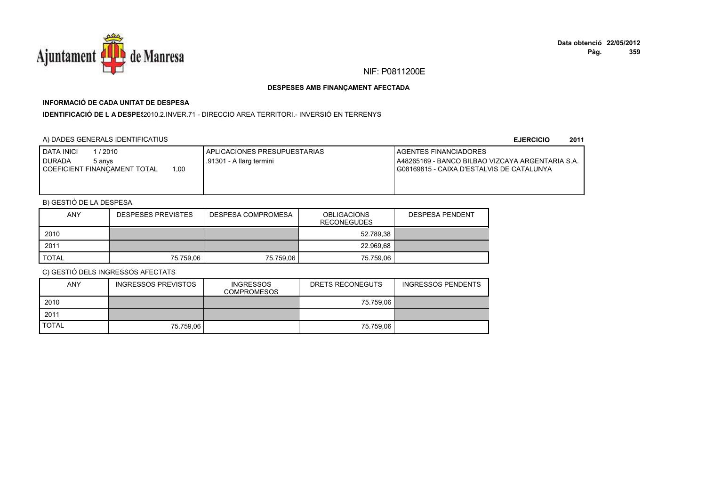

## **INFORMACIÓ DE CADA UNITAT DE DESPESA**

**IDENTIFICACIÓ DE L A DESPES**2010.2.INVER.71 - DIRECCIO AREA TERRITORI.- INVERSIÓ EN TERRENYS

## A) DADES GENERALS IDENTIFICATIUS

**EJERCICIO<sup>2011</sup>**

| <b>I DATA INICI</b><br>/2010<br>I DURADA<br>5 anvs<br>00,ا<br>COEFICIENT FINANCAMENT TOTAL | APLICACIONES PRESUPUESTARIAS<br>.91301 - A llarg termini | <b>I AGENTES FINANCIADORES</b><br>LA48265169 - BANCO BILBAO VIZCAYA ARGENTARIA S.A.<br>I G08169815 - CAIXA D'ESTALVIS DE CATALUNYA |
|--------------------------------------------------------------------------------------------|----------------------------------------------------------|------------------------------------------------------------------------------------------------------------------------------------|
|                                                                                            |                                                          |                                                                                                                                    |

## B) GESTIÓ DE LA DESPESA

| <b>ANY</b>   | <b>DESPESES PREVISTES</b> | DESPESA COMPROMESA | <b>OBLIGACIONS</b><br><b>RECONEGUDES</b> | <b>DESPESA PENDENT</b> |
|--------------|---------------------------|--------------------|------------------------------------------|------------------------|
| 2010         |                           |                    | 52.789,38                                |                        |
| 2011         |                           |                    | 22.969,68                                |                        |
| <b>TOTAL</b> | 75.759.06                 | 75.759.06          | 75.759,06                                |                        |

| <b>ANY</b>   | INGRESSOS PREVISTOS | <b>INGRESSOS</b><br><b>COMPROMESOS</b> | DRETS RECONEGUTS | <b>INGRESSOS PENDENTS</b> |
|--------------|---------------------|----------------------------------------|------------------|---------------------------|
| 2010         |                     |                                        | 75.759,06        |                           |
| 2011         |                     |                                        |                  |                           |
| <b>TOTAL</b> | 75.759.06           |                                        | 75.759.06        |                           |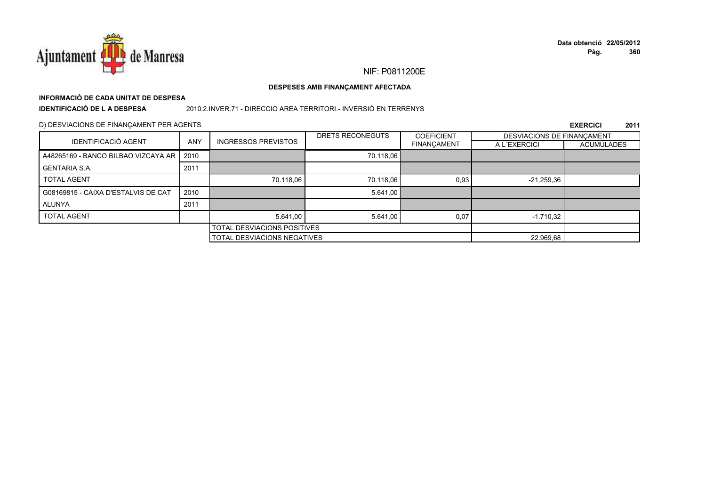

## **INFORMACIÓ DE CADA UNITAT DE DESPESA**

**IDENTIFICACIÓ DE L A DESPESA**

## 2010.2.INVER.71 - DIRECCIO AREA TERRITORI.- INVERSIÓ EN TERRENYS

#### D) DESVIACIONS DE FINANÇAMENT PER AGENTS

|                                     |            |                                    | DRETS RECONEGUTS<br><b>COEFICIENT</b> |             | DESVIACIONS DE FINANCAMENT |            |
|-------------------------------------|------------|------------------------------------|---------------------------------------|-------------|----------------------------|------------|
| <b>IDENTIFICACIÓ AGENT</b>          | <b>ANY</b> | <b>INGRESSOS PREVISTOS</b>         |                                       | FINANÇAMENT | A L'EXERCICI               | ACUMULADES |
| A48265169 - BANCO BILBAO VIZCAYA AR | 2010       |                                    | 70.118,06                             |             |                            |            |
| <b>GENTARIA S.A.</b>                | 2011       |                                    |                                       |             |                            |            |
| <b>TOTAL AGENT</b>                  |            | 70.118,06                          | 70.118,06                             | 0,93        | $-21.259.36$               |            |
| G08169815 - CAIXA D'ESTALVIS DE CAT | 2010       |                                    | 5.641,00                              |             |                            |            |
| ALUNYA                              | 2011       |                                    |                                       |             |                            |            |
| <b>TOTAL AGENT</b>                  |            | 5.641,00                           | 5.641,00                              | 0.07        | $-1.710.32$                |            |
|                                     |            | <b>TOTAL DESVIACIONS POSITIVES</b> |                                       |             |                            |            |
|                                     |            | TOTAL DESVIACIONS NEGATIVES        |                                       |             | 22.969,68                  |            |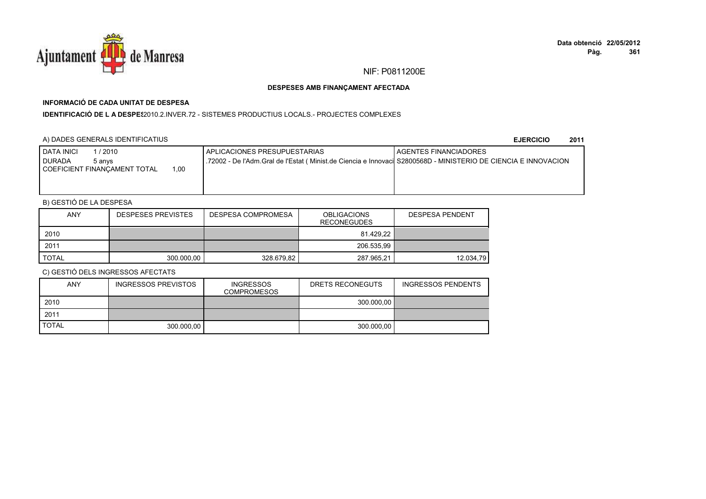

## **INFORMACIÓ DE CADA UNITAT DE DESPESA**

**IDENTIFICACIÓ DE L A DESPES**2010.2.INVER.72 - SISTEMES PRODUCTIUS LOCALS.- PROJECTES COMPLEXES

## A) DADES GENERALS IDENTIFICATIUS

**EJERCICIO<sup>2011</sup>**

| <b>I DATA INICI</b><br>/2010                                        | <b>I APLICACIONES PRESUPUESTARIAS</b>                                                                          | <b>I AGENTES FINANCIADORES</b> |
|---------------------------------------------------------------------|----------------------------------------------------------------------------------------------------------------|--------------------------------|
| I DURADA<br>5 anvs<br>.00.<br><b>I COEFICIENT FINANCAMENT TOTAL</b> | 72002 - De l'Adm.Gral de l'Estat ( Minist.de Ciencia e Innovaci S2800568D - MINISTERIO DE CIENCIA E INNOVACION |                                |
|                                                                     |                                                                                                                |                                |
|                                                                     |                                                                                                                |                                |

## B) GESTIÓ DE LA DESPESA

| ANY   | <b>DESPESES PREVISTES</b> | DESPESA COMPROMESA | <b>OBLIGACIONS</b><br><b>RECONEGUDES</b> | <b>DESPESA PENDENT</b> |
|-------|---------------------------|--------------------|------------------------------------------|------------------------|
| 2010  |                           |                    | 81.429.22                                |                        |
| 2011  |                           |                    | 206.535.99                               |                        |
| TOTAL | 300.000,00                | 328.679.82         | 287.965,21                               | 12.034,79              |

| <b>ANY</b>   | INGRESSOS PREVISTOS | <b>INGRESSOS</b><br><b>COMPROMESOS</b> | DRETS RECONEGUTS | <b>INGRESSOS PENDENTS</b> |
|--------------|---------------------|----------------------------------------|------------------|---------------------------|
| 2010         |                     |                                        | 300.000.00       |                           |
| 2011         |                     |                                        |                  |                           |
| <b>TOTAL</b> | 300.000.00          |                                        | 300.000.00       |                           |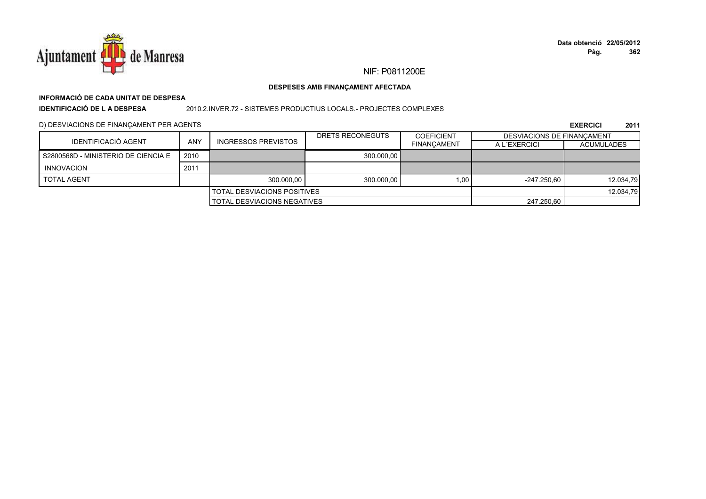

## NIF: P0811200E

### DESPESES AMB FINANÇAMENT AFECTADA

## INFORMACIÓ DE CADA UNITAT DE DESPESA **IDENTIFICACIÓ DE LA DESPESA**

#### 2010.2.INVER.72 - SISTEMES PRODUCTIUS LOCALS.- PROJECTES COMPLEXES

D) DESVIACIONS DE FINANÇAMENT PER AGENTS

|                                     |            |                                      | DRETS RECONEGUTS | <b>COEFICIENT</b>  | <b>DESVIACIONS DE FINANCAMENT</b> |                   |
|-------------------------------------|------------|--------------------------------------|------------------|--------------------|-----------------------------------|-------------------|
| IDENTIFICACIÓ AGENT                 | <b>ANY</b> | <b>INGRESSOS PREVISTOS</b>           |                  | <b>FINANCAMENT</b> | A L'EXERCICI                      | <b>ACUMULADES</b> |
| S2800568D - MINISTERIO DE CIENCIA E | 2010       |                                      | 300.000.00       |                    |                                   |                   |
| INNOVACION                          | 2011       |                                      |                  |                    |                                   |                   |
| <b>TOTAL AGENT</b>                  |            | 300.000.00                           | 300.000.00       | 1.00               | $-247.250.60$                     | 12.034.79         |
|                                     |            | <b>I TOTAL DESVIACIONS POSITIVES</b> |                  |                    |                                   | 12.034,79         |
| <b>TOTAL DESVIACIONS NEGATIVES</b>  |            |                                      | 247.250.60       |                    |                                   |                   |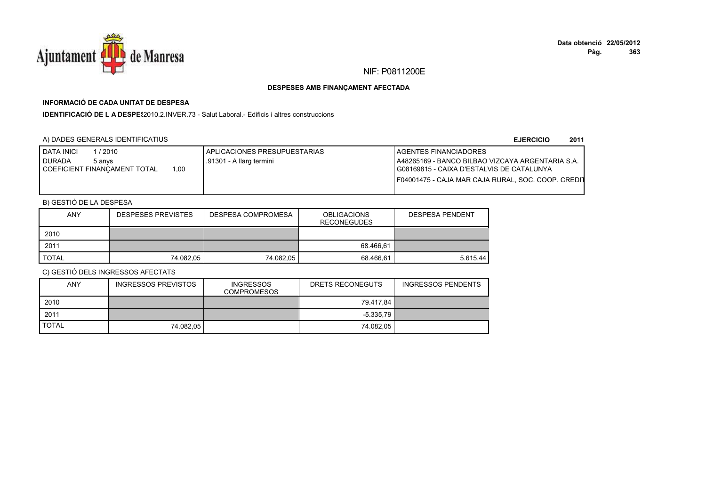

# **INFORMACIÓ DE CADA UNITAT DE DESPESA**

**IDENTIFICACIÓ DE L A DESPES**2010.2.INVER.73 - Salut Laboral.- Edificis i altres construccions

## A) DADES GENERALS IDENTIFICATIUS

#### **EJERCICIO<sup>2011</sup>**

| <b>DATA INICI</b><br>/2010<br><b>DURADA</b><br>5 anvs | APLICACIONES PRESUPUESTARIAS<br>.91301 - A llarg termini | <b>I AGENTES FINANCIADORES</b><br>A48265169 - BANCO BILBAO VIZCAYA ARGENTARIA S.A. |
|-------------------------------------------------------|----------------------------------------------------------|------------------------------------------------------------------------------------|
| COEFICIENT FINANÇAMENT TOTAL<br>1,00                  |                                                          | I G08169815 - CAIXA D'ESTALVIS DE CATALUNYA                                        |
|                                                       |                                                          | I F04001475 - CAJA MAR CAJA RURAL. SOC. COOP. CREDIT                               |

## B) GESTIÓ DE LA DESPESA

| <b>ANY</b> | <b>DESPESES PREVISTES</b> | DESPESA COMPROMESA | <b>OBLIGACIONS</b><br><b>RECONEGUDES</b> | <b>DESPESA PENDENT</b> |
|------------|---------------------------|--------------------|------------------------------------------|------------------------|
| 2010       |                           |                    |                                          |                        |
| 2011       |                           |                    | 68.466.61                                |                        |
| TOTAL      | 74.082.05                 | 74.082,05          | 68.466.61                                | 5.615.44               |

| ANY          | INGRESSOS PREVISTOS | <b>INGRESSOS</b><br>COMPROMESOS | DRETS RECONEGUTS           | INGRESSOS PENDENTS |
|--------------|---------------------|---------------------------------|----------------------------|--------------------|
| 2010         |                     |                                 | 79.417.84                  |                    |
| 2011         |                     |                                 | $-5.335.79$ $\blacksquare$ |                    |
| <b>TOTAL</b> | 74.082.05           |                                 | 74.082.05                  |                    |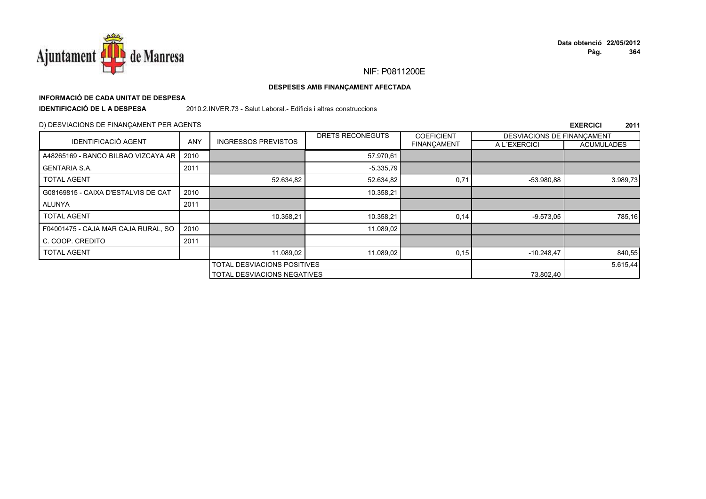

## **INFORMACIÓ DE CADA UNITAT DE DESPESA**

**IDENTIFICACIÓ DE L A DESPESA**

2010.2.INVER.73 - Salut Laboral.- Edificis i altres construccions

## D) DESVIACIONS DE FINANÇAMENT PER AGENTS

|                                     |      |                                    | DRETS RECONEGUTS | <b>COEFICIENT</b>  | DESVIACIONS DE FINANÇAMENT |                   |
|-------------------------------------|------|------------------------------------|------------------|--------------------|----------------------------|-------------------|
| <b>IDENTIFICACIÓ AGENT</b>          | ANY  | <b>INGRESSOS PREVISTOS</b>         |                  | <b>FINANCAMENT</b> | A L'EXERCICI               | <b>ACUMULADES</b> |
| A48265169 - BANCO BILBAO VIZCAYA AR | 2010 |                                    | 57.970,61        |                    |                            |                   |
| <b>GENTARIA S.A.</b>                | 2011 |                                    | $-5.335,79$      |                    |                            |                   |
| <b>TOTAL AGENT</b>                  |      | 52.634,82                          | 52.634,82        | 0,71               | -53.980,88                 | 3.989,73          |
| G08169815 - CAIXA D'ESTALVIS DE CAT | 2010 |                                    | 10.358,21        |                    |                            |                   |
| ALUNYA                              | 2011 |                                    |                  |                    |                            |                   |
| <b>TOTAL AGENT</b>                  |      | 10.358,21                          | 10.358,21        | 0,14               | $-9.573.05$                | 785,16            |
| F04001475 - CAJA MAR CAJA RURAL, SO | 2010 |                                    | 11.089,02        |                    |                            |                   |
| C. COOP. CREDITO                    | 2011 |                                    |                  |                    |                            |                   |
| <b>TOTAL AGENT</b>                  |      | 11.089.02                          | 11.089,02        | 0, 15              | $-10.248.47$               | 840,55            |
|                                     |      | <b>TOTAL DESVIACIONS POSITIVES</b> |                  |                    |                            | 5.615,44          |
|                                     |      | <b>TOTAL DESVIACIONS NEGATIVES</b> |                  |                    | 73.802,40                  |                   |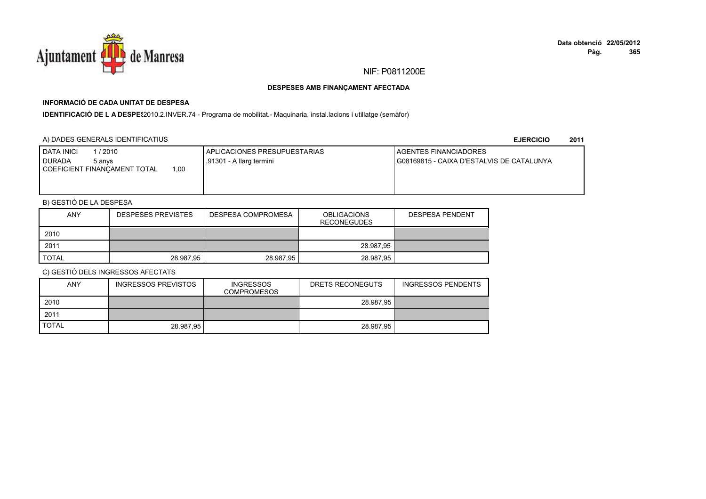

## **INFORMACIÓ DE CADA UNITAT DE DESPESA**

IDENTIFICACIÓ DE L A DESPE<sup>2</sup>2010.2.INVER.74 - Programa de mobilitat.- Maquinaria, instal.lacions i utillatge (semàfor)

## A) DADES GENERALS IDENTIFICATIUS

**EJERCICIO<sup>2011</sup>**

| <b>I DATA INICI</b><br>/ 2010<br><b>DURADA</b><br>5 anvs | APLICACIONES PRESUPUESTARIAS<br>.91301 - A llarg termini | <b>I AGENTES FINANCIADORES</b><br>G08169815 - CAIXA D'ESTALVIS DE CATALUNYA |
|----------------------------------------------------------|----------------------------------------------------------|-----------------------------------------------------------------------------|
| 1.00<br>COEFICIENT FINANCAMENT TOTAL                     |                                                          |                                                                             |
|                                                          |                                                          |                                                                             |

## B) GESTIÓ DE LA DESPESA

| <b>ANY</b>   | <b>DESPESES PREVISTES</b> | <b>DESPESA COMPROMESA</b> | <b>OBLIGACIONS</b><br><b>RECONEGUDES</b> | <b>DESPESA PENDENT</b> |
|--------------|---------------------------|---------------------------|------------------------------------------|------------------------|
| 2010         |                           |                           |                                          |                        |
| 2011         |                           |                           | 28.987,95                                |                        |
| <b>TOTAL</b> | 28.987,95                 | 28.987,95                 | 28.987,95                                |                        |

| <b>ANY</b>   | INGRESSOS PREVISTOS | <b>INGRESSOS</b><br><b>COMPROMESOS</b> | DRETS RECONEGUTS | <b>INGRESSOS PENDENTS</b> |
|--------------|---------------------|----------------------------------------|------------------|---------------------------|
| 2010         |                     |                                        | 28.987.95        |                           |
| 2011         |                     |                                        |                  |                           |
| <b>TOTAL</b> | 28.987.95           |                                        | 28.987.95        |                           |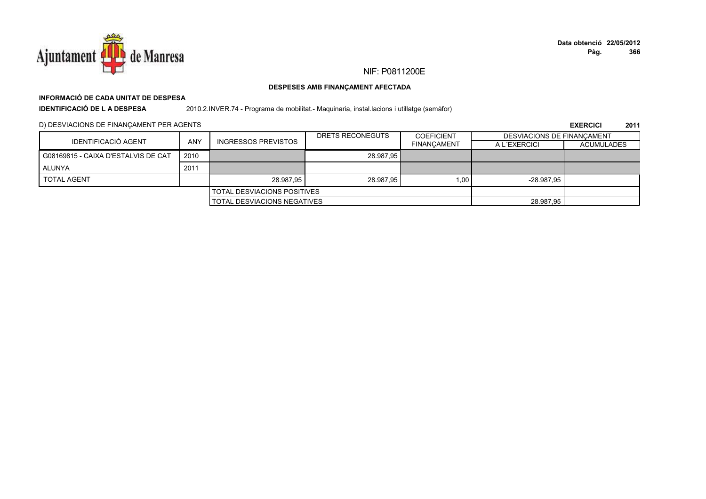

## **INFORMACIÓ DE CADA UNITAT DE DESPESA**

**IDENTIFICACIÓ DE L A DESPESA**

2010.2.INVER.74 - Programa de mobilitat.- Maquinaria, instal.lacions i utillatge (semàfor)

D) DESVIACIONS DE FINANÇAMENT PER AGENTS

|                                     |            |                                    | DRETS RECONEGUTS | <b>COEFICIENT</b>  | DESVIACIONS DE FINANCAMENT |                   |
|-------------------------------------|------------|------------------------------------|------------------|--------------------|----------------------------|-------------------|
| <b>IDENTIFICACIÓ AGENT</b>          | <b>ANY</b> | <b>INGRESSOS PREVISTOS</b>         |                  | <b>FINANCAMENT</b> | A L'EXERCICI               | <b>ACUMULADES</b> |
| G08169815 - CAIXA D'ESTALVIS DE CAT | 2010       |                                    | 28.987.95        |                    |                            |                   |
| ALUNYA                              | 2011       |                                    |                  |                    |                            |                   |
| <b>TOTAL AGENT</b>                  |            | 28.987.95                          | 28.987.95        | 1.00               | $-28.987.95$               |                   |
|                                     |            | <b>TOTAL DESVIACIONS POSITIVES</b> |                  |                    |                            |                   |
| <b>TOTAL DESVIACIONS NEGATIVES</b>  |            |                                    | 28.987.95        |                    |                            |                   |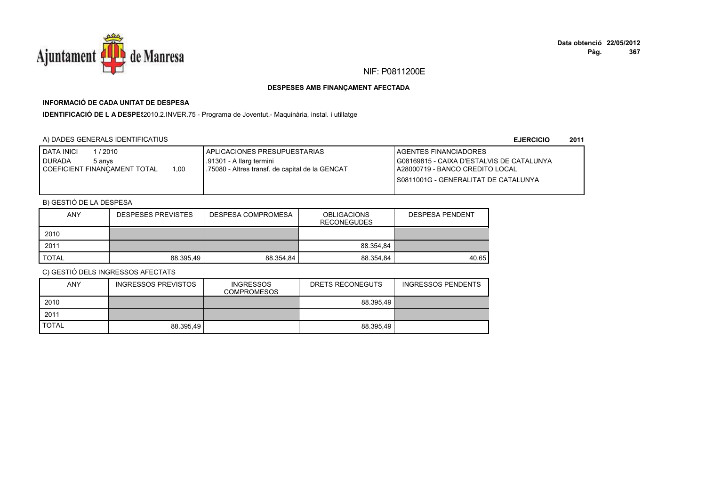

## **INFORMACIÓ DE CADA UNITAT DE DESPESA**

IDENTIFICACIÓ DE L A DESPE<sup>2</sup>2010.2.INVER.75 - Programa de Joventut.- Maquinària, instal. i utillatge

### A) DADES GENERALS IDENTIFICATIUS

**EJERCICIO<sup>2011</sup>**

| <b>DATA INICI</b><br>l / 2010<br><b>DURADA</b><br>5 anvs<br>1.00<br>I COEFICIENT FINANCAMENT TOTAL | APLICACIONES PRESUPUESTARIAS<br>.91301 - A llarg termini<br>1.75080 - Altres transf. de capital de la GENCAT | AGENTES FINANCIADORES<br>G08169815 - CAIXA D'ESTALVIS DE CATALUNYA<br>I A28000719 - BANCO CREDITO LOCAL<br>I S0811001G - GENERALITAT DE CATALUNYA |
|----------------------------------------------------------------------------------------------------|--------------------------------------------------------------------------------------------------------------|---------------------------------------------------------------------------------------------------------------------------------------------------|
|                                                                                                    |                                                                                                              |                                                                                                                                                   |

## B) GESTIÓ DE LA DESPESA

| <b>ANY</b>   | <b>DESPESES PREVISTES</b> | <b>DESPESA COMPROMESA</b> | <b>OBLIGACIONS</b><br><b>RECONEGUDES</b> | <b>DESPESA PENDENT</b> |
|--------------|---------------------------|---------------------------|------------------------------------------|------------------------|
| 2010         |                           |                           |                                          |                        |
| 2011         |                           |                           | 88.354.84                                |                        |
| <b>TOTAL</b> | 88.395.49                 | 88.354.84                 | 88.354,84                                | 40.65                  |

| <b>ANY</b>   | <b>INGRESSOS PREVISTOS</b> | <b>INGRESSOS</b><br><b>COMPROMESOS</b> | DRETS RECONEGUTS | <b>INGRESSOS PENDENTS</b> |
|--------------|----------------------------|----------------------------------------|------------------|---------------------------|
| 2010         |                            |                                        | 88.395.49        |                           |
| 2011         |                            |                                        |                  |                           |
| <b>TOTAL</b> | 88.395.49                  |                                        | 88.395.49        |                           |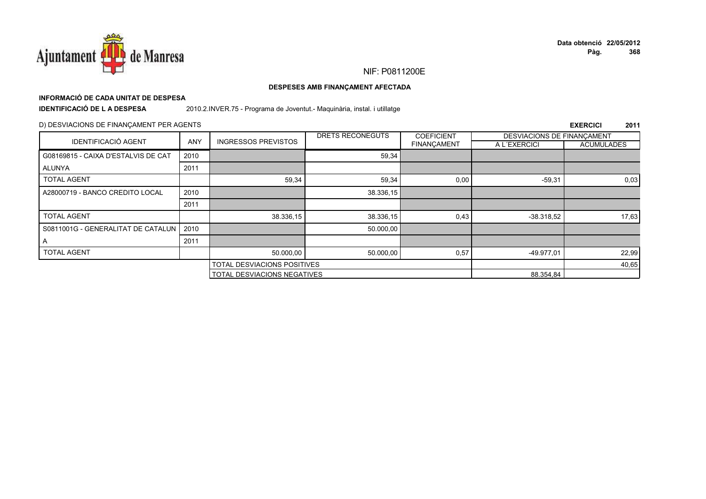

## **INFORMACIÓ DE CADA UNITAT DE DESPESA**

**IDENTIFICACIÓ DE L A DESPESA**

2010.2.INVER.75 - Programa de Joventut.- Maquinària, instal. i utillatge

### D) DESVIACIONS DE FINANÇAMENT PER AGENTS

|                                     |            |                                    | DRETS RECONEGUTS | <b>COEFICIENT</b>  | DESVIACIONS DE FINANÇAMENT |                   |
|-------------------------------------|------------|------------------------------------|------------------|--------------------|----------------------------|-------------------|
| <b>IDENTIFICACIÓ AGENT</b>          | <b>ANY</b> | <b>INGRESSOS PREVISTOS</b>         |                  | <b>FINANÇAMENT</b> | A L'EXERCICI               | <b>ACUMULADES</b> |
| G08169815 - CAIXA D'ESTALVIS DE CAT | 2010       |                                    | 59,34            |                    |                            |                   |
| ALUNYA                              | 2011       |                                    |                  |                    |                            |                   |
| <b>TOTAL AGENT</b>                  |            | 59,34                              | 59,34            | 0,00               | $-59,31$                   | 0,03              |
| A28000719 - BANCO CREDITO LOCAL     | 2010       |                                    | 38.336,15        |                    |                            |                   |
|                                     | 2011       |                                    |                  |                    |                            |                   |
| <b>TOTAL AGENT</b>                  |            | 38.336,15                          | 38.336,15        | 0,43               | $-38.318.52$               | 17,63             |
| S0811001G - GENERALITAT DE CATALUN  | 2010       |                                    | 50.000,00        |                    |                            |                   |
| A                                   | 2011       |                                    |                  |                    |                            |                   |
| <b>TOTAL AGENT</b>                  |            | 50.000,00                          | 50.000,00        | 0,57               | -49.977,01                 | 22,99             |
| <b>TOTAL DESVIACIONS POSITIVES</b>  |            |                                    |                  |                    | 40,65                      |                   |
|                                     |            | <b>TOTAL DESVIACIONS NEGATIVES</b> |                  |                    | 88.354,84                  |                   |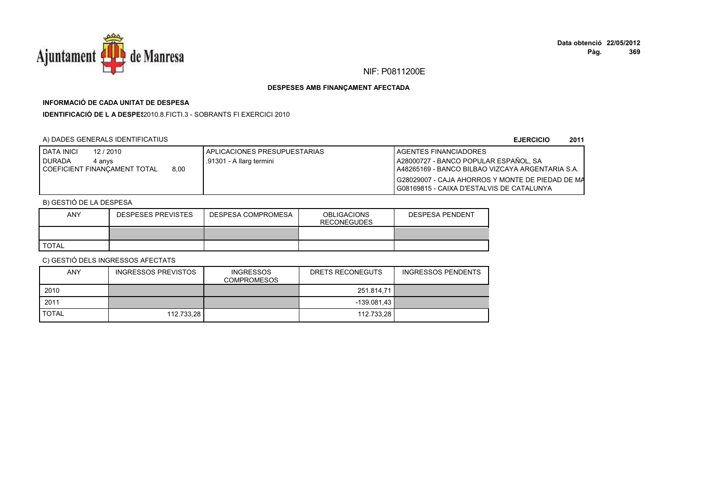

## **INFORMACIÓ DE CADA UNITAT DE DESPESA**

**IDENTIFICACIÓ DE L A DESPES**2010.8.FICTI.3 - SOBRANTS FI EXERCICI 2010

## A) DADES GENERALS IDENTIFICATIUS

**EJERCICIO<sup>2011</sup>**

| <b>I DATA INICI</b><br>12 / 2010 |      | APLICACIONES PRESUPUESTARIAS | <b>I AGENTES FINANCIADORES</b>                     |
|----------------------------------|------|------------------------------|----------------------------------------------------|
| <b>DURADA</b><br>4 anvs          |      | .91301 - A llarg termini     | A28000727 - BANCO POPULAR ESPAÑOL. SA              |
| I COEFICIENT FINANCAMENT TOTAL   | 8.00 |                              | I A48265169 - BANCO BILBAO VIZCAYA ARGENTARIA S.A. |
|                                  |      |                              | I G28029007 - CAJA AHORROS Y MONTE DE PIEDAD DE MA |
|                                  |      |                              | I G08169815 - CAIXA D'ESTALVIS DE CATALUNYA        |

## B) GESTIÓ DE LA DESPESA

| <b>ANY</b>   | <b>DESPESES PREVISTES</b> | DESPESA COMPROMESA | <b>OBLIGACIONS</b><br><b>RECONEGUDES</b> | <b>DESPESA PENDENT</b> |
|--------------|---------------------------|--------------------|------------------------------------------|------------------------|
|              |                           |                    |                                          |                        |
| <b>TOTAL</b> |                           |                    |                                          |                        |

| <b>ANY</b>   | <b>INGRESSOS PREVISTOS</b> | <b>INGRESSOS</b><br><b>COMPROMESOS</b> | DRETS RECONEGUTS | <b>INGRESSOS PENDENTS</b> |
|--------------|----------------------------|----------------------------------------|------------------|---------------------------|
| 2010         |                            |                                        | 251.814.71       |                           |
| 2011         |                            |                                        | $-139.081.43$    |                           |
| <b>TOTAL</b> | 112.733.28                 |                                        | 112.733.28       |                           |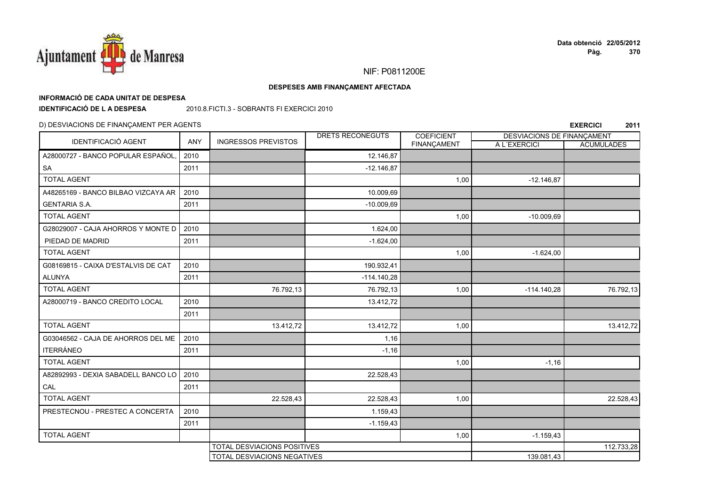

## NIF: P0811200E

### DESPESES AMB FINANÇAMENT AFECTADA

## INFORMACIÓ DE CADA UNITAT DE DESPESA

**IDENTIFICACIÓ DE LA DESPESA** 

2010.8. FICTI.3 - SOBRANTS FI EXERCICI 2010

## D) DESVIACIONS DE FINANÇAMENT PER AGENTS

| <b>IDENTIFICACIÓ AGENT</b>          | ANY  | <b>INGRESSOS PREVISTOS</b>         | DRETS RECONEGUTS | <b>COEFICIENT</b> | DESVIACIONS DE FINANÇAMENT |                   |
|-------------------------------------|------|------------------------------------|------------------|-------------------|----------------------------|-------------------|
|                                     |      |                                    |                  | FINANÇAMENT       | A L'EXERCICI               | <b>ACUMULADES</b> |
| A28000727 - BANCO POPULAR ESPAÑOL,  | 2010 |                                    | 12.146,87        |                   |                            |                   |
| SA                                  | 2011 |                                    | $-12.146,87$     |                   |                            |                   |
| <b>TOTAL AGENT</b>                  |      |                                    |                  | 1,00              | $-12.146,87$               |                   |
| A48265169 - BANCO BILBAO VIZCAYA AR | 2010 |                                    | 10.009,69        |                   |                            |                   |
| <b>GENTARIA S.A.</b>                | 2011 |                                    | $-10.009,69$     |                   |                            |                   |
| <b>TOTAL AGENT</b>                  |      |                                    |                  | 1,00              | $-10.009,69$               |                   |
| G28029007 - CAJA AHORROS Y MONTE D  | 2010 |                                    | 1.624.00         |                   |                            |                   |
| PIEDAD DE MADRID                    | 2011 |                                    | $-1.624,00$      |                   |                            |                   |
| <b>TOTAL AGENT</b>                  |      |                                    |                  | 1,00              | $-1.624,00$                |                   |
| G08169815 - CAIXA D'ESTALVIS DE CAT | 2010 |                                    | 190.932,41       |                   |                            |                   |
| <b>ALUNYA</b>                       | 2011 |                                    | $-114.140.28$    |                   |                            |                   |
| <b>TOTAL AGENT</b>                  |      | 76.792,13                          | 76.792,13        | 1,00              | $-114.140,28$              | 76.792,13         |
| A28000719 - BANCO CREDITO LOCAL     | 2010 |                                    | 13.412,72        |                   |                            |                   |
|                                     | 2011 |                                    |                  |                   |                            |                   |
| <b>TOTAL AGENT</b>                  |      | 13.412,72                          | 13.412,72        | 1,00              |                            | 13.412,72         |
| G03046562 - CAJA DE AHORROS DEL ME  | 2010 |                                    | 1,16             |                   |                            |                   |
| <b>ITERRÁNEO</b>                    | 2011 |                                    | $-1,16$          |                   |                            |                   |
| <b>TOTAL AGENT</b>                  |      |                                    |                  | 1,00              | $-1,16$                    |                   |
| A82892993 - DEXIA SABADELL BANCO LO | 2010 |                                    | 22.528,43        |                   |                            |                   |
| CAL                                 | 2011 |                                    |                  |                   |                            |                   |
| <b>TOTAL AGENT</b>                  |      | 22.528,43                          | 22.528,43        | 1,00              |                            | 22.528,43         |
| PRESTECNOU - PRESTEC A CONCERTA     | 2010 |                                    | 1.159,43         |                   |                            |                   |
|                                     | 2011 |                                    | $-1.159,43$      |                   |                            |                   |
| <b>TOTAL AGENT</b>                  |      |                                    |                  | 1,00              | $-1.159,43$                |                   |
|                                     |      | TOTAL DESVIACIONS POSITIVES        |                  |                   |                            | 112.733,28        |
|                                     |      | <b>TOTAL DESVIACIONS NEGATIVES</b> |                  |                   | 139.081,43                 |                   |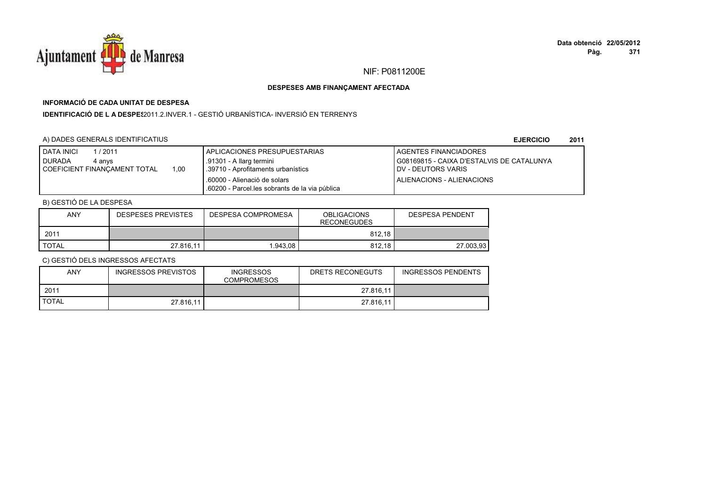

## **INFORMACIÓ DE CADA UNITAT DE DESPESA**

**IDENTIFICACIÓ DE L A DESPES**2011.2.INVER.1 - GESTIÓ URBANÍSTICA- INVERSIÓ EN TERRENYS

## A) DADES GENERALS IDENTIFICATIUS

**EJERCICIO<sup>2011</sup>**

| <b>DATA INICI</b><br>/2011<br><b>DURADA</b><br>4 anvs<br>1.00<br>COEFICIENT FINANCAMENT TOTAL | APLICACIONES PRESUPUESTARIAS<br>.91301 - A llarg termini<br>39710 - Aprofitaments urbanístics | <b>I AGENTES FINANCIADORES</b><br>G08169815 - CAIXA D'ESTALVIS DE CATALUNYA<br><b>IDV - DEUTORS VARIS</b> |
|-----------------------------------------------------------------------------------------------|-----------------------------------------------------------------------------------------------|-----------------------------------------------------------------------------------------------------------|
|                                                                                               | .60000 - Alienació de solars<br>.60200 - Parcel.les sobrants de la via pública                | ALIENACIONS - ALIENACIONS                                                                                 |

## B) GESTIÓ DE LA DESPESA

| <b>ANY</b>   | <b>DESPESES PREVISTES</b> | DESPESA COMPROMESA | <b>OBLIGACIONS</b><br><b>RECONEGUDES</b> | DESPESA PENDENT |
|--------------|---------------------------|--------------------|------------------------------------------|-----------------|
| 201'         |                           |                    | 812,18                                   |                 |
| <b>TOTAL</b> | 27.816.11                 | 1.943.08           | 812.18                                   | 27.003.93       |

| <b>ANY</b>   | <b>INGRESSOS PREVISTOS</b> | <b>INGRESSOS</b><br><b>COMPROMESOS</b> | DRETS RECONEGUTS | <b>INGRESSOS PENDENTS</b> |
|--------------|----------------------------|----------------------------------------|------------------|---------------------------|
| 2011         |                            |                                        | 27.816,11        |                           |
| <b>TOTAL</b> | 27.816.11                  |                                        | 27.816.11        |                           |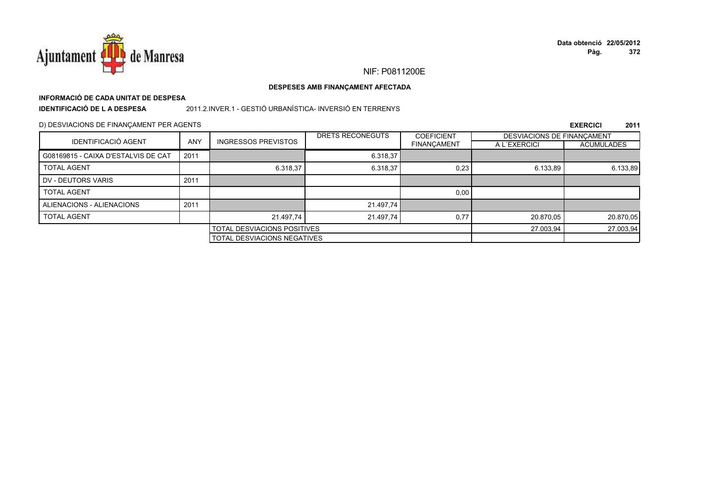

## **INFORMACIÓ DE CADA UNITAT DE DESPESA**

**IDENTIFICACIÓ DE L A DESPESA**

2011.2.INVER.1 - GESTIÓ URBANÍSTICA- INVERSIÓ EN TERRENYS

D) DESVIACIONS DE FINANÇAMENT PER AGENTS

|                                     |            |                             | DRETS RECONEGUTS                   | <b>COEFICIENT</b>  | DESVIACIONS DE FINANCAMENT |                   |
|-------------------------------------|------------|-----------------------------|------------------------------------|--------------------|----------------------------|-------------------|
| <b>IDENTIFICACIÓ AGENT</b>          | <b>ANY</b> | <b>INGRESSOS PREVISTOS</b>  |                                    | <b>FINANÇAMENT</b> | A L'EXERCICI               | <b>ACUMULADES</b> |
| G08169815 - CAIXA D'ESTALVIS DE CAT | 2011       |                             | 6.318,37                           |                    |                            |                   |
| <b>TOTAL AGENT</b>                  |            | 6.318,37                    | 6.318,37                           | 0,23               | 6.133,89                   | 6.133,89          |
| DV - DEUTORS VARIS                  | 2011       |                             |                                    |                    |                            |                   |
| <b>TOTAL AGENT</b>                  |            |                             |                                    | 0,00               |                            |                   |
| ALIENACIONS - ALIENACIONS           | 2011       |                             | 21.497,74                          |                    |                            |                   |
| <b>TOTAL AGENT</b>                  |            | 21.497.74                   | 21.497,74                          | 0.77               | 20.870,05                  | 20.870,05         |
|                                     |            | TOTAL DESVIACIONS POSITIVES |                                    |                    | 27.003,94                  | 27.003,94         |
|                                     |            |                             | <b>TOTAL DESVIACIONS NEGATIVES</b> |                    |                            |                   |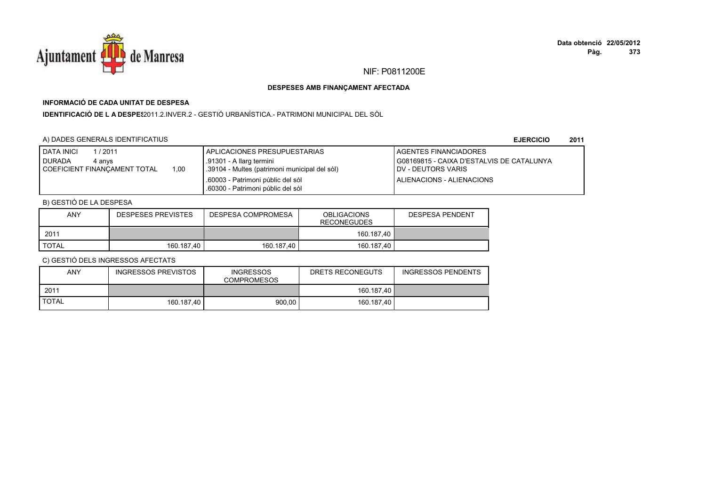

## **INFORMACIÓ DE CADA UNITAT DE DESPESA**

**IDENTIFICACIÓ DE L A DESPES**2011.2.INVER.2 - GESTIÓ URBANÍSTICA.- PATRIMONI MUNICIPAL DEL SÒL

## A) DADES GENERALS IDENTIFICATIUS

**EJERCICIO<sup>2011</sup>**

| <b>DATA INICI</b><br>1 / 2011<br><b>DURADA</b><br>4 anvs<br>1.00<br>COEFICIENT FINANCAMENT TOTAL | <b>APLICACIONES PRESUPUESTARIAS</b><br>.91301 - A llarg termini<br>I.39104 - Multes (patrimoni municipal del sòl) | <b>I AGENTES FINANCIADORES</b><br>G08169815 - CAIXA D'ESTALVIS DE CATALUNYA<br><b>I DV - DEUTORS VARIS</b> |
|--------------------------------------------------------------------------------------------------|-------------------------------------------------------------------------------------------------------------------|------------------------------------------------------------------------------------------------------------|
|                                                                                                  | .60003 - Patrimoni públic del sòl<br>.60300 - Patrimoni públic del sòl                                            | <b>I ALIENACIONS - ALIENACIONS</b>                                                                         |

## B) GESTIÓ DE LA DESPESA

| ANY   | <b>DESPESES PREVISTES</b> | DESPESA COMPROMESA | <b>OBLIGACIONS</b><br><b>RECONEGUDES</b> | <b>DESPESA PENDENT</b> |
|-------|---------------------------|--------------------|------------------------------------------|------------------------|
| 2011  |                           |                    | 160.187.40                               |                        |
| TOTAL | 160.187.40                | 160.187.40         | 160.187.40                               |                        |

| ANY          | <b>INGRESSOS PREVISTOS</b> | <b>INGRESSOS</b><br><b>COMPROMESOS</b> | DRETS RECONEGUTS | <b>INGRESSOS PENDENTS</b> |
|--------------|----------------------------|----------------------------------------|------------------|---------------------------|
| 2011         |                            |                                        | 160.187.40       |                           |
| <b>TOTAL</b> | 160.187.40                 | 900.00                                 | 160.187.40       |                           |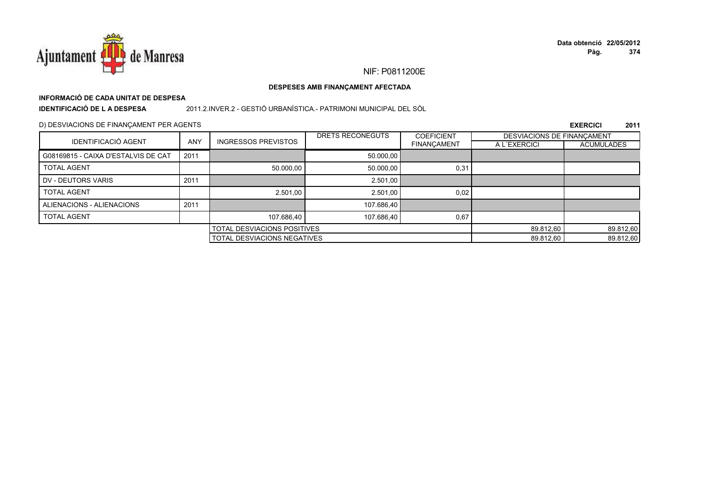

## NIF: P0811200E

### DESPESES AMB FINANÇAMENT AFECTADA

# INFORMACIÓ DE CADA UNITAT DE DESPESA

**IDENTIFICACIÓ DE LA DESPESA** 

### 2011.2.INVER.2 - GESTIÓ URBANÍSTICA.- PATRIMONI MUNICIPAL DEL SÒL

### D) DESVIACIONS DE FINANÇAMENT PER AGENTS

|                                     |            |                                    | DRETS RECONEGUTS | <b>COEFICIENT</b>                  | DESVIACIONS DE FINANCAMENT |                   |
|-------------------------------------|------------|------------------------------------|------------------|------------------------------------|----------------------------|-------------------|
| <b>IDENTIFICACIÓ AGENT</b>          | <b>ANY</b> | <b>INGRESSOS PREVISTOS</b>         |                  | <b>FINANCAMENT</b>                 | A L'EXERCICI               | <b>ACUMULADES</b> |
| G08169815 - CAIXA D'ESTALVIS DE CAT | 2011       |                                    | 50.000,00        |                                    |                            |                   |
| <b>TOTAL AGENT</b>                  |            | 50.000,00                          | 50.000.00        | 0,31                               |                            |                   |
| DV - DEUTORS VARIS                  | 2011       |                                    | 2.501,00         |                                    |                            |                   |
| <b>TOTAL AGENT</b>                  |            | 2.501,00                           | 2.501.00         | 0,02                               |                            |                   |
| ALIENACIONS - ALIENACIONS           | 2011       |                                    | 107.686,40       |                                    |                            |                   |
| <b>TOTAL AGENT</b>                  |            | 107.686,40                         | 107.686,40       | 0,67                               |                            |                   |
|                                     |            | <b>TOTAL DESVIACIONS POSITIVES</b> |                  |                                    | 89.812,60                  | 89.812,60         |
|                                     |            |                                    |                  | <b>TOTAL DESVIACIONS NEGATIVES</b> |                            |                   |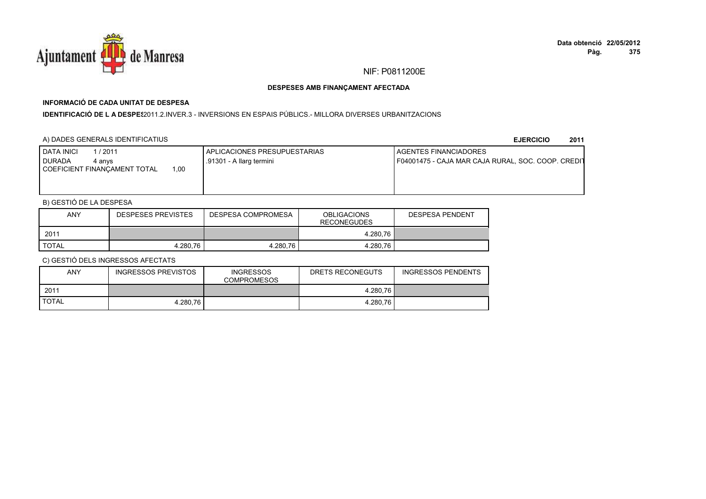

# **INFORMACIÓ DE CADA UNITAT DE DESPESA**

I**DENTIFICACIÓ DE L A DESPES**2011.2.INVER.3 - INVERSIONS EN ESPAIS PÚBLICS.- MILLORA DIVERSES URBANITZACIONS

## A) DADES GENERALS IDENTIFICATIUS

**EJERCICIO<sup>2011</sup>**

| DATA INICI<br>/ 2011<br>DURADA<br>4 anvs<br>1.00<br>COEFICIENT FINANCAMENT TOTAL | APLICACIONES PRESUPUESTARIAS<br>.91301 - A llarg termini | <b>I AGENTES FINANCIADORES</b><br>F04001475 - CAJA MAR CAJA RURAL, SOC. COOP. CREDIT |
|----------------------------------------------------------------------------------|----------------------------------------------------------|--------------------------------------------------------------------------------------|
|                                                                                  |                                                          |                                                                                      |

## B) GESTIÓ DE LA DESPESA

| ANY          | <b>DESPESES PREVISTES</b> | DESPESA COMPROMESA | <b>OBLIGACIONS</b><br><b>RECONEGUDES</b> | <b>DESPESA PENDENT</b> |
|--------------|---------------------------|--------------------|------------------------------------------|------------------------|
| 2011         |                           |                    | 4.280.76                                 |                        |
| <b>TOTAL</b> | 4.280.76                  | 4.280.76           | 4.280.76                                 |                        |

| <b>ANY</b>   | INGRESSOS PREVISTOS | <b>INGRESSOS</b><br><b>COMPROMESOS</b> | DRETS RECONEGUTS | <b>INGRESSOS PENDENTS</b> |
|--------------|---------------------|----------------------------------------|------------------|---------------------------|
| 2011         |                     |                                        | 4.280,76         |                           |
| <b>TOTAL</b> | 4.280.76            |                                        | 4.280,76         |                           |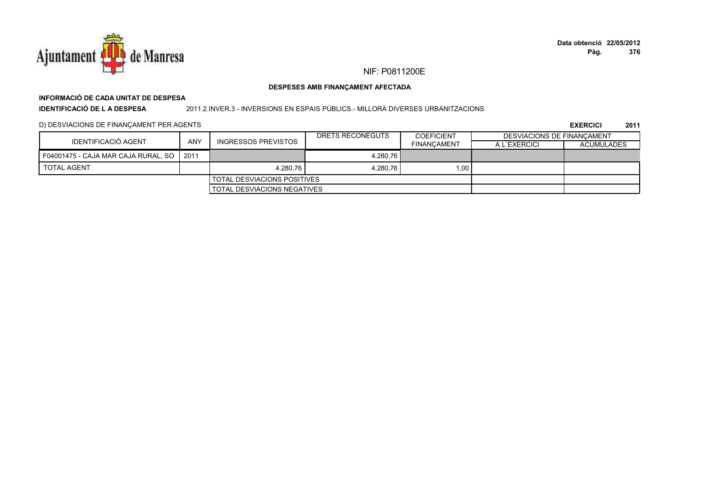

# **INFORMACIÓ DE CADA UNITAT DE DESPESA**

**IDENTIFICACIÓ DE L A DESPESA**

### 2011.2.INVER.3 - INVERSIONS EN ESPAIS PÚBLICS.- MILLORA DIVERSES URBANITZACIONS

### D) DESVIACIONS DE FINANÇAMENT PER AGENTS

|                                            |     |                                      | DRETS RECONEGUTS | <b>COEFICIENT</b>  | DESVIACIONS DE FINANCAMENT |                   |
|--------------------------------------------|-----|--------------------------------------|------------------|--------------------|----------------------------|-------------------|
| IDENTIFICACIÓ AGENT                        | ANY | INGRESSOS PREVISTOS                  |                  | <b>FINANCAMENT</b> | A L'EXERCICI               | <b>ACUMULADES</b> |
| F04001475 - CAJA MAR CAJA RURAL, SO   2011 |     |                                      | 4.280.76         |                    |                            |                   |
| <b>TOTAL AGENT</b>                         |     | 4.280,76                             | 4.280.76         | 1.00               |                            |                   |
|                                            |     | <b>I TOTAL DESVIACIONS POSITIVES</b> |                  |                    |                            |                   |
|                                            |     | <b>I TOTAL DESVIACIONS NEGATIVES</b> |                  |                    |                            |                   |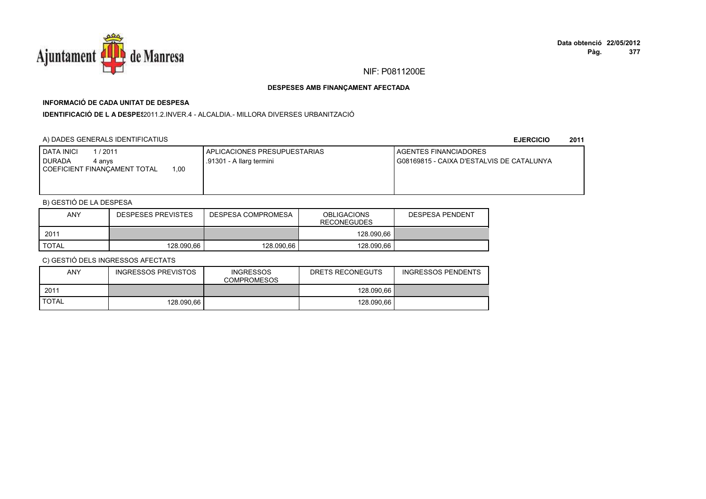

## **INFORMACIÓ DE CADA UNITAT DE DESPESA**

**IDENTIFICACIÓ DE L A DESPES**2011.2.INVER.4 - ALCALDIA.- MILLORA DIVERSES URBANITZACIÓ

## A) DADES GENERALS IDENTIFICATIUS

**EJERCICIO<sup>2011</sup>**

| / 2011<br><b>DATA INICI</b><br><b>DURADA</b><br>4 anvs<br>.00.<br>COEFICIENT FINANCAMENT TOTAL | APLICACIONES PRESUPUESTARIAS<br>.91301 - A llarg termini | AGENTES FINANCIADORES<br>G08169815 - CAIXA D'ESTALVIS DE CATALUNYA |
|------------------------------------------------------------------------------------------------|----------------------------------------------------------|--------------------------------------------------------------------|
|                                                                                                |                                                          |                                                                    |

## B) GESTIÓ DE LA DESPESA

| <b>ANY</b> | <b>DESPESES PREVISTES</b> | DESPESA COMPROMESA | <b>OBLIGACIONS</b><br><b>RECONEGUDES</b> | <b>DESPESA PENDENT</b> |
|------------|---------------------------|--------------------|------------------------------------------|------------------------|
| 2011       |                           |                    | 128.090.66                               |                        |
| TOTAL      | 128.090.66                | 128.090.66         | 128.090.66                               |                        |

| ANY          | INGRESSOS PREVISTOS | <b>INGRESSOS</b><br><b>COMPROMESOS</b> | DRETS RECONEGUTS | INGRESSOS PENDENTS |
|--------------|---------------------|----------------------------------------|------------------|--------------------|
| 2011         |                     |                                        | 128.090.66       |                    |
| <b>TOTAL</b> | 128.090.66          |                                        | 128.090.66       |                    |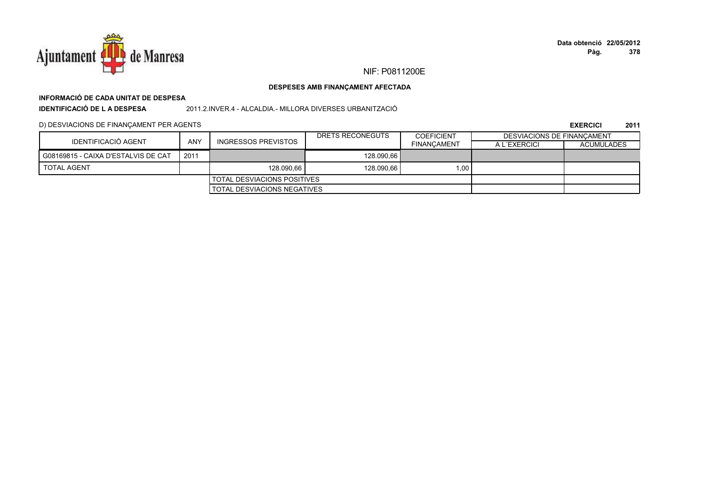

# **INFORMACIÓ DE CADA UNITAT DE DESPESA**

**IDENTIFICACIÓ DE L A DESPESA**

2011.2.INVER.4 - ALCALDIA.- MILLORA DIVERSES URBANITZACIÓ

### D) DESVIACIONS DE FINANÇAMENT PER AGENTS

|                                     |      |                                    | DRETS RECONEGUTS | <b>COEFICIENT</b>  | DESVIACIONS DE FINANCAMENT |                   |
|-------------------------------------|------|------------------------------------|------------------|--------------------|----------------------------|-------------------|
| IDENTIFICACIÓ AGENT                 | ANY  | INGRESSOS PREVISTOS                |                  | <b>FINANCAMENT</b> | A L'EXERCICI               | <b>ACUMULADES</b> |
| G08169815 - CAIXA D'ESTALVIS DE CAT | 2011 |                                    | 128.090.66       |                    |                            |                   |
| <b>TOTAL AGENT</b>                  |      | 128.090.66                         | 128.090.66       | 1.00               |                            |                   |
|                                     |      | TOTAL DESVIACIONS POSITIVES        |                  |                    |                            |                   |
|                                     |      | <b>TOTAL DESVIACIONS NEGATIVES</b> |                  |                    |                            |                   |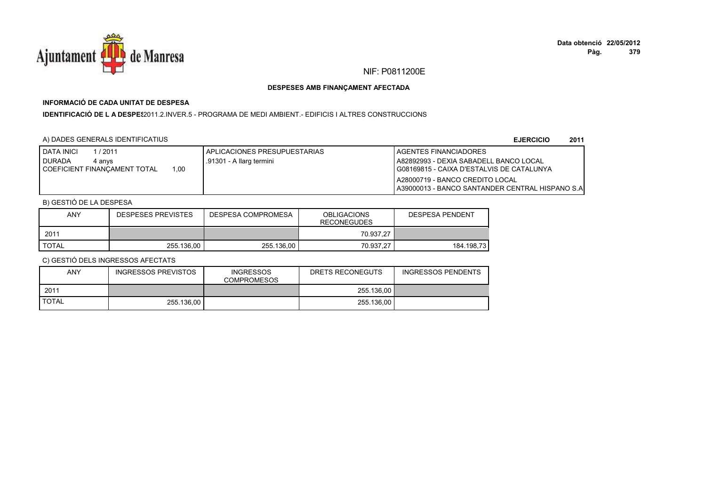

## **INFORMACIÓ DE CADA UNITAT DE DESPESA**

I**DENTIFICACIÓ DE L A DESPES**2011.2.INVER.5 - PROGRAMA DE MEDI AMBIENT.- EDIFICIS I ALTRES CONSTRUCCIONS

### A) DADES GENERALS IDENTIFICATIUS

**EJERCICIO<sup>2011</sup>**

| <b>DATA INICI</b><br>/ 2011           | APLICACIONES PRESUPUESTARIAS | <b>I AGENTES FINANCIADORES</b>                     |
|---------------------------------------|------------------------------|----------------------------------------------------|
| <b>DURADA</b><br>4 anvs               | .91301 - A llarg termini     | I A82892993 - DEXIA SABADELL BANCO LOCAL           |
| .00<br>I COEFICIENT FINANCAMENT TOTAL |                              | G08169815 - CAIXA D'ESTALVIS DE CATALUNYA          |
|                                       |                              | A28000719 - BANCO CREDITO LOCAL                    |
|                                       |                              | I A39000013 - BANCO SANTANDER CENTRAL HISPANO S.AI |

## B) GESTIÓ DE LA DESPESA

| <b>ANY</b>   | <b>DESPESES PREVISTES</b> | DESPESA COMPROMESA | <b>OBLIGACIONS</b><br><b>RECONEGUDES</b> | DESPESA PENDENT |
|--------------|---------------------------|--------------------|------------------------------------------|-----------------|
| 2011         |                           |                    | 70.937.27                                |                 |
| <b>TOTAL</b> | 255.136.00                | 255.136.00         | 70.937.27                                | 184.198.73      |

| ANY          | INGRESSOS PREVISTOS | <b>INGRESSOS</b><br><b>COMPROMESOS</b> | DRETS RECONEGUTS | <b>INGRESSOS PENDENTS</b> |
|--------------|---------------------|----------------------------------------|------------------|---------------------------|
| 2011         |                     |                                        | 255.136.00       |                           |
| <b>TOTAL</b> | 255.136.00          |                                        | 255.136.00       |                           |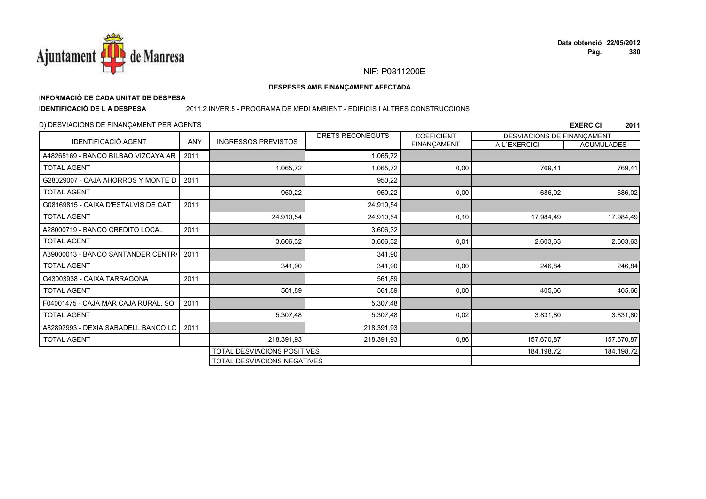

**EXERCICI** 

2011

## NIF: P0811200E

### DESPESES AMB FINANÇAMENT AFECTADA

## INFORMACIÓ DE CADA UNITAT DE DESPESA

**IDENTIFICACIÓ DE L A DESPESA** 

### 2011.2.INVER.5 - PROGRAMA DE MEDI AMBIENT. - EDIFICIS I ALTRES CONSTRUCCIONS

TOTAL DESVIACIONS NEGATIVES

### D) DESVIACIONS DE FINANCAMENT PER AGENTS

DRETS RECONEGUTS **COEFICIENT DESVIACIONS DE FINANCAMENT IDENTIFICACIÓ AGENT** ANY **INGRESSOS PREVISTOS FINANCAMENT** A L'EXERCICI **ACUMULADES** A48265169 - BANCO BILBAO VIZCAYA AR 2011 1.065.72 **TOTAL AGENT** 1.065.72 1.065.72  $0.00$ 769.41 769.41 G28029007 - CAJA AHORROS Y MONTE D 2011 950.22 950.22 950.22 **TOTAL AGENT**  $0.00$ 686.02 686.02 G08169815 - CAIXA D'ESTALVIS DE CAT 2011 24.910,54 **TOTAL AGENT** 24.910,54 24.910,54  $0.10$ 17.984,49 17.984,49 A28000719 - BANCO CREDITO LOCAL 2011 3.606.32 **TOTAL AGENT** 3.606.32 3.606.32  $0,01$ 2.603.63 2.603.63 A39000013 - BANCO SANTANDER CENTR/ 2011 341.90 341.90 341.90 246.84 246.84 **TOTAL AGENT**  $0.00$ G43003938 - CAIXA TARRAGONA 2011 561.89 **TOTAL AGENT** 561,89 561.89  $0,00$ 405,66 405,66 F04001475 - CAJA MAR CAJA RURAL, SO 2011 5.307.48 **TOTAL AGENT** 5.307,48 5.307,48  $0,02$ 3.831,80 3.831,80 2011 A82892993 - DEXIA SABADELL BANCO LO 218.391,93 **TOTAL AGENT** 218.391,93 218.391,93 0,86 157.670,87 157.670,87 TOTAL DESVIACIONS POSITIVES 184.198.72 184.198,72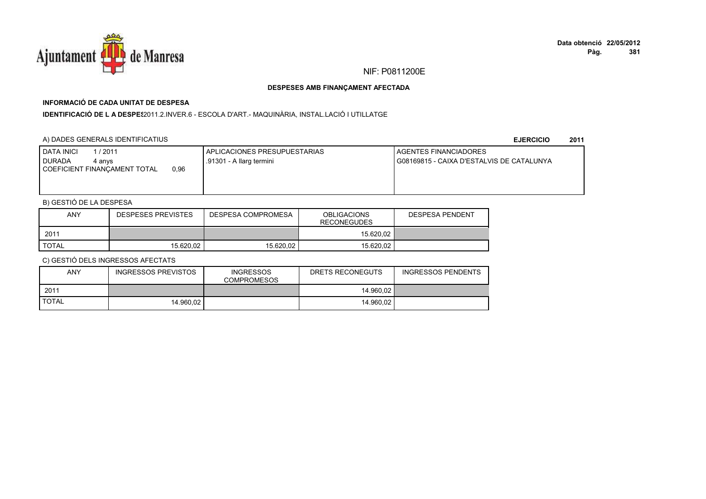

## **INFORMACIÓ DE CADA UNITAT DE DESPESA**

I**DENTIFICACIÓ DE L A DESPE**\$2011.2.INVER.6 - ESCOLA D'ART.- MAQUINÀRIA, INSTAL.LACIÓ I UTILLATGE

### A) DADES GENERALS IDENTIFICATIUS

**EJERCICIO<sup>2011</sup>**

| <b>I DATA INICI</b><br>1/2011<br><b>I DURADA</b><br>4 anvs<br>0,96<br>COEFICIENT FINANCAMENT TOTAL | APLICACIONES PRESUPUESTARIAS<br>.91301 - A llarg termini | AGENTES FINANCIADORES<br>G08169815 - CAIXA D'ESTALVIS DE CATALUNYA |
|----------------------------------------------------------------------------------------------------|----------------------------------------------------------|--------------------------------------------------------------------|
|                                                                                                    |                                                          |                                                                    |

## B) GESTIÓ DE LA DESPESA

| <b>ANY</b>   | <b>DESPESES PREVISTES</b> | DESPESA COMPROMESA | <b>OBLIGACIONS</b><br><b>RECONEGUDES</b> | <b>DESPESA PENDENT</b> |
|--------------|---------------------------|--------------------|------------------------------------------|------------------------|
| 2011         |                           |                    | 15.620.02                                |                        |
| <b>TOTAL</b> | 15.620.02                 | 15.620.02          | 15.620.02                                |                        |

| <b>ANY</b>   | INGRESSOS PREVISTOS | <b>INGRESSOS</b><br><b>COMPROMESOS</b> | DRETS RECONEGUTS | <b>INGRESSOS PENDENTS</b> |
|--------------|---------------------|----------------------------------------|------------------|---------------------------|
| 2011         |                     |                                        | 14.960.02        |                           |
| <b>TOTAL</b> | 14.960.02           |                                        | 14.960.02        |                           |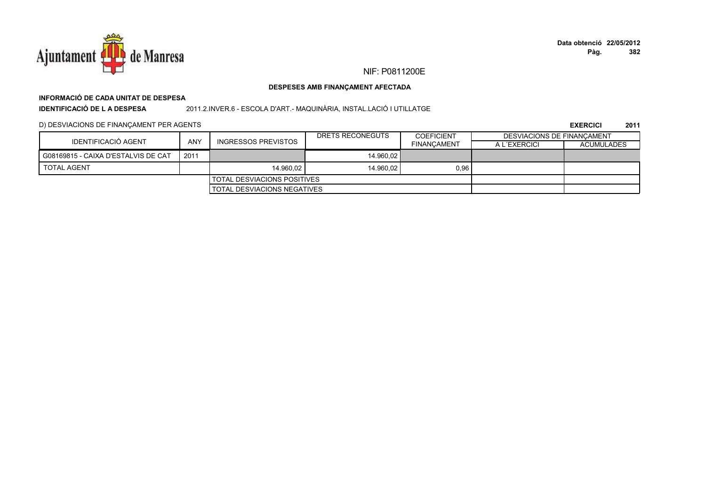

# **INFORMACIÓ DE CADA UNITAT DE DESPESA**

**IDENTIFICACIÓ DE L A DESPESA**

2011.2.INVER.6 - ESCOLA D'ART.- MAQUINÀRIA, INSTAL.LACIÓ I UTILLATGE

### D) DESVIACIONS DE FINANÇAMENT PER AGENTS

|                                      |            |                                      | DRETS RECONEGUTS | <b>COEFICIENT</b>  | DESVIACIONS DE FINANCAMENT |                   |
|--------------------------------------|------------|--------------------------------------|------------------|--------------------|----------------------------|-------------------|
| <b>IDENTIFICACIÓ AGENT</b>           | <b>ANY</b> | INGRESSOS PREVISTOS                  |                  | <b>FINANCAMENT</b> | A L'EXERCICI               | <b>ACUMULADES</b> |
| G08169815 - CAIXA D'ESTALVIS DE CAT  | 2011       |                                      | 14.960.02        |                    |                            |                   |
| <b>TOTAL AGENT</b>                   |            | 14.960.02                            | 14.960.02        | 0,96               |                            |                   |
|                                      |            | <b>I TOTAL DESVIACIONS POSITIVES</b> |                  |                    |                            |                   |
| <b>I TOTAL DESVIACIONS NEGATIVES</b> |            |                                      |                  |                    |                            |                   |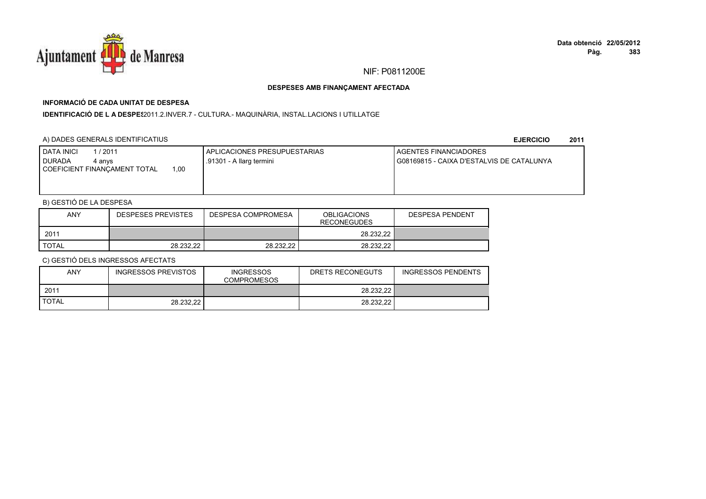

## **INFORMACIÓ DE CADA UNITAT DE DESPESA**

I**DENTIFICACIÓ DE L A DESPES**2011.2.INVER.7 - CULTURA.- MAQUINÀRIA, INSTAL.LACIONS I UTILLATGE

## A) DADES GENERALS IDENTIFICATIUS

**EJERCICIO<sup>2011</sup>**

| <b>DATA INICI</b><br>1/2011<br><b>I DURADA</b><br>4 anvs<br>00,ا<br>COEFICIENT FINANCAMENT TOTAL | APLICACIONES PRESUPUESTARIAS<br>.91301 - A llarg termini | AGENTES FINANCIADORES<br>G08169815 - CAIXA D'ESTALVIS DE CATALUNYA |
|--------------------------------------------------------------------------------------------------|----------------------------------------------------------|--------------------------------------------------------------------|
|                                                                                                  |                                                          |                                                                    |

## B) GESTIÓ DE LA DESPESA

| ANY          | <b>DESPESES PREVISTES</b> | DESPESA COMPROMESA | <b>OBLIGACIONS</b><br><b>RECONEGUDES</b> | <b>DESPESA PENDENT</b> |
|--------------|---------------------------|--------------------|------------------------------------------|------------------------|
| 2011         |                           |                    | 28.232.22                                |                        |
| <b>TOTAL</b> | 28.232.22                 | 28.232.22          | 28.232.22                                |                        |

| <b>ANY</b>   | INGRESSOS PREVISTOS | <b>INGRESSOS</b><br><b>COMPROMESOS</b> | DRETS RECONEGUTS | <b>INGRESSOS PENDENTS</b> |
|--------------|---------------------|----------------------------------------|------------------|---------------------------|
| 2011         |                     |                                        | 28.232.22        |                           |
| <b>TOTAL</b> | 28.232.22           |                                        | 28.232.22        |                           |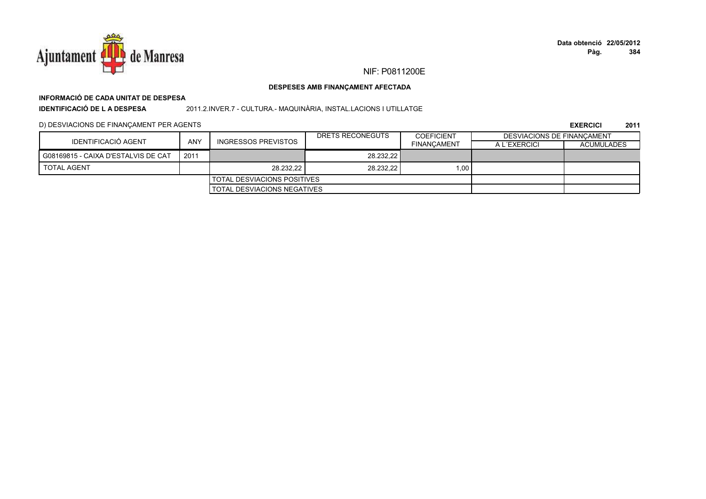

## NIF: P0811200E

### DESPESES AMB FINANÇAMENT AFECTADA

# INFORMACIÓ DE CADA UNITAT DE DESPESA

**IDENTIFICACIÓ DE LA DESPESA** 

2011.2.INVER.7 - CULTURA.- MAQUINÀRIA, INSTAL.LACIONS I UTILLATGE

### D) DESVIACIONS DE FINANÇAMENT PER AGENTS

|                                     |      |                               | DRETS RECONEGUTS | <b>COEFICIENT</b>  | DESVIACIONS DE FINANCAMENT |                   |
|-------------------------------------|------|-------------------------------|------------------|--------------------|----------------------------|-------------------|
| IDENTIFICACIÓ AGENT                 | ANY  | <b>INGRESSOS PREVISTOS</b>    |                  | <b>FINANCAMENT</b> | A L'EXERCICI               | <b>ACUMULADES</b> |
| G08169815 - CAIXA D'ESTALVIS DE CAT | 2011 |                               | 28.232.22        |                    |                            |                   |
| <b>TOTAL AGENT</b>                  |      | 28.232.22                     | 28.232.22        | 1.00               |                            |                   |
|                                     |      | I TOTAL DESVIACIONS POSITIVES |                  |                    |                            |                   |
|                                     |      | TOTAL DESVIACIONS NEGATIVES   |                  |                    |                            |                   |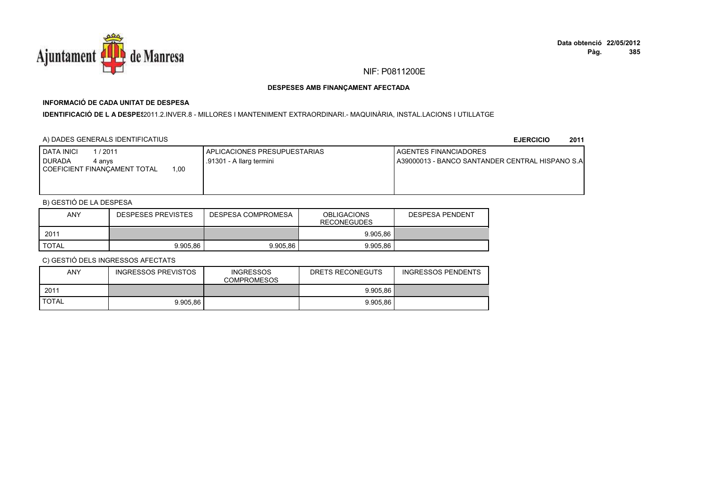

# **INFORMACIÓ DE CADA UNITAT DE DESPESA**

I**DENTIFICACIÓ DE L A DESPE**§2011.2.INVER.8 - MILLORES I MANTENIMENT EXTRAORDINARI.- MAQUINÀRIA, INSTAL.LACIONS I UTILLATGE

### A) DADES GENERALS IDENTIFICATIUS

**EJERCICIO<sup>2011</sup>**

| I DATA INICI<br>/2011<br><b>DURADA</b><br>4 anvs<br>1.00<br>  COEFICIENT FINANCAMENT TOTAL | APLICACIONES PRESUPUESTARIAS<br>.91301 - A llarg termini | <b>LAGENTES FINANCIADORES</b><br>LA39000013 - BANCO SANTANDER CENTRAL HISPANO S.A |
|--------------------------------------------------------------------------------------------|----------------------------------------------------------|-----------------------------------------------------------------------------------|
|--------------------------------------------------------------------------------------------|----------------------------------------------------------|-----------------------------------------------------------------------------------|

## B) GESTIÓ DE LA DESPESA

| <b>ANY</b>   | <b>DESPESES PREVISTES</b> | DESPESA COMPROMESA | <b>OBLIGACIONS</b><br><b>RECONEGUDES</b> | <b>DESPESA PENDENT</b> |
|--------------|---------------------------|--------------------|------------------------------------------|------------------------|
| 2011         |                           |                    | 9.905.86                                 |                        |
| <b>TOTAL</b> | 9.905.86                  | 9.905.86           | 9.905.86                                 |                        |

| <b>ANY</b>   | <b>INGRESSOS PREVISTOS</b> | <b>INGRESSOS</b><br><b>COMPROMESOS</b> | DRETS RECONEGUTS | <b>INGRESSOS PENDENTS</b> |
|--------------|----------------------------|----------------------------------------|------------------|---------------------------|
| 2011         |                            |                                        | 9.905.86         |                           |
| <b>TOTAL</b> | 9.905.86                   |                                        | 9.905.86         |                           |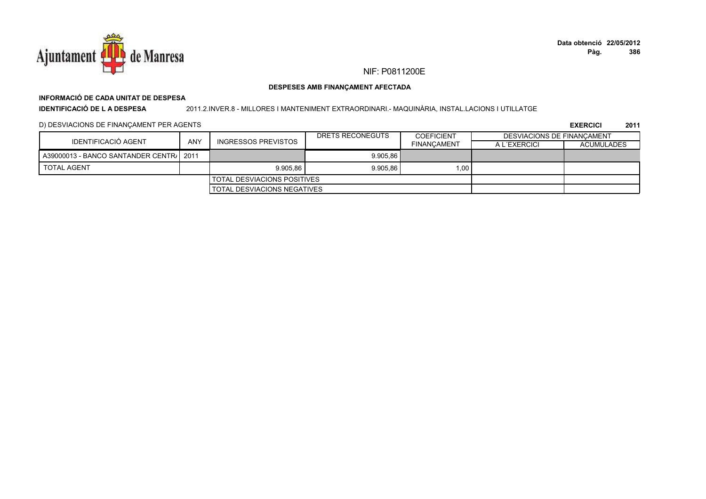

## **INFORMACIÓ DE CADA UNITAT DE DESPESA**

**IDENTIFICACIÓ DE L A DESPESA**

2011.2.INVER.8 - MILLORES I MANTENIMENT EXTRAORDINARI.- MAQUINÀRIA, INSTAL.LACIONS I UTILLATGE

### D) DESVIACIONS DE FINANÇAMENT PER AGENTS

|                                         |     |                                      | DRETS RECONEGUTS | <b>COEFICIENT</b>  | DESVIACIONS DE FINANCAMENT |                   |
|-----------------------------------------|-----|--------------------------------------|------------------|--------------------|----------------------------|-------------------|
| IDENTIFICACIÓ AGENT                     | ANY | INGRESSOS PREVISTOS                  |                  | <b>FINANCAMENT</b> | A L'EXERCICI               | <b>ACUMULADES</b> |
| A39000013 - BANCO SANTANDER CENTR/ 2011 |     |                                      | 9.905.86         |                    |                            |                   |
| <b>TOTAL AGENT</b>                      |     | 9.905.86                             | 9.905.86         | 1,00               |                            |                   |
|                                         |     | <b>I TOTAL DESVIACIONS POSITIVES</b> |                  |                    |                            |                   |
| <b>I TOTAL DESVIACIONS NEGATIVES</b>    |     |                                      |                  |                    |                            |                   |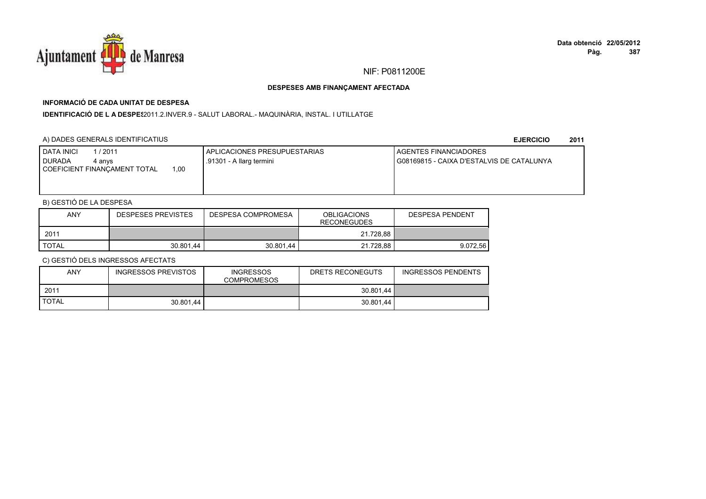

# **INFORMACIÓ DE CADA UNITAT DE DESPESA**

I**DENTIFICACIÓ DE L A DESPES**2011.2.INVER.9 - SALUT LABORAL.- MAQUINÀRIA, INSTAL. I UTILLATGE

### A) DADES GENERALS IDENTIFICATIUS

**EJERCICIO<sup>2011</sup>**

| <b>I DATA INICI</b><br>1/2011<br><b>DURADA</b><br>4 anvs<br>00, ا<br>COEFICIENT FINANCAMENT TOTAL | APLICACIONES PRESUPUESTARIAS<br>.91301 - A llarg termini | AGENTES FINANCIADORES<br>G08169815 - CAIXA D'ESTALVIS DE CATALUNYA |
|---------------------------------------------------------------------------------------------------|----------------------------------------------------------|--------------------------------------------------------------------|
|                                                                                                   |                                                          |                                                                    |

## B) GESTIÓ DE LA DESPESA

| <b>ANY</b>   | <b>DESPESES PREVISTES</b> | DESPESA COMPROMESA | <b>OBLIGACIONS</b><br><b>RECONEGUDES</b> | DESPESA PENDENT |
|--------------|---------------------------|--------------------|------------------------------------------|-----------------|
| 2011         |                           |                    | 21.728.88                                |                 |
| <b>TOTAL</b> | 30.801.44                 | 30.801.44          | 21.728.88                                | 9.072.56        |

| <b>ANY</b>   | <b>INGRESSOS PREVISTOS</b> | <b>INGRESSOS</b><br><b>COMPROMESOS</b> | DRETS RECONEGUTS | <b>INGRESSOS PENDENTS</b> |
|--------------|----------------------------|----------------------------------------|------------------|---------------------------|
| 2011         |                            |                                        | 30.801.44        |                           |
| <b>TOTAL</b> | 30.801.44                  |                                        | 30.801.44        |                           |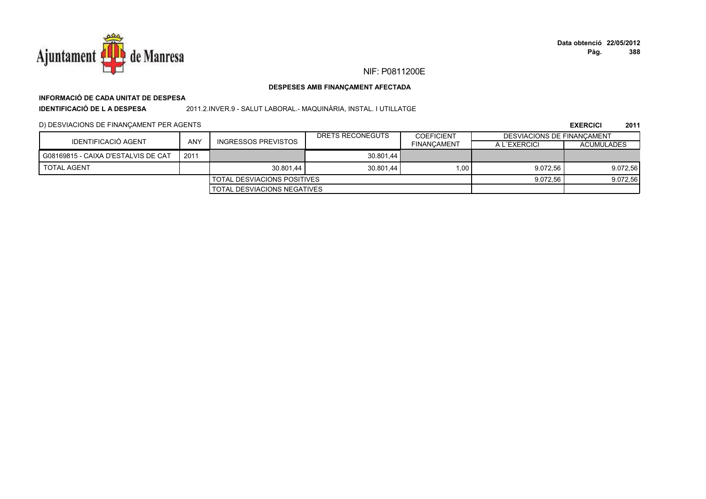

## NIF: P0811200E

### DESPESES AMB FINANÇAMENT AFECTADA

## INFORMACIÓ DE CADA UNITAT DE DESPESA

**IDENTIFICACIÓ DE LA DESPESA** 

2011.2.INVER.9 - SALUT LABORAL.- MAQUINÀRIA, INSTAL. I UTILLATGE

D) DESVIACIONS DE FINANÇAMENT PER AGENTS

|                                     |                             |                                    | DRETS RECONEGUTS | <b>COEFICIENT</b>  | DESVIACIONS DE FINANCAMENT |                   |
|-------------------------------------|-----------------------------|------------------------------------|------------------|--------------------|----------------------------|-------------------|
| IDENTIFICACIÓ AGENT                 | <b>ANY</b>                  | <b>INGRESSOS PREVISTOS</b>         |                  | <b>FINANCAMENT</b> | A L'EXERCICI               | <b>ACUMULADES</b> |
| G08169815 - CAIXA D'ESTALVIS DE CAT | 201'                        |                                    | 30.801.44        |                    |                            |                   |
| <b>TOTAL AGENT</b>                  |                             | 30.801.44                          | 30.801.44        | 1.00               | 9.072.56                   | 9.072,56          |
|                                     |                             | <b>TOTAL DESVIACIONS POSITIVES</b> |                  |                    | 9.072.56                   | 9.072,56          |
|                                     | TOTAL DESVIACIONS NEGATIVES |                                    |                  |                    |                            |                   |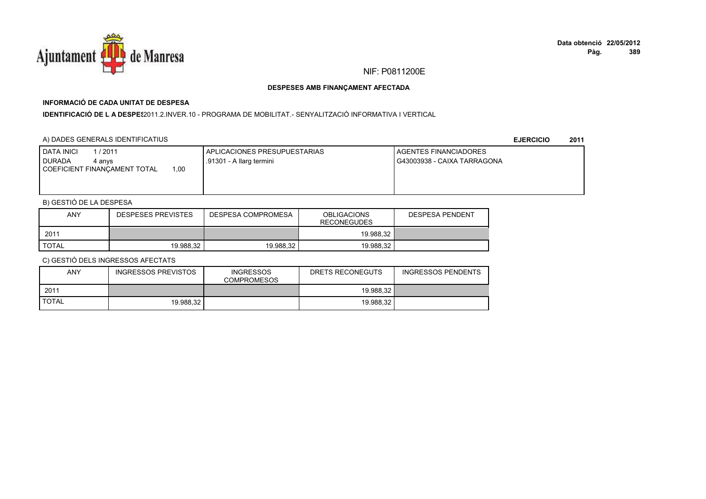

# **INFORMACIÓ DE CADA UNITAT DE DESPESA**

I**DENTIFICACIÓ DE L A DESPES**2011.2.INVER.10 - PROGRAMA DE MOBILITAT.- SENYALITZACIÓ INFORMATIVA I VERTICAL

### A) DADES GENERALS IDENTIFICATIUS

**EJERCICIO<sup>2011</sup>**

| <b>DATA INICI</b><br>1/2011<br><b>DURADA</b><br>4 anvs<br>1.00<br>COEFICIENT FINANCAMENT TOTAL | APLICACIONES PRESUPUESTARIAS<br>.91301 - A llarg termini | AGENTES FINANCIADORES<br>G43003938 - CAIXA TARRAGONA |
|------------------------------------------------------------------------------------------------|----------------------------------------------------------|------------------------------------------------------|
|                                                                                                |                                                          |                                                      |

## B) GESTIÓ DE LA DESPESA

| <b>ANY</b>   | <b>DESPESES PREVISTES</b> | DESPESA COMPROMESA | <b>OBLIGACIONS</b><br><b>RECONEGUDES</b> | <b>DESPESA PENDENT</b> |
|--------------|---------------------------|--------------------|------------------------------------------|------------------------|
| 2011         |                           |                    | 19.988.32                                |                        |
| <b>TOTAL</b> | 19.988.32                 | 19.988.32          | 19.988.32                                |                        |

| ANY          | INGRESSOS PREVISTOS | <b>INGRESSOS</b><br><b>COMPROMESOS</b> | DRETS RECONEGUTS | <b>INGRESSOS PENDENTS</b> |
|--------------|---------------------|----------------------------------------|------------------|---------------------------|
| 2011         |                     |                                        | 19.988.32        |                           |
| <b>TOTAL</b> | 19.988.32           |                                        | 19.988.32        |                           |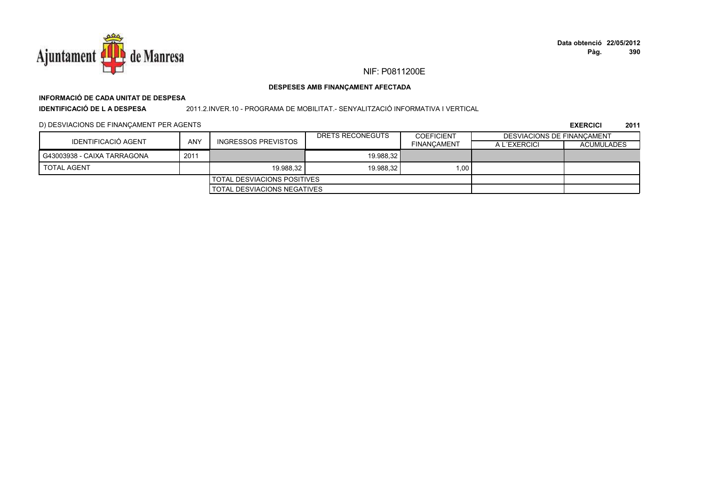

## **INFORMACIÓ DE CADA UNITAT DE DESPESAIDENTIFICACIÓ DE L A DESPESA**

2011.2.INVER.10 - PROGRAMA DE MOBILITAT.- SENYALITZACIÓ INFORMATIVA I VERTICAL

### D) DESVIACIONS DE FINANÇAMENT PER AGENTS

|                             |                             |                                    | DRETS RECONEGUTS | <b>COEFICIENT</b>  | DESVIACIONS DE FINANCAMENT |                   |
|-----------------------------|-----------------------------|------------------------------------|------------------|--------------------|----------------------------|-------------------|
| IDENTIFICACIÓ AGENT         | ANY                         | <b>INGRESSOS PREVISTOS</b>         |                  | <b>FINANCAMENT</b> | A L'EXERCICI               | <b>ACUMULADES</b> |
| G43003938 - CAIXA TARRAGONA | 2011                        |                                    | 19.988.32        |                    |                            |                   |
| <b>TOTAL AGENT</b>          |                             | 19.988.32                          | 19.988.32        | 1.00               |                            |                   |
|                             |                             | <b>TOTAL DESVIACIONS POSITIVES</b> |                  |                    |                            |                   |
|                             | TOTAL DESVIACIONS NEGATIVES |                                    |                  |                    |                            |                   |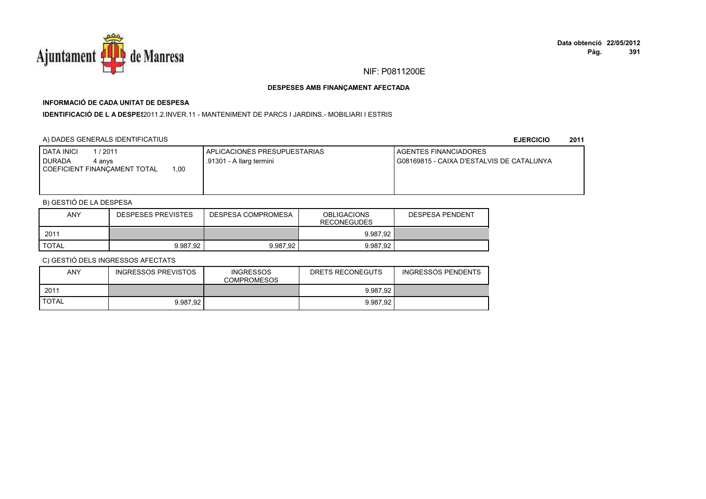

## **INFORMACIÓ DE CADA UNITAT DE DESPESA**

**IDENTIFICACIÓ DE L A DESPES**2011.2.INVER.11 - MANTENIMENT DE PARCS I JARDINS.- MOBILIARI I ESTRIS

### A) DADES GENERALS IDENTIFICATIUS

**EJERCICIO<sup>2011</sup>**

| <b>I DATA INICI</b><br>1/2011<br><b>DURADA</b><br>4 anvs<br>00, ا<br>COEFICIENT FINANCAMENT TOTAL | APLICACIONES PRESUPUESTARIAS<br>.91301 - A llarg termini | AGENTES FINANCIADORES<br>G08169815 - CAIXA D'ESTALVIS DE CATALUNYA |
|---------------------------------------------------------------------------------------------------|----------------------------------------------------------|--------------------------------------------------------------------|
|                                                                                                   |                                                          |                                                                    |

## B) GESTIÓ DE LA DESPESA

| <b>ANY</b>   | <b>DESPESES PREVISTES</b> | DESPESA COMPROMESA | <b>OBLIGACIONS</b><br><b>RECONEGUDES</b> | <b>DESPESA PENDENT</b> |
|--------------|---------------------------|--------------------|------------------------------------------|------------------------|
| 2011         |                           |                    | 9.987.92                                 |                        |
| <b>TOTAL</b> | 9.987.92                  | 9.987.92           | 9.987.92                                 |                        |

| <b>ANY</b>   | INGRESSOS PREVISTOS | <b>INGRESSOS</b><br><b>COMPROMESOS</b> | DRETS RECONEGUTS | <b>INGRESSOS PENDENTS</b> |
|--------------|---------------------|----------------------------------------|------------------|---------------------------|
| 2011         |                     |                                        | 9.987.92         |                           |
| <b>TOTAL</b> | 9.987.92            |                                        | 9.987.92         |                           |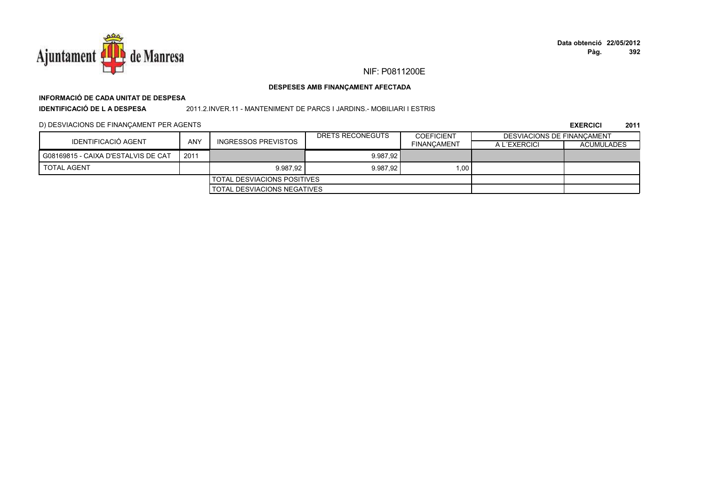

## **INFORMACIÓ DE CADA UNITAT DE DESPESA**

**IDENTIFICACIÓ DE L A DESPESA**

2011.2.INVER.11 - MANTENIMENT DE PARCS I JARDINS.- MOBILIARI I ESTRIS

### D) DESVIACIONS DE FINANÇAMENT PER AGENTS

| IDENTIFICACIÓ AGENT                 |                                    |                     | DRETS RECONEGUTS | <b>COEFICIENT</b>  | DESVIACIONS DE FINANCAMENT |                   |
|-------------------------------------|------------------------------------|---------------------|------------------|--------------------|----------------------------|-------------------|
|                                     | <b>ANY</b>                         | INGRESSOS PREVISTOS |                  | <b>FINANCAMENT</b> | A L'EXERCICI               | <b>ACUMULADES</b> |
| G08169815 - CAIXA D'ESTALVIS DE CAT | 2011                               |                     | 9.987.92         |                    |                            |                   |
| <b>TOTAL AGENT</b>                  |                                    | 9.987.92            | 9.987.92         | 1.00               |                            |                   |
|                                     | <b>TOTAL DESVIACIONS POSITIVES</b> |                     |                  |                    |                            |                   |
| <b>TOTAL DESVIACIONS NEGATIVES</b>  |                                    |                     |                  |                    |                            |                   |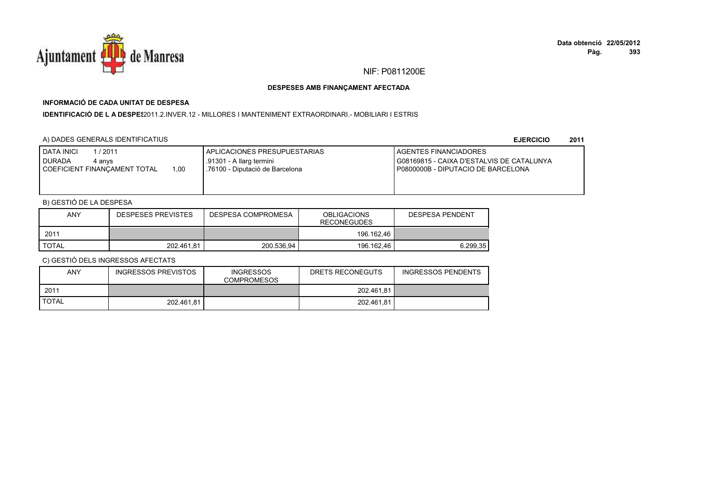

## **INFORMACIÓ DE CADA UNITAT DE DESPESA**

I**DENTIFICACIÓ DE L A DESPE**\$2011.2.INVER.12 - MILLORES I MANTENIMENT EXTRAORDINARI.- MOBILIARI I ESTRIS

## A) DADES GENERALS IDENTIFICATIUS

**EJERCICIO<sup>2011</sup>**

| <b>DATA INICI</b><br>1/2011<br><b>DURADA</b><br>4 anvs<br>1.00<br>COEFICIENT FINANCAMENT TOTAL | APLICACIONES PRESUPUESTARIAS<br>1.91301 - A llarg termini<br>.76100 - Diputació de Barcelona | <b>LAGENTES FINANCIADORES</b><br>G08169815 - CAIXA D'ESTALVIS DE CATALUNYA<br>P0800000B - DIPUTACIO DE BARCELONA |
|------------------------------------------------------------------------------------------------|----------------------------------------------------------------------------------------------|------------------------------------------------------------------------------------------------------------------|
|------------------------------------------------------------------------------------------------|----------------------------------------------------------------------------------------------|------------------------------------------------------------------------------------------------------------------|

## B) GESTIÓ DE LA DESPESA

| <b>ANY</b> | <b>DESPESES PREVISTES</b> | DESPESA COMPROMESA | <b>OBLIGACIONS</b><br><b>RECONEGUDES</b> | DESPESA PENDENT |
|------------|---------------------------|--------------------|------------------------------------------|-----------------|
| 2011       |                           |                    | 196.162.46                               |                 |
| TOTAL      | 202.461.81                | 200.536.94         | 196.162.46                               | 6.299.35        |

| <b>ANY</b>   | <b>INGRESSOS PREVISTOS</b> | <b>INGRESSOS</b><br><b>COMPROMESOS</b> | DRETS RECONEGUTS | <b>INGRESSOS PENDENTS</b> |
|--------------|----------------------------|----------------------------------------|------------------|---------------------------|
| 2011         |                            |                                        | 202.461,81       |                           |
| <b>TOTAL</b> | 202.461.81                 |                                        | 202.461.81       |                           |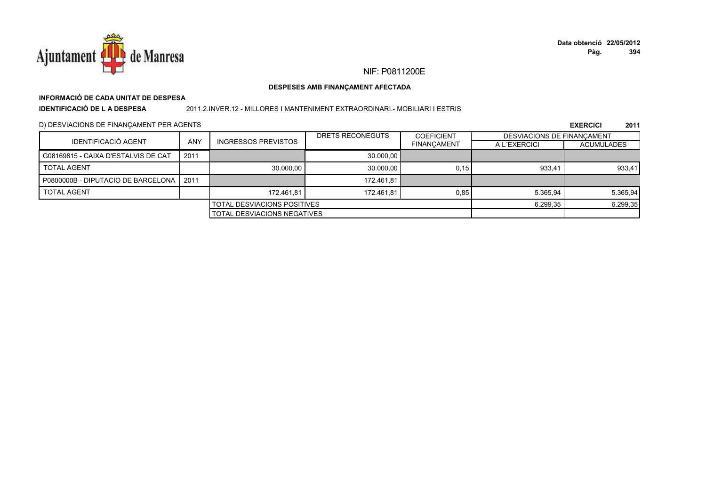

## **INFORMACIÓ DE CADA UNITAT DE DESPESA**

**IDENTIFICACIÓ DE L A DESPESA**

### 2011.2.INVER.12 - MILLORES I MANTENIMENT EXTRAORDINARI.- MOBILIARI I ESTRIS

D) DESVIACIONS DE FINANÇAMENT PER AGENTS

|                                     |                                    |                            | DRETS RECONEGUTS | <b>COEFICIENT</b>  | <b>DESVIACIONS DE FINANCAMENT</b> |                   |
|-------------------------------------|------------------------------------|----------------------------|------------------|--------------------|-----------------------------------|-------------------|
| <b>IDENTIFICACIÓ AGENT</b>          | <b>ANY</b>                         | <b>INGRESSOS PREVISTOS</b> |                  | <b>FINANCAMENT</b> | A L'EXERCICI                      | <b>ACUMULADES</b> |
| G08169815 - CAIXA D'ESTALVIS DE CAT | 2011                               |                            | 30.000.00        |                    |                                   |                   |
| <b>TOTAL AGENT</b>                  |                                    | 30.000.00                  | 30.000.00        | 0.15               | 933.41                            | 933,41            |
| P0800000B - DIPUTACIO DE BARCELONA  | $\vert$ 2011                       |                            | 172.461.81       |                    |                                   |                   |
| <b>TOTAL AGENT</b>                  |                                    | 172.461.81                 | 172.461.81       | 0.85               | 5.365.94                          | 5.365,94          |
| <b>TOTAL DESVIACIONS POSITIVES</b>  |                                    |                            |                  | 6.299,35           | 6.299,35                          |                   |
|                                     | <b>TOTAL DESVIACIONS NEGATIVES</b> |                            |                  |                    |                                   |                   |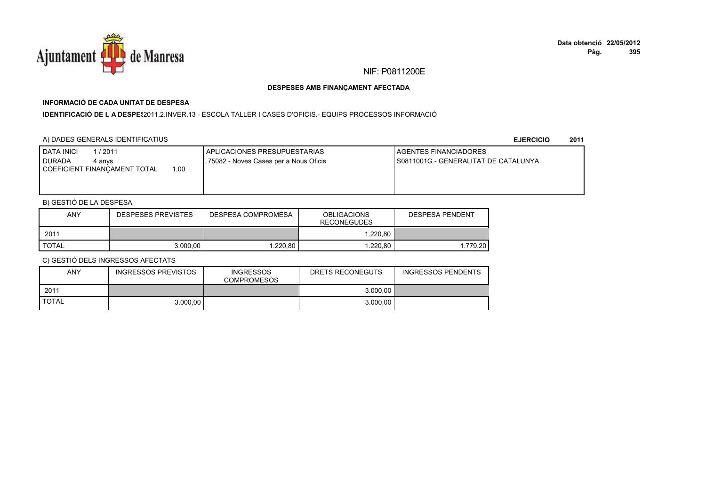

## **INFORMACIÓ DE CADA UNITAT DE DESPESA**

I**DENTIFICACIÓ DE L A DESPES**2011.2.INVER.13 - ESCOLA TALLER I CASES D'OFICIS.- EQUIPS PROCESSOS INFORMACIÓ

## A) DADES GENERALS IDENTIFICATIUS

**EJERCICIO<sup>2011</sup>**

| <b>DATA INICI</b><br><b>DURADA</b> | 1/2011<br>4 anvs<br>00،،<br>COEFICIENT FINANCAMENT TOTAL | APLICACIONES PRESUPUESTARIAS<br>.75082 - Noves Cases per a Nous Oficis | <b>LAGENTES FINANCIADORES</b><br>I S0811001G - GENERALITAT DE CATALUNYA |
|------------------------------------|----------------------------------------------------------|------------------------------------------------------------------------|-------------------------------------------------------------------------|
|                                    |                                                          |                                                                        |                                                                         |

## B) GESTIÓ DE LA DESPESA

| <b>ANY</b>   | <b>DESPESES PREVISTES</b> | DESPESA COMPROMESA | <b>OBLIGACIONS</b><br><b>RECONEGUDES</b> | DESPESA PENDENT |
|--------------|---------------------------|--------------------|------------------------------------------|-----------------|
| 2011         |                           |                    | 1.220.80                                 |                 |
| <b>TOTAL</b> | 3.000.00                  | 1.220.80           | 1.220.80                                 | .779.20         |

| <b>ANY</b>   | <b>INGRESSOS PREVISTOS</b> | <b>INGRESSOS</b><br><b>COMPROMESOS</b> | DRETS RECONEGUTS | <b>INGRESSOS PENDENTS</b> |
|--------------|----------------------------|----------------------------------------|------------------|---------------------------|
| 2011         |                            |                                        | 3.000,00         |                           |
| <b>TOTAL</b> | 3.000.00                   |                                        | 3.000.00         |                           |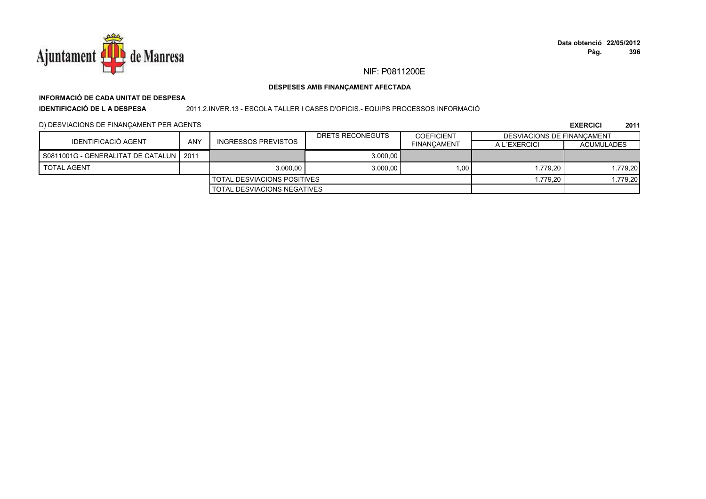![](_page_245_Picture_0.jpeg)

## NIF: P0811200E

### DESPESES AMB FINANÇAMENT AFECTADA

## INFORMACIÓ DE CADA UNITAT DE DESPESA

**IDENTIFICACIÓ DE LA DESPESA** 

### 2011.2.INVER.13 - ESCOLA TALLER I CASES D'OFICIS.- EQUIPS PROCESSOS INFORMACIÓ

### D) DESVIACIONS DE FINANÇAMENT PER AGENTS

|                                           |     |                                      | DRETS RECONEGUTS | <b>COEFICIENT</b>  | DESVIACIONS DE FINANCAMENT |                   |
|-------------------------------------------|-----|--------------------------------------|------------------|--------------------|----------------------------|-------------------|
| IDENTIFICACIÓ AGENT                       | ANY | INGRESSOS PREVISTOS                  |                  | <b>FINANCAMENT</b> | A L'EXERCICI               | <b>ACUMULADES</b> |
| S0811001G - GENERALITAT DE CATALUN   2011 |     |                                      | 3.000.00         |                    |                            |                   |
| <b>TOTAL AGENT</b>                        |     | 3.000.00                             | 3.000.00         | 1,00               | 1.779.20                   | 1.779,20          |
|                                           |     | I TOTAL DESVIACIONS POSITIVES        |                  |                    | 1.779.20                   | 1.779.201         |
|                                           |     | <b>I</b> TOTAL DESVIACIONS NEGATIVES |                  |                    |                            |                   |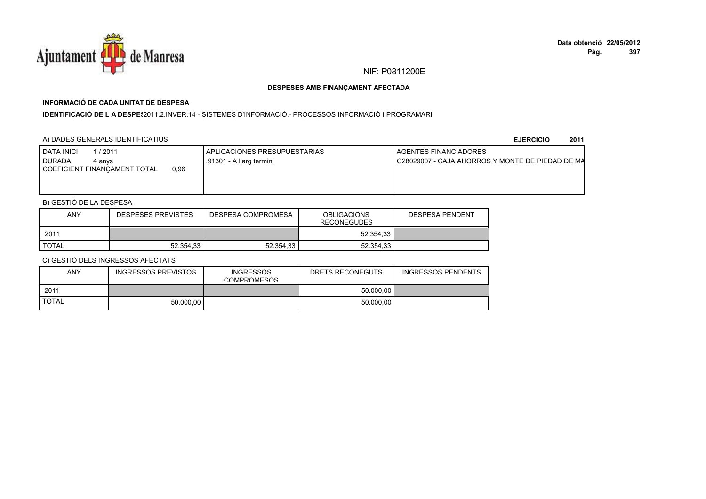![](_page_246_Picture_0.jpeg)

## **INFORMACIÓ DE CADA UNITAT DE DESPESA**

**IDENTIFICACIÓ DE L A DESPES**2011.2.INVER.14 - SISTEMES D'INFORMACIÓ.- PROCESSOS INFORMACIÓ I PROGRAMARI

### A) DADES GENERALS IDENTIFICATIUS

**EJERCICIO<sup>2011</sup>**

| <b>DATA INICI</b><br>/ 2011<br>I DURADA<br>4 anvs<br>0.96<br>COEFICIENT FINANCAMENT TOTAL | APLICACIONES PRESUPUESTARIAS<br>.91301 - A llarg termini | <b>I AGENTES FINANCIADORES</b><br>I G28029007 - CAJA AHORROS Y MONTE DE PIEDAD DE MA |
|-------------------------------------------------------------------------------------------|----------------------------------------------------------|--------------------------------------------------------------------------------------|
|                                                                                           |                                                          |                                                                                      |

## B) GESTIÓ DE LA DESPESA

| <b>ANY</b>   | <b>DESPESES PREVISTES</b> | <b>OBLIGACIONS</b><br>DESPESA COMPROMESA<br><b>RECONEGUDES</b> |           | <b>DESPESA PENDENT</b> |
|--------------|---------------------------|----------------------------------------------------------------|-----------|------------------------|
| 2011         |                           |                                                                | 52.354.33 |                        |
| <b>TOTAL</b> | 52.354.33                 | 52.354.33                                                      | 52.354.33 |                        |

| <b>ANY</b>   | INGRESSOS PREVISTOS | <b>INGRESSOS</b><br><b>COMPROMESOS</b> | DRETS RECONEGUTS | <b>INGRESSOS PENDENTS</b> |
|--------------|---------------------|----------------------------------------|------------------|---------------------------|
| 2011         |                     |                                        | 50.000.00        |                           |
| <b>TOTAL</b> | 50.000.00           |                                        | 50.000.00        |                           |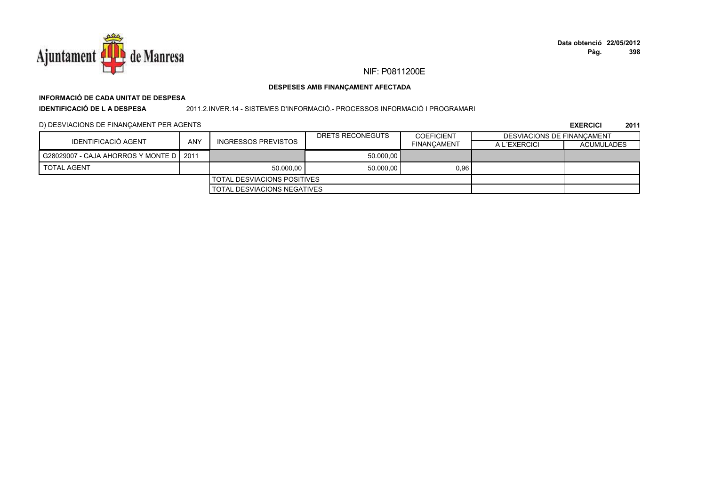![](_page_247_Picture_0.jpeg)

## **INFORMACIÓ DE CADA UNITAT DE DESPESAIDENTIFICACIÓ DE L A DESPESA**

### 2011.2.INVER.14 - SISTEMES D'INFORMACIÓ.- PROCESSOS INFORMACIÓ I PROGRAMARI

### D) DESVIACIONS DE FINANÇAMENT PER AGENTS

|                                           |            |                                      | DRETS RECONEGUTS | <b>COEFICIENT</b>  | DESVIACIONS DE FINANCAMENT |                   |
|-------------------------------------------|------------|--------------------------------------|------------------|--------------------|----------------------------|-------------------|
| IDENTIFICACIÓ AGENT                       | <b>ANY</b> | INGRESSOS PREVISTOS                  |                  | <b>FINANCAMENT</b> | A L'EXERCICI               | <b>ACUMULADES</b> |
| G28029007 - CAJA AHORROS Y MONTE D   2011 |            |                                      | 50.000.00        |                    |                            |                   |
| <b>TOTAL AGENT</b>                        |            | 50.000.00                            | 50.000.00        | 0,96               |                            |                   |
|                                           |            | <b>I TOTAL DESVIACIONS POSITIVES</b> |                  |                    |                            |                   |
|                                           |            | <b>I TOTAL DESVIACIONS NEGATIVES</b> |                  |                    |                            |                   |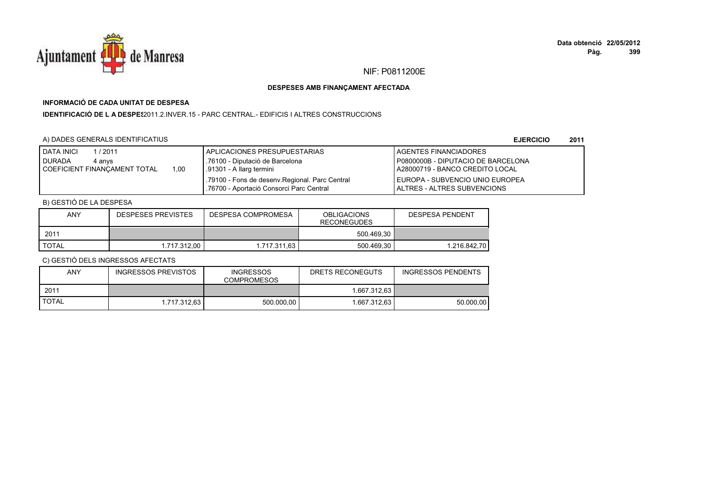![](_page_248_Picture_0.jpeg)

## **INFORMACIÓ DE CADA UNITAT DE DESPESA**

**IDENTIFICACIÓ DE L A DESPES**2011.2.INVER.15 - PARC CENTRAL.- EDIFICIS I ALTRES CONSTRUCCIONS

## A) DADES GENERALS IDENTIFICATIUS

**EJERCICIO<sup>2011</sup>**

| <b>DATA INICI</b><br>1 / 2011<br><b>DURADA</b><br>4 anvs<br>1.00<br>COEFICIENT FINANCAMENT TOTAL | I APLICACIONES PRESUPUESTARIAS<br>.76100 - Diputació de Barcelona<br>.91301 - A llarg termini | LAGENTES FINANCIADORES<br>P0800000B - DIPUTACIO DE BARCELONA<br>LA28000719 - BANCO CREDITO LOCAL |
|--------------------------------------------------------------------------------------------------|-----------------------------------------------------------------------------------------------|--------------------------------------------------------------------------------------------------|
|                                                                                                  | .79100 - Fons de desenv. Regional. Parc Central<br>.76700 - Aportació Consorci Parc Central   | LEUROPA - SUBVENCIO UNIO EUROPEA<br><b>IALTRES - ALTRES SUBVENCIONS</b>                          |

## B) GESTIÓ DE LA DESPESA

| <b>ANY</b>   | DESPESES PREVISTES | DESPESA COMPROMESA | <b>OBLIGACIONS</b><br><b>RECONEGUDES</b> | DESPESA PENDENT |
|--------------|--------------------|--------------------|------------------------------------------|-----------------|
| 2011         |                    |                    | 500.469.30                               |                 |
| <b>TOTAL</b> | 1.717.312.00       | 1.717.311.63       | 500.469.30                               | 1.216.842.70    |

| ANY          | <b>INGRESSOS PREVISTOS</b> | <b>INGRESSOS</b><br><b>COMPROMESOS</b> | DRETS RECONEGUTS | <b>INGRESSOS PENDENTS</b> |  |
|--------------|----------------------------|----------------------------------------|------------------|---------------------------|--|
| 2011         |                            |                                        | 1.667.312.63 I   |                           |  |
| <b>TOTAL</b> | 1.717.312.63               | 500.000.00                             | l.667.312.63 l   | 50.000.00                 |  |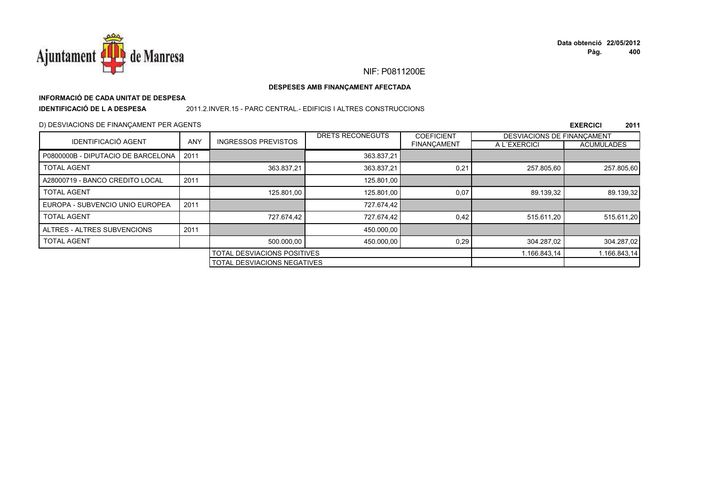![](_page_249_Picture_0.jpeg)

## NIF: P0811200E

### DESPESES AMB FINANÇAMENT AFECTADA

## INFORMACIÓ DE CADA UNITAT DE DESPESA

**IDENTIFICACIÓ DE LA DESPESA** 

### 2011.2. INVER.15 - PARC CENTRAL.- EDIFICIS I ALTRES CONSTRUCCIONS

### D) DESVIACIONS DE FINANÇAMENT PER AGENTS

|                                    |            |                                    | DRETS RECONEGUTS                   | <b>COEFICIENT</b>  | <b>DESVIACIONS DE FINANCAMENT</b> |                   |
|------------------------------------|------------|------------------------------------|------------------------------------|--------------------|-----------------------------------|-------------------|
| <b>IDENTIFICACIÓ AGENT</b>         | <b>ANY</b> | <b>INGRESSOS PREVISTOS</b>         |                                    | <b>FINANCAMENT</b> | A L'EXERCICI                      | <b>ACUMULADES</b> |
| P0800000B - DIPUTACIO DE BARCELONA | 2011       |                                    | 363.837,21                         |                    |                                   |                   |
| <b>TOTAL AGENT</b>                 |            | 363.837,21                         | 363.837,21                         | 0,21               | 257.805.60                        | 257.805,60        |
| A28000719 - BANCO CREDITO LOCAL    | 2011       |                                    | 125.801.00                         |                    |                                   |                   |
| <b>TOTAL AGENT</b>                 |            | 125.801.00                         | 125.801,00                         | 0,07               | 89.139,32                         | 89.139,32         |
| EUROPA - SUBVENCIO UNIO EUROPEA    | 2011       |                                    | 727.674,42                         |                    |                                   |                   |
| <b>TOTAL AGENT</b>                 |            | 727.674.42                         | 727.674.42                         | 0,42               | 515.611.20                        | 515.611,20        |
| ALTRES - ALTRES SUBVENCIONS        | 2011       |                                    | 450.000,00                         |                    |                                   |                   |
| <b>TOTAL AGENT</b>                 |            | 500.000,00                         | 450.000,00                         | 0,29               | 304.287.02                        | 304.287,02        |
|                                    |            | <b>TOTAL DESVIACIONS POSITIVES</b> |                                    | 1.166.843,14       | 1.166.843,14                      |                   |
|                                    |            |                                    | <b>TOTAL DESVIACIONS NEGATIVES</b> |                    |                                   |                   |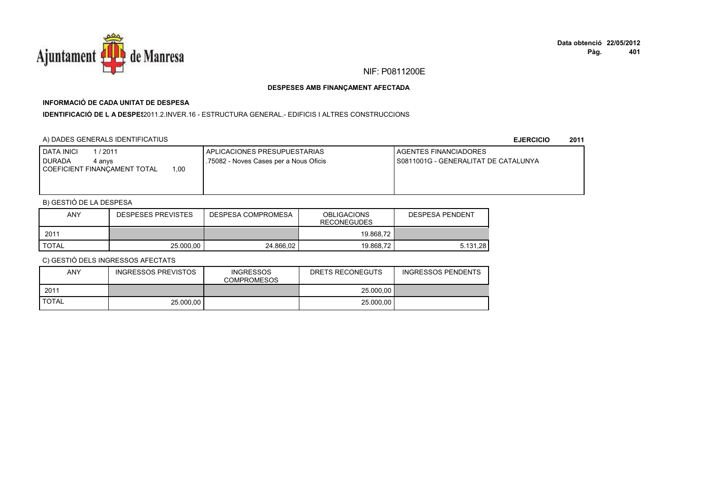![](_page_250_Picture_0.jpeg)

# **INFORMACIÓ DE CADA UNITAT DE DESPESA**

**IDENTIFICACIÓ DE L A DESPES**2011.2.INVER.16 - ESTRUCTURA GENERAL.- EDIFICIS I ALTRES CONSTRUCCIONS

### A) DADES GENERALS IDENTIFICATIUS

**EJERCICIO<sup>2011</sup>**

| <b>I DATA INICI</b><br>1/2011<br><b>I DURADA</b><br>4 anvs | APLICACIONES PRESUPUESTARIAS<br>.75082 - Noves Cases per a Nous Oficis | <b>I AGENTES FINANCIADORES</b><br>I S0811001G - GENERALITAT DE CATALUNYA |
|------------------------------------------------------------|------------------------------------------------------------------------|--------------------------------------------------------------------------|
| 1,00<br>COEFICIENT FINANCAMENT TOTAL                       |                                                                        |                                                                          |

## B) GESTIÓ DE LA DESPESA

| <b>ANY</b>   | <b>DESPESES PREVISTES</b> | DESPESA COMPROMESA | <b>OBLIGACIONS</b><br><b>RECONEGUDES</b> | DESPESA PENDENT |
|--------------|---------------------------|--------------------|------------------------------------------|-----------------|
| 2011         |                           |                    | 19.868,72                                |                 |
| <b>TOTAL</b> | 25,000.00                 | 24.866.02          | 19.868,72                                | 5.131.28        |

| <b>ANY</b>   | <b>INGRESSOS PREVISTOS</b> | <b>INGRESSOS</b><br><b>COMPROMESOS</b> | DRETS RECONEGUTS | <b>INGRESSOS PENDENTS</b> |
|--------------|----------------------------|----------------------------------------|------------------|---------------------------|
| 2011         |                            |                                        | 25.000.00        |                           |
| <b>TOTAL</b> | 25,000.00                  |                                        | 25,000,00        |                           |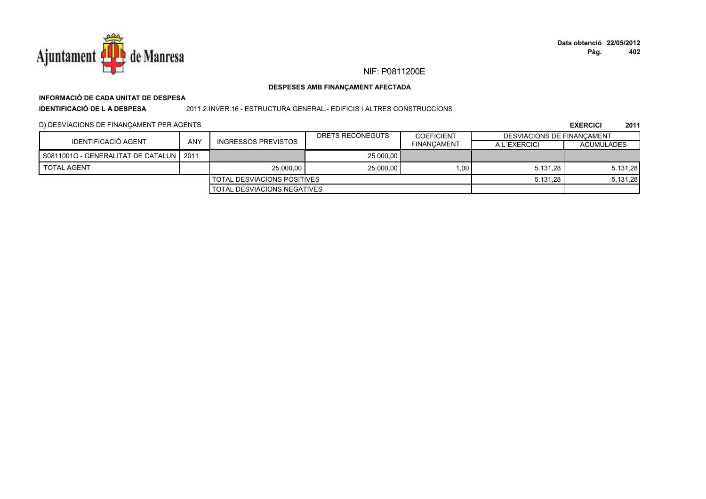![](_page_251_Picture_0.jpeg)

## NIF: P0811200E

### DESPESES AMB FINANÇAMENT AFECTADA

## INFORMACIÓ DE CADA UNITAT DE DESPESA

**IDENTIFICACIÓ DE LA DESPESA** 

### 2011.2.INVER.16 - ESTRUCTURA GENERAL.- EDIFICIS I ALTRES CONSTRUCCIONS

### D) DESVIACIONS DE FINANÇAMENT PER AGENTS

|                                           |     |                                    | DRETS RECONEGUTS | <b>COEFICIENT</b>  | <b>DESVIACIONS DE FINANCAMENT</b> |                   |
|-------------------------------------------|-----|------------------------------------|------------------|--------------------|-----------------------------------|-------------------|
| <b>IDENTIFICACIÓ AGENT</b>                | ANY | INGRESSOS PREVISTOS                |                  | <b>FINANCAMENT</b> | A L'EXERCICI                      | <b>ACUMULADES</b> |
| S0811001G - GENERALITAT DE CATALUN   2011 |     |                                    | 25.000.00        |                    |                                   |                   |
| <b>TOTAL AGENT</b>                        |     | 25.000.00                          | 25,000.00        | 1.00               | 5.131.28                          | 5.131,28          |
|                                           |     | <b>TOTAL DESVIACIONS POSITIVES</b> |                  |                    | 5.131.28                          | 5.131,28          |
| TOTAL DESVIACIONS NEGATIVES               |     |                                    |                  |                    |                                   |                   |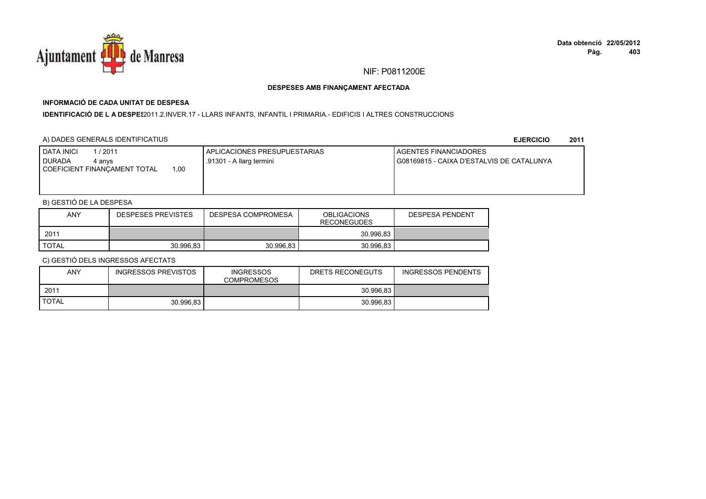

# **INFORMACIÓ DE CADA UNITAT DE DESPESA**

I**DENTIFICACIÓ DE L A DESPE**§2011.2.INVER.17 - LLARS INFANTS, INFANTIL I PRIMARIA.- EDIFICIS I ALTRES CONSTRUCCIONS

# A) DADES GENERALS IDENTIFICATIUS

**EJERCICIO<sup>2011</sup>**

| 1 / 2011<br>DATA INICI<br><b>DURADA</b><br>4 anvs<br>00،،<br>COEFICIENT FINANCAMENT TOTAL | APLICACIONES PRESUPUESTARIAS<br>.91301 - A llarg termini | <b>I AGENTES FINANCIADORES</b><br>I G08169815 - CAIXA D'ESTALVIS DE CATALUNYA |
|-------------------------------------------------------------------------------------------|----------------------------------------------------------|-------------------------------------------------------------------------------|
|                                                                                           |                                                          |                                                                               |

# B) GESTIÓ DE LA DESPESA

| <b>ANY</b>   | <b>DESPESES PREVISTES</b> | <b>OBLIGACIONS</b><br>DESPESA COMPROMESA<br><b>RECONEGUDES</b> |           | <b>DESPESA PENDENT</b> |
|--------------|---------------------------|----------------------------------------------------------------|-----------|------------------------|
| 2011         |                           |                                                                | 30.996.83 |                        |
| <b>TOTAL</b> | 30.996.83                 | 30.996.83                                                      | 30.996.83 |                        |

| <b>ANY</b>   | INGRESSOS PREVISTOS | <b>INGRESSOS</b><br><b>COMPROMESOS</b> | DRETS RECONEGUTS | <b>INGRESSOS PENDENTS</b> |
|--------------|---------------------|----------------------------------------|------------------|---------------------------|
| 2011         |                     |                                        | 30.996.83        |                           |
| <b>TOTAL</b> | 30.996.83           |                                        | 30.996.83        |                           |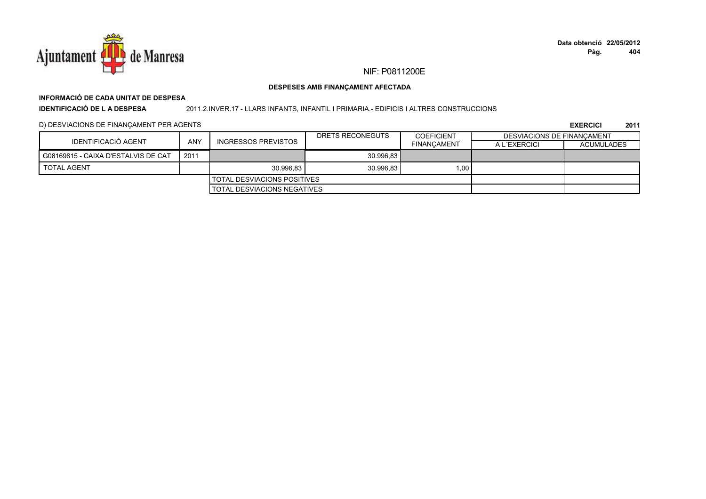

# **INFORMACIÓ DE CADA UNITAT DE DESPESA**

**IDENTIFICACIÓ DE L A DESPESA**

### 2011.2.INVER.17 - LLARS INFANTS, INFANTIL I PRIMARIA.- EDIFICIS I ALTRES CONSTRUCCIONS

# D) DESVIACIONS DE FINANÇAMENT PER AGENTS

|                                     |            |                             | DRETS RECONEGUTS | <b>COEFICIENT</b>  | DESVIACIONS DE FINANCAMENT |                   |
|-------------------------------------|------------|-----------------------------|------------------|--------------------|----------------------------|-------------------|
| IDENTIFICACIÓ AGENT                 | <b>ANY</b> | INGRESSOS PREVISTOS         |                  | <b>FINANCAMENT</b> | A L'EXERCICI               | <b>ACUMULADES</b> |
| G08169815 - CAIXA D'ESTALVIS DE CAT | 2011       |                             | 30.996.83        |                    |                            |                   |
| <b>TOTAL AGENT</b>                  |            | 30.996.83                   | 30.996.83        | 1,00               |                            |                   |
|                                     |            | TOTAL DESVIACIONS POSITIVES |                  |                    |                            |                   |
|                                     |            | TOTAL DESVIACIONS NEGATIVES |                  |                    |                            |                   |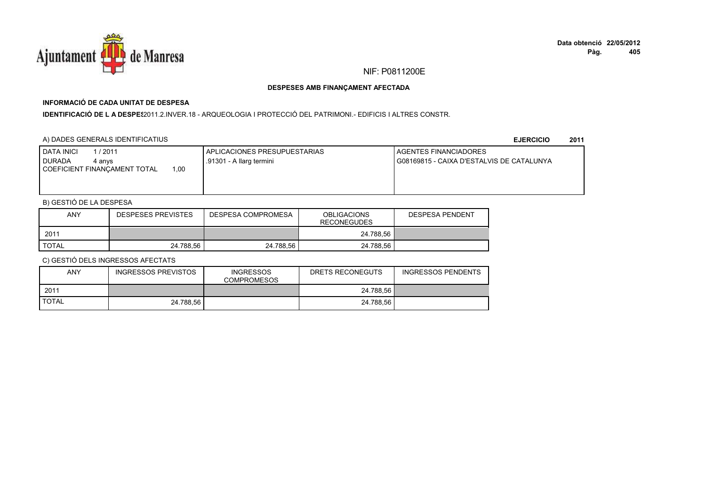

# **INFORMACIÓ DE CADA UNITAT DE DESPESA**

I**DENTIFICACIÓ DE L A DESPES**2011.2.INVER.18 - ARQUEOLOGIA I PROTECCIÓ DEL PATRIMONI.- EDIFICIS I ALTRES CONSTR.

# A) DADES GENERALS IDENTIFICATIUS

**EJERCICIO<sup>2011</sup>**

| <b>DATA INICI</b><br>/ 2011<br><b>DURADA</b><br>4 anvs<br>00.1<br>COEFICIENT FINANCAMENT TOTAL | APLICACIONES PRESUPUESTARIAS<br>.91301 - A llarg termini | AGENTES FINANCIADORES<br>G08169815 - CAIXA D'ESTALVIS DE CATALUNYA |
|------------------------------------------------------------------------------------------------|----------------------------------------------------------|--------------------------------------------------------------------|
|                                                                                                |                                                          |                                                                    |

# B) GESTIÓ DE LA DESPESA

| <b>ANY</b>   | <b>DESPESES PREVISTES</b> | DESPESA COMPROMESA | <b>OBLIGACIONS</b><br><b>RECONEGUDES</b> | <b>DESPESA PENDENT</b> |
|--------------|---------------------------|--------------------|------------------------------------------|------------------------|
| 2011         |                           |                    | 24.788,56                                |                        |
| <b>TOTAL</b> | 24.788.56                 | 24.788.56          | 24.788.56                                |                        |

| <b>ANY</b>   | INGRESSOS PREVISTOS | <b>INGRESSOS</b><br><b>COMPROMESOS</b> | DRETS RECONEGUTS | <b>INGRESSOS PENDENTS</b> |
|--------------|---------------------|----------------------------------------|------------------|---------------------------|
| 2011         |                     |                                        | 24.788.56        |                           |
| <b>TOTAL</b> | 24.788.56           |                                        | 24.788.56        |                           |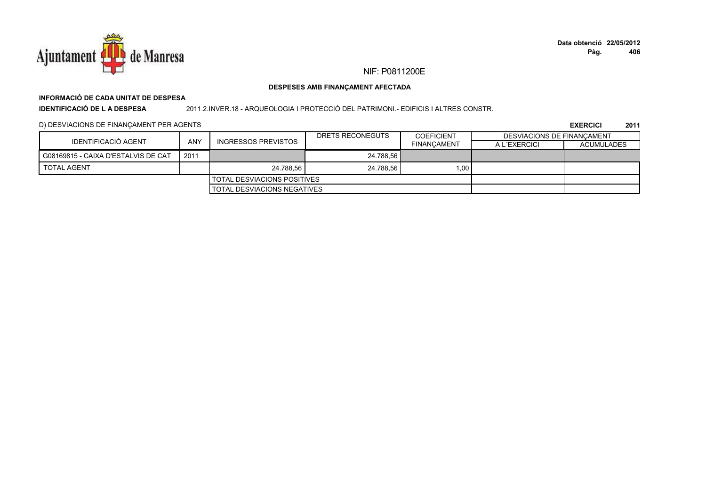

# **INFORMACIÓ DE CADA UNITAT DE DESPESA**

**IDENTIFICACIÓ DE L A DESPESA**

2011.2.INVER.18 - ARQUEOLOGIA I PROTECCIÓ DEL PATRIMONI.- EDIFICIS I ALTRES CONSTR.

# D) DESVIACIONS DE FINANÇAMENT PER AGENTS

|                                     |            |                                      | DRETS RECONEGUTS | <b>COEFICIENT</b>  | DESVIACIONS DE FINANCAMENT |                   |
|-------------------------------------|------------|--------------------------------------|------------------|--------------------|----------------------------|-------------------|
| IDENTIFICACIÓ AGENT                 | <b>ANY</b> | <b>INGRESSOS PREVISTOS</b>           |                  | <b>FINANCAMENT</b> | A L'EXERCICI               | <b>ACUMULADES</b> |
| G08169815 - CAIXA D'ESTALVIS DE CAT | 2011       |                                      | 24.788.56        |                    |                            |                   |
| <b>TOTAL AGENT</b>                  |            | 24.788.56                            | 24.788.56        | 1,00               |                            |                   |
|                                     |            | <b>I</b> TOTAL DESVIACIONS POSITIVES |                  |                    |                            |                   |
|                                     |            | <b>TOTAL DESVIACIONS NEGATIVES</b>   |                  |                    |                            |                   |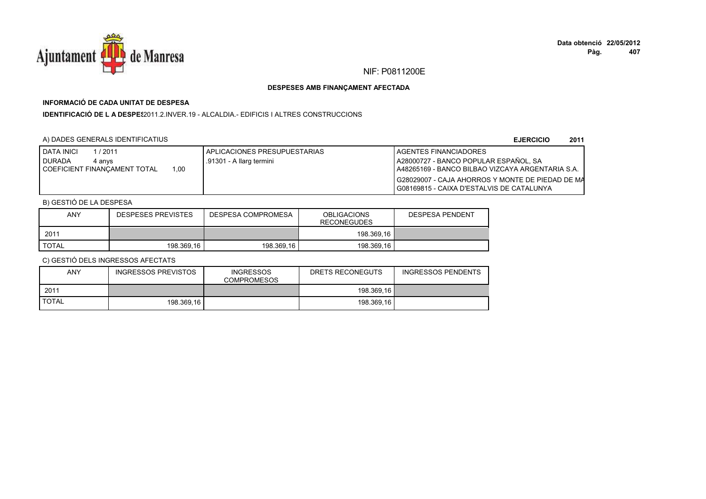

# **INFORMACIÓ DE CADA UNITAT DE DESPESA**

**IDENTIFICACIÓ DE L A DESPES**2011.2.INVER.19 - ALCALDIA.- EDIFICIS I ALTRES CONSTRUCCIONS

# A) DADES GENERALS IDENTIFICATIUS

**EJERCICIO<sup>2011</sup>**

| <b>I DATA INICI</b><br>/2011          | I APLICACIONES PRESUPUESTARIAS | LAGENTES FINANCIADORES                             |
|---------------------------------------|--------------------------------|----------------------------------------------------|
| <b>DURADA</b><br>4 anvs               | .91301 - A llarg termini       | A28000727 - BANCO POPULAR ESPAÑOL, SA              |
| .00<br>I COEFICIENT FINANCAMENT TOTAL |                                | A48265169 - BANCO BILBAO VIZCAYA ARGENTARIA S.A.   |
|                                       |                                | I G28029007 - CAJA AHORROS Y MONTE DE PIEDAD DE MA |
|                                       |                                | I G08169815 - CAIXA D'ESTALVIS DE CATALUNYA        |

# B) GESTIÓ DE LA DESPESA

| <b>ANY</b> | <b>DESPESES PREVISTES</b> | DESPESA COMPROMESA | <b>OBLIGACIONS</b><br><b>RECONEGUDES</b> | <b>DESPESA PENDENT</b> |
|------------|---------------------------|--------------------|------------------------------------------|------------------------|
| 2011       |                           |                    | 198.369,16                               |                        |
| TOTAL      | 198.369.16                | 198.369.16         | 198.369.16                               |                        |

| ANY          | INGRESSOS PREVISTOS | <b>INGRESSOS</b><br><b>COMPROMESOS</b> | DRETS RECONEGUTS | <b>INGRESSOS PENDENTS</b> |
|--------------|---------------------|----------------------------------------|------------------|---------------------------|
| 2011         |                     |                                        | 198.369.16       |                           |
| <b>TOTAL</b> | 198.369.16          |                                        | 198.369.16       |                           |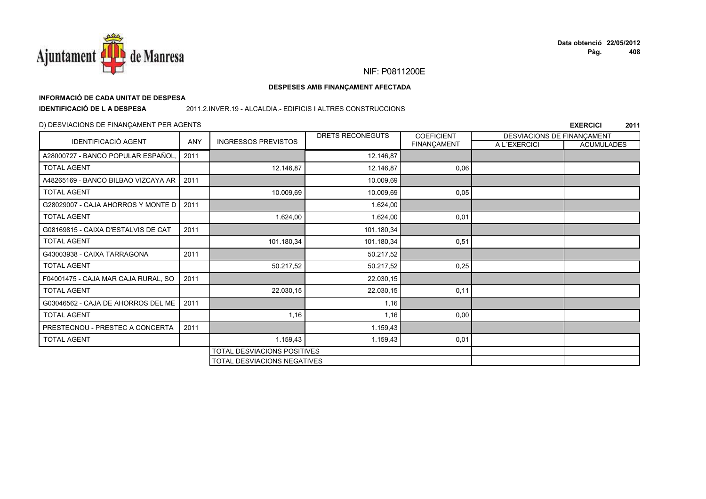

# **INFORMACIÓ DE CADA UNITAT DE DESPESA**

**IDENTIFICACIÓ DE L A DESPESA**

2011.2.INVER.19 - ALCALDIA.- EDIFICIS I ALTRES CONSTRUCCIONS

# D) DESVIACIONS DE FINANÇAMENT PER AGENTS

|                                     |      | <b>INGRESSOS PREVISTOS</b>  | DRETS RECONEGUTS | <b>COEFICIENT</b> | DESVIACIONS DE FINANÇAMENT |                   |
|-------------------------------------|------|-----------------------------|------------------|-------------------|----------------------------|-------------------|
| <b>IDENTIFICACIÓ AGENT</b>          | ANY  |                             |                  | FINANÇAMENT       | A L'EXERCICI               | <b>ACUMULADES</b> |
| A28000727 - BANCO POPULAR ESPAÑOL.  | 2011 |                             | 12.146,87        |                   |                            |                   |
| <b>TOTAL AGENT</b>                  |      | 12.146,87                   | 12.146,87        | 0,06              |                            |                   |
| A48265169 - BANCO BILBAO VIZCAYA AR | 2011 |                             | 10.009,69        |                   |                            |                   |
| <b>TOTAL AGENT</b>                  |      | 10.009,69                   | 10.009,69        | 0,05              |                            |                   |
| G28029007 - CAJA AHORROS Y MONTE D  | 2011 |                             | 1.624,00         |                   |                            |                   |
| <b>TOTAL AGENT</b>                  |      | 1.624,00                    | 1.624,00         | 0,01              |                            |                   |
| G08169815 - CAIXA D'ESTALVIS DE CAT | 2011 |                             | 101.180,34       |                   |                            |                   |
| <b>TOTAL AGENT</b>                  |      | 101.180,34                  | 101.180,34       | 0,51              |                            |                   |
| G43003938 - CAIXA TARRAGONA         | 2011 |                             | 50.217,52        |                   |                            |                   |
| <b>TOTAL AGENT</b>                  |      | 50.217,52                   | 50.217,52        | 0,25              |                            |                   |
| F04001475 - CAJA MAR CAJA RURAL, SO | 2011 |                             | 22.030,15        |                   |                            |                   |
| <b>TOTAL AGENT</b>                  |      | 22.030,15                   | 22.030,15        | 0,11              |                            |                   |
| G03046562 - CAJA DE AHORROS DEL ME  | 2011 |                             | 1,16             |                   |                            |                   |
| <b>TOTAL AGENT</b>                  |      | 1,16                        | 1,16             | 0,00              |                            |                   |
| PRESTECNOU - PRESTEC A CONCERTA     | 2011 |                             | 1.159,43         |                   |                            |                   |
| <b>TOTAL AGENT</b>                  |      | 1.159,43                    | 1.159,43         | 0,01              |                            |                   |
|                                     |      | TOTAL DESVIACIONS POSITIVES |                  |                   |                            |                   |
|                                     |      | TOTAL DESVIACIONS NEGATIVES |                  |                   |                            |                   |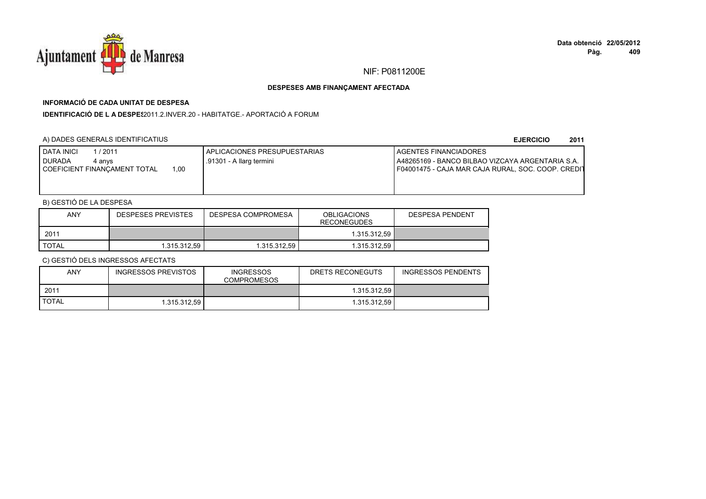

# **INFORMACIÓ DE CADA UNITAT DE DESPESA**

**IDENTIFICACIÓ DE L A DESPES**2011.2.INVER.20 - HABITATGE.- APORTACIÓ A FORUM

# A) DADES GENERALS IDENTIFICATIUS

### **EJERCICIO<sup>2011</sup>**

| <b>DATA INICI</b><br>1 / 2011<br>I DURADA<br>4 anvs<br>COEFICIENT FINANCAMENT TOTAL<br>1.00 | I APLICACIONES PRESUPUESTARIAS<br>.91301 - A llarg termini | <b>I AGENTES FINANCIADORES</b><br>A48265169 - BANCO BILBAO VIZCAYA ARGENTARIA S.A.<br>F04001475 - CAJA MAR CAJA RURAL, SOC. COOP. CREDIT |
|---------------------------------------------------------------------------------------------|------------------------------------------------------------|------------------------------------------------------------------------------------------------------------------------------------------|
|                                                                                             |                                                            |                                                                                                                                          |

# B) GESTIÓ DE LA DESPESA

| ANY   | DESPESES PREVISTES | DESPESA COMPROMESA | <b>OBLIGACIONS</b><br><b>RECONEGUDES</b> | <b>DESPESA PENDENT</b> |
|-------|--------------------|--------------------|------------------------------------------|------------------------|
| 2011  |                    |                    | 1.315.312.59 l                           |                        |
| TOTAL | 1.315.312.59       | 1.315.312.59       | 1.315.312.59                             |                        |

| ANY          | INGRESSOS PREVISTOS | <b>INGRESSOS</b><br><b>COMPROMESOS</b> | DRETS RECONEGUTS | <b>INGRESSOS PENDENTS</b> |
|--------------|---------------------|----------------------------------------|------------------|---------------------------|
| 2011         |                     |                                        | 1.315.312.59     |                           |
| <b>TOTAL</b> | 1.315.312.59        |                                        | 1.315.312.59     |                           |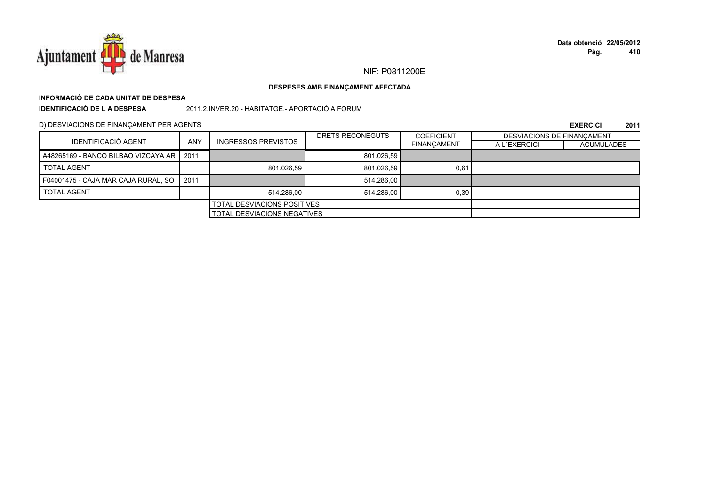

# **INFORMACIÓ DE CADA UNITAT DE DESPESA**

**IDENTIFICACIÓ DE L A DESPESA**

2011.2.INVER.20 - HABITATGE.- APORTACIÓ A FORUM

D) DESVIACIONS DE FINANÇAMENT PER AGENTS

|                                            |                                    |                            | DRETS RECONEGUTS | <b>COEFICIENT</b>  | DESVIACIONS DE FINANCAMENT |                   |
|--------------------------------------------|------------------------------------|----------------------------|------------------|--------------------|----------------------------|-------------------|
| <b>IDENTIFICACIÓ AGENT</b>                 | <b>ANY</b>                         | <b>INGRESSOS PREVISTOS</b> |                  | <b>FINANCAMENT</b> | A L'EXERCICI               | <b>ACUMULADES</b> |
| A48265169 - BANCO BILBAO VIZCAYA AR   2011 |                                    |                            | 801.026.59       |                    |                            |                   |
| <b>TOTAL AGENT</b>                         |                                    | 801.026.59                 | 801.026,59       | 0,61               |                            |                   |
| F04001475 - CAJA MAR CAJA RURAL, SO        | 2011                               |                            | 514.286,00       |                    |                            |                   |
| <b>TOTAL AGENT</b>                         |                                    | 514.286.00                 | 514.286.00       | 0,39               |                            |                   |
| <b>TOTAL DESVIACIONS POSITIVES</b>         |                                    |                            |                  |                    |                            |                   |
|                                            | <b>TOTAL DESVIACIONS NEGATIVES</b> |                            |                  |                    |                            |                   |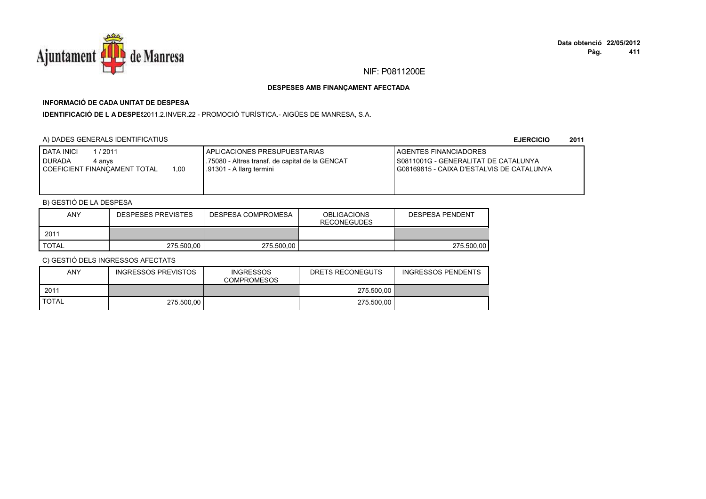

# **INFORMACIÓ DE CADA UNITAT DE DESPESA**

IDENTIFICACIÓ DE L A DESPES2011.2.INVER.22 - PROMOCIÓ TURÍSTICA.- AIGÜES DE MANRESA, S.A.

# A) DADES GENERALS IDENTIFICATIUS

**EJERCICIO<sup>2011</sup>**

| DATA INICI<br>1/2011<br>DURADA<br>4 anvs<br>1,00<br>COEFICIENT FINANCAMENT TOTAL | APLICACIONES PRESUPUESTARIAS<br>75080 - Altres transf. de capital de la GENCAT<br>.91301 - A llarg termini | AGENTES FINANCIADORES<br>I S0811001G - GENERALITAT DE CATALUNYA<br>I G08169815 - CAIXA D'ESTALVIS DE CATALUNYA |
|----------------------------------------------------------------------------------|------------------------------------------------------------------------------------------------------------|----------------------------------------------------------------------------------------------------------------|
|----------------------------------------------------------------------------------|------------------------------------------------------------------------------------------------------------|----------------------------------------------------------------------------------------------------------------|

# B) GESTIÓ DE LA DESPESA

| <b>ANY</b>   | <b>DESPESES PREVISTES</b> | DESPESA COMPROMESA | <b>OBLIGACIONS</b><br><b>RECONEGUDES</b> | DESPESA PENDENT |
|--------------|---------------------------|--------------------|------------------------------------------|-----------------|
| 2011         |                           |                    |                                          |                 |
| <b>TOTAL</b> | 275.500.00                | 275.500.00         |                                          | 275.500.00      |

| <b>ANY</b>   | <b>INGRESSOS PREVISTOS</b> | <b>INGRESSOS</b><br><b>COMPROMESOS</b> | DRETS RECONEGUTS | <b>INGRESSOS PENDENTS</b> |
|--------------|----------------------------|----------------------------------------|------------------|---------------------------|
| 2011         |                            |                                        | 275.500.00       |                           |
| <b>TOTAL</b> | 275.500.00                 |                                        | 275.500.00       |                           |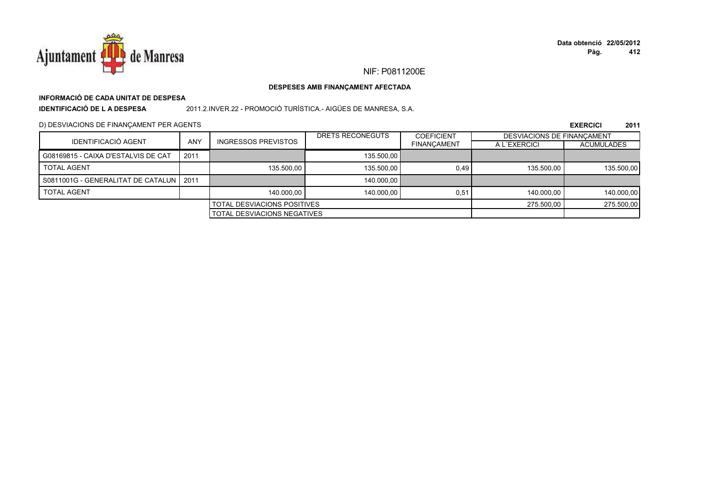

# **INFORMACIÓ DE CADA UNITAT DE DESPESA**

**IDENTIFICACIÓ DE L A DESPESA**

2011.2.INVER.22 - PROMOCIÓ TURÍSTICA.- AIGÜES DE MANRESA, S.A.

D) DESVIACIONS DE FINANÇAMENT PER AGENTS

|                                           |                                    |                            | DRETS RECONEGUTS | <b>COEFICIENT</b>  | <b>DESVIACIONS DE FINANCAMENT</b> |                   |
|-------------------------------------------|------------------------------------|----------------------------|------------------|--------------------|-----------------------------------|-------------------|
| IDENTIFICACIÓ AGENT                       | <b>ANY</b>                         | <b>INGRESSOS PREVISTOS</b> |                  | <b>FINANCAMENT</b> | A L'EXERCICI                      | <b>ACUMULADES</b> |
| G08169815 - CAIXA D'ESTALVIS DE CAT       | 2011                               |                            | 135,500.00       |                    |                                   |                   |
| <b>TOTAL AGENT</b>                        |                                    | 135,500.00                 | 135.500.00       | 0.49               | 135.500.00                        | 135.500,00        |
| S0811001G - GENERALITAT DE CATALUN   2011 |                                    |                            | 140.000.00       |                    |                                   |                   |
| <b>TOTAL AGENT</b>                        |                                    | 140.000.00                 | 140.000.00       | 0.51               | 140.000.00                        | 140.000,00        |
| <b>TOTAL DESVIACIONS POSITIVES</b>        |                                    |                            | 275.500.00       | 275.500,00         |                                   |                   |
|                                           | <b>TOTAL DESVIACIONS NEGATIVES</b> |                            |                  |                    |                                   |                   |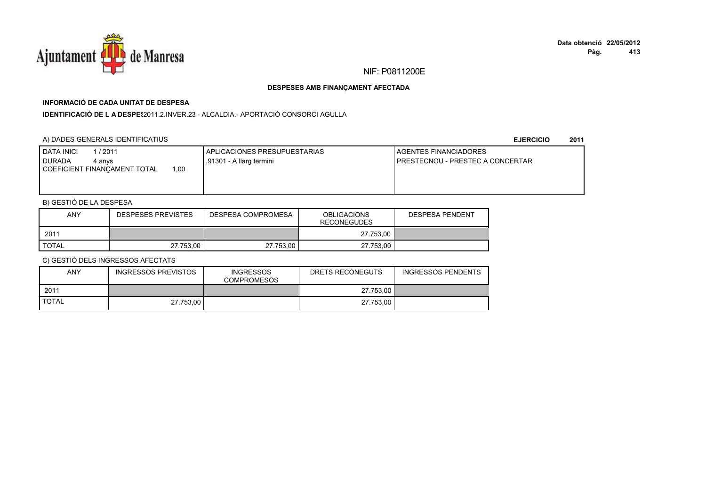

# **INFORMACIÓ DE CADA UNITAT DE DESPESA**

**IDENTIFICACIÓ DE L A DESPES**2011.2.INVER.23 - ALCALDIA.- APORTACIÓ CONSORCI AGULLA

# A) DADES GENERALS IDENTIFICATIUS

### **EJERCICIO<sup>2011</sup>**

| 1,00<br>COEFICIENT FINANCAMENT TOTAL | <b>DATA INICI</b><br>/ 2011<br><b>DURADA</b><br>4 anvs | APLICACIONES PRESUPUESTARIAS<br>.91301 - A llarg termini | <b>I AGENTES FINANCIADORES</b><br>I PRESTECNOU - PRESTEC A CONCERTAR |
|--------------------------------------|--------------------------------------------------------|----------------------------------------------------------|----------------------------------------------------------------------|
|                                      |                                                        |                                                          |                                                                      |

# B) GESTIÓ DE LA DESPESA

| ANY          | DESPESA COMPROMESA<br>DESPESES PREVISTES |           | <b>OBLIGACIONS</b><br><b>RECONEGUDES</b> | <b>DESPESA PENDENT</b> |
|--------------|------------------------------------------|-----------|------------------------------------------|------------------------|
| 2011         |                                          |           | 27.753.00                                |                        |
| <b>TOTAL</b> | 27.753.00                                | 27.753.00 | 27.753.00                                |                        |

| <b>ANY</b>   | INGRESSOS PREVISTOS | <b>INGRESSOS</b><br><b>COMPROMESOS</b> | DRETS RECONEGUTS | INGRESSOS PENDENTS |
|--------------|---------------------|----------------------------------------|------------------|--------------------|
| 2011         |                     |                                        | 27.753.00        |                    |
| <b>TOTAL</b> | 27.753.00           |                                        | 27.753.00        |                    |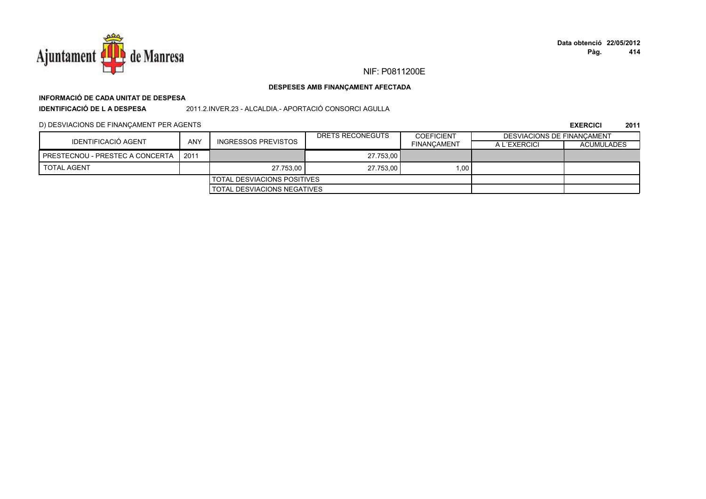

# **INFORMACIÓ DE CADA UNITAT DE DESPESA**

**IDENTIFICACIÓ DE L A DESPESA**2011.2.INVER.23 - ALCALDIA.- APORTACIÓ CONSORCI AGULLA

D) DESVIACIONS DE FINANÇAMENT PER AGENTS

|                                    |                             |                                | DRETS RECONEGUTS | <b>COEFICIENT</b>  | DESVIACIONS DE FINANCAMENT |                   |
|------------------------------------|-----------------------------|--------------------------------|------------------|--------------------|----------------------------|-------------------|
| IDENTIFICACIÓ AGENT                | <b>ANY</b>                  | <b>INGRESSOS PREVISTOS</b>     |                  | <b>FINANCAMENT</b> | A L'EXERCICI               | <b>ACUMULADES</b> |
| PRESTECNOU - PRESTEC A CONCERTA    | 2011                        |                                | 27.753.00        |                    |                            |                   |
| <b>TOTAL AGENT</b>                 |                             | 1.00<br>27.753.00<br>27.753.00 |                  |                    |                            |                   |
| <b>TOTAL DESVIACIONS POSITIVES</b> |                             |                                |                  |                    |                            |                   |
|                                    | TOTAL DESVIACIONS NEGATIVES |                                |                  |                    |                            |                   |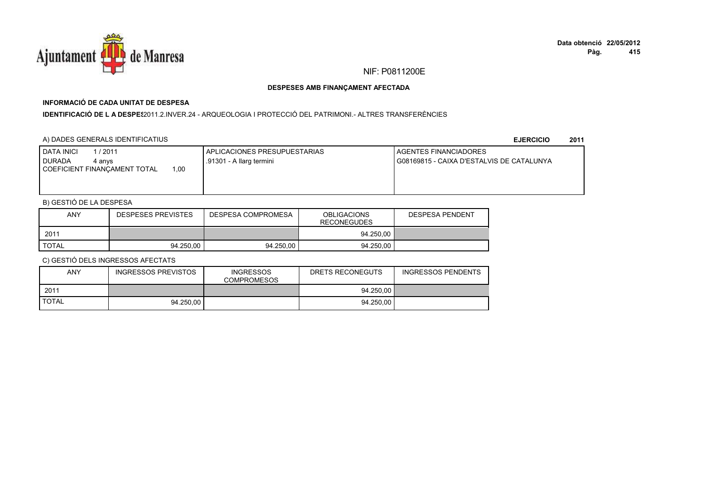

# **INFORMACIÓ DE CADA UNITAT DE DESPESA**

**IDENTIFICACIÓ DE L A DESPES**2011.2.INVER.24 - ARQUEOLOGIA I PROTECCIÓ DEL PATRIMONI.- ALTRES TRANSFERÈNCIES

# A) DADES GENERALS IDENTIFICATIUS

**EJERCICIO<sup>2011</sup>**

| 1/2011<br><b>I DATA INICI</b><br>I DURADA<br>4 anvs<br>00.1<br>COEFICIENT FINANCAMENT TOTAL | APLICACIONES PRESUPUESTARIAS<br>.91301 - A llarg termini | <b>I AGENTES FINANCIADORES</b><br>G08169815 - CAIXA D'ESTALVIS DE CATALUNYA |
|---------------------------------------------------------------------------------------------|----------------------------------------------------------|-----------------------------------------------------------------------------|
|                                                                                             |                                                          |                                                                             |

# B) GESTIÓ DE LA DESPESA

| <b>ANY</b>   | <b>DESPESES PREVISTES</b> | DESPESA COMPROMESA | <b>OBLIGACIONS</b><br><b>RECONEGUDES</b> | <b>DESPESA PENDENT</b> |
|--------------|---------------------------|--------------------|------------------------------------------|------------------------|
| 2011         |                           |                    | 94.250.00                                |                        |
| <b>TOTAL</b> | 94.250.00                 | 94.250.00          | 94.250.00                                |                        |

| <b>ANY</b>   | INGRESSOS PREVISTOS | <b>INGRESSOS</b><br><b>COMPROMESOS</b> | DRETS RECONEGUTS | <b>INGRESSOS PENDENTS</b> |
|--------------|---------------------|----------------------------------------|------------------|---------------------------|
| 2011         |                     |                                        | 94.250.00        |                           |
| <b>TOTAL</b> | 94.250.00           |                                        | 94.250.00        |                           |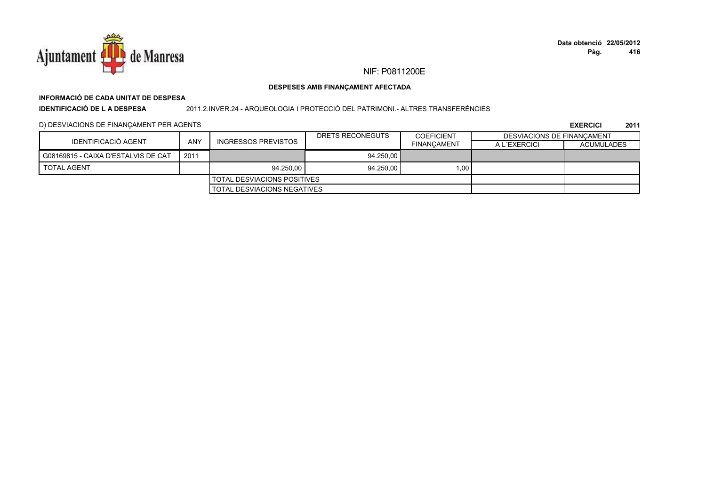

# **INFORMACIÓ DE CADA UNITAT DE DESPESAIDENTIFICACIÓ DE L A DESPESA**

2011.2.INVER.24 - ARQUEOLOGIA I PROTECCIÓ DEL PATRIMONI.- ALTRES TRANSFERÈNCIES

# D) DESVIACIONS DE FINANÇAMENT PER AGENTS

|                                     |      |                                    | DRETS RECONEGUTS | <b>COEFICIENT</b>  | DESVIACIONS DE FINANCAMENT |                   |
|-------------------------------------|------|------------------------------------|------------------|--------------------|----------------------------|-------------------|
| IDENTIFICACIÓ AGENT                 | ANY  | INGRESSOS PREVISTOS                |                  | <b>FINANCAMENT</b> | A L'EXERCICI               | <b>ACUMULADES</b> |
| G08169815 - CAIXA D'ESTALVIS DE CAT | 2011 |                                    | 94.250.00        |                    |                            |                   |
| <b>TOTAL AGENT</b>                  |      | 94.250.00                          | 94.250.00        | 1.00               |                            |                   |
|                                     |      | TOTAL DESVIACIONS POSITIVES        |                  |                    |                            |                   |
|                                     |      | <b>TOTAL DESVIACIONS NEGATIVES</b> |                  |                    |                            |                   |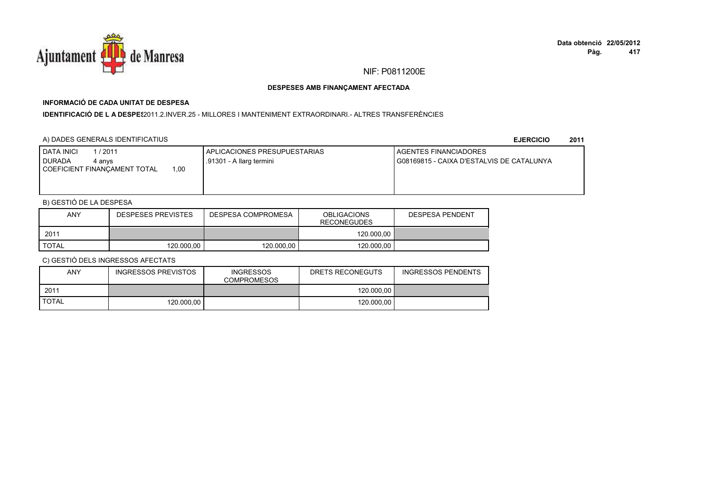

# **INFORMACIÓ DE CADA UNITAT DE DESPESA**

## **IDENTIFICACIÓ DE L A DESPES**2011.2.INVER.25 - MILLORES I MANTENIMENT EXTRAORDINARI.- ALTRES TRANSFERÈNCIES

# A) DADES GENERALS IDENTIFICATIUS

**EJERCICIO<sup>2011</sup>**

| 1 / 2011<br><b>DATA INICI</b><br><b>DURADA</b><br>4 anvs<br>00،،<br>COEFICIENT FINANCAMENT TOTAL | I APLICACIONES PRESUPUESTARIAS<br>.91301 - A llarg termini | <b>I AGENTES FINANCIADORES</b><br>I G08169815 - CAIXA D'ESTALVIS DE CATALUNYA |
|--------------------------------------------------------------------------------------------------|------------------------------------------------------------|-------------------------------------------------------------------------------|
|                                                                                                  |                                                            |                                                                               |

# B) GESTIÓ DE LA DESPESA

| <b>ANY</b>   | <b>DESPESES PREVISTES</b> | DESPESA COMPROMESA | <b>OBLIGACIONS</b><br><b>RECONEGUDES</b> | <b>DESPESA PENDENT</b> |
|--------------|---------------------------|--------------------|------------------------------------------|------------------------|
| 2011         |                           |                    | 120.000.00                               |                        |
| <b>TOTAL</b> | 120.000.00                | 120.000.00         | 120.000.00                               |                        |

| ANY          | INGRESSOS PREVISTOS | <b>INGRESSOS</b><br><b>COMPROMESOS</b> | DRETS RECONEGUTS | INGRESSOS PENDENTS |
|--------------|---------------------|----------------------------------------|------------------|--------------------|
| 2011         |                     |                                        | 120.000.00       |                    |
| <b>TOTAL</b> | 120,000,00          |                                        | 120.000.00       |                    |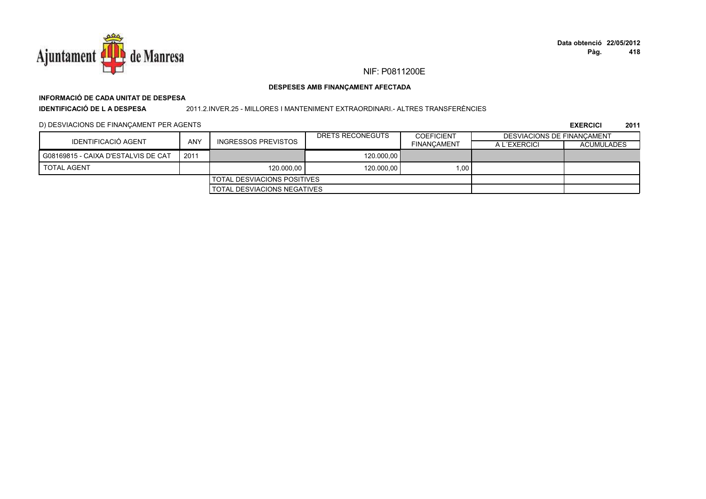

# **INFORMACIÓ DE CADA UNITAT DE DESPESA**

**IDENTIFICACIÓ DE L A DESPESA**

### 2011.2.INVER.25 - MILLORES I MANTENIMENT EXTRAORDINARI.- ALTRES TRANSFERÈNCIES

# D) DESVIACIONS DE FINANÇAMENT PER AGENTS

|                                     |      |                                    | DRETS RECONEGUTS | <b>COEFICIENT</b>  | DESVIACIONS DE FINANCAMENT |                   |
|-------------------------------------|------|------------------------------------|------------------|--------------------|----------------------------|-------------------|
| <b>IDENTIFICACIÓ AGENT</b>          | ANY  | INGRESSOS PREVISTOS                |                  | <b>FINANCAMENT</b> | A L'EXERCICI               | <b>ACUMULADES</b> |
| G08169815 - CAIXA D'ESTALVIS DE CAT | 2011 |                                    | 120,000.00       |                    |                            |                   |
| <b>TOTAL AGENT</b>                  |      | 120.000.00                         | 120,000.00       | 1.00               |                            |                   |
|                                     |      | I TOTAL DESVIACIONS POSITIVES      |                  |                    |                            |                   |
|                                     |      | <b>TOTAL DESVIACIONS NEGATIVES</b> |                  |                    |                            |                   |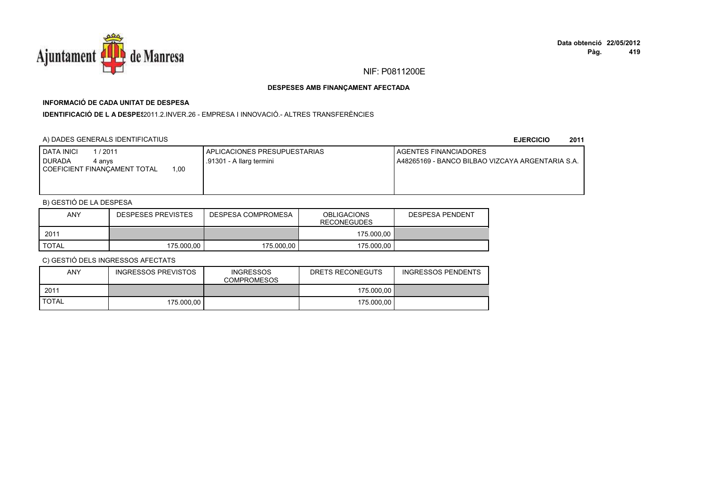

# **INFORMACIÓ DE CADA UNITAT DE DESPESA**

**IDENTIFICACIÓ DE L A DESPES**2011.2.INVER.26 - EMPRESA I INNOVACIÓ.- ALTRES TRANSFERÈNCIES

# A) DADES GENERALS IDENTIFICATIUS

**EJERCICIO<sup>2011</sup>**

| <b>DATA INICI</b><br>1/2011<br><b>I DURADA</b><br>4 anvs<br>1.00<br>COEFICIENT FINANCAMENT TOTAL | APLICACIONES PRESUPUESTARIAS<br>.91301 - A llarg termini | <b>LAGENTES FINANCIADORES</b><br>LA48265169 - BANCO BILBAO VIZCAYA ARGENTARIA S.A. |
|--------------------------------------------------------------------------------------------------|----------------------------------------------------------|------------------------------------------------------------------------------------|
|                                                                                                  |                                                          |                                                                                    |

# B) GESTIÓ DE LA DESPESA

| <b>ANY</b> | <b>DESPESES PREVISTES</b> | DESPESA COMPROMESA | <b>OBLIGACIONS</b><br><b>RECONEGUDES</b> |  |
|------------|---------------------------|--------------------|------------------------------------------|--|
| 2011       |                           |                    | 175.000.00                               |  |
| TOTAL      | 175.000.00                | 175.000.00         | 175,000.00                               |  |

| ANY          | INGRESSOS PREVISTOS | <b>INGRESSOS</b><br><b>COMPROMESOS</b> | DRETS RECONEGUTS | <b>INGRESSOS PENDENTS</b> |
|--------------|---------------------|----------------------------------------|------------------|---------------------------|
| 2011         |                     |                                        | 175.000.00       |                           |
| <b>TOTAL</b> | 175.000.00          |                                        | 175,000.00       |                           |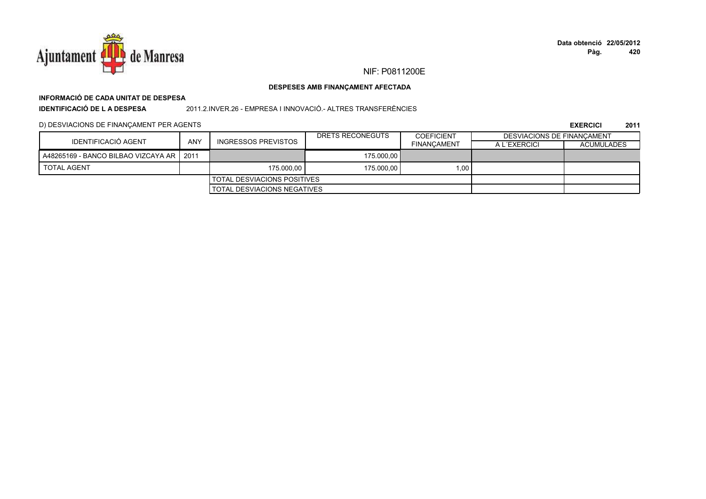

# **INFORMACIÓ DE CADA UNITAT DE DESPESA**

**IDENTIFICACIÓ DE L A DESPESA**

2011.2.INVER.26 - EMPRESA I INNOVACIÓ.- ALTRES TRANSFERÈNCIES

# D) DESVIACIONS DE FINANÇAMENT PER AGENTS

|                                            | ANY<br>INGRESSOS PREVISTOS |                                    | DRETS RECONEGUTS | <b>COEFICIENT</b>  | DESVIACIONS DE FINANCAMENT |                   |
|--------------------------------------------|----------------------------|------------------------------------|------------------|--------------------|----------------------------|-------------------|
| IDENTIFICACIÓ AGENT                        |                            |                                    |                  | <b>FINANCAMENT</b> | A L'EXERCICI               | <b>ACUMULADES</b> |
| A48265169 - BANCO BILBAO VIZCAYA AR   2011 |                            |                                    | 175,000.00       |                    |                            |                   |
| <b>TOTAL AGENT</b>                         |                            | 175,000.00                         | 175,000.00       | 1.00               |                            |                   |
|                                            |                            | I TOTAL DESVIACIONS POSITIVES      |                  |                    |                            |                   |
|                                            |                            | <b>TOTAL DESVIACIONS NEGATIVES</b> |                  |                    |                            |                   |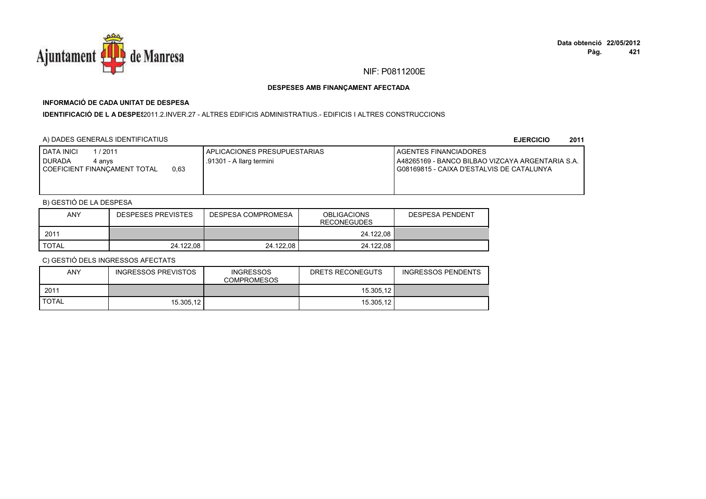

# **INFORMACIÓ DE CADA UNITAT DE DESPESA**

I**DENTIFICACIÓ DE L A DESPES**2011.2.INVER.27 - ALTRES EDIFICIS ADMINISTRATIUS.- EDIFICIS I ALTRES CONSTRUCCIONS

# A) DADES GENERALS IDENTIFICATIUS

**EJERCICIO<sup>2011</sup>**

| <b>DATA INICI</b><br>1 / 2011<br><b>DURADA</b><br>4 anvs<br>0,63<br>COEFICIENT FINANCAMENT TOTAL | APLICACIONES PRESUPUESTARIAS<br>.91301 - A llarg termini | <b>I AGENTES FINANCIADORES</b><br>LA48265169 - BANCO BILBAO VIZCAYA ARGENTARIA S.A.<br>I G08169815 - CAIXA D'ESTALVIS DE CATALUNYA |
|--------------------------------------------------------------------------------------------------|----------------------------------------------------------|------------------------------------------------------------------------------------------------------------------------------------|
|                                                                                                  |                                                          |                                                                                                                                    |

# B) GESTIÓ DE LA DESPESA

| <b>ANY</b> | <b>DESPESES PREVISTES</b> | DESPESA COMPROMESA | <b>OBLIGACIONS</b><br>RECONEGUDES | DESPESA PENDENT |
|------------|---------------------------|--------------------|-----------------------------------|-----------------|
| 2011       |                           |                    | 24.122.08                         |                 |
| TOTAL      | 24.122,08                 | 24.122.08          | 24.122.08                         |                 |

| <b>ANY</b>   | INGRESSOS PREVISTOS | <b>INGRESSOS</b><br><b>COMPROMESOS</b> | DRETS RECONEGUTS | <b>INGRESSOS PENDENTS</b> |
|--------------|---------------------|----------------------------------------|------------------|---------------------------|
| 2011         |                     |                                        | 15.305.12        |                           |
| <b>TOTAL</b> | 15.305.12           |                                        | 15.305.12        |                           |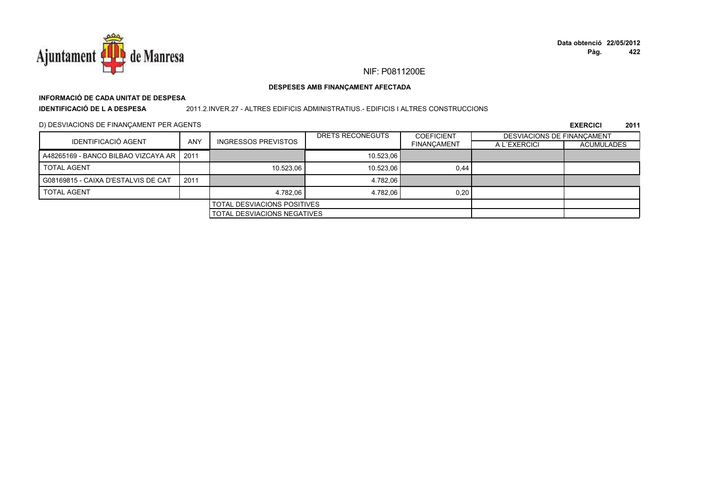

# **INFORMACIÓ DE CADA UNITAT DE DESPESA**

**IDENTIFICACIÓ DE L A DESPESA**

### 2011.2.INVER.27 - ALTRES EDIFICIS ADMINISTRATIUS.- EDIFICIS I ALTRES CONSTRUCCIONS

D) DESVIACIONS DE FINANÇAMENT PER AGENTS

|                                            |            |                             | DRETS RECONEGUTS | <b>COEFICIENT</b>  |              | DESVIACIONS DE FINANCAMENT |  |
|--------------------------------------------|------------|-----------------------------|------------------|--------------------|--------------|----------------------------|--|
| <b>IDENTIFICACIÓ AGENT</b>                 | <b>ANY</b> | <b>INGRESSOS PREVISTOS</b>  |                  | <b>FINANCAMENT</b> | A L'EXERCICI | <b>ACUMULADES</b>          |  |
| A48265169 - BANCO BILBAO VIZCAYA AR   2011 |            |                             | 10.523.06        |                    |              |                            |  |
| <b>TOTAL AGENT</b>                         |            | 10.523.06                   | 10.523.06        | 0,44               |              |                            |  |
| G08169815 - CAIXA D'ESTALVIS DE CAT        | 2011       |                             | 4.782.06         |                    |              |                            |  |
| <b>TOTAL AGENT</b>                         |            | 4.782.06                    | 4.782.06         | 0,20               |              |                            |  |
| <b>TOTAL DESVIACIONS POSITIVES</b>         |            |                             |                  |                    |              |                            |  |
|                                            |            | TOTAL DESVIACIONS NEGATIVES |                  |                    |              |                            |  |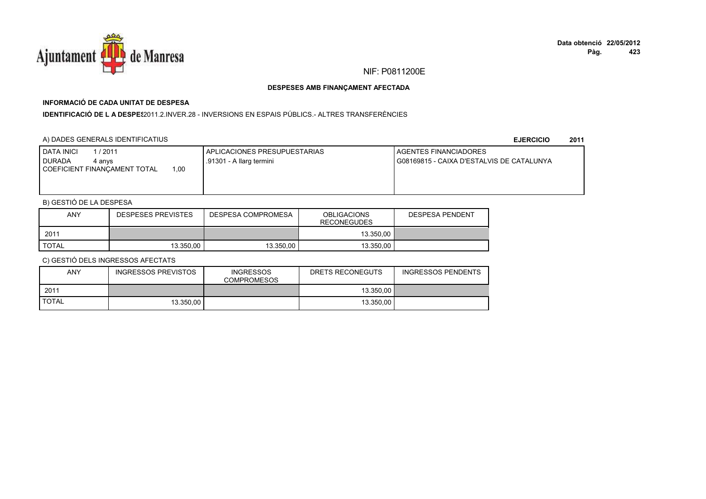

# **INFORMACIÓ DE CADA UNITAT DE DESPESA**

**IDENTIFICACIÓ DE L A DESPE**\$2011.2.INVER.28 - INVERSIONS EN ESPAIS PÚBLICS.- ALTRES TRANSFERÈNCIES

# A) DADES GENERALS IDENTIFICATIUS

**EJERCICIO<sup>2011</sup>**

| 1/2011<br><b>I DATA INICI</b><br>I DURADA<br>4 anvs<br>00.1<br>COEFICIENT FINANCAMENT TOTAL | APLICACIONES PRESUPUESTARIAS<br>.91301 - A llarg termini | <b>I AGENTES FINANCIADORES</b><br>G08169815 - CAIXA D'ESTALVIS DE CATALUNYA |
|---------------------------------------------------------------------------------------------|----------------------------------------------------------|-----------------------------------------------------------------------------|
|                                                                                             |                                                          |                                                                             |

# B) GESTIÓ DE LA DESPESA

| ANY          | <b>DESPESES PREVISTES</b> | DESPESA COMPROMESA | <b>OBLIGACIONS</b><br><b>RECONEGUDES</b> | <b>DESPESA PENDENT</b> |
|--------------|---------------------------|--------------------|------------------------------------------|------------------------|
| 2011         |                           |                    | 13.350.00                                |                        |
| <b>TOTAL</b> | 13.350.00                 | 13.350.00          | 13.350.00                                |                        |

| <b>ANY</b>   | INGRESSOS PREVISTOS | <b>INGRESSOS</b><br><b>COMPROMESOS</b> | DRETS RECONEGUTS | <b>INGRESSOS PENDENTS</b> |
|--------------|---------------------|----------------------------------------|------------------|---------------------------|
| 2011         |                     |                                        | 13.350.00        |                           |
| <b>TOTAL</b> | 13.350.00           |                                        | 13.350.00        |                           |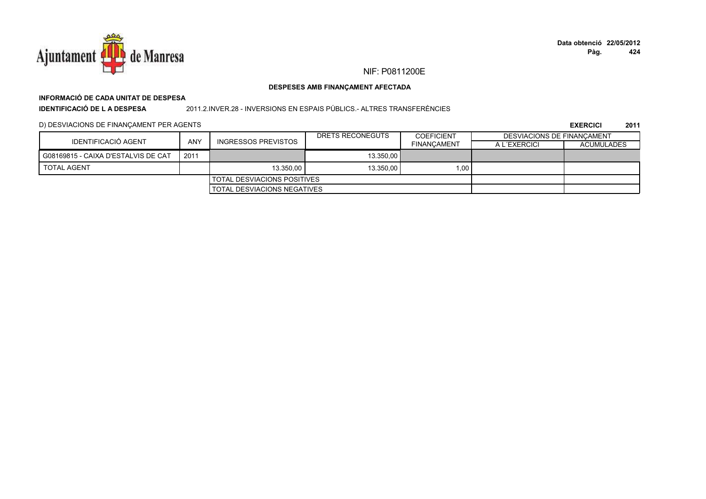

# **INFORMACIÓ DE CADA UNITAT DE DESPESA**

**IDENTIFICACIÓ DE L A DESPESA**

## 2011.2.INVER.28 - INVERSIONS EN ESPAIS PÚBLICS.- ALTRES TRANSFERÈNCIES

# D) DESVIACIONS DE FINANÇAMENT PER AGENTS

|                                     |      |                             | DRETS RECONEGUTS | <b>COEFICIENT</b>  | DESVIACIONS DE FINANCAMENT |                   |
|-------------------------------------|------|-----------------------------|------------------|--------------------|----------------------------|-------------------|
| IDENTIFICACIÓ AGENT                 | ANY  | INGRESSOS PREVISTOS         |                  | <b>FINANCAMENT</b> | A L'EXERCICI               | <b>ACUMULADES</b> |
| G08169815 - CAIXA D'ESTALVIS DE CAT | 2011 |                             | 13.350.00        |                    |                            |                   |
| <b>TOTAL AGENT</b>                  |      | 13.350.00                   | 13.350,00        | 1.00               |                            |                   |
|                                     |      | TOTAL DESVIACIONS POSITIVES |                  |                    |                            |                   |
| TOTAL DESVIACIONS NEGATIVES         |      |                             |                  |                    |                            |                   |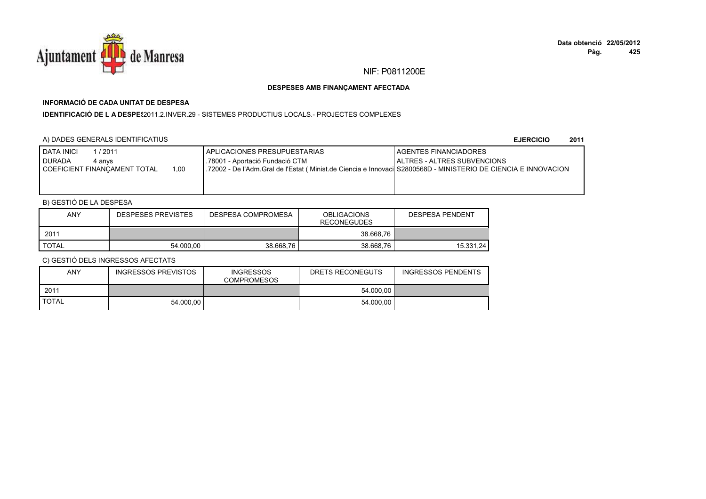

# **INFORMACIÓ DE CADA UNITAT DE DESPESA**

**IDENTIFICACIÓ DE L A DESPES**2011.2.INVER.29 - SISTEMES PRODUCTIUS LOCALS.- PROJECTES COMPLEXES

# A) DADES GENERALS IDENTIFICATIUS

**EJERCICIO<sup>2011</sup>**

| l / 2011<br>DATA INICI<br><b>DURADA</b><br>4 anvs<br>COEFICIENT FINANCAMENT TOTAL | 1.00 | I APLICACIONES PRESUPUESTARIAS<br>.78001 - Aportació Fundació CTM<br>I .72002 - De l'Adm.Gral de l'Estat (Minist.de Ciencia e Innovacil S2800568D - MINISTERIO DE CIENCIA E INNOVACION | <b>LAGENTES FINANCIADORES</b><br><b>IALTRES - ALTRES SUBVENCIONS</b> |
|-----------------------------------------------------------------------------------|------|----------------------------------------------------------------------------------------------------------------------------------------------------------------------------------------|----------------------------------------------------------------------|
|                                                                                   |      |                                                                                                                                                                                        |                                                                      |

# B) GESTIÓ DE LA DESPESA

| <b>ANY</b> | <b>DESPESES PREVISTES</b> | <b>OBLIGACIONS</b><br>DESPESA COMPROMESA<br><b>RECONEGUDES</b> |           | <b>DESPESA PENDENT</b> |
|------------|---------------------------|----------------------------------------------------------------|-----------|------------------------|
| 2011       |                           |                                                                | 38.668.76 |                        |
| TOTAL      | 54.000.00                 | 38.668.76                                                      | 38.668.76 | 15.331.24              |

| <b>ANY</b>   | INGRESSOS PREVISTOS | <b>INGRESSOS</b><br><b>COMPROMESOS</b> | DRETS RECONEGUTS | <b>INGRESSOS PENDENTS</b> |
|--------------|---------------------|----------------------------------------|------------------|---------------------------|
| 2011         |                     |                                        | 54.000.00        |                           |
| <b>TOTAL</b> | 54.000.00           |                                        | 54.000.00        |                           |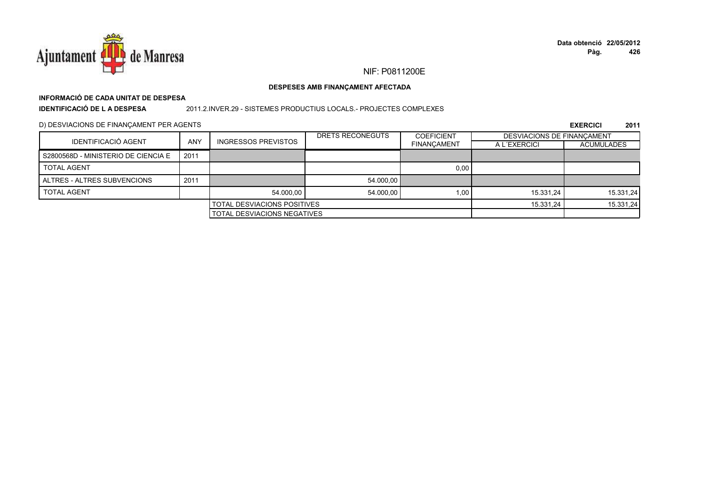

# **INFORMACIÓ DE CADA UNITAT DE DESPESA**

**IDENTIFICACIÓ DE L A DESPESA**

### 2011.2.INVER.29 - SISTEMES PRODUCTIUS LOCALS.- PROJECTES COMPLEXES

D) DESVIACIONS DE FINANÇAMENT PER AGENTS

|                                     |      |                            | DRETS RECONEGUTS | <b>COEFICIENT</b>  | DESVIACIONS DE FINANCAMENT |                   |
|-------------------------------------|------|----------------------------|------------------|--------------------|----------------------------|-------------------|
| <b>IDENTIFICACIÓ AGENT</b>          | ANY  | <b>INGRESSOS PREVISTOS</b> |                  | <b>FINANCAMENT</b> | A L'EXERCICI               | <b>ACUMULADES</b> |
| S2800568D - MINISTERIO DE CIENCIA E | 2011 |                            |                  |                    |                            |                   |
| <b>TOTAL AGENT</b>                  |      |                            |                  | 0,00               |                            |                   |
| ALTRES - ALTRES SUBVENCIONS         | 2011 |                            | 54.000.00        |                    |                            |                   |
| <b>TOTAL AGENT</b>                  |      | 54.000.00                  | 54.000.00        | 1.00               | 15.331.24                  | 15.331,24         |
| <b>TOTAL DESVIACIONS POSITIVES</b>  |      |                            | 15.331.24        | 15.331,24          |                            |                   |
| <b>TOTAL DESVIACIONS NEGATIVES</b>  |      |                            |                  |                    |                            |                   |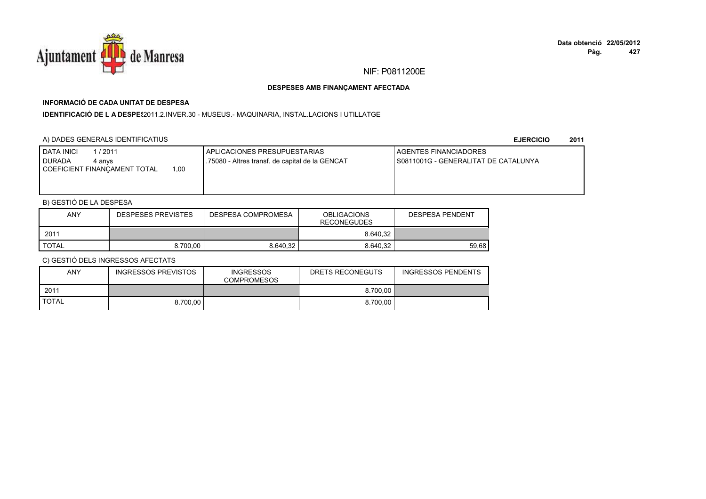

# **INFORMACIÓ DE CADA UNITAT DE DESPESA**

I**DENTIFICACIÓ DE L A DESPE**\$2011.2.INVER.30 - MUSEUS.- MAQUINARIA, INSTAL.LACIONS I UTILLATGE

# A) DADES GENERALS IDENTIFICATIUS

**EJERCICIO<sup>2011</sup>**

| /2011<br>DATA INICI<br><b>DURADA</b><br>4 anvs<br>00,ا<br>COEFICIENT FINANCAMENT TOTAL | APLICACIONES PRESUPUESTARIAS<br>.75080 - Altres transf. de capital de la GENCAT | <b>LAGENTES FINANCIADORES</b><br>I S0811001G - GENERALITAT DE CATALUNYA |
|----------------------------------------------------------------------------------------|---------------------------------------------------------------------------------|-------------------------------------------------------------------------|
|                                                                                        |                                                                                 |                                                                         |

# B) GESTIÓ DE LA DESPESA

| <b>ANY</b>   | <b>DESPESES PREVISTES</b> | DESPESA COMPROMESA | <b>OBLIGACIONS</b><br><b>RECONEGUDES</b> | DESPESA PENDENT |
|--------------|---------------------------|--------------------|------------------------------------------|-----------------|
| 201'         |                           |                    | 8.640.32                                 |                 |
| <b>TOTAL</b> | 8.700.00                  | 8.640.32           | 8.640.32                                 | 59.68           |

| <b>ANY</b>   | <b>INGRESSOS PREVISTOS</b> | <b>INGRESSOS</b><br><b>COMPROMESOS</b> | DRETS RECONEGUTS | <b>INGRESSOS PENDENTS</b> |
|--------------|----------------------------|----------------------------------------|------------------|---------------------------|
| 2011         |                            |                                        | 8.700,00         |                           |
| <b>TOTAL</b> | 8.700.00                   |                                        | 8.700.00         |                           |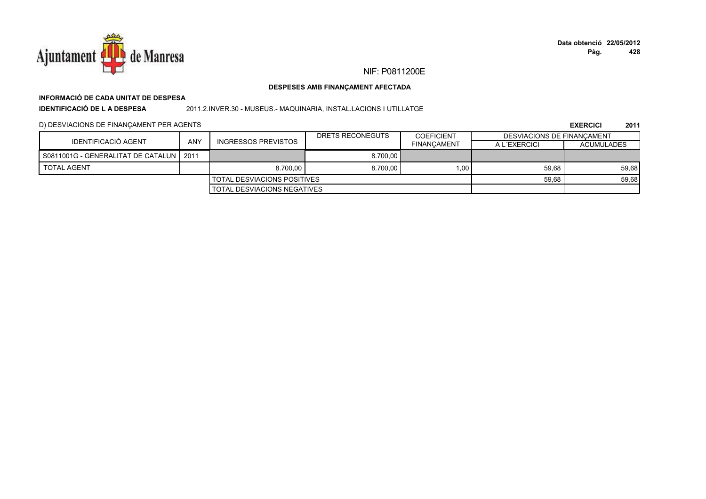

# **INFORMACIÓ DE CADA UNITAT DE DESPESA**

**IDENTIFICACIÓ DE L A DESPESA**

2011.2.INVER.30 - MUSEUS.- MAQUINARIA, INSTAL.LACIONS I UTILLATGE

# D) DESVIACIONS DE FINANÇAMENT PER AGENTS

|                                           |     |                                    | DRETS RECONEGUTS | <b>COEFICIENT</b>  | <b>DESVIACIONS DE FINANCAMENT</b> |                   |
|-------------------------------------------|-----|------------------------------------|------------------|--------------------|-----------------------------------|-------------------|
| IDENTIFICACIÓ AGENT                       | ANY | INGRESSOS PREVISTOS                |                  | <b>FINANCAMENT</b> | A L'EXERCICI                      | <b>ACUMULADES</b> |
| S0811001G - GENERALITAT DE CATALUN   2011 |     |                                    | 8.700.00         |                    |                                   |                   |
| TOTAL AGENT                               |     | 8.700.00                           | 8.700.00         | 1.00               | 59.68                             | 59,68             |
|                                           |     | <b>TOTAL DESVIACIONS POSITIVES</b> |                  |                    | 59,68                             | 59,68             |
|                                           |     | <b>TOTAL DESVIACIONS NEGATIVES</b> |                  |                    |                                   |                   |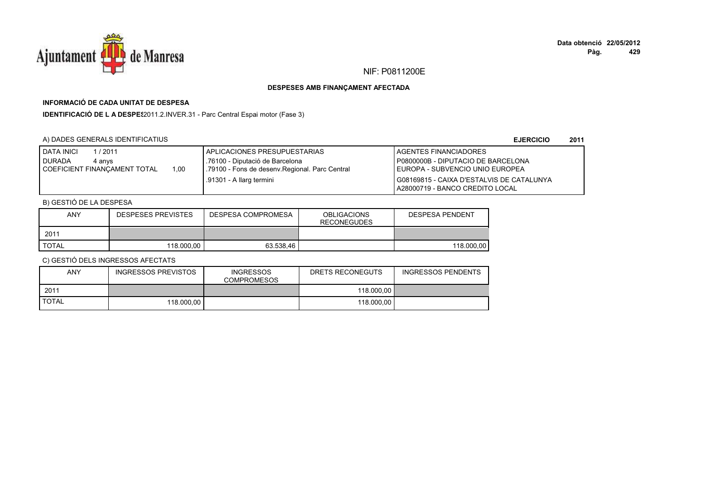

# **INFORMACIÓ DE CADA UNITAT DE DESPESA**

**IDENTIFICACIÓ DE L A DESPES**2011.2.INVER.31 - Parc Central Espai motor (Fase 3)

# A) DADES GENERALS IDENTIFICATIUS

**EJERCICIO<sup>2011</sup>**

| / 2011<br><b>DATA INICI</b><br><b>DURADA</b><br>4 anvs | I APLICACIONES PRESUPUESTARIAS<br>.76100 - Diputació de Barcelona | <b>LAGENTES FINANCIADORES</b><br>P0800000B - DIPUTACIO DE BARCELONA           |
|--------------------------------------------------------|-------------------------------------------------------------------|-------------------------------------------------------------------------------|
| 1.00<br>COEFICIENT FINANCAMENT TOTAL                   | .79100 - Fons de desenv. Regional. Parc Central                   | LEUROPA - SUBVENCIO UNIO EUROPEA                                              |
|                                                        | .91301 - A llarg termini                                          | G08169815 - CAIXA D'ESTALVIS DE CATALUNYA<br>LA28000719 - BANCO CREDITO LOCAL |

# B) GESTIÓ DE LA DESPESA

| ANY          | <b>DESPESES PREVISTES</b> | DESPESA COMPROMESA | <b>OBLIGACIONS</b><br><b>RECONEGUDES</b> | <b>DESPESA PENDENT</b> |
|--------------|---------------------------|--------------------|------------------------------------------|------------------------|
| 2011         |                           |                    |                                          |                        |
| <b>TOTAL</b> | 118.000.00                | 63.538.46          |                                          | 118,000.00             |

| ANY          | <b>INGRESSOS PREVISTOS</b> | <b>INGRESSOS</b><br><b>COMPROMESOS</b> | DRETS RECONEGUTS | INGRESSOS PENDENTS |
|--------------|----------------------------|----------------------------------------|------------------|--------------------|
| 2011         |                            |                                        | 118.000.00       |                    |
| <b>TOTAL</b> | 118.000.00                 |                                        | 118,000.00       |                    |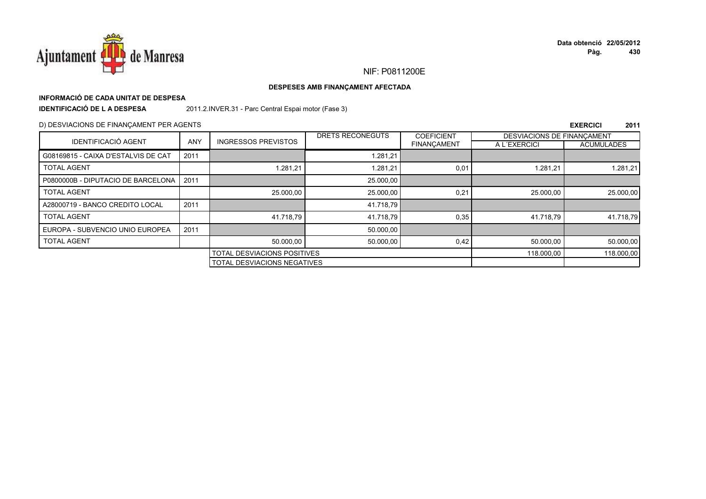

# **INFORMACIÓ DE CADA UNITAT DE DESPESA**

**IDENTIFICACIÓ DE L A DESPESA**

2011.2.INVER.31 - Parc Central Espai motor (Fase 3)

# D) DESVIACIONS DE FINANÇAMENT PER AGENTS

|                                     |            |                                    | <b>DRETS RECONEGUTS</b> | <b>COEFICIENT</b>  | <b>DESVIACIONS DE FINANCAMENT</b> |                   |
|-------------------------------------|------------|------------------------------------|-------------------------|--------------------|-----------------------------------|-------------------|
| <b>IDENTIFICACIÓ AGENT</b>          | <b>ANY</b> | <b>INGRESSOS PREVISTOS</b>         |                         | <b>FINANCAMENT</b> | A L'EXERCICI                      | <b>ACUMULADES</b> |
| G08169815 - CAIXA D'ESTALVIS DE CAT | 2011       |                                    | 1.281,21                |                    |                                   |                   |
| <b>TOTAL AGENT</b>                  |            | 1.281.21                           | 1.281.21                | 0,01               | 1.281,21                          | 1.281,21          |
| P0800000B - DIPUTACIO DE BARCELONA  | 2011       |                                    | 25.000,00               |                    |                                   |                   |
| <b>TOTAL AGENT</b>                  |            | 25.000,00                          | 25.000,00               | 0,21               | 25.000,00                         | 25.000,00         |
| A28000719 - BANCO CREDITO LOCAL     | 2011       |                                    | 41.718.79               |                    |                                   |                   |
| <b>TOTAL AGENT</b>                  |            | 41.718.79                          | 41.718.79               | 0,35               | 41.718.79                         | 41.718.79         |
| EUROPA - SUBVENCIO UNIO EUROPEA     | 2011       |                                    | 50.000,00               |                    |                                   |                   |
| <b>TOTAL AGENT</b>                  |            | 50.000.00                          | 50.000,00               | 0,42               | 50.000,00                         | 50.000,00         |
|                                     |            | TOTAL DESVIACIONS POSITIVES        |                         | 118.000,00         | 118.000,00                        |                   |
|                                     |            | <b>TOTAL DESVIACIONS NEGATIVES</b> |                         |                    |                                   |                   |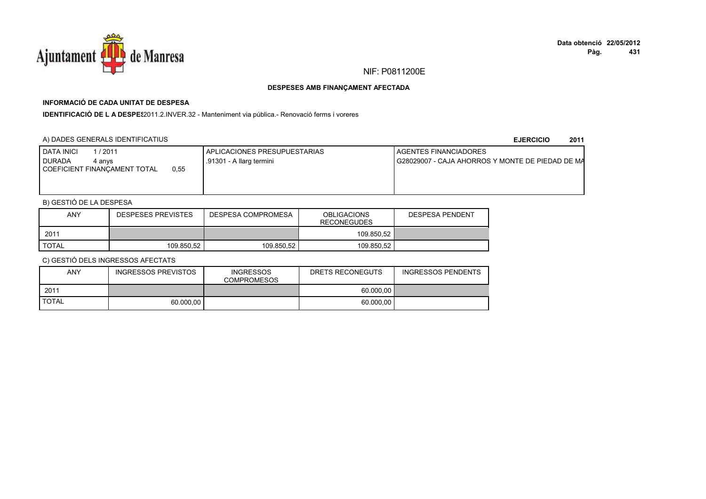

# **INFORMACIÓ DE CADA UNITAT DE DESPESA**

IDENTIFICACIÓ DE L A DESPES2011.2.INVER.32 - Manteniment via pública.- Renovació ferms i voreres

# A) DADES GENERALS IDENTIFICATIUS

**EJERCICIO<sup>2011</sup>**

| DATA INICI<br>/ 2011<br><b>DURADA</b><br>4 anvs<br>0.55<br>COEFICIENT FINANCAMENT TOTAL | APLICACIONES PRESUPUESTARIAS<br>.91301 - A llarg termini | AGENTES FINANCIADORES<br>I G28029007 - CAJA AHORROS Y MONTE DE PIEDAD DE MA |
|-----------------------------------------------------------------------------------------|----------------------------------------------------------|-----------------------------------------------------------------------------|
|                                                                                         |                                                          |                                                                             |

# B) GESTIÓ DE LA DESPESA

| ANY          | <b>DESPESES PREVISTES</b> | DESPESA COMPROMESA | <b>OBLIGACIONS</b><br><b>RECONEGUDES</b> | <b>DESPESA PENDENT</b> |
|--------------|---------------------------|--------------------|------------------------------------------|------------------------|
| 2011         |                           |                    | 109.850.52                               |                        |
| <b>TOTAL</b> | 109.850.52                | 109.850.52         | 109.850.52                               |                        |

| ANY          | <b>INGRESSOS PREVISTOS</b> | <b>INGRESSOS</b><br><b>COMPROMESOS</b> | DRETS RECONEGUTS | <b>INGRESSOS PENDENTS</b> |
|--------------|----------------------------|----------------------------------------|------------------|---------------------------|
| 2011         |                            |                                        | 60.000.00        |                           |
| <b>TOTAL</b> | 60.000.00                  |                                        | 60.000.00        |                           |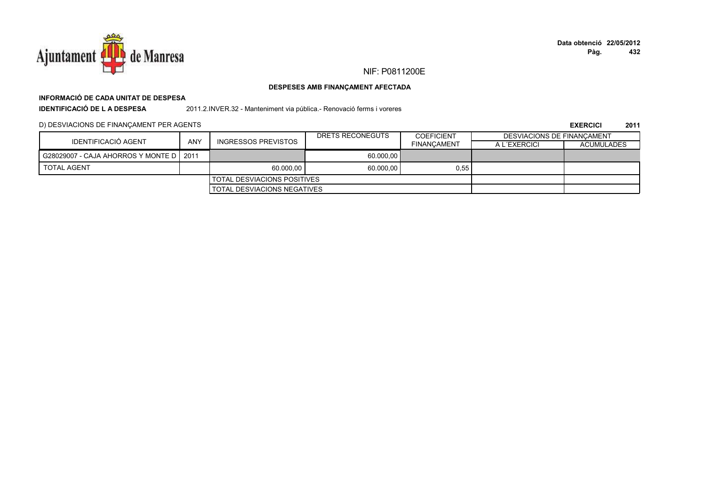

# **INFORMACIÓ DE CADA UNITAT DE DESPESA**

**IDENTIFICACIÓ DE L A DESPESA**

2011.2.INVER.32 - Manteniment via pública.- Renovació ferms i voreres

# D) DESVIACIONS DE FINANÇAMENT PER AGENTS

|                                           |     |                                    | DRETS RECONEGUTS | <b>COEFICIENT</b>  | DESVIACIONS DE FINANCAMENT |                   |
|-------------------------------------------|-----|------------------------------------|------------------|--------------------|----------------------------|-------------------|
| IDENTIFICACIÓ AGENT                       | ANY | INGRESSOS PREVISTOS                |                  | <b>FINANCAMENT</b> | A L'EXERCICI               | <b>ACUMULADES</b> |
| G28029007 - CAJA AHORROS Y MONTE D   2011 |     |                                    | 60.000,00        |                    |                            |                   |
| <b>TOTAL AGENT</b>                        |     | 60.000.00                          | 60.000,00        | 0,55               |                            |                   |
|                                           |     | <b>TOTAL DESVIACIONS POSITIVES</b> |                  |                    |                            |                   |
|                                           |     | <b>TOTAL DESVIACIONS NEGATIVES</b> |                  |                    |                            |                   |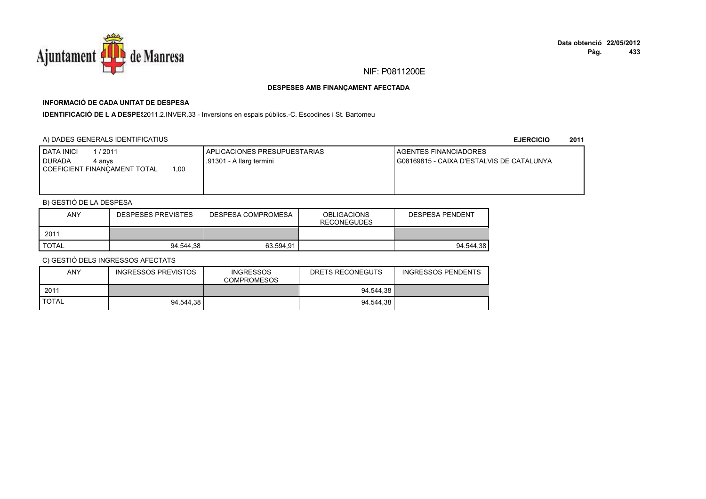

# **INFORMACIÓ DE CADA UNITAT DE DESPESA**

IDENTIFICACIÓ DE L A DESPE<sup>2</sup>2011.2.INVER.33 - Inversions en espais públics.-C. Escodines i St. Bartomeu

# A) DADES GENERALS IDENTIFICATIUS

**EJERCICIO<sup>2011</sup>**

| <b>DATA INICI</b><br>1/2011<br><b>I DURADA</b><br>4 anvs<br>1,00<br><b>COEFICIENT FINANCAMENT TOTAL</b> | APLICACIONES PRESUPUESTARIAS<br>.91301 - A llarg termini | <b>I AGENTES FINANCIADORES</b><br>G08169815 - CAIXA D'ESTALVIS DE CATALUNYA |
|---------------------------------------------------------------------------------------------------------|----------------------------------------------------------|-----------------------------------------------------------------------------|
|                                                                                                         |                                                          |                                                                             |

# B) GESTIÓ DE LA DESPESA

| <b>ANY</b>   | <b>DESPESES PREVISTES</b> | DESPESA COMPROMESA | <b>OBLIGACIONS</b><br><b>RECONEGUDES</b> | DESPESA PENDENT |
|--------------|---------------------------|--------------------|------------------------------------------|-----------------|
| 2011         |                           |                    |                                          |                 |
| <b>TOTAL</b> | 94.544.38                 | 63.594.91          |                                          | 94.544.38       |

| <b>ANY</b>   | INGRESSOS PREVISTOS | <b>INGRESSOS</b><br><b>COMPROMESOS</b> | DRETS RECONEGUTS | INGRESSOS PENDENTS |
|--------------|---------------------|----------------------------------------|------------------|--------------------|
| 2011         |                     |                                        | 94.544,38        |                    |
| <b>TOTAL</b> | 94.544.38           |                                        | 94.544.38        |                    |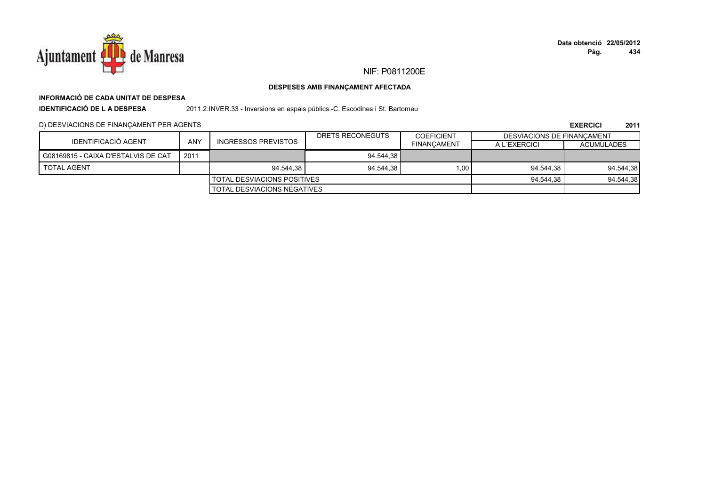

# **INFORMACIÓ DE CADA UNITAT DE DESPESA**

**IDENTIFICACIÓ DE L A DESPESA**

2011.2.INVER.33 - Inversions en espais públics.-C. Escodines i St. Bartomeu

# D) DESVIACIONS DE FINANÇAMENT PER AGENTS

|                                     |      |                             | DRETS RECONEGUTS | COEFICIENT         | <b>DESVIACIONS DE FINANCAMENT</b> |                   |
|-------------------------------------|------|-----------------------------|------------------|--------------------|-----------------------------------|-------------------|
| IDENTIFICACIÓ AGENT                 | ANY  | INGRESSOS PREVISTOS         |                  | <b>FINANCAMENT</b> | A L'EXERCICI                      | <b>ACUMULADES</b> |
| G08169815 - CAIXA D'ESTALVIS DE CAT | 2011 |                             | 94.544.38        |                    |                                   |                   |
| <b>TOTAL AGENT</b>                  |      | 94.544.38                   | 94.544.38        | 1.00               | 94.544.38                         | 94.544,38         |
|                                     |      | TOTAL DESVIACIONS POSITIVES |                  | 94.544.38          | 94.544,38                         |                   |
|                                     |      | TOTAL DESVIACIONS NEGATIVES |                  |                    |                                   |                   |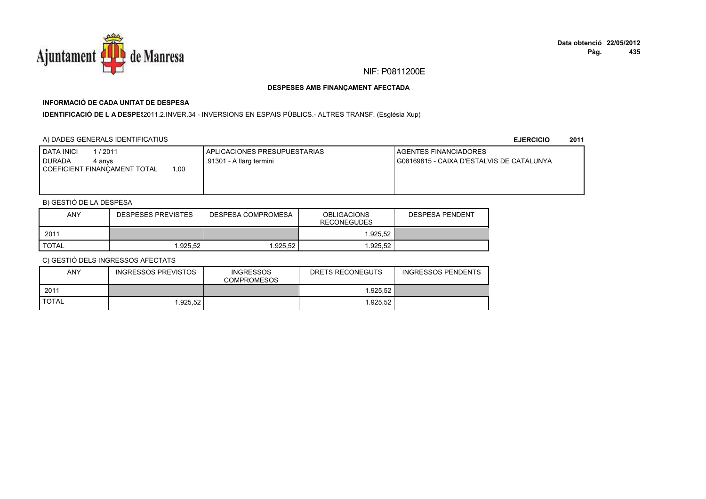

# **INFORMACIÓ DE CADA UNITAT DE DESPESA**

I**DENTIFICACIÓ DE L A DESPE**\$2011.2.INVER.34 - INVERSIONS EN ESPAIS PÚBLICS.- ALTRES TRANSF. (Església Xup)

# A) DADES GENERALS IDENTIFICATIUS

**EJERCICIO<sup>2011</sup>**

| <b>I DATA INICI</b><br>1/2011<br><b>I DURADA</b><br>4 anvs<br>00, ا<br>COEFICIENT FINANCAMENT TOTAL | APLICACIONES PRESUPUESTARIAS<br>.91301 - A llarg termini | AGENTES FINANCIADORES<br>G08169815 - CAIXA D'ESTALVIS DE CATALUNYA |
|-----------------------------------------------------------------------------------------------------|----------------------------------------------------------|--------------------------------------------------------------------|
|                                                                                                     |                                                          |                                                                    |

# B) GESTIÓ DE LA DESPESA

| ANY   | <b>DESPESES PREVISTES</b> | DESPESA COMPROMESA | <b>OBLIGACIONS</b><br><b>RECONEGUDES</b> | <b>DESPESA PENDENT</b> |
|-------|---------------------------|--------------------|------------------------------------------|------------------------|
| 2011  |                           |                    | 1.925.52                                 |                        |
| TOTAL | .925.52                   | .925.52            | 1.925.52                                 |                        |

| <b>ANY</b>   | INGRESSOS PREVISTOS | <b>INGRESSOS</b><br><b>COMPROMESOS</b> | DRETS RECONEGUTS | <b>INGRESSOS PENDENTS</b> |
|--------------|---------------------|----------------------------------------|------------------|---------------------------|
| 2011         |                     |                                        | 1.925.52         |                           |
| <b>TOTAL</b> | .925.52             |                                        | 1.925.52         |                           |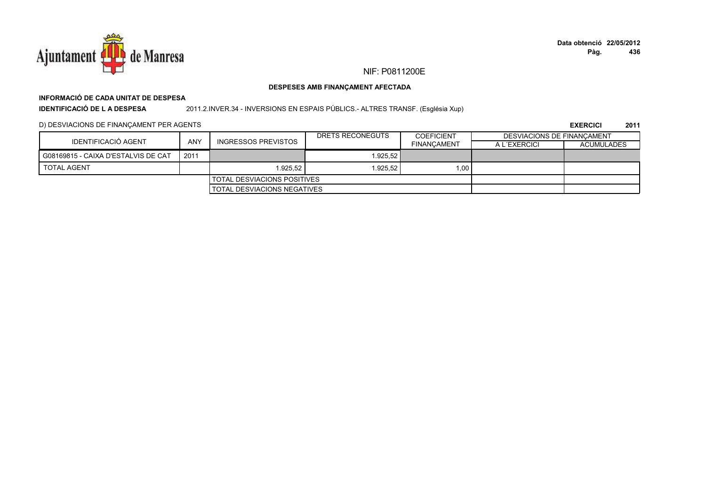

# **INFORMACIÓ DE CADA UNITAT DE DESPESA**

**IDENTIFICACIÓ DE L A DESPESA**

2011.2.INVER.34 - INVERSIONS EN ESPAIS PÚBLICS.- ALTRES TRANSF. (Església Xup)

# D) DESVIACIONS DE FINANÇAMENT PER AGENTS

|                                     |      |                                    | DRETS RECONEGUTS | <b>COEFICIENT</b>  | <b>DESVIACIONS DE FINANCAMENT</b> |                   |
|-------------------------------------|------|------------------------------------|------------------|--------------------|-----------------------------------|-------------------|
| IDENTIFICACIÓ AGENT                 | ANY  | <b>INGRESSOS PREVISTOS</b>         |                  | <b>FINANCAMENT</b> | A L'EXERCICI                      | <b>ACUMULADES</b> |
| G08169815 - CAIXA D'ESTALVIS DE CAT | 2011 |                                    | 1.925.52         |                    |                                   |                   |
| <b>TOTAL AGENT</b>                  |      | 1.925.52                           | 1.925.52         | 1.00               |                                   |                   |
|                                     |      | I TOTAL DESVIACIONS POSITIVES      |                  |                    |                                   |                   |
|                                     |      | <b>TOTAL DESVIACIONS NEGATIVES</b> |                  |                    |                                   |                   |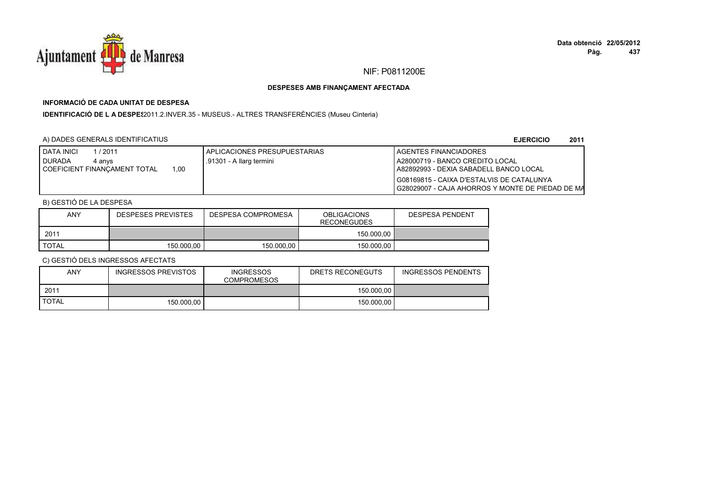

# **INFORMACIÓ DE CADA UNITAT DE DESPESA**

IDENTIFICACIÓ DE L A DESPE<sup>2</sup>2011.2.INVER.35 - MUSEUS.- ALTRES TRANSFERÈNCIES (Museu Cinteria)

# A) DADES GENERALS IDENTIFICATIUS

**EJERCICIO<sup>2011</sup>**

| <b>DATA INICI</b><br>/2011             | APLICACIONES PRESUPUESTARIAS | <b>I AGENTES FINANCIADORES</b>                     |
|----------------------------------------|------------------------------|----------------------------------------------------|
| <b>DURADA</b><br>4 anvs                | .91301 - A llarg termini     | A28000719 - BANCO CREDITO LOCAL                    |
| 1.00<br>I COEFICIENT FINANCAMENT TOTAL |                              | LA82892993 - DEXIA SABADELL BANCO LOCAL            |
|                                        |                              | G08169815 - CAIXA D'ESTALVIS DE CATALUNYA          |
|                                        |                              | I G28029007 - CAJA AHORROS Y MONTE DE PIEDAD DE MA |

# B) GESTIÓ DE LA DESPESA

| <b>ANY</b> | <b>DESPESES PREVISTES</b> | DESPESA COMPROMESA | <b>OBLIGACIONS</b><br><b>RECONEGUDES</b> | <b>DESPESA PENDENT</b> |
|------------|---------------------------|--------------------|------------------------------------------|------------------------|
| 2011       |                           |                    | 150.000.00                               |                        |
| TOTAL      | 150,000.00                | 150.000.00         | 150,000.00                               |                        |

| ANY          | INGRESSOS PREVISTOS | <b>INGRESSOS</b><br><b>COMPROMESOS</b> | DRETS RECONEGUTS | <b>INGRESSOS PENDENTS</b> |
|--------------|---------------------|----------------------------------------|------------------|---------------------------|
| 2011         |                     |                                        | 150.000.00       |                           |
| <b>TOTAL</b> | 150,000.00          |                                        | 150.000.00       |                           |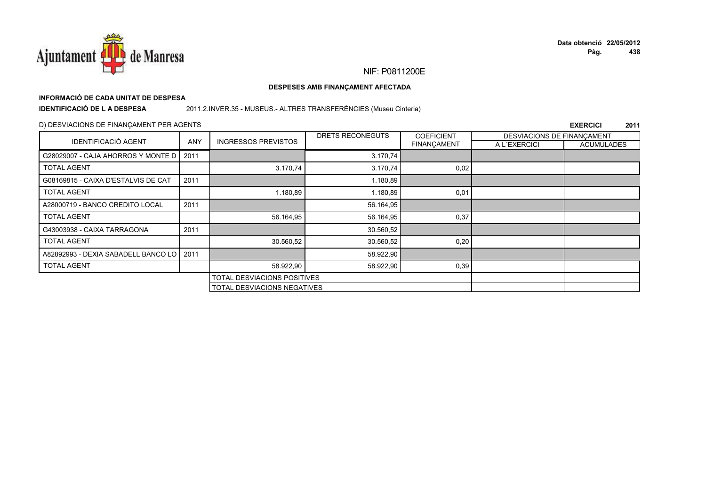

# **INFORMACIÓ DE CADA UNITAT DE DESPESA**

**IDENTIFICACIÓ DE L A DESPESA**

# 2011.2.INVER.35 - MUSEUS.- ALTRES TRANSFERÈNCIES (Museu Cinteria)

# D) DESVIACIONS DE FINANÇAMENT PER AGENTS

|                                            |                                    |                                    | DRETS RECONEGUTS | <b>COEFICIENT</b>  | DESVIACIONS DE FINANCAMENT |                   |
|--------------------------------------------|------------------------------------|------------------------------------|------------------|--------------------|----------------------------|-------------------|
| <b>IDENTIFICACIÓ AGENT</b>                 | <b>ANY</b>                         | <b>INGRESSOS PREVISTOS</b>         |                  | <b>FINANÇAMENT</b> | A L'EXERCICI               | <b>ACUMULADES</b> |
| G28029007 - CAJA AHORROS Y MONTE D         | 2011                               |                                    | 3.170,74         |                    |                            |                   |
| <b>TOTAL AGENT</b>                         |                                    | 3.170,74                           | 3.170,74         | 0,02               |                            |                   |
| G08169815 - CAIXA D'ESTALVIS DE CAT        | 2011                               |                                    | 1.180,89         |                    |                            |                   |
| <b>TOTAL AGENT</b>                         |                                    | 1.180,89                           | 1.180,89         | 0,01               |                            |                   |
| A28000719 - BANCO CREDITO LOCAL            | 2011                               |                                    | 56.164,95        |                    |                            |                   |
| <b>TOTAL AGENT</b>                         |                                    | 56.164,95                          | 56.164,95        | 0,37               |                            |                   |
| G43003938 - CAIXA TARRAGONA                | 2011                               |                                    | 30.560,52        |                    |                            |                   |
| <b>TOTAL AGENT</b>                         |                                    | 30.560,52                          | 30.560,52        | 0,20               |                            |                   |
| A82892993 - DEXIA SABADELL BANCO LO   2011 |                                    |                                    | 58.922,90        |                    |                            |                   |
| <b>TOTAL AGENT</b>                         |                                    | 58.922,90                          | 58.922,90        | 0,39               |                            |                   |
|                                            |                                    | <b>TOTAL DESVIACIONS POSITIVES</b> |                  |                    |                            |                   |
|                                            | <b>TOTAL DESVIACIONS NEGATIVES</b> |                                    |                  |                    |                            |                   |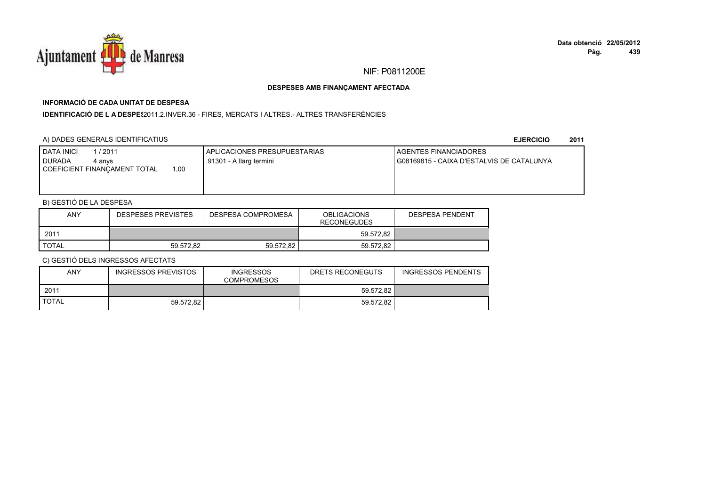

# **INFORMACIÓ DE CADA UNITAT DE DESPESA**

I**DENTIFICACIÓ DE L A DESPE**\$2011.2.INVER.36 - FIRES, MERCATS I ALTRES.- ALTRES TRANSFERÈNCIES

### A) DADES GENERALS IDENTIFICATIUS

**EJERCICIO<sup>2011</sup>**

| <b>I DATA INICI</b><br>1/2011<br><b>I DURADA</b><br>4 anvs<br>00, ا<br>COEFICIENT FINANCAMENT TOTAL | APLICACIONES PRESUPUESTARIAS<br>.91301 - A llarg termini | AGENTES FINANCIADORES<br>G08169815 - CAIXA D'ESTALVIS DE CATALUNYA |
|-----------------------------------------------------------------------------------------------------|----------------------------------------------------------|--------------------------------------------------------------------|
|                                                                                                     |                                                          |                                                                    |

# B) GESTIÓ DE LA DESPESA

| ANY          | <b>DESPESES PREVISTES</b> | DESPESA COMPROMESA | <b>OBLIGACIONS</b><br><b>RECONEGUDES</b> | <b>DESPESA PENDENT</b> |
|--------------|---------------------------|--------------------|------------------------------------------|------------------------|
| 2011         |                           |                    | 59.572.82                                |                        |
| <b>TOTAL</b> | 59.572.82                 | 59.572.82          | 59.572.82                                |                        |

| <b>ANY</b>   | INGRESSOS PREVISTOS | <b>INGRESSOS</b><br><b>COMPROMESOS</b> | DRETS RECONEGUTS | <b>INGRESSOS PENDENTS</b> |
|--------------|---------------------|----------------------------------------|------------------|---------------------------|
| 2011         |                     |                                        | 59.572.82        |                           |
| <b>TOTAL</b> | 59.572.82           |                                        | 59.572.82        |                           |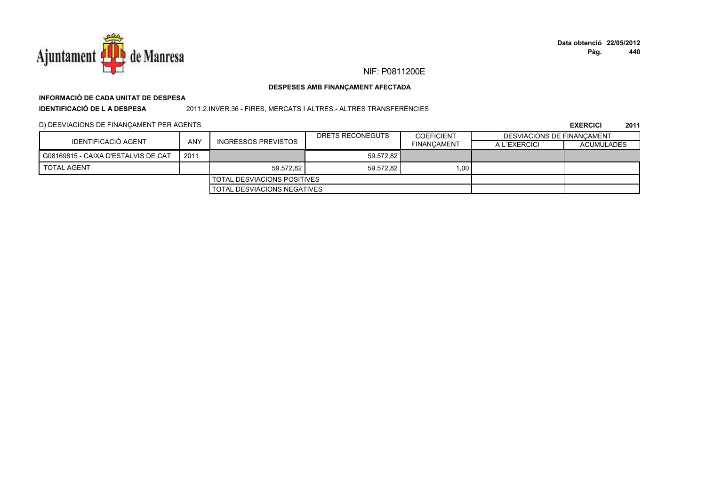

# **INFORMACIÓ DE CADA UNITAT DE DESPESA**

**IDENTIFICACIÓ DE L A DESPESA**

2011.2.INVER.36 - FIRES, MERCATS I ALTRES.- ALTRES TRANSFERÈNCIES

### D) DESVIACIONS DE FINANÇAMENT PER AGENTS

|                                     |            |                                      | DRETS RECONEGUTS | <b>COEFICIENT</b>  | DESVIACIONS DE FINANCAMENT |                   |
|-------------------------------------|------------|--------------------------------------|------------------|--------------------|----------------------------|-------------------|
| <b>IDENTIFICACIÓ AGENT</b>          | <b>ANY</b> | INGRESSOS PREVISTOS                  |                  | <b>FINANCAMENT</b> | A L'EXERCICI               | <b>ACUMULADES</b> |
| G08169815 - CAIXA D'ESTALVIS DE CAT | 2011       |                                      | 59.572.82        |                    |                            |                   |
| <b>TOTAL AGENT</b>                  |            | 59.572.82                            | 59.572.82        | 1.00               |                            |                   |
|                                     |            | <b>I TOTAL DESVIACIONS POSITIVES</b> |                  |                    |                            |                   |
|                                     |            | <b>I TOTAL DESVIACIONS NEGATIVES</b> |                  |                    |                            |                   |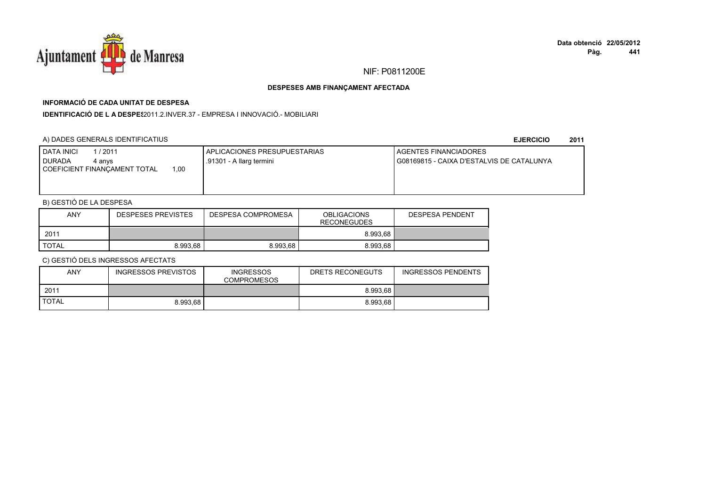

# **INFORMACIÓ DE CADA UNITAT DE DESPESA**

**IDENTIFICACIÓ DE L A DESPES**2011.2.INVER.37 - EMPRESA I INNOVACIÓ.- MOBILIARI

### A) DADES GENERALS IDENTIFICATIUS

#### **EJERCICIO<sup>2011</sup>**

| <b>I DATA INICI</b><br>1/2011<br><b>DURADA</b><br>4 anvs | I APLICACIONES PRESUPUESTARIAS<br>.91301 - A llarg termini | <b>LAGENTES FINANCIADORES</b><br>G08169815 - CAIXA D'ESTALVIS DE CATALUNYA |
|----------------------------------------------------------|------------------------------------------------------------|----------------------------------------------------------------------------|
| 1.00<br>COEFICIENT FINANCAMENT TOTAL                     |                                                            |                                                                            |

# B) GESTIÓ DE LA DESPESA

| ANY   | <b>DESPESES PREVISTES</b> | DESPESA COMPROMESA | <b>OBLIGACIONS</b><br><b>RECONEGUDES</b> | <b>DESPESA PENDENT</b> |
|-------|---------------------------|--------------------|------------------------------------------|------------------------|
| 2011  |                           |                    | 8.993.68                                 |                        |
| TOTAL | 8.993.68                  | 8.993.68           | 8.993.68                                 |                        |

| ANY          | INGRESSOS PREVISTOS | <b>INGRESSOS</b><br><b>COMPROMESOS</b> | DRETS RECONEGUTS | <b>INGRESSOS PENDENTS</b> |
|--------------|---------------------|----------------------------------------|------------------|---------------------------|
| 2011         |                     |                                        | 8.993.68         |                           |
| <b>TOTAL</b> | 8.993.68            |                                        | 8.993.68         |                           |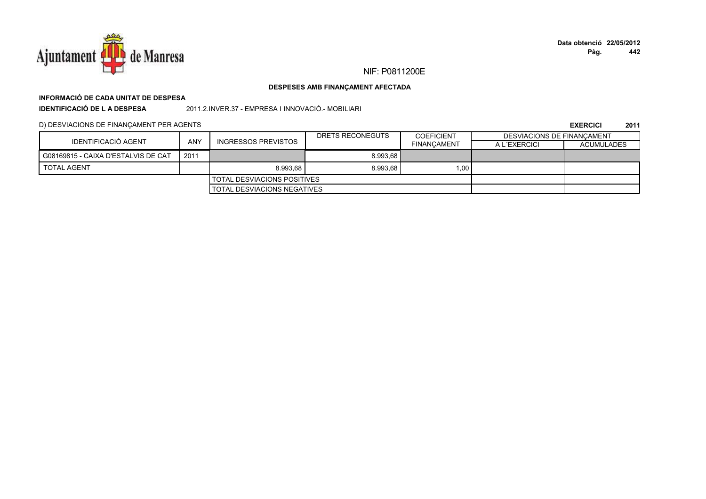

# **INFORMACIÓ DE CADA UNITAT DE DESPESA**

**IDENTIFICACIÓ DE L A DESPESA**2011.2.INVER.37 - EMPRESA I INNOVACIÓ.- MOBILIARI

D) DESVIACIONS DE FINANÇAMENT PER AGENTS

|                                     |            |                                    | DRETS RECONEGUTS | <b>COEFICIENT</b>  | DESVIACIONS DE FINANCAMENT |                   |
|-------------------------------------|------------|------------------------------------|------------------|--------------------|----------------------------|-------------------|
| IDENTIFICACIÓ AGENT                 | <b>ANY</b> | <b>INGRESSOS PREVISTOS</b>         |                  | <b>FINANCAMENT</b> | A L'EXERCICI               | <b>ACUMULADES</b> |
| G08169815 - CAIXA D'ESTALVIS DE CAT | 2011       |                                    | 8.993.68         |                    |                            |                   |
| <b>TOTAL AGENT</b>                  |            | 8.993.68                           | 8.993,68         | 1.00 <sub>1</sub>  |                            |                   |
|                                     |            | <b>TOTAL DESVIACIONS POSITIVES</b> |                  |                    |                            |                   |
|                                     |            | <b>TOTAL DESVIACIONS NEGATIVES</b> |                  |                    |                            |                   |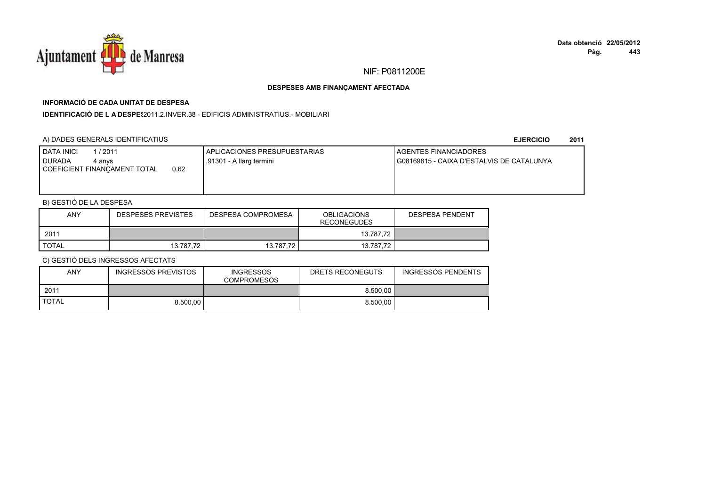

# **INFORMACIÓ DE CADA UNITAT DE DESPESA**

**IDENTIFICACIÓ DE L A DESPES**2011.2.INVER.38 - EDIFICIS ADMINISTRATIUS.- MOBILIARI

### A) DADES GENERALS IDENTIFICATIUS

#### **EJERCICIO<sup>2011</sup>**

| <b>I DATA INICI</b><br>1/2011<br><b>I DURADA</b><br>4 anvs | I APLICACIONES PRESUPUESTARIAS<br>.91301 - A llarg termini | <b>I AGENTES FINANCIADORES</b><br>I G08169815 - CAIXA D'ESTALVIS DE CATALUNYA |
|------------------------------------------------------------|------------------------------------------------------------|-------------------------------------------------------------------------------|
| 0.62<br>COEFICIENT FINANCAMENT TOTAL                       |                                                            |                                                                               |

### B) GESTIÓ DE LA DESPESA

| ANY   | <b>DESPESES PREVISTES</b> | DESPESA COMPROMESA | <b>OBLIGACIONS</b><br><b>RECONEGUDES</b> | <b>DESPESA PENDENT</b> |
|-------|---------------------------|--------------------|------------------------------------------|------------------------|
| 2011  |                           |                    | 13.787.72                                |                        |
| TOTAL | 13.787.72                 | 13.787.72          | 13.787.72                                |                        |

| <b>ANY</b>   | <b>INGRESSOS PREVISTOS</b> | <b>INGRESSOS</b><br><b>COMPROMESOS</b> | DRETS RECONEGUTS | <b>INGRESSOS PENDENTS</b> |
|--------------|----------------------------|----------------------------------------|------------------|---------------------------|
| 2011         |                            |                                        | 8.500.00         |                           |
| <b>TOTAL</b> | 8.500.00                   |                                        | 8.500.00         |                           |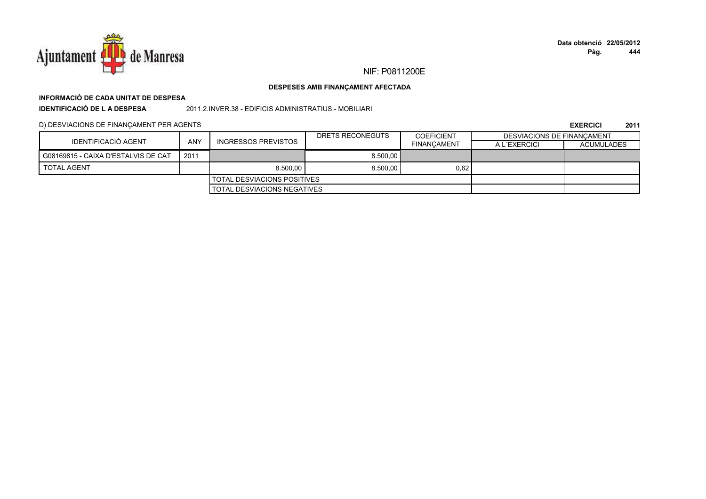

**Pàg. Data obtenció22/05/2012444**

#### **DESPESES AMB FINANÇAMENT AFECTADA**

# **INFORMACIÓ DE CADA UNITAT DE DESPESA**

**IDENTIFICACIÓ DE L A DESPESA**

2011.2.INVER.38 - EDIFICIS ADMINISTRATIUS.- MOBILIARI

D) DESVIACIONS DE FINANÇAMENT PER AGENTS

|                                     |      |                                    | DRETS RECONEGUTS | <b>COEFICIENT</b>  | DESVIACIONS DE FINANCAMENT |                   |
|-------------------------------------|------|------------------------------------|------------------|--------------------|----------------------------|-------------------|
| IDENTIFICACIÓ AGENT                 | ANY  | <b>INGRESSOS PREVISTOS</b>         |                  | <b>FINANCAMENT</b> | A L'EXERCICI               | <b>ACUMULADES</b> |
| G08169815 - CAIXA D'ESTALVIS DE CAT | 2011 |                                    | 8.500.00         |                    |                            |                   |
| <b>TOTAL AGENT</b>                  |      | 8.500.00                           | 8.500,00         | 0,62               |                            |                   |
| I TOTAL DESVIACIONS POSITIVES       |      |                                    |                  |                    |                            |                   |
|                                     |      | <b>TOTAL DESVIACIONS NEGATIVES</b> |                  |                    |                            |                   |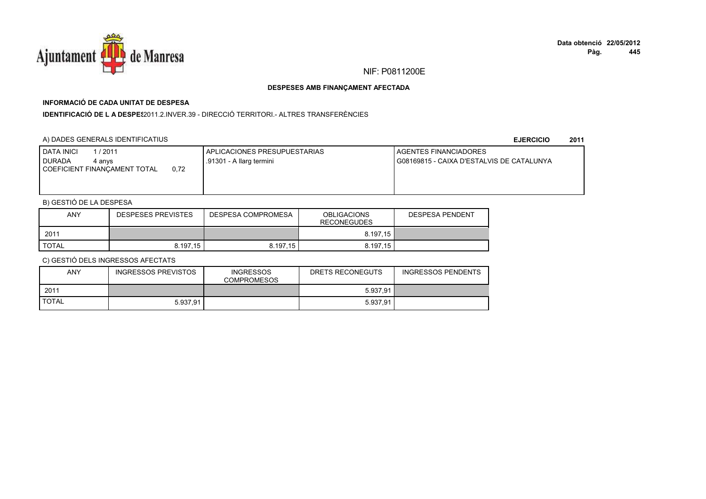

# **INFORMACIÓ DE CADA UNITAT DE DESPESA**

**IDENTIFICACIÓ DE L A DESPES**2011.2.INVER.39 - DIRECCIÓ TERRITORI.- ALTRES TRANSFERÈNCIES

### A) DADES GENERALS IDENTIFICATIUS

**EJERCICIO<sup>2011</sup>**

| <b>DATA INICI</b><br>1/2011<br><b>I DURADA</b><br>4 anvs<br>0.72<br>COEFICIENT FINANCAMENT TOTAL | APLICACIONES PRESUPUESTARIAS<br>.91301 - A llarg termini | AGENTES FINANCIADORES<br>G08169815 - CAIXA D'ESTALVIS DE CATALUNYA |
|--------------------------------------------------------------------------------------------------|----------------------------------------------------------|--------------------------------------------------------------------|
|                                                                                                  |                                                          |                                                                    |

# B) GESTIÓ DE LA DESPESA

| ANY          | <b>DESPESES PREVISTES</b> | DESPESA COMPROMESA | <b>OBLIGACIONS</b><br><b>RECONEGUDES</b> | <b>DESPESA PENDENT</b> |
|--------------|---------------------------|--------------------|------------------------------------------|------------------------|
| 2011         |                           |                    | 8.197.15                                 |                        |
| <b>TOTAL</b> | 8.197.15                  | 8.197.15           | 8.197.15                                 |                        |

| <b>ANY</b>   | INGRESSOS PREVISTOS | <b>INGRESSOS</b><br><b>COMPROMESOS</b> | DRETS RECONEGUTS | <b>INGRESSOS PENDENTS</b> |
|--------------|---------------------|----------------------------------------|------------------|---------------------------|
| 2011         |                     |                                        | 5.937.91         |                           |
| <b>TOTAL</b> | 5.937.91            |                                        | 5.937.91         |                           |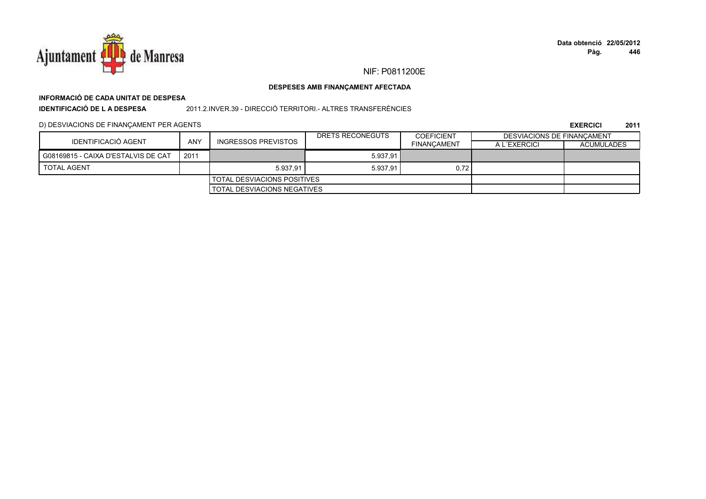

# **INFORMACIÓ DE CADA UNITAT DE DESPESA**

**IDENTIFICACIÓ DE L A DESPESA**

2011.2.INVER.39 - DIRECCIÓ TERRITORI.- ALTRES TRANSFERÈNCIES

### D) DESVIACIONS DE FINANÇAMENT PER AGENTS

|                                     |      |                                    | DRETS RECONEGUTS | <b>COEFICIENT</b>  | DESVIACIONS DE FINANCAMENT |                   |
|-------------------------------------|------|------------------------------------|------------------|--------------------|----------------------------|-------------------|
| IDENTIFICACIÓ AGENT                 | ANY  | INGRESSOS PREVISTOS                |                  | <b>FINANCAMENT</b> | A L'EXERCICI               | <b>ACUMULADES</b> |
| G08169815 - CAIXA D'ESTALVIS DE CAT | 2011 |                                    | 5.937.91         |                    |                            |                   |
| <b>TOTAL AGENT</b>                  |      | 5.937.91                           | 5.937,91         | 0,72               |                            |                   |
|                                     |      | I TOTAL DESVIACIONS POSITIVES      |                  |                    |                            |                   |
|                                     |      | <b>TOTAL DESVIACIONS NEGATIVES</b> |                  |                    |                            |                   |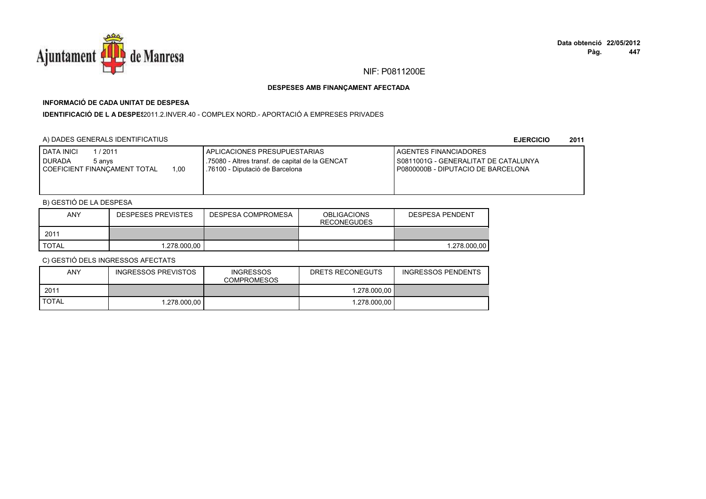

# **INFORMACIÓ DE CADA UNITAT DE DESPESA**

**IDENTIFICACIÓ DE L A DESPES**2011.2.INVER.40 - COMPLEX NORD.- APORTACIÓ A EMPRESES PRIVADES

### A) DADES GENERALS IDENTIFICATIUS

**EJERCICIO<sup>2011</sup>**

| <b>DATA INICI</b><br>/2011<br><b>DURADA</b><br>5 anvs<br>1.00<br>COEFICIENT FINANCAMENT TOTAL | APLICACIONES PRESUPUESTARIAS<br>.75080 - Altres transf. de capital de la GENCAT<br>.76100 - Diputació de Barcelona | <b>I AGENTES FINANCIADORES</b><br>S0811001G - GENERALITAT DE CATALUNYA<br>P0800000B - DIPUTACIO DE BARCELONA |
|-----------------------------------------------------------------------------------------------|--------------------------------------------------------------------------------------------------------------------|--------------------------------------------------------------------------------------------------------------|
|                                                                                               |                                                                                                                    |                                                                                                              |

# B) GESTIÓ DE LA DESPESA

| ANY          | <b>DESPESES PREVISTES</b> | DESPESA COMPROMESA | <b>OBLIGACIONS</b><br><b>RECONEGUDES</b> | DESPESA PENDENT |
|--------------|---------------------------|--------------------|------------------------------------------|-----------------|
| 2011         |                           |                    |                                          |                 |
| <b>TOTAL</b> | 1.278.000.00              |                    |                                          | 1.278.000.00    |

| ANY          | INGRESSOS PREVISTOS | <b>INGRESSOS</b><br><b>COMPROMESOS</b> | DRETS RECONEGUTS | <b>INGRESSOS PENDENTS</b> |
|--------------|---------------------|----------------------------------------|------------------|---------------------------|
| 2011         |                     |                                        | 1.278.000.00     |                           |
| <b>TOTAL</b> | 1.278.000.00        |                                        | 1.278.000.00     |                           |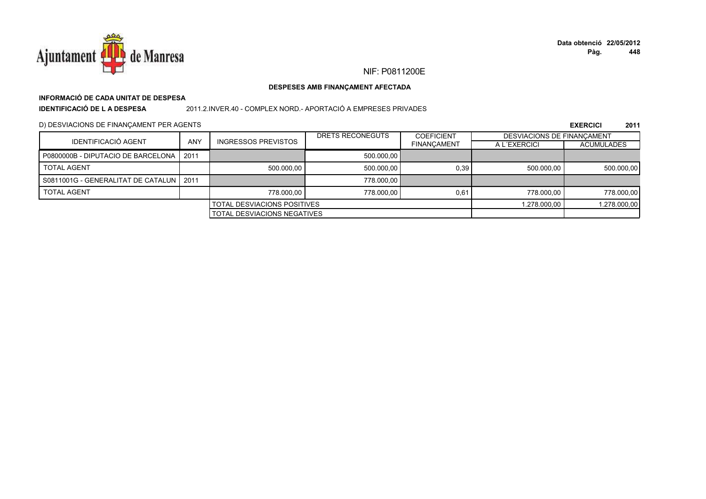

# **INFORMACIÓ DE CADA UNITAT DE DESPESA**

**IDENTIFICACIÓ DE L A DESPESA**

2011.2.INVER.40 - COMPLEX NORD.- APORTACIÓ A EMPRESES PRIVADES

D) DESVIACIONS DE FINANÇAMENT PER AGENTS

|                                           |                                    |                             | DRETS RECONEGUTS | <b>COEFICIENT</b>  |              | <b>DESVIACIONS DE FINANCAMENT</b> |  |
|-------------------------------------------|------------------------------------|-----------------------------|------------------|--------------------|--------------|-----------------------------------|--|
| IDENTIFICACIÓ AGENT                       | <b>ANY</b>                         | INGRESSOS PREVISTOS         |                  | <b>FINANCAMENT</b> | A L'EXERCICI | <b>ACUMULADES</b>                 |  |
| P0800000B - DIPUTACIO DE BARCELONA        | 2011                               |                             | 500.000,00       |                    |              |                                   |  |
| <b>TOTAL AGENT</b>                        |                                    | 500.000.00                  | 500.000.00       | 0.39               | 500.000.00   | 500.000,00                        |  |
| S0811001G - GENERALITAT DE CATALUN   2011 |                                    |                             | 778,000.00       |                    |              |                                   |  |
| <b>TOTAL AGENT</b>                        |                                    | 778,000.00                  | 778,000.00       | 0.61               | 778,000.00   | 778.000,00                        |  |
|                                           |                                    | TOTAL DESVIACIONS POSITIVES |                  |                    | 1.278.000.00 | 1.278.000,00                      |  |
|                                           | <b>TOTAL DESVIACIONS NEGATIVES</b> |                             |                  |                    |              |                                   |  |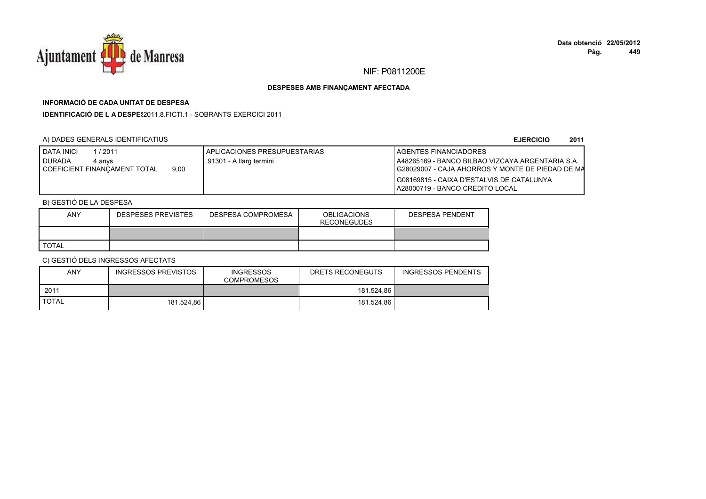

# **INFORMACIÓ DE CADA UNITAT DE DESPESA**

**IDENTIFICACIÓ DE L A DESPES**2011.8.FICTI.1 - SOBRANTS EXERCICI 2011

### A) DADES GENERALS IDENTIFICATIUS

**EJERCICIO<sup>2011</sup>**

| <b>DATA INICI</b><br>. / 2011        | I APLICACIONES PRESUPUESTARIAS | <b>I AGENTES FINANCIADORES</b>                     |
|--------------------------------------|--------------------------------|----------------------------------------------------|
| <b>DURADA</b><br>4 anvs              | I.91301 - A llarg termini      | A48265169 - BANCO BILBAO VIZCAYA ARGENTARIA S.A.   |
| 9.00<br>COEFICIENT FINANCAMENT TOTAL |                                | I G28029007 - CAJA AHORROS Y MONTE DE PIEDAD DE MA |
|                                      |                                | I G08169815 - CAIXA D'ESTALVIS DE CATALUNYA        |
|                                      |                                | A28000719 - BANCO CREDITO LOCAL                    |

## B) GESTIÓ DE LA DESPESA

| ANY          | <b>DESPESES PREVISTES</b> | DESPESA COMPROMESA | <b>OBLIGACIONS</b><br><b>RECONEGUDES</b> | <b>DESPESA PENDENT</b> |
|--------------|---------------------------|--------------------|------------------------------------------|------------------------|
|              |                           |                    |                                          |                        |
| <b>TOTAL</b> |                           |                    |                                          |                        |

| <b>ANY</b>   | INGRESSOS PREVISTOS | <b>INGRESSOS</b><br><b>COMPROMESOS</b> | DRETS RECONEGUTS | <b>INGRESSOS PENDENTS</b> |
|--------------|---------------------|----------------------------------------|------------------|---------------------------|
| 2011         |                     |                                        | 181.524.86       |                           |
| <b>TOTAL</b> | 181.524.86          |                                        | 181.524.86       |                           |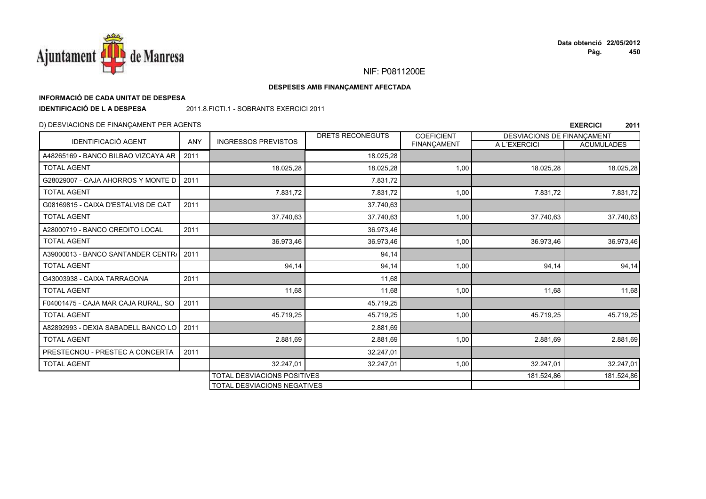

**EXERCICI <sup>2011</sup>**

### NIF: P0811200E

#### **DESPESES AMB FINANÇAMENT AFECTADA**

### **INFORMACIÓ DE CADA UNITAT DE DESPESA**

**IDENTIFICACIÓ DE L A DESPESA**

2011.8.FICTI.1 - SOBRANTS EXERCICI 2011

#### D) DESVIACIONS DE FINANÇAMENT PER AGENTS

IDENTIFICACIÓ AGENT ANY INGRESSOS PREVISTOS DRETS RECONEGUTS COEFICIENT T | A L´EXERCICI | ACUMULADES DESVIACIONS DE FINANÇAMENTA48265169 - BANCO BILBAO VIZCAYA ARR 2011 18.025,28 TOTAL AGENTT 18.025,28 18.025,28 18.025,28 18.025,28 18.025,28 1,00 18.025,28 1,00 18.025,28 18.025,28 G28029007 - CAJA AHORROS Y MONTE DD 2011 7.831,72 TOTAL AGENTT 7.831,72 7.831,72 1,00 7.831,72 7.831,72 G08169815 - CAIXA D'ESTALVIS DE CAT**T** 2011 37.740,63 TOTAL AGENT 37.740,63 37.740,63 1,00 37.740,63 37.740,63 A28000719 - BANCO CREDITO LOCALL 2011 36.973,46 TOTAL AGENT 36.973,46 36.973,46 1,00 36.973,46 36.973,46 A39000013 - BANCO SANTANDER CENTRA <sup>2011</sup> 94,14 TOTAL AGENTT 34,14 94,14 94,14 94,14 94,14 94,14 94,14 94,14 94,14 94,14 G43003938 - CAIXA TARRAGONAA 2011 2011 2011 2012 2014 TOTAL AGENT 11,68 11,68 1,00 11,68 11,68 F04001475 - CAJA MAR CAJA RURAL, SO0 2011 **45.719,25** TOTAL AGENTT 45.719,25 45.719,25 1,00 45.719,25 45.719,25 A82892993 - DEXIA SABADELL BANCO LOO 2011 2011 2.881,69 TOTAL AGENT 2.881,699 2.881,69 2.881,69 2.881,69 2.881,69 2.881,69 PRESTECNOU - PRESTEC A CONCERTAA 2011 2011 2012 2012 2013 2022 2023 2024 2014 TOTAL AGENTT 32.247,01 32.247,01 1,00 32.247,01 32.247,01 TOTAL DESVIACIONS POSITIVESS 181.524,86 181.524,86 181.524,86 181.524,86 181.524,86 181.524,86 181.524,86 1 TOTAL DESVIACIONS NEGATIVES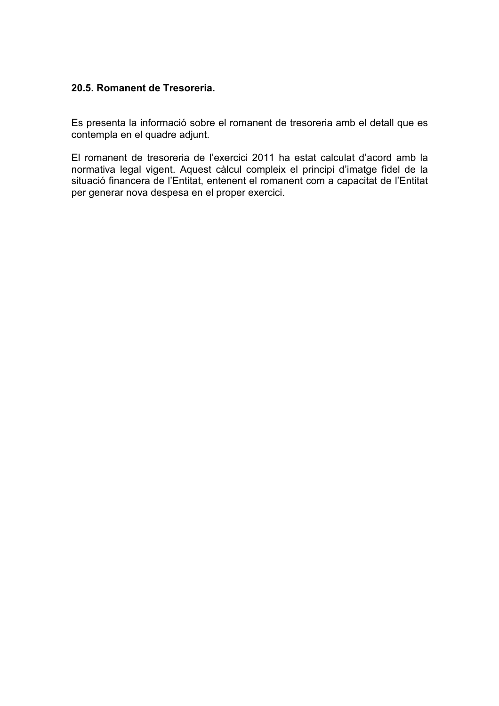# **20.5. Romanent de Tresoreria.**

Es presenta la informació sobre el romanent de tresoreria amb el detall que es contempla en el quadre adjunt.

El romanent de tresoreria de l'exercici 2011 ha estat calculat d'acord amb la normativa legal vigent. Aquest càlcul compleix el principi d'imatge fidel de la situació financera de l'Entitat, entenent el romanent com a capacitat de l'Entitat per generar nova despesa en el proper exercici.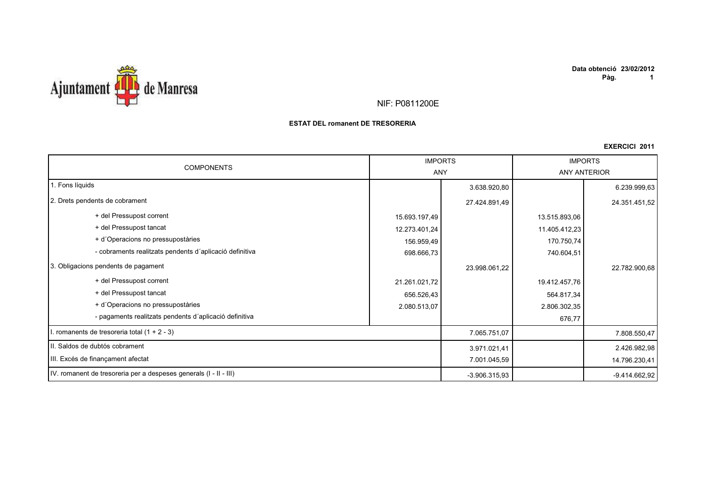



### **ESTAT DEL romanent DE TRESORERIA**

| <b>COMPONENTS</b>                                                 |               | <b>IMPORTS</b><br><b>ANY</b> |               | <b>IMPORTS</b><br><b>ANY ANTERIOR</b> |  |
|-------------------------------------------------------------------|---------------|------------------------------|---------------|---------------------------------------|--|
| 1. Fons líquids                                                   |               | 3.638.920,80                 |               | 6.239.999,63                          |  |
| 2. Drets pendents de cobrament                                    |               | 27.424.891,49                |               | 24.351.451,52                         |  |
| + del Pressupost corrent                                          | 15.693.197,49 |                              | 13.515.893,06 |                                       |  |
| + del Pressupost tancat                                           | 12.273.401,24 |                              | 11.405.412,23 |                                       |  |
| + d'Operacions no pressupostàries                                 | 156.959,49    |                              | 170.750,74    |                                       |  |
| - cobraments realitzats pendents d'aplicació definitiva           | 698.666,73    |                              | 740.604,51    |                                       |  |
| 3. Obligacions pendents de pagament                               |               | 23.998.061,22                |               | 22.782.900,68                         |  |
| + del Pressupost corrent                                          | 21.261.021,72 |                              | 19.412.457,76 |                                       |  |
| + del Pressupost tancat                                           | 656.526,43    |                              | 564.817,34    |                                       |  |
| + d'Operacions no pressupostàries                                 | 2.080.513,07  |                              | 2.806.302,35  |                                       |  |
| - pagaments realitzats pendents d'aplicació definitiva            |               |                              | 676,77        |                                       |  |
| I. romanents de tresoreria total (1 + 2 - 3)                      |               | 7.065.751,07                 |               | 7.808.550,47                          |  |
| II. Saldos de dubtós cobrament                                    |               | 3.971.021,41                 |               | 2.426.982,98                          |  |
| III. Excés de finançament afectat                                 |               | 7.001.045,59                 |               | 14.796.230,41                         |  |
| IV. romanent de tresoreria per a despeses generals (I - II - III) |               | $-3.906.315.93$              |               | -9.414.662,92                         |  |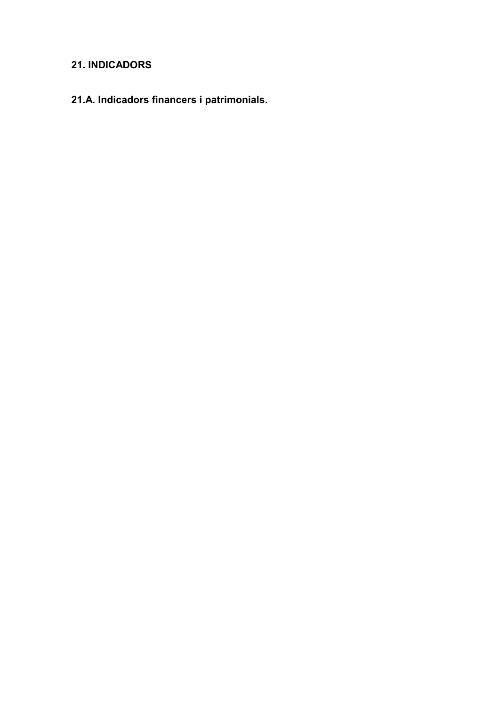# **21. INDICADORS**

**21.A. Indicadors financers i patrimonials.**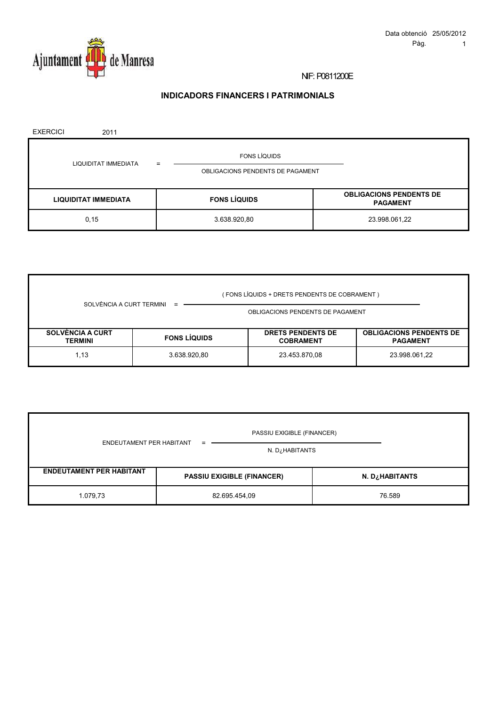

# **INDICADORS FINANCERS I PATRIMONIALS**

| <b>EXERCICI</b> | 2011                        |                                  |                     |                                                   |
|-----------------|-----------------------------|----------------------------------|---------------------|---------------------------------------------------|
|                 | LIQUIDITAT IMMEDIATA        |                                  | <b>FONS LÍQUIDS</b> |                                                   |
|                 |                             | OBLIGACIONS PENDENTS DE PAGAMENT |                     |                                                   |
|                 | <b>LIQUIDITAT IMMEDIATA</b> |                                  | <b>FONS LÍQUIDS</b> | <b>OBLIGACIONS PENDENTS DE</b><br><b>PAGAMENT</b> |
|                 | 0, 15                       |                                  | 3.638.920,80        | 23.998.061,22                                     |

|                                           |                     | (FONS LÍQUIDS + DRETS PENDENTS DE COBRAMENT ) |                                              |                                                   |  |  |
|-------------------------------------------|---------------------|-----------------------------------------------|----------------------------------------------|---------------------------------------------------|--|--|
| SOLVÈNCIA A CURT TERMINI                  |                     | OBLIGACIONS PENDENTS DE PAGAMENT              |                                              |                                                   |  |  |
| <b>SOLVÈNCIA A CURT</b><br><b>TERMINI</b> | <b>FONS LÍQUIDS</b> |                                               | <b>DRETS PENDENTS DE</b><br><b>COBRAMENT</b> | <b>OBLIGACIONS PENDENTS DE</b><br><b>PAGAMENT</b> |  |  |
| 1,13                                      | 3.638.920,80        |                                               | 23.453.870,08                                | 23.998.061,22                                     |  |  |

| PASSIU EXIGIBLE (FINANCER)      |                                   |                |  |  |  |  |
|---------------------------------|-----------------------------------|----------------|--|--|--|--|
| ENDEUTAMENT PER HABITANT        | N. D. HABITANTS                   |                |  |  |  |  |
| <b>ENDEUTAMENT PER HABITANT</b> | <b>PASSIU EXIGIBLE (FINANCER)</b> | N. D¿HABITANTS |  |  |  |  |
| 1.079,73                        | 82.695.454,09                     | 76.589         |  |  |  |  |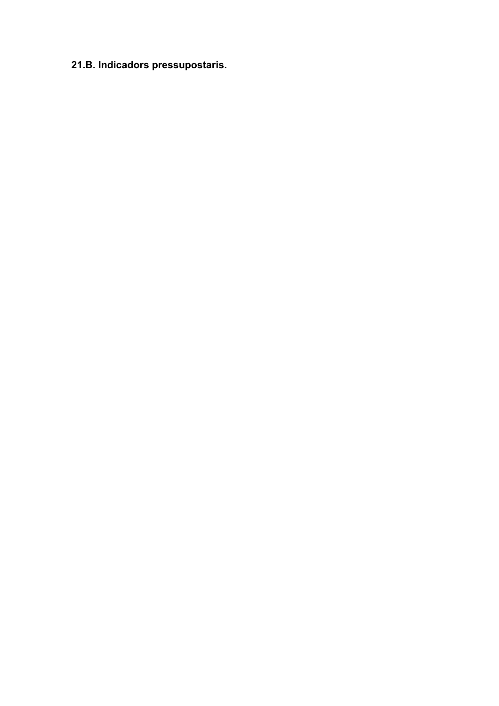# **21.B. Indicadors pressupostaris.**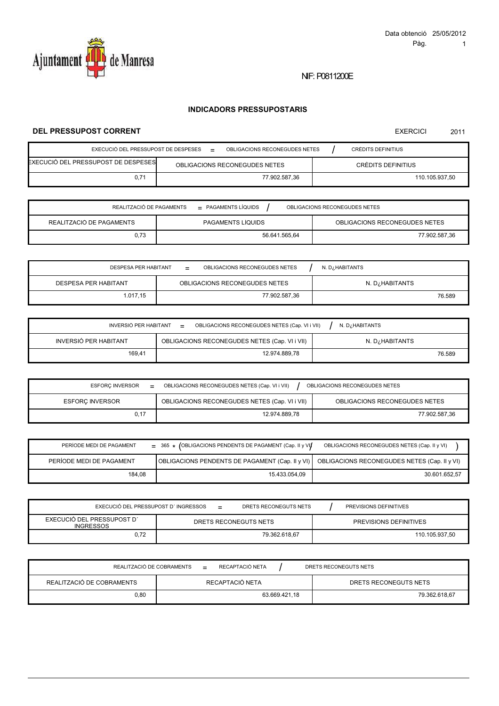

# **INDICADORS PRESSUPOSTARIS**

# **DEL PRESSUPOST CORRENT**

| EXECUCIÓ DEL PRESSUPOST DE DESPESES   | OBLIGACIONS RECONEGUDES NETES<br>$=$ |  | CRÈDITS DEFINITIUS |
|---------------------------------------|--------------------------------------|--|--------------------|
| EXECUCIÓ DEL PRESSUPOST DE DESPESES I | OBLIGACIONS RECONEGUDES NETES        |  | CRÈDITS DEFINITIUS |
| 0.71                                  | 77.902.587.36                        |  | 110.105.937.50     |

| REALITZACIÓ DE PAGAMENTS<br>$=$ PAGAMENTS LÍQUIDS<br>OBLIGACIONS RECONEGUDES NETES |                   |                               |  |  |
|------------------------------------------------------------------------------------|-------------------|-------------------------------|--|--|
| REALITZACIÓ DE PAGAMENTS                                                           | PAGAMENTS LÍQUIDS | OBLIGACIONS RECONEGUDES NETES |  |  |
| 0.73                                                                               | 56.641.565.64     | 77.902.587.36                 |  |  |

| <b>DESPESA PER HABITANT</b> | N. D. HABITANTS               |                |
|-----------------------------|-------------------------------|----------------|
| <b>DESPESA PER HABITANT</b> | OBLIGACIONS RECONEGUDES NETES | N. D¿HABITANTS |
| 1.017,15                    | 77.902.587.36                 | 76.589         |

| INVERSIÓ PER HABITANT<br>OBLIGACIONS RECONEGUDES NETES (Cap. VI i VII)<br>N. D. HABITANTS<br>$=$ |                                               |                 |  |  |  |
|--------------------------------------------------------------------------------------------------|-----------------------------------------------|-----------------|--|--|--|
| INVERSIÓ PER HABITANT                                                                            | OBLIGACIONS RECONEGUDES NETES (Cap. VI i VII) | N. D. HABITANTS |  |  |  |
| 169.41                                                                                           | 12.974.889.78                                 | 76.589          |  |  |  |

| ESFORC INVERSOR<br>$=$ | OBLIGACIONS RECONEGUDES NETES (Cap. VI i VII)<br>OBLIGACIONS RECONEGUDES NETES |                               |  |  |
|------------------------|--------------------------------------------------------------------------------|-------------------------------|--|--|
| <b>ESFORC INVERSOR</b> | OBLIGACIONS RECONEGUDES NETES (Cap. VI i VII)                                  | OBLIGACIONS RECONEGUDES NETES |  |  |
|                        | 12.974.889.78                                                                  | 77.902.587.36                 |  |  |

| PERÍODE MEDI DE PAGAMENT | $=$ 365 $\star$ (OBLIGACIONS PENDENTS DE PAGAMENT (Cap. II y VI) | OBLIGACIONS RECONEGUDES NETES (Cap. II y VI) |
|--------------------------|------------------------------------------------------------------|----------------------------------------------|
| PERÍODE MEDI DE PAGAMENT | OBLIGACIONS PENDENTS DE PAGAMENT (Cap. II y VI)                  | OBLIGACIONS RECONEGUDES NETES (Cap. II y VI) |
| 184.08                   | 15.433.054.09                                                    | 30.601.652.57                                |

| EXECUCIÓ DEL PRESSUPOST D'INGRESSOS            | DRETS RECONEGUTS NETS<br>$=$ |  | PREVISIONS DEFINITIVES |
|------------------------------------------------|------------------------------|--|------------------------|
| EXECUCIÓ DEL PRESSUPOST D'<br><b>INGRESSOS</b> | DRETS RECONEGUTS NETS        |  | PREVISIONS DEFINITIVES |
|                                                | 79.362.618.67                |  | 110.105.937.50         |

| REALITZACIÓ DE COBRAMENTS | $=$           | RECAPTACIÓ NETA | DRETS RECONEGUTS NETS |
|---------------------------|---------------|-----------------|-----------------------|
| REALITZACIÓ DE COBRAMENTS |               | RECAPTACIÓ NETA | DRETS RECONEGUTS NETS |
| 0.80                      | 63.669.421.18 |                 | 79.362.618.67         |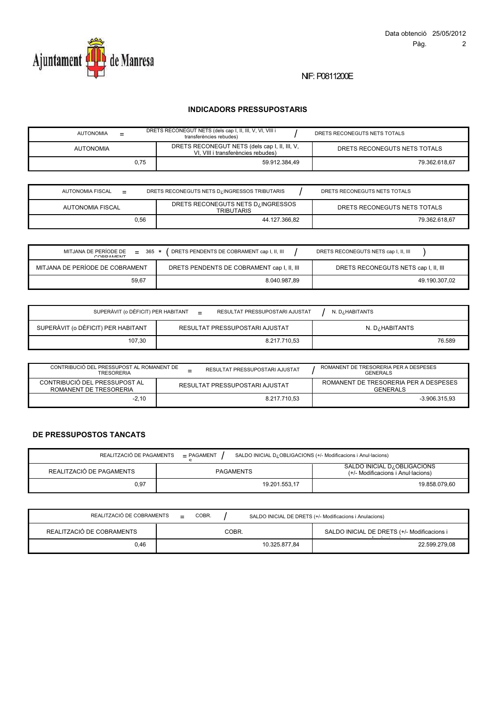

# **INDICADORS PRESSUPOSTARIS**

| <b>AUTONOMIA</b> | $=$  | DRETS RECONEGUT NETS (dels cap I, II, III, V, VI, VIII i<br>transferències rebudes) | DRETS RECONEGUTS NETS TOTALS |
|------------------|------|-------------------------------------------------------------------------------------|------------------------------|
| <b>AUTONOMIA</b> |      | DRETS RECONEGUT NETS (dels cap I, II, III, V,<br>VI. VIII i transferències rebudes) | DRETS RECONEGUTS NETS TOTALS |
|                  | 0.75 | 59.912.384.49                                                                       | 79.362.618.67                |

| AUTONOMIA FISCAL<br>$=$ | DRETS RECONEGUTS NETS D. INGRESSOS TRIBUTARIS           | DRETS RECONEGUTS NETS TOTALS |
|-------------------------|---------------------------------------------------------|------------------------------|
| AUTONOMIA FISCAL        | DRETS RECONEGUTS NETS D. INGRESSOS<br><b>TRIBUTARIS</b> | DRETS RECONEGUTS NETS TOTALS |
| 0.56                    | 44.127.366.82                                           | 79.362.618.67                |

| MITJANA DE PERÍODE DE<br>$365 *$<br>$=$<br>CODDAMENT | DRETS PENDENTS DE COBRAMENT cap I, II, III | DRETS RECONEGUTS NETS cap I, II, III |
|------------------------------------------------------|--------------------------------------------|--------------------------------------|
| MITJANA DE PERÍODE DE COBRAMENT                      | DRETS PENDENTS DE COBRAMENT cap I, II, III | DRETS RECONEGUTS NETS cap I, II, III |
| 59,67                                                | 8.040.987.89                               | 49.190.307.02                        |

| SUPERÀVIT (o DÈFICIT) PER HABITANT<br>RESULTAT PRESSUPOSTARI AJUSTAT<br>N. D. HABITANTS |                                |                 |  |  |
|-----------------------------------------------------------------------------------------|--------------------------------|-----------------|--|--|
| SUPERÀVIT (o DÈFICIT) PER HABITANT                                                      | RESULTAT PRESSUPOSTARI AJUSTAT | N. D. HABITANTS |  |  |
| 107,30                                                                                  | 8.217.710,53                   | 76.589          |  |  |

| CONTRIBUCIÓ DEL PRESSUPOST AL ROMANENT DE<br><b>TRESORERIA</b> | ROMANENT DE TRESORERIA PER A DESPESES<br><b>GENERALS</b> |                                                          |
|----------------------------------------------------------------|----------------------------------------------------------|----------------------------------------------------------|
| CONTRIBUCIÓ DEL PRESSUPOST AL<br>ROMANENT DE TRESORERIA        | RESULTAT PRESSUPOSTARI AJUSTAT                           | ROMANENT DE TRESORERIA PER A DESPESES<br><b>GENERALS</b> |
| $-2.10$                                                        | 8.217.710.53                                             | $-3.906.315.93$                                          |

## **DE PRESSUPOSTOS TANCATS**

| REALITZACIÓ DE PAGAMENTS<br>SALDO INICIAL D¿OBLIGACIONS (+/- Modificacions i Anul·lacions)<br>- PAGAMENT<br>$\sim$ |                  |                                                                                |  |  |
|--------------------------------------------------------------------------------------------------------------------|------------------|--------------------------------------------------------------------------------|--|--|
| REALITZACIÓ DE PAGAMENTS                                                                                           | <b>PAGAMENTS</b> | SALDO INICIAL D <sub>i</sub> OBLIGACIONS<br>(+/- Modificacions i Anul·lacions) |  |  |
| 0.97                                                                                                               | 19.201.553.17    | 19.858.079.60                                                                  |  |  |

| REALITZACIÓ DE COBRAMENTS | $=$ | COBR. |       |               | SALDO INICIAL DE DRETS (+/- Modificacions i Anulacions) |
|---------------------------|-----|-------|-------|---------------|---------------------------------------------------------|
| REALITZACIÓ DE COBRAMENTS |     |       | COBR. |               | SALDO INICIAL DE DRETS (+/- Modificacions i             |
| 0.46                      |     |       |       | 10.325.877.84 | 22.599.279.08                                           |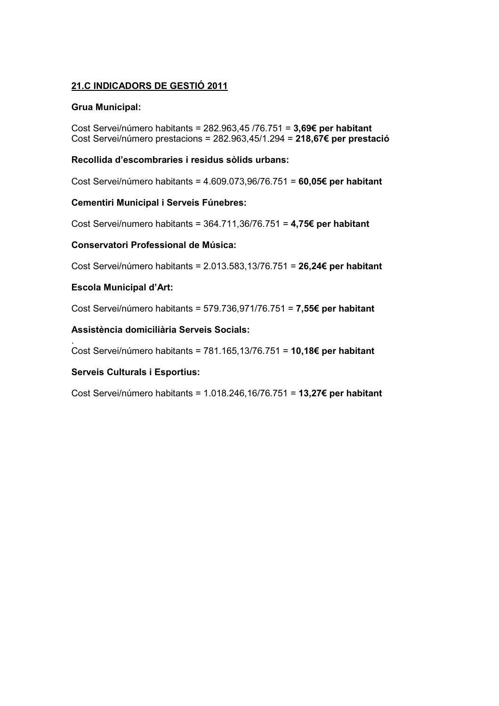# **21.C INDICADORS DE GESTIÓ 2011**

# **Grua Municipal:**

Cost Servei/número habitants = 282.963,45 /76.751 = **3,69€ per habitant**  Cost Servei/número prestacions = 282.963,45/1.294 = **218,67€ per prestació** 

# **Recollida d'escombraries i residus sòlids urbans:**

Cost Servei/número habitants = 4.609.073,96/76.751 = **60,05€ per habitant**

# **Cementiri Municipal i Serveis Fúnebres:**

Cost Servei/numero habitants = 364.711,36/76.751 = **4,75€ per habitant**

# **Conservatori Professional de Música:**

Cost Servei/número habitants = 2.013.583,13/76.751 = **26,24€ per habitant** 

# **Escola Municipal d'Art:**

Cost Servei/número habitants = 579.736,971/76.751 = **7,55€ per habitant** 

# **Assistència domiciliària Serveis Socials:**

. Cost Servei/número habitants = 781.165,13/76.751 = **10,18€ per habitant**

# **Serveis Culturals i Esportius:**

Cost Servei/número habitants = 1.018.246,16/76.751 = **13,27€ per habitant**